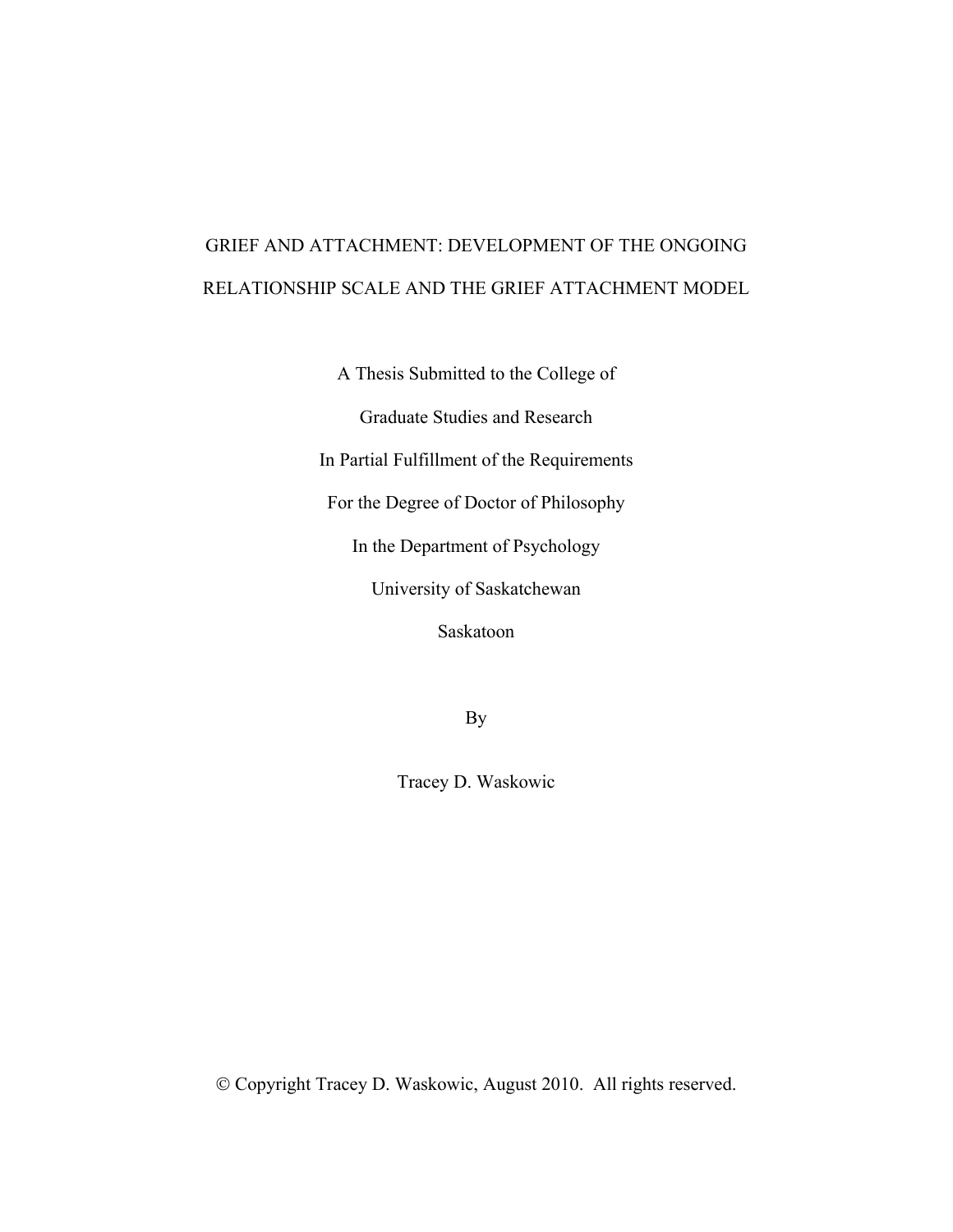# GRIEF AND ATTACHMENT: DEVELOPMENT OF THE ONGOING RELATIONSHIP SCALE AND THE GRIEF ATTACHMENT MODEL

A Thesis Submitted to the College of

Graduate Studies and Research

In Partial Fulfillment of the Requirements

For the Degree of Doctor of Philosophy

In the Department of Psychology

University of Saskatchewan

Saskatoon

By

Tracey D. Waskowic

© Copyright Tracey D. Waskowic, August 2010. All rights reserved.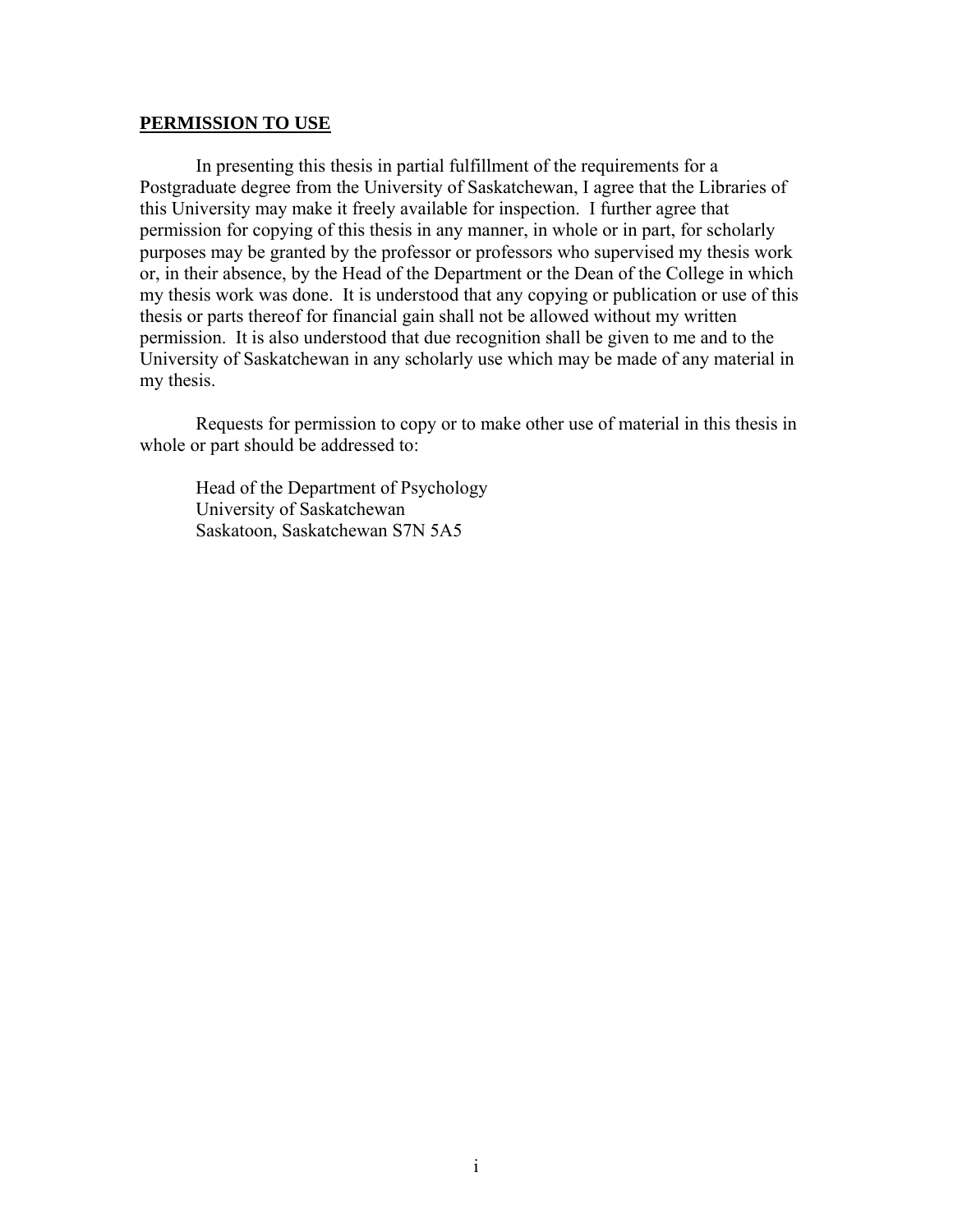### **PERMISSION TO USE**

In presenting this thesis in partial fulfillment of the requirements for a Postgraduate degree from the University of Saskatchewan, I agree that the Libraries of this University may make it freely available for inspection. I further agree that permission for copying of this thesis in any manner, in whole or in part, for scholarly purposes may be granted by the professor or professors who supervised my thesis work or, in their absence, by the Head of the Department or the Dean of the College in which my thesis work was done. It is understood that any copying or publication or use of this thesis or parts thereof for financial gain shall not be allowed without my written permission. It is also understood that due recognition shall be given to me and to the University of Saskatchewan in any scholarly use which may be made of any material in my thesis.

Requests for permission to copy or to make other use of material in this thesis in whole or part should be addressed to:

Head of the Department of Psychology University of Saskatchewan Saskatoon, Saskatchewan S7N 5A5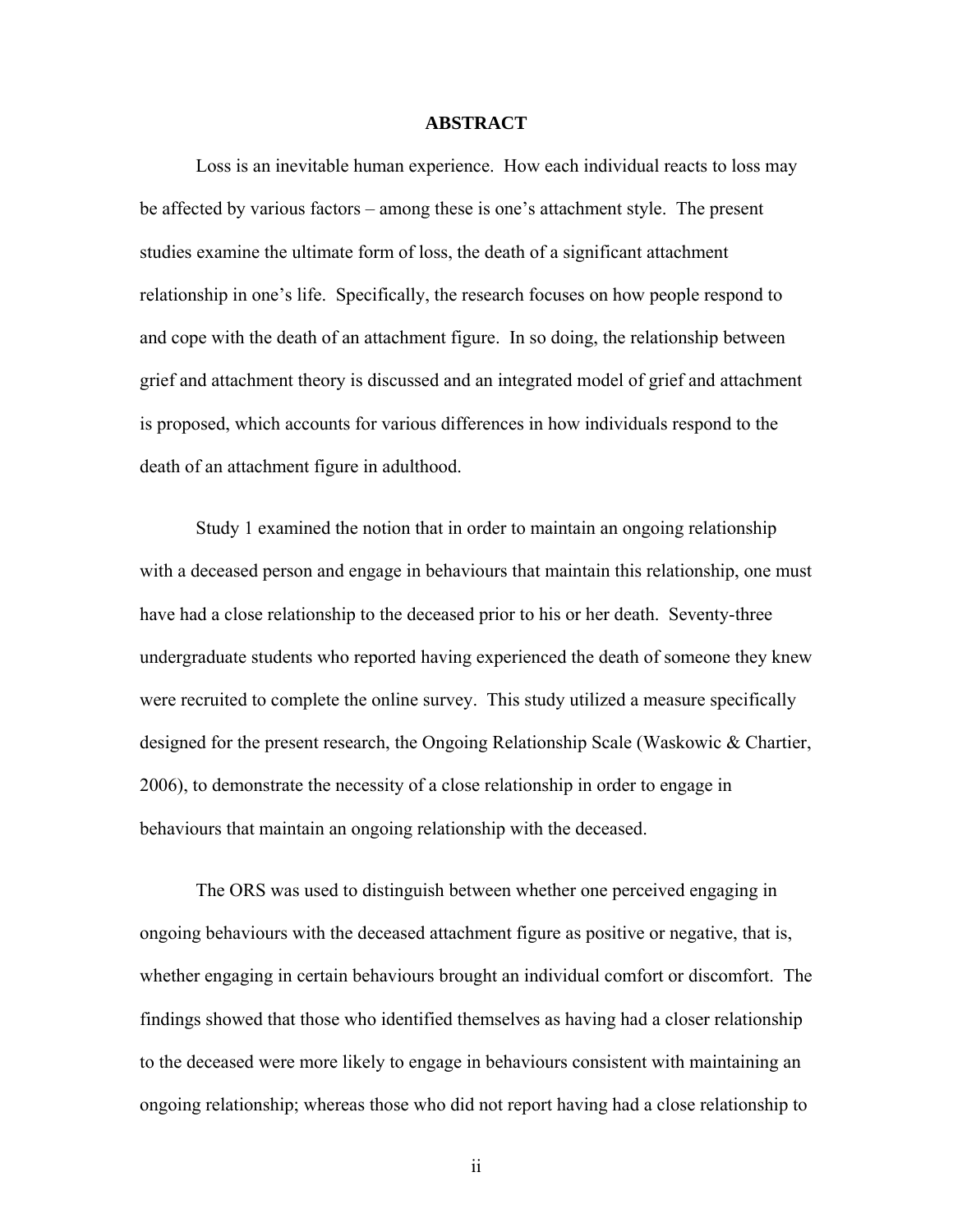### **ABSTRACT**

Loss is an inevitable human experience. How each individual reacts to loss may be affected by various factors – among these is one's attachment style. The present studies examine the ultimate form of loss, the death of a significant attachment relationship in one's life. Specifically, the research focuses on how people respond to and cope with the death of an attachment figure. In so doing, the relationship between grief and attachment theory is discussed and an integrated model of grief and attachment is proposed, which accounts for various differences in how individuals respond to the death of an attachment figure in adulthood.

Study 1 examined the notion that in order to maintain an ongoing relationship with a deceased person and engage in behaviours that maintain this relationship, one must have had a close relationship to the deceased prior to his or her death. Seventy-three undergraduate students who reported having experienced the death of someone they knew were recruited to complete the online survey. This study utilized a measure specifically designed for the present research, the Ongoing Relationship Scale (Waskowic & Chartier, 2006), to demonstrate the necessity of a close relationship in order to engage in behaviours that maintain an ongoing relationship with the deceased.

The ORS was used to distinguish between whether one perceived engaging in ongoing behaviours with the deceased attachment figure as positive or negative, that is, whether engaging in certain behaviours brought an individual comfort or discomfort. The findings showed that those who identified themselves as having had a closer relationship to the deceased were more likely to engage in behaviours consistent with maintaining an ongoing relationship; whereas those who did not report having had a close relationship to

ii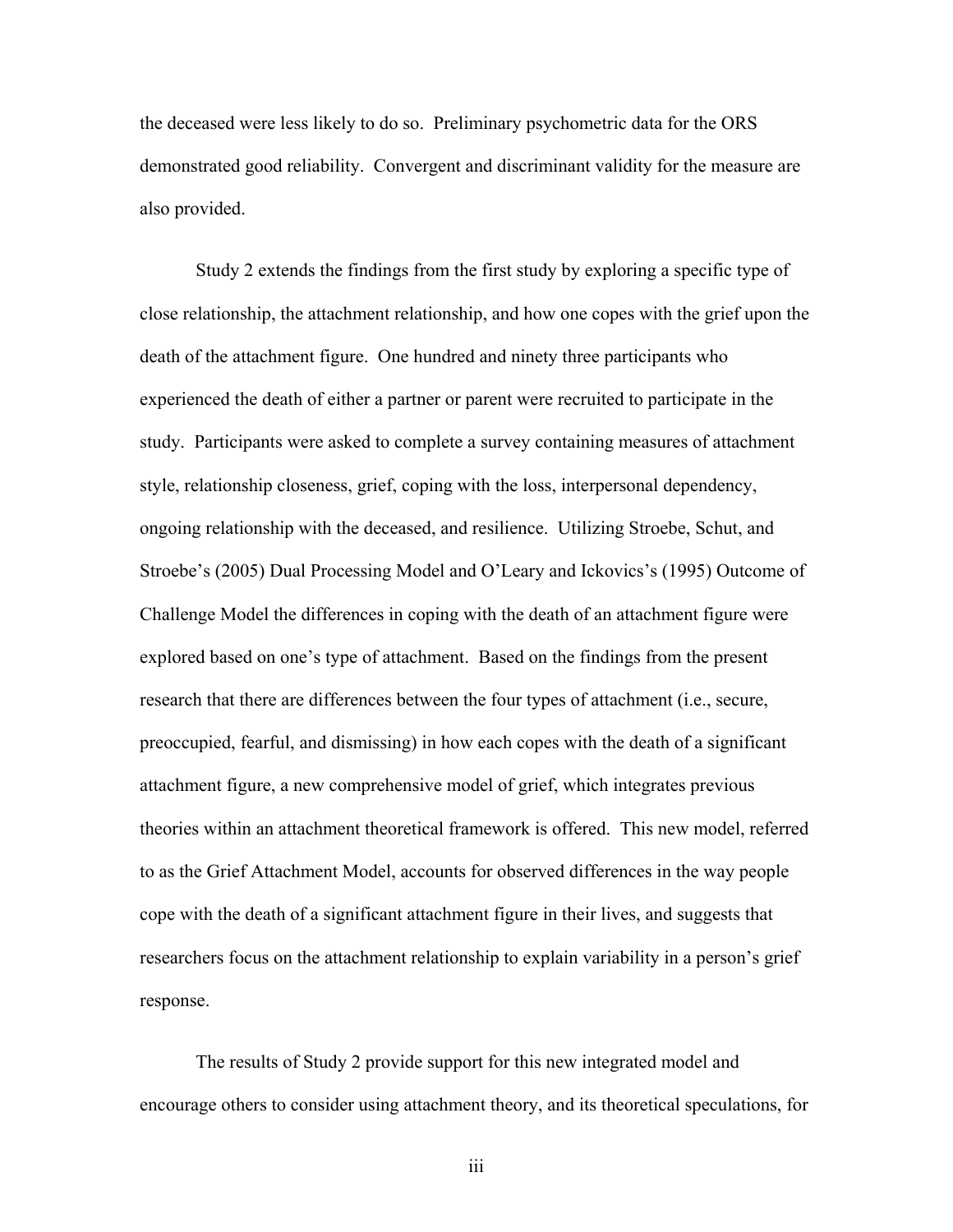the deceased were less likely to do so. Preliminary psychometric data for the ORS demonstrated good reliability. Convergent and discriminant validity for the measure are also provided.

Study 2 extends the findings from the first study by exploring a specific type of close relationship, the attachment relationship, and how one copes with the grief upon the death of the attachment figure. One hundred and ninety three participants who experienced the death of either a partner or parent were recruited to participate in the study. Participants were asked to complete a survey containing measures of attachment style, relationship closeness, grief, coping with the loss, interpersonal dependency, ongoing relationship with the deceased, and resilience. Utilizing Stroebe, Schut, and Stroebe's (2005) Dual Processing Model and O'Leary and Ickovics's (1995) Outcome of Challenge Model the differences in coping with the death of an attachment figure were explored based on one's type of attachment. Based on the findings from the present research that there are differences between the four types of attachment (i.e., secure, preoccupied, fearful, and dismissing) in how each copes with the death of a significant attachment figure, a new comprehensive model of grief, which integrates previous theories within an attachment theoretical framework is offered. This new model, referred to as the Grief Attachment Model, accounts for observed differences in the way people cope with the death of a significant attachment figure in their lives, and suggests that researchers focus on the attachment relationship to explain variability in a person's grief response.

The results of Study 2 provide support for this new integrated model and encourage others to consider using attachment theory, and its theoretical speculations, for

iii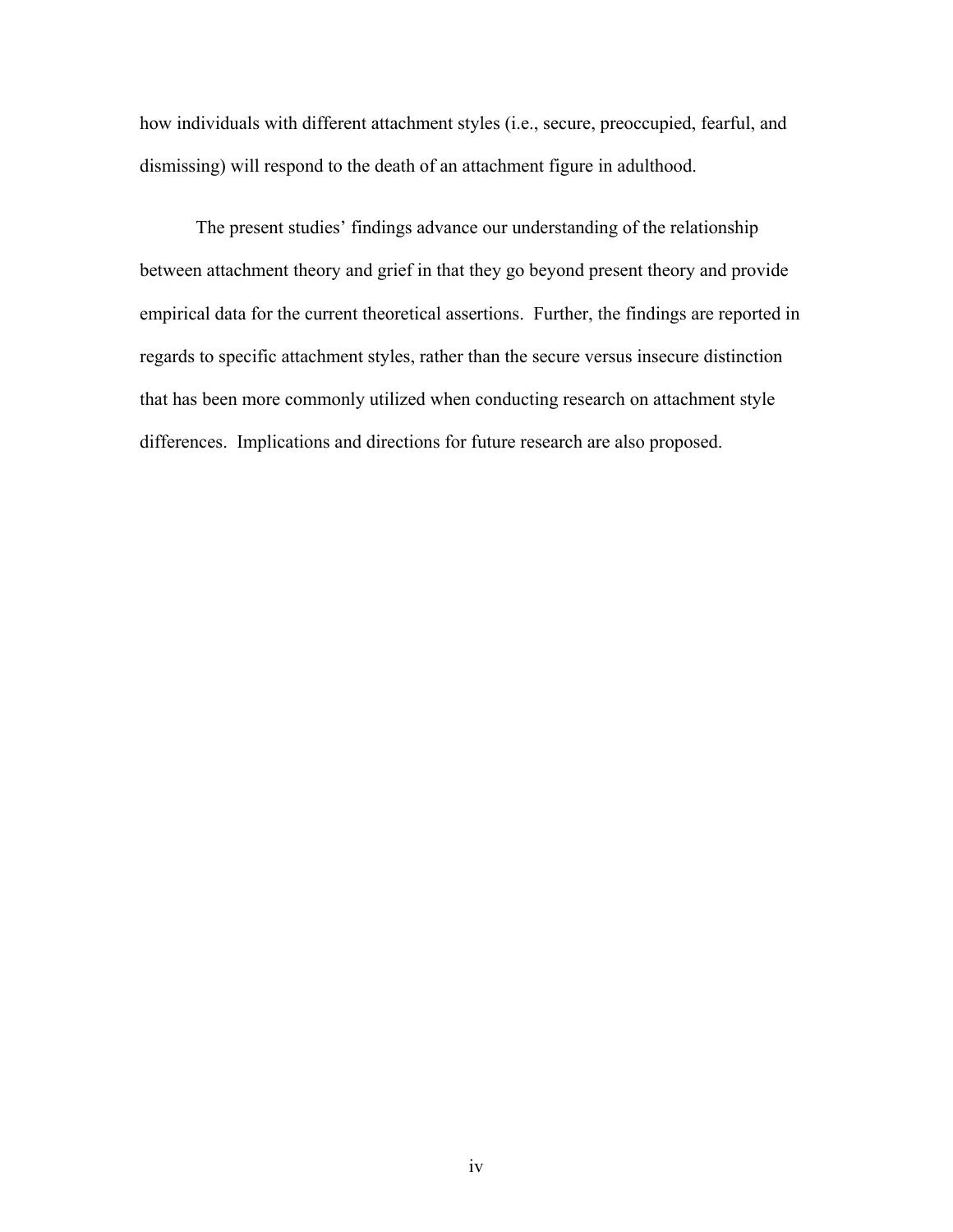how individuals with different attachment styles (i.e., secure, preoccupied, fearful, and dismissing) will respond to the death of an attachment figure in adulthood.

The present studies' findings advance our understanding of the relationship between attachment theory and grief in that they go beyond present theory and provide empirical data for the current theoretical assertions. Further, the findings are reported in regards to specific attachment styles, rather than the secure versus insecure distinction that has been more commonly utilized when conducting research on attachment style differences. Implications and directions for future research are also proposed.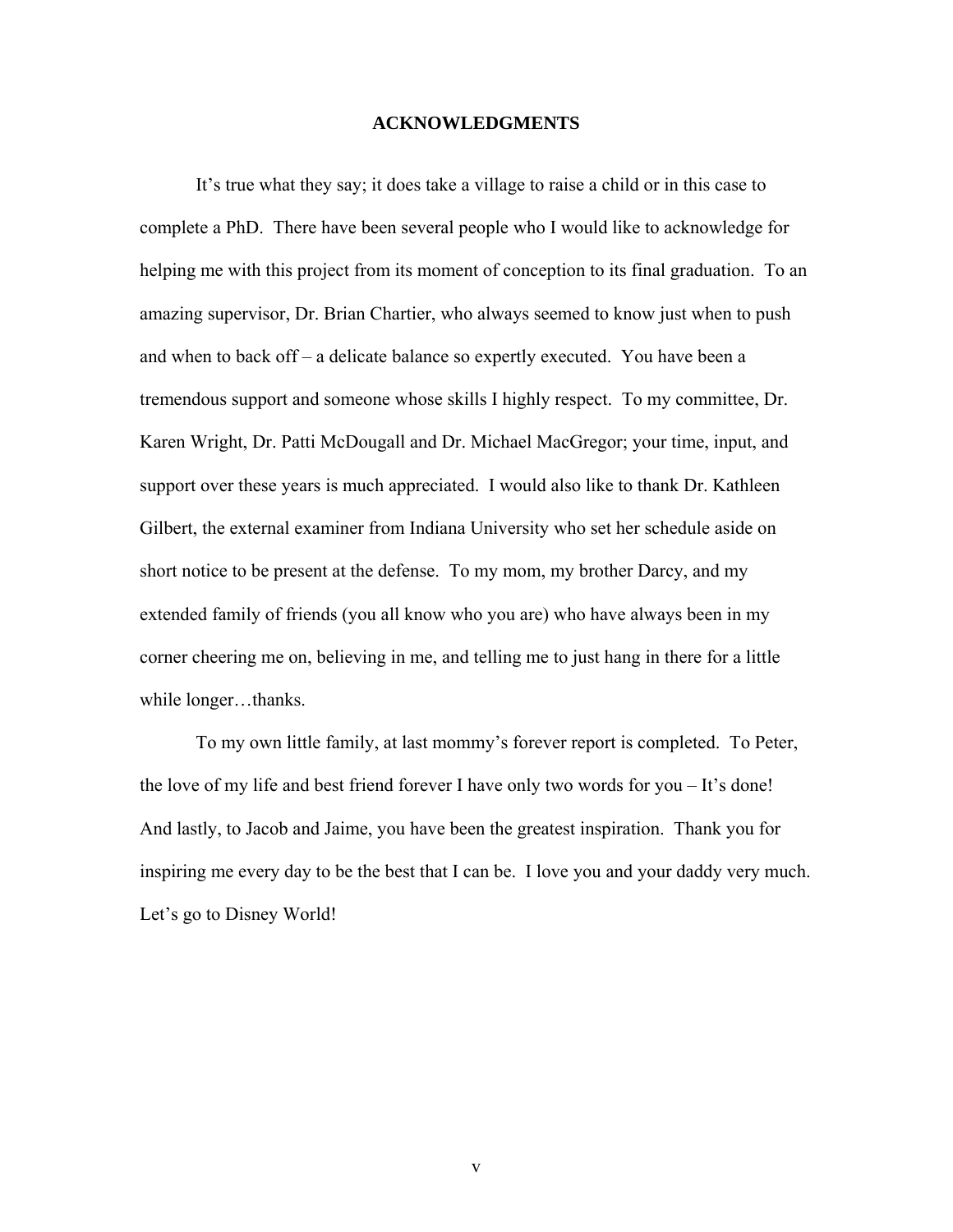### **ACKNOWLEDGMENTS**

It's true what they say; it does take a village to raise a child or in this case to complete a PhD. There have been several people who I would like to acknowledge for helping me with this project from its moment of conception to its final graduation. To an amazing supervisor, Dr. Brian Chartier, who always seemed to know just when to push and when to back off – a delicate balance so expertly executed. You have been a tremendous support and someone whose skills I highly respect. To my committee, Dr. Karen Wright, Dr. Patti McDougall and Dr. Michael MacGregor; your time, input, and support over these years is much appreciated. I would also like to thank Dr. Kathleen Gilbert, the external examiner from Indiana University who set her schedule aside on short notice to be present at the defense. To my mom, my brother Darcy, and my extended family of friends (you all know who you are) who have always been in my corner cheering me on, believing in me, and telling me to just hang in there for a little while longer...thanks.

To my own little family, at last mommy's forever report is completed. To Peter, the love of my life and best friend forever I have only two words for you – It's done! And lastly, to Jacob and Jaime, you have been the greatest inspiration. Thank you for inspiring me every day to be the best that I can be. I love you and your daddy very much. Let's go to Disney World!

v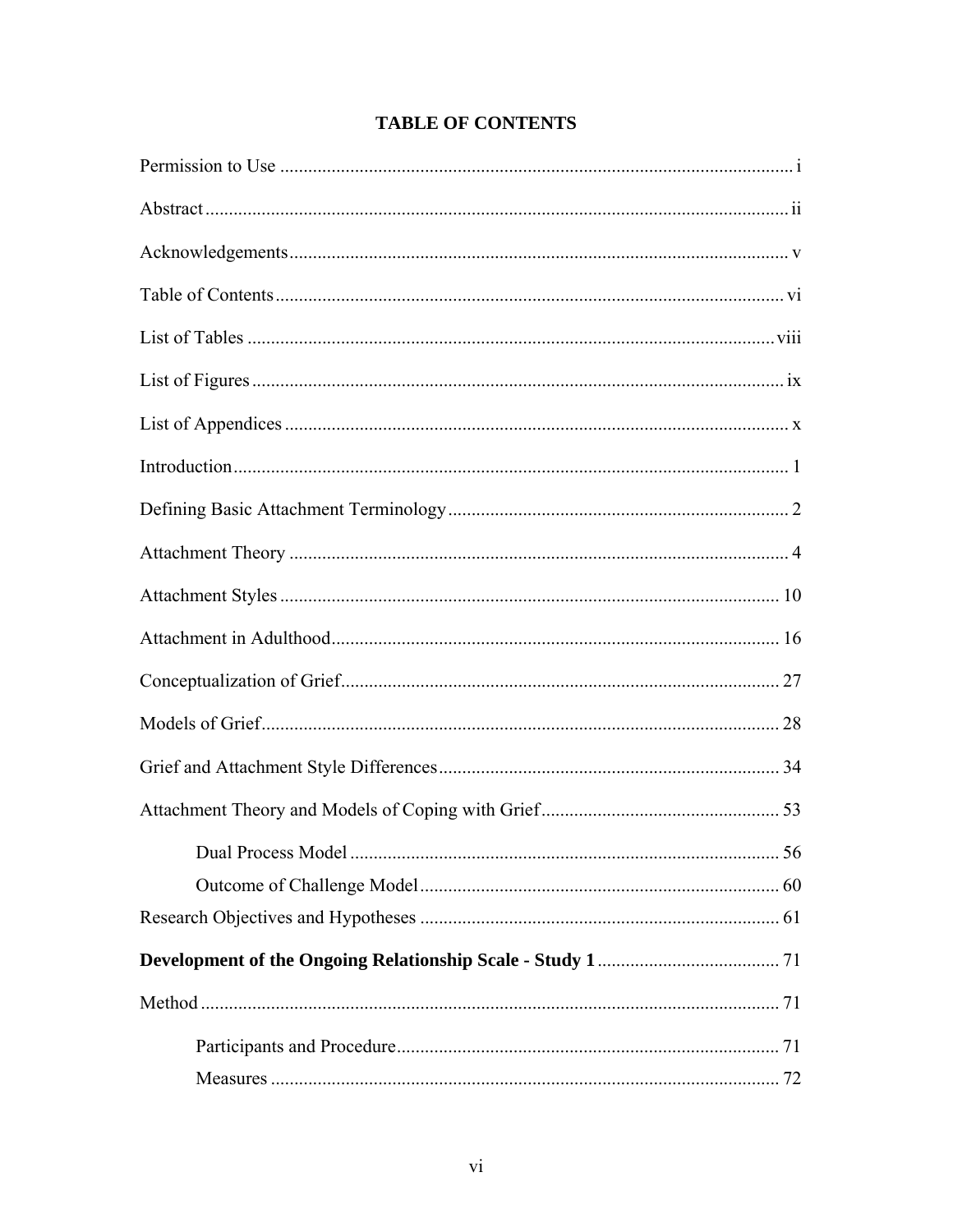| Measures. | 72 |
|-----------|----|

### **TABLE OF CONTENTS**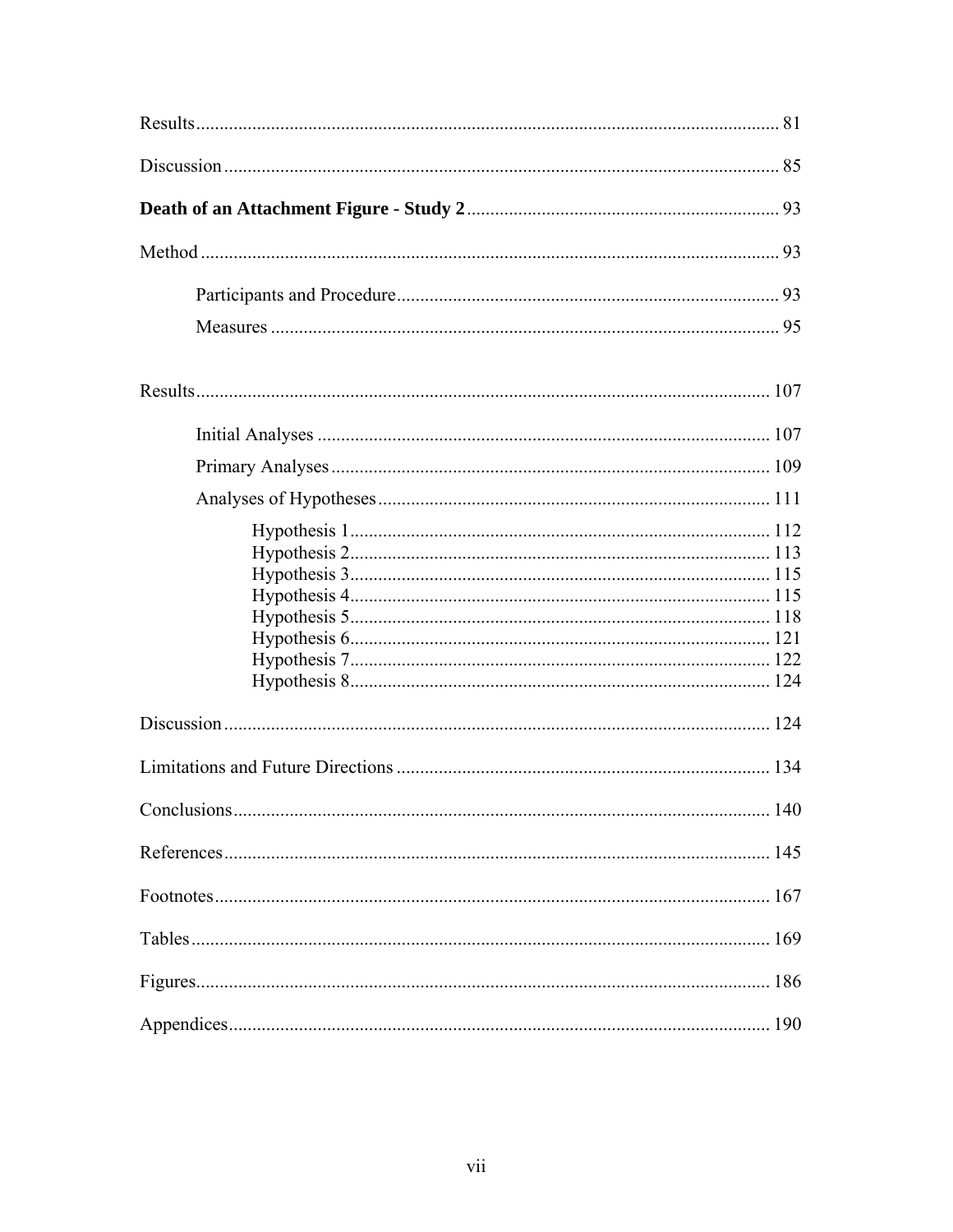| 190 |
|-----|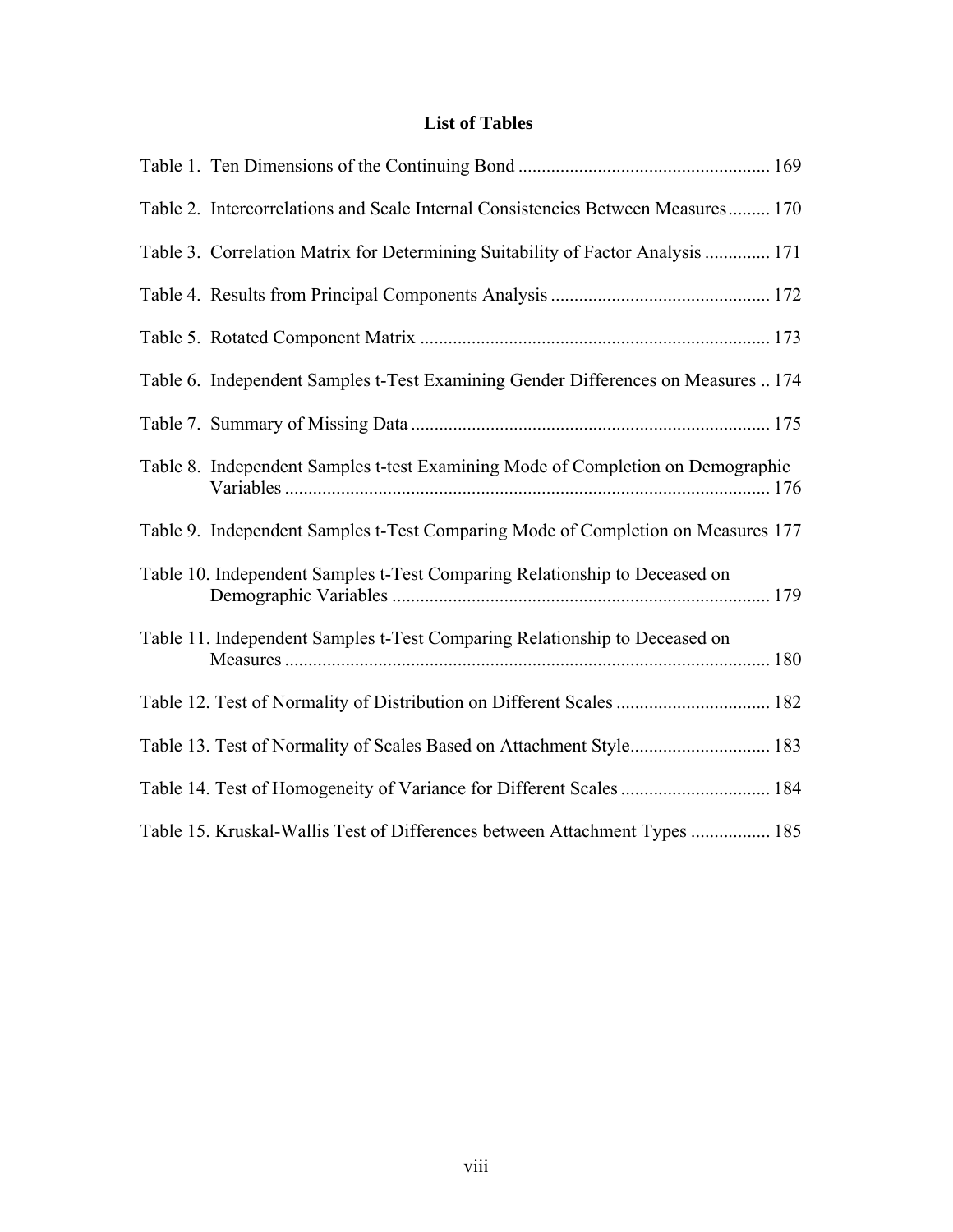### **List of Tables**

| Table 2. Intercorrelations and Scale Internal Consistencies Between Measures 170  |  |
|-----------------------------------------------------------------------------------|--|
| Table 3. Correlation Matrix for Determining Suitability of Factor Analysis  171   |  |
|                                                                                   |  |
|                                                                                   |  |
| Table 6. Independent Samples t-Test Examining Gender Differences on Measures  174 |  |
|                                                                                   |  |
| Table 8. Independent Samples t-test Examining Mode of Completion on Demographic   |  |
| Table 9. Independent Samples t-Test Comparing Mode of Completion on Measures 177  |  |
| Table 10. Independent Samples t-Test Comparing Relationship to Deceased on        |  |
| Table 11. Independent Samples t-Test Comparing Relationship to Deceased on        |  |
| Table 12. Test of Normality of Distribution on Different Scales  182              |  |
| Table 13. Test of Normality of Scales Based on Attachment Style 183               |  |
| Table 14. Test of Homogeneity of Variance for Different Scales  184               |  |
| Table 15. Kruskal-Wallis Test of Differences between Attachment Types  185        |  |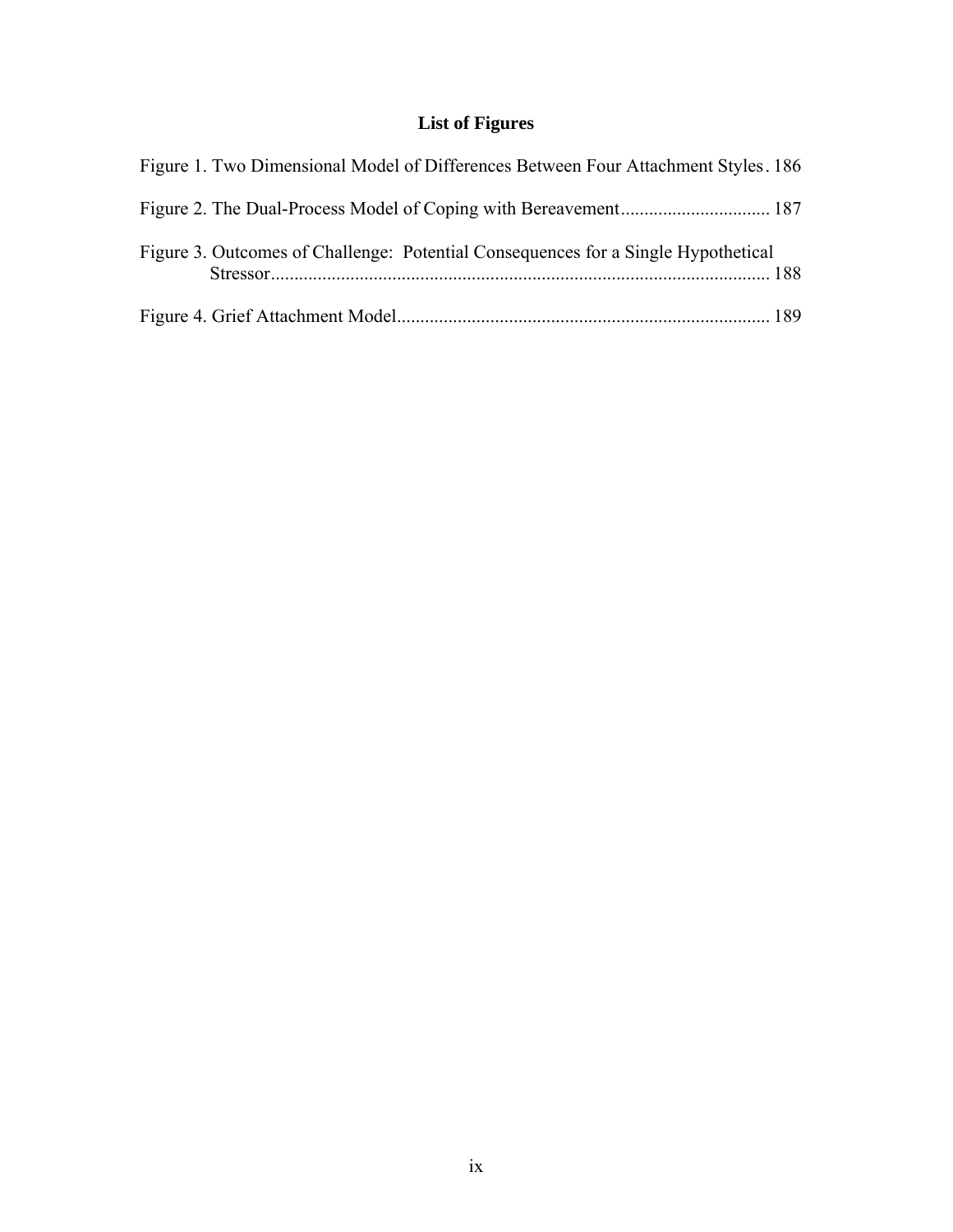## **List of Figures**

| Figure 1. Two Dimensional Model of Differences Between Four Attachment Styles. 186 |  |
|------------------------------------------------------------------------------------|--|
|                                                                                    |  |
| Figure 3. Outcomes of Challenge: Potential Consequences for a Single Hypothetical  |  |
|                                                                                    |  |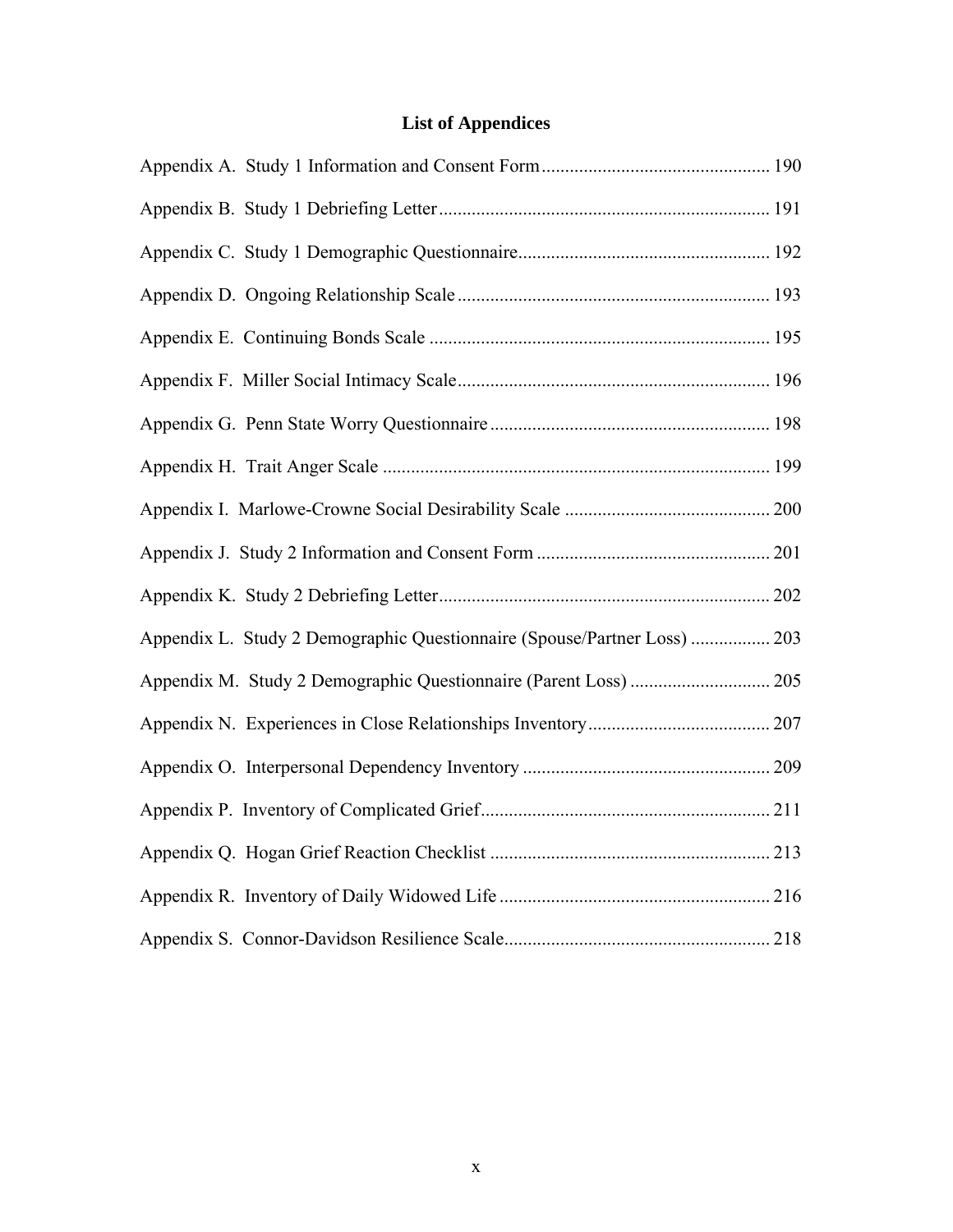## **List of Appendices**

| Appendix L. Study 2 Demographic Questionnaire (Spouse/Partner Loss)  203 |  |
|--------------------------------------------------------------------------|--|
|                                                                          |  |
|                                                                          |  |
|                                                                          |  |
|                                                                          |  |
|                                                                          |  |
|                                                                          |  |
|                                                                          |  |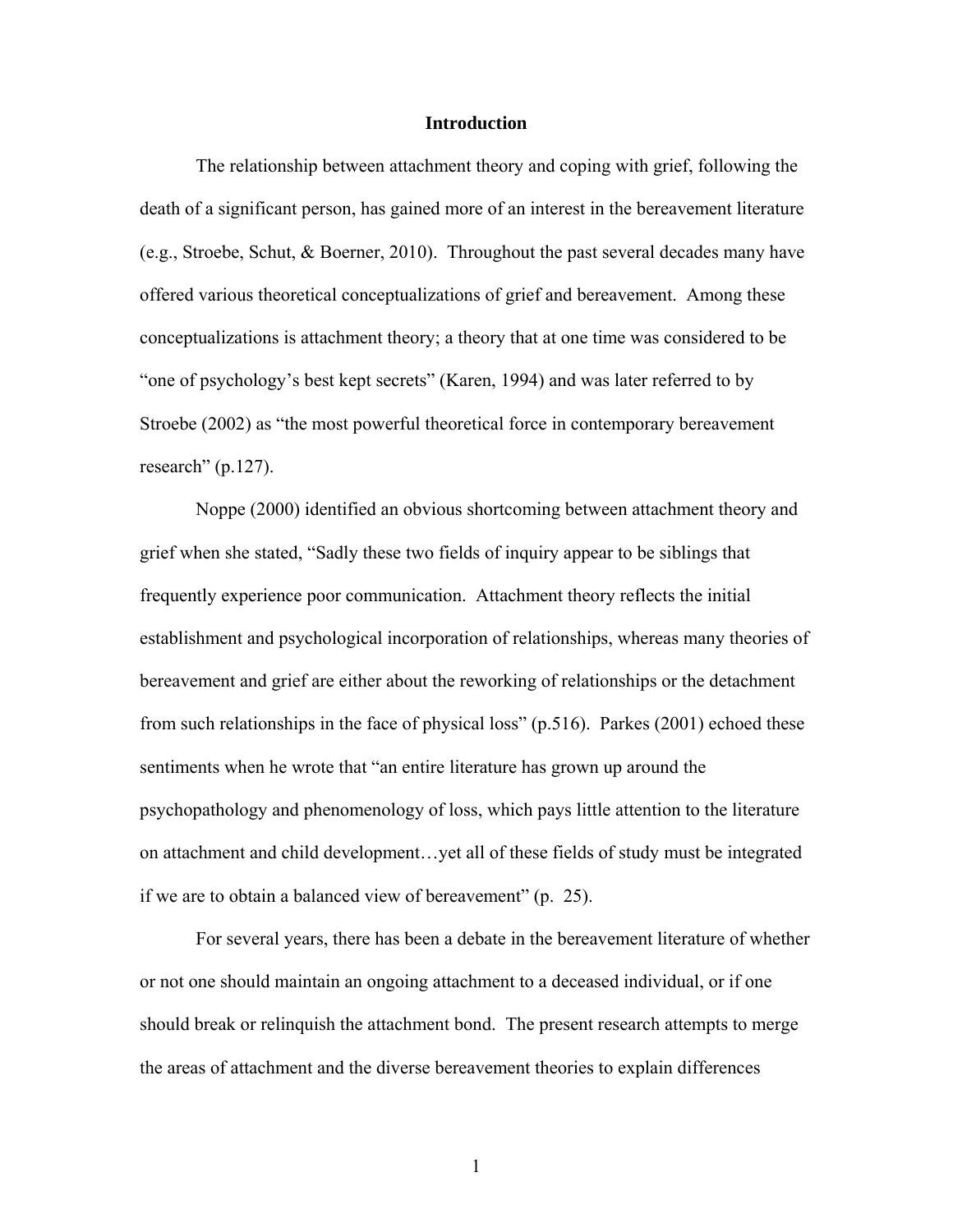### **Introduction**

The relationship between attachment theory and coping with grief, following the death of a significant person, has gained more of an interest in the bereavement literature (e.g., Stroebe, Schut, & Boerner, 2010). Throughout the past several decades many have offered various theoretical conceptualizations of grief and bereavement. Among these conceptualizations is attachment theory; a theory that at one time was considered to be "one of psychology's best kept secrets" (Karen, 1994) and was later referred to by Stroebe (2002) as "the most powerful theoretical force in contemporary bereavement research" (p.127).

Noppe (2000) identified an obvious shortcoming between attachment theory and grief when she stated, "Sadly these two fields of inquiry appear to be siblings that frequently experience poor communication. Attachment theory reflects the initial establishment and psychological incorporation of relationships, whereas many theories of bereavement and grief are either about the reworking of relationships or the detachment from such relationships in the face of physical loss" (p.516). Parkes (2001) echoed these sentiments when he wrote that "an entire literature has grown up around the psychopathology and phenomenology of loss, which pays little attention to the literature on attachment and child development…yet all of these fields of study must be integrated if we are to obtain a balanced view of bereavement" (p. 25).

 For several years, there has been a debate in the bereavement literature of whether or not one should maintain an ongoing attachment to a deceased individual, or if one should break or relinquish the attachment bond. The present research attempts to merge the areas of attachment and the diverse bereavement theories to explain differences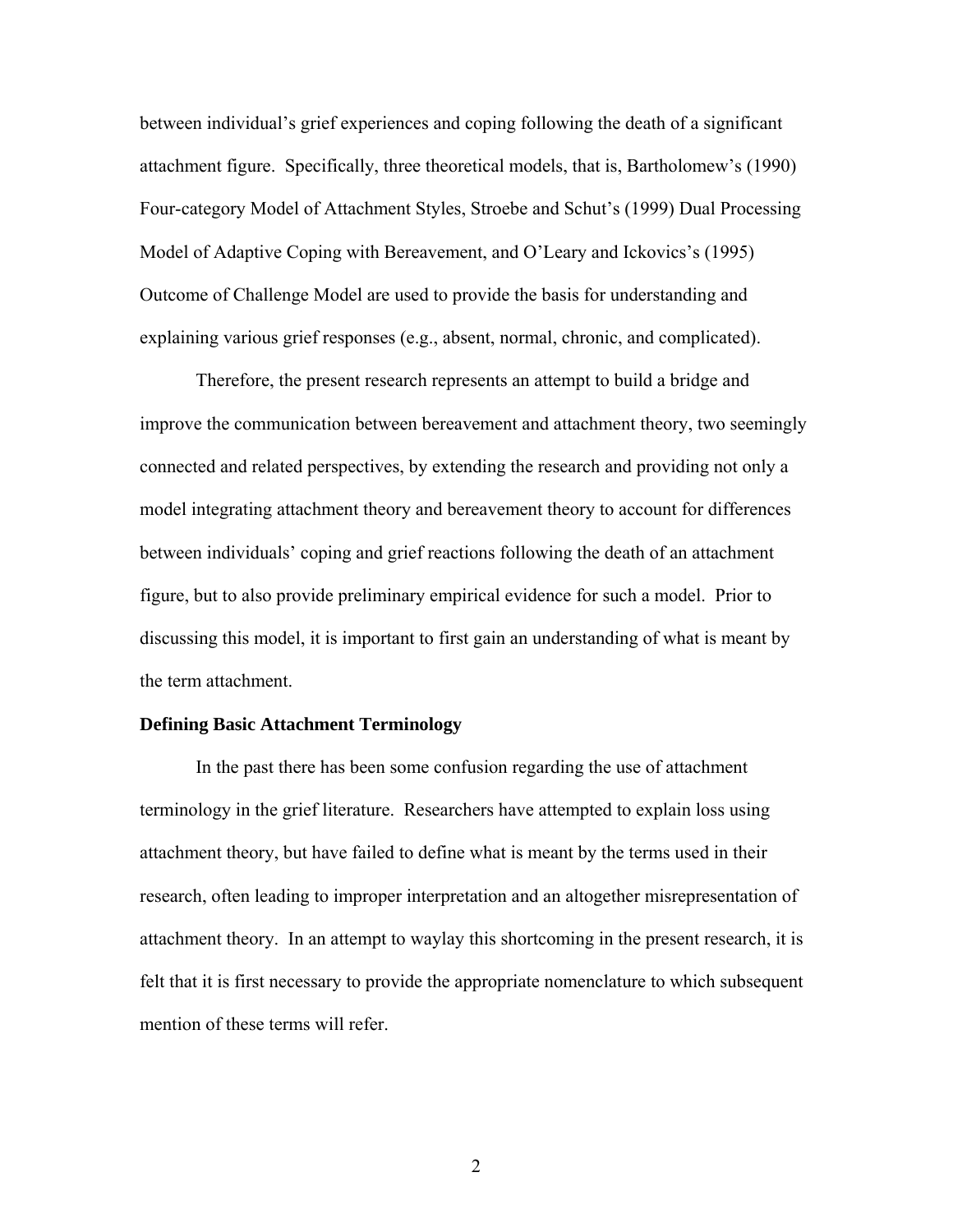between individual's grief experiences and coping following the death of a significant attachment figure. Specifically, three theoretical models, that is, Bartholomew's (1990) Four-category Model of Attachment Styles, Stroebe and Schut's (1999) Dual Processing Model of Adaptive Coping with Bereavement, and O'Leary and Ickovics's (1995) Outcome of Challenge Model are used to provide the basis for understanding and explaining various grief responses (e.g., absent, normal, chronic, and complicated).

Therefore, the present research represents an attempt to build a bridge and improve the communication between bereavement and attachment theory, two seemingly connected and related perspectives, by extending the research and providing not only a model integrating attachment theory and bereavement theory to account for differences between individuals' coping and grief reactions following the death of an attachment figure, but to also provide preliminary empirical evidence for such a model. Prior to discussing this model, it is important to first gain an understanding of what is meant by the term attachment.

### **Defining Basic Attachment Terminology**

In the past there has been some confusion regarding the use of attachment terminology in the grief literature. Researchers have attempted to explain loss using attachment theory, but have failed to define what is meant by the terms used in their research, often leading to improper interpretation and an altogether misrepresentation of attachment theory. In an attempt to waylay this shortcoming in the present research, it is felt that it is first necessary to provide the appropriate nomenclature to which subsequent mention of these terms will refer.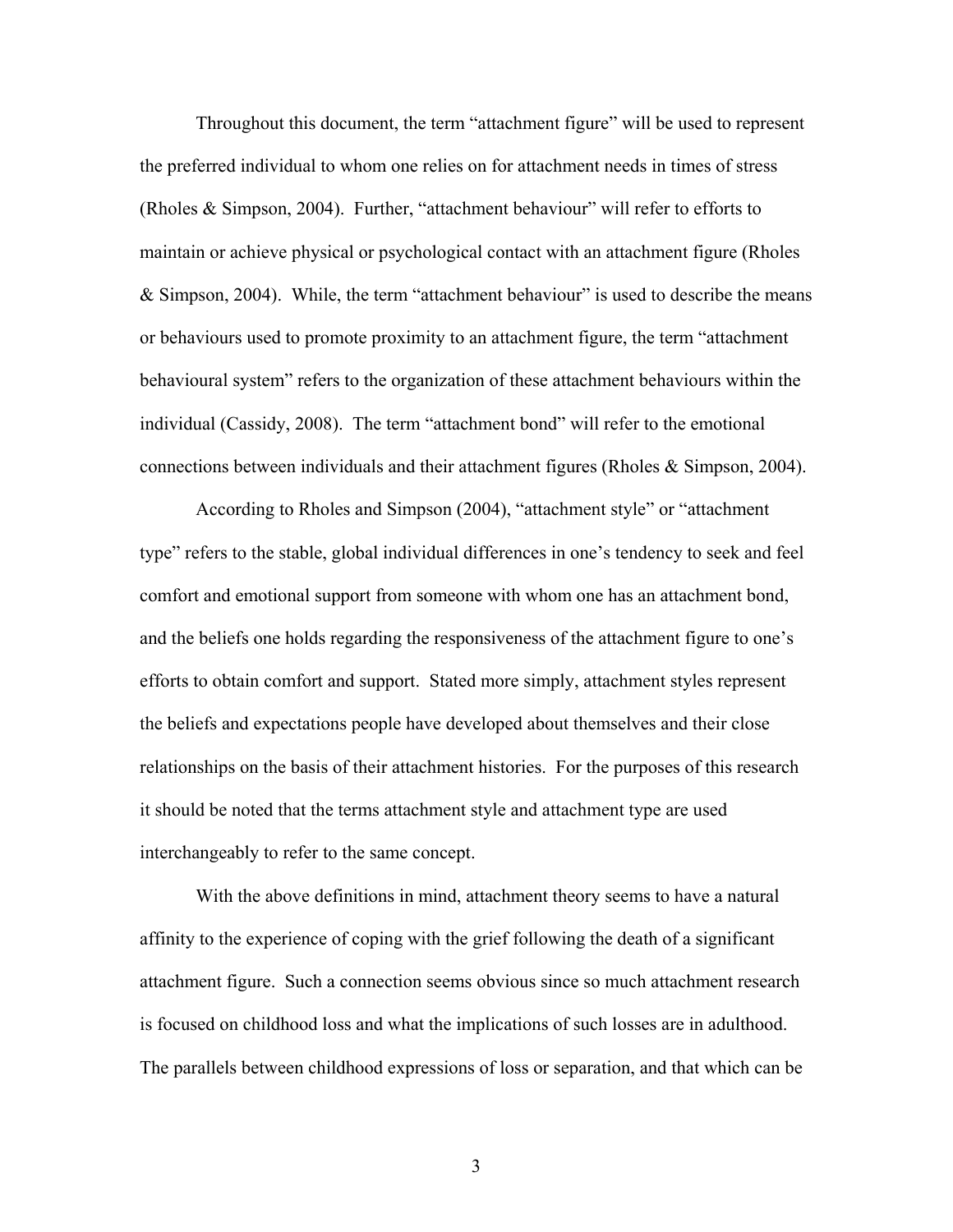Throughout this document, the term "attachment figure" will be used to represent the preferred individual to whom one relies on for attachment needs in times of stress (Rholes & Simpson, 2004). Further, "attachment behaviour" will refer to efforts to maintain or achieve physical or psychological contact with an attachment figure (Rholes & Simpson, 2004). While, the term "attachment behaviour" is used to describe the means or behaviours used to promote proximity to an attachment figure, the term "attachment behavioural system" refers to the organization of these attachment behaviours within the individual (Cassidy, 2008). The term "attachment bond" will refer to the emotional connections between individuals and their attachment figures (Rholes & Simpson, 2004).

According to Rholes and Simpson (2004), "attachment style" or "attachment type" refers to the stable, global individual differences in one's tendency to seek and feel comfort and emotional support from someone with whom one has an attachment bond, and the beliefs one holds regarding the responsiveness of the attachment figure to one's efforts to obtain comfort and support. Stated more simply, attachment styles represent the beliefs and expectations people have developed about themselves and their close relationships on the basis of their attachment histories. For the purposes of this research it should be noted that the terms attachment style and attachment type are used interchangeably to refer to the same concept.

With the above definitions in mind, attachment theory seems to have a natural affinity to the experience of coping with the grief following the death of a significant attachment figure. Such a connection seems obvious since so much attachment research is focused on childhood loss and what the implications of such losses are in adulthood. The parallels between childhood expressions of loss or separation, and that which can be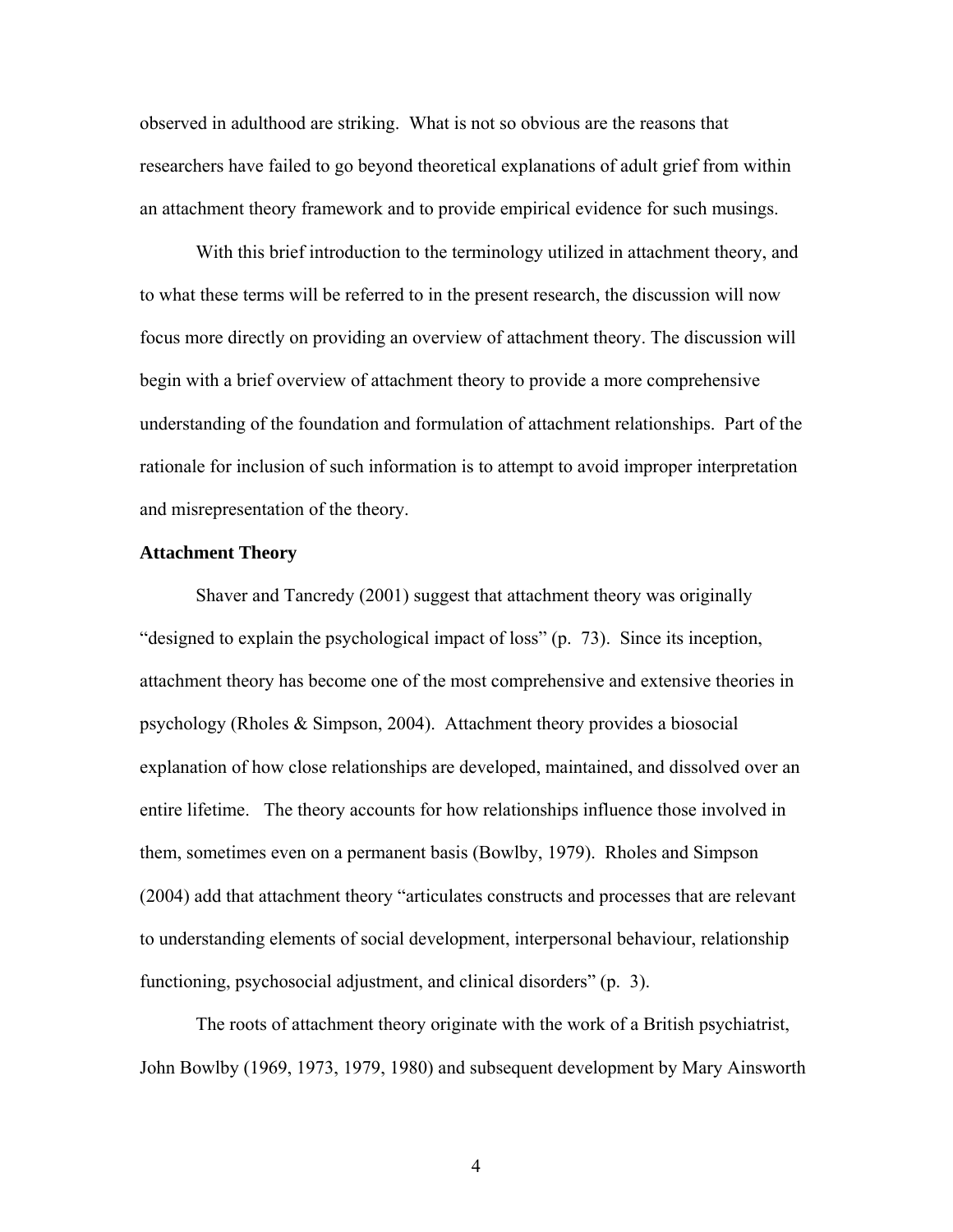observed in adulthood are striking. What is not so obvious are the reasons that researchers have failed to go beyond theoretical explanations of adult grief from within an attachment theory framework and to provide empirical evidence for such musings.

With this brief introduction to the terminology utilized in attachment theory, and to what these terms will be referred to in the present research, the discussion will now focus more directly on providing an overview of attachment theory. The discussion will begin with a brief overview of attachment theory to provide a more comprehensive understanding of the foundation and formulation of attachment relationships. Part of the rationale for inclusion of such information is to attempt to avoid improper interpretation and misrepresentation of the theory.

### **Attachment Theory**

Shaver and Tancredy (2001) suggest that attachment theory was originally "designed to explain the psychological impact of loss" (p. 73). Since its inception, attachment theory has become one of the most comprehensive and extensive theories in psychology (Rholes & Simpson, 2004). Attachment theory provides a biosocial explanation of how close relationships are developed, maintained, and dissolved over an entire lifetime. The theory accounts for how relationships influence those involved in them, sometimes even on a permanent basis (Bowlby, 1979). Rholes and Simpson (2004) add that attachment theory "articulates constructs and processes that are relevant to understanding elements of social development, interpersonal behaviour, relationship functioning, psychosocial adjustment, and clinical disorders" (p. 3).

The roots of attachment theory originate with the work of a British psychiatrist, John Bowlby (1969, 1973, 1979, 1980) and subsequent development by Mary Ainsworth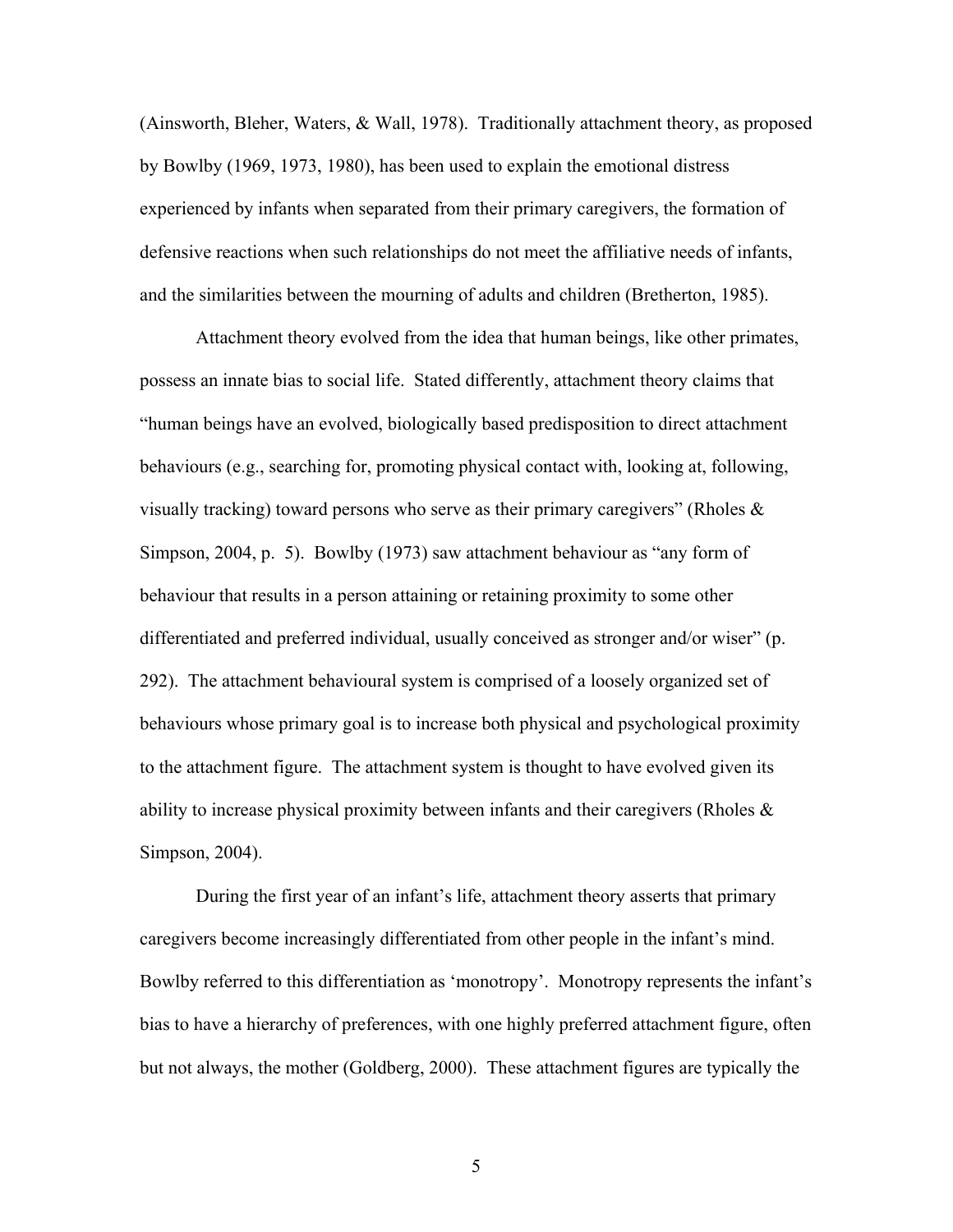(Ainsworth, Bleher, Waters, & Wall, 1978). Traditionally attachment theory, as proposed by Bowlby (1969, 1973, 1980), has been used to explain the emotional distress experienced by infants when separated from their primary caregivers, the formation of defensive reactions when such relationships do not meet the affiliative needs of infants, and the similarities between the mourning of adults and children (Bretherton, 1985).

Attachment theory evolved from the idea that human beings, like other primates, possess an innate bias to social life. Stated differently, attachment theory claims that "human beings have an evolved, biologically based predisposition to direct attachment behaviours (e.g., searching for, promoting physical contact with, looking at, following, visually tracking) toward persons who serve as their primary caregivers" (Rholes  $\&$ Simpson, 2004, p. 5). Bowlby (1973) saw attachment behaviour as "any form of behaviour that results in a person attaining or retaining proximity to some other differentiated and preferred individual, usually conceived as stronger and/or wiser" (p. 292). The attachment behavioural system is comprised of a loosely organized set of behaviours whose primary goal is to increase both physical and psychological proximity to the attachment figure. The attachment system is thought to have evolved given its ability to increase physical proximity between infants and their caregivers (Rholes & Simpson, 2004).

During the first year of an infant's life, attachment theory asserts that primary caregivers become increasingly differentiated from other people in the infant's mind. Bowlby referred to this differentiation as 'monotropy'. Monotropy represents the infant's bias to have a hierarchy of preferences, with one highly preferred attachment figure, often but not always, the mother (Goldberg, 2000). These attachment figures are typically the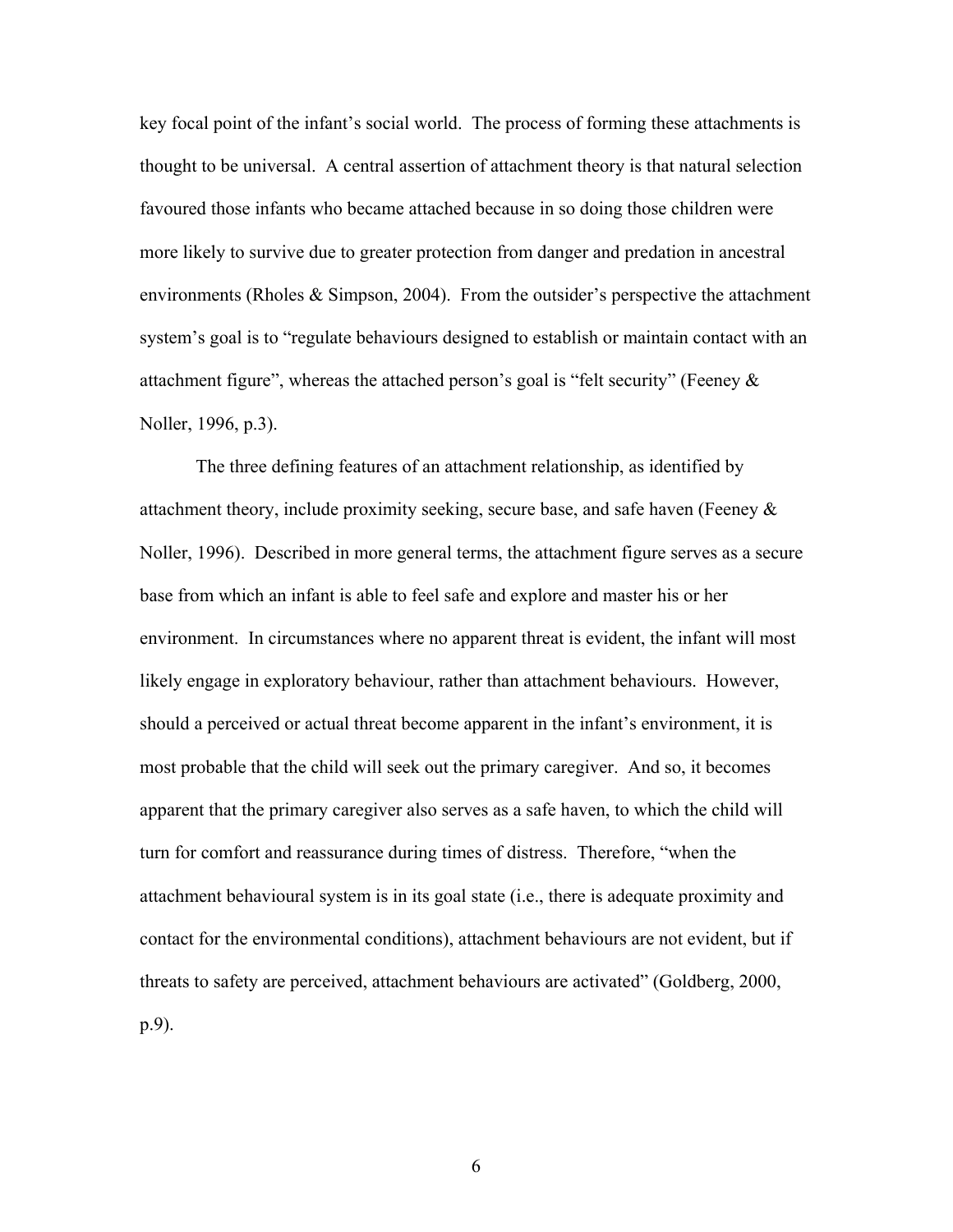key focal point of the infant's social world. The process of forming these attachments is thought to be universal. A central assertion of attachment theory is that natural selection favoured those infants who became attached because in so doing those children were more likely to survive due to greater protection from danger and predation in ancestral environments (Rholes & Simpson, 2004). From the outsider's perspective the attachment system's goal is to "regulate behaviours designed to establish or maintain contact with an attachment figure", whereas the attached person's goal is "felt security" (Feeney  $\&$ Noller, 1996, p.3).

The three defining features of an attachment relationship, as identified by attachment theory, include proximity seeking, secure base, and safe haven (Feeney & Noller, 1996). Described in more general terms, the attachment figure serves as a secure base from which an infant is able to feel safe and explore and master his or her environment. In circumstances where no apparent threat is evident, the infant will most likely engage in exploratory behaviour, rather than attachment behaviours. However, should a perceived or actual threat become apparent in the infant's environment, it is most probable that the child will seek out the primary caregiver. And so, it becomes apparent that the primary caregiver also serves as a safe haven, to which the child will turn for comfort and reassurance during times of distress. Therefore, "when the attachment behavioural system is in its goal state (i.e., there is adequate proximity and contact for the environmental conditions), attachment behaviours are not evident, but if threats to safety are perceived, attachment behaviours are activated" (Goldberg, 2000, p.9).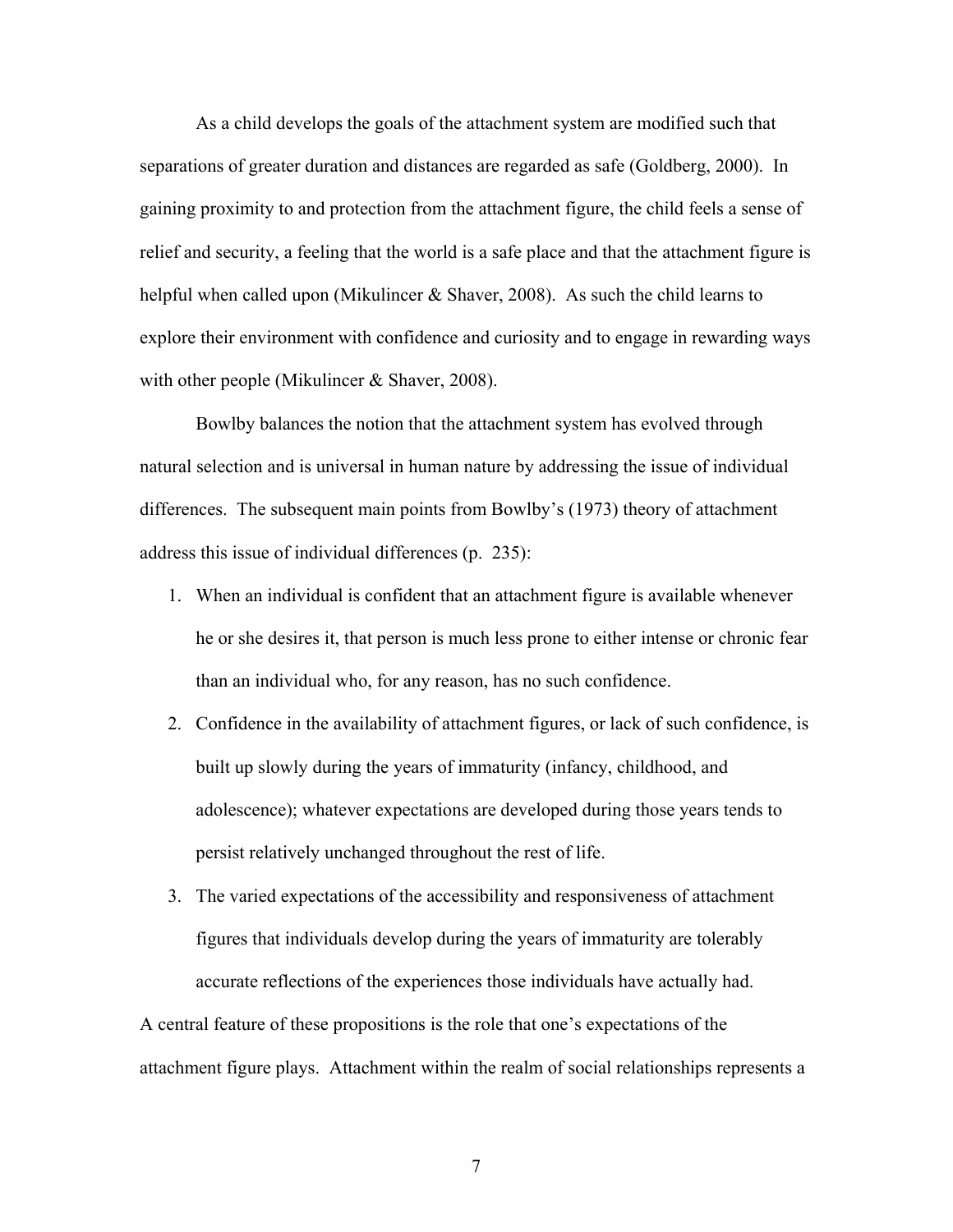As a child develops the goals of the attachment system are modified such that separations of greater duration and distances are regarded as safe (Goldberg, 2000). In gaining proximity to and protection from the attachment figure, the child feels a sense of relief and security, a feeling that the world is a safe place and that the attachment figure is helpful when called upon (Mikulincer & Shaver, 2008). As such the child learns to explore their environment with confidence and curiosity and to engage in rewarding ways with other people (Mikulincer & Shaver, 2008).

Bowlby balances the notion that the attachment system has evolved through natural selection and is universal in human nature by addressing the issue of individual differences. The subsequent main points from Bowlby's (1973) theory of attachment address this issue of individual differences (p. 235):

- 1. When an individual is confident that an attachment figure is available whenever he or she desires it, that person is much less prone to either intense or chronic fear than an individual who, for any reason, has no such confidence.
- 2. Confidence in the availability of attachment figures, or lack of such confidence, is built up slowly during the years of immaturity (infancy, childhood, and adolescence); whatever expectations are developed during those years tends to persist relatively unchanged throughout the rest of life.
- 3. The varied expectations of the accessibility and responsiveness of attachment figures that individuals develop during the years of immaturity are tolerably accurate reflections of the experiences those individuals have actually had.

A central feature of these propositions is the role that one's expectations of the attachment figure plays. Attachment within the realm of social relationships represents a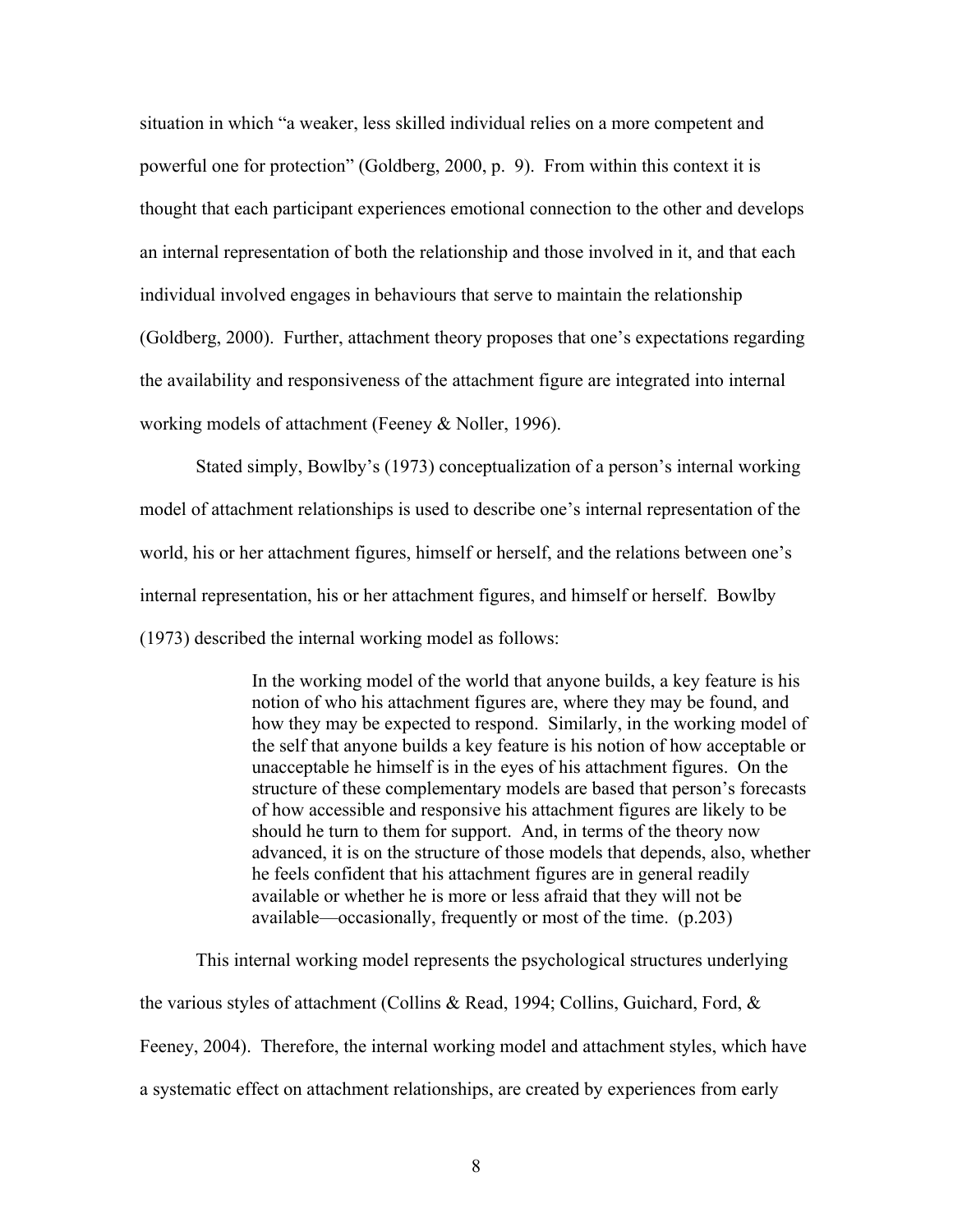situation in which "a weaker, less skilled individual relies on a more competent and powerful one for protection" (Goldberg, 2000, p. 9). From within this context it is thought that each participant experiences emotional connection to the other and develops an internal representation of both the relationship and those involved in it, and that each individual involved engages in behaviours that serve to maintain the relationship (Goldberg, 2000). Further, attachment theory proposes that one's expectations regarding the availability and responsiveness of the attachment figure are integrated into internal working models of attachment (Feeney & Noller, 1996).

Stated simply, Bowlby's (1973) conceptualization of a person's internal working model of attachment relationships is used to describe one's internal representation of the world, his or her attachment figures, himself or herself, and the relations between one's internal representation, his or her attachment figures, and himself or herself. Bowlby (1973) described the internal working model as follows:

> In the working model of the world that anyone builds, a key feature is his notion of who his attachment figures are, where they may be found, and how they may be expected to respond. Similarly, in the working model of the self that anyone builds a key feature is his notion of how acceptable or unacceptable he himself is in the eyes of his attachment figures. On the structure of these complementary models are based that person's forecasts of how accessible and responsive his attachment figures are likely to be should he turn to them for support. And, in terms of the theory now advanced, it is on the structure of those models that depends, also, whether he feels confident that his attachment figures are in general readily available or whether he is more or less afraid that they will not be available—occasionally, frequently or most of the time. (p.203)

This internal working model represents the psychological structures underlying the various styles of attachment (Collins & Read, 1994; Collins, Guichard, Ford, & Feeney, 2004). Therefore, the internal working model and attachment styles, which have a systematic effect on attachment relationships, are created by experiences from early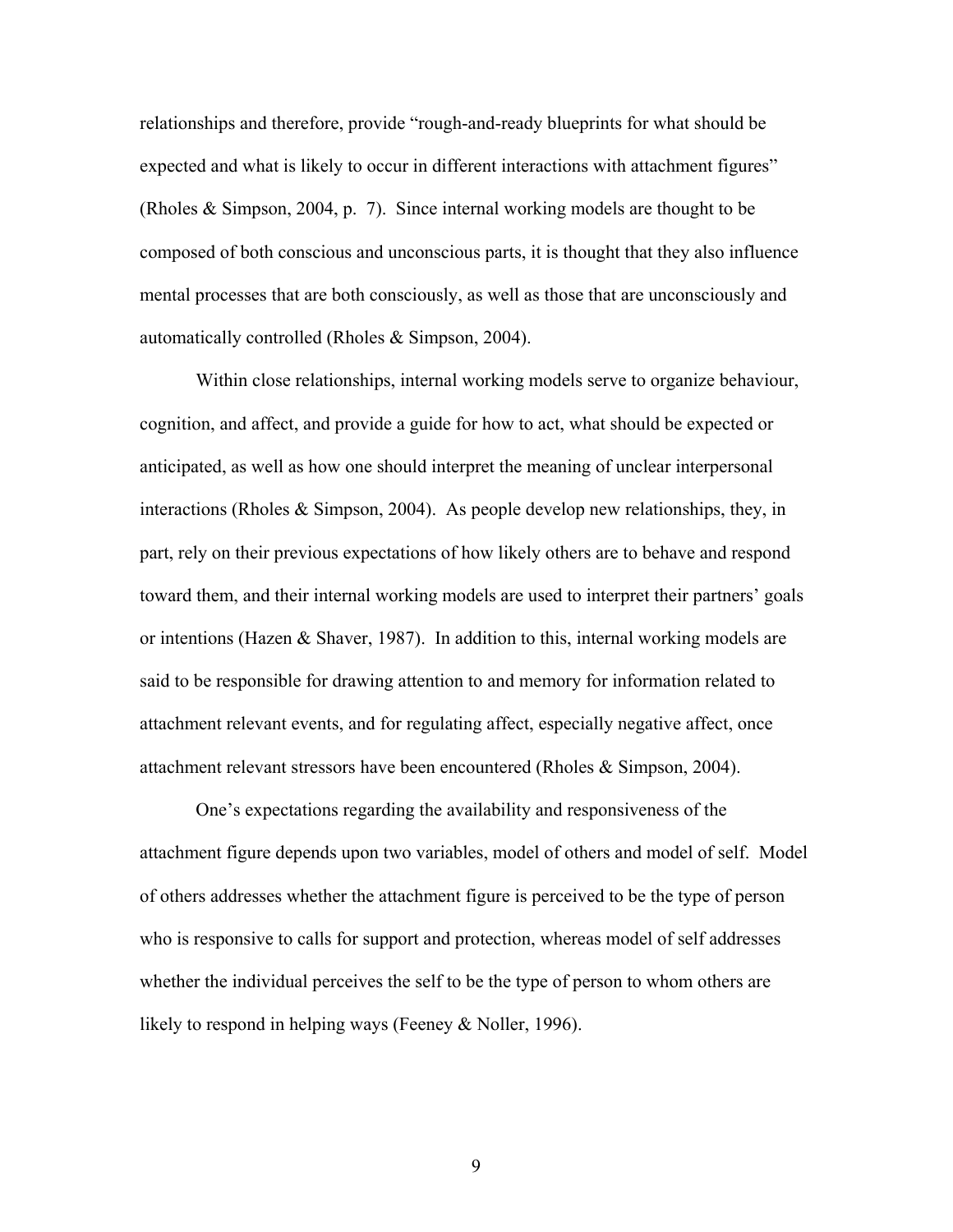relationships and therefore, provide "rough-and-ready blueprints for what should be expected and what is likely to occur in different interactions with attachment figures" (Rholes & Simpson, 2004, p. 7). Since internal working models are thought to be composed of both conscious and unconscious parts, it is thought that they also influence mental processes that are both consciously, as well as those that are unconsciously and automatically controlled (Rholes & Simpson, 2004).

Within close relationships, internal working models serve to organize behaviour, cognition, and affect, and provide a guide for how to act, what should be expected or anticipated, as well as how one should interpret the meaning of unclear interpersonal interactions (Rholes & Simpson, 2004). As people develop new relationships, they, in part, rely on their previous expectations of how likely others are to behave and respond toward them, and their internal working models are used to interpret their partners' goals or intentions (Hazen & Shaver, 1987). In addition to this, internal working models are said to be responsible for drawing attention to and memory for information related to attachment relevant events, and for regulating affect, especially negative affect, once attachment relevant stressors have been encountered (Rholes & Simpson, 2004).

One's expectations regarding the availability and responsiveness of the attachment figure depends upon two variables, model of others and model of self. Model of others addresses whether the attachment figure is perceived to be the type of person who is responsive to calls for support and protection, whereas model of self addresses whether the individual perceives the self to be the type of person to whom others are likely to respond in helping ways (Feeney & Noller, 1996).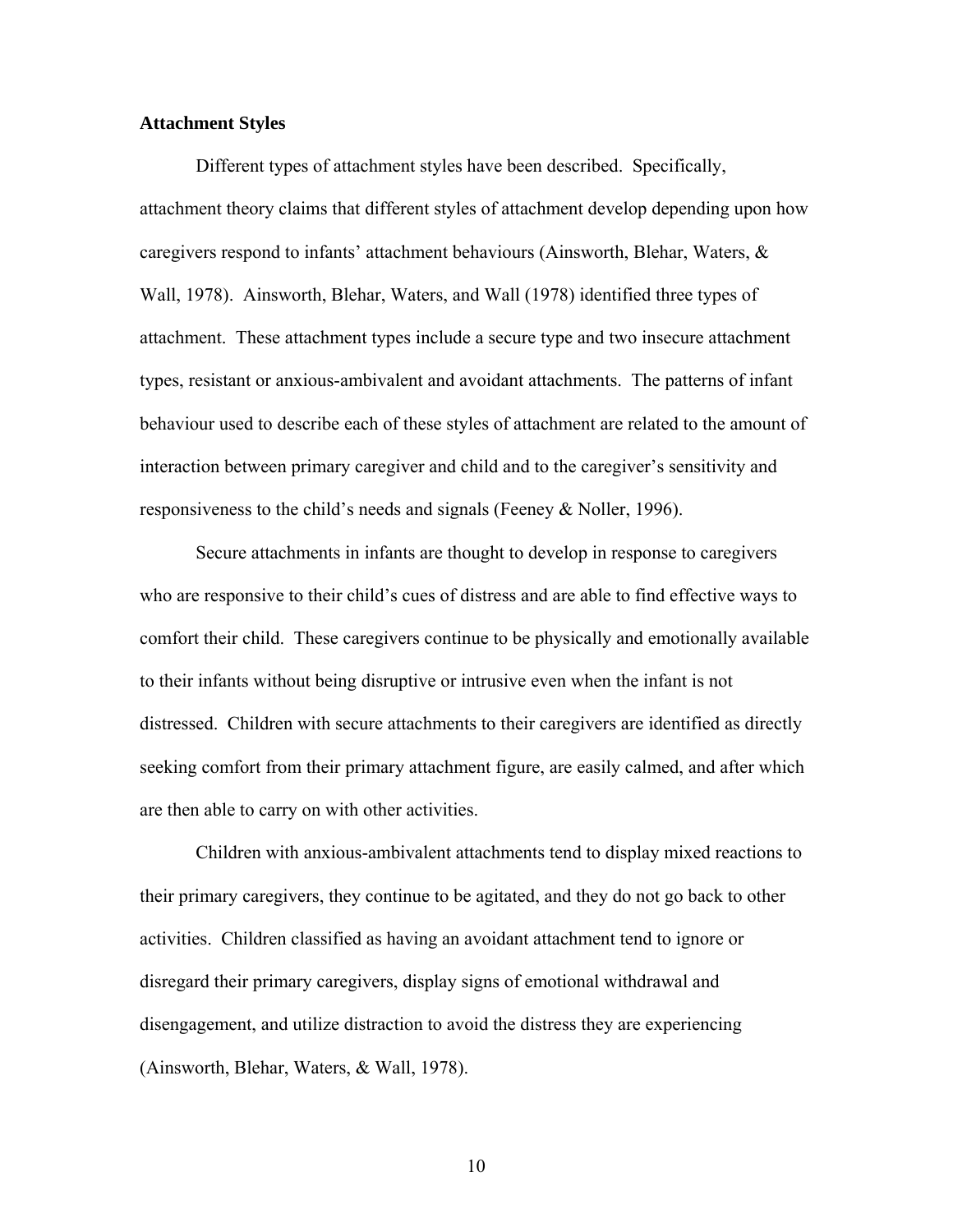### **Attachment Styles**

Different types of attachment styles have been described. Specifically, attachment theory claims that different styles of attachment develop depending upon how caregivers respond to infants' attachment behaviours (Ainsworth, Blehar, Waters, & Wall, 1978). Ainsworth, Blehar, Waters, and Wall (1978) identified three types of attachment. These attachment types include a secure type and two insecure attachment types, resistant or anxious-ambivalent and avoidant attachments. The patterns of infant behaviour used to describe each of these styles of attachment are related to the amount of interaction between primary caregiver and child and to the caregiver's sensitivity and responsiveness to the child's needs and signals (Feeney & Noller, 1996).

Secure attachments in infants are thought to develop in response to caregivers who are responsive to their child's cues of distress and are able to find effective ways to comfort their child. These caregivers continue to be physically and emotionally available to their infants without being disruptive or intrusive even when the infant is not distressed. Children with secure attachments to their caregivers are identified as directly seeking comfort from their primary attachment figure, are easily calmed, and after which are then able to carry on with other activities.

Children with anxious-ambivalent attachments tend to display mixed reactions to their primary caregivers, they continue to be agitated, and they do not go back to other activities. Children classified as having an avoidant attachment tend to ignore or disregard their primary caregivers, display signs of emotional withdrawal and disengagement, and utilize distraction to avoid the distress they are experiencing (Ainsworth, Blehar, Waters, & Wall, 1978).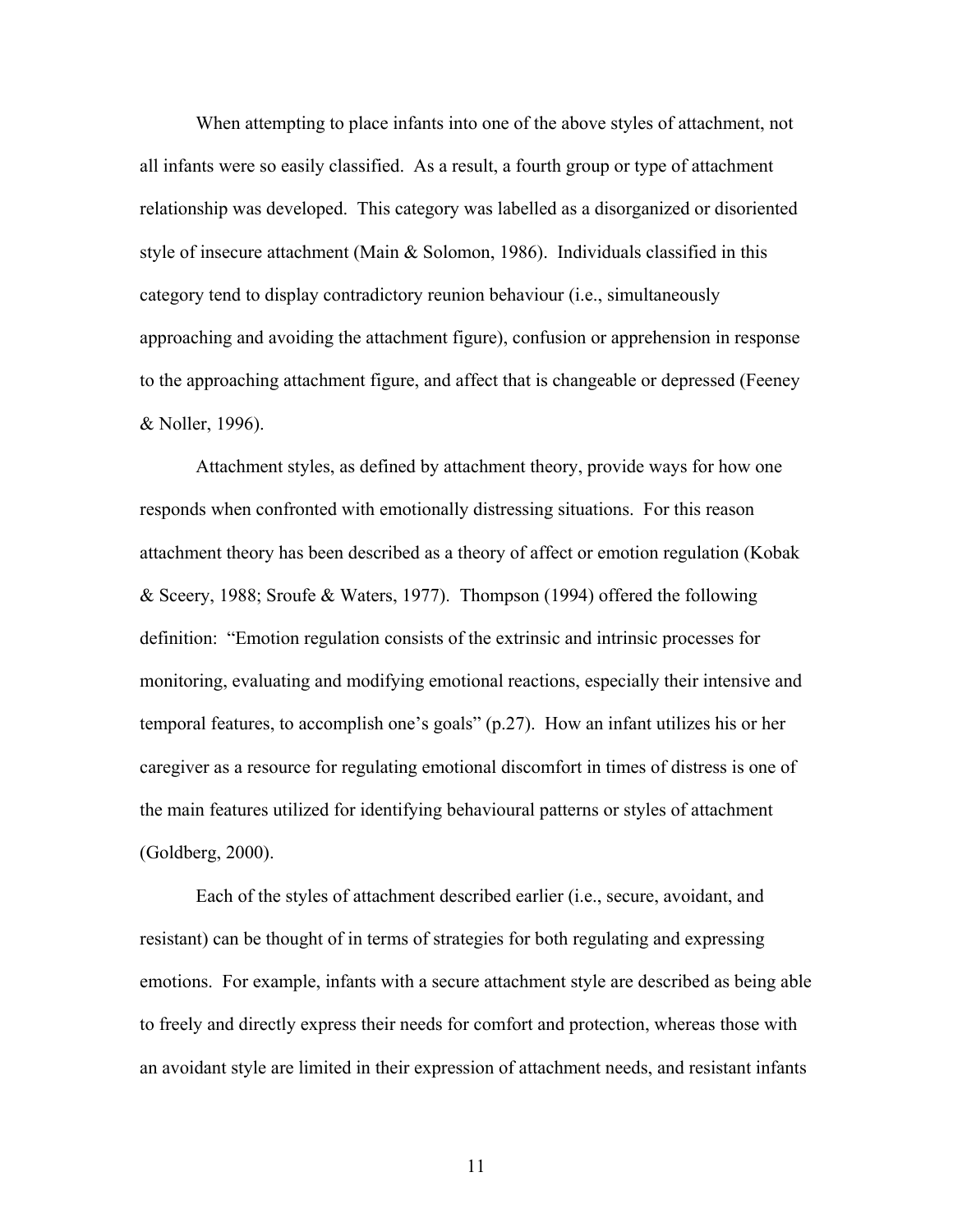When attempting to place infants into one of the above styles of attachment, not all infants were so easily classified. As a result, a fourth group or type of attachment relationship was developed. This category was labelled as a disorganized or disoriented style of insecure attachment (Main & Solomon, 1986). Individuals classified in this category tend to display contradictory reunion behaviour (i.e., simultaneously approaching and avoiding the attachment figure), confusion or apprehension in response to the approaching attachment figure, and affect that is changeable or depressed (Feeney & Noller, 1996).

Attachment styles, as defined by attachment theory, provide ways for how one responds when confronted with emotionally distressing situations. For this reason attachment theory has been described as a theory of affect or emotion regulation (Kobak & Sceery, 1988; Sroufe & Waters, 1977). Thompson (1994) offered the following definition: "Emotion regulation consists of the extrinsic and intrinsic processes for monitoring, evaluating and modifying emotional reactions, especially their intensive and temporal features, to accomplish one's goals" (p.27). How an infant utilizes his or her caregiver as a resource for regulating emotional discomfort in times of distress is one of the main features utilized for identifying behavioural patterns or styles of attachment (Goldberg, 2000).

Each of the styles of attachment described earlier (i.e., secure, avoidant, and resistant) can be thought of in terms of strategies for both regulating and expressing emotions. For example, infants with a secure attachment style are described as being able to freely and directly express their needs for comfort and protection, whereas those with an avoidant style are limited in their expression of attachment needs, and resistant infants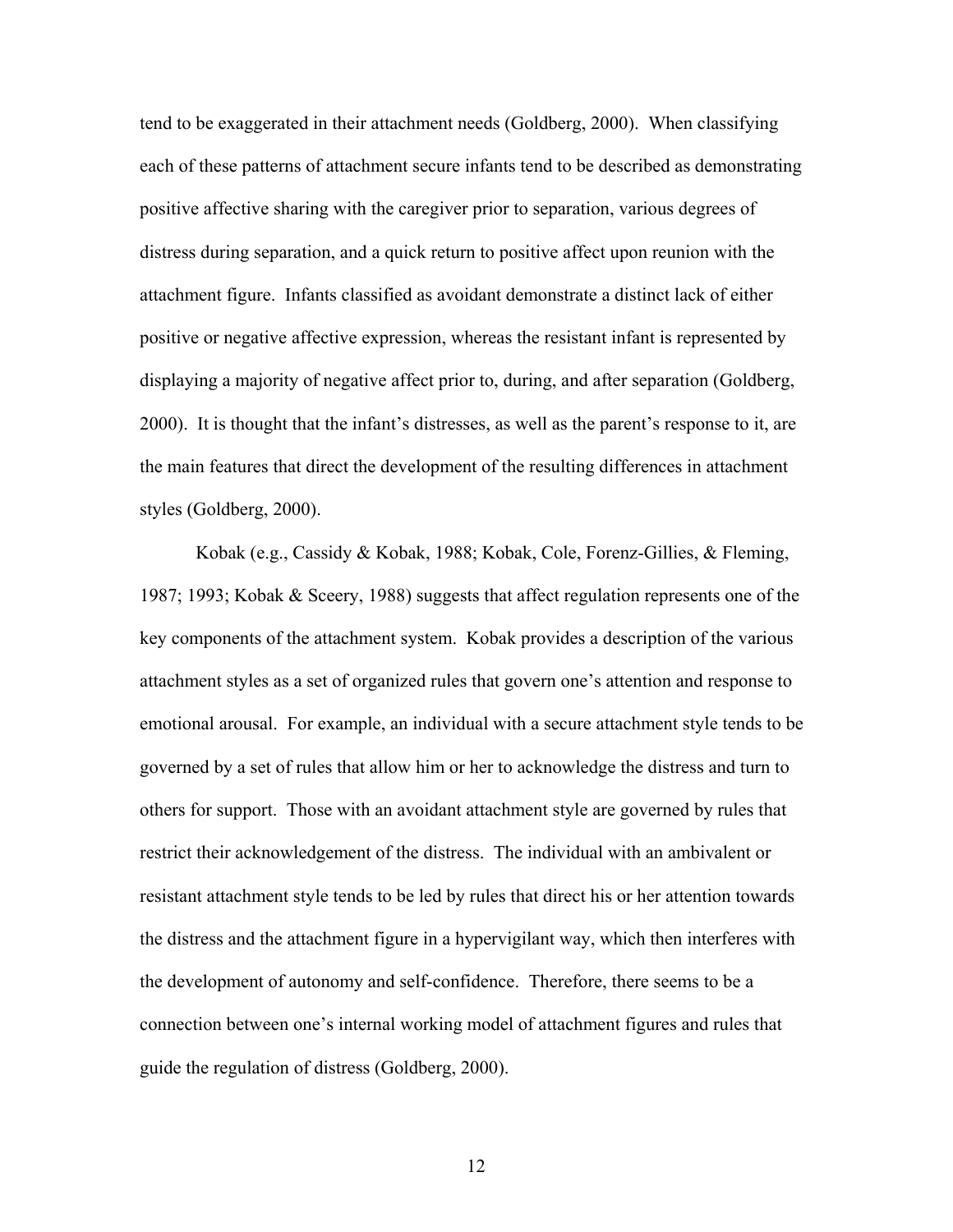tend to be exaggerated in their attachment needs (Goldberg, 2000). When classifying each of these patterns of attachment secure infants tend to be described as demonstrating positive affective sharing with the caregiver prior to separation, various degrees of distress during separation, and a quick return to positive affect upon reunion with the attachment figure. Infants classified as avoidant demonstrate a distinct lack of either positive or negative affective expression, whereas the resistant infant is represented by displaying a majority of negative affect prior to, during, and after separation (Goldberg, 2000). It is thought that the infant's distresses, as well as the parent's response to it, are the main features that direct the development of the resulting differences in attachment styles (Goldberg, 2000).

Kobak (e.g., Cassidy & Kobak, 1988; Kobak, Cole, Forenz-Gillies, & Fleming, 1987; 1993; Kobak & Sceery, 1988) suggests that affect regulation represents one of the key components of the attachment system. Kobak provides a description of the various attachment styles as a set of organized rules that govern one's attention and response to emotional arousal. For example, an individual with a secure attachment style tends to be governed by a set of rules that allow him or her to acknowledge the distress and turn to others for support. Those with an avoidant attachment style are governed by rules that restrict their acknowledgement of the distress. The individual with an ambivalent or resistant attachment style tends to be led by rules that direct his or her attention towards the distress and the attachment figure in a hypervigilant way, which then interferes with the development of autonomy and self-confidence. Therefore, there seems to be a connection between one's internal working model of attachment figures and rules that guide the regulation of distress (Goldberg, 2000).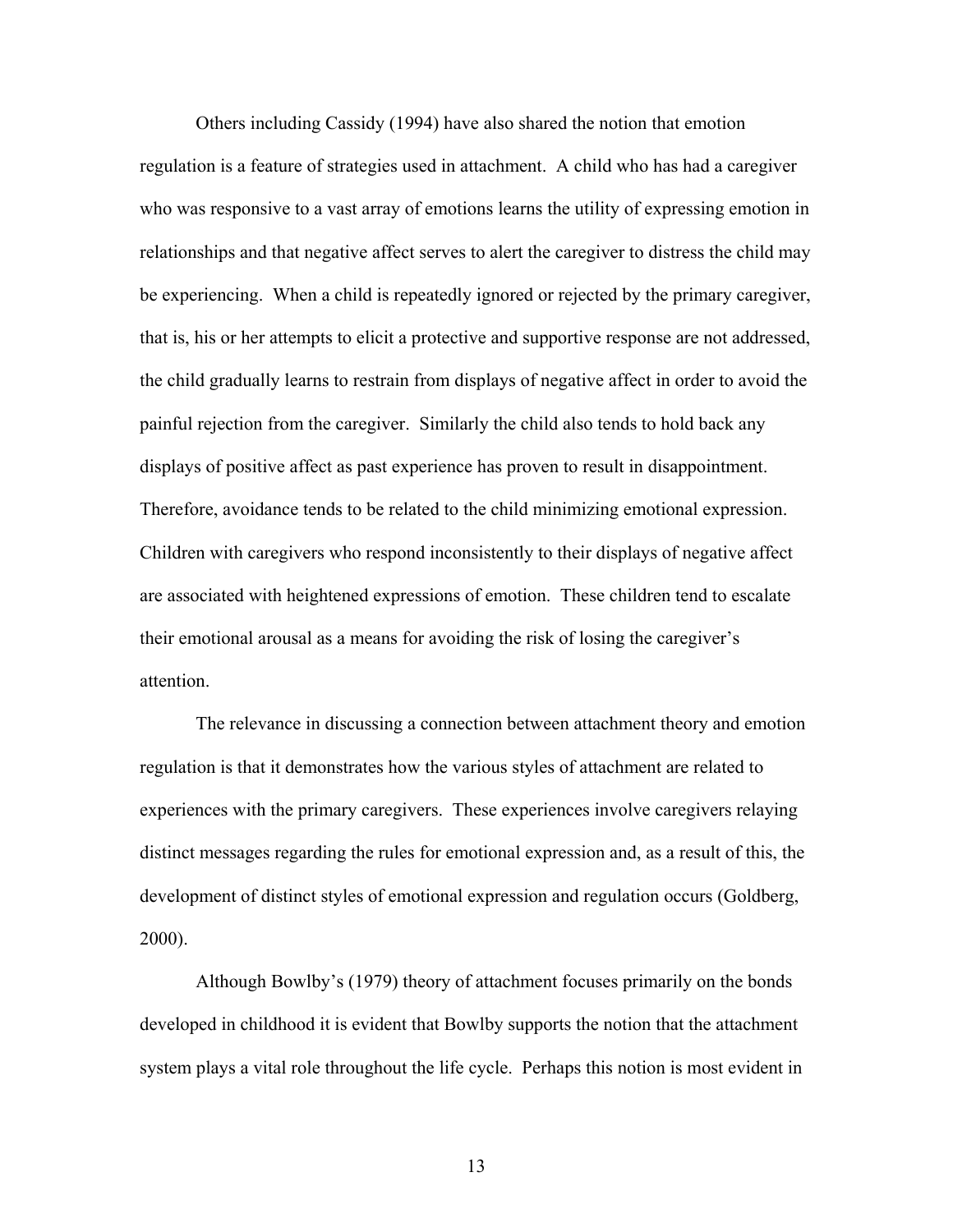Others including Cassidy (1994) have also shared the notion that emotion regulation is a feature of strategies used in attachment. A child who has had a caregiver who was responsive to a vast array of emotions learns the utility of expressing emotion in relationships and that negative affect serves to alert the caregiver to distress the child may be experiencing. When a child is repeatedly ignored or rejected by the primary caregiver, that is, his or her attempts to elicit a protective and supportive response are not addressed, the child gradually learns to restrain from displays of negative affect in order to avoid the painful rejection from the caregiver. Similarly the child also tends to hold back any displays of positive affect as past experience has proven to result in disappointment. Therefore, avoidance tends to be related to the child minimizing emotional expression. Children with caregivers who respond inconsistently to their displays of negative affect are associated with heightened expressions of emotion. These children tend to escalate their emotional arousal as a means for avoiding the risk of losing the caregiver's attention.

The relevance in discussing a connection between attachment theory and emotion regulation is that it demonstrates how the various styles of attachment are related to experiences with the primary caregivers. These experiences involve caregivers relaying distinct messages regarding the rules for emotional expression and, as a result of this, the development of distinct styles of emotional expression and regulation occurs (Goldberg, 2000).

Although Bowlby's (1979) theory of attachment focuses primarily on the bonds developed in childhood it is evident that Bowlby supports the notion that the attachment system plays a vital role throughout the life cycle. Perhaps this notion is most evident in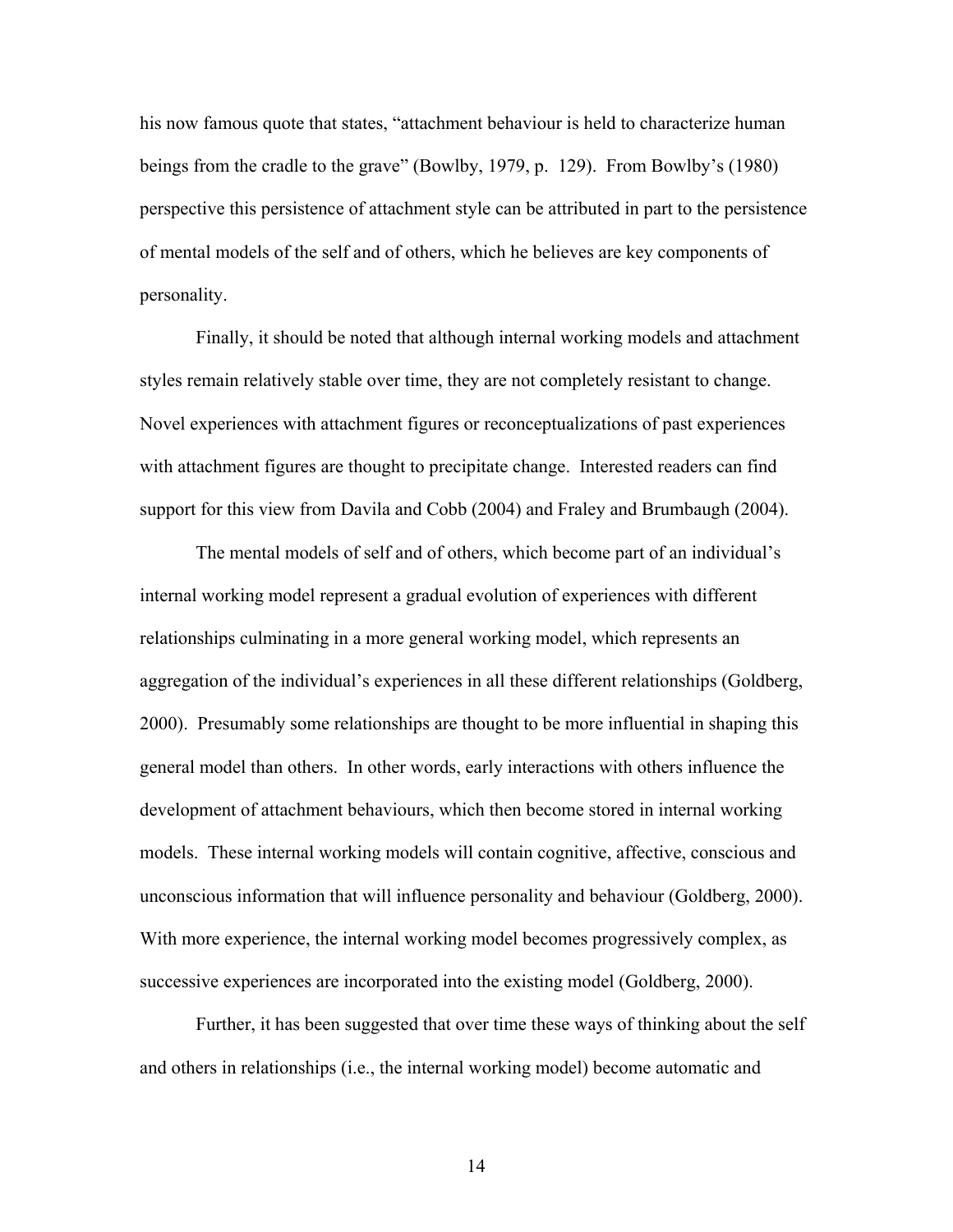his now famous quote that states, "attachment behaviour is held to characterize human beings from the cradle to the grave" (Bowlby, 1979, p. 129). From Bowlby's (1980) perspective this persistence of attachment style can be attributed in part to the persistence of mental models of the self and of others, which he believes are key components of personality.

Finally, it should be noted that although internal working models and attachment styles remain relatively stable over time, they are not completely resistant to change. Novel experiences with attachment figures or reconceptualizations of past experiences with attachment figures are thought to precipitate change. Interested readers can find support for this view from Davila and Cobb (2004) and Fraley and Brumbaugh (2004).

The mental models of self and of others, which become part of an individual's internal working model represent a gradual evolution of experiences with different relationships culminating in a more general working model, which represents an aggregation of the individual's experiences in all these different relationships (Goldberg, 2000). Presumably some relationships are thought to be more influential in shaping this general model than others. In other words, early interactions with others influence the development of attachment behaviours, which then become stored in internal working models. These internal working models will contain cognitive, affective, conscious and unconscious information that will influence personality and behaviour (Goldberg, 2000). With more experience, the internal working model becomes progressively complex, as successive experiences are incorporated into the existing model (Goldberg, 2000).

Further, it has been suggested that over time these ways of thinking about the self and others in relationships (i.e., the internal working model) become automatic and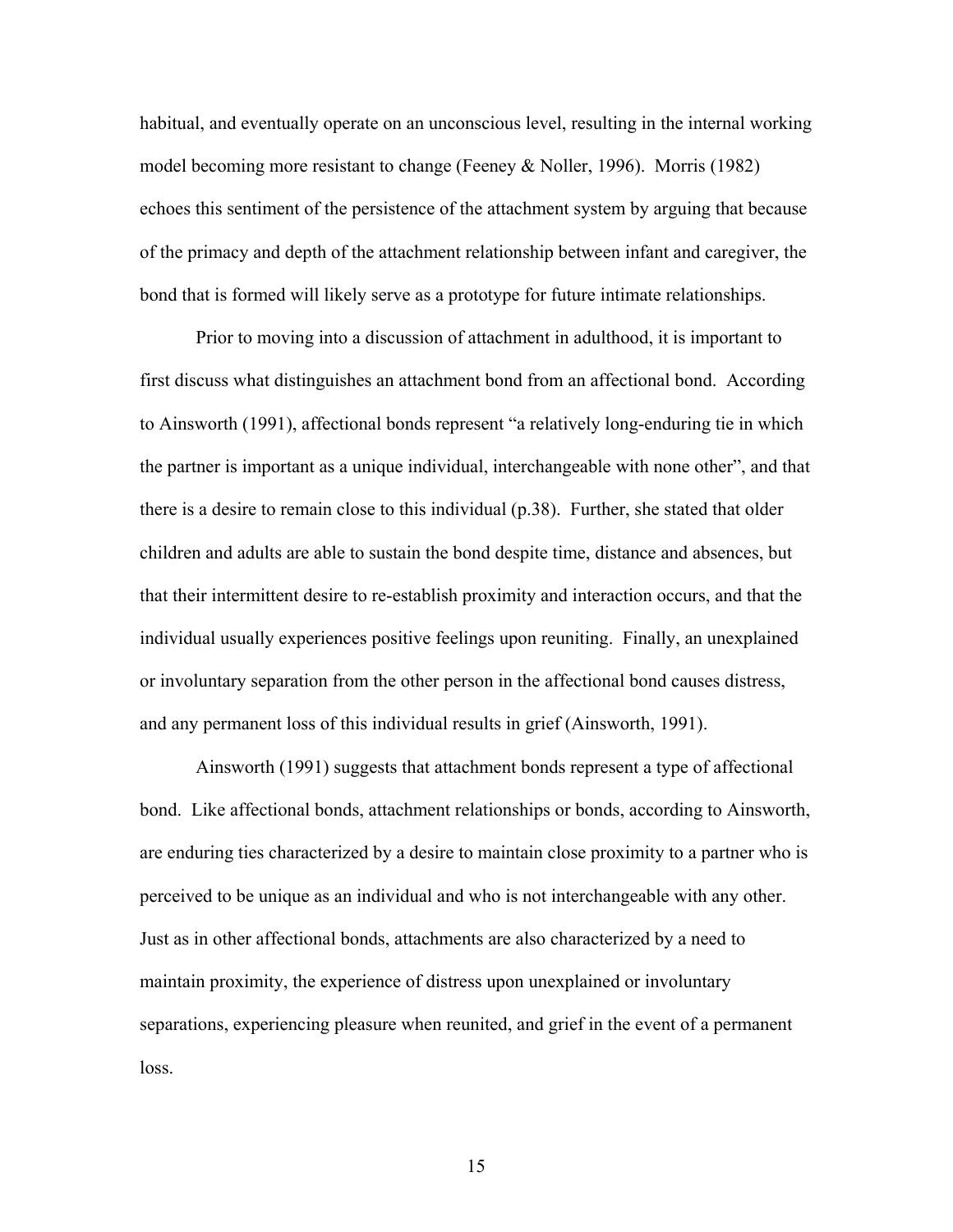habitual, and eventually operate on an unconscious level, resulting in the internal working model becoming more resistant to change (Feeney  $&$  Noller, 1996). Morris (1982) echoes this sentiment of the persistence of the attachment system by arguing that because of the primacy and depth of the attachment relationship between infant and caregiver, the bond that is formed will likely serve as a prototype for future intimate relationships.

Prior to moving into a discussion of attachment in adulthood, it is important to first discuss what distinguishes an attachment bond from an affectional bond. According to Ainsworth (1991), affectional bonds represent "a relatively long-enduring tie in which the partner is important as a unique individual, interchangeable with none other", and that there is a desire to remain close to this individual (p.38). Further, she stated that older children and adults are able to sustain the bond despite time, distance and absences, but that their intermittent desire to re-establish proximity and interaction occurs, and that the individual usually experiences positive feelings upon reuniting. Finally, an unexplained or involuntary separation from the other person in the affectional bond causes distress, and any permanent loss of this individual results in grief (Ainsworth, 1991).

Ainsworth (1991) suggests that attachment bonds represent a type of affectional bond. Like affectional bonds, attachment relationships or bonds, according to Ainsworth, are enduring ties characterized by a desire to maintain close proximity to a partner who is perceived to be unique as an individual and who is not interchangeable with any other. Just as in other affectional bonds, attachments are also characterized by a need to maintain proximity, the experience of distress upon unexplained or involuntary separations, experiencing pleasure when reunited, and grief in the event of a permanent loss.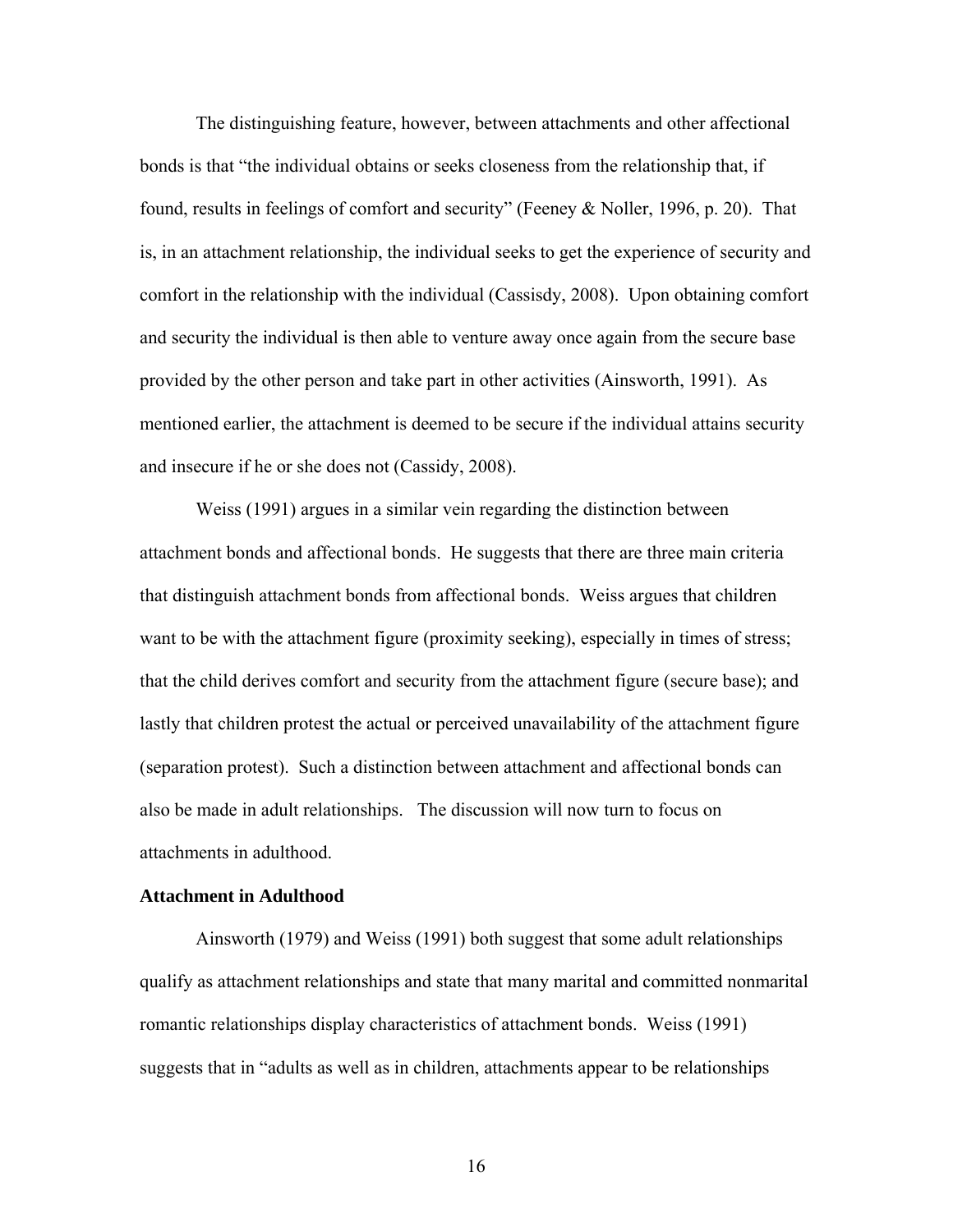The distinguishing feature, however, between attachments and other affectional bonds is that "the individual obtains or seeks closeness from the relationship that, if found, results in feelings of comfort and security" (Feeney & Noller, 1996, p. 20). That is, in an attachment relationship, the individual seeks to get the experience of security and comfort in the relationship with the individual (Cassisdy, 2008). Upon obtaining comfort and security the individual is then able to venture away once again from the secure base provided by the other person and take part in other activities (Ainsworth, 1991). As mentioned earlier, the attachment is deemed to be secure if the individual attains security and insecure if he or she does not (Cassidy, 2008).

Weiss (1991) argues in a similar vein regarding the distinction between attachment bonds and affectional bonds. He suggests that there are three main criteria that distinguish attachment bonds from affectional bonds. Weiss argues that children want to be with the attachment figure (proximity seeking), especially in times of stress; that the child derives comfort and security from the attachment figure (secure base); and lastly that children protest the actual or perceived unavailability of the attachment figure (separation protest). Such a distinction between attachment and affectional bonds can also be made in adult relationships. The discussion will now turn to focus on attachments in adulthood.

### **Attachment in Adulthood**

Ainsworth (1979) and Weiss (1991) both suggest that some adult relationships qualify as attachment relationships and state that many marital and committed nonmarital romantic relationships display characteristics of attachment bonds. Weiss (1991) suggests that in "adults as well as in children, attachments appear to be relationships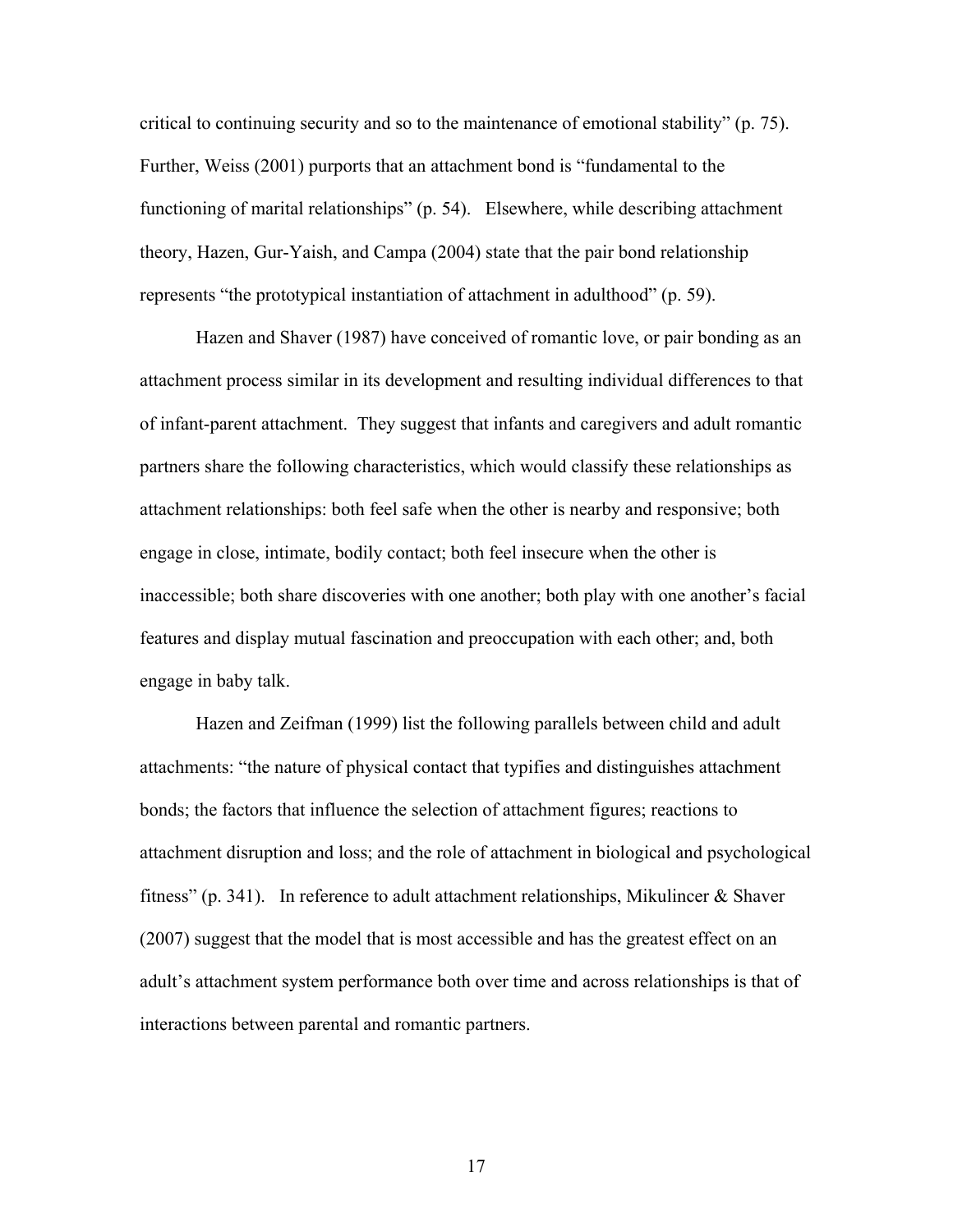critical to continuing security and so to the maintenance of emotional stability" (p. 75). Further, Weiss (2001) purports that an attachment bond is "fundamental to the functioning of marital relationships" (p. 54). Elsewhere, while describing attachment theory, Hazen, Gur-Yaish, and Campa (2004) state that the pair bond relationship represents "the prototypical instantiation of attachment in adulthood" (p. 59).

Hazen and Shaver (1987) have conceived of romantic love, or pair bonding as an attachment process similar in its development and resulting individual differences to that of infant-parent attachment. They suggest that infants and caregivers and adult romantic partners share the following characteristics, which would classify these relationships as attachment relationships: both feel safe when the other is nearby and responsive; both engage in close, intimate, bodily contact; both feel insecure when the other is inaccessible; both share discoveries with one another; both play with one another's facial features and display mutual fascination and preoccupation with each other; and, both engage in baby talk.

Hazen and Zeifman (1999) list the following parallels between child and adult attachments: "the nature of physical contact that typifies and distinguishes attachment bonds; the factors that influence the selection of attachment figures; reactions to attachment disruption and loss; and the role of attachment in biological and psychological fitness" (p. 341). In reference to adult attachment relationships, Mikulincer & Shaver (2007) suggest that the model that is most accessible and has the greatest effect on an adult's attachment system performance both over time and across relationships is that of interactions between parental and romantic partners.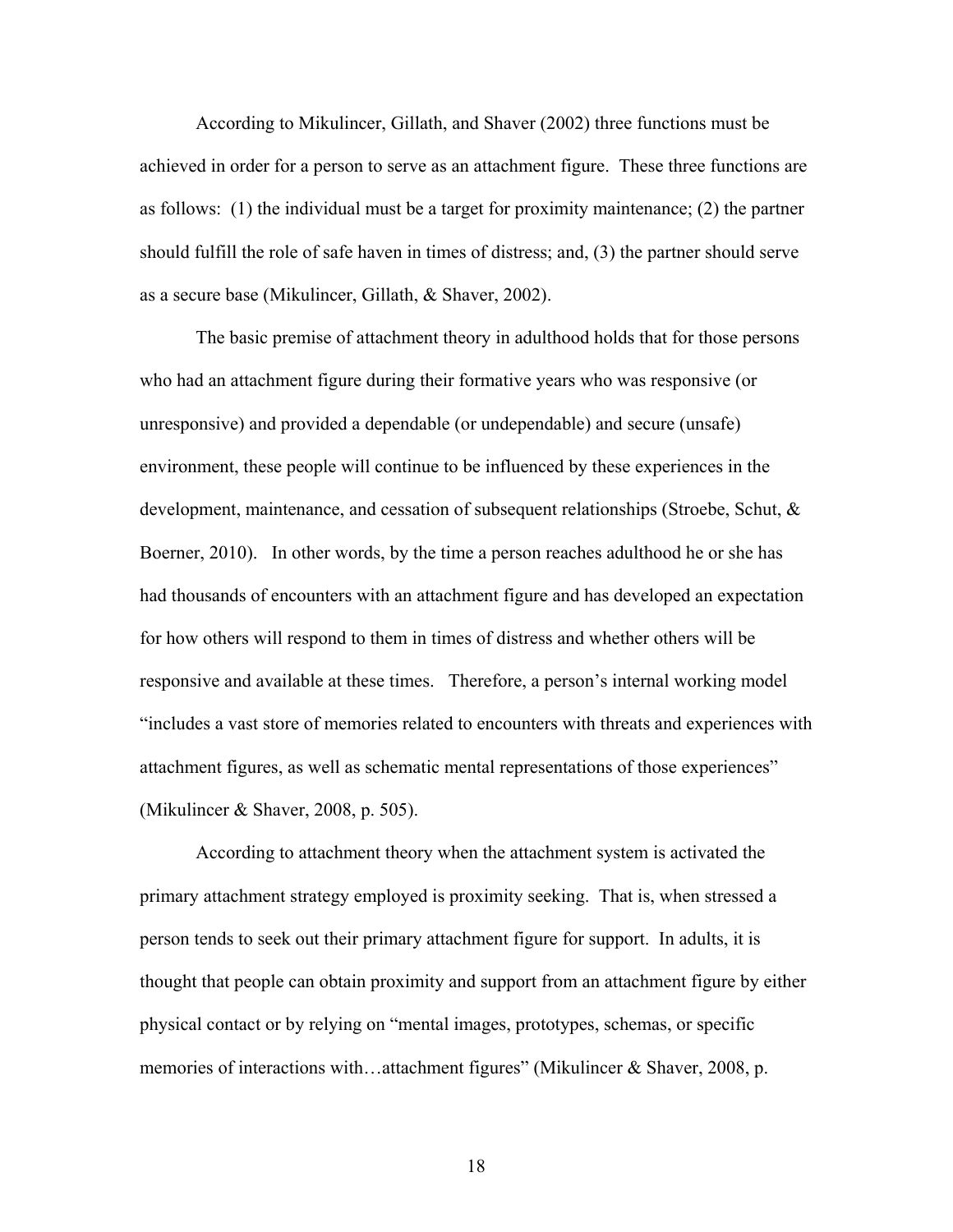According to Mikulincer, Gillath, and Shaver (2002) three functions must be achieved in order for a person to serve as an attachment figure. These three functions are as follows: (1) the individual must be a target for proximity maintenance; (2) the partner should fulfill the role of safe haven in times of distress; and, (3) the partner should serve as a secure base (Mikulincer, Gillath, & Shaver, 2002).

The basic premise of attachment theory in adulthood holds that for those persons who had an attachment figure during their formative years who was responsive (or unresponsive) and provided a dependable (or undependable) and secure (unsafe) environment, these people will continue to be influenced by these experiences in the development, maintenance, and cessation of subsequent relationships (Stroebe, Schut, & Boerner, 2010). In other words, by the time a person reaches adulthood he or she has had thousands of encounters with an attachment figure and has developed an expectation for how others will respond to them in times of distress and whether others will be responsive and available at these times. Therefore, a person's internal working model "includes a vast store of memories related to encounters with threats and experiences with attachment figures, as well as schematic mental representations of those experiences" (Mikulincer & Shaver, 2008, p. 505).

According to attachment theory when the attachment system is activated the primary attachment strategy employed is proximity seeking. That is, when stressed a person tends to seek out their primary attachment figure for support. In adults, it is thought that people can obtain proximity and support from an attachment figure by either physical contact or by relying on "mental images, prototypes, schemas, or specific memories of interactions with...attachment figures" (Mikulincer & Shaver, 2008, p.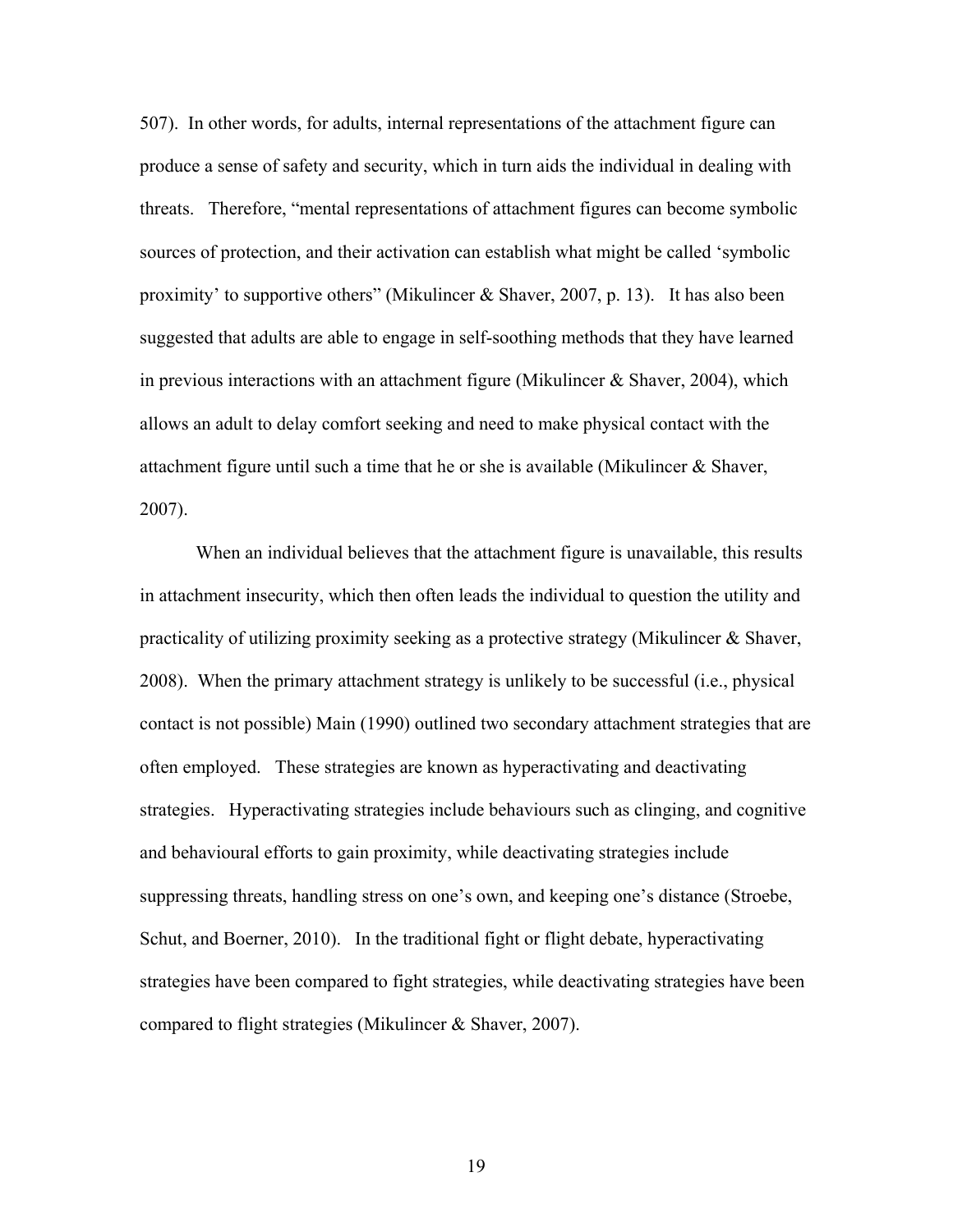507). In other words, for adults, internal representations of the attachment figure can produce a sense of safety and security, which in turn aids the individual in dealing with threats. Therefore, "mental representations of attachment figures can become symbolic sources of protection, and their activation can establish what might be called 'symbolic proximity' to supportive others" (Mikulincer & Shaver, 2007, p. 13). It has also been suggested that adults are able to engage in self-soothing methods that they have learned in previous interactions with an attachment figure (Mikulincer & Shaver, 2004), which allows an adult to delay comfort seeking and need to make physical contact with the attachment figure until such a time that he or she is available (Mikulincer  $\&$  Shaver, 2007).

When an individual believes that the attachment figure is unavailable, this results in attachment insecurity, which then often leads the individual to question the utility and practicality of utilizing proximity seeking as a protective strategy (Mikulincer & Shaver, 2008). When the primary attachment strategy is unlikely to be successful (i.e., physical contact is not possible) Main (1990) outlined two secondary attachment strategies that are often employed. These strategies are known as hyperactivating and deactivating strategies. Hyperactivating strategies include behaviours such as clinging, and cognitive and behavioural efforts to gain proximity, while deactivating strategies include suppressing threats, handling stress on one's own, and keeping one's distance (Stroebe, Schut, and Boerner, 2010). In the traditional fight or flight debate, hyperactivating strategies have been compared to fight strategies, while deactivating strategies have been compared to flight strategies (Mikulincer & Shaver, 2007).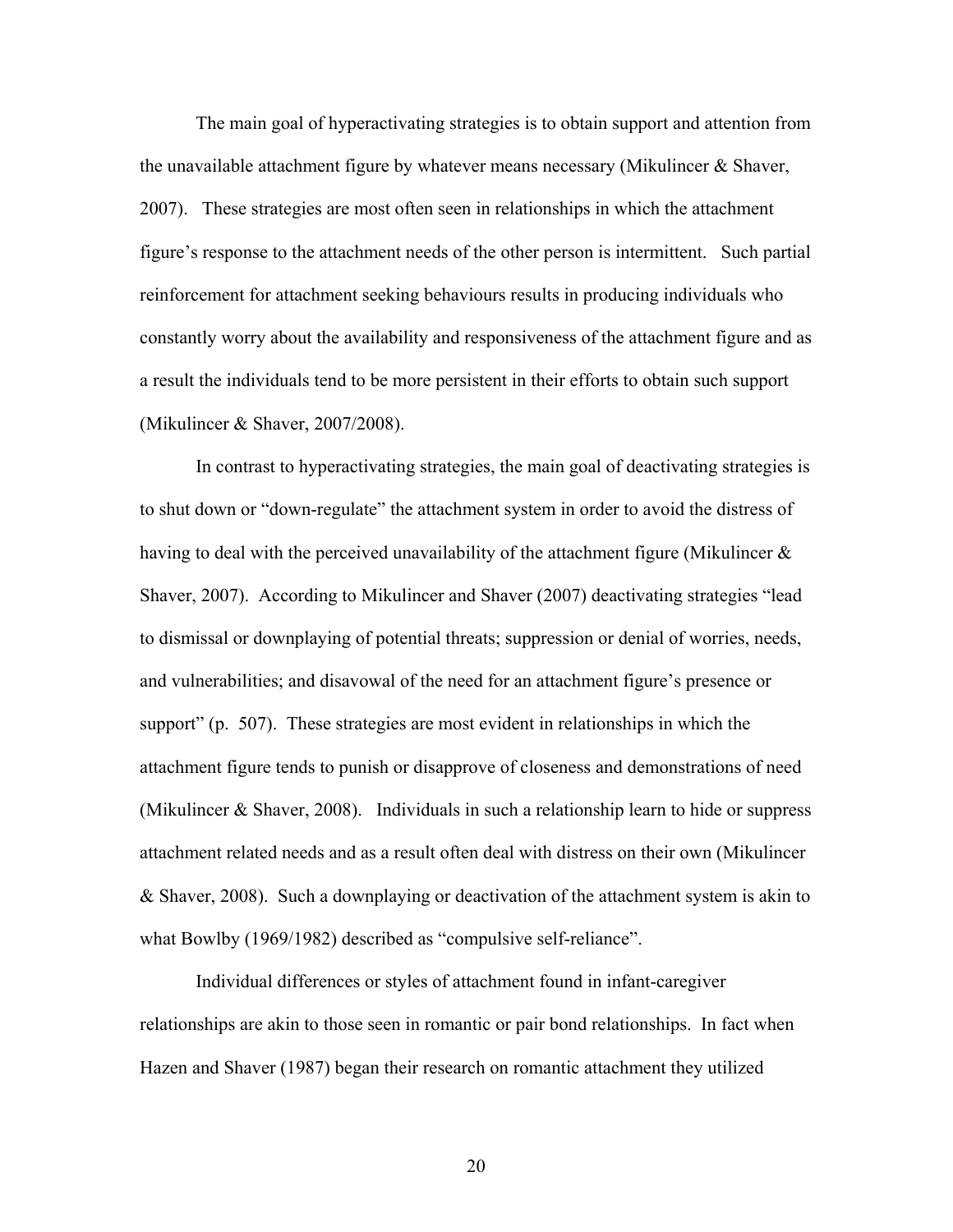The main goal of hyperactivating strategies is to obtain support and attention from the unavailable attachment figure by whatever means necessary (Mikulincer  $\&$  Shaver, 2007). These strategies are most often seen in relationships in which the attachment figure's response to the attachment needs of the other person is intermittent. Such partial reinforcement for attachment seeking behaviours results in producing individuals who constantly worry about the availability and responsiveness of the attachment figure and as a result the individuals tend to be more persistent in their efforts to obtain such support (Mikulincer & Shaver, 2007/2008).

In contrast to hyperactivating strategies, the main goal of deactivating strategies is to shut down or "down-regulate" the attachment system in order to avoid the distress of having to deal with the perceived unavailability of the attachment figure (Mikulincer  $\&$ Shaver, 2007). According to Mikulincer and Shaver (2007) deactivating strategies "lead to dismissal or downplaying of potential threats; suppression or denial of worries, needs, and vulnerabilities; and disavowal of the need for an attachment figure's presence or support" (p. 507). These strategies are most evident in relationships in which the attachment figure tends to punish or disapprove of closeness and demonstrations of need (Mikulincer  $\&$  Shaver, 2008). Individuals in such a relationship learn to hide or suppress attachment related needs and as a result often deal with distress on their own (Mikulincer & Shaver, 2008). Such a downplaying or deactivation of the attachment system is akin to what Bowlby (1969/1982) described as "compulsive self-reliance".

Individual differences or styles of attachment found in infant-caregiver relationships are akin to those seen in romantic or pair bond relationships. In fact when Hazen and Shaver (1987) began their research on romantic attachment they utilized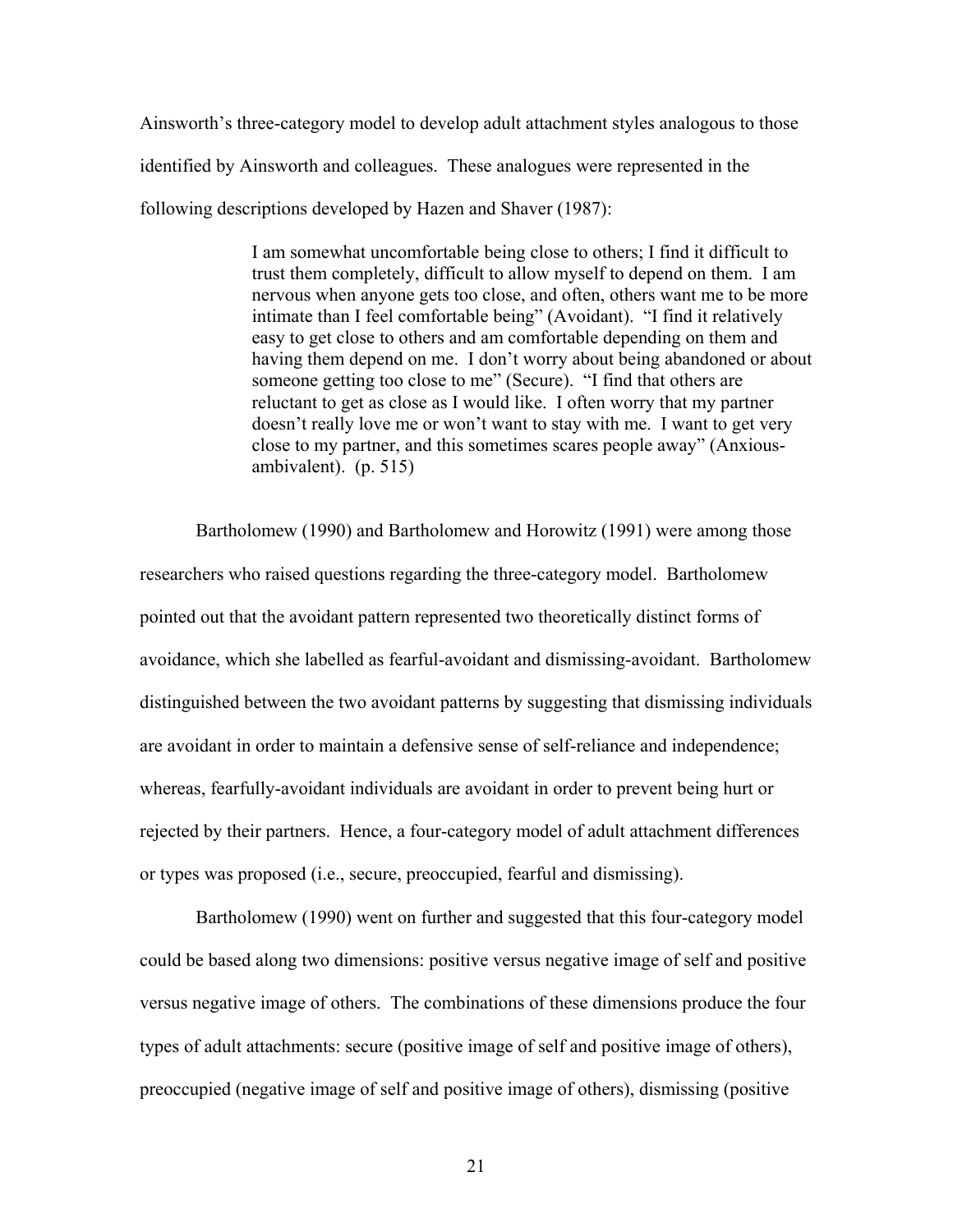Ainsworth's three-category model to develop adult attachment styles analogous to those identified by Ainsworth and colleagues. These analogues were represented in the following descriptions developed by Hazen and Shaver (1987):

> I am somewhat uncomfortable being close to others; I find it difficult to trust them completely, difficult to allow myself to depend on them. I am nervous when anyone gets too close, and often, others want me to be more intimate than I feel comfortable being" (Avoidant). "I find it relatively easy to get close to others and am comfortable depending on them and having them depend on me. I don't worry about being abandoned or about someone getting too close to me" (Secure). "I find that others are reluctant to get as close as I would like. I often worry that my partner doesn't really love me or won't want to stay with me. I want to get very close to my partner, and this sometimes scares people away" (Anxiousambivalent). (p. 515)

Bartholomew (1990) and Bartholomew and Horowitz (1991) were among those researchers who raised questions regarding the three-category model. Bartholomew pointed out that the avoidant pattern represented two theoretically distinct forms of avoidance, which she labelled as fearful-avoidant and dismissing-avoidant. Bartholomew distinguished between the two avoidant patterns by suggesting that dismissing individuals are avoidant in order to maintain a defensive sense of self-reliance and independence; whereas, fearfully-avoidant individuals are avoidant in order to prevent being hurt or rejected by their partners. Hence, a four-category model of adult attachment differences or types was proposed (i.e., secure, preoccupied, fearful and dismissing).

Bartholomew (1990) went on further and suggested that this four-category model could be based along two dimensions: positive versus negative image of self and positive versus negative image of others. The combinations of these dimensions produce the four types of adult attachments: secure (positive image of self and positive image of others), preoccupied (negative image of self and positive image of others), dismissing (positive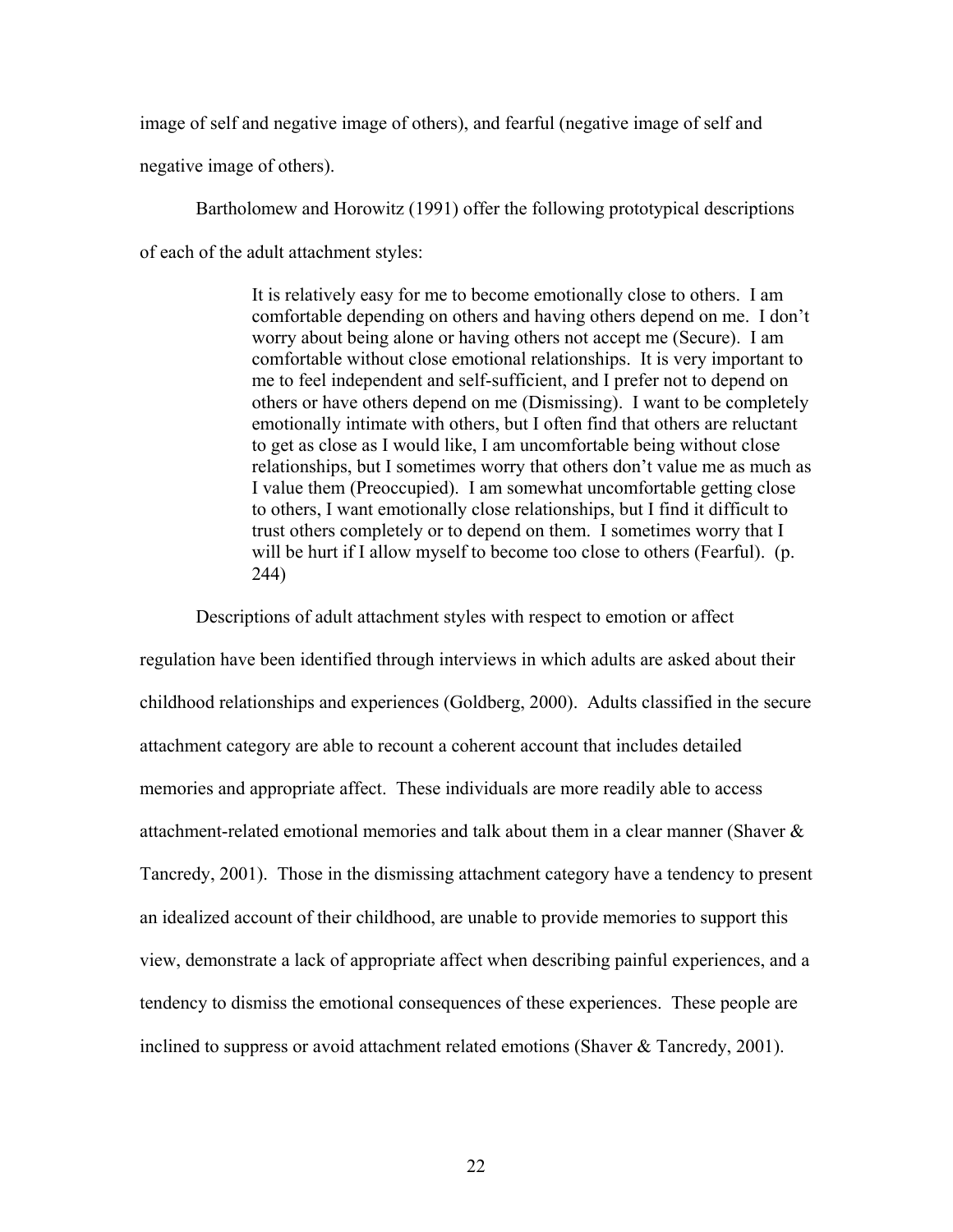image of self and negative image of others), and fearful (negative image of self and

negative image of others).

Bartholomew and Horowitz (1991) offer the following prototypical descriptions of each of the adult attachment styles:

> It is relatively easy for me to become emotionally close to others. I am comfortable depending on others and having others depend on me. I don't worry about being alone or having others not accept me (Secure). I am comfortable without close emotional relationships. It is very important to me to feel independent and self-sufficient, and I prefer not to depend on others or have others depend on me (Dismissing). I want to be completely emotionally intimate with others, but I often find that others are reluctant to get as close as I would like, I am uncomfortable being without close relationships, but I sometimes worry that others don't value me as much as I value them (Preoccupied). I am somewhat uncomfortable getting close to others, I want emotionally close relationships, but I find it difficult to trust others completely or to depend on them. I sometimes worry that I will be hurt if I allow myself to become too close to others (Fearful). (p. 244)

Descriptions of adult attachment styles with respect to emotion or affect

regulation have been identified through interviews in which adults are asked about their childhood relationships and experiences (Goldberg, 2000). Adults classified in the secure attachment category are able to recount a coherent account that includes detailed memories and appropriate affect. These individuals are more readily able to access attachment-related emotional memories and talk about them in a clear manner (Shaver & Tancredy, 2001). Those in the dismissing attachment category have a tendency to present an idealized account of their childhood, are unable to provide memories to support this view, demonstrate a lack of appropriate affect when describing painful experiences, and a tendency to dismiss the emotional consequences of these experiences. These people are inclined to suppress or avoid attachment related emotions (Shaver & Tancredy, 2001).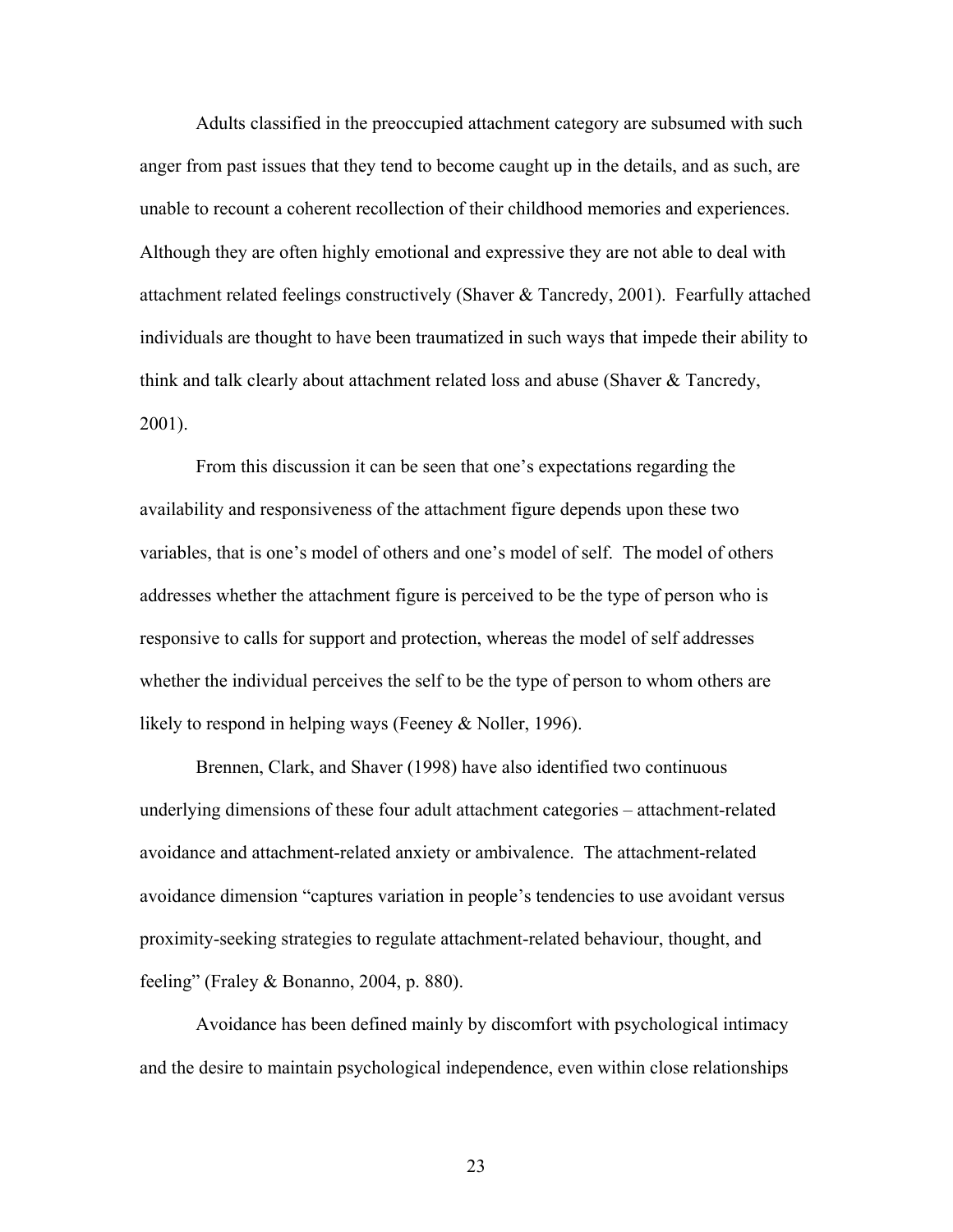Adults classified in the preoccupied attachment category are subsumed with such anger from past issues that they tend to become caught up in the details, and as such, are unable to recount a coherent recollection of their childhood memories and experiences. Although they are often highly emotional and expressive they are not able to deal with attachment related feelings constructively (Shaver & Tancredy, 2001). Fearfully attached individuals are thought to have been traumatized in such ways that impede their ability to think and talk clearly about attachment related loss and abuse (Shaver & Tancredy, 2001).

From this discussion it can be seen that one's expectations regarding the availability and responsiveness of the attachment figure depends upon these two variables, that is one's model of others and one's model of self. The model of others addresses whether the attachment figure is perceived to be the type of person who is responsive to calls for support and protection, whereas the model of self addresses whether the individual perceives the self to be the type of person to whom others are likely to respond in helping ways (Feeney & Noller, 1996).

Brennen, Clark, and Shaver (1998) have also identified two continuous underlying dimensions of these four adult attachment categories – attachment-related avoidance and attachment-related anxiety or ambivalence. The attachment-related avoidance dimension "captures variation in people's tendencies to use avoidant versus proximity-seeking strategies to regulate attachment-related behaviour, thought, and feeling" (Fraley & Bonanno, 2004, p. 880).

Avoidance has been defined mainly by discomfort with psychological intimacy and the desire to maintain psychological independence, even within close relationships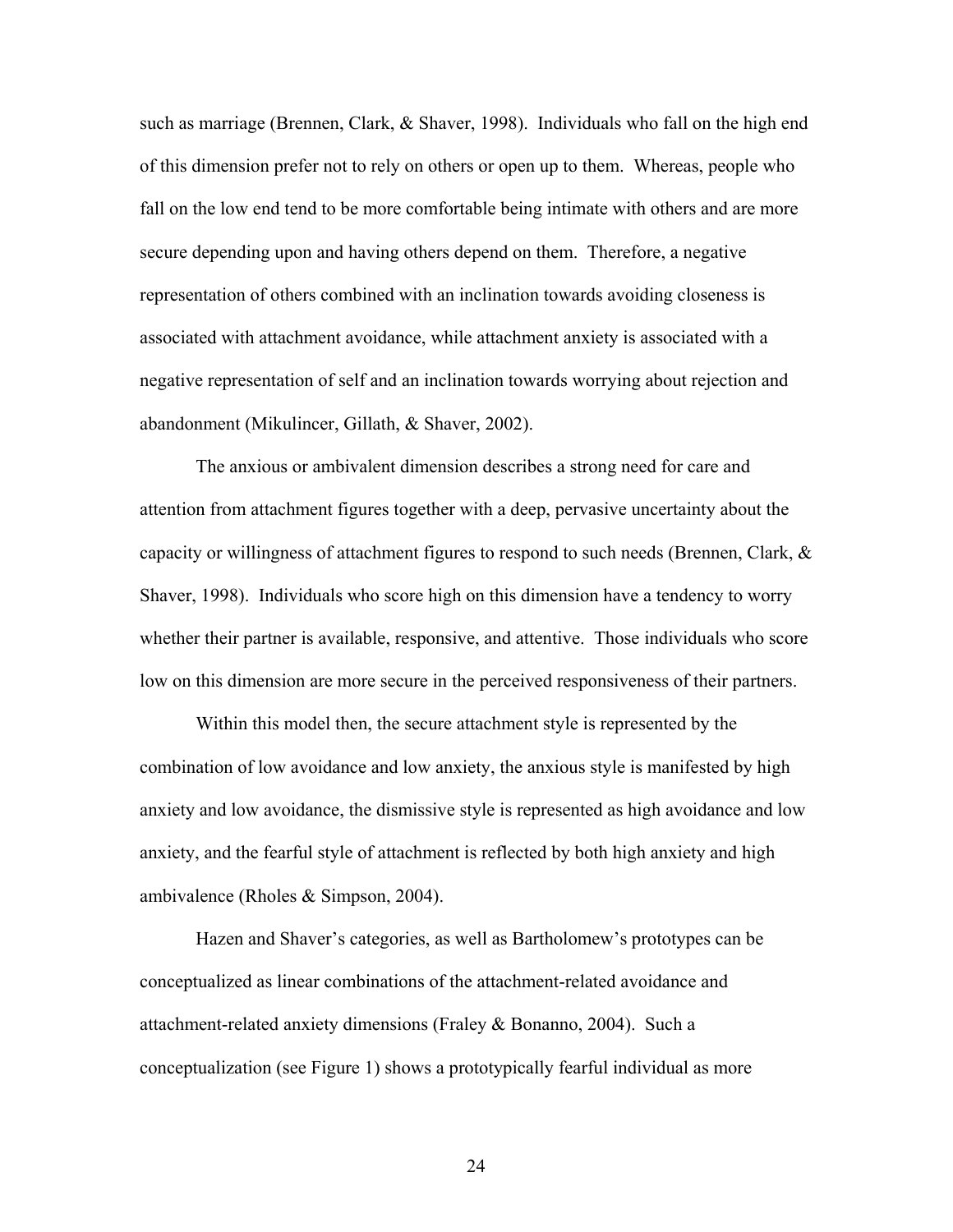such as marriage (Brennen, Clark, & Shaver, 1998). Individuals who fall on the high end of this dimension prefer not to rely on others or open up to them. Whereas, people who fall on the low end tend to be more comfortable being intimate with others and are more secure depending upon and having others depend on them. Therefore, a negative representation of others combined with an inclination towards avoiding closeness is associated with attachment avoidance, while attachment anxiety is associated with a negative representation of self and an inclination towards worrying about rejection and abandonment (Mikulincer, Gillath, & Shaver, 2002).

The anxious or ambivalent dimension describes a strong need for care and attention from attachment figures together with a deep, pervasive uncertainty about the capacity or willingness of attachment figures to respond to such needs (Brennen, Clark,  $\&$ Shaver, 1998). Individuals who score high on this dimension have a tendency to worry whether their partner is available, responsive, and attentive. Those individuals who score low on this dimension are more secure in the perceived responsiveness of their partners.

Within this model then, the secure attachment style is represented by the combination of low avoidance and low anxiety, the anxious style is manifested by high anxiety and low avoidance, the dismissive style is represented as high avoidance and low anxiety, and the fearful style of attachment is reflected by both high anxiety and high ambivalence (Rholes & Simpson, 2004).

Hazen and Shaver's categories, as well as Bartholomew's prototypes can be conceptualized as linear combinations of the attachment-related avoidance and attachment-related anxiety dimensions (Fraley & Bonanno, 2004). Such a conceptualization (see Figure 1) shows a prototypically fearful individual as more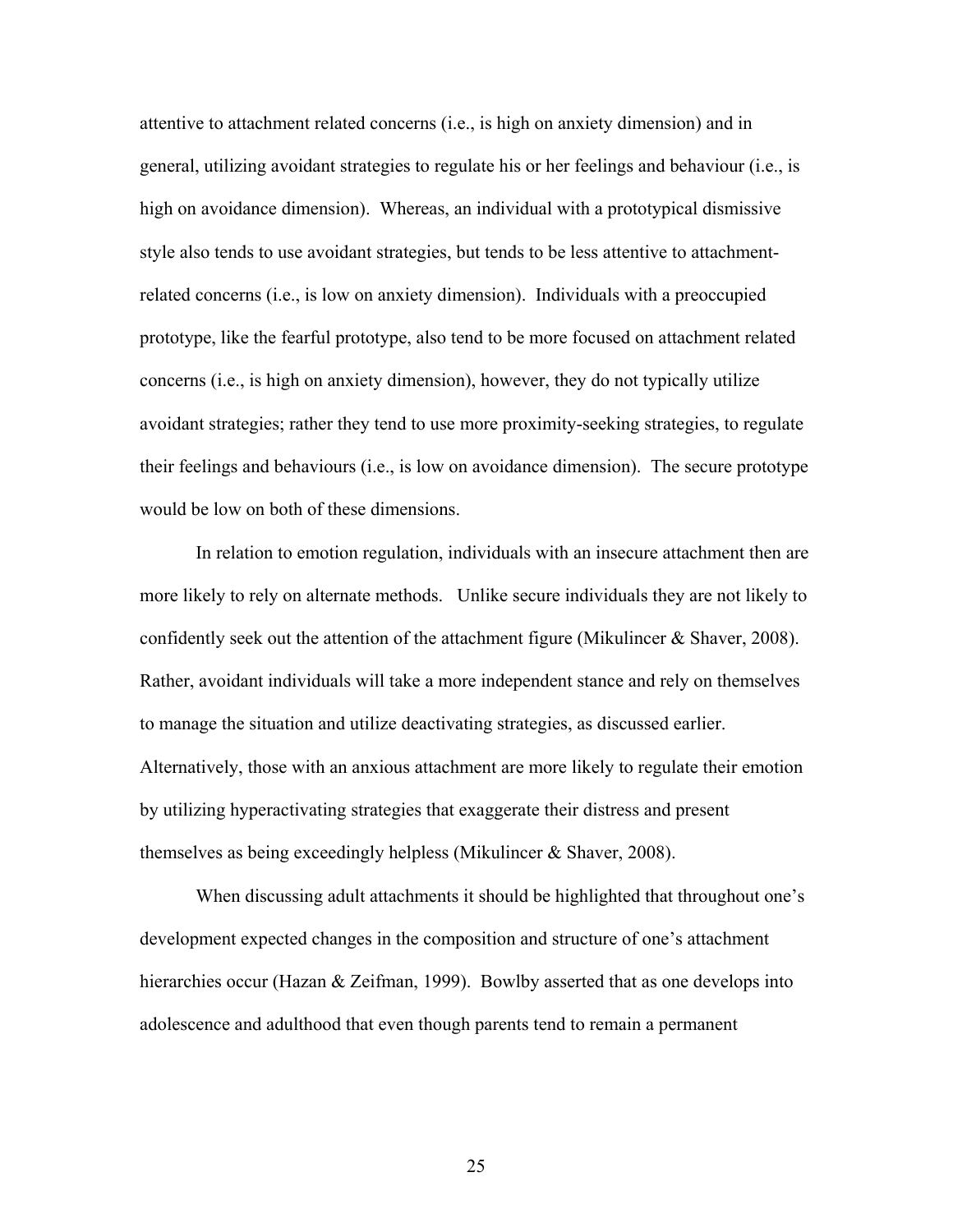attentive to attachment related concerns (i.e., is high on anxiety dimension) and in general, utilizing avoidant strategies to regulate his or her feelings and behaviour (i.e., is high on avoidance dimension). Whereas, an individual with a prototypical dismissive style also tends to use avoidant strategies, but tends to be less attentive to attachmentrelated concerns (i.e., is low on anxiety dimension). Individuals with a preoccupied prototype, like the fearful prototype, also tend to be more focused on attachment related concerns (i.e., is high on anxiety dimension), however, they do not typically utilize avoidant strategies; rather they tend to use more proximity-seeking strategies, to regulate their feelings and behaviours (i.e., is low on avoidance dimension). The secure prototype would be low on both of these dimensions.

In relation to emotion regulation, individuals with an insecure attachment then are more likely to rely on alternate methods. Unlike secure individuals they are not likely to confidently seek out the attention of the attachment figure (Mikulincer & Shaver, 2008). Rather, avoidant individuals will take a more independent stance and rely on themselves to manage the situation and utilize deactivating strategies, as discussed earlier. Alternatively, those with an anxious attachment are more likely to regulate their emotion by utilizing hyperactivating strategies that exaggerate their distress and present themselves as being exceedingly helpless (Mikulincer & Shaver, 2008).

 When discussing adult attachments it should be highlighted that throughout one's development expected changes in the composition and structure of one's attachment hierarchies occur (Hazan & Zeifman, 1999). Bowlby asserted that as one develops into adolescence and adulthood that even though parents tend to remain a permanent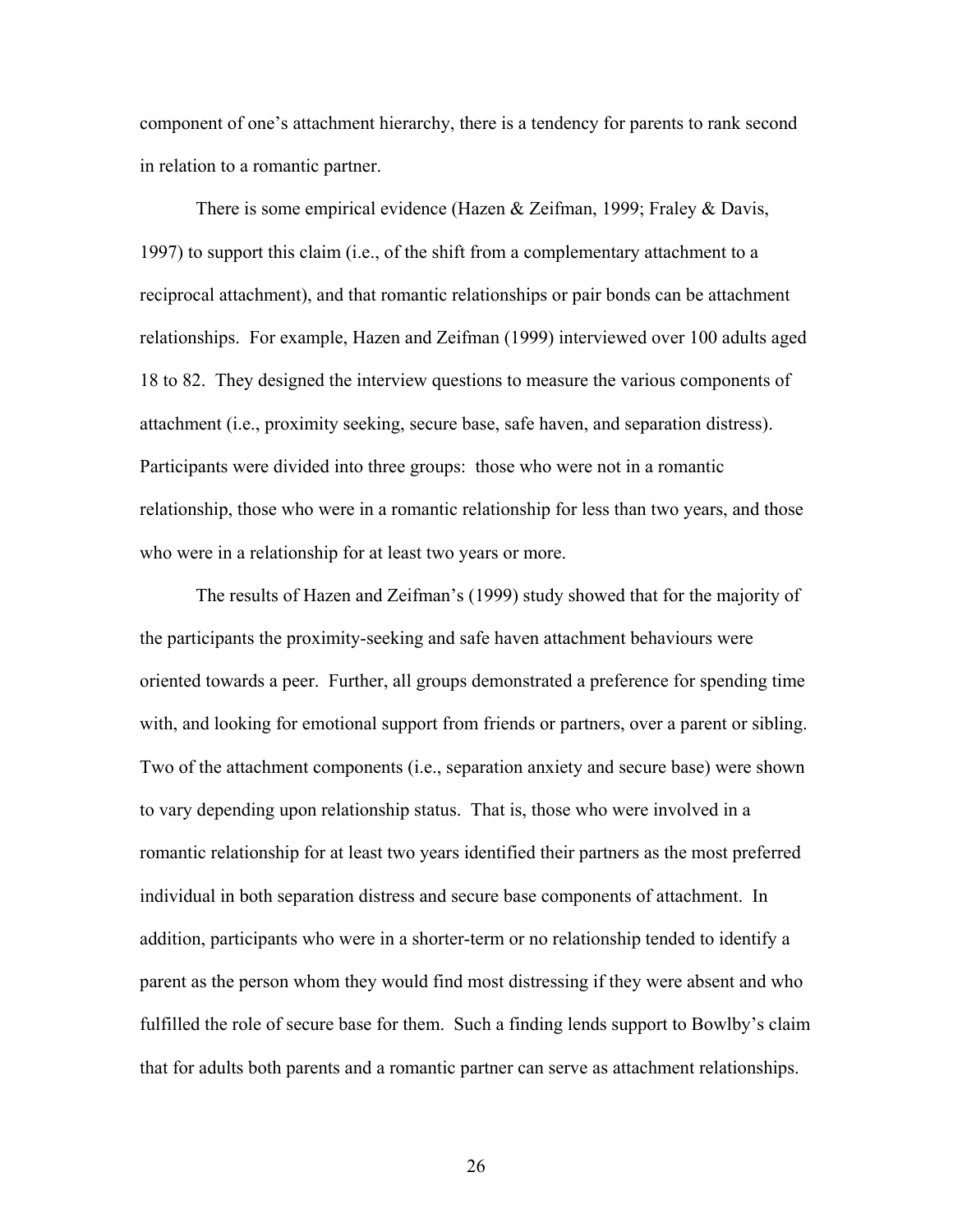component of one's attachment hierarchy, there is a tendency for parents to rank second in relation to a romantic partner.

There is some empirical evidence (Hazen & Zeifman, 1999; Fraley & Davis, 1997) to support this claim (i.e., of the shift from a complementary attachment to a reciprocal attachment), and that romantic relationships or pair bonds can be attachment relationships. For example, Hazen and Zeifman (1999) interviewed over 100 adults aged 18 to 82. They designed the interview questions to measure the various components of attachment (i.e., proximity seeking, secure base, safe haven, and separation distress). Participants were divided into three groups: those who were not in a romantic relationship, those who were in a romantic relationship for less than two years, and those who were in a relationship for at least two years or more.

The results of Hazen and Zeifman's (1999) study showed that for the majority of the participants the proximity-seeking and safe haven attachment behaviours were oriented towards a peer. Further, all groups demonstrated a preference for spending time with, and looking for emotional support from friends or partners, over a parent or sibling. Two of the attachment components (i.e., separation anxiety and secure base) were shown to vary depending upon relationship status. That is, those who were involved in a romantic relationship for at least two years identified their partners as the most preferred individual in both separation distress and secure base components of attachment. In addition, participants who were in a shorter-term or no relationship tended to identify a parent as the person whom they would find most distressing if they were absent and who fulfilled the role of secure base for them. Such a finding lends support to Bowlby's claim that for adults both parents and a romantic partner can serve as attachment relationships.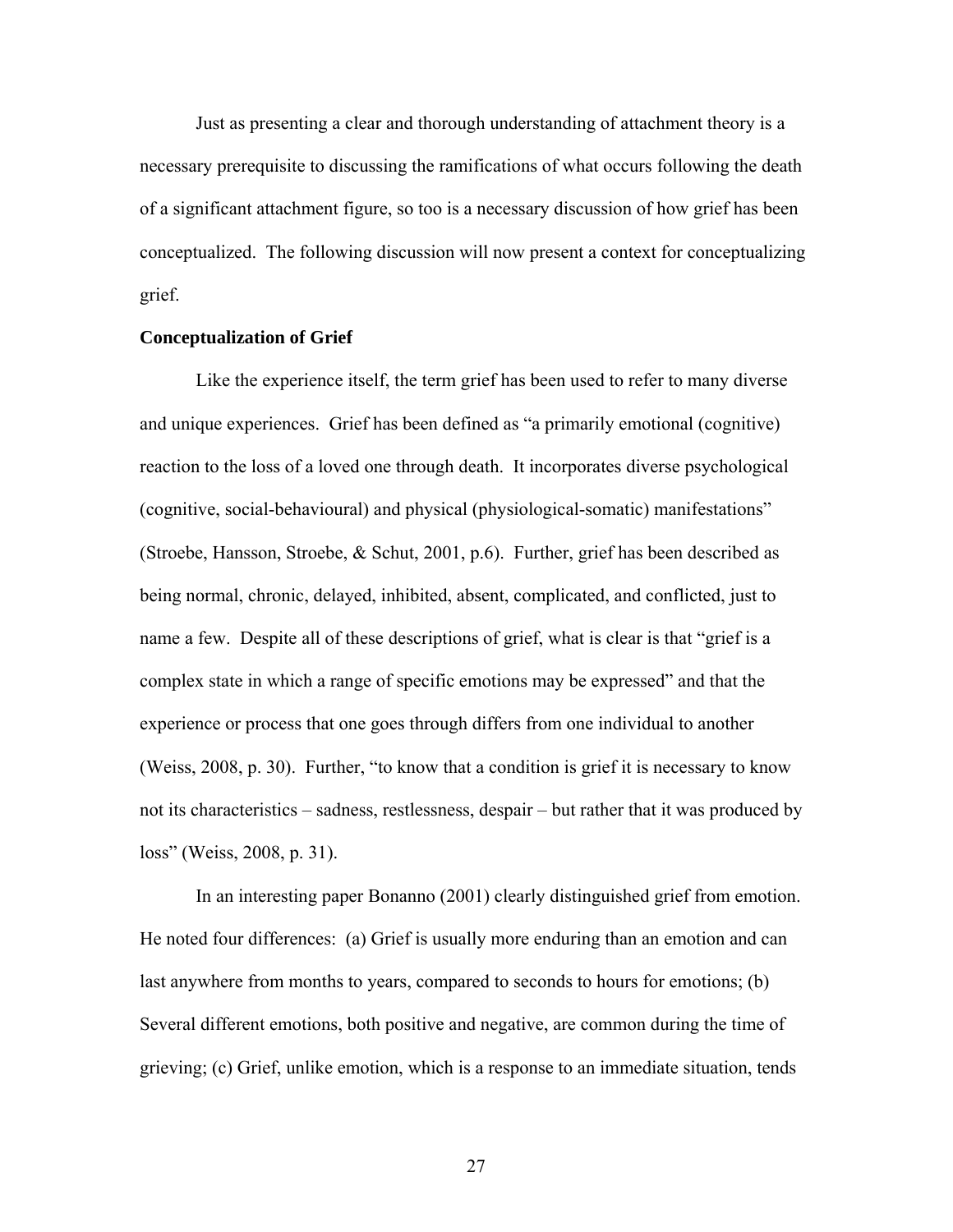Just as presenting a clear and thorough understanding of attachment theory is a necessary prerequisite to discussing the ramifications of what occurs following the death of a significant attachment figure, so too is a necessary discussion of how grief has been conceptualized. The following discussion will now present a context for conceptualizing grief.

### **Conceptualization of Grief**

Like the experience itself, the term grief has been used to refer to many diverse and unique experiences. Grief has been defined as "a primarily emotional (cognitive) reaction to the loss of a loved one through death. It incorporates diverse psychological (cognitive, social-behavioural) and physical (physiological-somatic) manifestations" (Stroebe, Hansson, Stroebe, & Schut, 2001, p.6). Further, grief has been described as being normal, chronic, delayed, inhibited, absent, complicated, and conflicted, just to name a few. Despite all of these descriptions of grief, what is clear is that "grief is a complex state in which a range of specific emotions may be expressed" and that the experience or process that one goes through differs from one individual to another (Weiss, 2008, p. 30). Further, "to know that a condition is grief it is necessary to know not its characteristics – sadness, restlessness, despair – but rather that it was produced by loss" (Weiss, 2008, p. 31).

In an interesting paper Bonanno (2001) clearly distinguished grief from emotion. He noted four differences: (a) Grief is usually more enduring than an emotion and can last anywhere from months to years, compared to seconds to hours for emotions; (b) Several different emotions, both positive and negative, are common during the time of grieving; (c) Grief, unlike emotion, which is a response to an immediate situation, tends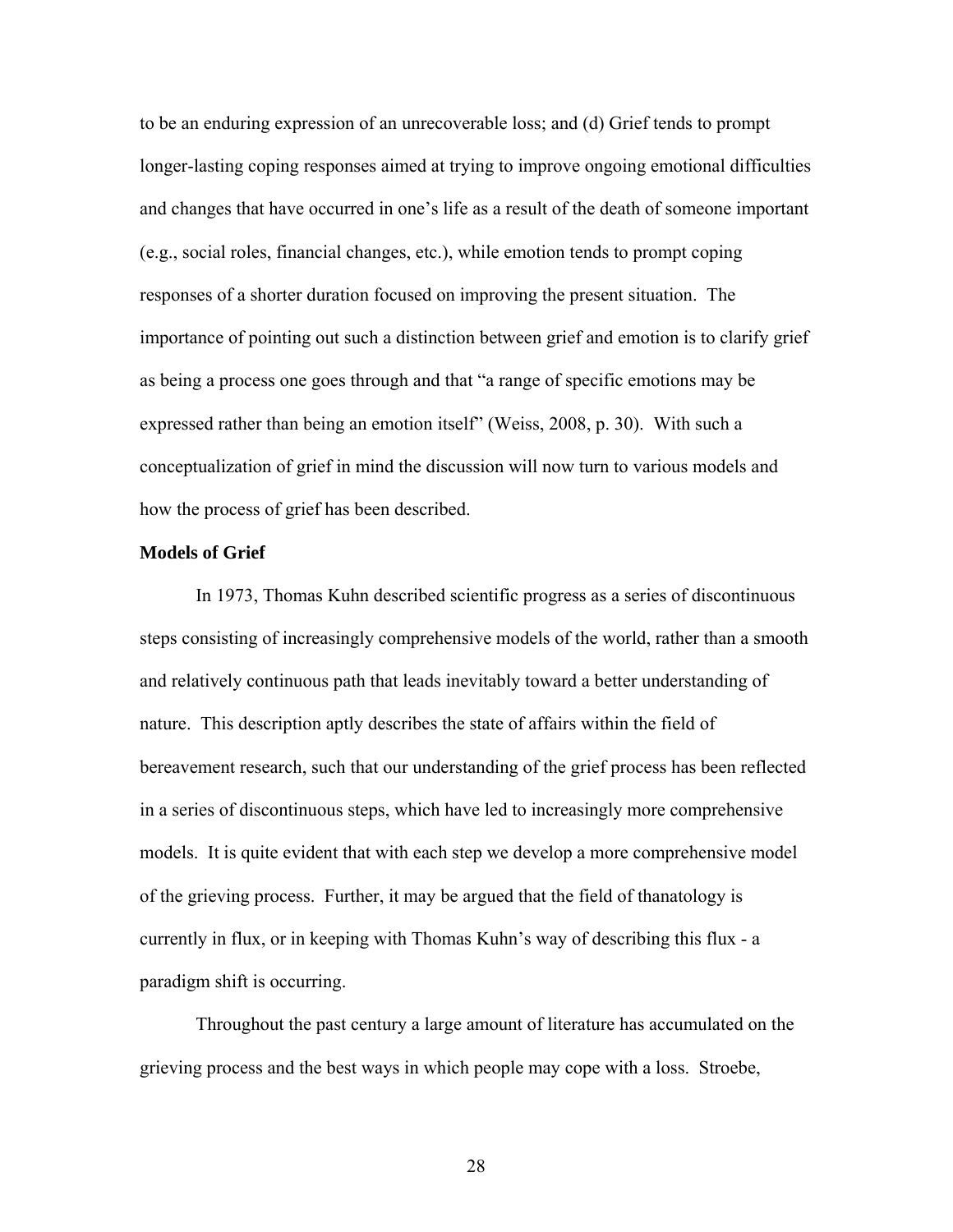to be an enduring expression of an unrecoverable loss; and (d) Grief tends to prompt longer-lasting coping responses aimed at trying to improve ongoing emotional difficulties and changes that have occurred in one's life as a result of the death of someone important (e.g., social roles, financial changes, etc.), while emotion tends to prompt coping responses of a shorter duration focused on improving the present situation. The importance of pointing out such a distinction between grief and emotion is to clarify grief as being a process one goes through and that "a range of specific emotions may be expressed rather than being an emotion itself" (Weiss, 2008, p. 30). With such a conceptualization of grief in mind the discussion will now turn to various models and how the process of grief has been described.

#### **Models of Grief**

In 1973, Thomas Kuhn described scientific progress as a series of discontinuous steps consisting of increasingly comprehensive models of the world, rather than a smooth and relatively continuous path that leads inevitably toward a better understanding of nature. This description aptly describes the state of affairs within the field of bereavement research, such that our understanding of the grief process has been reflected in a series of discontinuous steps, which have led to increasingly more comprehensive models. It is quite evident that with each step we develop a more comprehensive model of the grieving process. Further, it may be argued that the field of thanatology is currently in flux, or in keeping with Thomas Kuhn's way of describing this flux - a paradigm shift is occurring.

Throughout the past century a large amount of literature has accumulated on the grieving process and the best ways in which people may cope with a loss. Stroebe,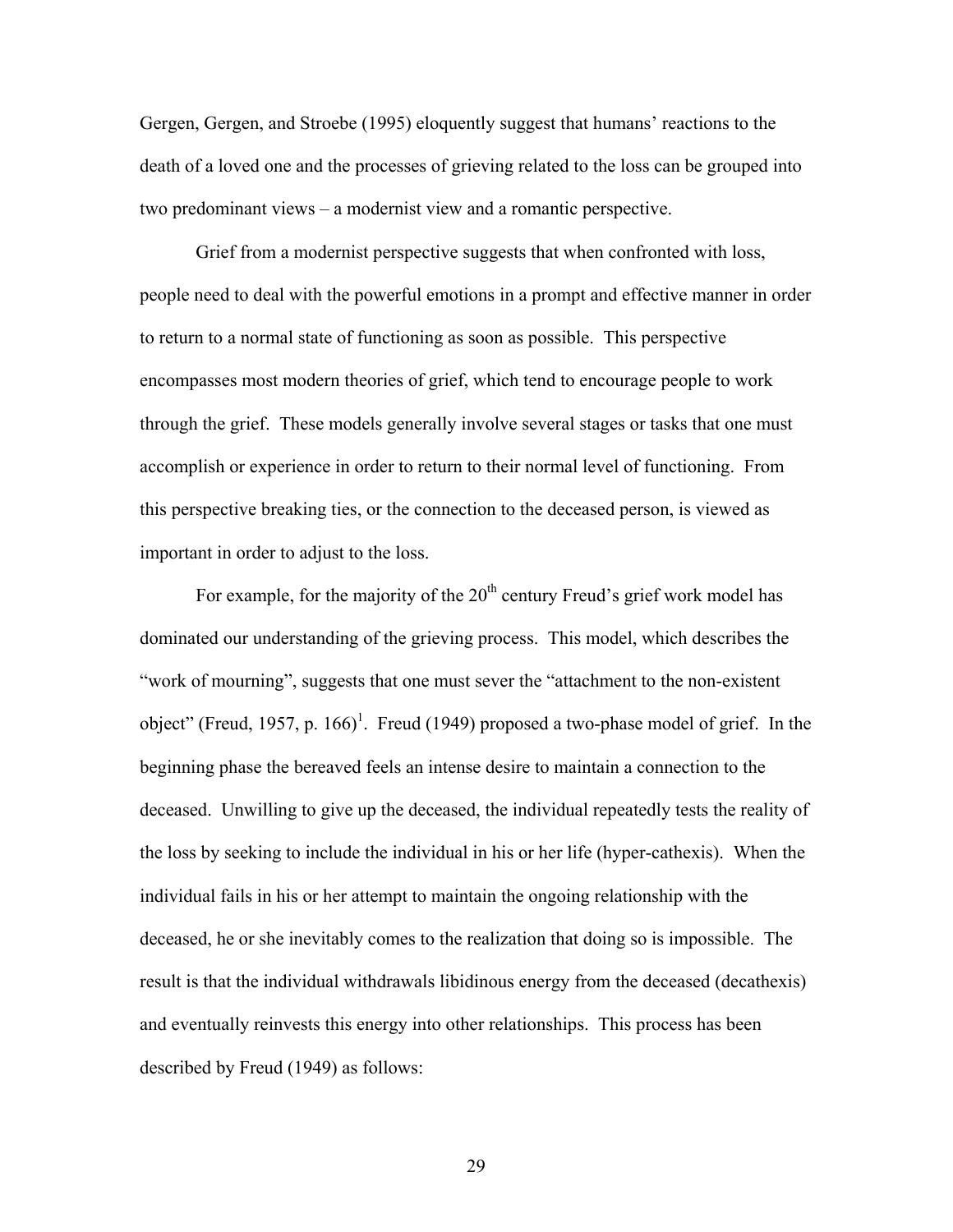Gergen, Gergen, and Stroebe (1995) eloquently suggest that humans' reactions to the death of a loved one and the processes of grieving related to the loss can be grouped into two predominant views – a modernist view and a romantic perspective.

Grief from a modernist perspective suggests that when confronted with loss, people need to deal with the powerful emotions in a prompt and effective manner in order to return to a normal state of functioning as soon as possible. This perspective encompasses most modern theories of grief, which tend to encourage people to work through the grief. These models generally involve several stages or tasks that one must accomplish or experience in order to return to their normal level of functioning. From this perspective breaking ties, or the connection to the deceased person, is viewed as important in order to adjust to the loss.

For example, for the majority of the  $20<sup>th</sup>$  century Freud's grief work model has dominated our understanding of the grieving process. This model, which describes the "work of mourning", suggests that one must sever the "attachment to the non-existent object" (Freud, 1957, p. 166)<sup>1</sup>. Freud (1949) proposed a two-phase model of grief. In the beginning phase the bereaved feels an intense desire to maintain a connection to the deceased. Unwilling to give up the deceased, the individual repeatedly tests the reality of the loss by seeking to include the individual in his or her life (hyper-cathexis). When the individual fails in his or her attempt to maintain the ongoing relationship with the deceased, he or she inevitably comes to the realization that doing so is impossible. The result is that the individual withdrawals libidinous energy from the deceased (decathexis) and eventually reinvests this energy into other relationships. This process has been described by Freud (1949) as follows: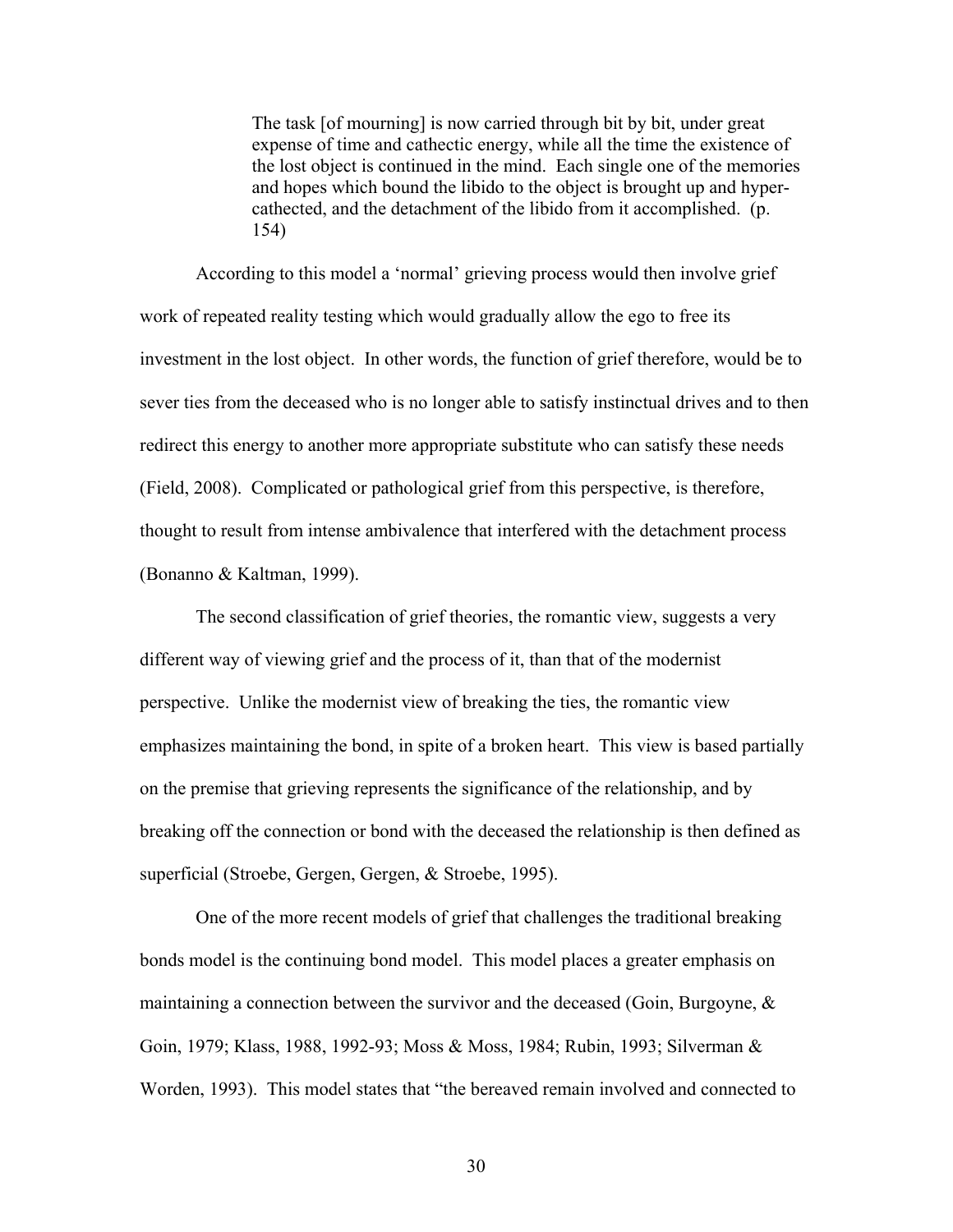The task [of mourning] is now carried through bit by bit, under great expense of time and cathectic energy, while all the time the existence of the lost object is continued in the mind. Each single one of the memories and hopes which bound the libido to the object is brought up and hypercathected, and the detachment of the libido from it accomplished. (p. 154)

According to this model a 'normal' grieving process would then involve grief work of repeated reality testing which would gradually allow the ego to free its investment in the lost object. In other words, the function of grief therefore, would be to sever ties from the deceased who is no longer able to satisfy instinctual drives and to then redirect this energy to another more appropriate substitute who can satisfy these needs (Field, 2008). Complicated or pathological grief from this perspective, is therefore, thought to result from intense ambivalence that interfered with the detachment process (Bonanno & Kaltman, 1999).

The second classification of grief theories, the romantic view, suggests a very different way of viewing grief and the process of it, than that of the modernist perspective. Unlike the modernist view of breaking the ties, the romantic view emphasizes maintaining the bond, in spite of a broken heart. This view is based partially on the premise that grieving represents the significance of the relationship, and by breaking off the connection or bond with the deceased the relationship is then defined as superficial (Stroebe, Gergen, Gergen, & Stroebe, 1995).

One of the more recent models of grief that challenges the traditional breaking bonds model is the continuing bond model. This model places a greater emphasis on maintaining a connection between the survivor and the deceased (Goin, Burgoyne,  $\&$ Goin, 1979; Klass, 1988, 1992-93; Moss & Moss, 1984; Rubin, 1993; Silverman & Worden, 1993). This model states that "the bereaved remain involved and connected to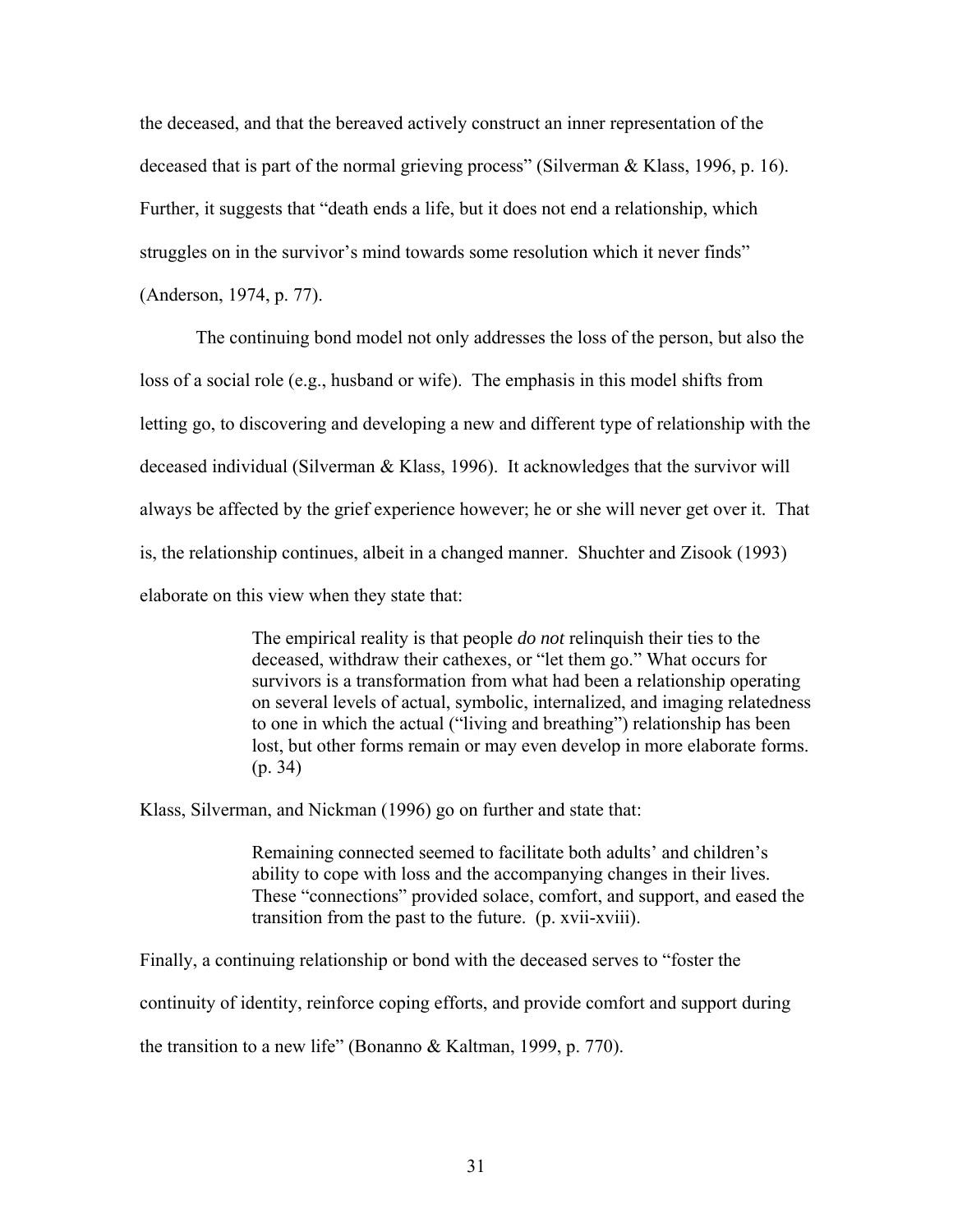the deceased, and that the bereaved actively construct an inner representation of the deceased that is part of the normal grieving process" (Silverman & Klass, 1996, p. 16). Further, it suggests that "death ends a life, but it does not end a relationship, which struggles on in the survivor's mind towards some resolution which it never finds" (Anderson, 1974, p. 77).

The continuing bond model not only addresses the loss of the person, but also the loss of a social role (e.g., husband or wife). The emphasis in this model shifts from letting go, to discovering and developing a new and different type of relationship with the deceased individual (Silverman & Klass, 1996). It acknowledges that the survivor will always be affected by the grief experience however; he or she will never get over it. That is, the relationship continues, albeit in a changed manner. Shuchter and Zisook (1993) elaborate on this view when they state that:

> The empirical reality is that people *do not* relinquish their ties to the deceased, withdraw their cathexes, or "let them go." What occurs for survivors is a transformation from what had been a relationship operating on several levels of actual, symbolic, internalized, and imaging relatedness to one in which the actual ("living and breathing") relationship has been lost, but other forms remain or may even develop in more elaborate forms. (p. 34)

Klass, Silverman, and Nickman (1996) go on further and state that:

Remaining connected seemed to facilitate both adults' and children's ability to cope with loss and the accompanying changes in their lives. These "connections" provided solace, comfort, and support, and eased the transition from the past to the future. (p. xvii-xviii).

Finally, a continuing relationship or bond with the deceased serves to "foster the

continuity of identity, reinforce coping efforts, and provide comfort and support during

the transition to a new life" (Bonanno & Kaltman, 1999, p. 770).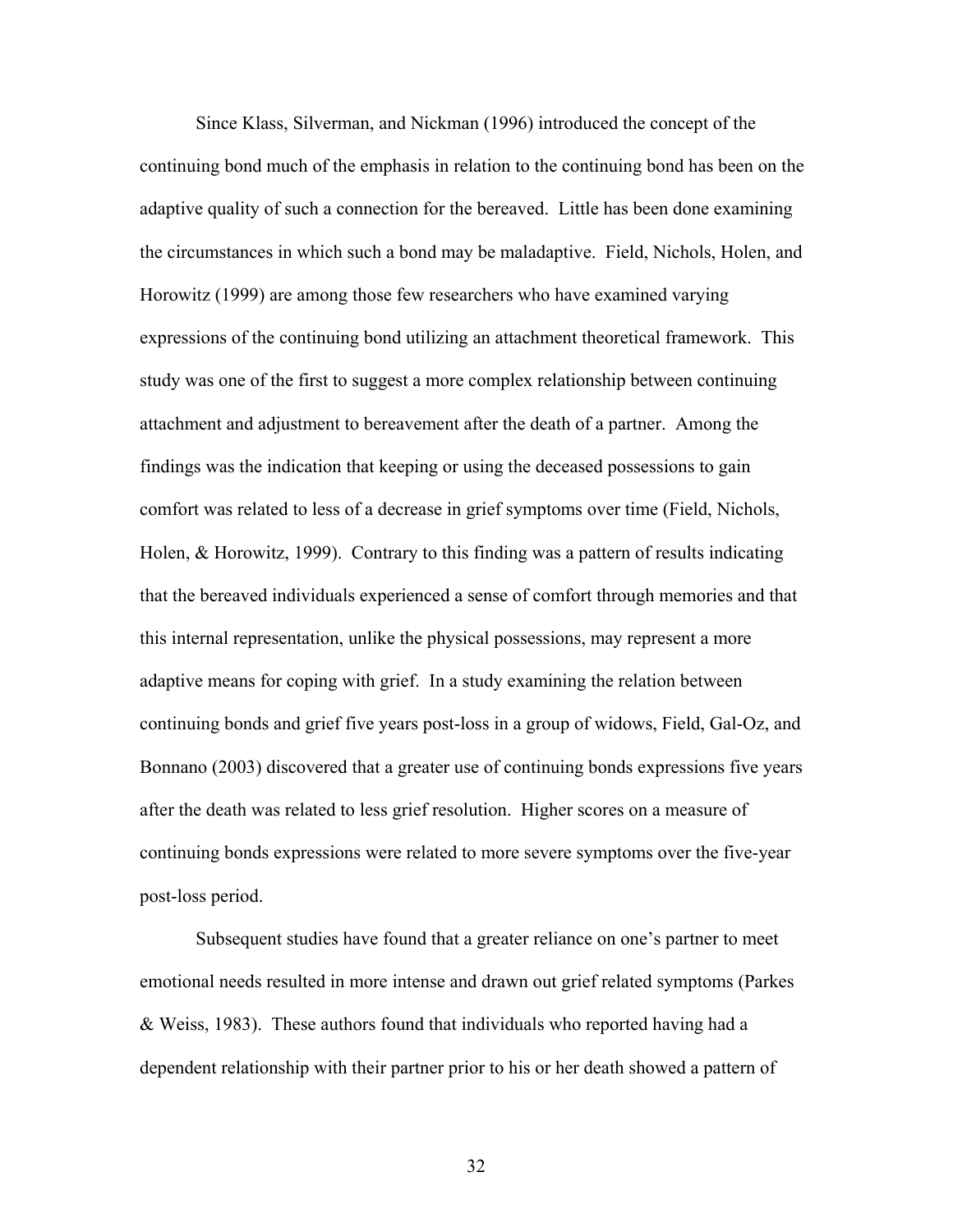Since Klass, Silverman, and Nickman (1996) introduced the concept of the continuing bond much of the emphasis in relation to the continuing bond has been on the adaptive quality of such a connection for the bereaved. Little has been done examining the circumstances in which such a bond may be maladaptive. Field, Nichols, Holen, and Horowitz (1999) are among those few researchers who have examined varying expressions of the continuing bond utilizing an attachment theoretical framework. This study was one of the first to suggest a more complex relationship between continuing attachment and adjustment to bereavement after the death of a partner. Among the findings was the indication that keeping or using the deceased possessions to gain comfort was related to less of a decrease in grief symptoms over time (Field, Nichols, Holen, & Horowitz, 1999). Contrary to this finding was a pattern of results indicating that the bereaved individuals experienced a sense of comfort through memories and that this internal representation, unlike the physical possessions, may represent a more adaptive means for coping with grief. In a study examining the relation between continuing bonds and grief five years post-loss in a group of widows, Field, Gal-Oz, and Bonnano (2003) discovered that a greater use of continuing bonds expressions five years after the death was related to less grief resolution. Higher scores on a measure of continuing bonds expressions were related to more severe symptoms over the five-year post-loss period.

Subsequent studies have found that a greater reliance on one's partner to meet emotional needs resulted in more intense and drawn out grief related symptoms (Parkes & Weiss, 1983). These authors found that individuals who reported having had a dependent relationship with their partner prior to his or her death showed a pattern of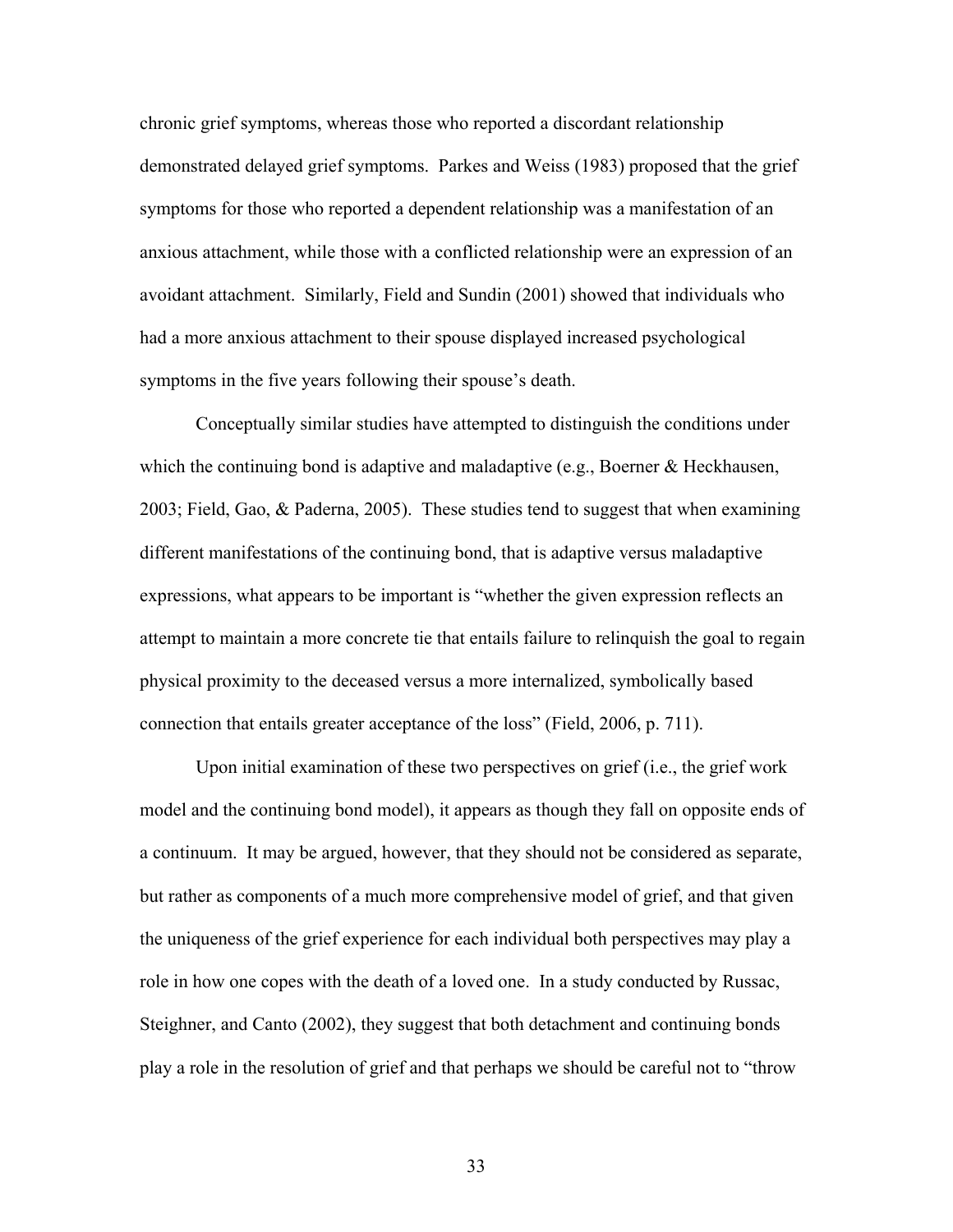chronic grief symptoms, whereas those who reported a discordant relationship demonstrated delayed grief symptoms. Parkes and Weiss (1983) proposed that the grief symptoms for those who reported a dependent relationship was a manifestation of an anxious attachment, while those with a conflicted relationship were an expression of an avoidant attachment. Similarly, Field and Sundin (2001) showed that individuals who had a more anxious attachment to their spouse displayed increased psychological symptoms in the five years following their spouse's death.

Conceptually similar studies have attempted to distinguish the conditions under which the continuing bond is adaptive and maladaptive (e.g., Boerner & Heckhausen, 2003; Field, Gao, & Paderna, 2005). These studies tend to suggest that when examining different manifestations of the continuing bond, that is adaptive versus maladaptive expressions, what appears to be important is "whether the given expression reflects an attempt to maintain a more concrete tie that entails failure to relinquish the goal to regain physical proximity to the deceased versus a more internalized, symbolically based connection that entails greater acceptance of the loss" (Field, 2006, p. 711).

Upon initial examination of these two perspectives on grief (i.e., the grief work model and the continuing bond model), it appears as though they fall on opposite ends of a continuum. It may be argued, however, that they should not be considered as separate, but rather as components of a much more comprehensive model of grief, and that given the uniqueness of the grief experience for each individual both perspectives may play a role in how one copes with the death of a loved one. In a study conducted by Russac, Steighner, and Canto (2002), they suggest that both detachment and continuing bonds play a role in the resolution of grief and that perhaps we should be careful not to "throw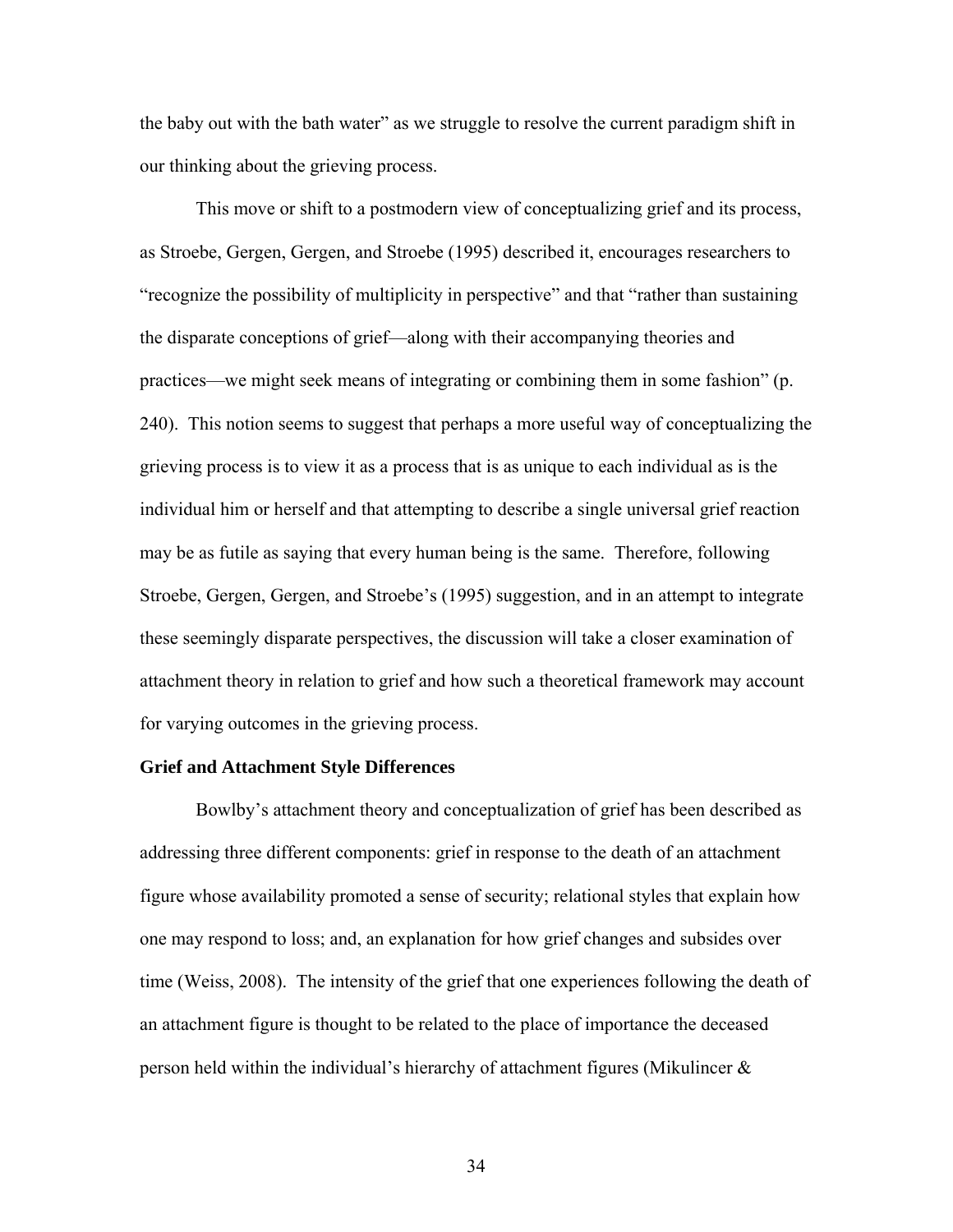the baby out with the bath water" as we struggle to resolve the current paradigm shift in our thinking about the grieving process.

This move or shift to a postmodern view of conceptualizing grief and its process, as Stroebe, Gergen, Gergen, and Stroebe (1995) described it, encourages researchers to "recognize the possibility of multiplicity in perspective" and that "rather than sustaining the disparate conceptions of grief—along with their accompanying theories and practices—we might seek means of integrating or combining them in some fashion" (p. 240). This notion seems to suggest that perhaps a more useful way of conceptualizing the grieving process is to view it as a process that is as unique to each individual as is the individual him or herself and that attempting to describe a single universal grief reaction may be as futile as saying that every human being is the same. Therefore, following Stroebe, Gergen, Gergen, and Stroebe's (1995) suggestion, and in an attempt to integrate these seemingly disparate perspectives, the discussion will take a closer examination of attachment theory in relation to grief and how such a theoretical framework may account for varying outcomes in the grieving process.

### **Grief and Attachment Style Differences**

 Bowlby's attachment theory and conceptualization of grief has been described as addressing three different components: grief in response to the death of an attachment figure whose availability promoted a sense of security; relational styles that explain how one may respond to loss; and, an explanation for how grief changes and subsides over time (Weiss, 2008). The intensity of the grief that one experiences following the death of an attachment figure is thought to be related to the place of importance the deceased person held within the individual's hierarchy of attachment figures (Mikulincer  $\&$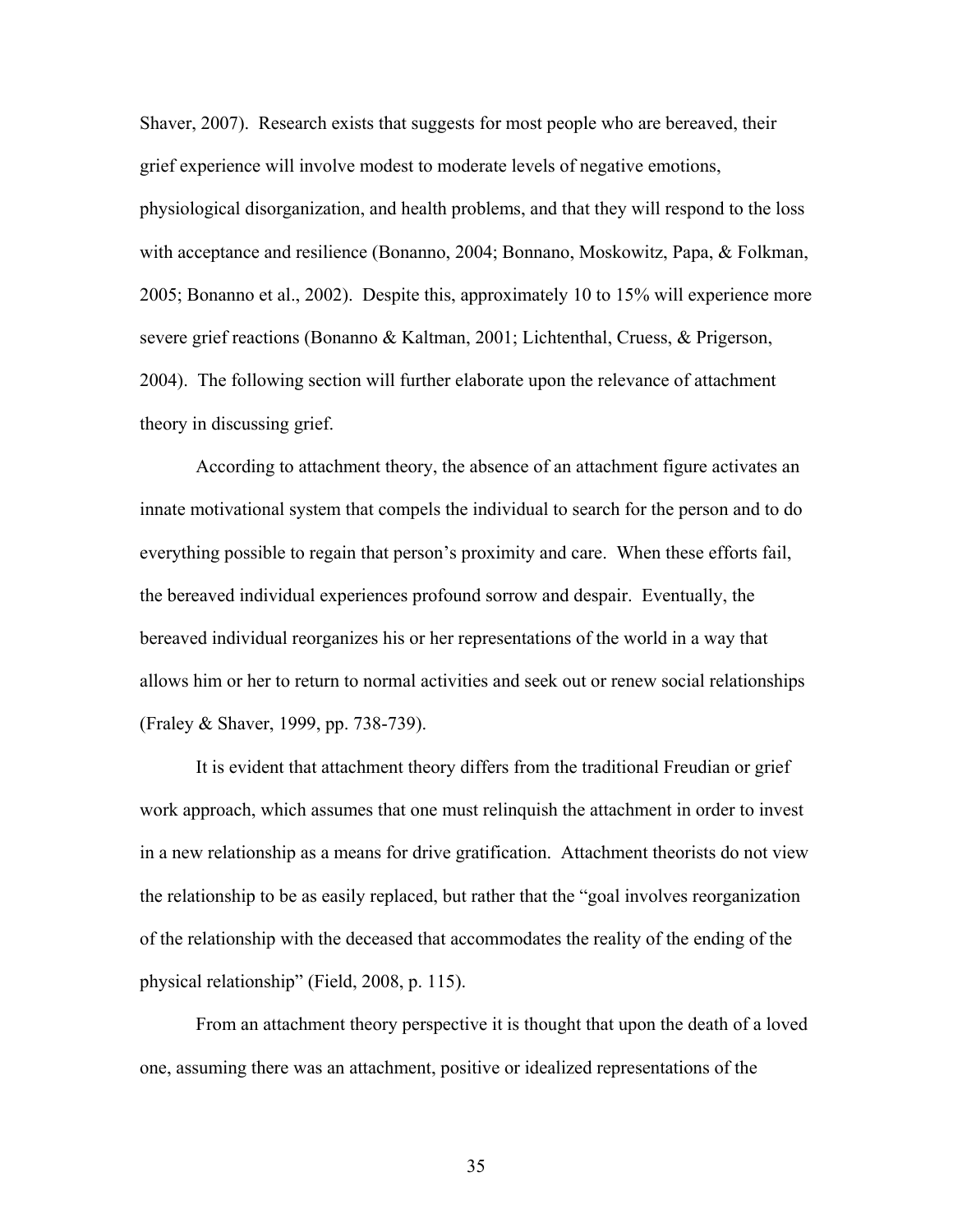Shaver, 2007). Research exists that suggests for most people who are bereaved, their grief experience will involve modest to moderate levels of negative emotions, physiological disorganization, and health problems, and that they will respond to the loss with acceptance and resilience (Bonanno, 2004; Bonnano, Moskowitz, Papa, & Folkman, 2005; Bonanno et al., 2002). Despite this, approximately 10 to 15% will experience more severe grief reactions (Bonanno & Kaltman, 2001; Lichtenthal, Cruess, & Prigerson, 2004). The following section will further elaborate upon the relevance of attachment theory in discussing grief.

According to attachment theory, the absence of an attachment figure activates an innate motivational system that compels the individual to search for the person and to do everything possible to regain that person's proximity and care. When these efforts fail, the bereaved individual experiences profound sorrow and despair. Eventually, the bereaved individual reorganizes his or her representations of the world in a way that allows him or her to return to normal activities and seek out or renew social relationships (Fraley & Shaver, 1999, pp. 738-739).

It is evident that attachment theory differs from the traditional Freudian or grief work approach, which assumes that one must relinquish the attachment in order to invest in a new relationship as a means for drive gratification. Attachment theorists do not view the relationship to be as easily replaced, but rather that the "goal involves reorganization of the relationship with the deceased that accommodates the reality of the ending of the physical relationship" (Field, 2008, p. 115).

From an attachment theory perspective it is thought that upon the death of a loved one, assuming there was an attachment, positive or idealized representations of the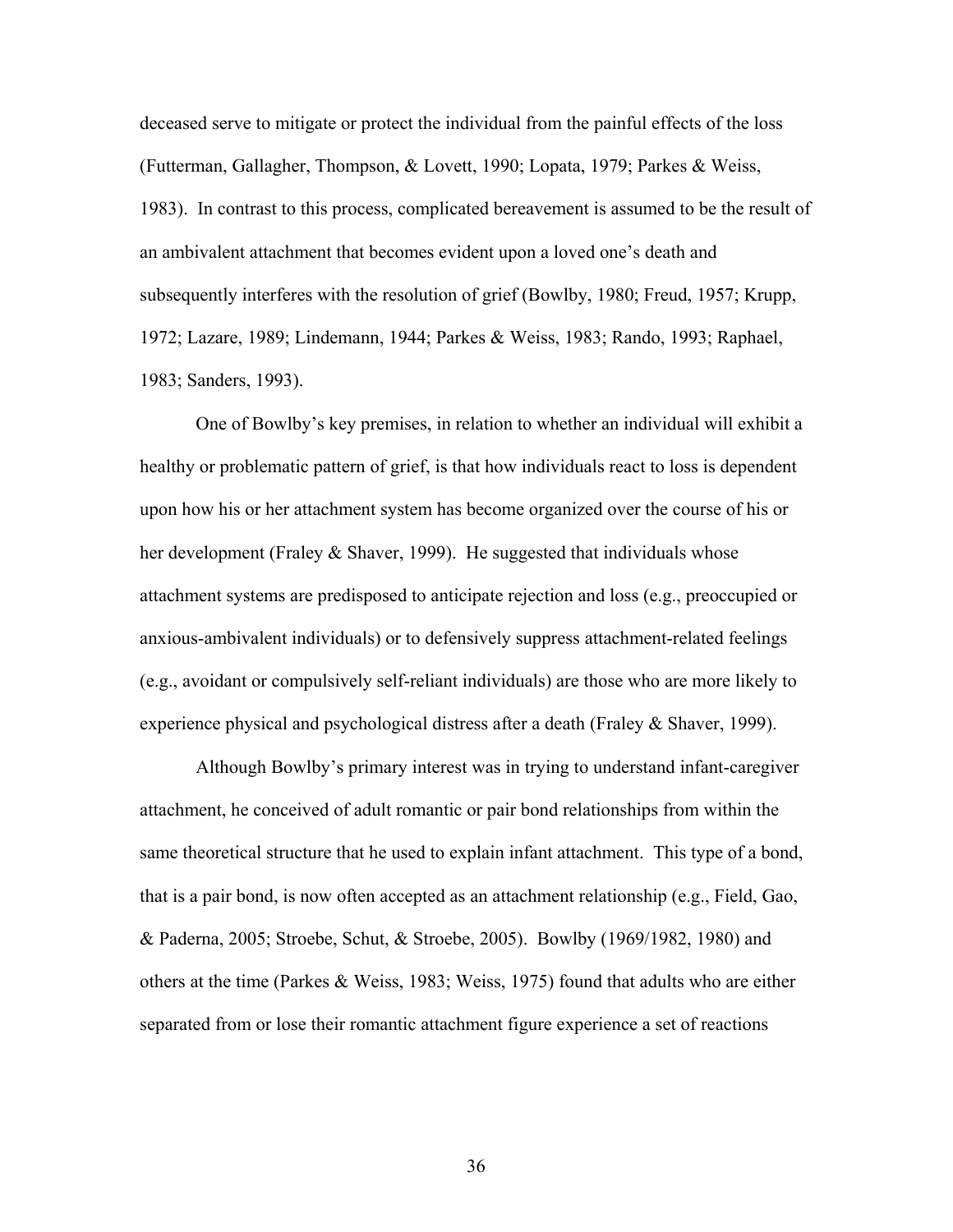deceased serve to mitigate or protect the individual from the painful effects of the loss (Futterman, Gallagher, Thompson, & Lovett, 1990; Lopata, 1979; Parkes & Weiss, 1983). In contrast to this process, complicated bereavement is assumed to be the result of an ambivalent attachment that becomes evident upon a loved one's death and subsequently interferes with the resolution of grief (Bowlby, 1980; Freud, 1957; Krupp, 1972; Lazare, 1989; Lindemann, 1944; Parkes & Weiss, 1983; Rando, 1993; Raphael, 1983; Sanders, 1993).

One of Bowlby's key premises, in relation to whether an individual will exhibit a healthy or problematic pattern of grief, is that how individuals react to loss is dependent upon how his or her attachment system has become organized over the course of his or her development (Fraley & Shaver, 1999). He suggested that individuals whose attachment systems are predisposed to anticipate rejection and loss (e.g., preoccupied or anxious-ambivalent individuals) or to defensively suppress attachment-related feelings (e.g., avoidant or compulsively self-reliant individuals) are those who are more likely to experience physical and psychological distress after a death (Fraley & Shaver, 1999).

Although Bowlby's primary interest was in trying to understand infant-caregiver attachment, he conceived of adult romantic or pair bond relationships from within the same theoretical structure that he used to explain infant attachment. This type of a bond, that is a pair bond, is now often accepted as an attachment relationship (e.g., Field, Gao, & Paderna, 2005; Stroebe, Schut, & Stroebe, 2005). Bowlby (1969/1982, 1980) and others at the time (Parkes & Weiss, 1983; Weiss, 1975) found that adults who are either separated from or lose their romantic attachment figure experience a set of reactions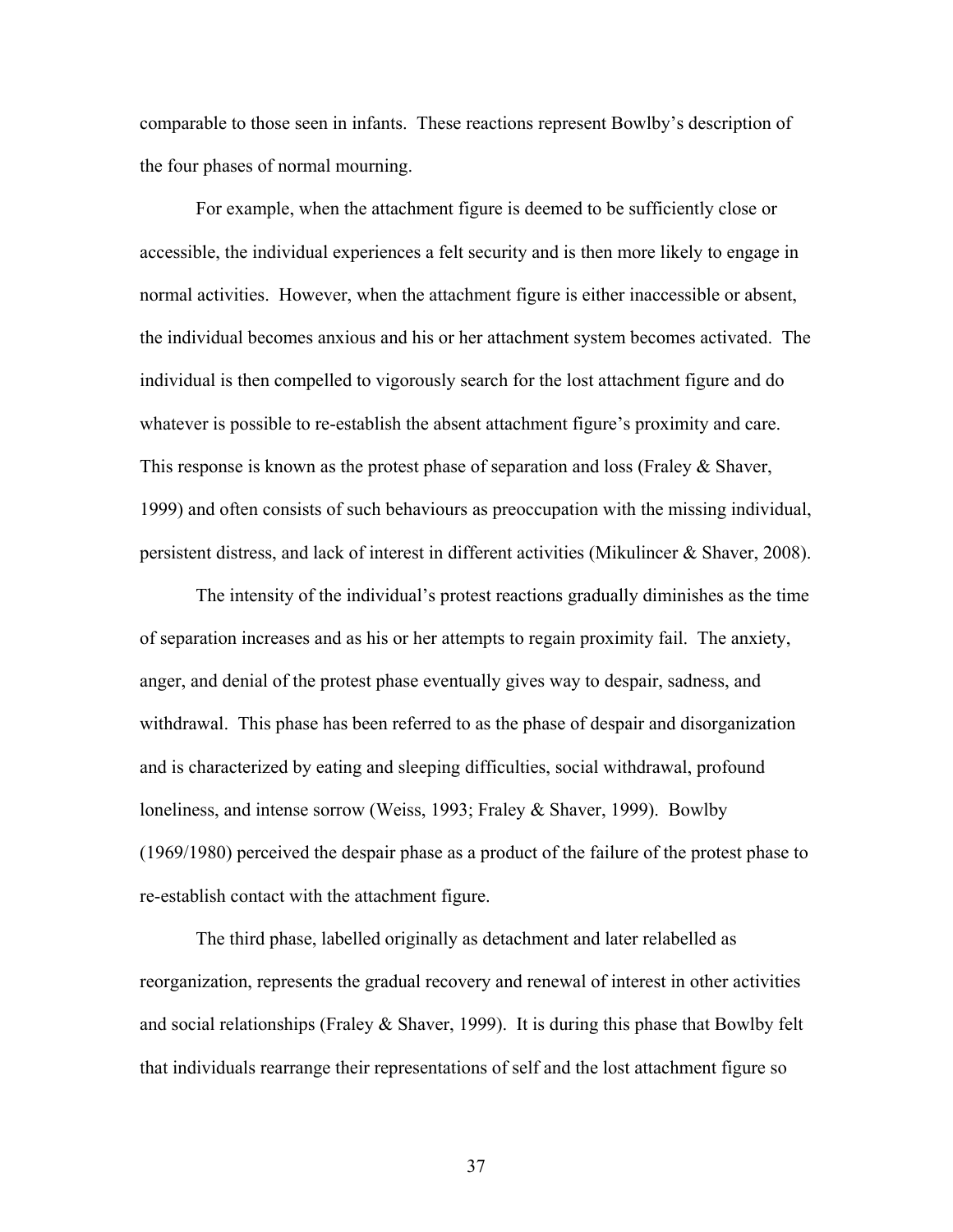comparable to those seen in infants. These reactions represent Bowlby's description of the four phases of normal mourning.

For example, when the attachment figure is deemed to be sufficiently close or accessible, the individual experiences a felt security and is then more likely to engage in normal activities. However, when the attachment figure is either inaccessible or absent, the individual becomes anxious and his or her attachment system becomes activated. The individual is then compelled to vigorously search for the lost attachment figure and do whatever is possible to re-establish the absent attachment figure's proximity and care. This response is known as the protest phase of separation and loss (Fraley  $\&$  Shaver, 1999) and often consists of such behaviours as preoccupation with the missing individual, persistent distress, and lack of interest in different activities (Mikulincer & Shaver, 2008).

The intensity of the individual's protest reactions gradually diminishes as the time of separation increases and as his or her attempts to regain proximity fail. The anxiety, anger, and denial of the protest phase eventually gives way to despair, sadness, and withdrawal. This phase has been referred to as the phase of despair and disorganization and is characterized by eating and sleeping difficulties, social withdrawal, profound loneliness, and intense sorrow (Weiss, 1993; Fraley & Shaver, 1999). Bowlby (1969/1980) perceived the despair phase as a product of the failure of the protest phase to re-establish contact with the attachment figure.

The third phase, labelled originally as detachment and later relabelled as reorganization, represents the gradual recovery and renewal of interest in other activities and social relationships (Fraley  $\&$  Shaver, 1999). It is during this phase that Bowlby felt that individuals rearrange their representations of self and the lost attachment figure so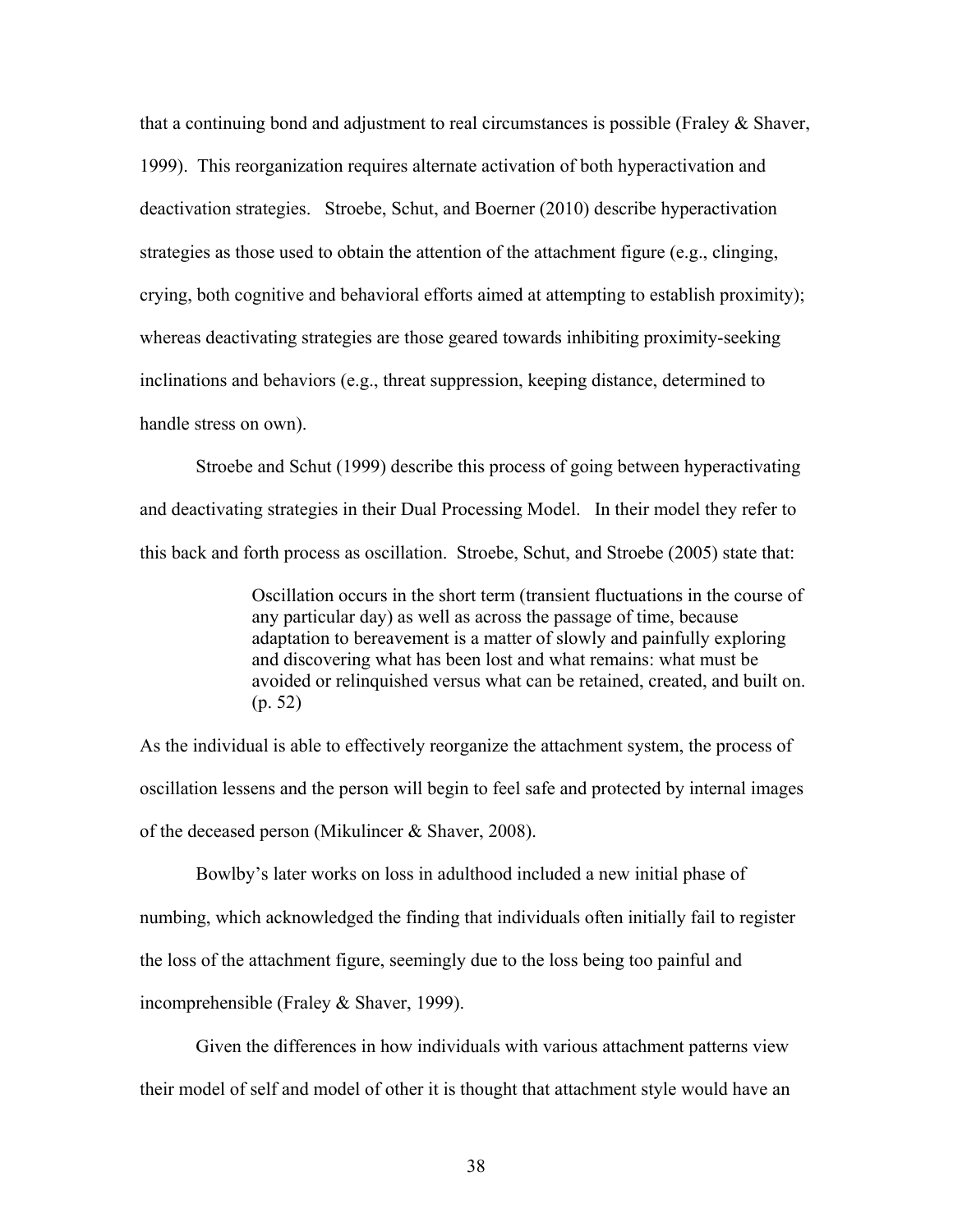that a continuing bond and adjustment to real circumstances is possible (Fraley & Shaver, 1999). This reorganization requires alternate activation of both hyperactivation and deactivation strategies. Stroebe, Schut, and Boerner (2010) describe hyperactivation strategies as those used to obtain the attention of the attachment figure (e.g., clinging, crying, both cognitive and behavioral efforts aimed at attempting to establish proximity); whereas deactivating strategies are those geared towards inhibiting proximity-seeking inclinations and behaviors (e.g., threat suppression, keeping distance, determined to handle stress on own).

Stroebe and Schut (1999) describe this process of going between hyperactivating and deactivating strategies in their Dual Processing Model. In their model they refer to this back and forth process as oscillation. Stroebe, Schut, and Stroebe (2005) state that:

> Oscillation occurs in the short term (transient fluctuations in the course of any particular day) as well as across the passage of time, because adaptation to bereavement is a matter of slowly and painfully exploring and discovering what has been lost and what remains: what must be avoided or relinquished versus what can be retained, created, and built on. (p. 52)

As the individual is able to effectively reorganize the attachment system, the process of oscillation lessens and the person will begin to feel safe and protected by internal images of the deceased person (Mikulincer & Shaver, 2008).

Bowlby's later works on loss in adulthood included a new initial phase of numbing, which acknowledged the finding that individuals often initially fail to register the loss of the attachment figure, seemingly due to the loss being too painful and incomprehensible (Fraley & Shaver, 1999).

Given the differences in how individuals with various attachment patterns view their model of self and model of other it is thought that attachment style would have an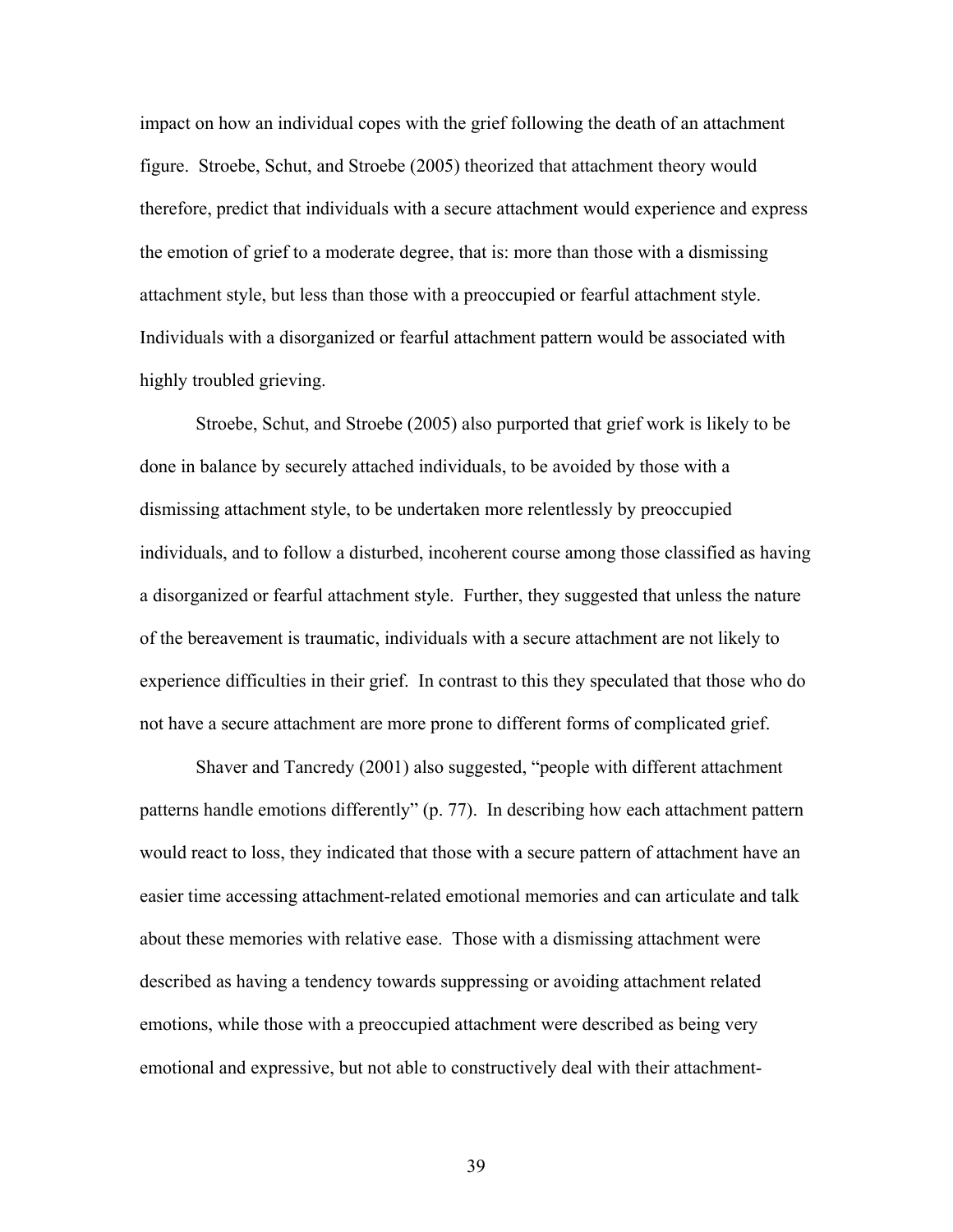impact on how an individual copes with the grief following the death of an attachment figure. Stroebe, Schut, and Stroebe (2005) theorized that attachment theory would therefore, predict that individuals with a secure attachment would experience and express the emotion of grief to a moderate degree, that is: more than those with a dismissing attachment style, but less than those with a preoccupied or fearful attachment style. Individuals with a disorganized or fearful attachment pattern would be associated with highly troubled grieving.

Stroebe, Schut, and Stroebe (2005) also purported that grief work is likely to be done in balance by securely attached individuals, to be avoided by those with a dismissing attachment style, to be undertaken more relentlessly by preoccupied individuals, and to follow a disturbed, incoherent course among those classified as having a disorganized or fearful attachment style. Further, they suggested that unless the nature of the bereavement is traumatic, individuals with a secure attachment are not likely to experience difficulties in their grief. In contrast to this they speculated that those who do not have a secure attachment are more prone to different forms of complicated grief.

Shaver and Tancredy (2001) also suggested, "people with different attachment patterns handle emotions differently" (p. 77). In describing how each attachment pattern would react to loss, they indicated that those with a secure pattern of attachment have an easier time accessing attachment-related emotional memories and can articulate and talk about these memories with relative ease. Those with a dismissing attachment were described as having a tendency towards suppressing or avoiding attachment related emotions, while those with a preoccupied attachment were described as being very emotional and expressive, but not able to constructively deal with their attachment-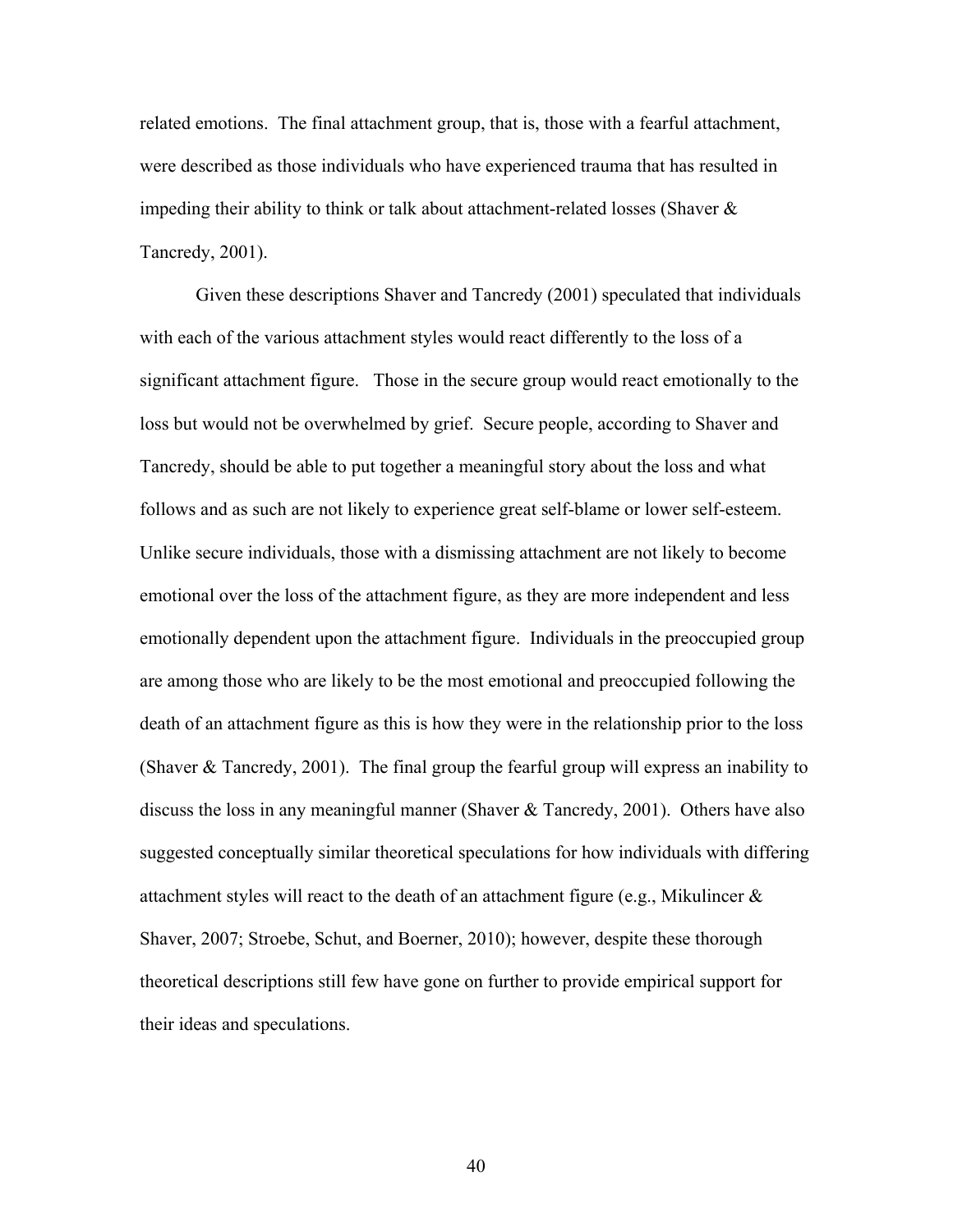related emotions. The final attachment group, that is, those with a fearful attachment, were described as those individuals who have experienced trauma that has resulted in impeding their ability to think or talk about attachment-related losses (Shaver  $\&$ Tancredy, 2001).

Given these descriptions Shaver and Tancredy (2001) speculated that individuals with each of the various attachment styles would react differently to the loss of a significant attachment figure. Those in the secure group would react emotionally to the loss but would not be overwhelmed by grief. Secure people, according to Shaver and Tancredy, should be able to put together a meaningful story about the loss and what follows and as such are not likely to experience great self-blame or lower self-esteem. Unlike secure individuals, those with a dismissing attachment are not likely to become emotional over the loss of the attachment figure, as they are more independent and less emotionally dependent upon the attachment figure. Individuals in the preoccupied group are among those who are likely to be the most emotional and preoccupied following the death of an attachment figure as this is how they were in the relationship prior to the loss (Shaver & Tancredy, 2001). The final group the fearful group will express an inability to discuss the loss in any meaningful manner (Shaver & Tancredy, 2001). Others have also suggested conceptually similar theoretical speculations for how individuals with differing attachment styles will react to the death of an attachment figure (e.g., Mikulincer & Shaver, 2007; Stroebe, Schut, and Boerner, 2010); however, despite these thorough theoretical descriptions still few have gone on further to provide empirical support for their ideas and speculations.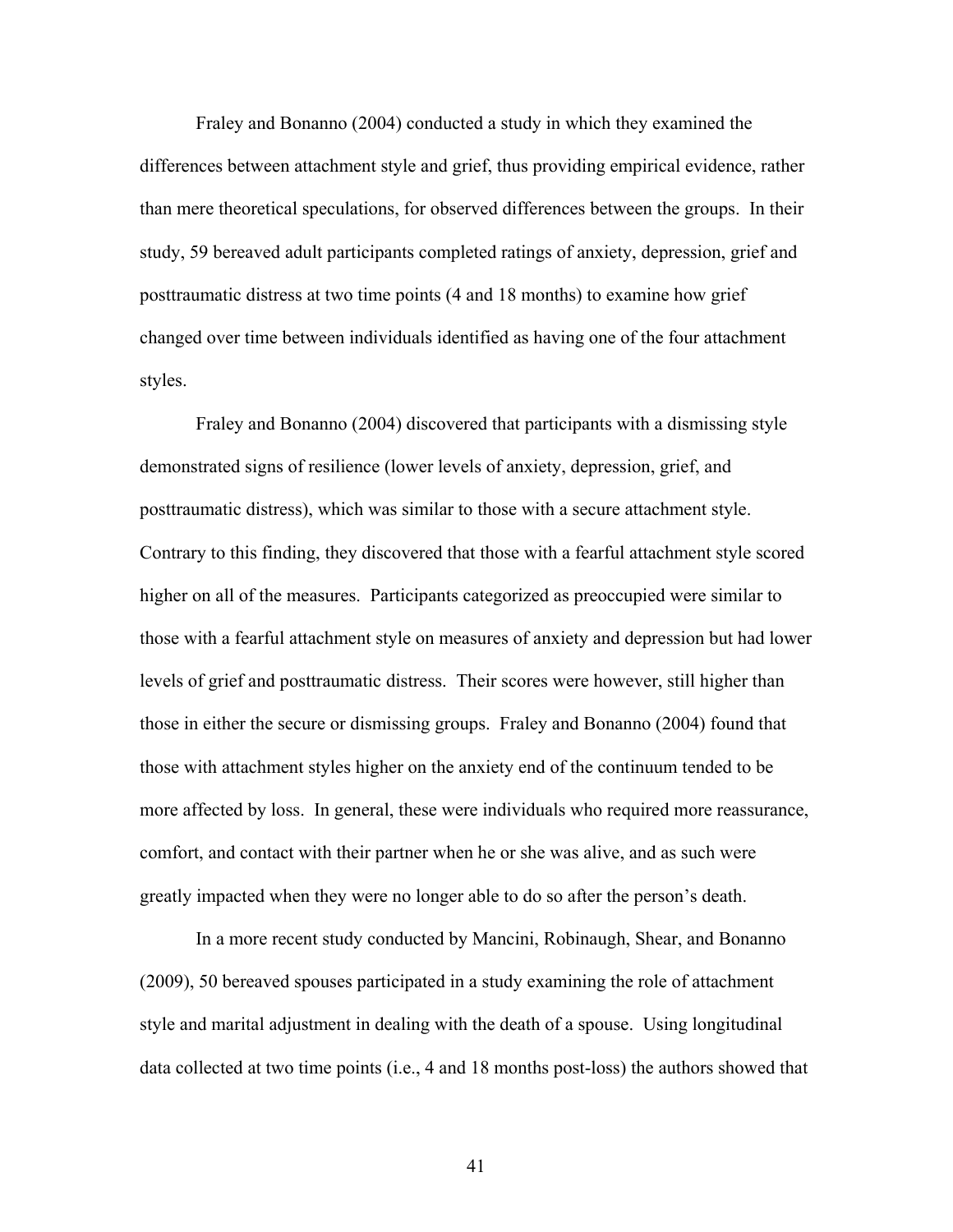Fraley and Bonanno (2004) conducted a study in which they examined the differences between attachment style and grief, thus providing empirical evidence, rather than mere theoretical speculations, for observed differences between the groups. In their study, 59 bereaved adult participants completed ratings of anxiety, depression, grief and posttraumatic distress at two time points (4 and 18 months) to examine how grief changed over time between individuals identified as having one of the four attachment styles.

Fraley and Bonanno (2004) discovered that participants with a dismissing style demonstrated signs of resilience (lower levels of anxiety, depression, grief, and posttraumatic distress), which was similar to those with a secure attachment style. Contrary to this finding, they discovered that those with a fearful attachment style scored higher on all of the measures. Participants categorized as preoccupied were similar to those with a fearful attachment style on measures of anxiety and depression but had lower levels of grief and posttraumatic distress. Their scores were however, still higher than those in either the secure or dismissing groups. Fraley and Bonanno (2004) found that those with attachment styles higher on the anxiety end of the continuum tended to be more affected by loss. In general, these were individuals who required more reassurance, comfort, and contact with their partner when he or she was alive, and as such were greatly impacted when they were no longer able to do so after the person's death.

In a more recent study conducted by Mancini, Robinaugh, Shear, and Bonanno (2009), 50 bereaved spouses participated in a study examining the role of attachment style and marital adjustment in dealing with the death of a spouse. Using longitudinal data collected at two time points (i.e., 4 and 18 months post-loss) the authors showed that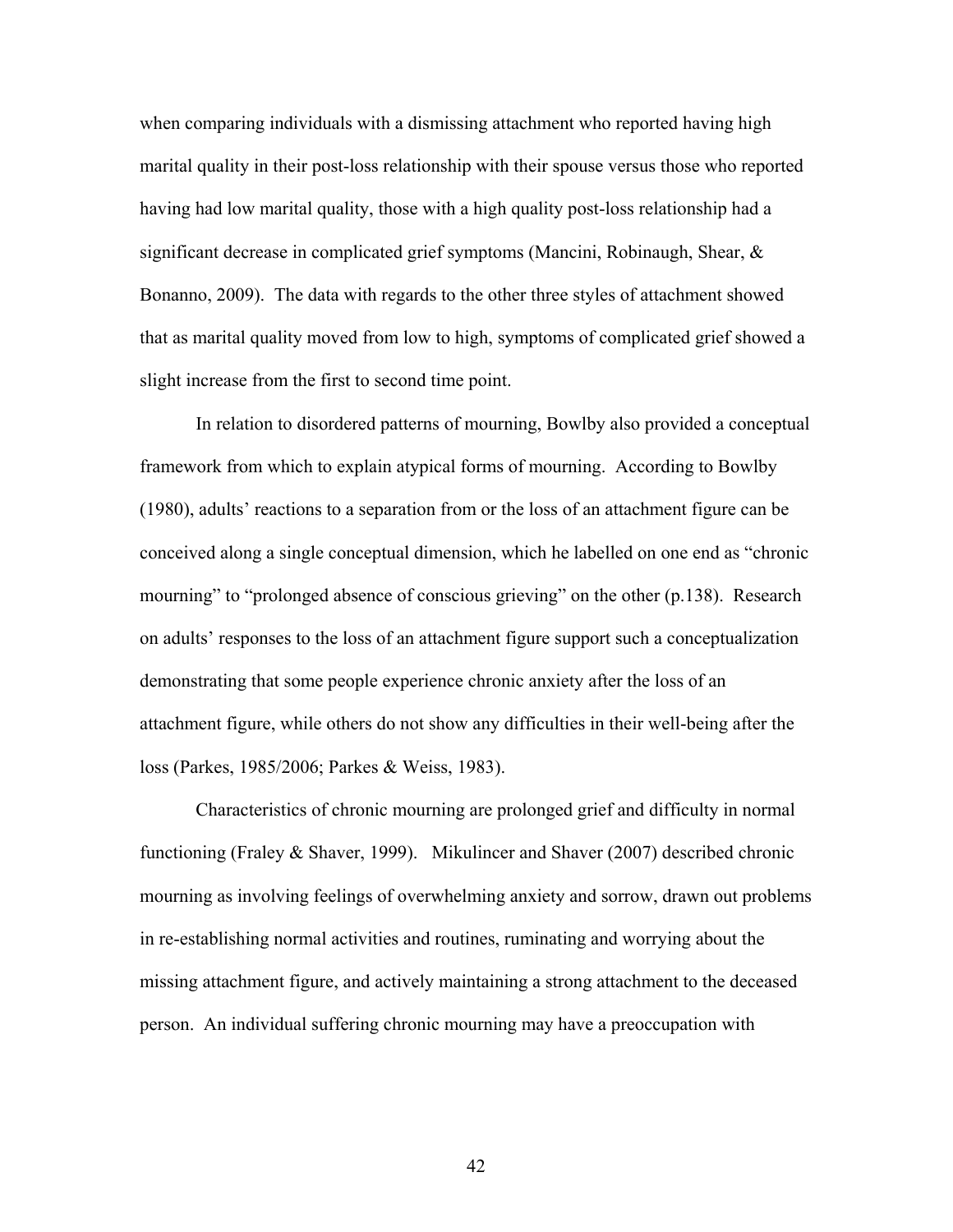when comparing individuals with a dismissing attachment who reported having high marital quality in their post-loss relationship with their spouse versus those who reported having had low marital quality, those with a high quality post-loss relationship had a significant decrease in complicated grief symptoms (Mancini, Robinaugh, Shear, & Bonanno, 2009). The data with regards to the other three styles of attachment showed that as marital quality moved from low to high, symptoms of complicated grief showed a slight increase from the first to second time point.

In relation to disordered patterns of mourning, Bowlby also provided a conceptual framework from which to explain atypical forms of mourning. According to Bowlby (1980), adults' reactions to a separation from or the loss of an attachment figure can be conceived along a single conceptual dimension, which he labelled on one end as "chronic mourning" to "prolonged absence of conscious grieving" on the other (p.138). Research on adults' responses to the loss of an attachment figure support such a conceptualization demonstrating that some people experience chronic anxiety after the loss of an attachment figure, while others do not show any difficulties in their well-being after the loss (Parkes, 1985/2006; Parkes & Weiss, 1983).

Characteristics of chronic mourning are prolonged grief and difficulty in normal functioning (Fraley & Shaver, 1999). Mikulincer and Shaver (2007) described chronic mourning as involving feelings of overwhelming anxiety and sorrow, drawn out problems in re-establishing normal activities and routines, ruminating and worrying about the missing attachment figure, and actively maintaining a strong attachment to the deceased person. An individual suffering chronic mourning may have a preoccupation with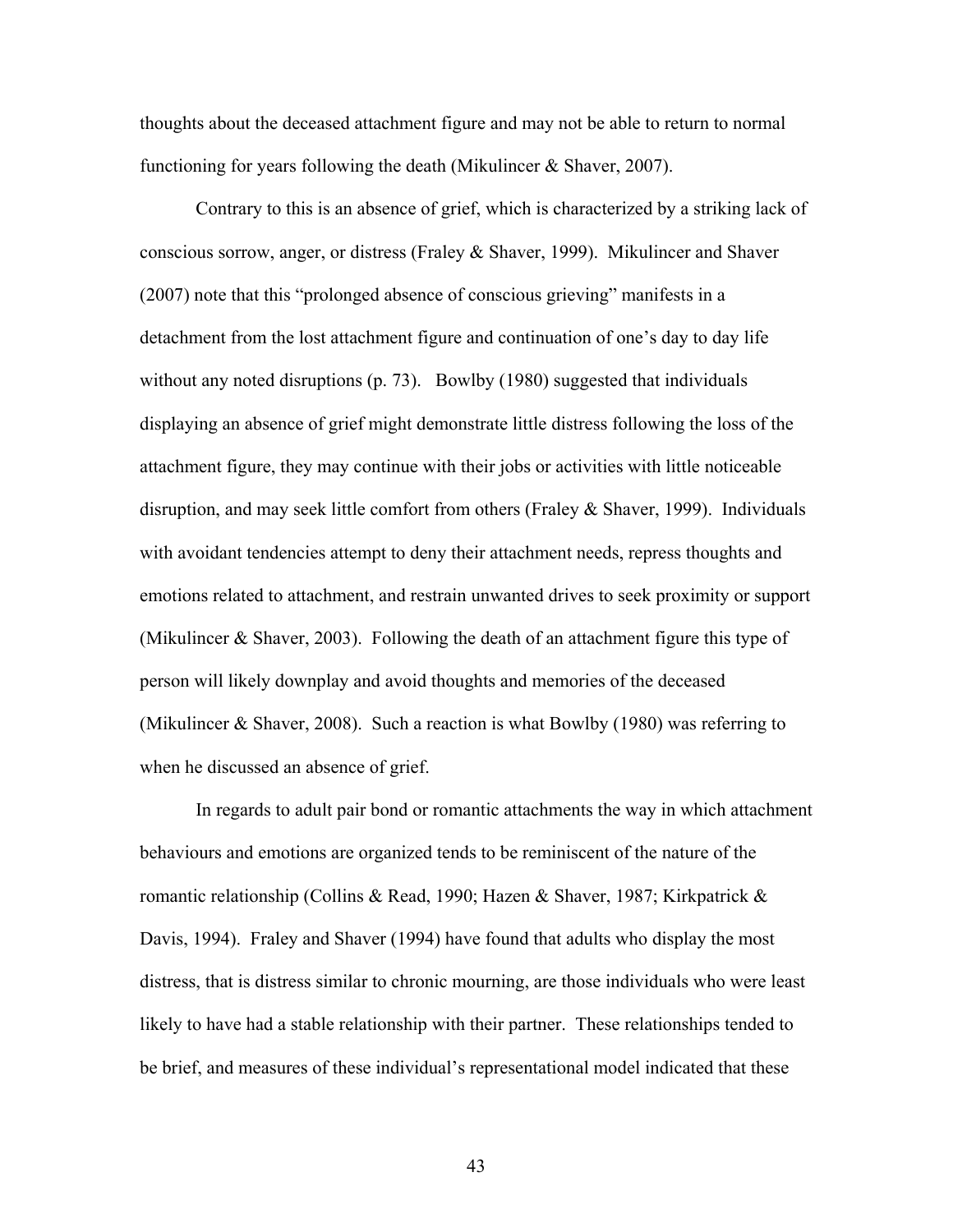thoughts about the deceased attachment figure and may not be able to return to normal functioning for years following the death (Mikulincer & Shaver, 2007).

Contrary to this is an absence of grief, which is characterized by a striking lack of conscious sorrow, anger, or distress (Fraley & Shaver, 1999). Mikulincer and Shaver (2007) note that this "prolonged absence of conscious grieving" manifests in a detachment from the lost attachment figure and continuation of one's day to day life without any noted disruptions (p. 73). Bowlby (1980) suggested that individuals displaying an absence of grief might demonstrate little distress following the loss of the attachment figure, they may continue with their jobs or activities with little noticeable disruption, and may seek little comfort from others (Fraley & Shaver, 1999). Individuals with avoidant tendencies attempt to deny their attachment needs, repress thoughts and emotions related to attachment, and restrain unwanted drives to seek proximity or support (Mikulincer & Shaver, 2003). Following the death of an attachment figure this type of person will likely downplay and avoid thoughts and memories of the deceased (Mikulincer & Shaver, 2008). Such a reaction is what Bowlby (1980) was referring to when he discussed an absence of grief.

In regards to adult pair bond or romantic attachments the way in which attachment behaviours and emotions are organized tends to be reminiscent of the nature of the romantic relationship (Collins & Read, 1990; Hazen & Shaver, 1987; Kirkpatrick & Davis, 1994). Fraley and Shaver (1994) have found that adults who display the most distress, that is distress similar to chronic mourning, are those individuals who were least likely to have had a stable relationship with their partner. These relationships tended to be brief, and measures of these individual's representational model indicated that these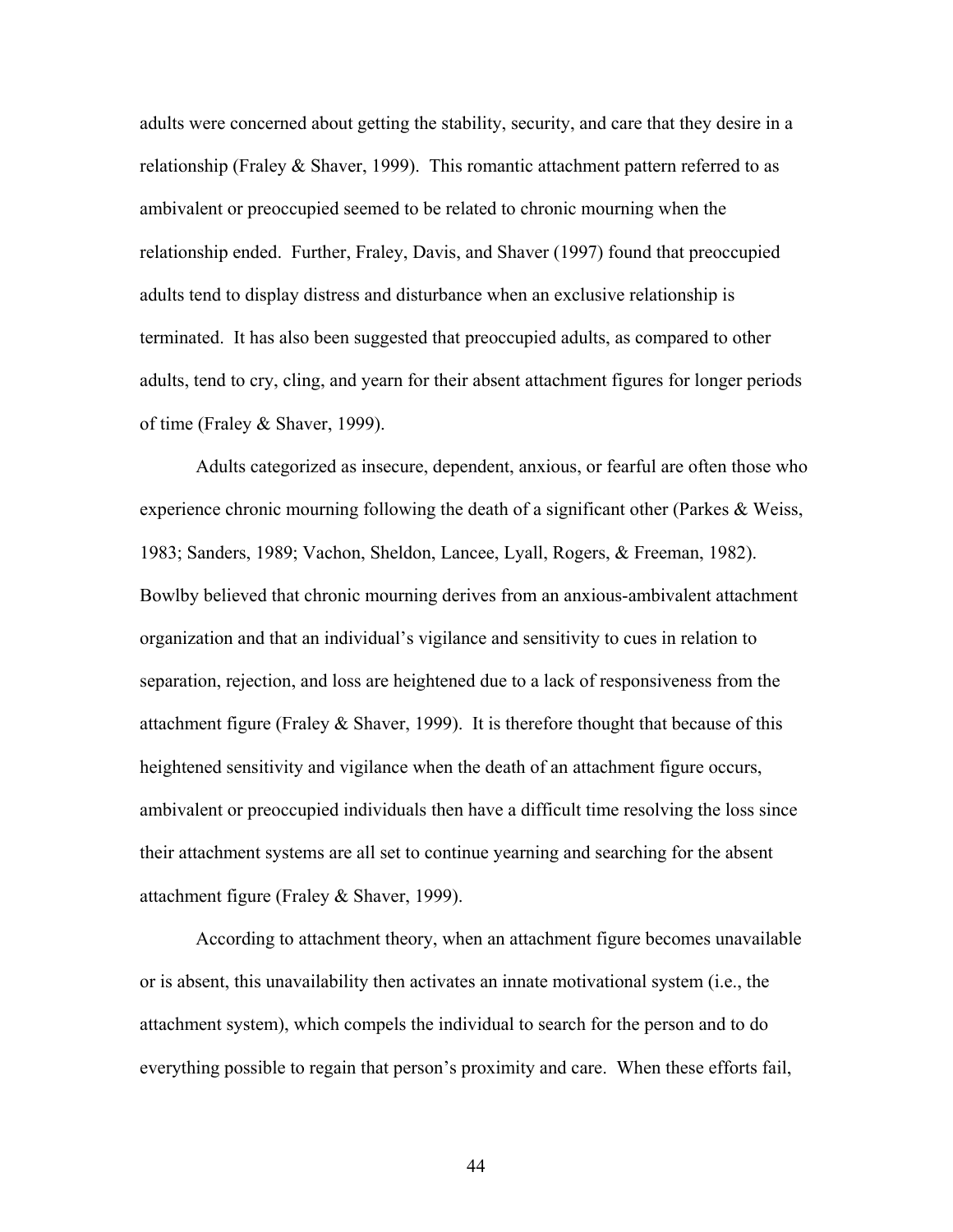adults were concerned about getting the stability, security, and care that they desire in a relationship (Fraley & Shaver, 1999). This romantic attachment pattern referred to as ambivalent or preoccupied seemed to be related to chronic mourning when the relationship ended. Further, Fraley, Davis, and Shaver (1997) found that preoccupied adults tend to display distress and disturbance when an exclusive relationship is terminated. It has also been suggested that preoccupied adults, as compared to other adults, tend to cry, cling, and yearn for their absent attachment figures for longer periods of time (Fraley & Shaver, 1999).

Adults categorized as insecure, dependent, anxious, or fearful are often those who experience chronic mourning following the death of a significant other (Parkes & Weiss, 1983; Sanders, 1989; Vachon, Sheldon, Lancee, Lyall, Rogers, & Freeman, 1982). Bowlby believed that chronic mourning derives from an anxious-ambivalent attachment organization and that an individual's vigilance and sensitivity to cues in relation to separation, rejection, and loss are heightened due to a lack of responsiveness from the attachment figure (Fraley  $&$  Shaver, 1999). It is therefore thought that because of this heightened sensitivity and vigilance when the death of an attachment figure occurs, ambivalent or preoccupied individuals then have a difficult time resolving the loss since their attachment systems are all set to continue yearning and searching for the absent attachment figure (Fraley & Shaver, 1999).

According to attachment theory, when an attachment figure becomes unavailable or is absent, this unavailability then activates an innate motivational system (i.e., the attachment system), which compels the individual to search for the person and to do everything possible to regain that person's proximity and care. When these efforts fail,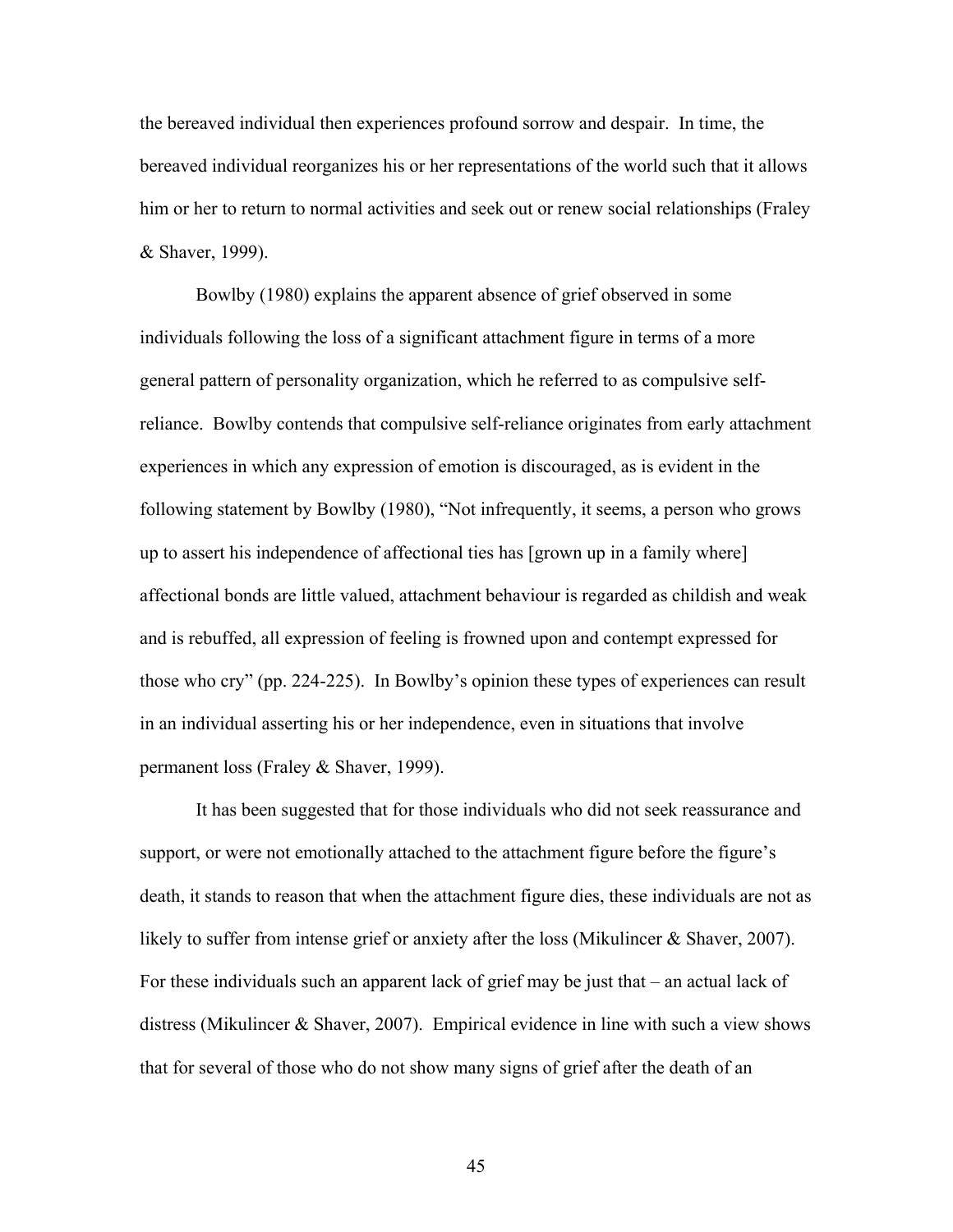the bereaved individual then experiences profound sorrow and despair. In time, the bereaved individual reorganizes his or her representations of the world such that it allows him or her to return to normal activities and seek out or renew social relationships (Fraley & Shaver, 1999).

Bowlby (1980) explains the apparent absence of grief observed in some individuals following the loss of a significant attachment figure in terms of a more general pattern of personality organization, which he referred to as compulsive selfreliance. Bowlby contends that compulsive self-reliance originates from early attachment experiences in which any expression of emotion is discouraged, as is evident in the following statement by Bowlby (1980), "Not infrequently, it seems, a person who grows up to assert his independence of affectional ties has [grown up in a family where] affectional bonds are little valued, attachment behaviour is regarded as childish and weak and is rebuffed, all expression of feeling is frowned upon and contempt expressed for those who cry" (pp. 224-225). In Bowlby's opinion these types of experiences can result in an individual asserting his or her independence, even in situations that involve permanent loss (Fraley & Shaver, 1999).

It has been suggested that for those individuals who did not seek reassurance and support, or were not emotionally attached to the attachment figure before the figure's death, it stands to reason that when the attachment figure dies, these individuals are not as likely to suffer from intense grief or anxiety after the loss (Mikulincer & Shaver, 2007). For these individuals such an apparent lack of grief may be just that – an actual lack of distress (Mikulincer & Shaver, 2007). Empirical evidence in line with such a view shows that for several of those who do not show many signs of grief after the death of an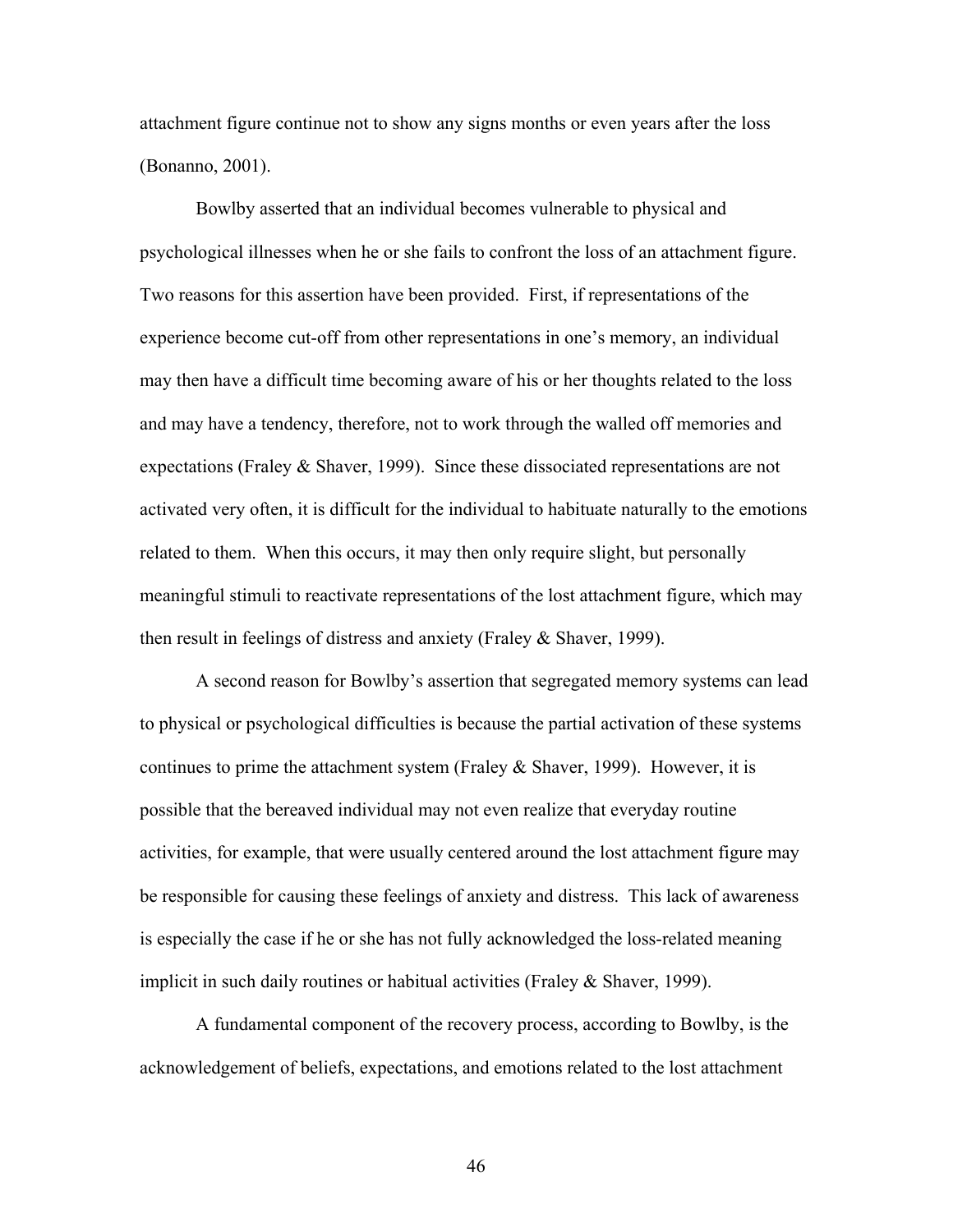attachment figure continue not to show any signs months or even years after the loss (Bonanno, 2001).

Bowlby asserted that an individual becomes vulnerable to physical and psychological illnesses when he or she fails to confront the loss of an attachment figure. Two reasons for this assertion have been provided. First, if representations of the experience become cut-off from other representations in one's memory, an individual may then have a difficult time becoming aware of his or her thoughts related to the loss and may have a tendency, therefore, not to work through the walled off memories and expectations (Fraley & Shaver, 1999). Since these dissociated representations are not activated very often, it is difficult for the individual to habituate naturally to the emotions related to them. When this occurs, it may then only require slight, but personally meaningful stimuli to reactivate representations of the lost attachment figure, which may then result in feelings of distress and anxiety (Fraley & Shaver, 1999).

A second reason for Bowlby's assertion that segregated memory systems can lead to physical or psychological difficulties is because the partial activation of these systems continues to prime the attachment system (Fraley  $\&$  Shaver, 1999). However, it is possible that the bereaved individual may not even realize that everyday routine activities, for example, that were usually centered around the lost attachment figure may be responsible for causing these feelings of anxiety and distress. This lack of awareness is especially the case if he or she has not fully acknowledged the loss-related meaning implicit in such daily routines or habitual activities (Fraley & Shaver, 1999).

A fundamental component of the recovery process, according to Bowlby, is the acknowledgement of beliefs, expectations, and emotions related to the lost attachment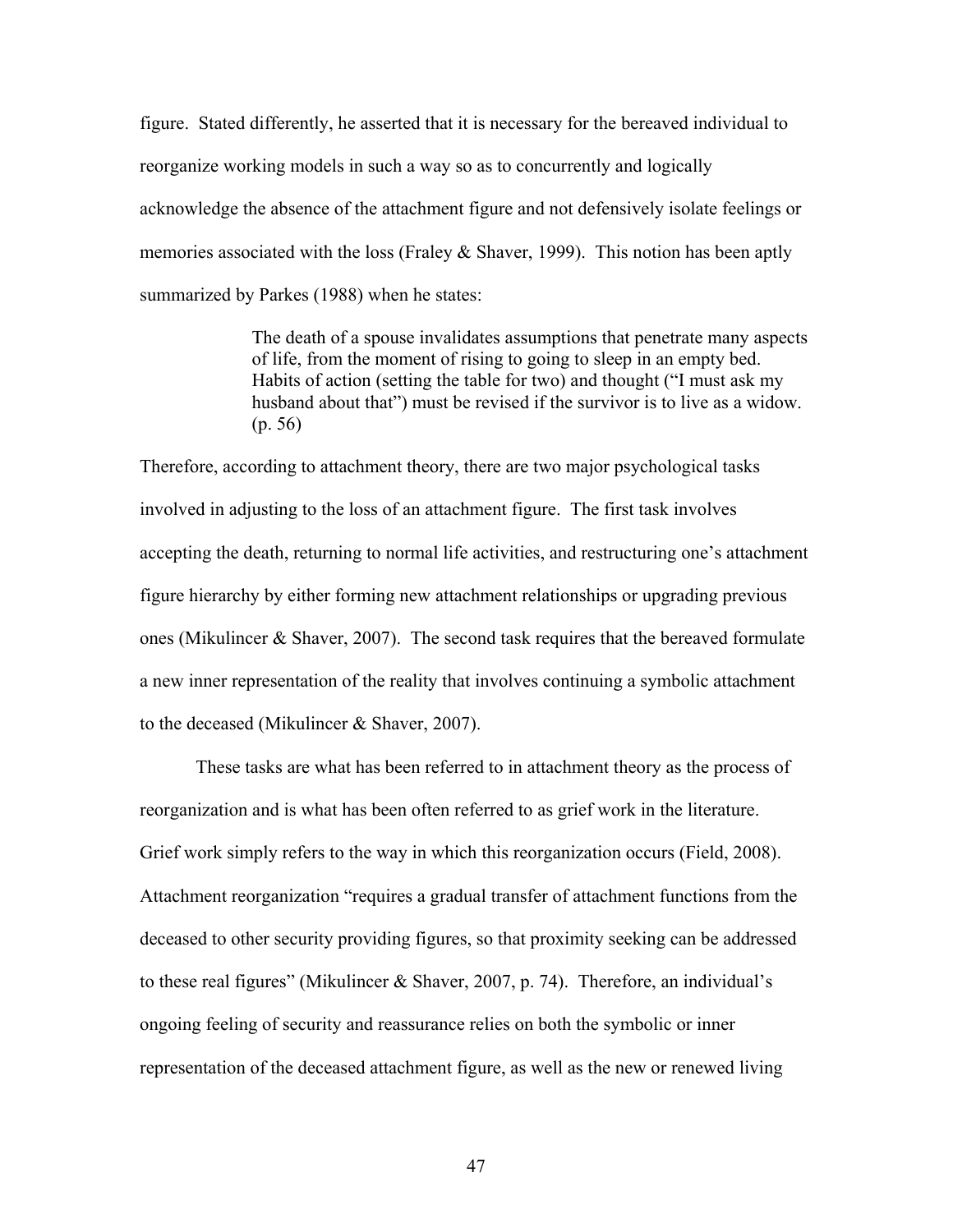figure. Stated differently, he asserted that it is necessary for the bereaved individual to reorganize working models in such a way so as to concurrently and logically acknowledge the absence of the attachment figure and not defensively isolate feelings or memories associated with the loss (Fraley  $&$  Shaver, 1999). This notion has been aptly summarized by Parkes (1988) when he states:

> The death of a spouse invalidates assumptions that penetrate many aspects of life, from the moment of rising to going to sleep in an empty bed. Habits of action (setting the table for two) and thought ("I must ask my husband about that") must be revised if the survivor is to live as a widow. (p. 56)

Therefore, according to attachment theory, there are two major psychological tasks involved in adjusting to the loss of an attachment figure. The first task involves accepting the death, returning to normal life activities, and restructuring one's attachment figure hierarchy by either forming new attachment relationships or upgrading previous ones (Mikulincer & Shaver, 2007). The second task requires that the bereaved formulate a new inner representation of the reality that involves continuing a symbolic attachment to the deceased (Mikulincer & Shaver, 2007).

These tasks are what has been referred to in attachment theory as the process of reorganization and is what has been often referred to as grief work in the literature. Grief work simply refers to the way in which this reorganization occurs (Field, 2008). Attachment reorganization "requires a gradual transfer of attachment functions from the deceased to other security providing figures, so that proximity seeking can be addressed to these real figures" (Mikulincer & Shaver, 2007, p. 74). Therefore, an individual's ongoing feeling of security and reassurance relies on both the symbolic or inner representation of the deceased attachment figure, as well as the new or renewed living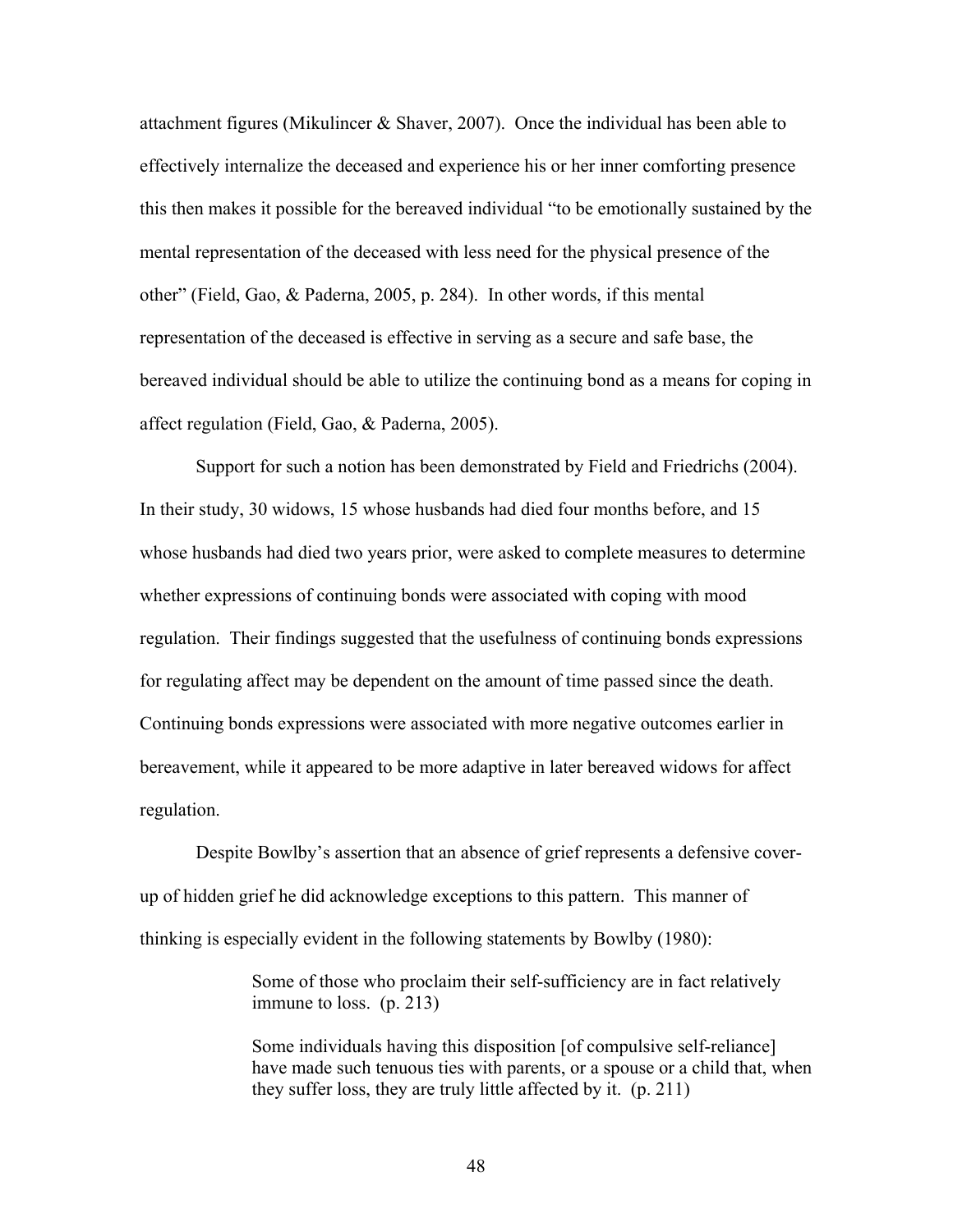attachment figures (Mikulincer & Shaver, 2007). Once the individual has been able to effectively internalize the deceased and experience his or her inner comforting presence this then makes it possible for the bereaved individual "to be emotionally sustained by the mental representation of the deceased with less need for the physical presence of the other" (Field, Gao, & Paderna, 2005, p. 284). In other words, if this mental representation of the deceased is effective in serving as a secure and safe base, the bereaved individual should be able to utilize the continuing bond as a means for coping in affect regulation (Field, Gao, & Paderna, 2005).

Support for such a notion has been demonstrated by Field and Friedrichs (2004). In their study, 30 widows, 15 whose husbands had died four months before, and 15 whose husbands had died two years prior, were asked to complete measures to determine whether expressions of continuing bonds were associated with coping with mood regulation. Their findings suggested that the usefulness of continuing bonds expressions for regulating affect may be dependent on the amount of time passed since the death. Continuing bonds expressions were associated with more negative outcomes earlier in bereavement, while it appeared to be more adaptive in later bereaved widows for affect regulation.

Despite Bowlby's assertion that an absence of grief represents a defensive coverup of hidden grief he did acknowledge exceptions to this pattern. This manner of thinking is especially evident in the following statements by Bowlby (1980):

> Some of those who proclaim their self-sufficiency are in fact relatively immune to loss. (p. 213)

Some individuals having this disposition [of compulsive self-reliance] have made such tenuous ties with parents, or a spouse or a child that, when they suffer loss, they are truly little affected by it. (p. 211)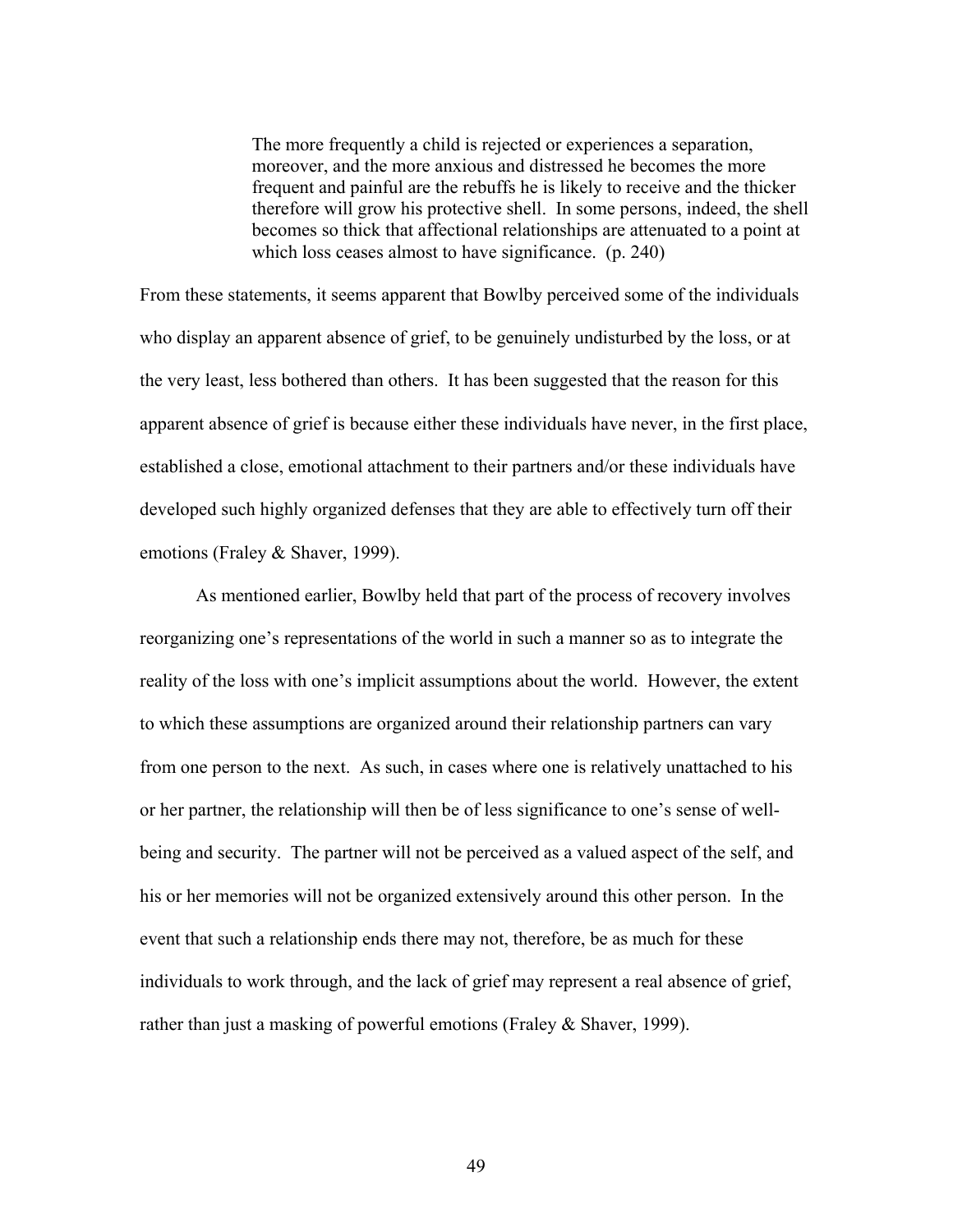The more frequently a child is rejected or experiences a separation, moreover, and the more anxious and distressed he becomes the more frequent and painful are the rebuffs he is likely to receive and the thicker therefore will grow his protective shell. In some persons, indeed, the shell becomes so thick that affectional relationships are attenuated to a point at which loss ceases almost to have significance. (p. 240)

From these statements, it seems apparent that Bowlby perceived some of the individuals who display an apparent absence of grief, to be genuinely undisturbed by the loss, or at the very least, less bothered than others. It has been suggested that the reason for this apparent absence of grief is because either these individuals have never, in the first place, established a close, emotional attachment to their partners and/or these individuals have developed such highly organized defenses that they are able to effectively turn off their emotions (Fraley & Shaver, 1999).

As mentioned earlier, Bowlby held that part of the process of recovery involves reorganizing one's representations of the world in such a manner so as to integrate the reality of the loss with one's implicit assumptions about the world. However, the extent to which these assumptions are organized around their relationship partners can vary from one person to the next. As such, in cases where one is relatively unattached to his or her partner, the relationship will then be of less significance to one's sense of wellbeing and security. The partner will not be perceived as a valued aspect of the self, and his or her memories will not be organized extensively around this other person. In the event that such a relationship ends there may not, therefore, be as much for these individuals to work through, and the lack of grief may represent a real absence of grief, rather than just a masking of powerful emotions (Fraley & Shaver, 1999).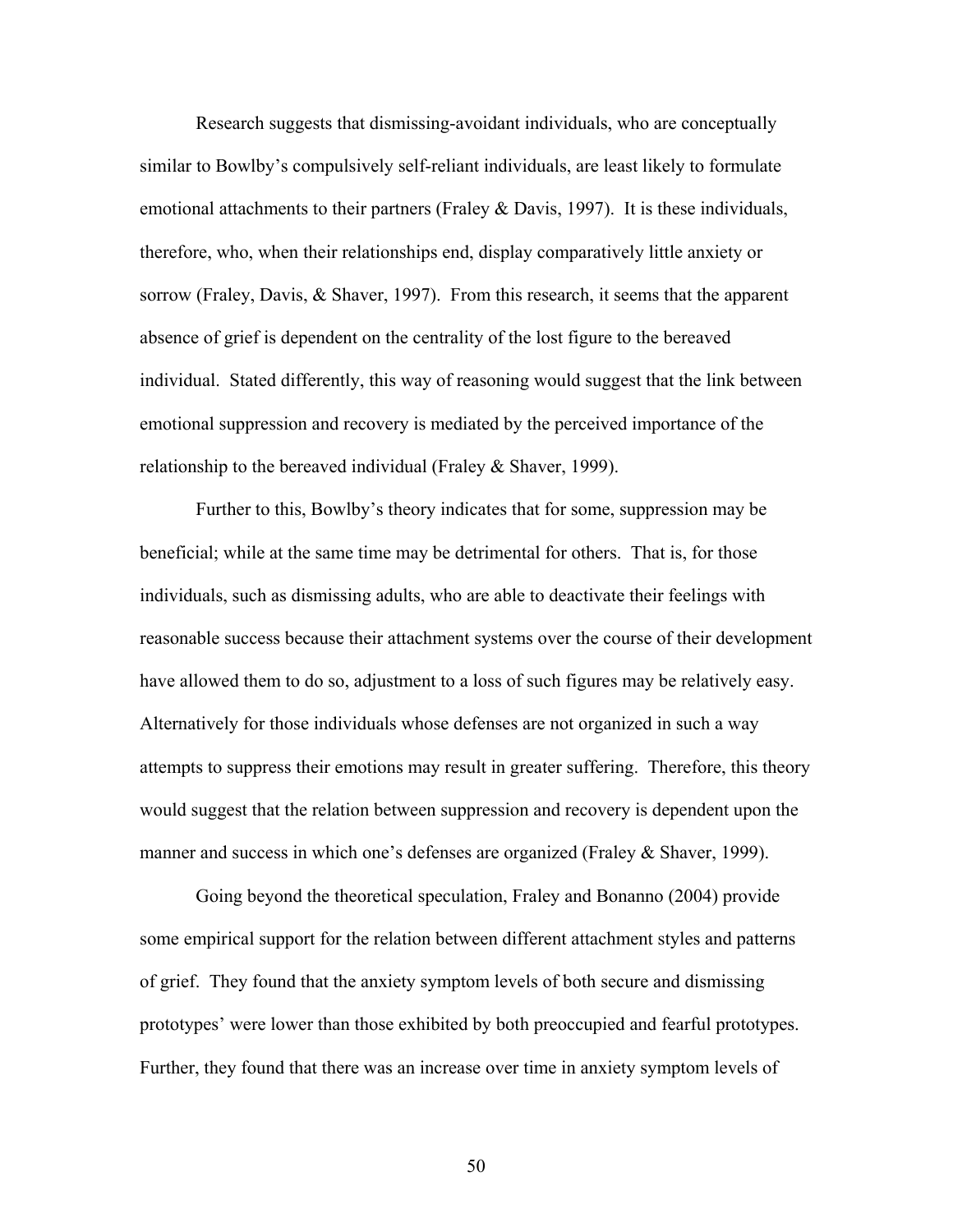Research suggests that dismissing-avoidant individuals, who are conceptually similar to Bowlby's compulsively self-reliant individuals, are least likely to formulate emotional attachments to their partners (Fraley & Davis, 1997). It is these individuals, therefore, who, when their relationships end, display comparatively little anxiety or sorrow (Fraley, Davis, & Shaver, 1997). From this research, it seems that the apparent absence of grief is dependent on the centrality of the lost figure to the bereaved individual. Stated differently, this way of reasoning would suggest that the link between emotional suppression and recovery is mediated by the perceived importance of the relationship to the bereaved individual (Fraley & Shaver, 1999).

Further to this, Bowlby's theory indicates that for some, suppression may be beneficial; while at the same time may be detrimental for others. That is, for those individuals, such as dismissing adults, who are able to deactivate their feelings with reasonable success because their attachment systems over the course of their development have allowed them to do so, adjustment to a loss of such figures may be relatively easy. Alternatively for those individuals whose defenses are not organized in such a way attempts to suppress their emotions may result in greater suffering. Therefore, this theory would suggest that the relation between suppression and recovery is dependent upon the manner and success in which one's defenses are organized (Fraley & Shaver, 1999).

Going beyond the theoretical speculation, Fraley and Bonanno (2004) provide some empirical support for the relation between different attachment styles and patterns of grief. They found that the anxiety symptom levels of both secure and dismissing prototypes' were lower than those exhibited by both preoccupied and fearful prototypes. Further, they found that there was an increase over time in anxiety symptom levels of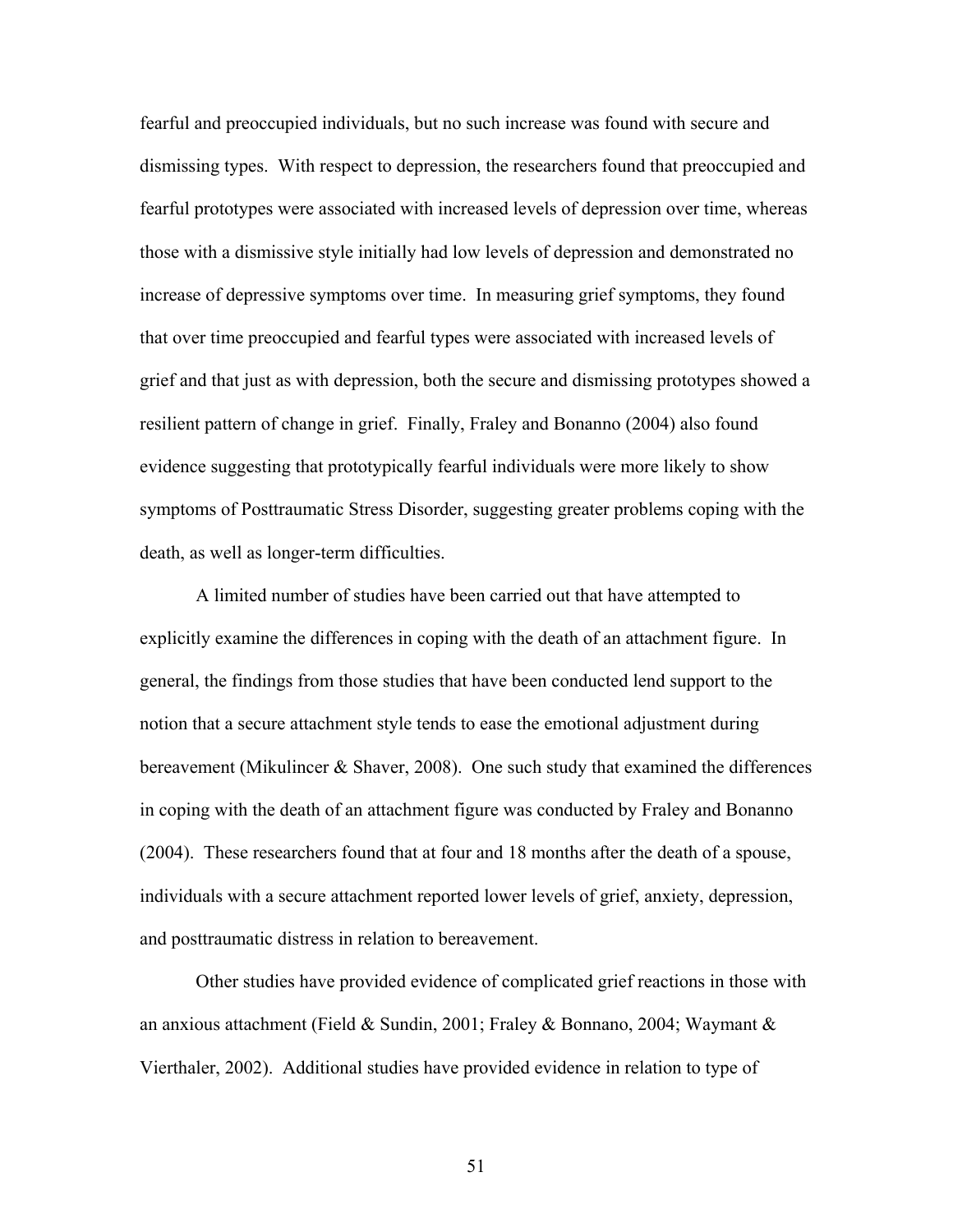fearful and preoccupied individuals, but no such increase was found with secure and dismissing types. With respect to depression, the researchers found that preoccupied and fearful prototypes were associated with increased levels of depression over time, whereas those with a dismissive style initially had low levels of depression and demonstrated no increase of depressive symptoms over time. In measuring grief symptoms, they found that over time preoccupied and fearful types were associated with increased levels of grief and that just as with depression, both the secure and dismissing prototypes showed a resilient pattern of change in grief. Finally, Fraley and Bonanno (2004) also found evidence suggesting that prototypically fearful individuals were more likely to show symptoms of Posttraumatic Stress Disorder, suggesting greater problems coping with the death, as well as longer-term difficulties.

A limited number of studies have been carried out that have attempted to explicitly examine the differences in coping with the death of an attachment figure. In general, the findings from those studies that have been conducted lend support to the notion that a secure attachment style tends to ease the emotional adjustment during bereavement (Mikulincer & Shaver, 2008). One such study that examined the differences in coping with the death of an attachment figure was conducted by Fraley and Bonanno (2004). These researchers found that at four and 18 months after the death of a spouse, individuals with a secure attachment reported lower levels of grief, anxiety, depression, and posttraumatic distress in relation to bereavement.

Other studies have provided evidence of complicated grief reactions in those with an anxious attachment (Field & Sundin, 2001; Fraley & Bonnano, 2004; Waymant & Vierthaler, 2002). Additional studies have provided evidence in relation to type of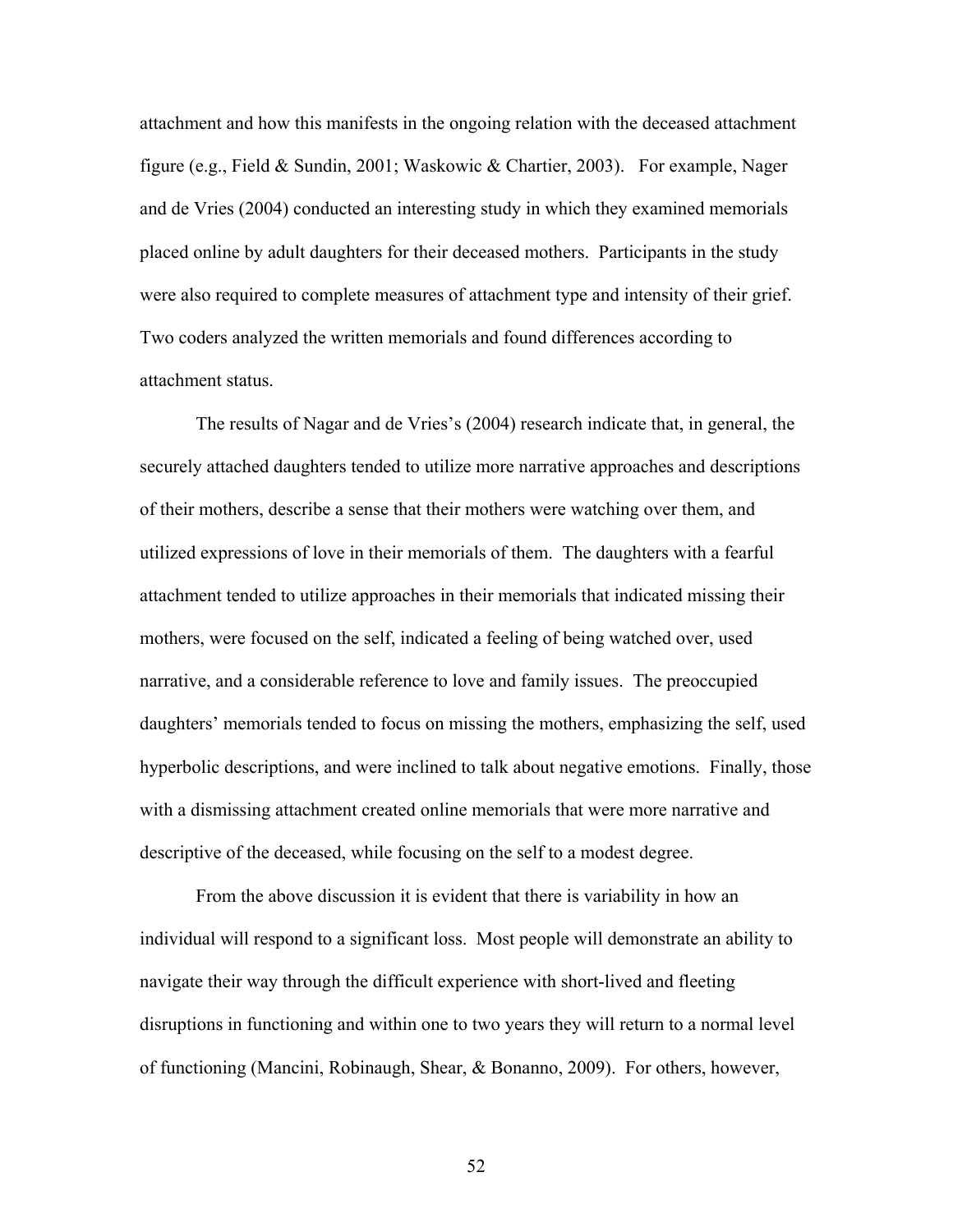attachment and how this manifests in the ongoing relation with the deceased attachment figure (e.g., Field & Sundin, 2001; Waskowic & Chartier, 2003). For example, Nager and de Vries (2004) conducted an interesting study in which they examined memorials placed online by adult daughters for their deceased mothers. Participants in the study were also required to complete measures of attachment type and intensity of their grief. Two coders analyzed the written memorials and found differences according to attachment status.

The results of Nagar and de Vries's (2004) research indicate that, in general, the securely attached daughters tended to utilize more narrative approaches and descriptions of their mothers, describe a sense that their mothers were watching over them, and utilized expressions of love in their memorials of them. The daughters with a fearful attachment tended to utilize approaches in their memorials that indicated missing their mothers, were focused on the self, indicated a feeling of being watched over, used narrative, and a considerable reference to love and family issues. The preoccupied daughters' memorials tended to focus on missing the mothers, emphasizing the self, used hyperbolic descriptions, and were inclined to talk about negative emotions. Finally, those with a dismissing attachment created online memorials that were more narrative and descriptive of the deceased, while focusing on the self to a modest degree.

From the above discussion it is evident that there is variability in how an individual will respond to a significant loss. Most people will demonstrate an ability to navigate their way through the difficult experience with short-lived and fleeting disruptions in functioning and within one to two years they will return to a normal level of functioning (Mancini, Robinaugh, Shear, & Bonanno, 2009). For others, however,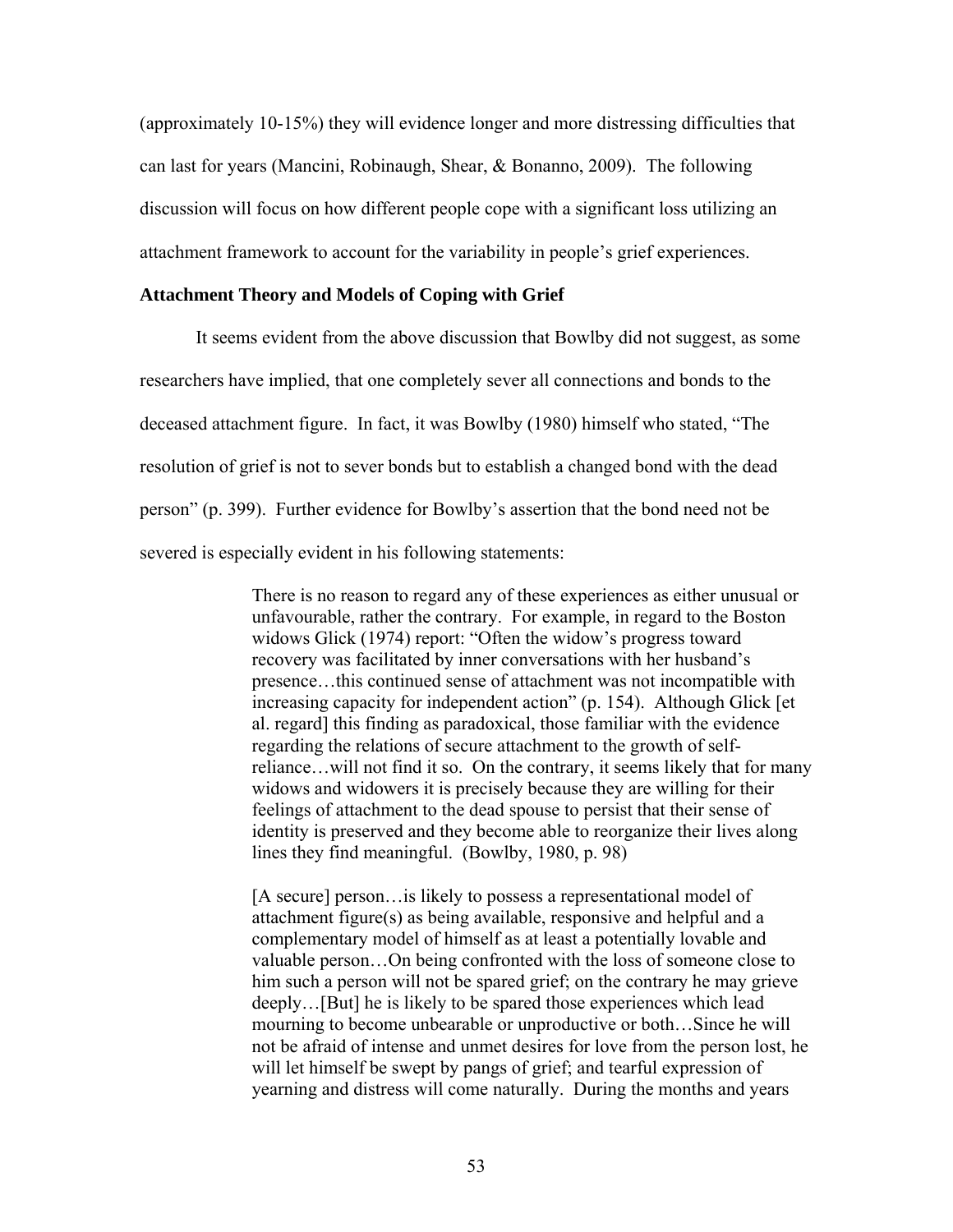(approximately 10-15%) they will evidence longer and more distressing difficulties that can last for years (Mancini, Robinaugh, Shear, & Bonanno, 2009). The following discussion will focus on how different people cope with a significant loss utilizing an attachment framework to account for the variability in people's grief experiences.

## **Attachment Theory and Models of Coping with Grief**

It seems evident from the above discussion that Bowlby did not suggest, as some researchers have implied, that one completely sever all connections and bonds to the deceased attachment figure. In fact, it was Bowlby (1980) himself who stated, "The resolution of grief is not to sever bonds but to establish a changed bond with the dead person" (p. 399). Further evidence for Bowlby's assertion that the bond need not be severed is especially evident in his following statements:

> There is no reason to regard any of these experiences as either unusual or unfavourable, rather the contrary. For example, in regard to the Boston widows Glick (1974) report: "Often the widow's progress toward recovery was facilitated by inner conversations with her husband's presence…this continued sense of attachment was not incompatible with increasing capacity for independent action" (p. 154). Although Glick [et al. regard] this finding as paradoxical, those familiar with the evidence regarding the relations of secure attachment to the growth of selfreliance…will not find it so. On the contrary, it seems likely that for many widows and widowers it is precisely because they are willing for their feelings of attachment to the dead spouse to persist that their sense of identity is preserved and they become able to reorganize their lives along lines they find meaningful. (Bowlby, 1980, p. 98)

> [A secure] person... is likely to possess a representational model of attachment figure(s) as being available, responsive and helpful and a complementary model of himself as at least a potentially lovable and valuable person…On being confronted with the loss of someone close to him such a person will not be spared grief; on the contrary he may grieve deeply…[But] he is likely to be spared those experiences which lead mourning to become unbearable or unproductive or both…Since he will not be afraid of intense and unmet desires for love from the person lost, he will let himself be swept by pangs of grief; and tearful expression of yearning and distress will come naturally. During the months and years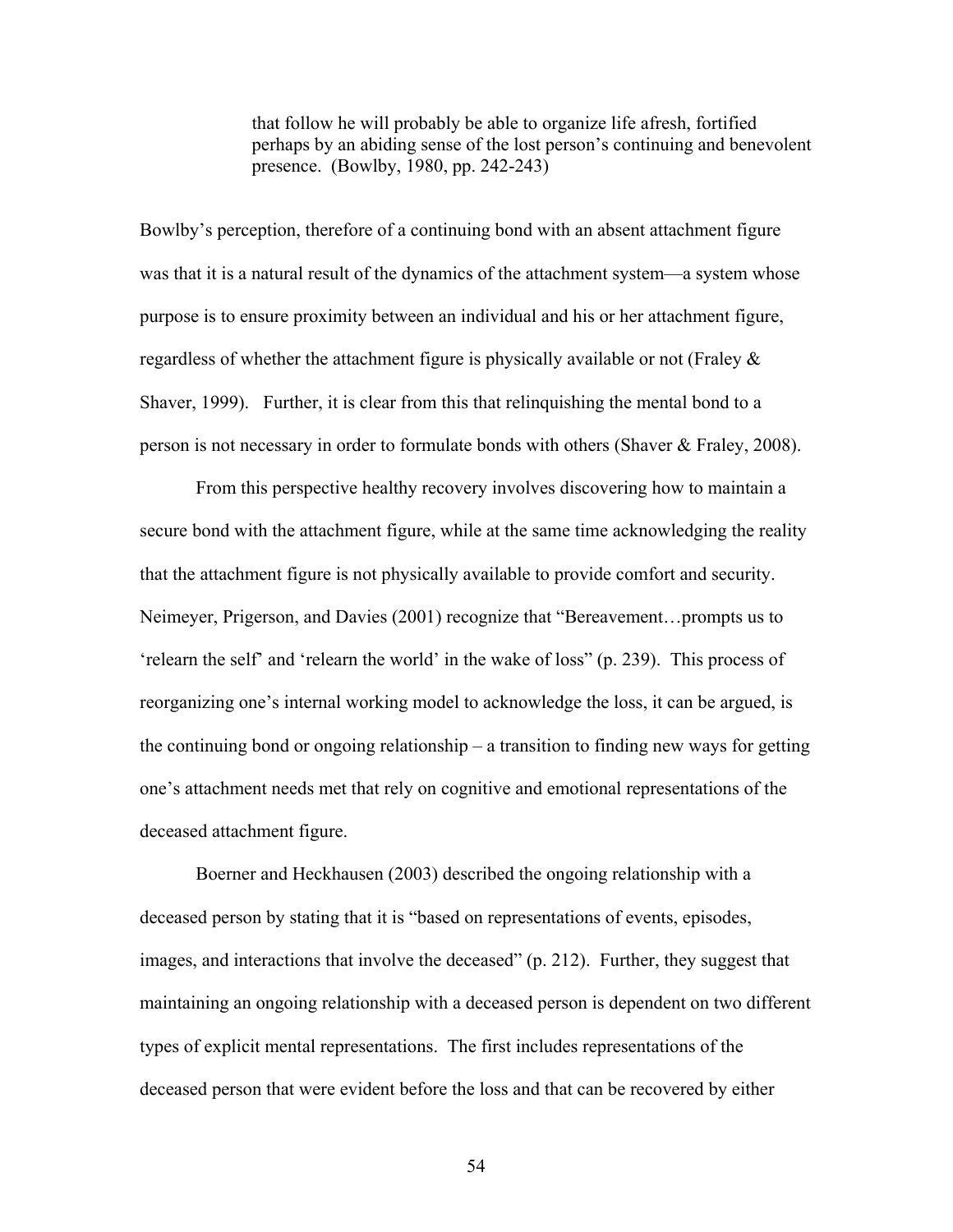that follow he will probably be able to organize life afresh, fortified perhaps by an abiding sense of the lost person's continuing and benevolent presence. (Bowlby, 1980, pp. 242-243)

Bowlby's perception, therefore of a continuing bond with an absent attachment figure was that it is a natural result of the dynamics of the attachment system—a system whose purpose is to ensure proximity between an individual and his or her attachment figure, regardless of whether the attachment figure is physically available or not (Fraley  $\&$ Shaver, 1999). Further, it is clear from this that relinquishing the mental bond to a person is not necessary in order to formulate bonds with others (Shaver & Fraley, 2008).

From this perspective healthy recovery involves discovering how to maintain a secure bond with the attachment figure, while at the same time acknowledging the reality that the attachment figure is not physically available to provide comfort and security. Neimeyer, Prigerson, and Davies (2001) recognize that "Bereavement…prompts us to 'relearn the self' and 'relearn the world' in the wake of loss" (p. 239). This process of reorganizing one's internal working model to acknowledge the loss, it can be argued, is the continuing bond or ongoing relationship – a transition to finding new ways for getting one's attachment needs met that rely on cognitive and emotional representations of the deceased attachment figure.

Boerner and Heckhausen (2003) described the ongoing relationship with a deceased person by stating that it is "based on representations of events, episodes, images, and interactions that involve the deceased" (p. 212). Further, they suggest that maintaining an ongoing relationship with a deceased person is dependent on two different types of explicit mental representations. The first includes representations of the deceased person that were evident before the loss and that can be recovered by either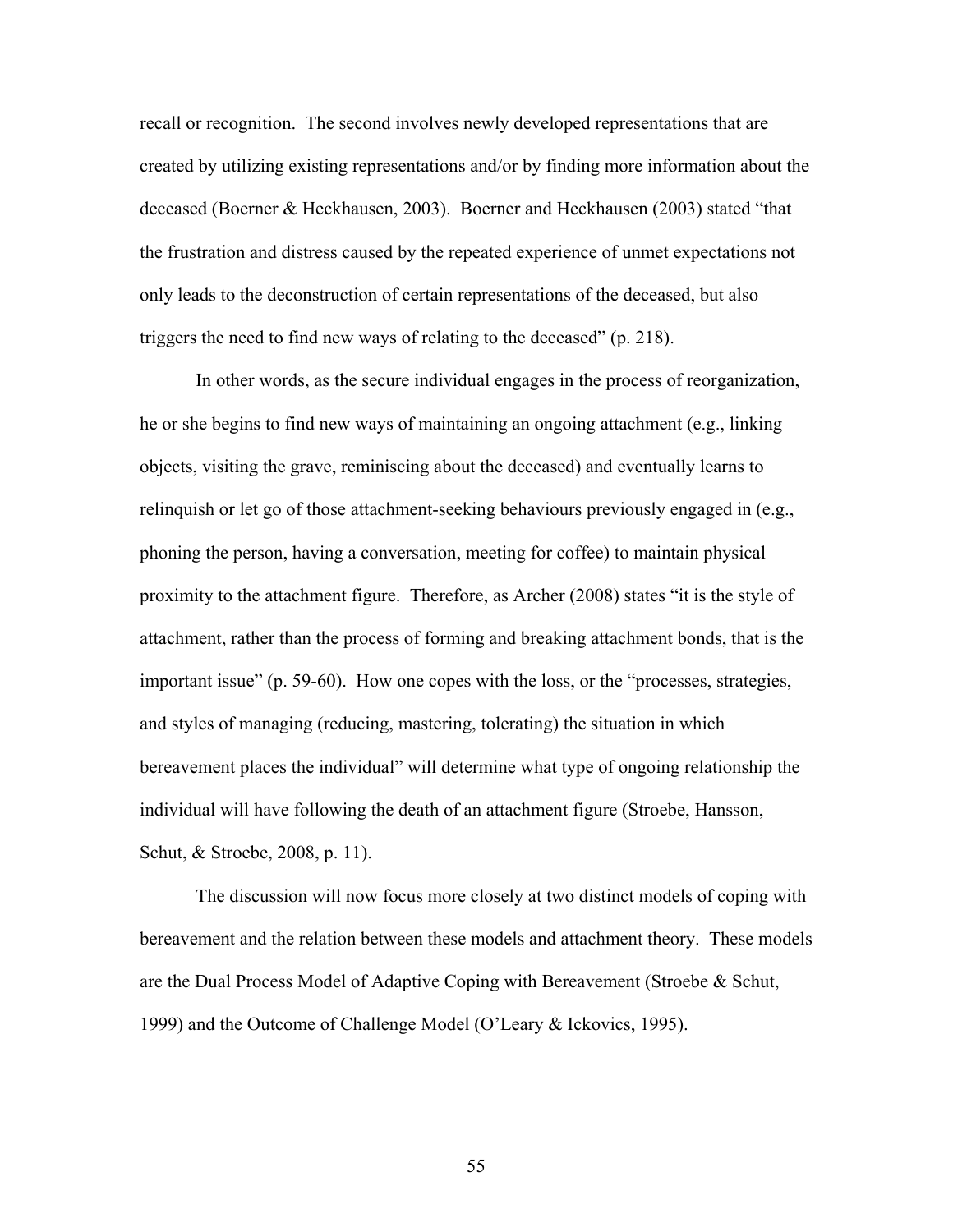recall or recognition. The second involves newly developed representations that are created by utilizing existing representations and/or by finding more information about the deceased (Boerner & Heckhausen, 2003). Boerner and Heckhausen (2003) stated "that the frustration and distress caused by the repeated experience of unmet expectations not only leads to the deconstruction of certain representations of the deceased, but also triggers the need to find new ways of relating to the deceased" (p. 218).

In other words, as the secure individual engages in the process of reorganization, he or she begins to find new ways of maintaining an ongoing attachment (e.g., linking objects, visiting the grave, reminiscing about the deceased) and eventually learns to relinquish or let go of those attachment-seeking behaviours previously engaged in (e.g., phoning the person, having a conversation, meeting for coffee) to maintain physical proximity to the attachment figure. Therefore, as Archer (2008) states "it is the style of attachment, rather than the process of forming and breaking attachment bonds, that is the important issue" (p. 59-60). How one copes with the loss, or the "processes, strategies, and styles of managing (reducing, mastering, tolerating) the situation in which bereavement places the individual" will determine what type of ongoing relationship the individual will have following the death of an attachment figure (Stroebe, Hansson, Schut, & Stroebe, 2008, p. 11).

The discussion will now focus more closely at two distinct models of coping with bereavement and the relation between these models and attachment theory. These models are the Dual Process Model of Adaptive Coping with Bereavement (Stroebe & Schut, 1999) and the Outcome of Challenge Model (O'Leary & Ickovics, 1995).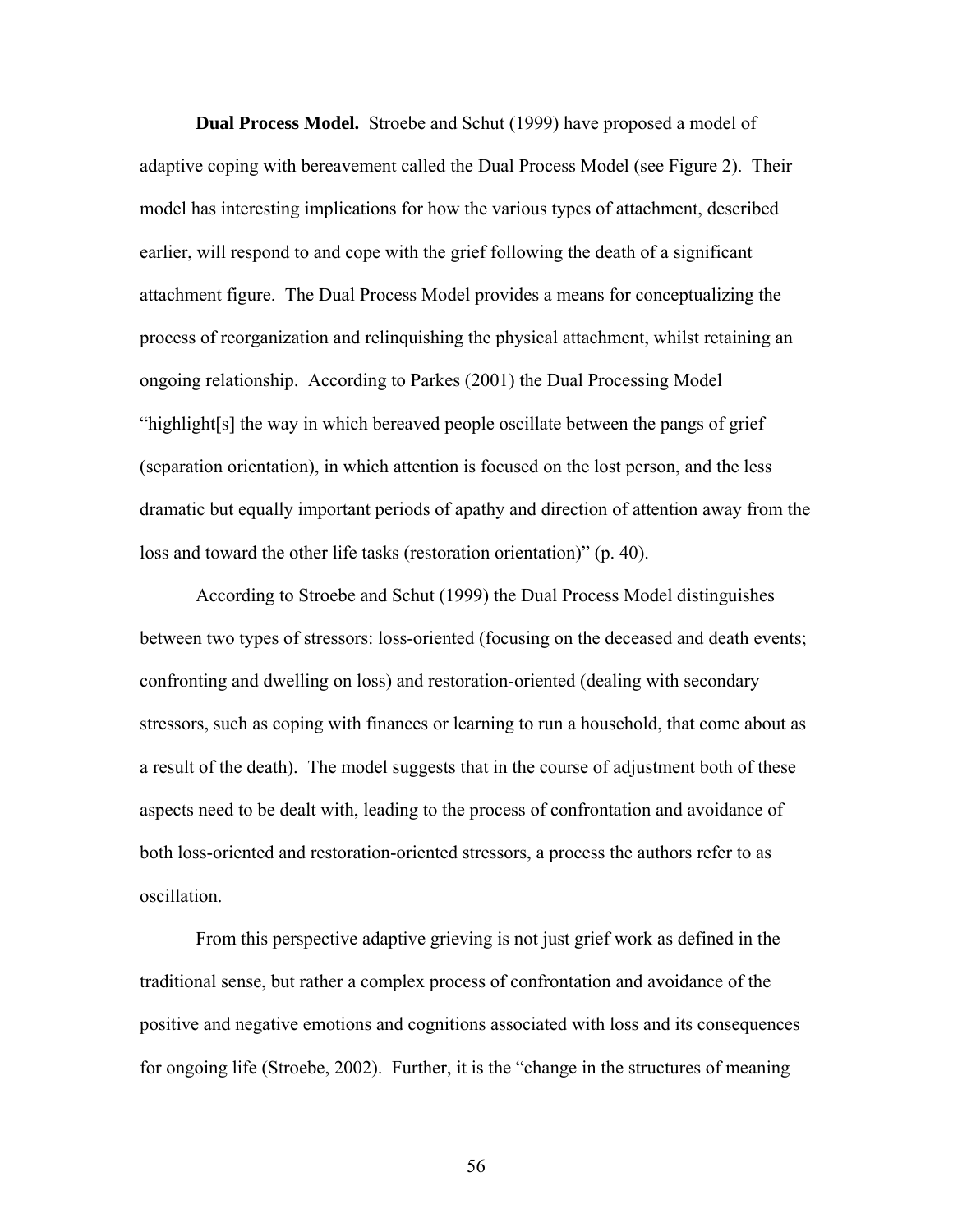**Dual Process Model.** Stroebe and Schut (1999) have proposed a model of adaptive coping with bereavement called the Dual Process Model (see Figure 2). Their model has interesting implications for how the various types of attachment, described earlier, will respond to and cope with the grief following the death of a significant attachment figure. The Dual Process Model provides a means for conceptualizing the process of reorganization and relinquishing the physical attachment, whilst retaining an ongoing relationship. According to Parkes (2001) the Dual Processing Model "highlight[s] the way in which bereaved people oscillate between the pangs of grief (separation orientation), in which attention is focused on the lost person, and the less dramatic but equally important periods of apathy and direction of attention away from the loss and toward the other life tasks (restoration orientation)" (p. 40).

According to Stroebe and Schut (1999) the Dual Process Model distinguishes between two types of stressors: loss-oriented (focusing on the deceased and death events; confronting and dwelling on loss) and restoration-oriented (dealing with secondary stressors, such as coping with finances or learning to run a household, that come about as a result of the death). The model suggests that in the course of adjustment both of these aspects need to be dealt with, leading to the process of confrontation and avoidance of both loss-oriented and restoration-oriented stressors, a process the authors refer to as oscillation.

From this perspective adaptive grieving is not just grief work as defined in the traditional sense, but rather a complex process of confrontation and avoidance of the positive and negative emotions and cognitions associated with loss and its consequences for ongoing life (Stroebe, 2002). Further, it is the "change in the structures of meaning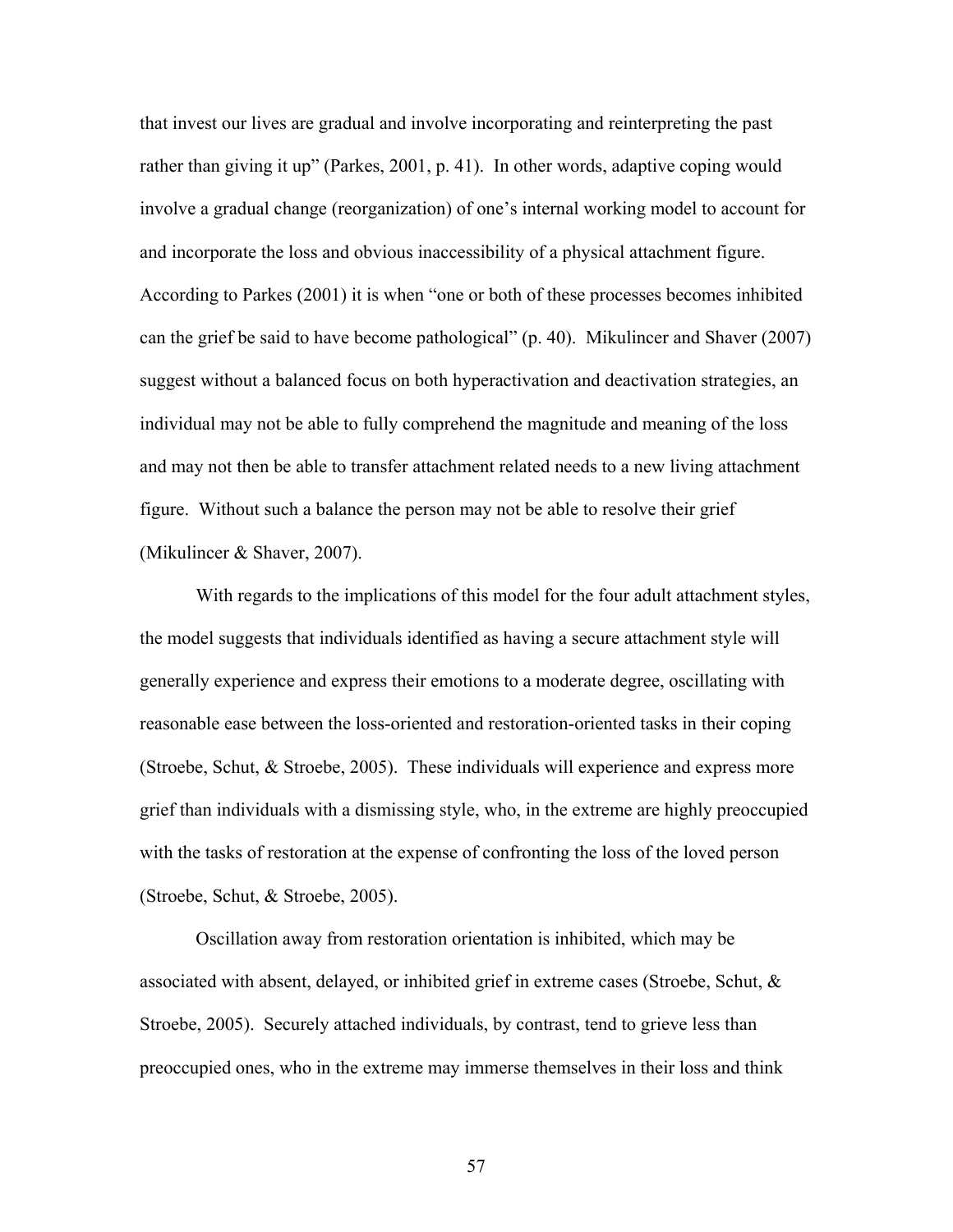that invest our lives are gradual and involve incorporating and reinterpreting the past rather than giving it up" (Parkes, 2001, p. 41). In other words, adaptive coping would involve a gradual change (reorganization) of one's internal working model to account for and incorporate the loss and obvious inaccessibility of a physical attachment figure. According to Parkes (2001) it is when "one or both of these processes becomes inhibited can the grief be said to have become pathological" (p. 40). Mikulincer and Shaver (2007) suggest without a balanced focus on both hyperactivation and deactivation strategies, an individual may not be able to fully comprehend the magnitude and meaning of the loss and may not then be able to transfer attachment related needs to a new living attachment figure. Without such a balance the person may not be able to resolve their grief (Mikulincer & Shaver, 2007).

With regards to the implications of this model for the four adult attachment styles, the model suggests that individuals identified as having a secure attachment style will generally experience and express their emotions to a moderate degree, oscillating with reasonable ease between the loss-oriented and restoration-oriented tasks in their coping (Stroebe, Schut, & Stroebe, 2005). These individuals will experience and express more grief than individuals with a dismissing style, who, in the extreme are highly preoccupied with the tasks of restoration at the expense of confronting the loss of the loved person (Stroebe, Schut, & Stroebe, 2005).

Oscillation away from restoration orientation is inhibited, which may be associated with absent, delayed, or inhibited grief in extreme cases (Stroebe, Schut,  $\&$ Stroebe, 2005). Securely attached individuals, by contrast, tend to grieve less than preoccupied ones, who in the extreme may immerse themselves in their loss and think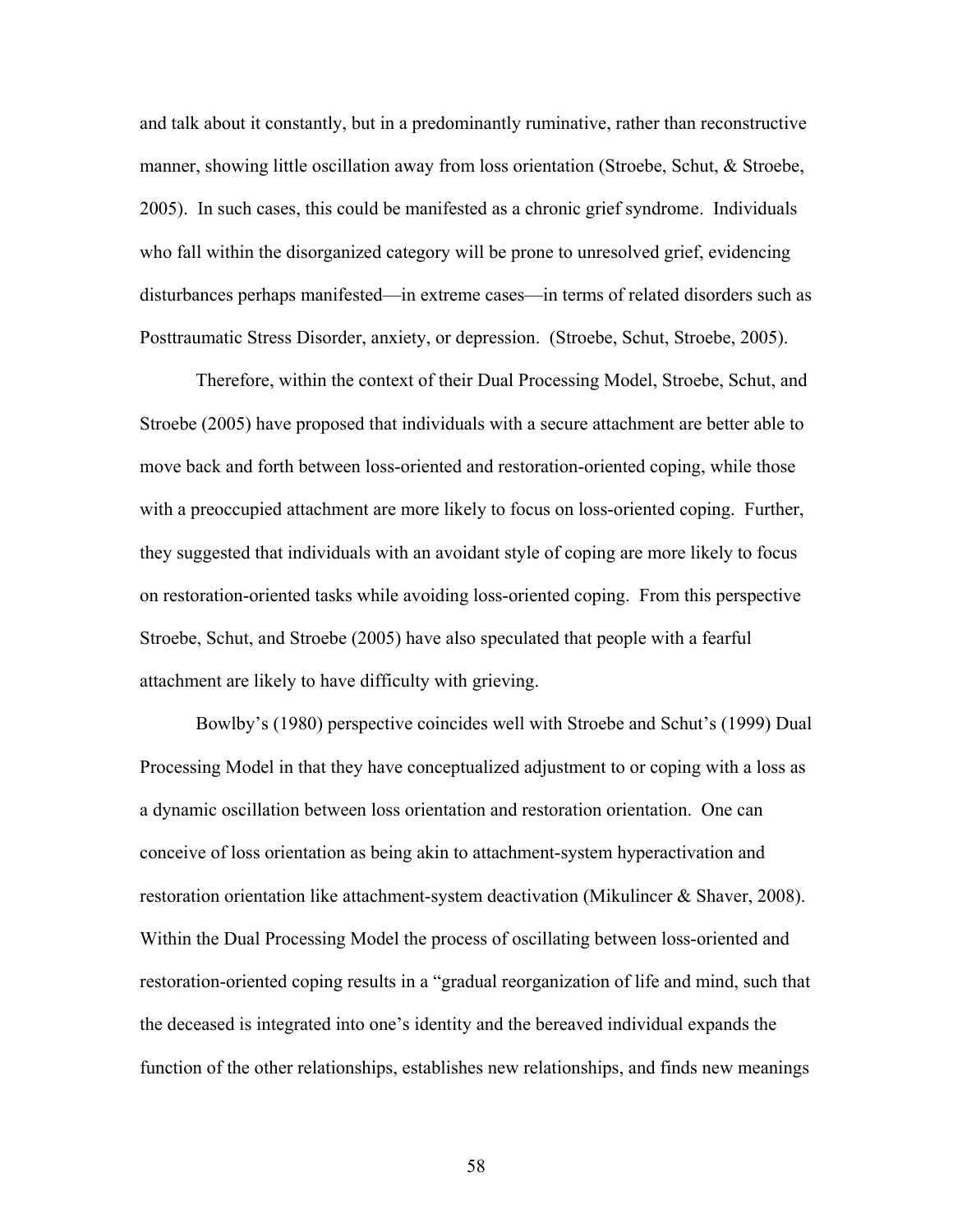and talk about it constantly, but in a predominantly ruminative, rather than reconstructive manner, showing little oscillation away from loss orientation (Stroebe, Schut, & Stroebe, 2005). In such cases, this could be manifested as a chronic grief syndrome. Individuals who fall within the disorganized category will be prone to unresolved grief, evidencing disturbances perhaps manifested—in extreme cases—in terms of related disorders such as Posttraumatic Stress Disorder, anxiety, or depression. (Stroebe, Schut, Stroebe, 2005).

Therefore, within the context of their Dual Processing Model, Stroebe, Schut, and Stroebe (2005) have proposed that individuals with a secure attachment are better able to move back and forth between loss-oriented and restoration-oriented coping, while those with a preoccupied attachment are more likely to focus on loss-oriented coping. Further, they suggested that individuals with an avoidant style of coping are more likely to focus on restoration-oriented tasks while avoiding loss-oriented coping. From this perspective Stroebe, Schut, and Stroebe (2005) have also speculated that people with a fearful attachment are likely to have difficulty with grieving.

Bowlby's (1980) perspective coincides well with Stroebe and Schut's (1999) Dual Processing Model in that they have conceptualized adjustment to or coping with a loss as a dynamic oscillation between loss orientation and restoration orientation. One can conceive of loss orientation as being akin to attachment-system hyperactivation and restoration orientation like attachment-system deactivation (Mikulincer & Shaver, 2008). Within the Dual Processing Model the process of oscillating between loss-oriented and restoration-oriented coping results in a "gradual reorganization of life and mind, such that the deceased is integrated into one's identity and the bereaved individual expands the function of the other relationships, establishes new relationships, and finds new meanings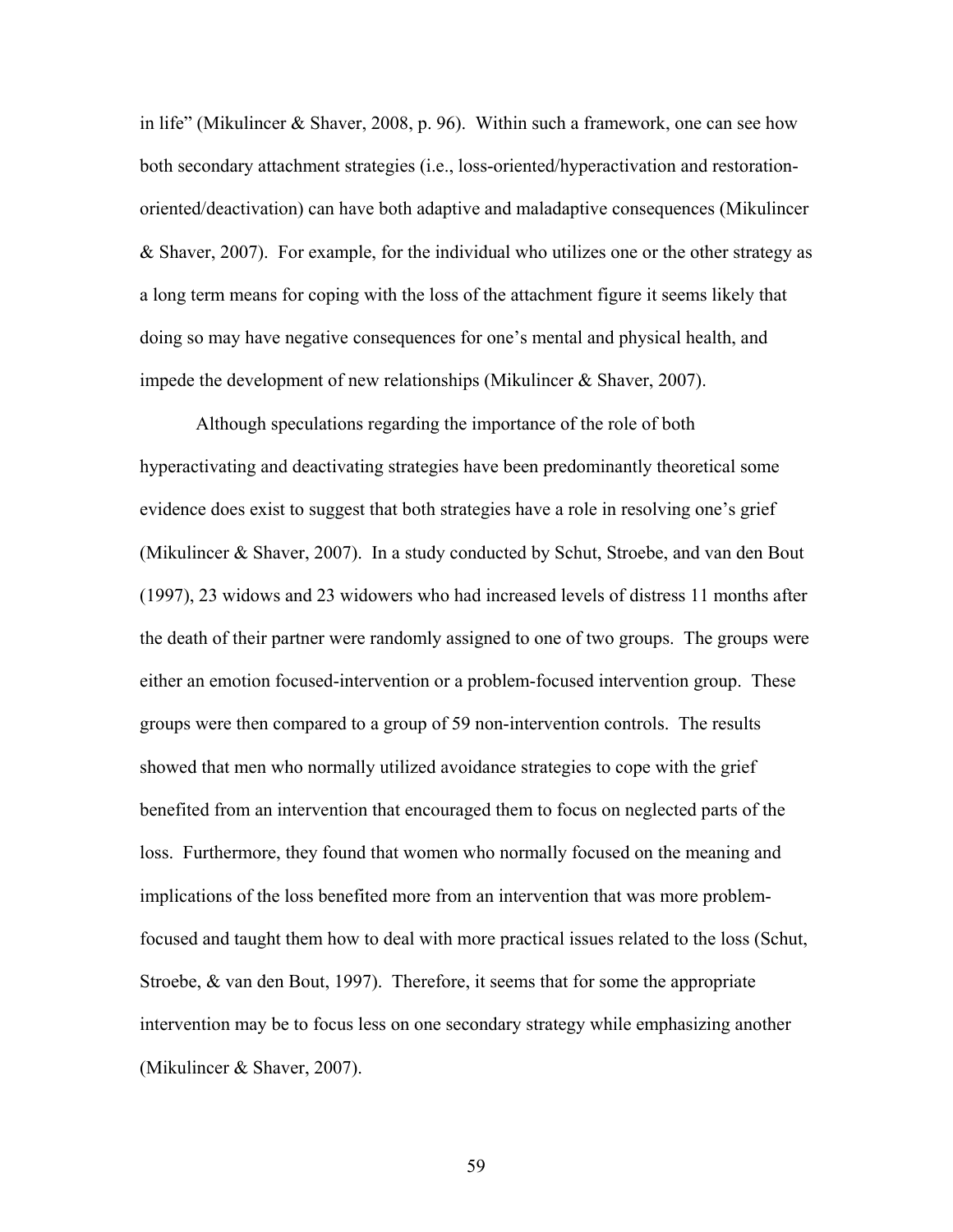in life" (Mikulincer & Shaver, 2008, p. 96). Within such a framework, one can see how both secondary attachment strategies (i.e., loss-oriented/hyperactivation and restorationoriented/deactivation) can have both adaptive and maladaptive consequences (Mikulincer & Shaver, 2007). For example, for the individual who utilizes one or the other strategy as a long term means for coping with the loss of the attachment figure it seems likely that doing so may have negative consequences for one's mental and physical health, and impede the development of new relationships (Mikulincer & Shaver, 2007).

Although speculations regarding the importance of the role of both hyperactivating and deactivating strategies have been predominantly theoretical some evidence does exist to suggest that both strategies have a role in resolving one's grief (Mikulincer & Shaver, 2007). In a study conducted by Schut, Stroebe, and van den Bout (1997), 23 widows and 23 widowers who had increased levels of distress 11 months after the death of their partner were randomly assigned to one of two groups. The groups were either an emotion focused-intervention or a problem-focused intervention group. These groups were then compared to a group of 59 non-intervention controls. The results showed that men who normally utilized avoidance strategies to cope with the grief benefited from an intervention that encouraged them to focus on neglected parts of the loss. Furthermore, they found that women who normally focused on the meaning and implications of the loss benefited more from an intervention that was more problemfocused and taught them how to deal with more practical issues related to the loss (Schut, Stroebe, & van den Bout, 1997). Therefore, it seems that for some the appropriate intervention may be to focus less on one secondary strategy while emphasizing another (Mikulincer & Shaver, 2007).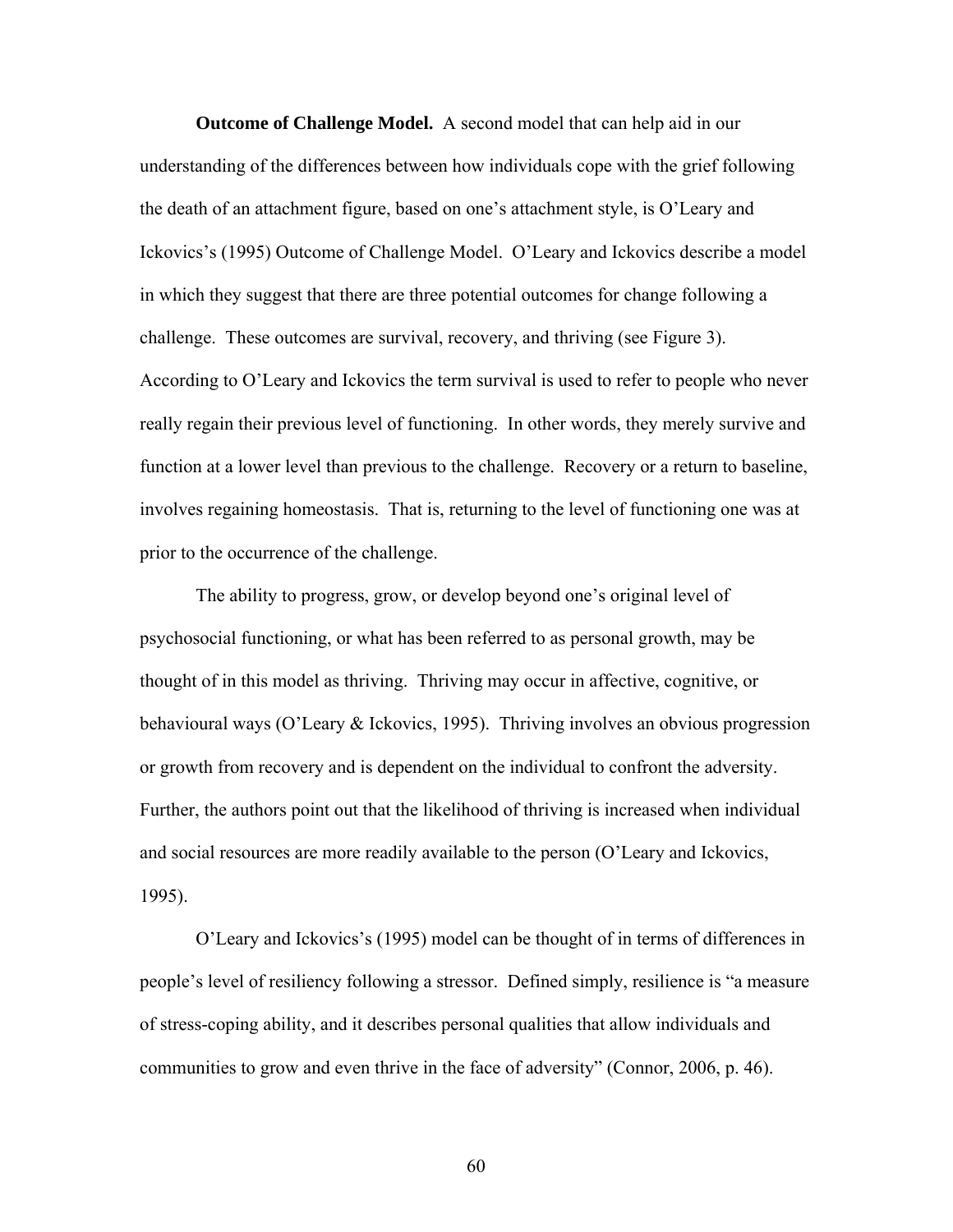**Outcome of Challenge Model.** A second model that can help aid in our understanding of the differences between how individuals cope with the grief following the death of an attachment figure, based on one's attachment style, is O'Leary and Ickovics's (1995) Outcome of Challenge Model. O'Leary and Ickovics describe a model in which they suggest that there are three potential outcomes for change following a challenge. These outcomes are survival, recovery, and thriving (see Figure 3). According to O'Leary and Ickovics the term survival is used to refer to people who never really regain their previous level of functioning. In other words, they merely survive and function at a lower level than previous to the challenge. Recovery or a return to baseline, involves regaining homeostasis. That is, returning to the level of functioning one was at prior to the occurrence of the challenge.

The ability to progress, grow, or develop beyond one's original level of psychosocial functioning, or what has been referred to as personal growth, may be thought of in this model as thriving. Thriving may occur in affective, cognitive, or behavioural ways (O'Leary & Ickovics, 1995). Thriving involves an obvious progression or growth from recovery and is dependent on the individual to confront the adversity. Further, the authors point out that the likelihood of thriving is increased when individual and social resources are more readily available to the person (O'Leary and Ickovics, 1995).

O'Leary and Ickovics's (1995) model can be thought of in terms of differences in people's level of resiliency following a stressor. Defined simply, resilience is "a measure of stress-coping ability, and it describes personal qualities that allow individuals and communities to grow and even thrive in the face of adversity" (Connor, 2006, p. 46).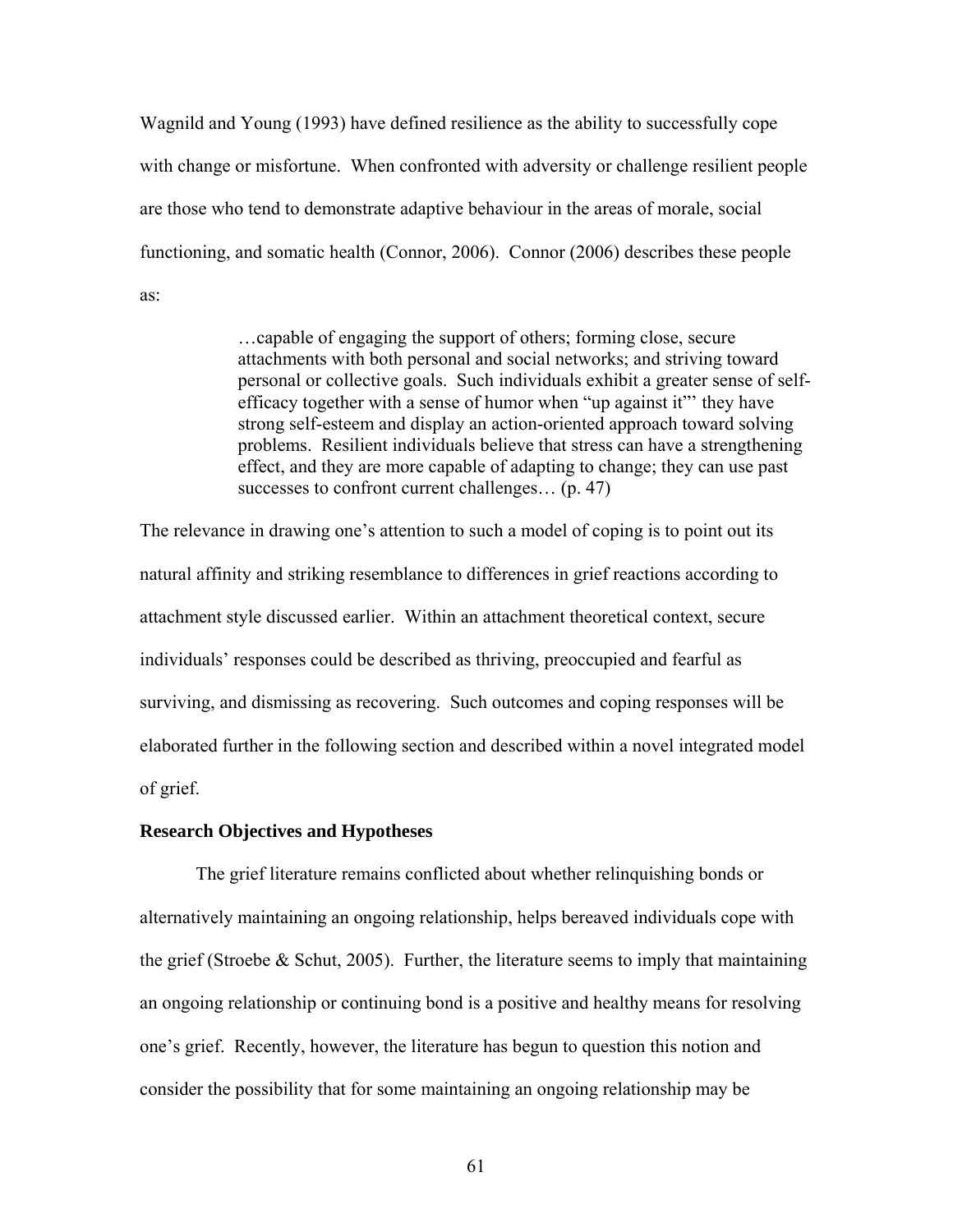Wagnild and Young (1993) have defined resilience as the ability to successfully cope with change or misfortune. When confronted with adversity or challenge resilient people are those who tend to demonstrate adaptive behaviour in the areas of morale, social functioning, and somatic health (Connor, 2006). Connor (2006) describes these people as:

> …capable of engaging the support of others; forming close, secure attachments with both personal and social networks; and striving toward personal or collective goals. Such individuals exhibit a greater sense of selfefficacy together with a sense of humor when "up against it"' they have strong self-esteem and display an action-oriented approach toward solving problems. Resilient individuals believe that stress can have a strengthening effect, and they are more capable of adapting to change; they can use past successes to confront current challenges... (p. 47)

The relevance in drawing one's attention to such a model of coping is to point out its natural affinity and striking resemblance to differences in grief reactions according to attachment style discussed earlier. Within an attachment theoretical context, secure individuals' responses could be described as thriving, preoccupied and fearful as surviving, and dismissing as recovering. Such outcomes and coping responses will be elaborated further in the following section and described within a novel integrated model of grief.

# **Research Objectives and Hypotheses**

The grief literature remains conflicted about whether relinquishing bonds or alternatively maintaining an ongoing relationship, helps bereaved individuals cope with the grief (Stroebe & Schut, 2005). Further, the literature seems to imply that maintaining an ongoing relationship or continuing bond is a positive and healthy means for resolving one's grief. Recently, however, the literature has begun to question this notion and consider the possibility that for some maintaining an ongoing relationship may be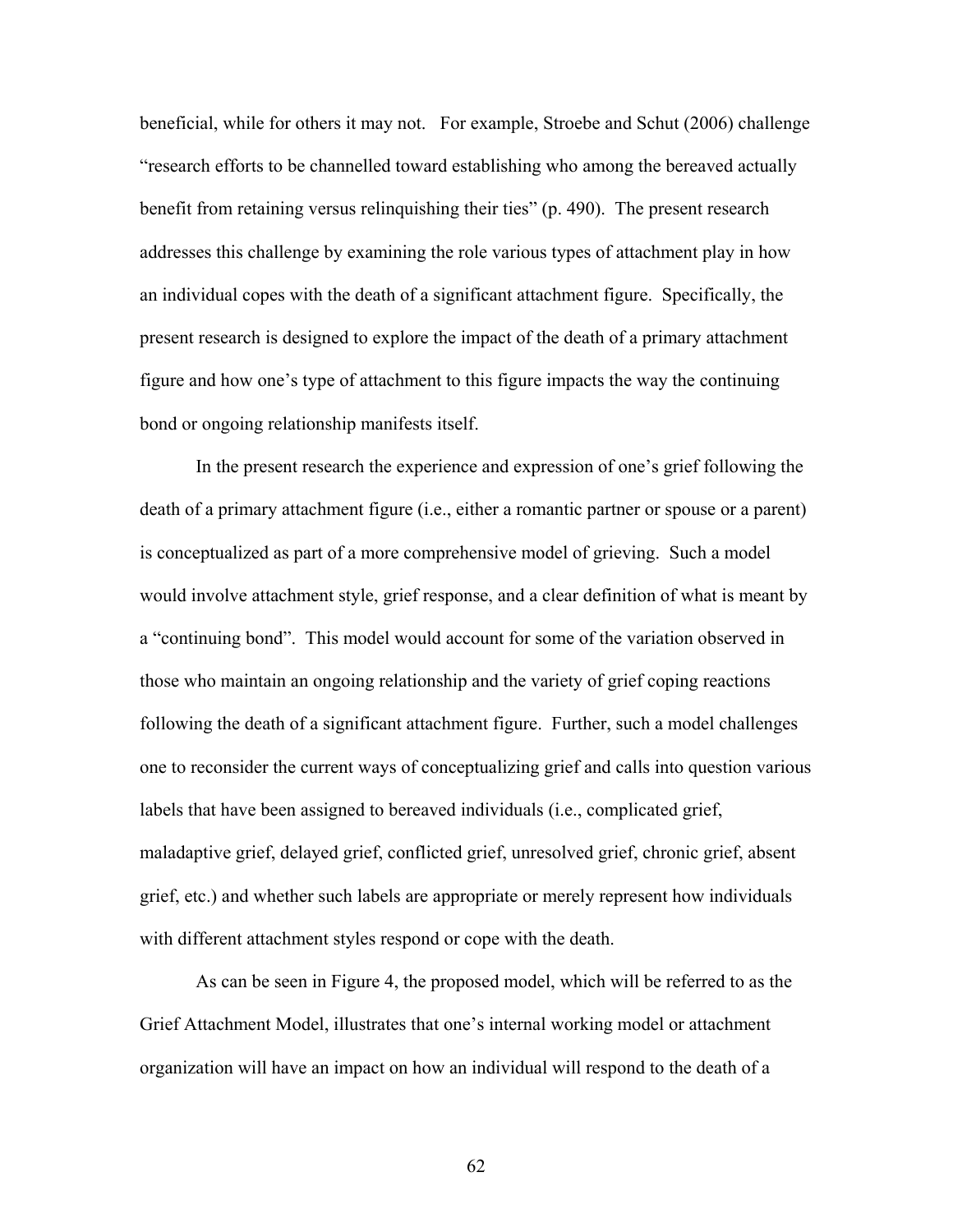beneficial, while for others it may not. For example, Stroebe and Schut (2006) challenge "research efforts to be channelled toward establishing who among the bereaved actually benefit from retaining versus relinquishing their ties" (p. 490). The present research addresses this challenge by examining the role various types of attachment play in how an individual copes with the death of a significant attachment figure. Specifically, the present research is designed to explore the impact of the death of a primary attachment figure and how one's type of attachment to this figure impacts the way the continuing bond or ongoing relationship manifests itself.

In the present research the experience and expression of one's grief following the death of a primary attachment figure (i.e., either a romantic partner or spouse or a parent) is conceptualized as part of a more comprehensive model of grieving. Such a model would involve attachment style, grief response, and a clear definition of what is meant by a "continuing bond". This model would account for some of the variation observed in those who maintain an ongoing relationship and the variety of grief coping reactions following the death of a significant attachment figure. Further, such a model challenges one to reconsider the current ways of conceptualizing grief and calls into question various labels that have been assigned to bereaved individuals (i.e., complicated grief, maladaptive grief, delayed grief, conflicted grief, unresolved grief, chronic grief, absent grief, etc.) and whether such labels are appropriate or merely represent how individuals with different attachment styles respond or cope with the death.

As can be seen in Figure 4, the proposed model, which will be referred to as the Grief Attachment Model, illustrates that one's internal working model or attachment organization will have an impact on how an individual will respond to the death of a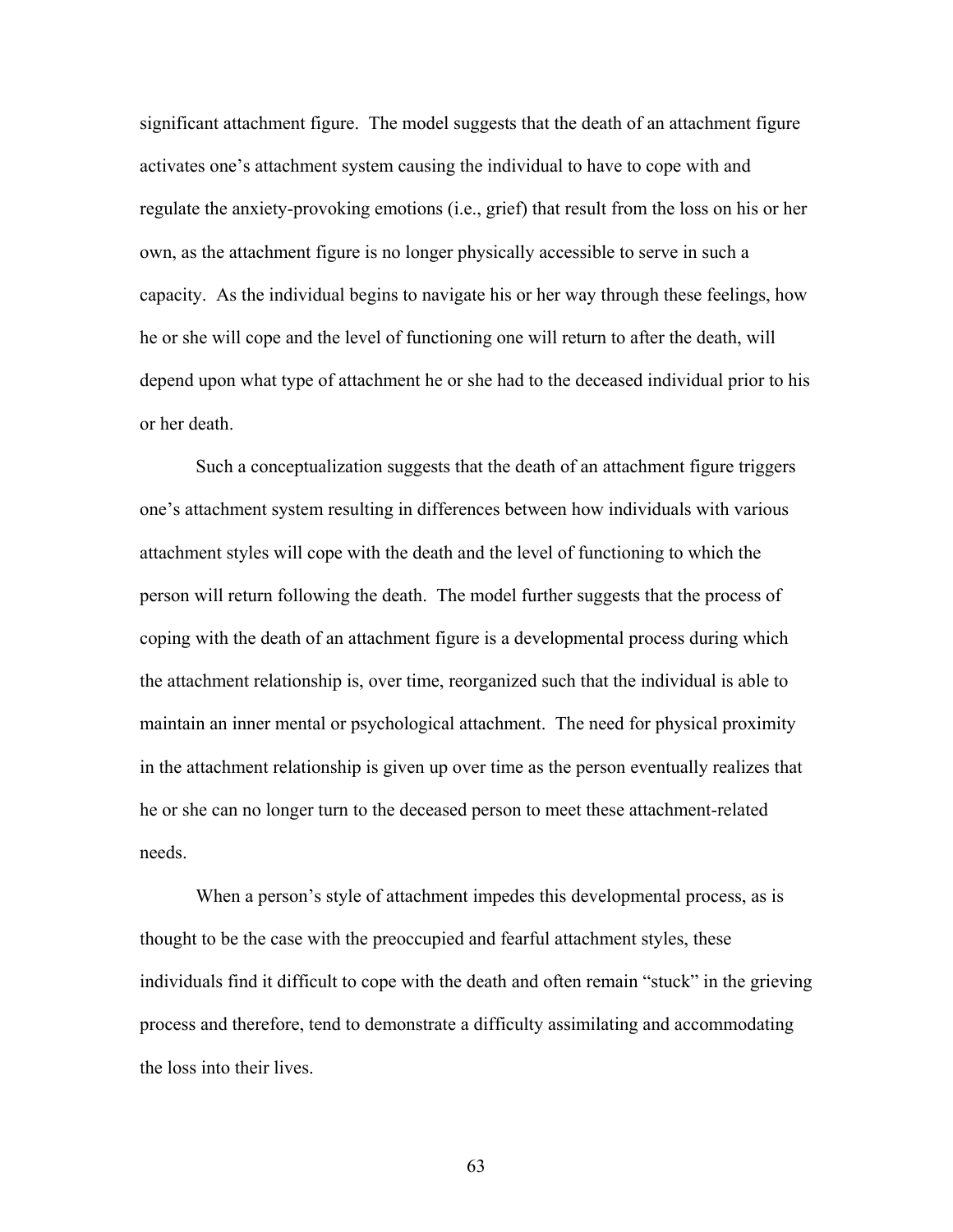significant attachment figure. The model suggests that the death of an attachment figure activates one's attachment system causing the individual to have to cope with and regulate the anxiety-provoking emotions (i.e., grief) that result from the loss on his or her own, as the attachment figure is no longer physically accessible to serve in such a capacity. As the individual begins to navigate his or her way through these feelings, how he or she will cope and the level of functioning one will return to after the death, will depend upon what type of attachment he or she had to the deceased individual prior to his or her death.

Such a conceptualization suggests that the death of an attachment figure triggers one's attachment system resulting in differences between how individuals with various attachment styles will cope with the death and the level of functioning to which the person will return following the death. The model further suggests that the process of coping with the death of an attachment figure is a developmental process during which the attachment relationship is, over time, reorganized such that the individual is able to maintain an inner mental or psychological attachment. The need for physical proximity in the attachment relationship is given up over time as the person eventually realizes that he or she can no longer turn to the deceased person to meet these attachment-related needs.

When a person's style of attachment impedes this developmental process, as is thought to be the case with the preoccupied and fearful attachment styles, these individuals find it difficult to cope with the death and often remain "stuck" in the grieving process and therefore, tend to demonstrate a difficulty assimilating and accommodating the loss into their lives.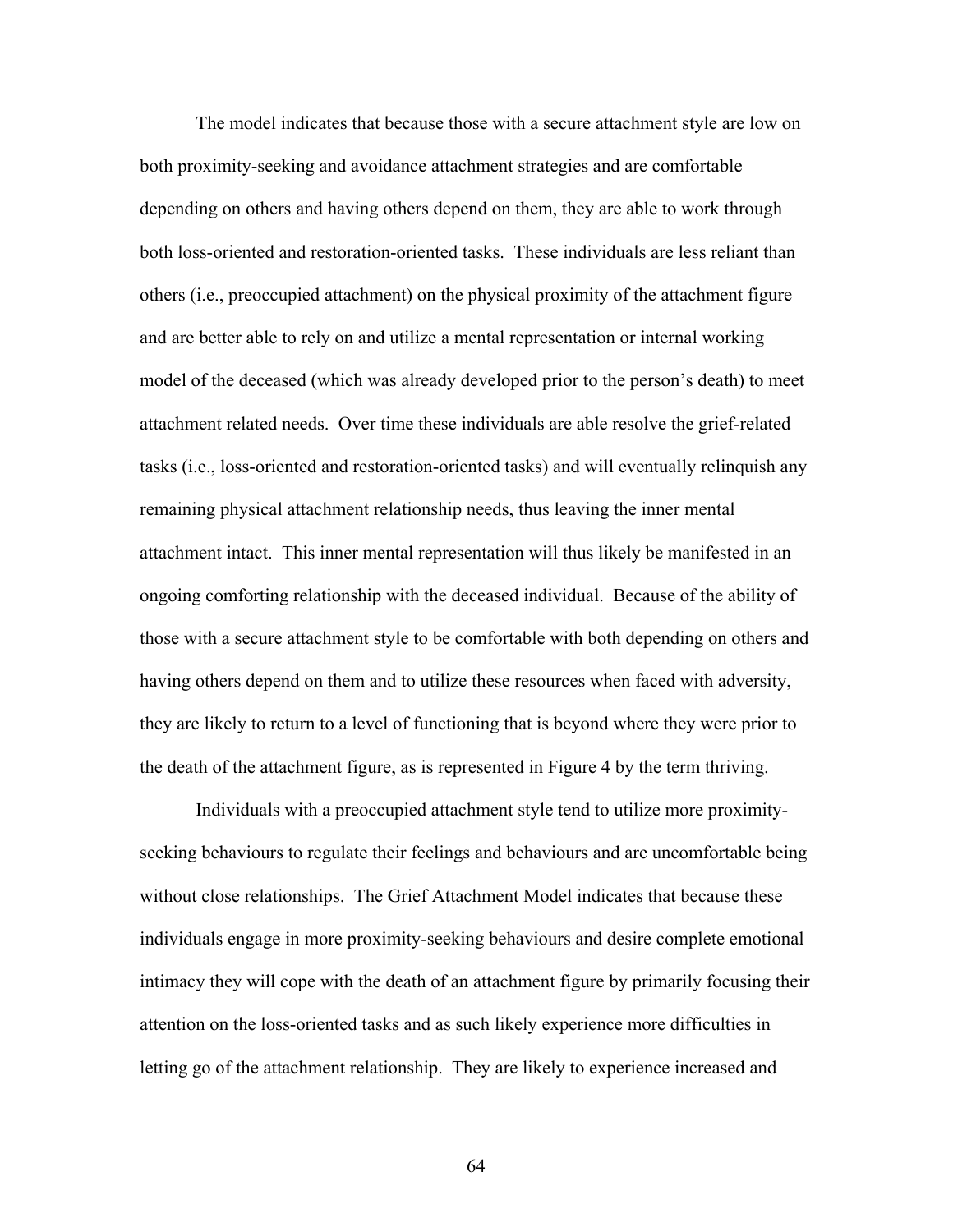The model indicates that because those with a secure attachment style are low on both proximity-seeking and avoidance attachment strategies and are comfortable depending on others and having others depend on them, they are able to work through both loss-oriented and restoration-oriented tasks. These individuals are less reliant than others (i.e., preoccupied attachment) on the physical proximity of the attachment figure and are better able to rely on and utilize a mental representation or internal working model of the deceased (which was already developed prior to the person's death) to meet attachment related needs. Over time these individuals are able resolve the grief-related tasks (i.e., loss-oriented and restoration-oriented tasks) and will eventually relinquish any remaining physical attachment relationship needs, thus leaving the inner mental attachment intact. This inner mental representation will thus likely be manifested in an ongoing comforting relationship with the deceased individual. Because of the ability of those with a secure attachment style to be comfortable with both depending on others and having others depend on them and to utilize these resources when faced with adversity, they are likely to return to a level of functioning that is beyond where they were prior to the death of the attachment figure, as is represented in Figure 4 by the term thriving.

Individuals with a preoccupied attachment style tend to utilize more proximityseeking behaviours to regulate their feelings and behaviours and are uncomfortable being without close relationships. The Grief Attachment Model indicates that because these individuals engage in more proximity-seeking behaviours and desire complete emotional intimacy they will cope with the death of an attachment figure by primarily focusing their attention on the loss-oriented tasks and as such likely experience more difficulties in letting go of the attachment relationship. They are likely to experience increased and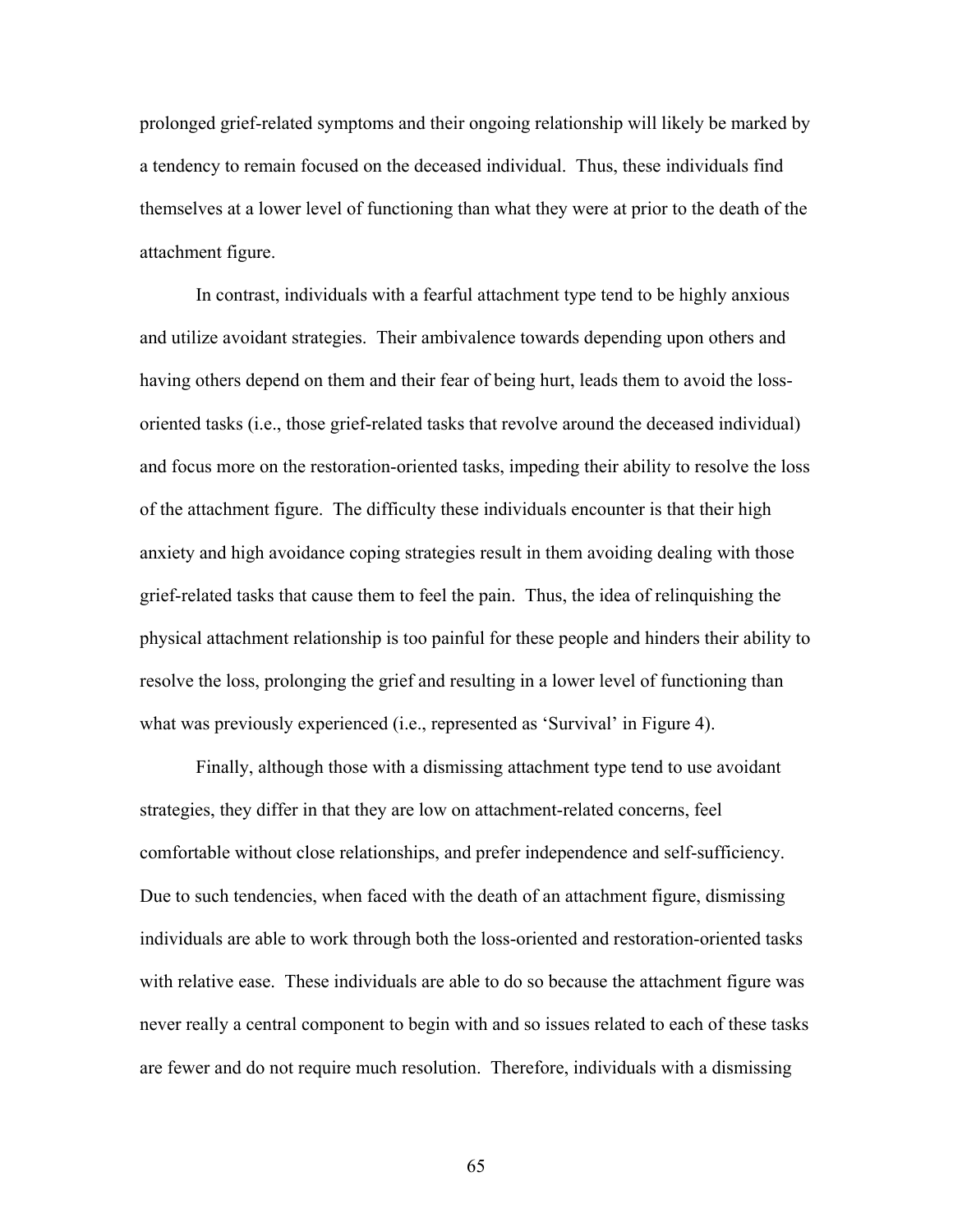prolonged grief-related symptoms and their ongoing relationship will likely be marked by a tendency to remain focused on the deceased individual. Thus, these individuals find themselves at a lower level of functioning than what they were at prior to the death of the attachment figure.

In contrast, individuals with a fearful attachment type tend to be highly anxious and utilize avoidant strategies. Their ambivalence towards depending upon others and having others depend on them and their fear of being hurt, leads them to avoid the lossoriented tasks (i.e., those grief-related tasks that revolve around the deceased individual) and focus more on the restoration-oriented tasks, impeding their ability to resolve the loss of the attachment figure. The difficulty these individuals encounter is that their high anxiety and high avoidance coping strategies result in them avoiding dealing with those grief-related tasks that cause them to feel the pain. Thus, the idea of relinquishing the physical attachment relationship is too painful for these people and hinders their ability to resolve the loss, prolonging the grief and resulting in a lower level of functioning than what was previously experienced (i.e., represented as 'Survival' in Figure 4).

Finally, although those with a dismissing attachment type tend to use avoidant strategies, they differ in that they are low on attachment-related concerns, feel comfortable without close relationships, and prefer independence and self-sufficiency. Due to such tendencies, when faced with the death of an attachment figure, dismissing individuals are able to work through both the loss-oriented and restoration-oriented tasks with relative ease. These individuals are able to do so because the attachment figure was never really a central component to begin with and so issues related to each of these tasks are fewer and do not require much resolution. Therefore, individuals with a dismissing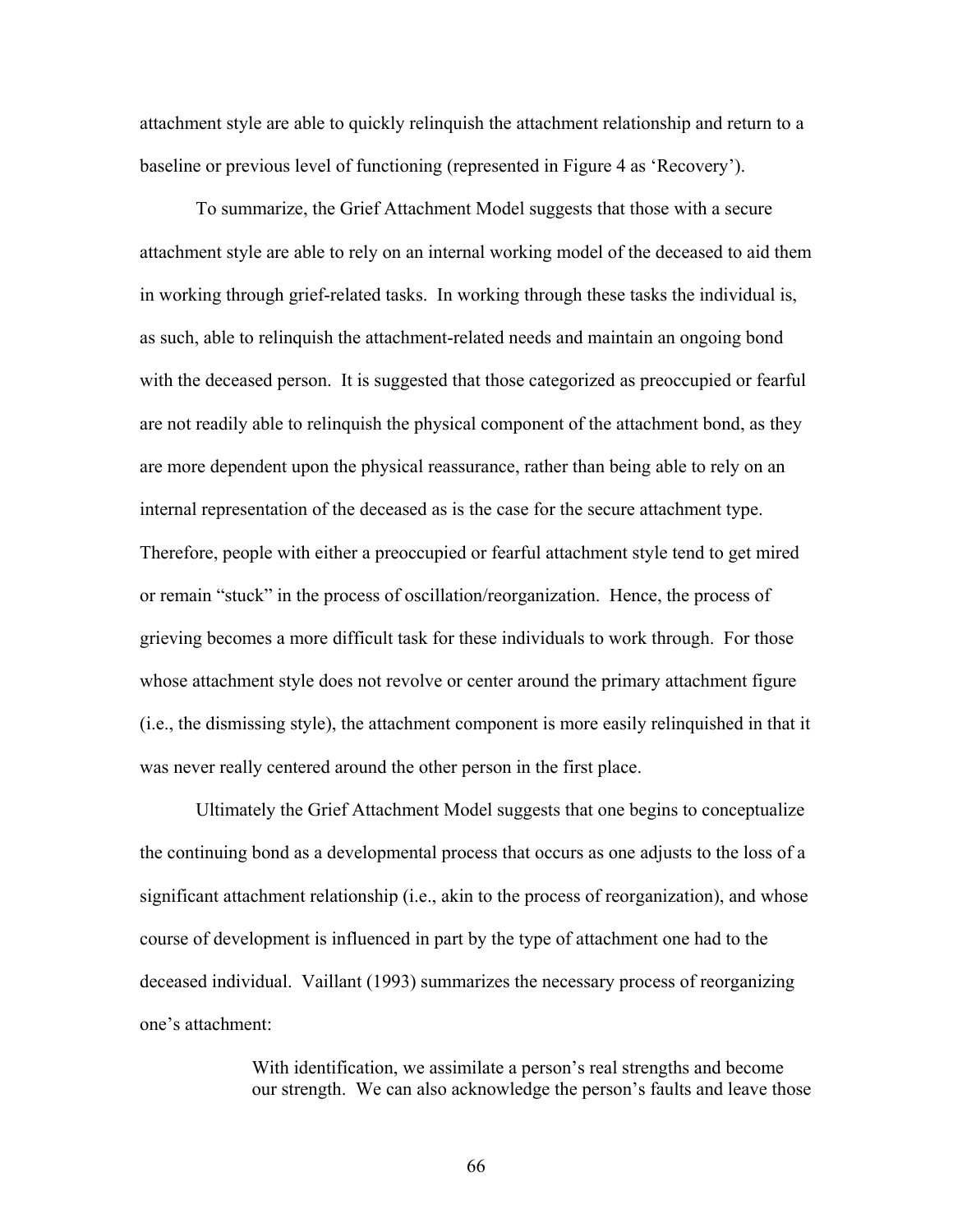attachment style are able to quickly relinquish the attachment relationship and return to a baseline or previous level of functioning (represented in Figure 4 as 'Recovery').

To summarize, the Grief Attachment Model suggests that those with a secure attachment style are able to rely on an internal working model of the deceased to aid them in working through grief-related tasks. In working through these tasks the individual is, as such, able to relinquish the attachment-related needs and maintain an ongoing bond with the deceased person. It is suggested that those categorized as preoccupied or fearful are not readily able to relinquish the physical component of the attachment bond, as they are more dependent upon the physical reassurance, rather than being able to rely on an internal representation of the deceased as is the case for the secure attachment type. Therefore, people with either a preoccupied or fearful attachment style tend to get mired or remain "stuck" in the process of oscillation/reorganization. Hence, the process of grieving becomes a more difficult task for these individuals to work through. For those whose attachment style does not revolve or center around the primary attachment figure (i.e., the dismissing style), the attachment component is more easily relinquished in that it was never really centered around the other person in the first place.

Ultimately the Grief Attachment Model suggests that one begins to conceptualize the continuing bond as a developmental process that occurs as one adjusts to the loss of a significant attachment relationship (i.e., akin to the process of reorganization), and whose course of development is influenced in part by the type of attachment one had to the deceased individual. Vaillant (1993) summarizes the necessary process of reorganizing one's attachment:

> With identification, we assimilate a person's real strengths and become our strength. We can also acknowledge the person's faults and leave those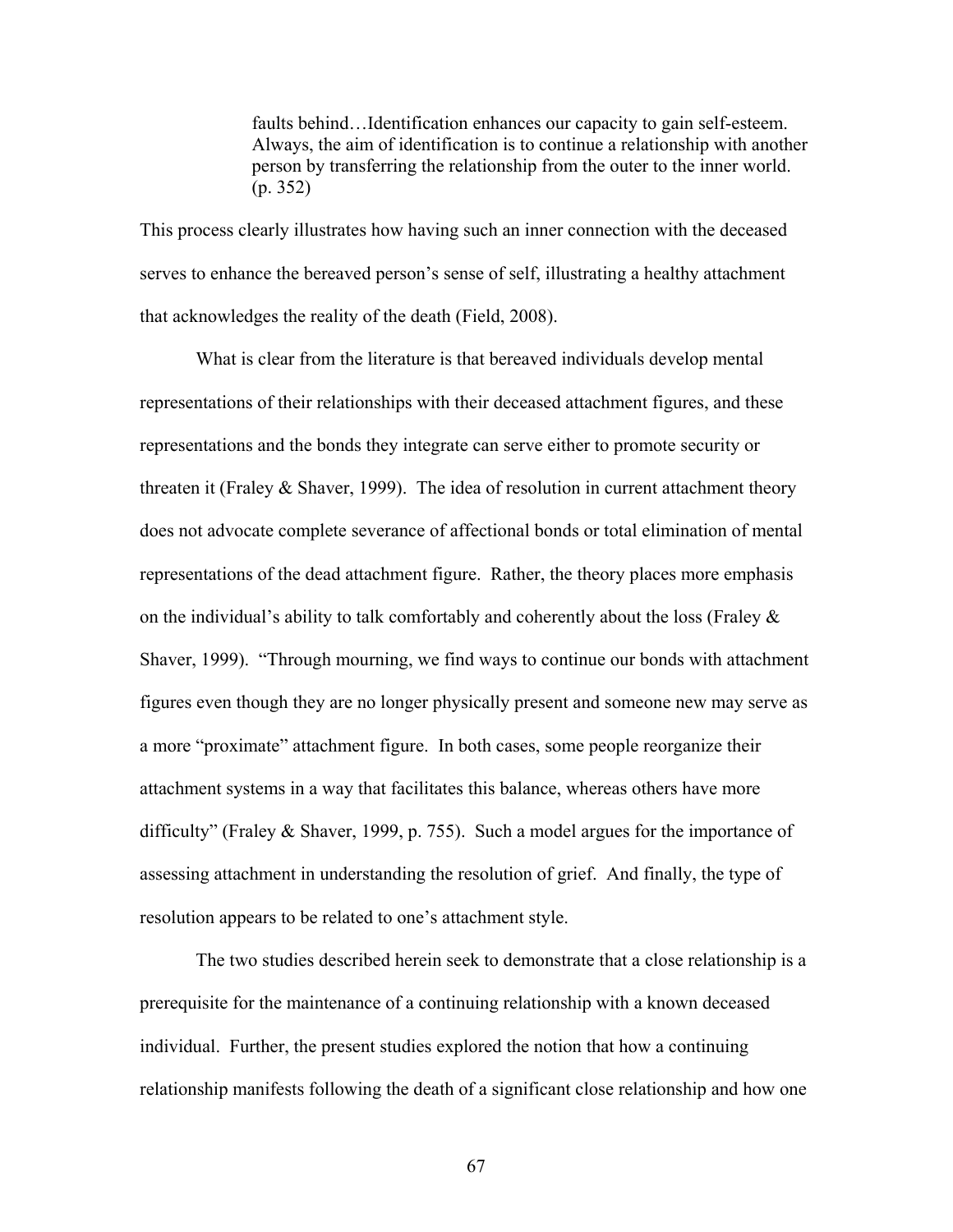faults behind…Identification enhances our capacity to gain self-esteem. Always, the aim of identification is to continue a relationship with another person by transferring the relationship from the outer to the inner world. (p. 352)

This process clearly illustrates how having such an inner connection with the deceased serves to enhance the bereaved person's sense of self, illustrating a healthy attachment that acknowledges the reality of the death (Field, 2008).

What is clear from the literature is that bereaved individuals develop mental representations of their relationships with their deceased attachment figures, and these representations and the bonds they integrate can serve either to promote security or threaten it (Fraley  $&$  Shaver, 1999). The idea of resolution in current attachment theory does not advocate complete severance of affectional bonds or total elimination of mental representations of the dead attachment figure. Rather, the theory places more emphasis on the individual's ability to talk comfortably and coherently about the loss (Fraley  $\&$ Shaver, 1999). "Through mourning, we find ways to continue our bonds with attachment figures even though they are no longer physically present and someone new may serve as a more "proximate" attachment figure. In both cases, some people reorganize their attachment systems in a way that facilitates this balance, whereas others have more difficulty" (Fraley & Shaver, 1999, p. 755). Such a model argues for the importance of assessing attachment in understanding the resolution of grief. And finally, the type of resolution appears to be related to one's attachment style.

The two studies described herein seek to demonstrate that a close relationship is a prerequisite for the maintenance of a continuing relationship with a known deceased individual. Further, the present studies explored the notion that how a continuing relationship manifests following the death of a significant close relationship and how one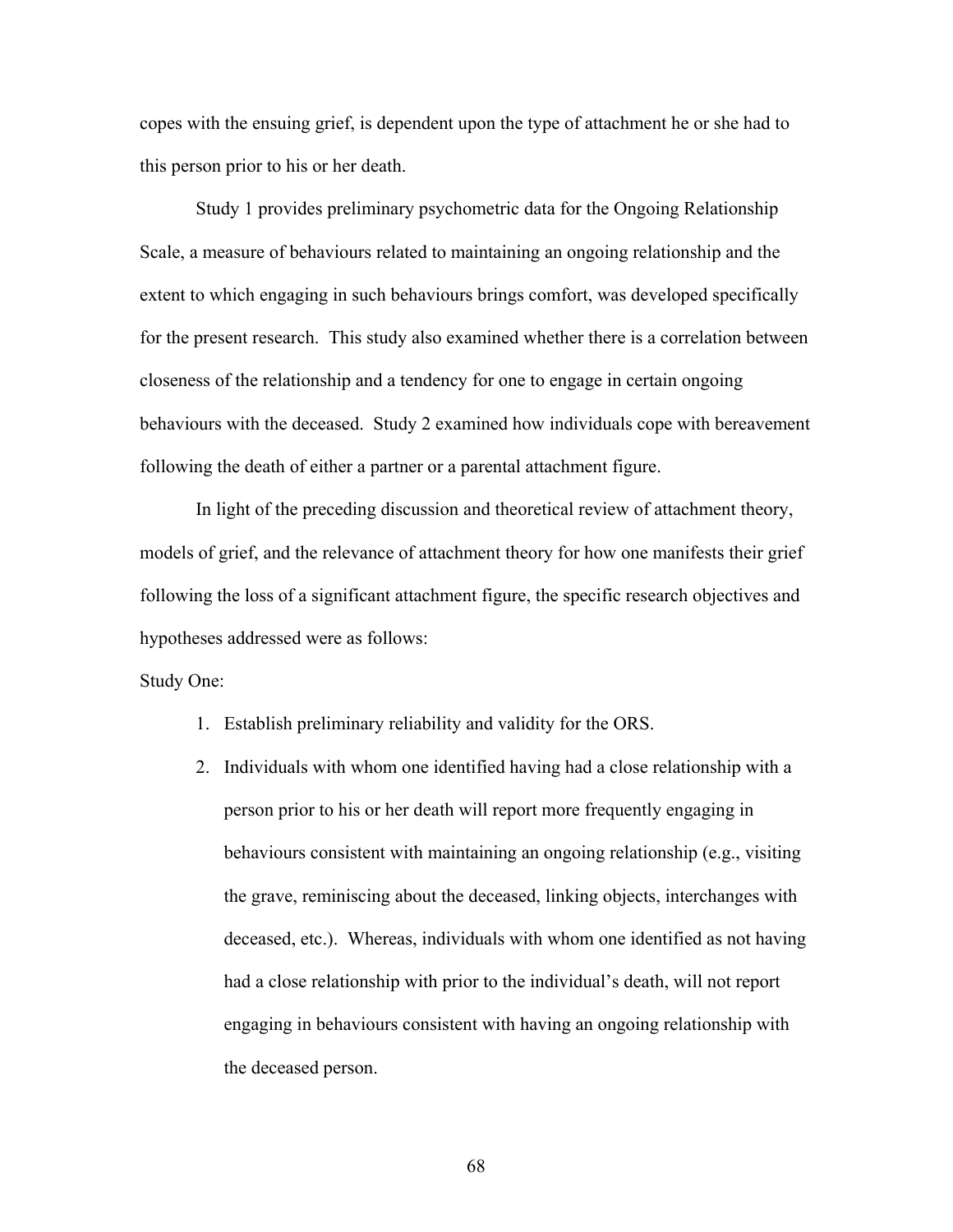copes with the ensuing grief, is dependent upon the type of attachment he or she had to this person prior to his or her death.

Study 1 provides preliminary psychometric data for the Ongoing Relationship Scale, a measure of behaviours related to maintaining an ongoing relationship and the extent to which engaging in such behaviours brings comfort, was developed specifically for the present research. This study also examined whether there is a correlation between closeness of the relationship and a tendency for one to engage in certain ongoing behaviours with the deceased. Study 2 examined how individuals cope with bereavement following the death of either a partner or a parental attachment figure.

 In light of the preceding discussion and theoretical review of attachment theory, models of grief, and the relevance of attachment theory for how one manifests their grief following the loss of a significant attachment figure, the specific research objectives and hypotheses addressed were as follows:

#### Study One:

- 1. Establish preliminary reliability and validity for the ORS.
- 2. Individuals with whom one identified having had a close relationship with a person prior to his or her death will report more frequently engaging in behaviours consistent with maintaining an ongoing relationship (e.g., visiting the grave, reminiscing about the deceased, linking objects, interchanges with deceased, etc.). Whereas, individuals with whom one identified as not having had a close relationship with prior to the individual's death, will not report engaging in behaviours consistent with having an ongoing relationship with the deceased person.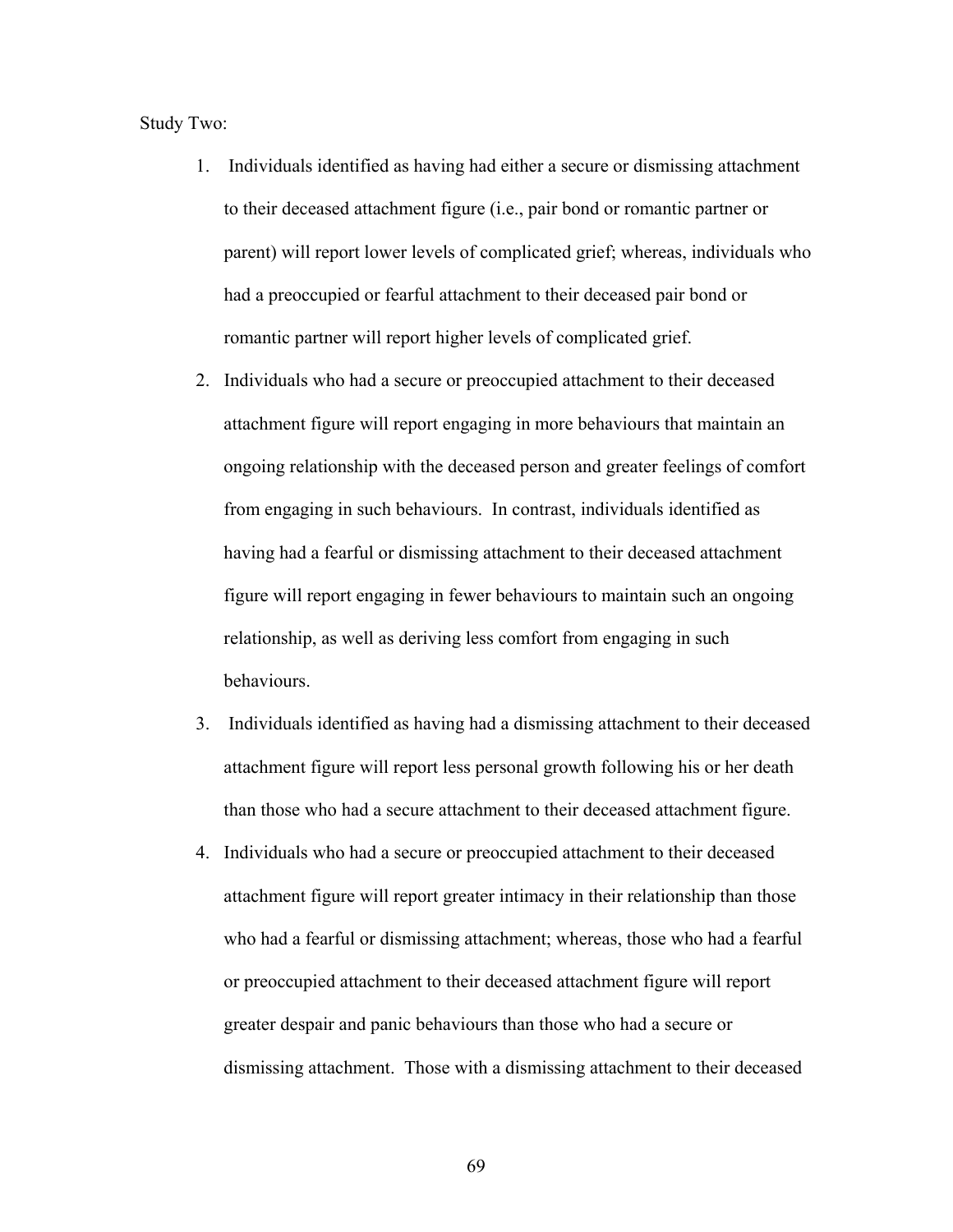Study Two:

- 1. Individuals identified as having had either a secure or dismissing attachment to their deceased attachment figure (i.e., pair bond or romantic partner or parent) will report lower levels of complicated grief; whereas, individuals who had a preoccupied or fearful attachment to their deceased pair bond or romantic partner will report higher levels of complicated grief.
- 2. Individuals who had a secure or preoccupied attachment to their deceased attachment figure will report engaging in more behaviours that maintain an ongoing relationship with the deceased person and greater feelings of comfort from engaging in such behaviours. In contrast, individuals identified as having had a fearful or dismissing attachment to their deceased attachment figure will report engaging in fewer behaviours to maintain such an ongoing relationship, as well as deriving less comfort from engaging in such behaviours.
- 3. Individuals identified as having had a dismissing attachment to their deceased attachment figure will report less personal growth following his or her death than those who had a secure attachment to their deceased attachment figure.
- 4. Individuals who had a secure or preoccupied attachment to their deceased attachment figure will report greater intimacy in their relationship than those who had a fearful or dismissing attachment; whereas, those who had a fearful or preoccupied attachment to their deceased attachment figure will report greater despair and panic behaviours than those who had a secure or dismissing attachment. Those with a dismissing attachment to their deceased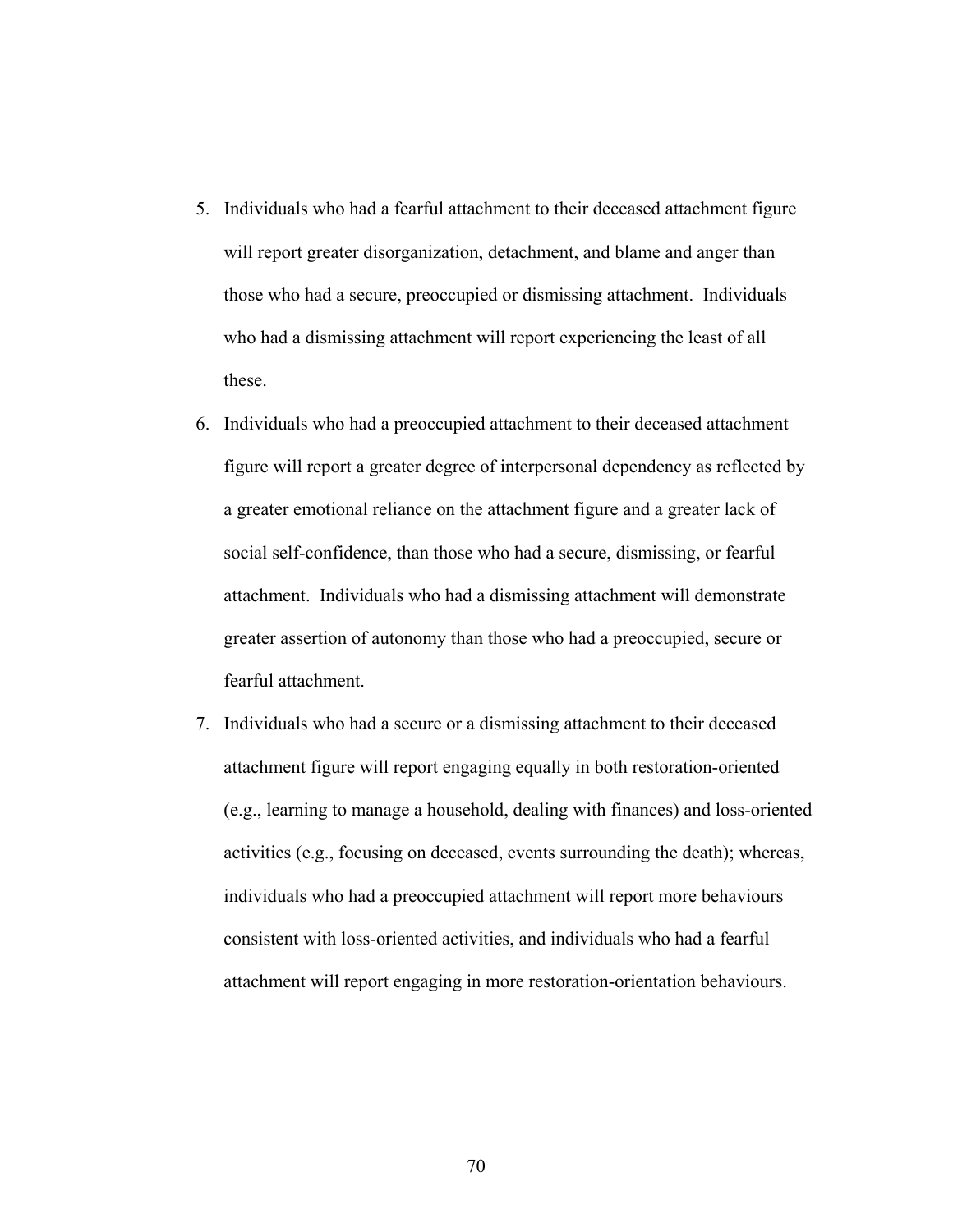- 5. Individuals who had a fearful attachment to their deceased attachment figure will report greater disorganization, detachment, and blame and anger than those who had a secure, preoccupied or dismissing attachment. Individuals who had a dismissing attachment will report experiencing the least of all these.
- 6. Individuals who had a preoccupied attachment to their deceased attachment figure will report a greater degree of interpersonal dependency as reflected by a greater emotional reliance on the attachment figure and a greater lack of social self-confidence, than those who had a secure, dismissing, or fearful attachment. Individuals who had a dismissing attachment will demonstrate greater assertion of autonomy than those who had a preoccupied, secure or fearful attachment.
- 7. Individuals who had a secure or a dismissing attachment to their deceased attachment figure will report engaging equally in both restoration-oriented (e.g., learning to manage a household, dealing with finances) and loss-oriented activities (e.g., focusing on deceased, events surrounding the death); whereas, individuals who had a preoccupied attachment will report more behaviours consistent with loss-oriented activities, and individuals who had a fearful attachment will report engaging in more restoration-orientation behaviours.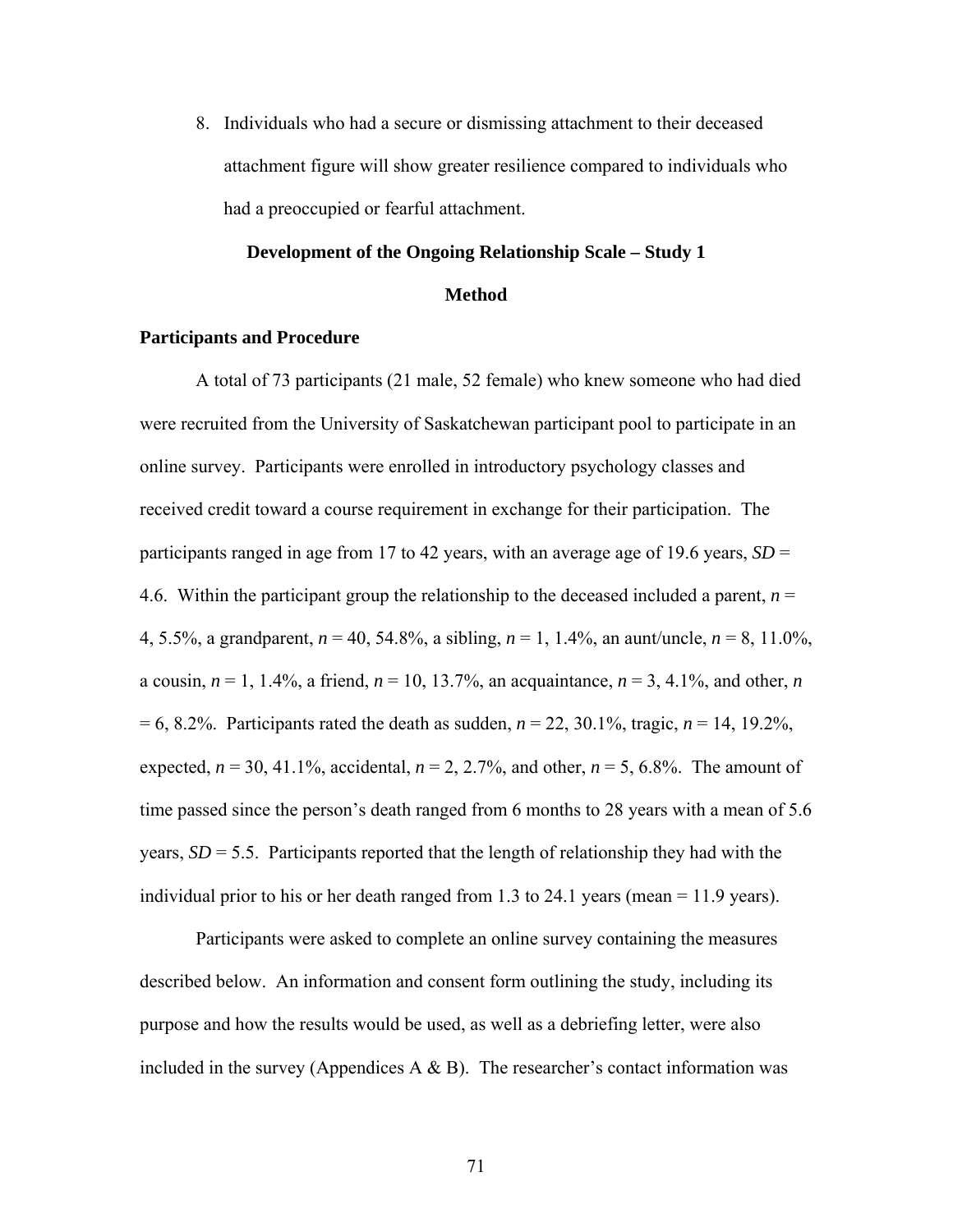8. Individuals who had a secure or dismissing attachment to their deceased attachment figure will show greater resilience compared to individuals who had a preoccupied or fearful attachment.

# **Development of the Ongoing Relationship Scale – Study 1 Method**

## **Participants and Procedure**

A total of 73 participants (21 male, 52 female) who knew someone who had died were recruited from the University of Saskatchewan participant pool to participate in an online survey. Participants were enrolled in introductory psychology classes and received credit toward a course requirement in exchange for their participation. The participants ranged in age from 17 to 42 years, with an average age of 19.6 years,  $SD =$ 4.6. Within the participant group the relationship to the deceased included a parent,  $n =$ 4, 5.5%, a grandparent, *n* = 40, 54.8%, a sibling, *n* = 1, 1.4%, an aunt/uncle, *n* = 8, 11.0%, a cousin,  $n = 1, 1.4\%$ , a friend,  $n = 10, 13.7\%$ , an acquaintance,  $n = 3, 4.1\%$ , and other, *n* = 6, 8.2%. Participants rated the death as sudden, *n* = 22, 30.1%, tragic, *n* = 14, 19.2%, expected,  $n = 30, 41.1\%$ , accidental,  $n = 2, 2.7\%$ , and other,  $n = 5, 6.8\%$ . The amount of time passed since the person's death ranged from 6 months to 28 years with a mean of 5.6 years,  $SD = 5.5$ . Participants reported that the length of relationship they had with the individual prior to his or her death ranged from 1.3 to 24.1 years (mean = 11.9 years).

Participants were asked to complete an online survey containing the measures described below. An information and consent form outlining the study, including its purpose and how the results would be used, as well as a debriefing letter, were also included in the survey (Appendices A  $\&$  B). The researcher's contact information was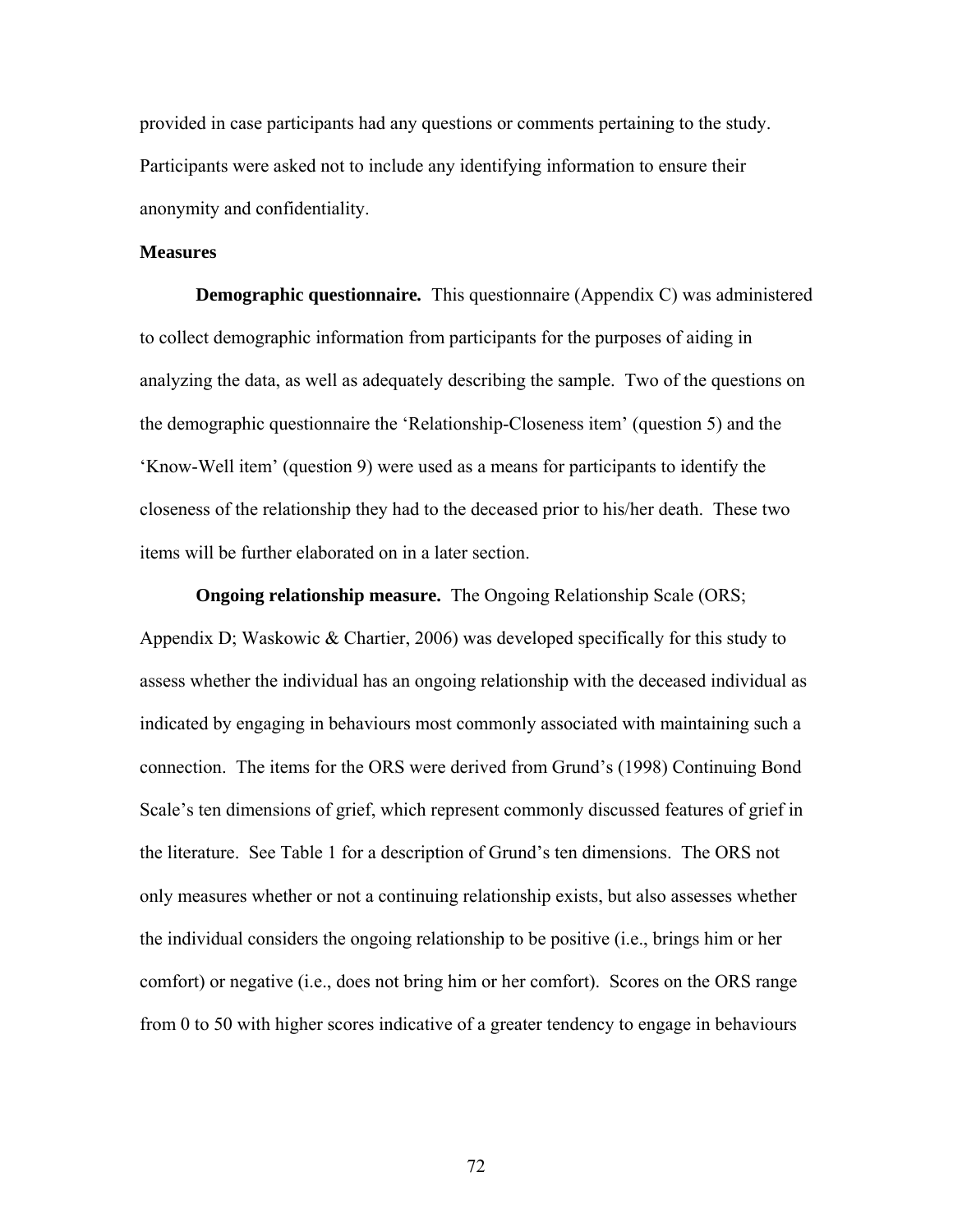provided in case participants had any questions or comments pertaining to the study. Participants were asked not to include any identifying information to ensure their anonymity and confidentiality.

## **Measures**

**Demographic questionnaire***.* This questionnaire (Appendix C) was administered to collect demographic information from participants for the purposes of aiding in analyzing the data, as well as adequately describing the sample. Two of the questions on the demographic questionnaire the 'Relationship-Closeness item' (question 5) and the 'Know-Well item' (question 9) were used as a means for participants to identify the closeness of the relationship they had to the deceased prior to his/her death. These two items will be further elaborated on in a later section.

**Ongoing relationship measure.** The Ongoing Relationship Scale (ORS; Appendix D; Waskowic & Chartier, 2006) was developed specifically for this study to assess whether the individual has an ongoing relationship with the deceased individual as indicated by engaging in behaviours most commonly associated with maintaining such a connection. The items for the ORS were derived from Grund's (1998) Continuing Bond Scale's ten dimensions of grief, which represent commonly discussed features of grief in the literature. See Table 1 for a description of Grund's ten dimensions. The ORS not only measures whether or not a continuing relationship exists, but also assesses whether the individual considers the ongoing relationship to be positive (i.e., brings him or her comfort) or negative (i.e., does not bring him or her comfort). Scores on the ORS range from 0 to 50 with higher scores indicative of a greater tendency to engage in behaviours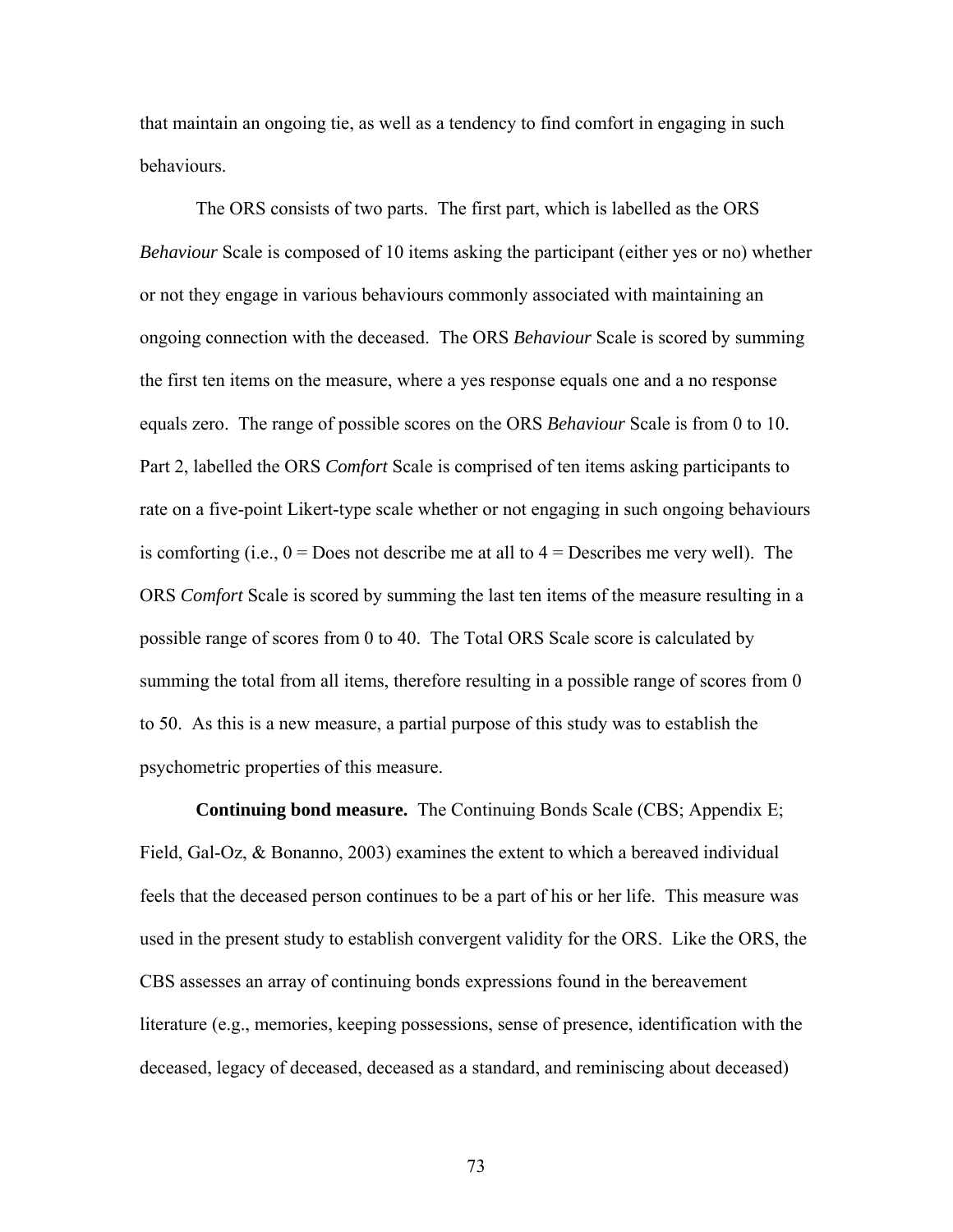that maintain an ongoing tie, as well as a tendency to find comfort in engaging in such behaviours.

The ORS consists of two parts. The first part, which is labelled as the ORS *Behaviour* Scale is composed of 10 items asking the participant (either yes or no) whether or not they engage in various behaviours commonly associated with maintaining an ongoing connection with the deceased. The ORS *Behaviour* Scale is scored by summing the first ten items on the measure, where a yes response equals one and a no response equals zero. The range of possible scores on the ORS *Behaviour* Scale is from 0 to 10. Part 2, labelled the ORS *Comfort* Scale is comprised of ten items asking participants to rate on a five-point Likert-type scale whether or not engaging in such ongoing behaviours is comforting (i.e.,  $0 =$  Does not describe me at all to  $4 =$  Describes me very well). The ORS *Comfort* Scale is scored by summing the last ten items of the measure resulting in a possible range of scores from 0 to 40. The Total ORS Scale score is calculated by summing the total from all items, therefore resulting in a possible range of scores from 0 to 50. As this is a new measure, a partial purpose of this study was to establish the psychometric properties of this measure.

**Continuing bond measure.** The Continuing Bonds Scale (CBS; Appendix E; Field, Gal-Oz, & Bonanno, 2003) examines the extent to which a bereaved individual feels that the deceased person continues to be a part of his or her life. This measure was used in the present study to establish convergent validity for the ORS. Like the ORS, the CBS assesses an array of continuing bonds expressions found in the bereavement literature (e.g., memories, keeping possessions, sense of presence, identification with the deceased, legacy of deceased, deceased as a standard, and reminiscing about deceased)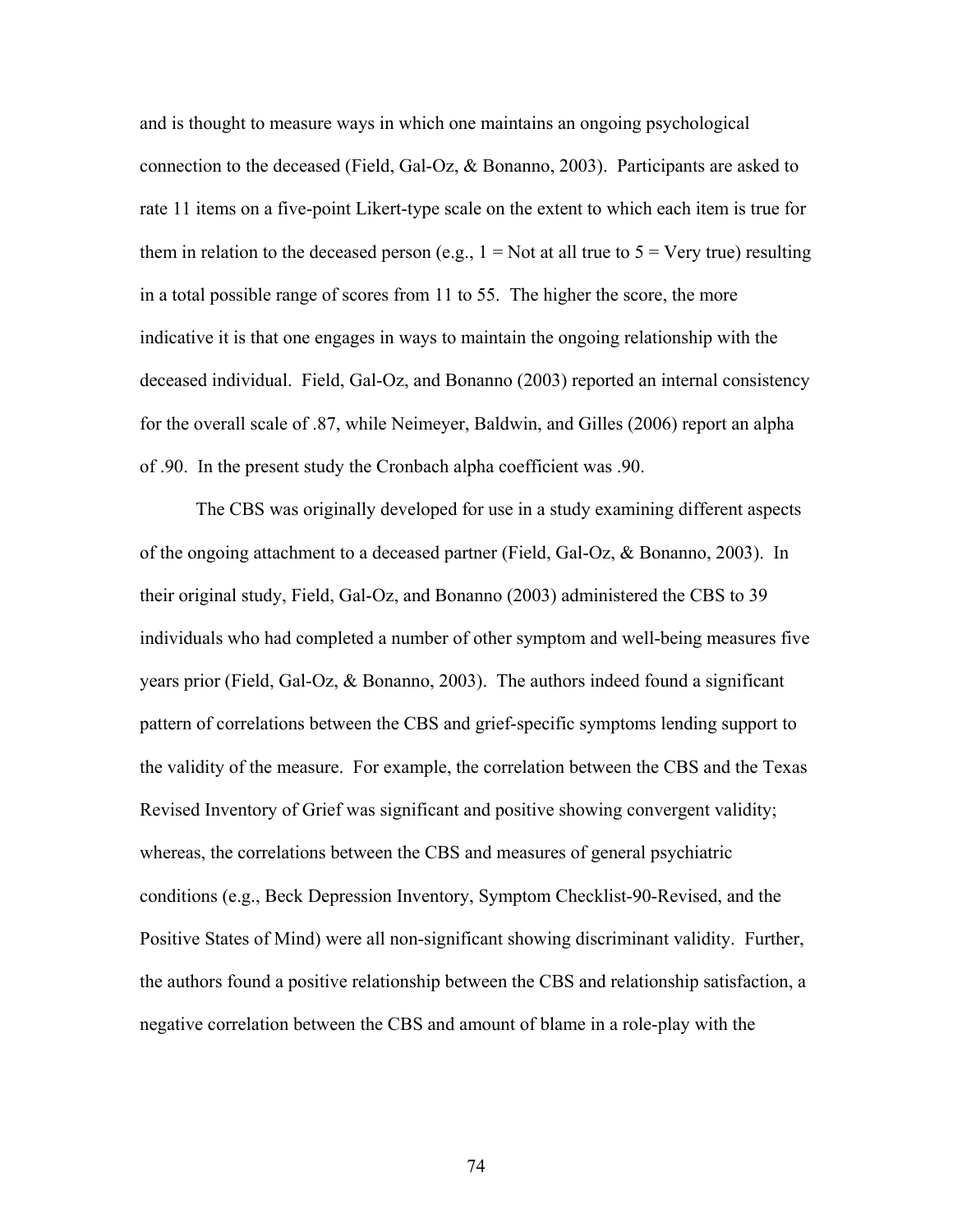and is thought to measure ways in which one maintains an ongoing psychological connection to the deceased (Field, Gal-Oz, & Bonanno, 2003). Participants are asked to rate 11 items on a five-point Likert-type scale on the extent to which each item is true for them in relation to the deceased person (e.g.,  $1 = Not$  at all true to  $5 = Very$  true) resulting in a total possible range of scores from 11 to 55. The higher the score, the more indicative it is that one engages in ways to maintain the ongoing relationship with the deceased individual. Field, Gal-Oz, and Bonanno (2003) reported an internal consistency for the overall scale of .87, while Neimeyer, Baldwin, and Gilles (2006) report an alpha of .90. In the present study the Cronbach alpha coefficient was .90.

The CBS was originally developed for use in a study examining different aspects of the ongoing attachment to a deceased partner (Field, Gal-Oz, & Bonanno, 2003). In their original study, Field, Gal-Oz, and Bonanno (2003) administered the CBS to 39 individuals who had completed a number of other symptom and well-being measures five years prior (Field, Gal-Oz, & Bonanno, 2003). The authors indeed found a significant pattern of correlations between the CBS and grief-specific symptoms lending support to the validity of the measure. For example, the correlation between the CBS and the Texas Revised Inventory of Grief was significant and positive showing convergent validity; whereas, the correlations between the CBS and measures of general psychiatric conditions (e.g., Beck Depression Inventory, Symptom Checklist-90-Revised, and the Positive States of Mind) were all non-significant showing discriminant validity. Further, the authors found a positive relationship between the CBS and relationship satisfaction, a negative correlation between the CBS and amount of blame in a role-play with the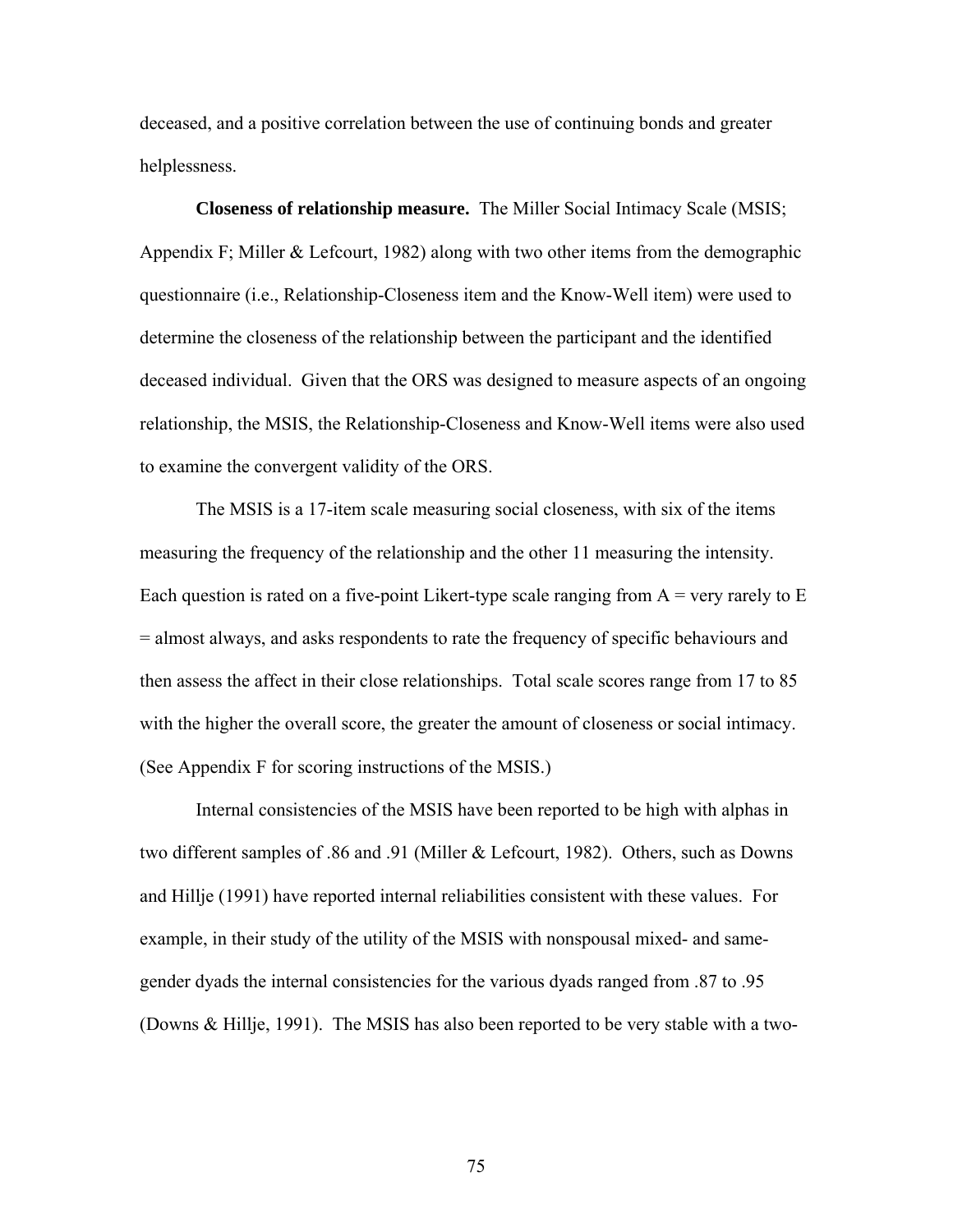deceased, and a positive correlation between the use of continuing bonds and greater helplessness.

**Closeness of relationship measure.** The Miller Social Intimacy Scale (MSIS; Appendix F; Miller & Lefcourt, 1982) along with two other items from the demographic questionnaire (i.e., Relationship-Closeness item and the Know-Well item) were used to determine the closeness of the relationship between the participant and the identified deceased individual. Given that the ORS was designed to measure aspects of an ongoing relationship, the MSIS, the Relationship-Closeness and Know-Well items were also used to examine the convergent validity of the ORS.

The MSIS is a 17-item scale measuring social closeness, with six of the items measuring the frequency of the relationship and the other 11 measuring the intensity. Each question is rated on a five-point Likert-type scale ranging from  $A = \text{very rarely to } E$ = almost always, and asks respondents to rate the frequency of specific behaviours and then assess the affect in their close relationships. Total scale scores range from 17 to 85 with the higher the overall score, the greater the amount of closeness or social intimacy. (See Appendix F for scoring instructions of the MSIS.)

Internal consistencies of the MSIS have been reported to be high with alphas in two different samples of .86 and .91 (Miller & Lefcourt, 1982). Others, such as Downs and Hillje (1991) have reported internal reliabilities consistent with these values. For example, in their study of the utility of the MSIS with nonspousal mixed- and samegender dyads the internal consistencies for the various dyads ranged from .87 to .95 (Downs & Hillje, 1991). The MSIS has also been reported to be very stable with a two-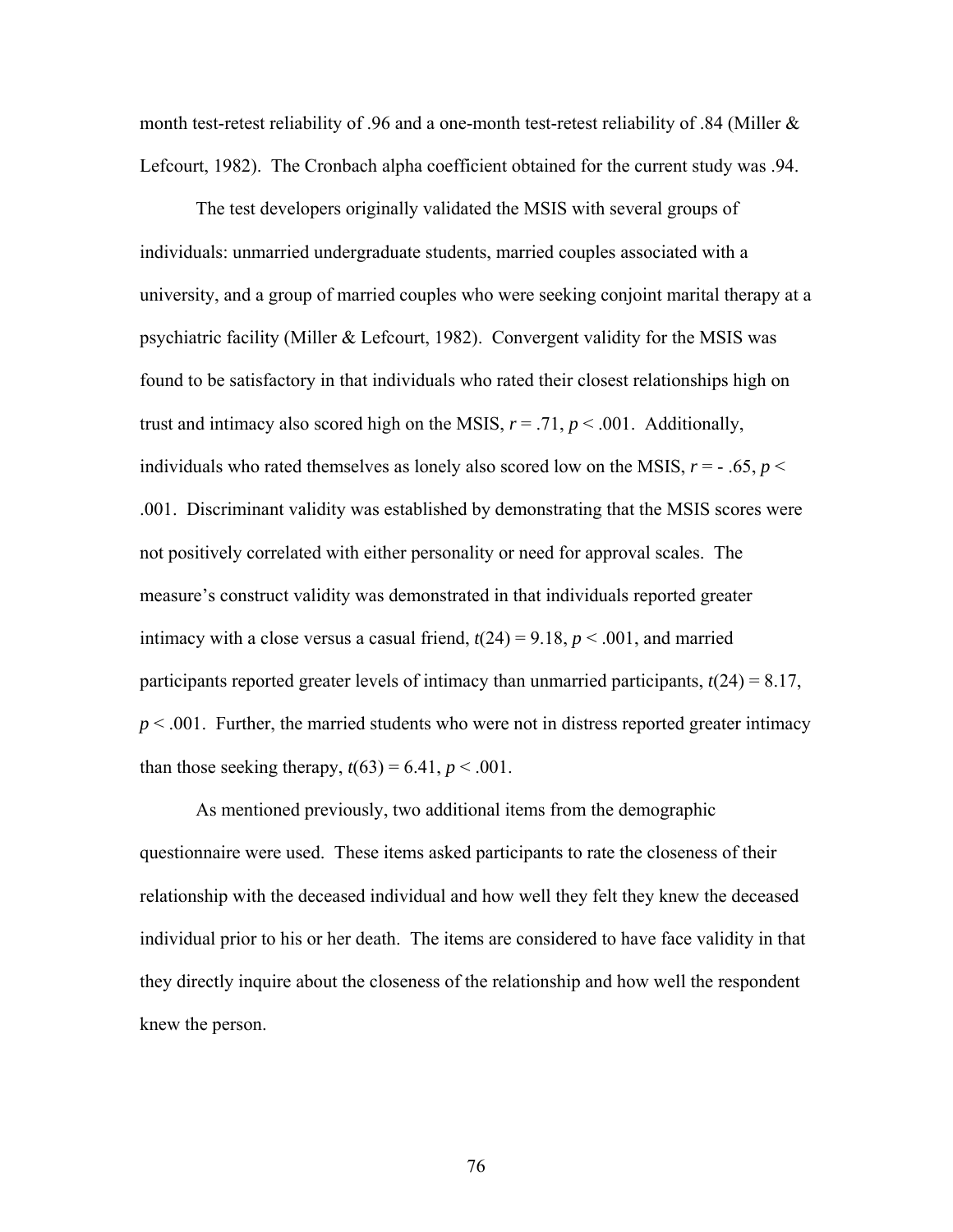month test-retest reliability of .96 and a one-month test-retest reliability of .84 (Miller & Lefcourt, 1982). The Cronbach alpha coefficient obtained for the current study was .94.

The test developers originally validated the MSIS with several groups of individuals: unmarried undergraduate students, married couples associated with a university, and a group of married couples who were seeking conjoint marital therapy at a psychiatric facility (Miller & Lefcourt, 1982). Convergent validity for the MSIS was found to be satisfactory in that individuals who rated their closest relationships high on trust and intimacy also scored high on the MSIS,  $r = .71$ ,  $p < .001$ . Additionally, individuals who rated themselves as lonely also scored low on the MSIS,  $r = -0.65$ ,  $p <$ .001. Discriminant validity was established by demonstrating that the MSIS scores were not positively correlated with either personality or need for approval scales. The measure's construct validity was demonstrated in that individuals reported greater intimacy with a close versus a casual friend,  $t(24) = 9.18$ ,  $p < .001$ , and married participants reported greater levels of intimacy than unmarried participants,  $t(24) = 8.17$ ,  $p < .001$ . Further, the married students who were not in distress reported greater intimacy than those seeking therapy,  $t(63) = 6.41$ ,  $p < .001$ .

As mentioned previously, two additional items from the demographic questionnaire were used. These items asked participants to rate the closeness of their relationship with the deceased individual and how well they felt they knew the deceased individual prior to his or her death. The items are considered to have face validity in that they directly inquire about the closeness of the relationship and how well the respondent knew the person.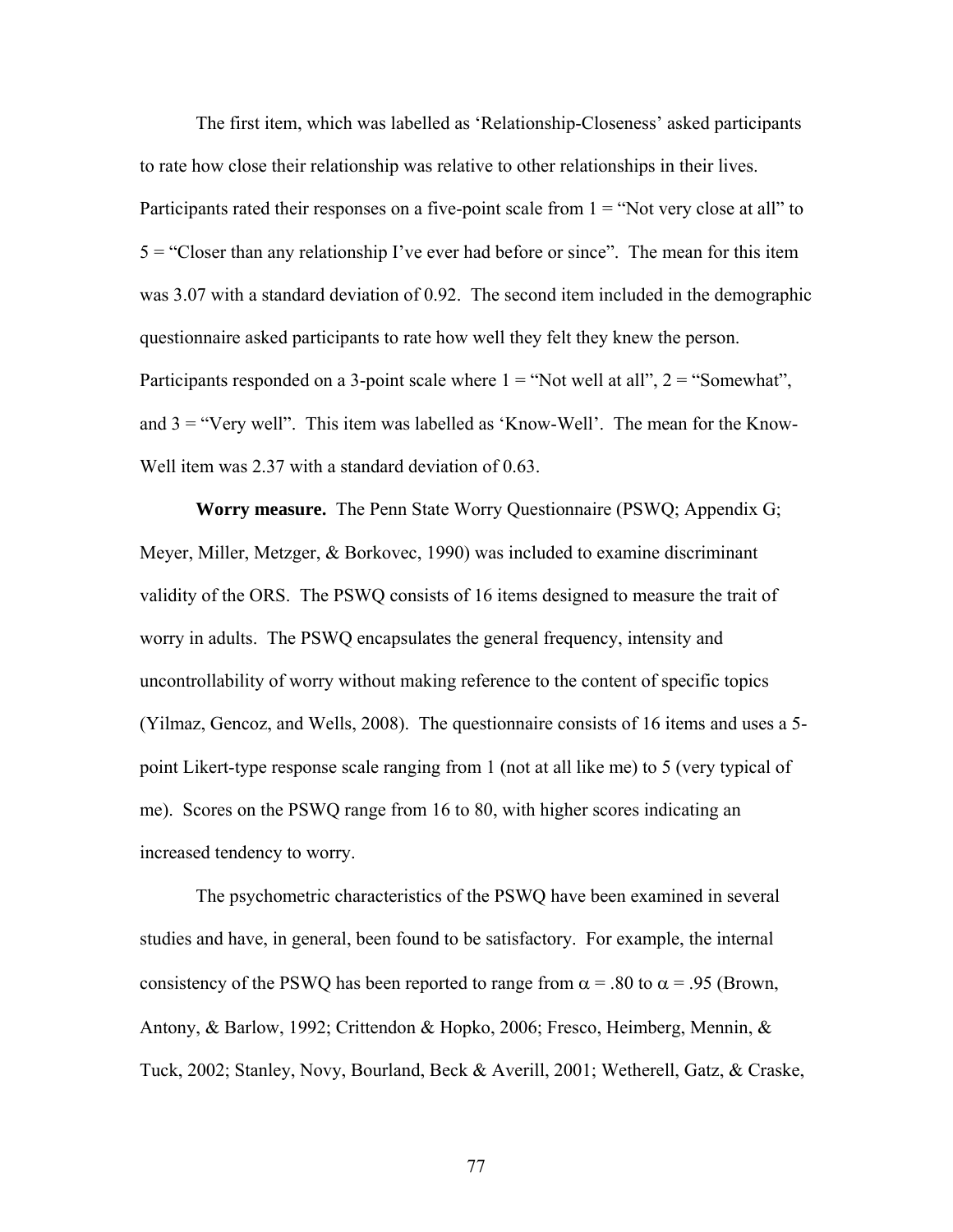The first item, which was labelled as 'Relationship-Closeness' asked participants to rate how close their relationship was relative to other relationships in their lives. Participants rated their responses on a five-point scale from  $1 =$  "Not very close at all" to 5 = "Closer than any relationship I've ever had before or since". The mean for this item was 3.07 with a standard deviation of 0.92. The second item included in the demographic questionnaire asked participants to rate how well they felt they knew the person. Participants responded on a 3-point scale where  $1 = "Not well at all", 2 = "Somewhat",$ and  $3 =$  "Very well". This item was labelled as 'Know-Well'. The mean for the Know-Well item was 2.37 with a standard deviation of 0.63.

**Worry measure.** The Penn State Worry Questionnaire (PSWQ; Appendix G; Meyer, Miller, Metzger, & Borkovec, 1990) was included to examine discriminant validity of the ORS. The PSWQ consists of 16 items designed to measure the trait of worry in adults. The PSWQ encapsulates the general frequency, intensity and uncontrollability of worry without making reference to the content of specific topics (Yilmaz, Gencoz, and Wells, 2008). The questionnaire consists of 16 items and uses a 5 point Likert-type response scale ranging from 1 (not at all like me) to 5 (very typical of me). Scores on the PSWQ range from 16 to 80, with higher scores indicating an increased tendency to worry.

The psychometric characteristics of the PSWQ have been examined in several studies and have, in general, been found to be satisfactory. For example, the internal consistency of the PSWQ has been reported to range from  $\alpha$  = .80 to  $\alpha$  = .95 (Brown, Antony, & Barlow, 1992; Crittendon & Hopko, 2006; Fresco, Heimberg, Mennin, & Tuck, 2002; Stanley, Novy, Bourland, Beck & Averill, 2001; Wetherell, Gatz, & Craske,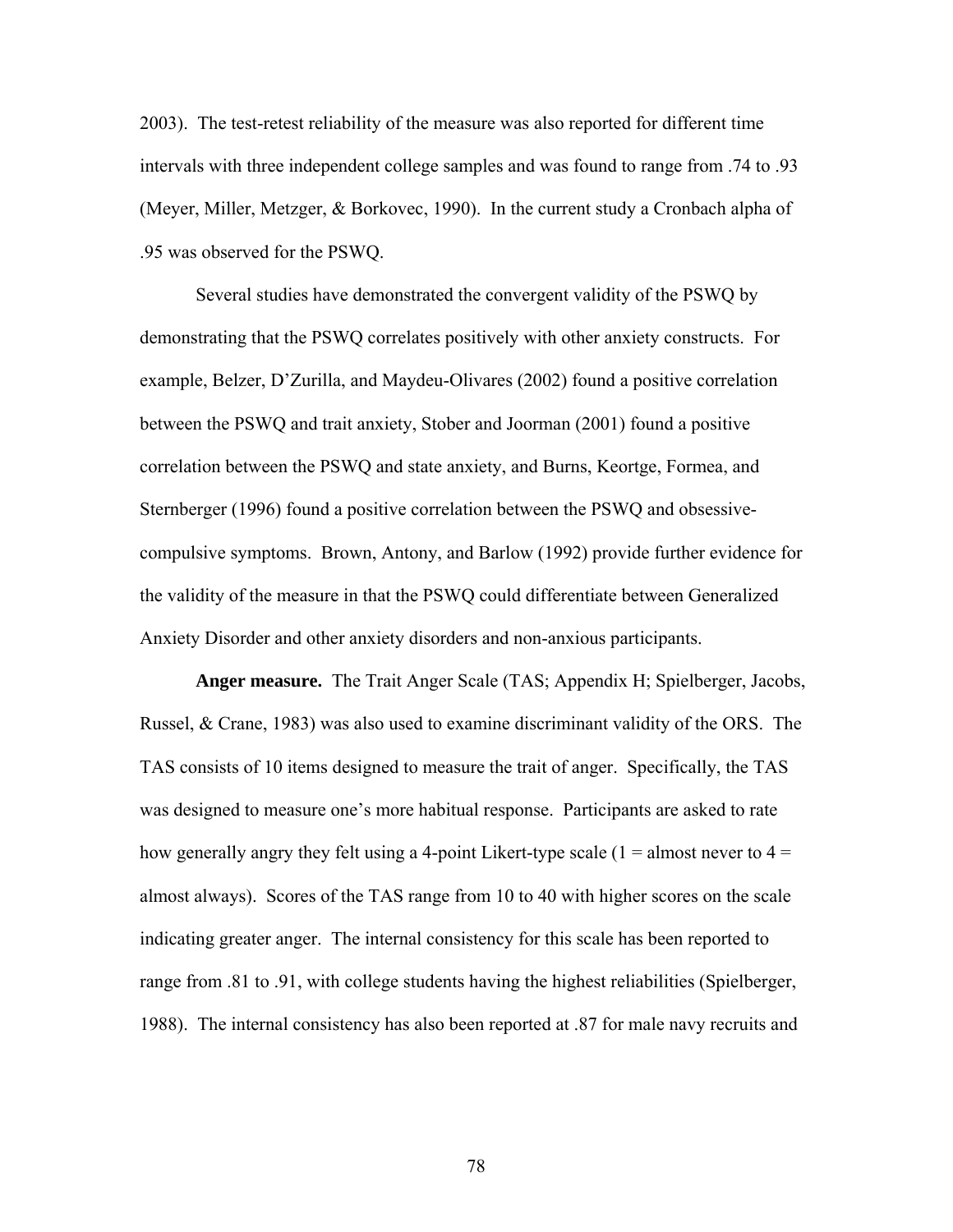2003). The test-retest reliability of the measure was also reported for different time intervals with three independent college samples and was found to range from .74 to .93 (Meyer, Miller, Metzger, & Borkovec, 1990). In the current study a Cronbach alpha of .95 was observed for the PSWQ.

Several studies have demonstrated the convergent validity of the PSWQ by demonstrating that the PSWQ correlates positively with other anxiety constructs. For example, Belzer, D'Zurilla, and Maydeu-Olivares (2002) found a positive correlation between the PSWQ and trait anxiety, Stober and Joorman (2001) found a positive correlation between the PSWQ and state anxiety, and Burns, Keortge, Formea, and Sternberger (1996) found a positive correlation between the PSWQ and obsessivecompulsive symptoms. Brown, Antony, and Barlow (1992) provide further evidence for the validity of the measure in that the PSWQ could differentiate between Generalized Anxiety Disorder and other anxiety disorders and non-anxious participants.

**Anger measure.** The Trait Anger Scale (TAS; Appendix H; Spielberger, Jacobs, Russel, & Crane, 1983) was also used to examine discriminant validity of the ORS. The TAS consists of 10 items designed to measure the trait of anger. Specifically, the TAS was designed to measure one's more habitual response. Participants are asked to rate how generally angry they felt using a 4-point Likert-type scale  $(1 =$  almost never to  $4 =$ almost always). Scores of the TAS range from 10 to 40 with higher scores on the scale indicating greater anger. The internal consistency for this scale has been reported to range from .81 to .91, with college students having the highest reliabilities (Spielberger, 1988). The internal consistency has also been reported at .87 for male navy recruits and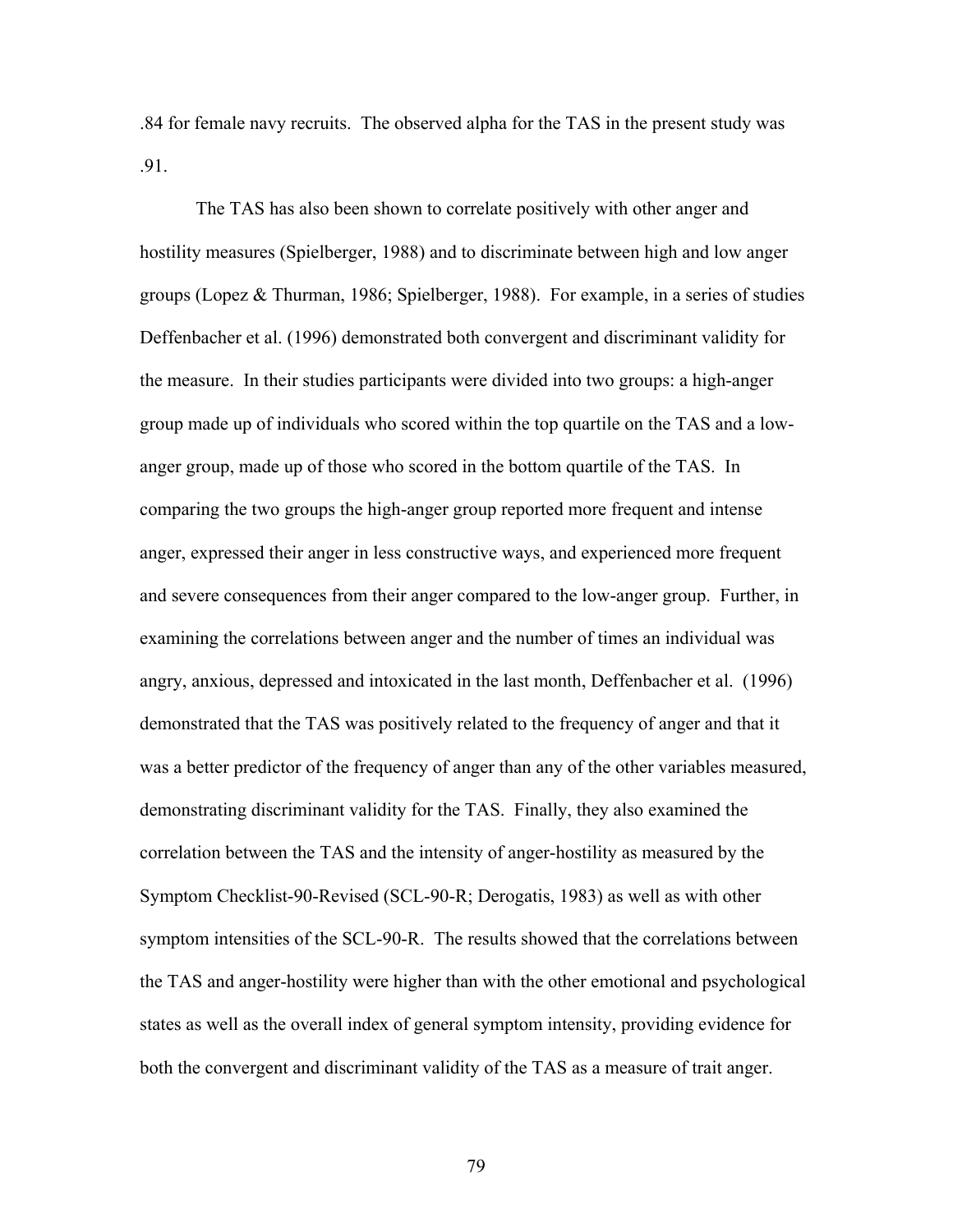.84 for female navy recruits. The observed alpha for the TAS in the present study was .91.

The TAS has also been shown to correlate positively with other anger and hostility measures (Spielberger, 1988) and to discriminate between high and low anger groups (Lopez & Thurman, 1986; Spielberger, 1988). For example, in a series of studies Deffenbacher et al. (1996) demonstrated both convergent and discriminant validity for the measure. In their studies participants were divided into two groups: a high-anger group made up of individuals who scored within the top quartile on the TAS and a lowanger group, made up of those who scored in the bottom quartile of the TAS. In comparing the two groups the high-anger group reported more frequent and intense anger, expressed their anger in less constructive ways, and experienced more frequent and severe consequences from their anger compared to the low-anger group. Further, in examining the correlations between anger and the number of times an individual was angry, anxious, depressed and intoxicated in the last month, Deffenbacher et al. (1996) demonstrated that the TAS was positively related to the frequency of anger and that it was a better predictor of the frequency of anger than any of the other variables measured, demonstrating discriminant validity for the TAS. Finally, they also examined the correlation between the TAS and the intensity of anger-hostility as measured by the Symptom Checklist-90-Revised (SCL-90-R; Derogatis, 1983) as well as with other symptom intensities of the SCL-90-R. The results showed that the correlations between the TAS and anger-hostility were higher than with the other emotional and psychological states as well as the overall index of general symptom intensity, providing evidence for both the convergent and discriminant validity of the TAS as a measure of trait anger.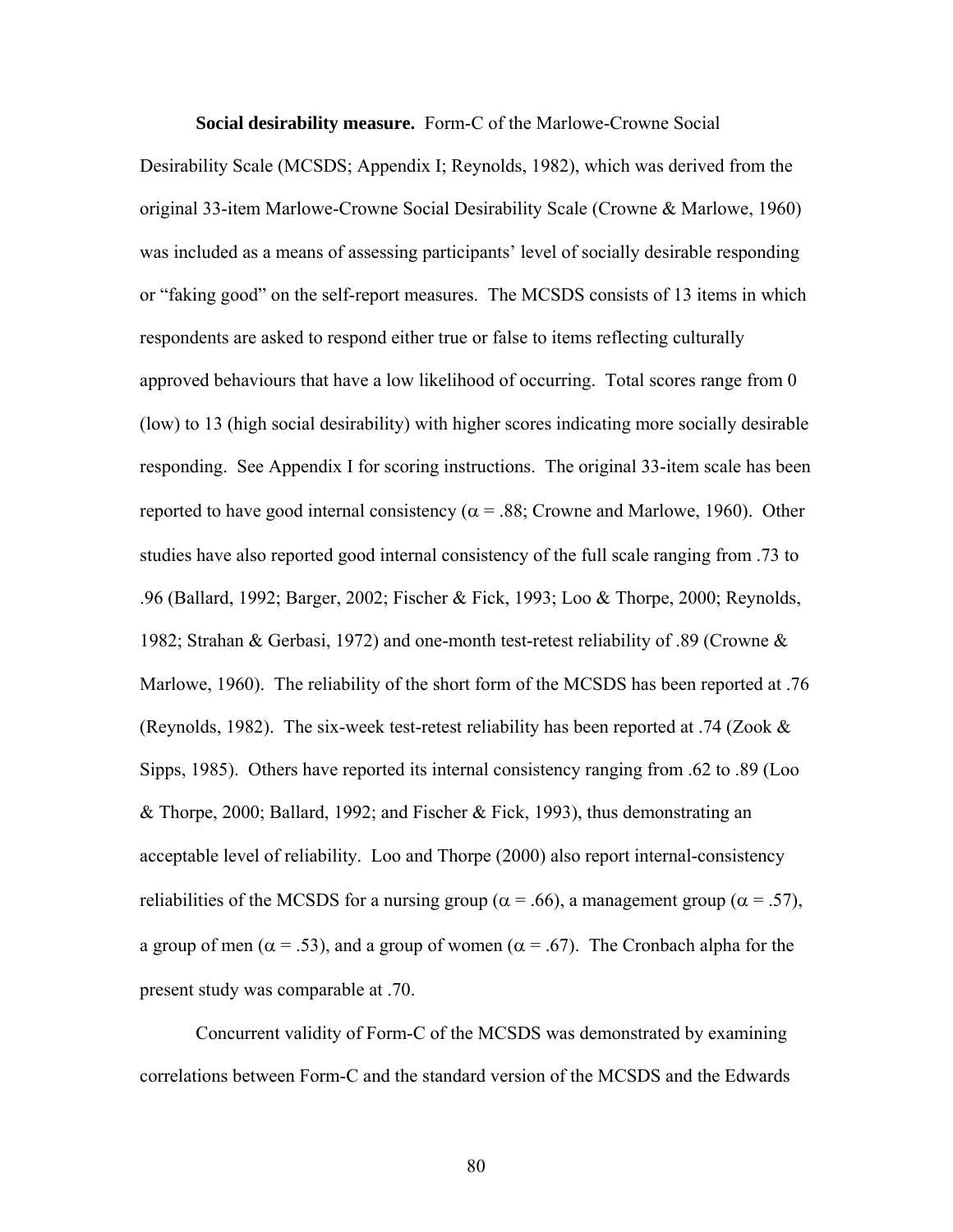**Social desirability measure.** Form-C of the Marlowe-Crowne Social

Desirability Scale (MCSDS; Appendix I; Reynolds, 1982), which was derived from the original 33-item Marlowe-Crowne Social Desirability Scale (Crowne & Marlowe, 1960) was included as a means of assessing participants' level of socially desirable responding or "faking good" on the self-report measures. The MCSDS consists of 13 items in which respondents are asked to respond either true or false to items reflecting culturally approved behaviours that have a low likelihood of occurring. Total scores range from 0 (low) to 13 (high social desirability) with higher scores indicating more socially desirable responding. See Appendix I for scoring instructions. The original 33-item scale has been reported to have good internal consistency ( $\alpha$  = .88; Crowne and Marlowe, 1960). Other studies have also reported good internal consistency of the full scale ranging from .73 to .96 (Ballard, 1992; Barger, 2002; Fischer & Fick, 1993; Loo & Thorpe, 2000; Reynolds, 1982; Strahan & Gerbasi, 1972) and one-month test-retest reliability of .89 (Crowne & Marlowe, 1960). The reliability of the short form of the MCSDS has been reported at .76 (Reynolds, 1982). The six-week test-retest reliability has been reported at .74 (Zook & Sipps, 1985). Others have reported its internal consistency ranging from .62 to .89 (Loo & Thorpe, 2000; Ballard, 1992; and Fischer & Fick, 1993), thus demonstrating an acceptable level of reliability. Loo and Thorpe (2000) also report internal-consistency reliabilities of the MCSDS for a nursing group ( $\alpha$  = .66), a management group ( $\alpha$  = .57), a group of men ( $\alpha$  = .53), and a group of women ( $\alpha$  = .67). The Cronbach alpha for the present study was comparable at .70.

Concurrent validity of Form-C of the MCSDS was demonstrated by examining correlations between Form-C and the standard version of the MCSDS and the Edwards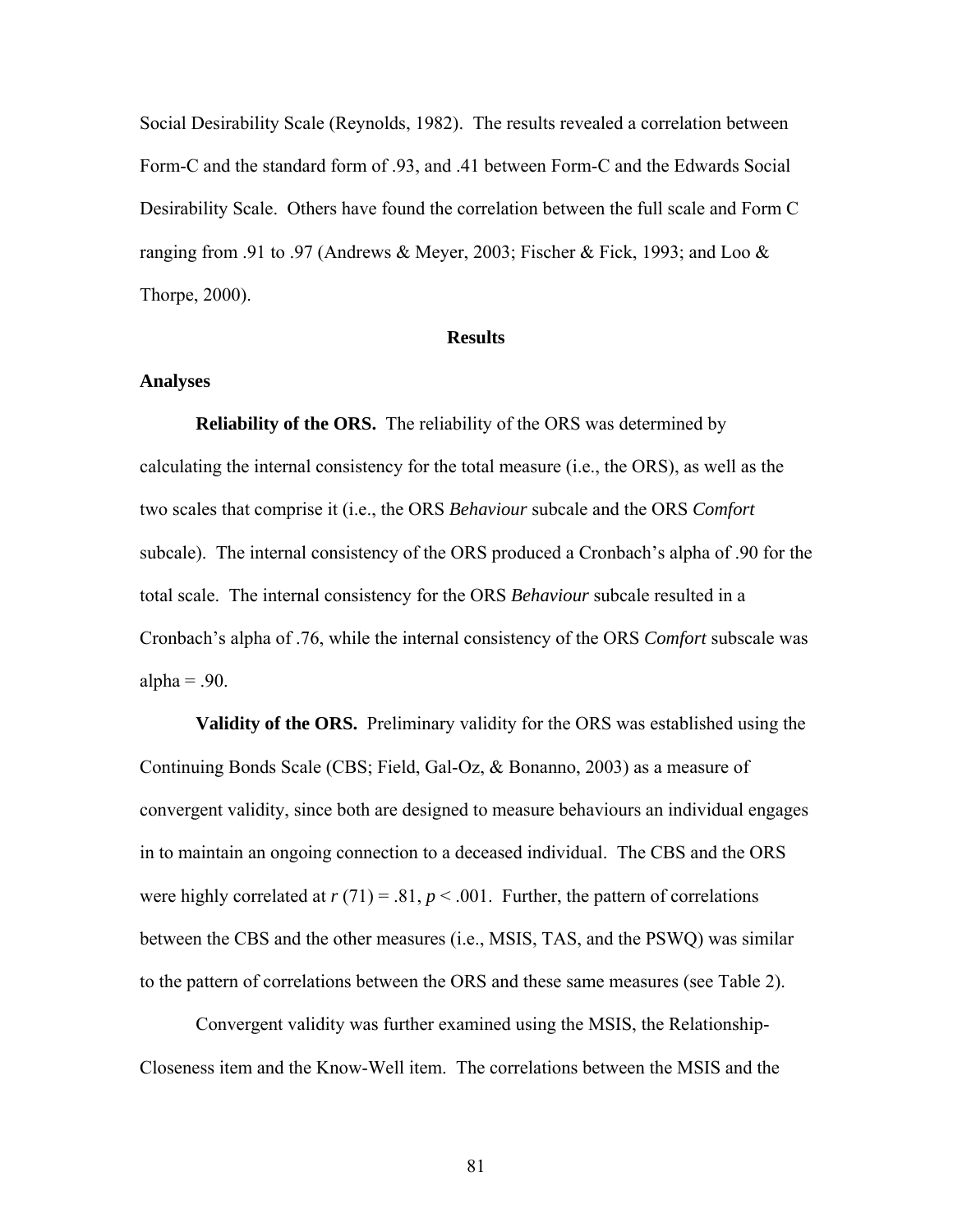Social Desirability Scale (Reynolds, 1982). The results revealed a correlation between Form-C and the standard form of .93, and .41 between Form-C and the Edwards Social Desirability Scale. Others have found the correlation between the full scale and Form C ranging from .91 to .97 (Andrews & Meyer, 2003; Fischer & Fick, 1993; and Loo & Thorpe, 2000).

### **Results**

#### **Analyses**

**Reliability of the ORS.** The reliability of the ORS was determined by calculating the internal consistency for the total measure (i.e., the ORS), as well as the two scales that comprise it (i.e., the ORS *Behaviour* subcale and the ORS *Comfort* subcale). The internal consistency of the ORS produced a Cronbach's alpha of .90 for the total scale. The internal consistency for the ORS *Behaviour* subcale resulted in a Cronbach's alpha of .76, while the internal consistency of the ORS *Comfort* subscale was alpha  $= .90$ .

**Validity of the ORS.** Preliminary validity for the ORS was established using the Continuing Bonds Scale (CBS; Field, Gal-Oz, & Bonanno, 2003) as a measure of convergent validity, since both are designed to measure behaviours an individual engages in to maintain an ongoing connection to a deceased individual. The CBS and the ORS were highly correlated at  $r(71) = .81$ ,  $p < .001$ . Further, the pattern of correlations between the CBS and the other measures (i.e., MSIS, TAS, and the PSWQ) was similar to the pattern of correlations between the ORS and these same measures (see Table 2).

Convergent validity was further examined using the MSIS, the Relationship-Closeness item and the Know-Well item. The correlations between the MSIS and the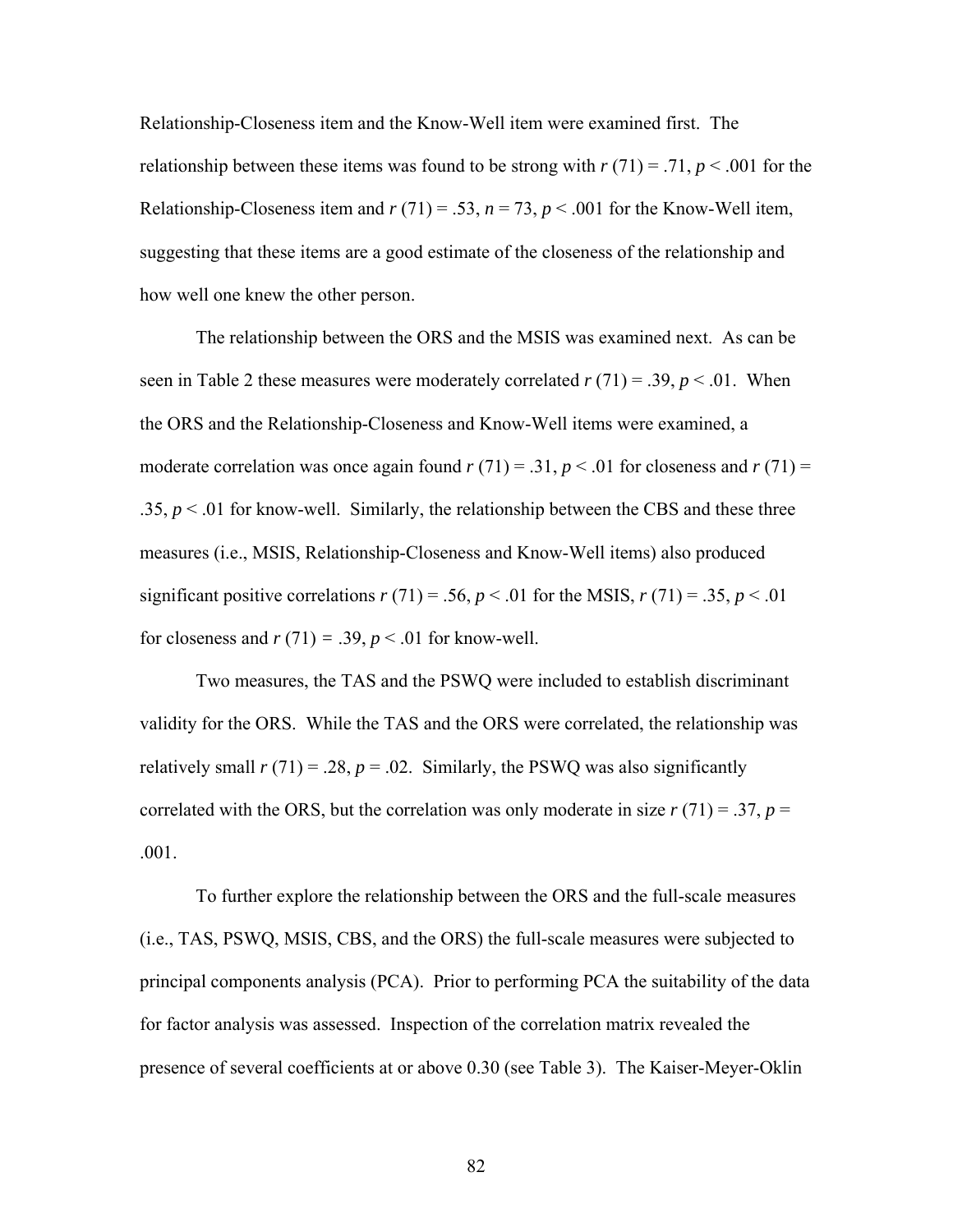Relationship-Closeness item and the Know-Well item were examined first. The relationship between these items was found to be strong with  $r(71) = .71$ ,  $p < .001$  for the Relationship-Closeness item and  $r(71) = .53$ ,  $n = 73$ ,  $p < .001$  for the Know-Well item, suggesting that these items are a good estimate of the closeness of the relationship and how well one knew the other person.

The relationship between the ORS and the MSIS was examined next. As can be seen in Table 2 these measures were moderately correlated  $r(71) = .39, p < .01$ . When the ORS and the Relationship-Closeness and Know-Well items were examined, a moderate correlation was once again found  $r(71) = .31$ ,  $p < .01$  for closeness and  $r(71) =$ .35,  $p < 0.01$  for know-well. Similarly, the relationship between the CBS and these three measures (i.e., MSIS, Relationship-Closeness and Know-Well items) also produced significant positive correlations  $r(71) = .56$ ,  $p < .01$  for the MSIS,  $r(71) = .35$ ,  $p < .01$ for closeness and  $r(71) = .39$ ,  $p < .01$  for know-well.

Two measures, the TAS and the PSWQ were included to establish discriminant validity for the ORS. While the TAS and the ORS were correlated, the relationship was relatively small  $r(71) = .28$ ,  $p = .02$ . Similarly, the PSWQ was also significantly correlated with the ORS, but the correlation was only moderate in size  $r(71) = .37$ ,  $p =$ .001.

To further explore the relationship between the ORS and the full-scale measures (i.e., TAS, PSWQ, MSIS, CBS, and the ORS) the full-scale measures were subjected to principal components analysis (PCA). Prior to performing PCA the suitability of the data for factor analysis was assessed. Inspection of the correlation matrix revealed the presence of several coefficients at or above 0.30 (see Table 3). The Kaiser-Meyer-Oklin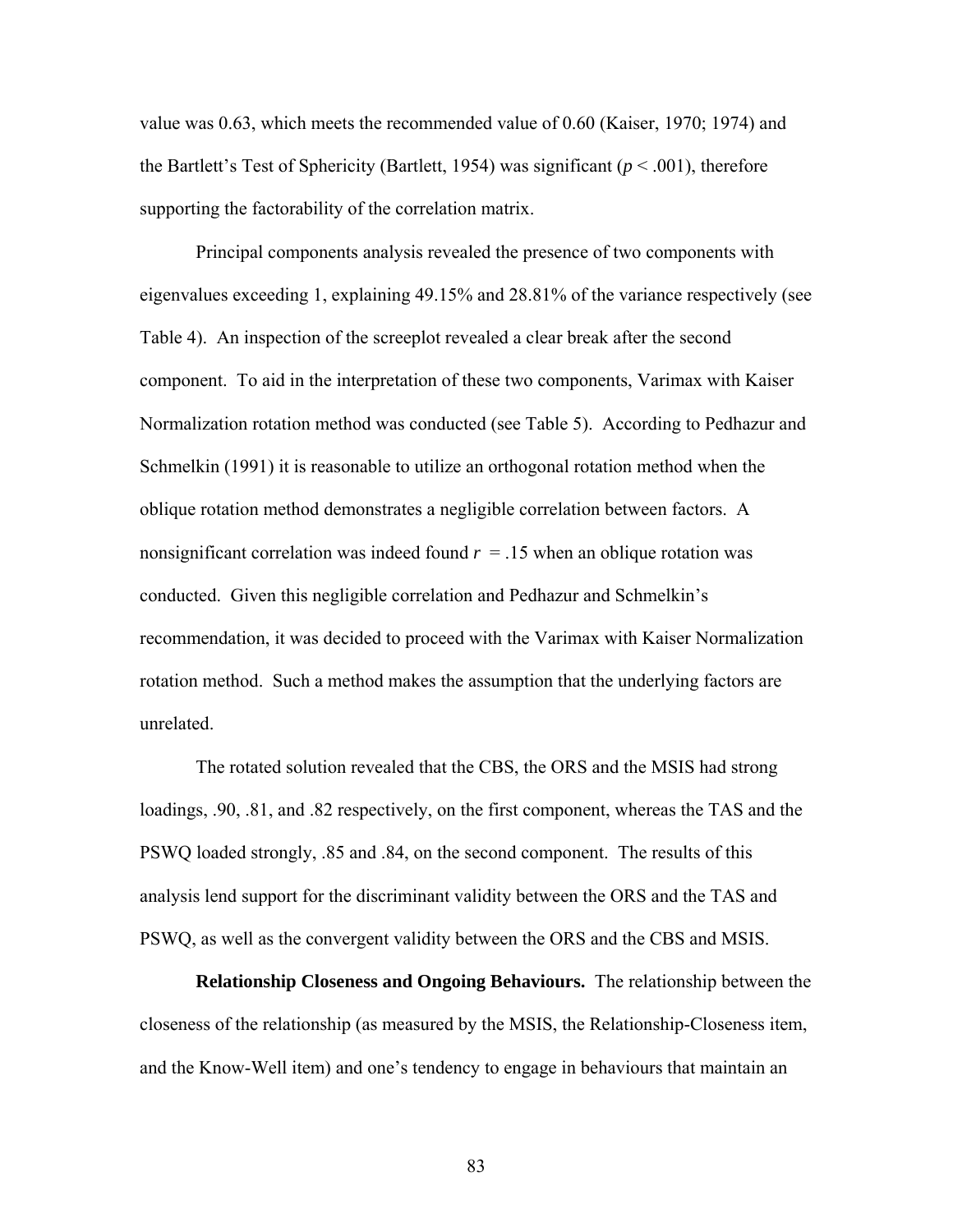value was 0.63, which meets the recommended value of 0.60 (Kaiser, 1970; 1974) and the Bartlett's Test of Sphericity (Bartlett, 1954) was significant ( $p < .001$ ), therefore supporting the factorability of the correlation matrix.

Principal components analysis revealed the presence of two components with eigenvalues exceeding 1, explaining 49.15% and 28.81% of the variance respectively (see Table 4). An inspection of the screeplot revealed a clear break after the second component. To aid in the interpretation of these two components, Varimax with Kaiser Normalization rotation method was conducted (see Table 5). According to Pedhazur and Schmelkin (1991) it is reasonable to utilize an orthogonal rotation method when the oblique rotation method demonstrates a negligible correlation between factors. A nonsignificant correlation was indeed found *r* = .15 when an oblique rotation was conducted. Given this negligible correlation and Pedhazur and Schmelkin's recommendation, it was decided to proceed with the Varimax with Kaiser Normalization rotation method. Such a method makes the assumption that the underlying factors are unrelated.

The rotated solution revealed that the CBS, the ORS and the MSIS had strong loadings, .90, .81, and .82 respectively, on the first component, whereas the TAS and the PSWQ loaded strongly, .85 and .84, on the second component. The results of this analysis lend support for the discriminant validity between the ORS and the TAS and PSWQ, as well as the convergent validity between the ORS and the CBS and MSIS.

**Relationship Closeness and Ongoing Behaviours.** The relationship between the closeness of the relationship (as measured by the MSIS, the Relationship-Closeness item, and the Know-Well item) and one's tendency to engage in behaviours that maintain an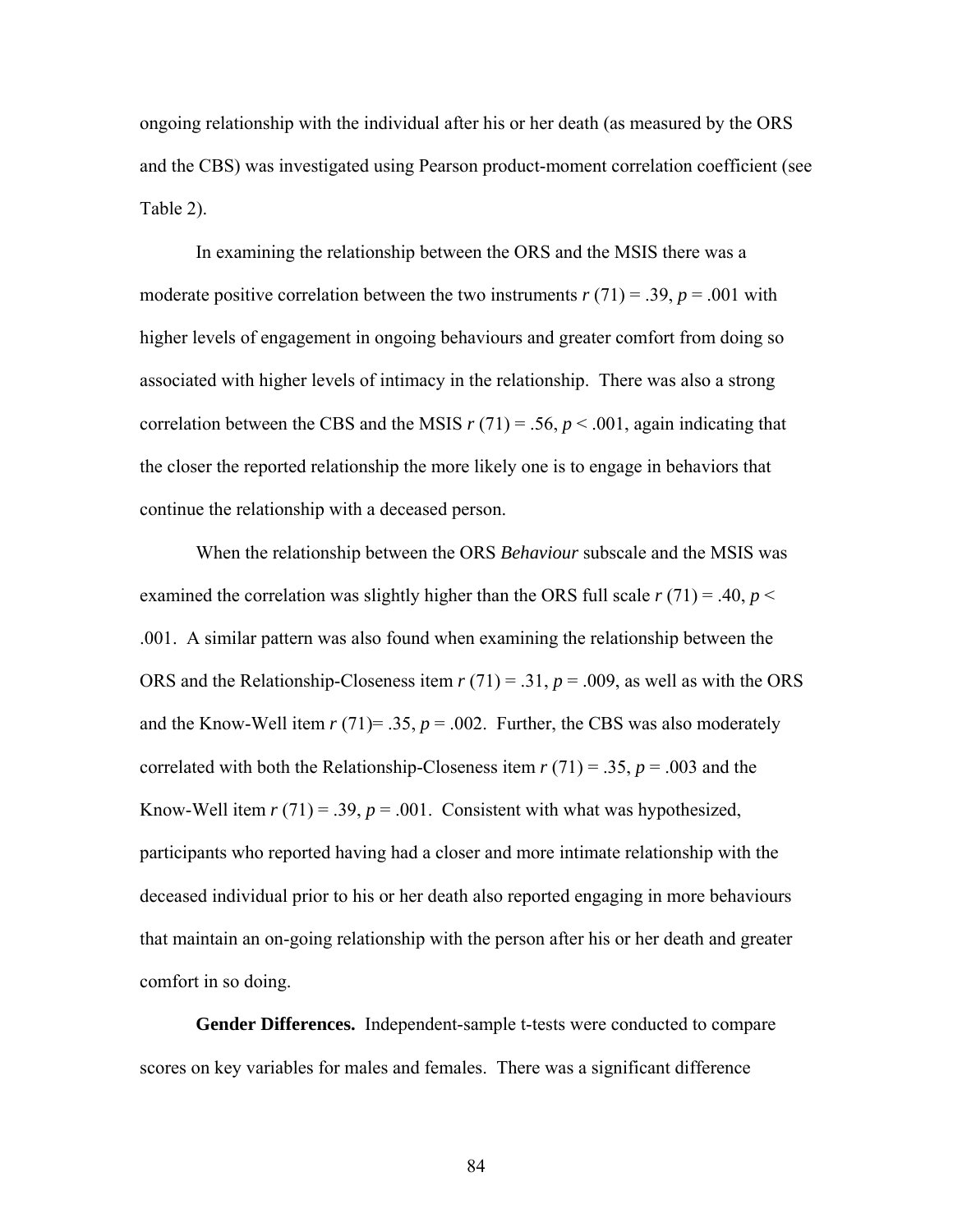ongoing relationship with the individual after his or her death (as measured by the ORS and the CBS) was investigated using Pearson product-moment correlation coefficient (see Table 2).

In examining the relationship between the ORS and the MSIS there was a moderate positive correlation between the two instruments  $r(71) = .39$ ,  $p = .001$  with higher levels of engagement in ongoing behaviours and greater comfort from doing so associated with higher levels of intimacy in the relationship. There was also a strong correlation between the CBS and the MSIS  $r(71) = .56$ ,  $p < .001$ , again indicating that the closer the reported relationship the more likely one is to engage in behaviors that continue the relationship with a deceased person.

When the relationship between the ORS *Behaviour* subscale and the MSIS was examined the correlation was slightly higher than the ORS full scale  $r(71) = .40$ ,  $p <$ .001. A similar pattern was also found when examining the relationship between the ORS and the Relationship-Closeness item *r* (71) = .31, *p* = .009, as well as with the ORS and the Know-Well item  $r(71) = .35$ ,  $p = .002$ . Further, the CBS was also moderately correlated with both the Relationship-Closeness item  $r(71) = .35$ ,  $p = .003$  and the Know-Well item  $r(71) = .39$ ,  $p = .001$ . Consistent with what was hypothesized, participants who reported having had a closer and more intimate relationship with the deceased individual prior to his or her death also reported engaging in more behaviours that maintain an on-going relationship with the person after his or her death and greater comfort in so doing.

**Gender Differences.** Independent-sample t-tests were conducted to compare scores on key variables for males and females. There was a significant difference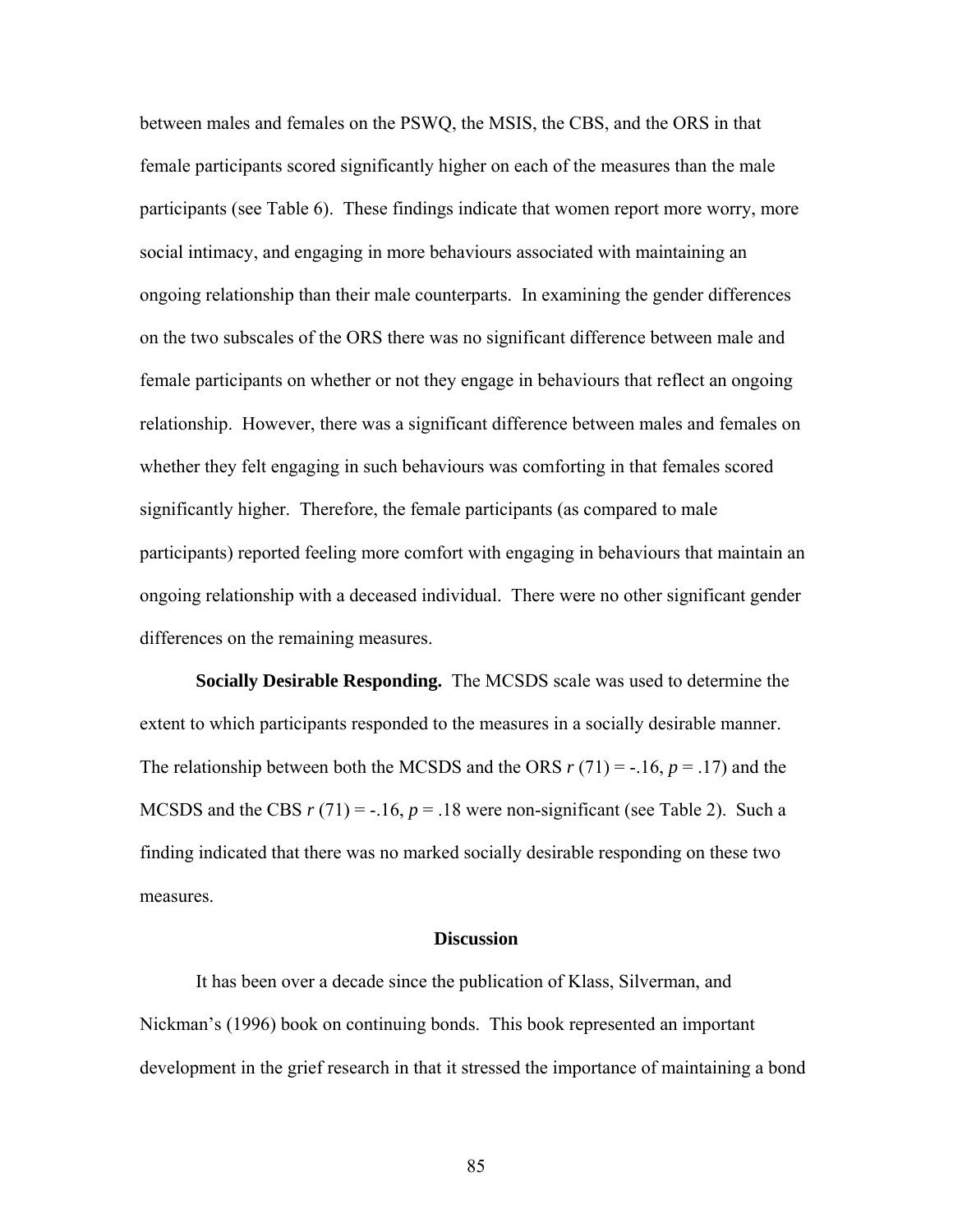between males and females on the PSWQ, the MSIS, the CBS, and the ORS in that female participants scored significantly higher on each of the measures than the male participants (see Table 6). These findings indicate that women report more worry, more social intimacy, and engaging in more behaviours associated with maintaining an ongoing relationship than their male counterparts. In examining the gender differences on the two subscales of the ORS there was no significant difference between male and female participants on whether or not they engage in behaviours that reflect an ongoing relationship. However, there was a significant difference between males and females on whether they felt engaging in such behaviours was comforting in that females scored significantly higher. Therefore, the female participants (as compared to male participants) reported feeling more comfort with engaging in behaviours that maintain an ongoing relationship with a deceased individual. There were no other significant gender differences on the remaining measures.

**Socially Desirable Responding.** The MCSDS scale was used to determine the extent to which participants responded to the measures in a socially desirable manner. The relationship between both the MCSDS and the ORS  $r(71) = -16$ ,  $p = 0.17$  and the MCSDS and the CBS  $r(71) = -16$ ,  $p = 18$  were non-significant (see Table 2). Such a finding indicated that there was no marked socially desirable responding on these two measures.

### **Discussion**

It has been over a decade since the publication of Klass, Silverman, and Nickman's (1996) book on continuing bonds. This book represented an important development in the grief research in that it stressed the importance of maintaining a bond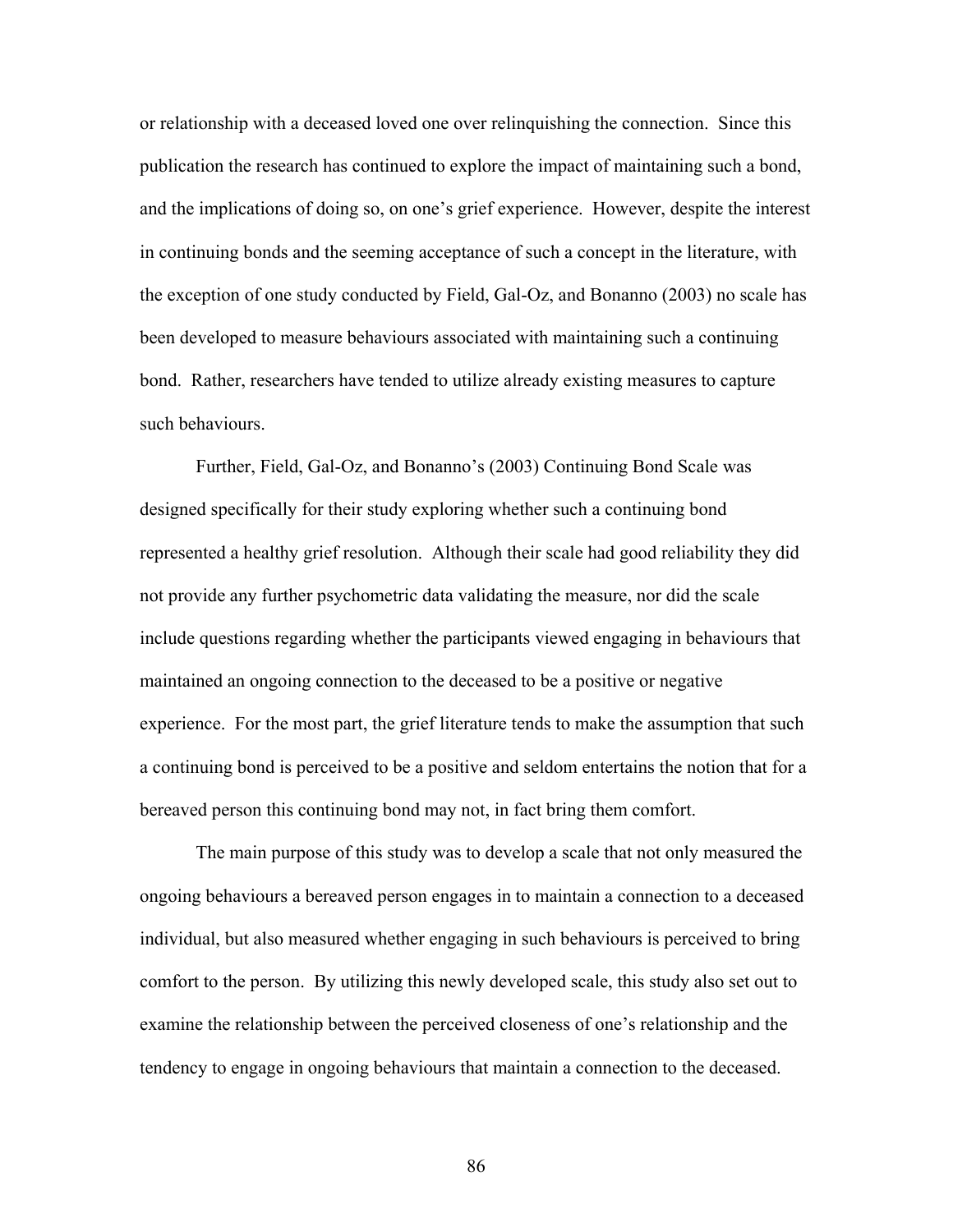or relationship with a deceased loved one over relinquishing the connection. Since this publication the research has continued to explore the impact of maintaining such a bond, and the implications of doing so, on one's grief experience. However, despite the interest in continuing bonds and the seeming acceptance of such a concept in the literature, with the exception of one study conducted by Field, Gal-Oz, and Bonanno (2003) no scale has been developed to measure behaviours associated with maintaining such a continuing bond. Rather, researchers have tended to utilize already existing measures to capture such behaviours.

Further, Field, Gal-Oz, and Bonanno's (2003) Continuing Bond Scale was designed specifically for their study exploring whether such a continuing bond represented a healthy grief resolution. Although their scale had good reliability they did not provide any further psychometric data validating the measure, nor did the scale include questions regarding whether the participants viewed engaging in behaviours that maintained an ongoing connection to the deceased to be a positive or negative experience. For the most part, the grief literature tends to make the assumption that such a continuing bond is perceived to be a positive and seldom entertains the notion that for a bereaved person this continuing bond may not, in fact bring them comfort.

The main purpose of this study was to develop a scale that not only measured the ongoing behaviours a bereaved person engages in to maintain a connection to a deceased individual, but also measured whether engaging in such behaviours is perceived to bring comfort to the person. By utilizing this newly developed scale, this study also set out to examine the relationship between the perceived closeness of one's relationship and the tendency to engage in ongoing behaviours that maintain a connection to the deceased.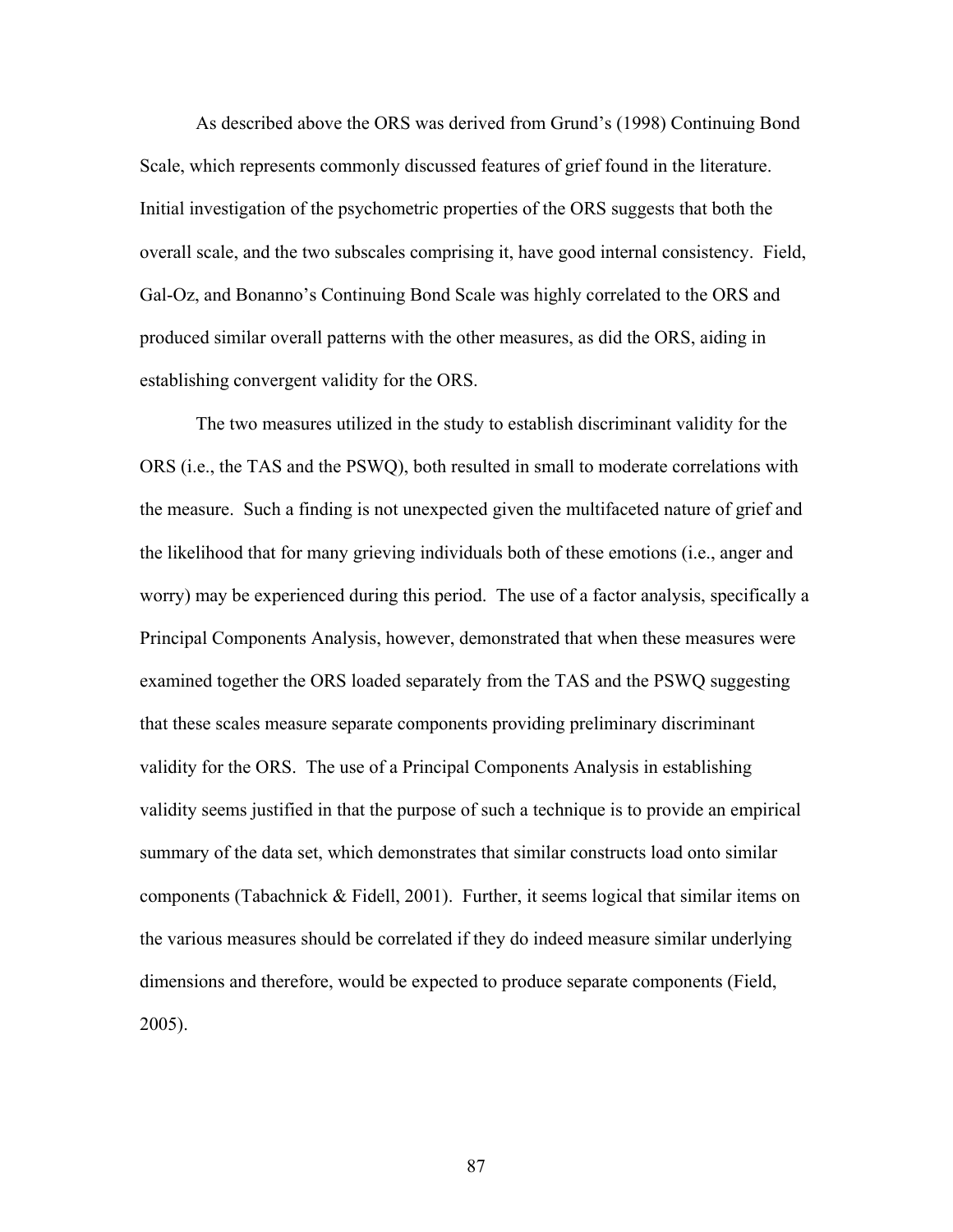As described above the ORS was derived from Grund's (1998) Continuing Bond Scale, which represents commonly discussed features of grief found in the literature. Initial investigation of the psychometric properties of the ORS suggests that both the overall scale, and the two subscales comprising it, have good internal consistency. Field, Gal-Oz, and Bonanno's Continuing Bond Scale was highly correlated to the ORS and produced similar overall patterns with the other measures, as did the ORS, aiding in establishing convergent validity for the ORS.

The two measures utilized in the study to establish discriminant validity for the ORS (i.e., the TAS and the PSWQ), both resulted in small to moderate correlations with the measure. Such a finding is not unexpected given the multifaceted nature of grief and the likelihood that for many grieving individuals both of these emotions (i.e., anger and worry) may be experienced during this period. The use of a factor analysis, specifically a Principal Components Analysis, however, demonstrated that when these measures were examined together the ORS loaded separately from the TAS and the PSWQ suggesting that these scales measure separate components providing preliminary discriminant validity for the ORS. The use of a Principal Components Analysis in establishing validity seems justified in that the purpose of such a technique is to provide an empirical summary of the data set, which demonstrates that similar constructs load onto similar components (Tabachnick & Fidell, 2001). Further, it seems logical that similar items on the various measures should be correlated if they do indeed measure similar underlying dimensions and therefore, would be expected to produce separate components (Field, 2005).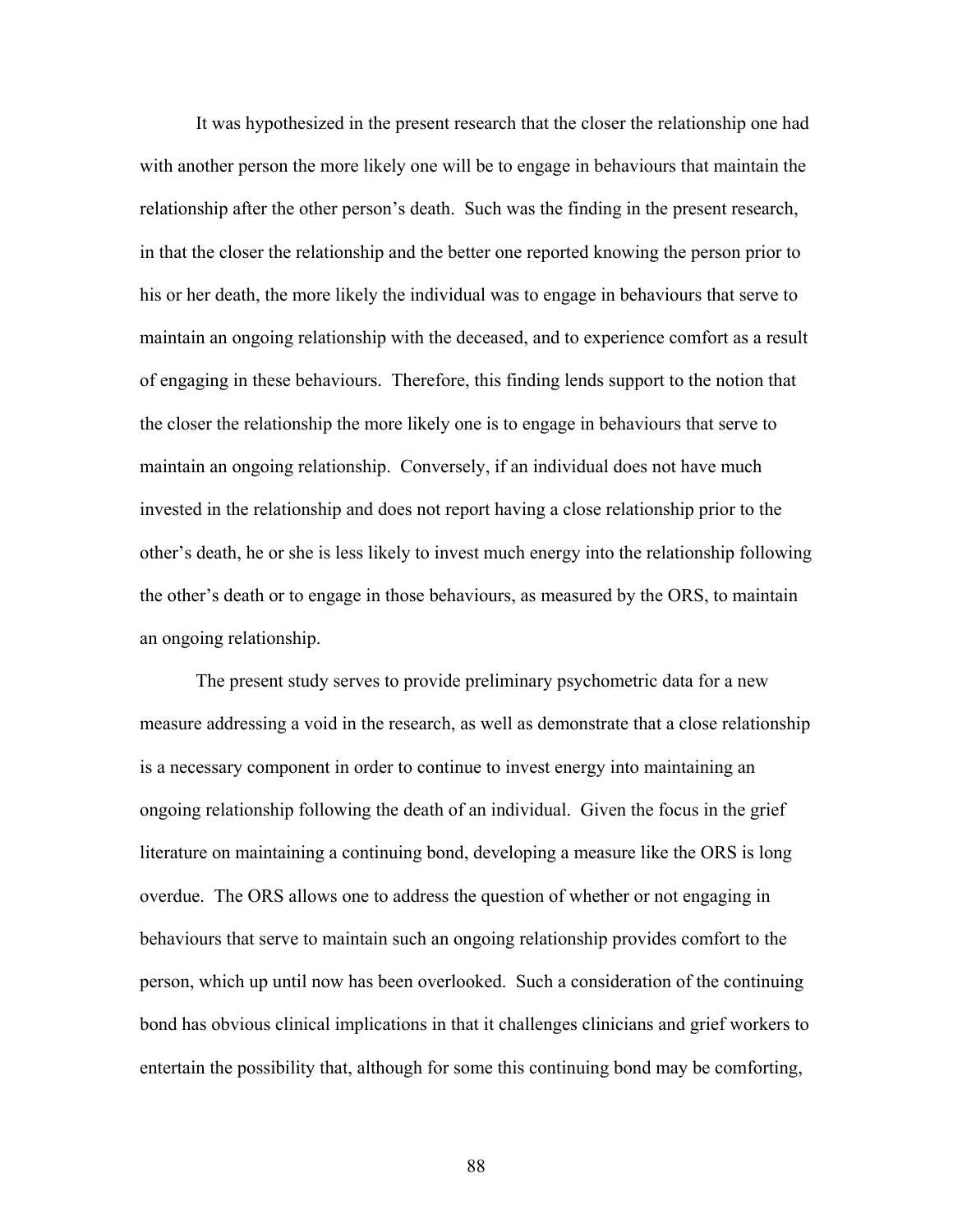It was hypothesized in the present research that the closer the relationship one had with another person the more likely one will be to engage in behaviours that maintain the relationship after the other person's death. Such was the finding in the present research, in that the closer the relationship and the better one reported knowing the person prior to his or her death, the more likely the individual was to engage in behaviours that serve to maintain an ongoing relationship with the deceased, and to experience comfort as a result of engaging in these behaviours. Therefore, this finding lends support to the notion that the closer the relationship the more likely one is to engage in behaviours that serve to maintain an ongoing relationship. Conversely, if an individual does not have much invested in the relationship and does not report having a close relationship prior to the other's death, he or she is less likely to invest much energy into the relationship following the other's death or to engage in those behaviours, as measured by the ORS, to maintain an ongoing relationship.

The present study serves to provide preliminary psychometric data for a new measure addressing a void in the research, as well as demonstrate that a close relationship is a necessary component in order to continue to invest energy into maintaining an ongoing relationship following the death of an individual. Given the focus in the grief literature on maintaining a continuing bond, developing a measure like the ORS is long overdue. The ORS allows one to address the question of whether or not engaging in behaviours that serve to maintain such an ongoing relationship provides comfort to the person, which up until now has been overlooked. Such a consideration of the continuing bond has obvious clinical implications in that it challenges clinicians and grief workers to entertain the possibility that, although for some this continuing bond may be comforting,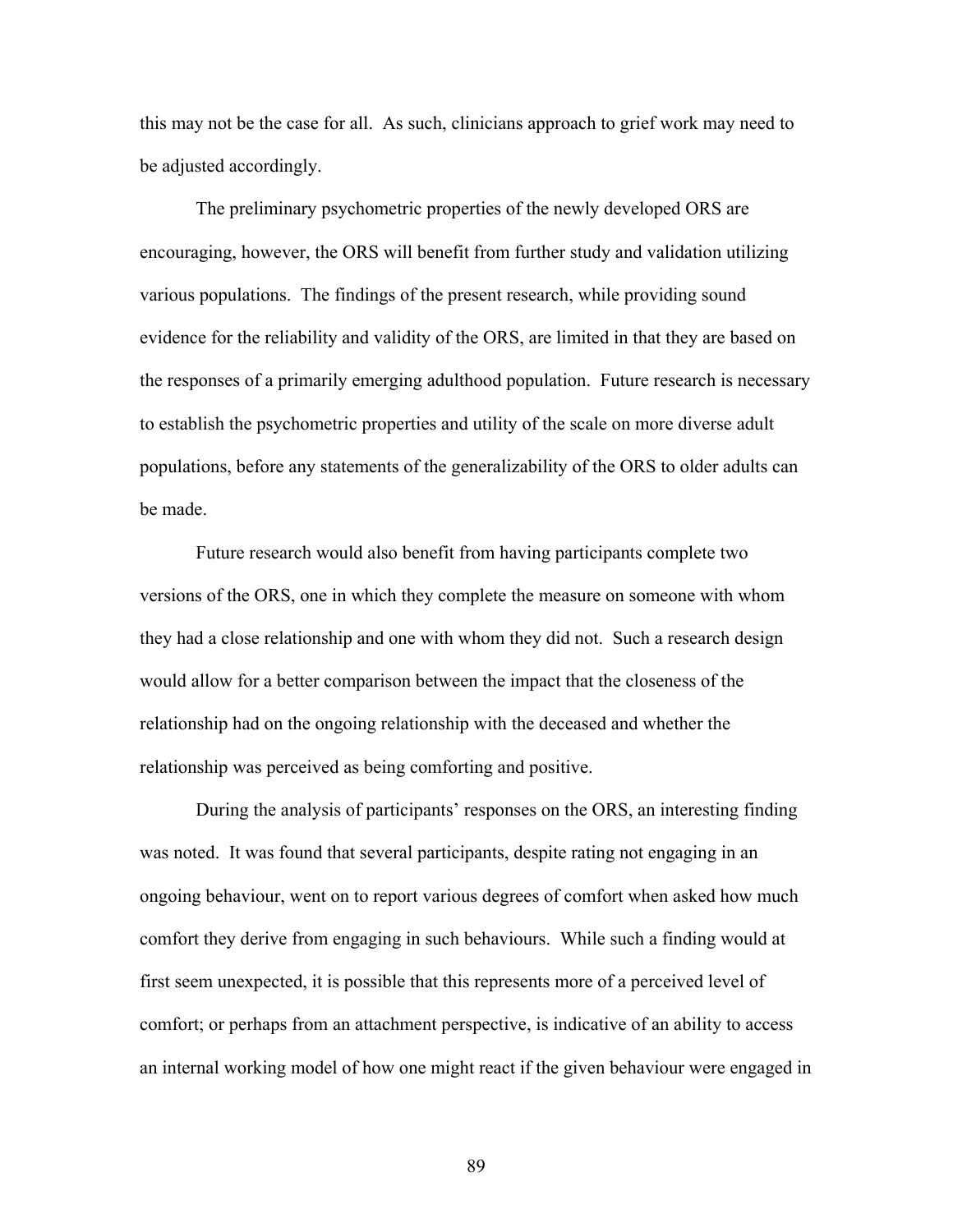this may not be the case for all. As such, clinicians approach to grief work may need to be adjusted accordingly.

The preliminary psychometric properties of the newly developed ORS are encouraging, however, the ORS will benefit from further study and validation utilizing various populations. The findings of the present research, while providing sound evidence for the reliability and validity of the ORS, are limited in that they are based on the responses of a primarily emerging adulthood population. Future research is necessary to establish the psychometric properties and utility of the scale on more diverse adult populations, before any statements of the generalizability of the ORS to older adults can be made.

Future research would also benefit from having participants complete two versions of the ORS, one in which they complete the measure on someone with whom they had a close relationship and one with whom they did not. Such a research design would allow for a better comparison between the impact that the closeness of the relationship had on the ongoing relationship with the deceased and whether the relationship was perceived as being comforting and positive.

During the analysis of participants' responses on the ORS, an interesting finding was noted. It was found that several participants, despite rating not engaging in an ongoing behaviour, went on to report various degrees of comfort when asked how much comfort they derive from engaging in such behaviours. While such a finding would at first seem unexpected, it is possible that this represents more of a perceived level of comfort; or perhaps from an attachment perspective, is indicative of an ability to access an internal working model of how one might react if the given behaviour were engaged in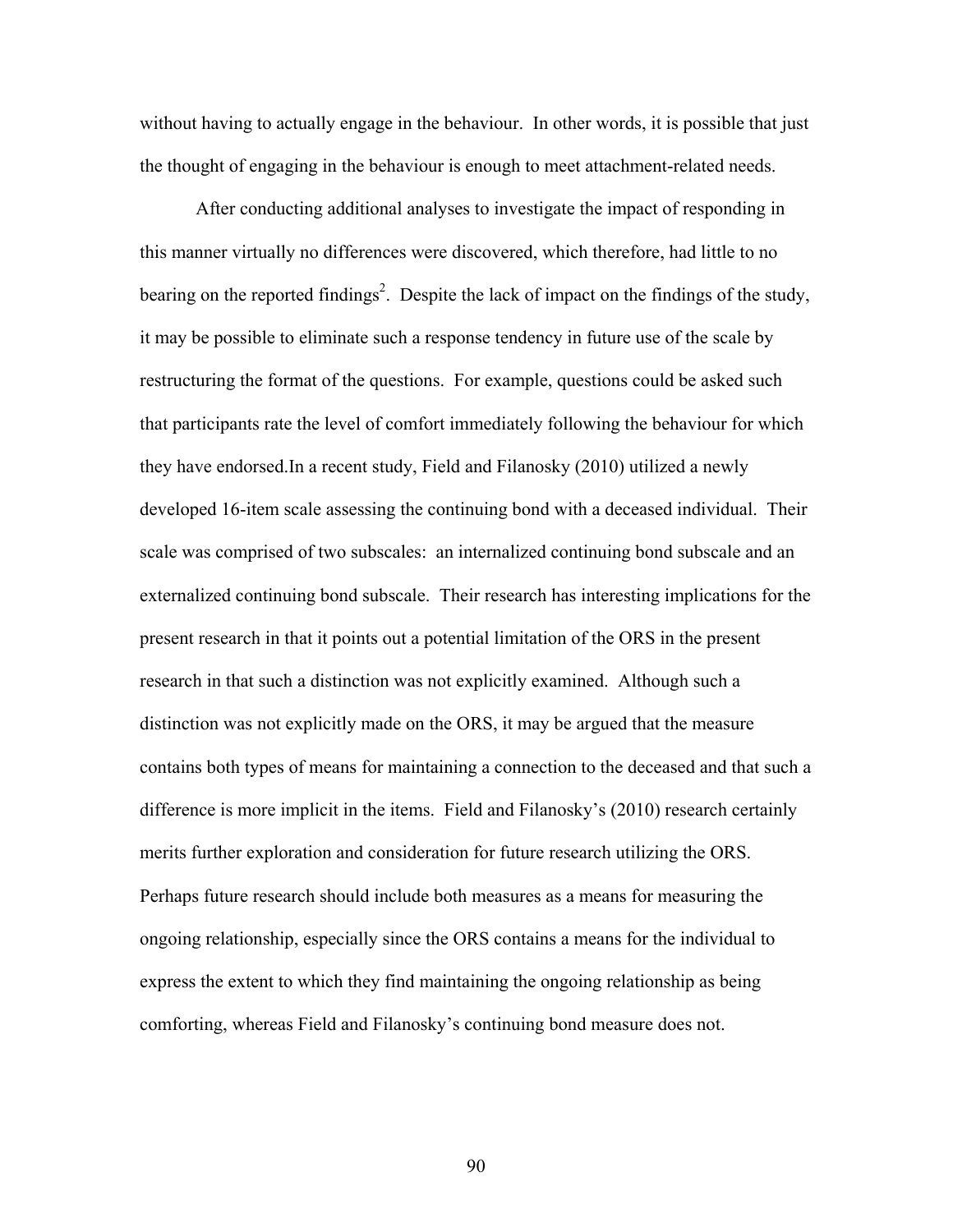without having to actually engage in the behaviour. In other words, it is possible that just the thought of engaging in the behaviour is enough to meet attachment-related needs.

After conducting additional analyses to investigate the impact of responding in this manner virtually no differences were discovered, which therefore, had little to no bearing on the reported findings<sup>2</sup>. Despite the lack of impact on the findings of the study, it may be possible to eliminate such a response tendency in future use of the scale by restructuring the format of the questions. For example, questions could be asked such that participants rate the level of comfort immediately following the behaviour for which they have endorsed.In a recent study, Field and Filanosky (2010) utilized a newly developed 16-item scale assessing the continuing bond with a deceased individual. Their scale was comprised of two subscales: an internalized continuing bond subscale and an externalized continuing bond subscale. Their research has interesting implications for the present research in that it points out a potential limitation of the ORS in the present research in that such a distinction was not explicitly examined. Although such a distinction was not explicitly made on the ORS, it may be argued that the measure contains both types of means for maintaining a connection to the deceased and that such a difference is more implicit in the items. Field and Filanosky's (2010) research certainly merits further exploration and consideration for future research utilizing the ORS. Perhaps future research should include both measures as a means for measuring the ongoing relationship, especially since the ORS contains a means for the individual to express the extent to which they find maintaining the ongoing relationship as being comforting, whereas Field and Filanosky's continuing bond measure does not.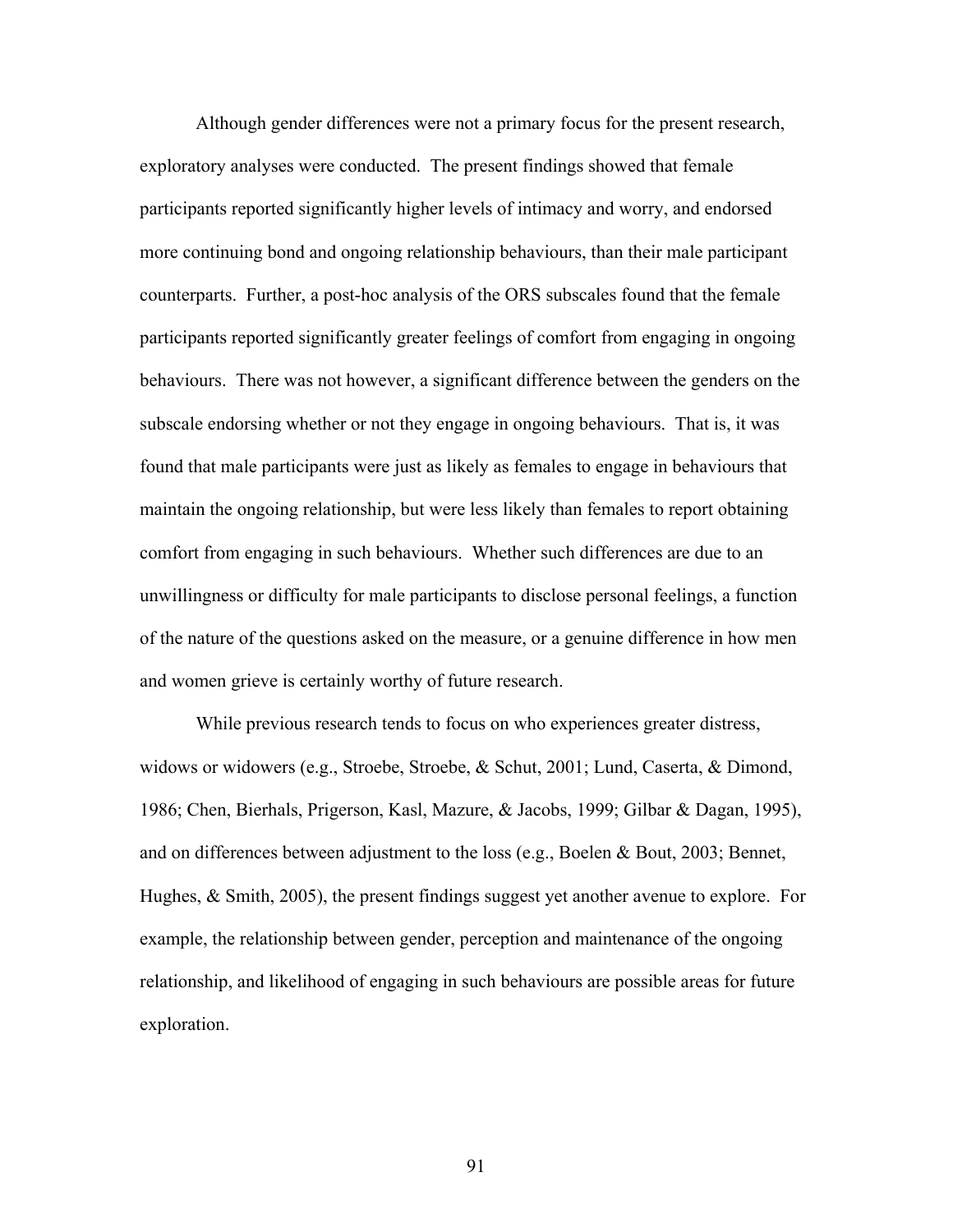Although gender differences were not a primary focus for the present research, exploratory analyses were conducted. The present findings showed that female participants reported significantly higher levels of intimacy and worry, and endorsed more continuing bond and ongoing relationship behaviours, than their male participant counterparts. Further, a post-hoc analysis of the ORS subscales found that the female participants reported significantly greater feelings of comfort from engaging in ongoing behaviours. There was not however, a significant difference between the genders on the subscale endorsing whether or not they engage in ongoing behaviours. That is, it was found that male participants were just as likely as females to engage in behaviours that maintain the ongoing relationship, but were less likely than females to report obtaining comfort from engaging in such behaviours. Whether such differences are due to an unwillingness or difficulty for male participants to disclose personal feelings, a function of the nature of the questions asked on the measure, or a genuine difference in how men and women grieve is certainly worthy of future research.

While previous research tends to focus on who experiences greater distress, widows or widowers (e.g., Stroebe, Stroebe, & Schut, 2001; Lund, Caserta, & Dimond, 1986; Chen, Bierhals, Prigerson, Kasl, Mazure, & Jacobs, 1999; Gilbar & Dagan, 1995), and on differences between adjustment to the loss (e.g., Boelen & Bout, 2003; Bennet, Hughes, & Smith, 2005), the present findings suggest yet another avenue to explore. For example, the relationship between gender, perception and maintenance of the ongoing relationship, and likelihood of engaging in such behaviours are possible areas for future exploration.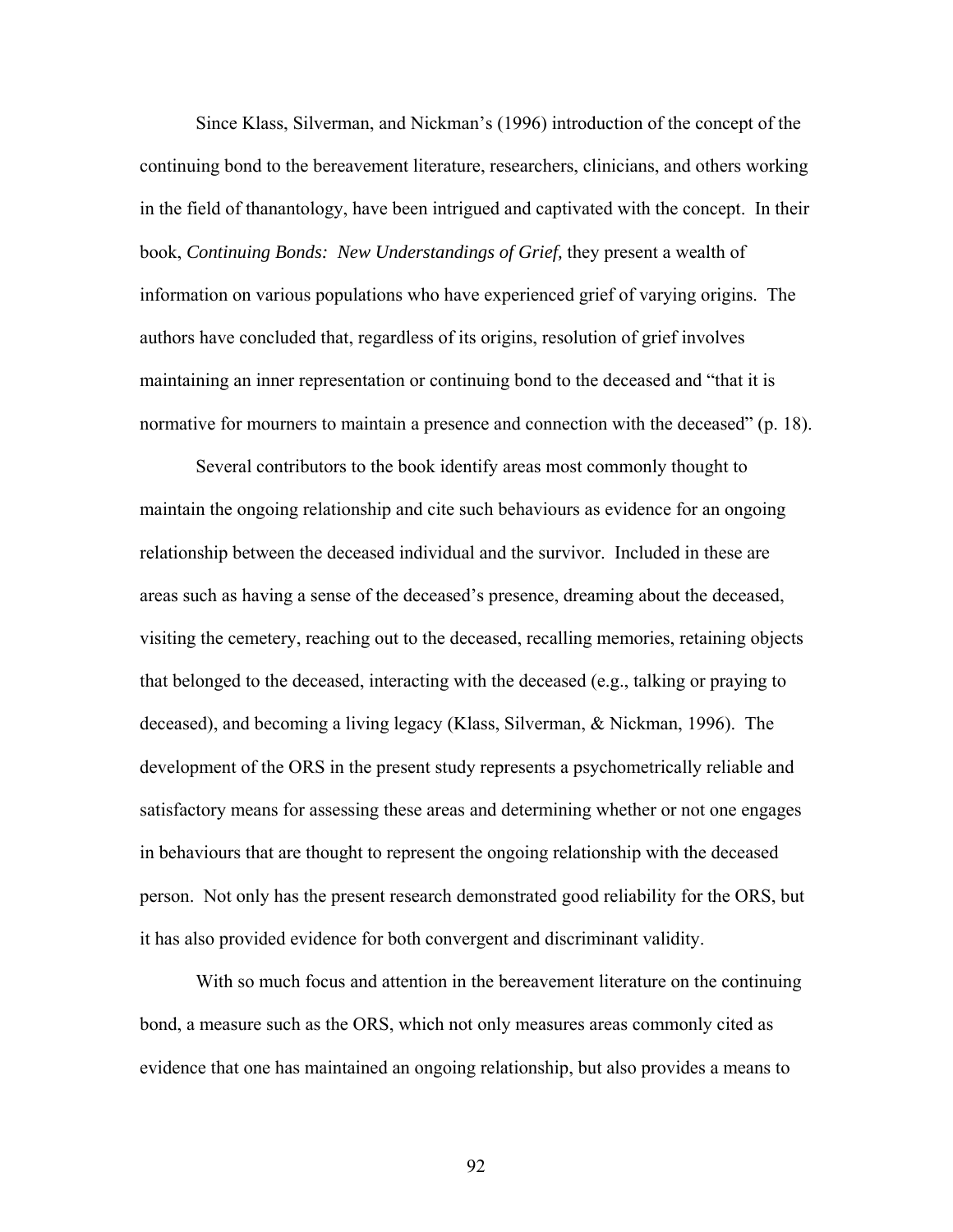Since Klass, Silverman, and Nickman's (1996) introduction of the concept of the continuing bond to the bereavement literature, researchers, clinicians, and others working in the field of thanantology, have been intrigued and captivated with the concept. In their book, *Continuing Bonds: New Understandings of Grief,* they present a wealth of information on various populations who have experienced grief of varying origins. The authors have concluded that, regardless of its origins, resolution of grief involves maintaining an inner representation or continuing bond to the deceased and "that it is normative for mourners to maintain a presence and connection with the deceased" (p. 18).

Several contributors to the book identify areas most commonly thought to maintain the ongoing relationship and cite such behaviours as evidence for an ongoing relationship between the deceased individual and the survivor. Included in these are areas such as having a sense of the deceased's presence, dreaming about the deceased, visiting the cemetery, reaching out to the deceased, recalling memories, retaining objects that belonged to the deceased, interacting with the deceased (e.g., talking or praying to deceased), and becoming a living legacy (Klass, Silverman, & Nickman, 1996). The development of the ORS in the present study represents a psychometrically reliable and satisfactory means for assessing these areas and determining whether or not one engages in behaviours that are thought to represent the ongoing relationship with the deceased person. Not only has the present research demonstrated good reliability for the ORS, but it has also provided evidence for both convergent and discriminant validity.

With so much focus and attention in the bereavement literature on the continuing bond, a measure such as the ORS, which not only measures areas commonly cited as evidence that one has maintained an ongoing relationship, but also provides a means to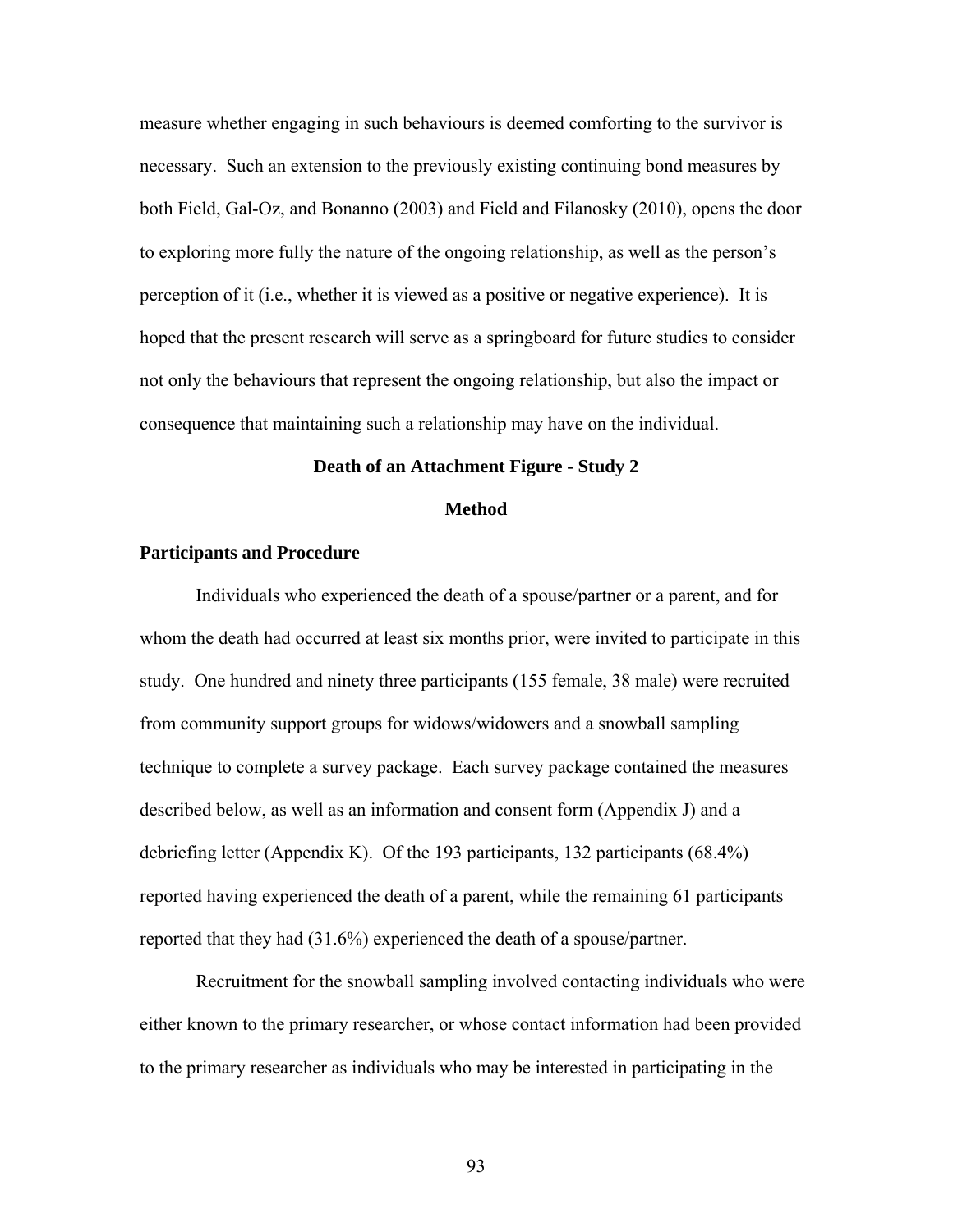measure whether engaging in such behaviours is deemed comforting to the survivor is necessary. Such an extension to the previously existing continuing bond measures by both Field, Gal-Oz, and Bonanno (2003) and Field and Filanosky (2010), opens the door to exploring more fully the nature of the ongoing relationship, as well as the person's perception of it (i.e., whether it is viewed as a positive or negative experience). It is hoped that the present research will serve as a springboard for future studies to consider not only the behaviours that represent the ongoing relationship, but also the impact or consequence that maintaining such a relationship may have on the individual.

## **Death of an Attachment Figure - Study 2**

## **Method**

## **Participants and Procedure**

Individuals who experienced the death of a spouse/partner or a parent, and for whom the death had occurred at least six months prior, were invited to participate in this study. One hundred and ninety three participants (155 female, 38 male) were recruited from community support groups for widows/widowers and a snowball sampling technique to complete a survey package. Each survey package contained the measures described below, as well as an information and consent form (Appendix J) and a debriefing letter (Appendix K). Of the 193 participants, 132 participants (68.4%) reported having experienced the death of a parent, while the remaining 61 participants reported that they had (31.6%) experienced the death of a spouse/partner.

Recruitment for the snowball sampling involved contacting individuals who were either known to the primary researcher, or whose contact information had been provided to the primary researcher as individuals who may be interested in participating in the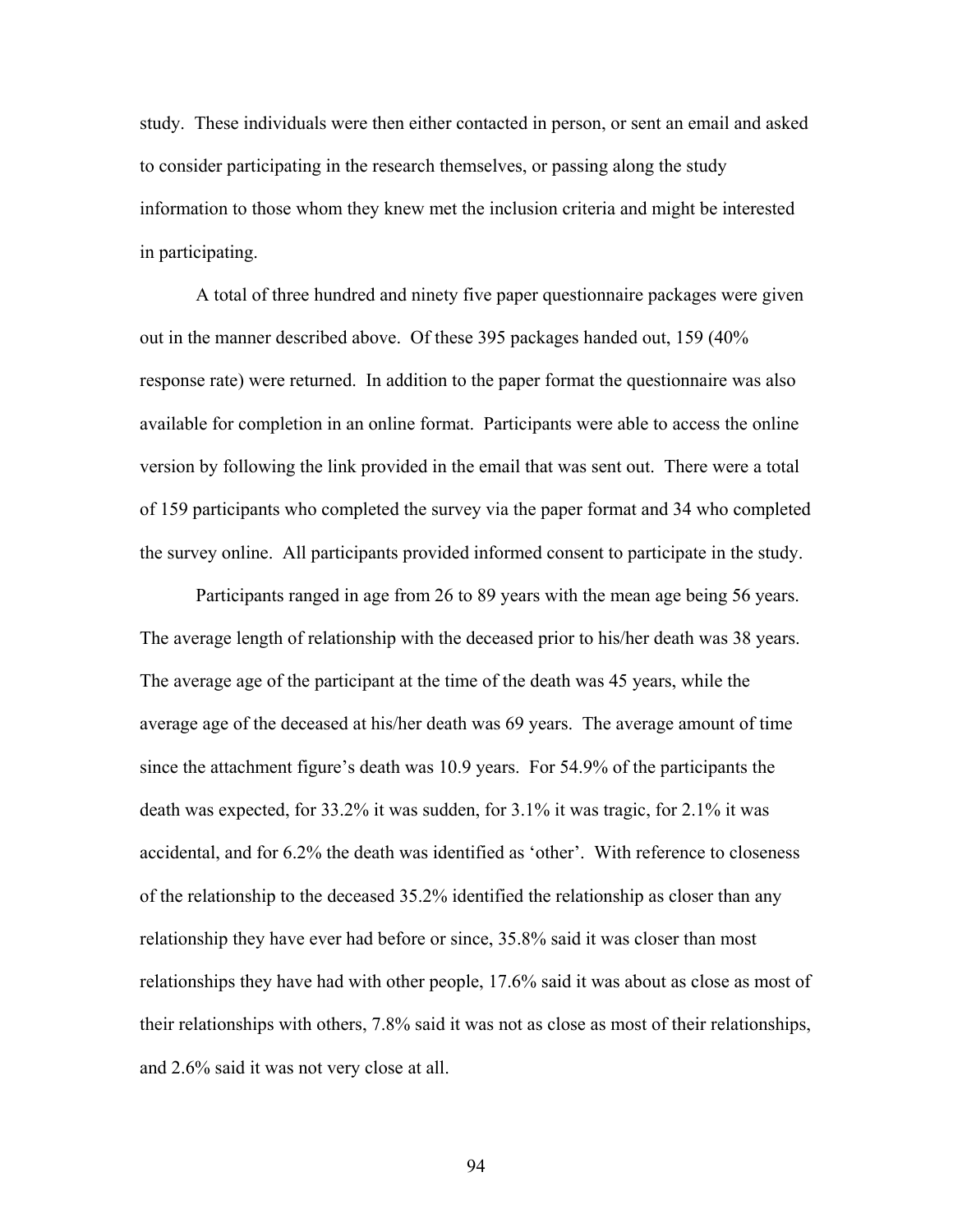study. These individuals were then either contacted in person, or sent an email and asked to consider participating in the research themselves, or passing along the study information to those whom they knew met the inclusion criteria and might be interested in participating.

A total of three hundred and ninety five paper questionnaire packages were given out in the manner described above. Of these 395 packages handed out, 159 (40% response rate) were returned. In addition to the paper format the questionnaire was also available for completion in an online format. Participants were able to access the online version by following the link provided in the email that was sent out. There were a total of 159 participants who completed the survey via the paper format and 34 who completed the survey online. All participants provided informed consent to participate in the study.

Participants ranged in age from 26 to 89 years with the mean age being 56 years. The average length of relationship with the deceased prior to his/her death was 38 years. The average age of the participant at the time of the death was 45 years, while the average age of the deceased at his/her death was 69 years. The average amount of time since the attachment figure's death was 10.9 years. For 54.9% of the participants the death was expected, for 33.2% it was sudden, for 3.1% it was tragic, for 2.1% it was accidental, and for 6.2% the death was identified as 'other'. With reference to closeness of the relationship to the deceased 35.2% identified the relationship as closer than any relationship they have ever had before or since, 35.8% said it was closer than most relationships they have had with other people, 17.6% said it was about as close as most of their relationships with others, 7.8% said it was not as close as most of their relationships, and 2.6% said it was not very close at all.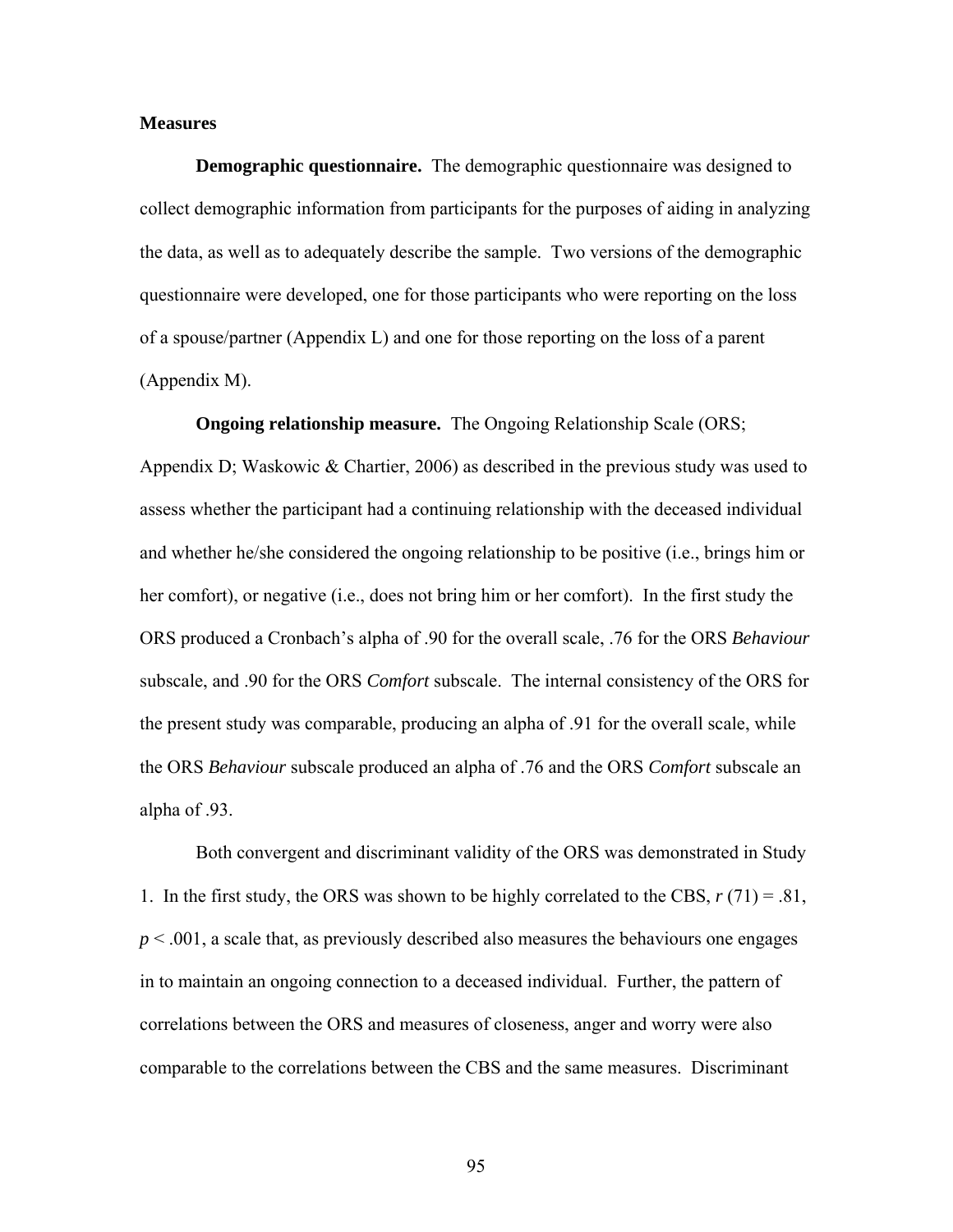## **Measures**

**Demographic questionnaire.** The demographic questionnaire was designed to collect demographic information from participants for the purposes of aiding in analyzing the data, as well as to adequately describe the sample. Two versions of the demographic questionnaire were developed, one for those participants who were reporting on the loss of a spouse/partner (Appendix L) and one for those reporting on the loss of a parent (Appendix M).

**Ongoing relationship measure.** The Ongoing Relationship Scale (ORS; Appendix D; Waskowic & Chartier, 2006) as described in the previous study was used to assess whether the participant had a continuing relationship with the deceased individual and whether he/she considered the ongoing relationship to be positive (i.e., brings him or her comfort), or negative (i.e., does not bring him or her comfort). In the first study the ORS produced a Cronbach's alpha of .90 for the overall scale, .76 for the ORS *Behaviour*  subscale, and .90 for the ORS *Comfort* subscale. The internal consistency of the ORS for the present study was comparable, producing an alpha of .91 for the overall scale, while the ORS *Behaviour* subscale produced an alpha of .76 and the ORS *Comfort* subscale an alpha of .93.

Both convergent and discriminant validity of the ORS was demonstrated in Study 1. In the first study, the ORS was shown to be highly correlated to the CBS,  $r(71) = .81$ ,  $p < .001$ , a scale that, as previously described also measures the behaviours one engages in to maintain an ongoing connection to a deceased individual. Further, the pattern of correlations between the ORS and measures of closeness, anger and worry were also comparable to the correlations between the CBS and the same measures. Discriminant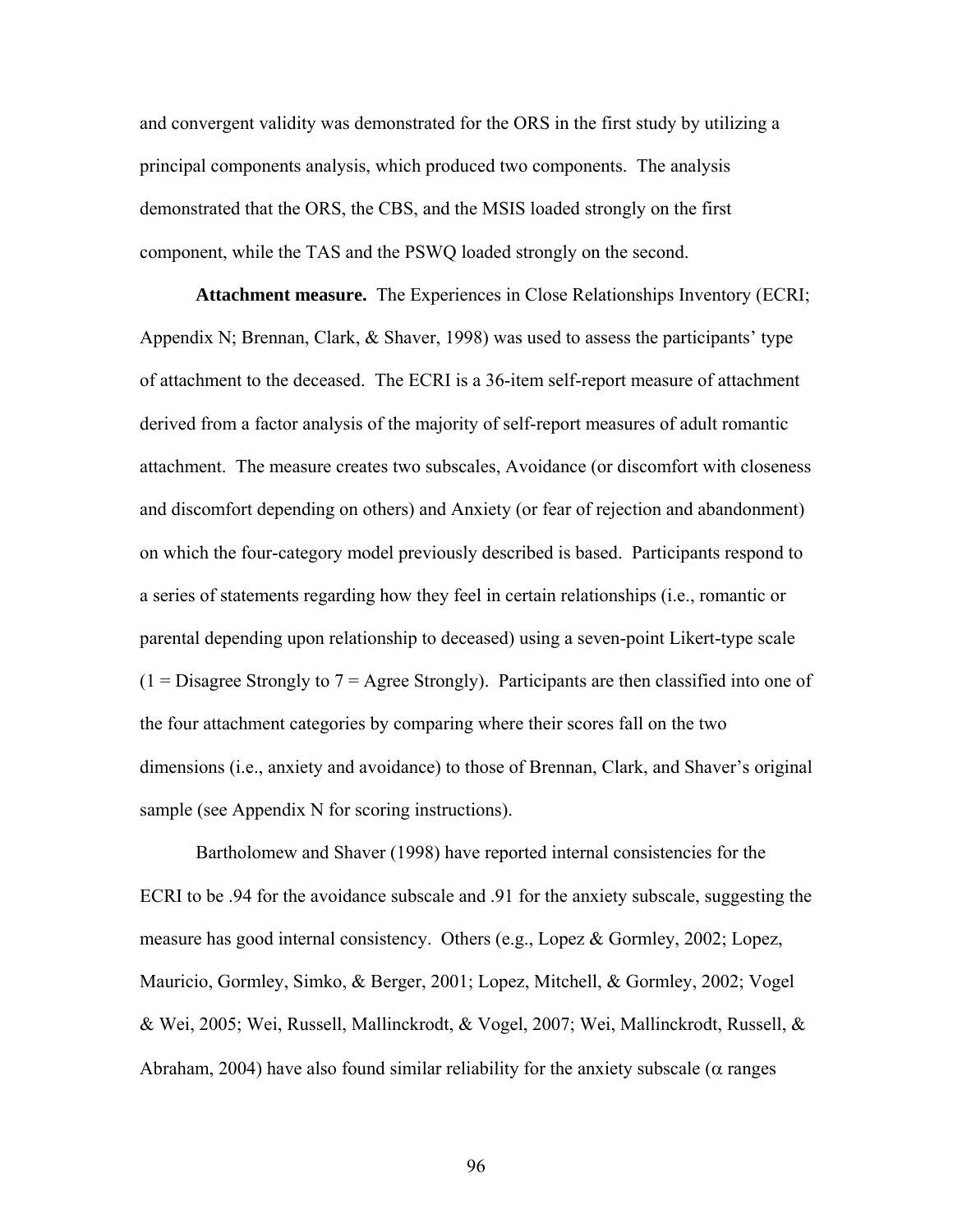and convergent validity was demonstrated for the ORS in the first study by utilizing a principal components analysis, which produced two components. The analysis demonstrated that the ORS, the CBS, and the MSIS loaded strongly on the first component, while the TAS and the PSWQ loaded strongly on the second.

**Attachment measure.** The Experiences in Close Relationships Inventory (ECRI; Appendix N; Brennan, Clark, & Shaver, 1998) was used to assess the participants' type of attachment to the deceased. The ECRI is a 36-item self-report measure of attachment derived from a factor analysis of the majority of self-report measures of adult romantic attachment. The measure creates two subscales, Avoidance (or discomfort with closeness and discomfort depending on others) and Anxiety (or fear of rejection and abandonment) on which the four-category model previously described is based. Participants respond to a series of statements regarding how they feel in certain relationships (i.e., romantic or parental depending upon relationship to deceased) using a seven-point Likert-type scale  $(1 = \text{Disagree Strongly to } 7 = \text{Agree Strongly}).$  Participants are then classified into one of the four attachment categories by comparing where their scores fall on the two dimensions (i.e., anxiety and avoidance) to those of Brennan, Clark, and Shaver's original sample (see Appendix N for scoring instructions).

Bartholomew and Shaver (1998) have reported internal consistencies for the ECRI to be .94 for the avoidance subscale and .91 for the anxiety subscale, suggesting the measure has good internal consistency. Others (e.g., Lopez & Gormley, 2002; Lopez, Mauricio, Gormley, Simko, & Berger, 2001; Lopez, Mitchell, & Gormley, 2002; Vogel & Wei, 2005; Wei, Russell, Mallinckrodt, & Vogel, 2007; Wei, Mallinckrodt, Russell, & Abraham, 2004) have also found similar reliability for the anxiety subscale ( $\alpha$  ranges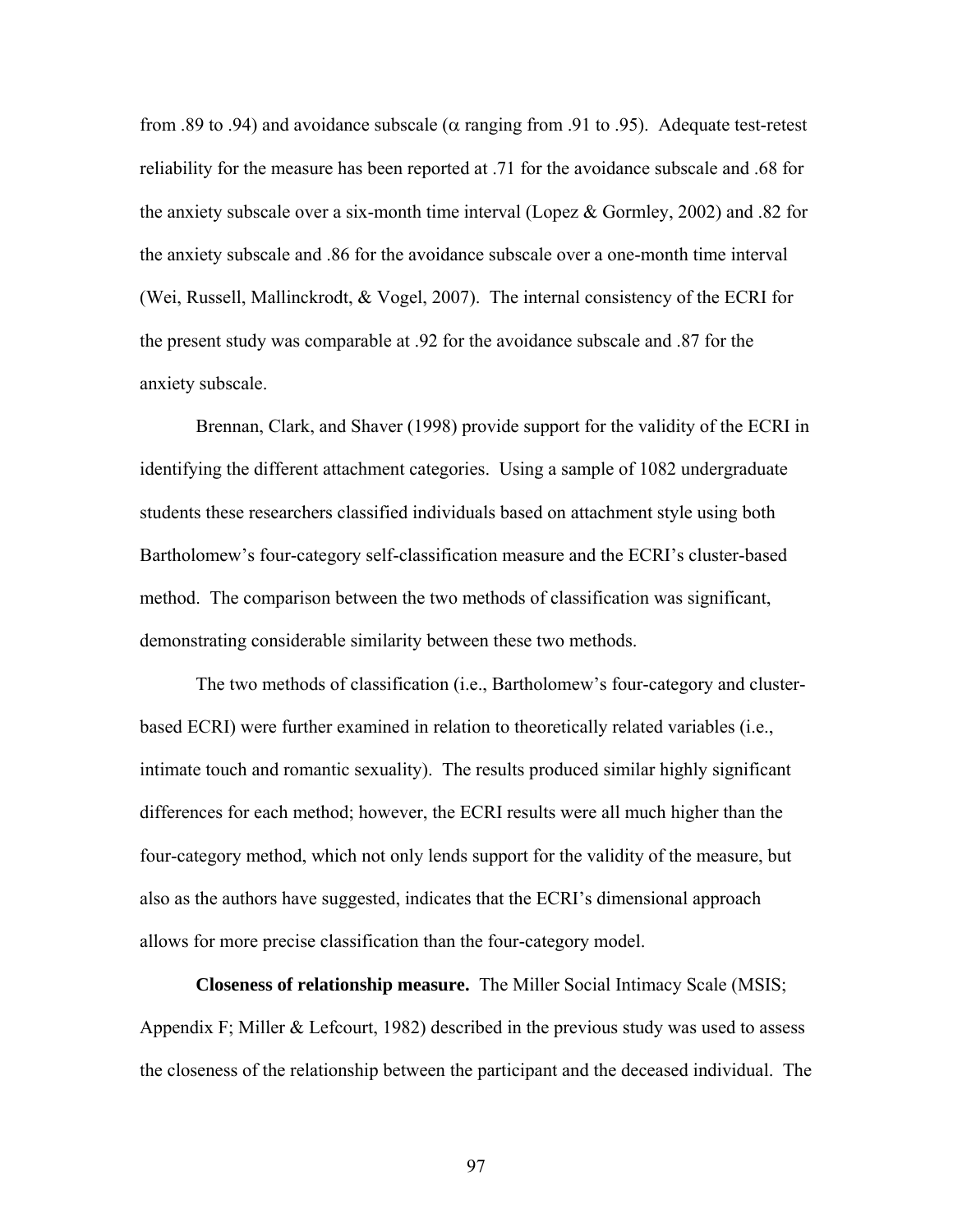from .89 to .94) and avoidance subscale ( $\alpha$  ranging from .91 to .95). Adequate test-retest reliability for the measure has been reported at .71 for the avoidance subscale and .68 for the anxiety subscale over a six-month time interval (Lopez  $\&$  Gormley, 2002) and .82 for the anxiety subscale and .86 for the avoidance subscale over a one-month time interval (Wei, Russell, Mallinckrodt, & Vogel, 2007). The internal consistency of the ECRI for the present study was comparable at .92 for the avoidance subscale and .87 for the anxiety subscale.

Brennan, Clark, and Shaver (1998) provide support for the validity of the ECRI in identifying the different attachment categories. Using a sample of 1082 undergraduate students these researchers classified individuals based on attachment style using both Bartholomew's four-category self-classification measure and the ECRI's cluster-based method. The comparison between the two methods of classification was significant, demonstrating considerable similarity between these two methods.

The two methods of classification (i.e., Bartholomew's four-category and clusterbased ECRI) were further examined in relation to theoretically related variables (i.e., intimate touch and romantic sexuality). The results produced similar highly significant differences for each method; however, the ECRI results were all much higher than the four-category method, which not only lends support for the validity of the measure, but also as the authors have suggested, indicates that the ECRI's dimensional approach allows for more precise classification than the four-category model.

**Closeness of relationship measure.** The Miller Social Intimacy Scale (MSIS; Appendix F; Miller  $&$  Lefcourt, 1982) described in the previous study was used to assess the closeness of the relationship between the participant and the deceased individual. The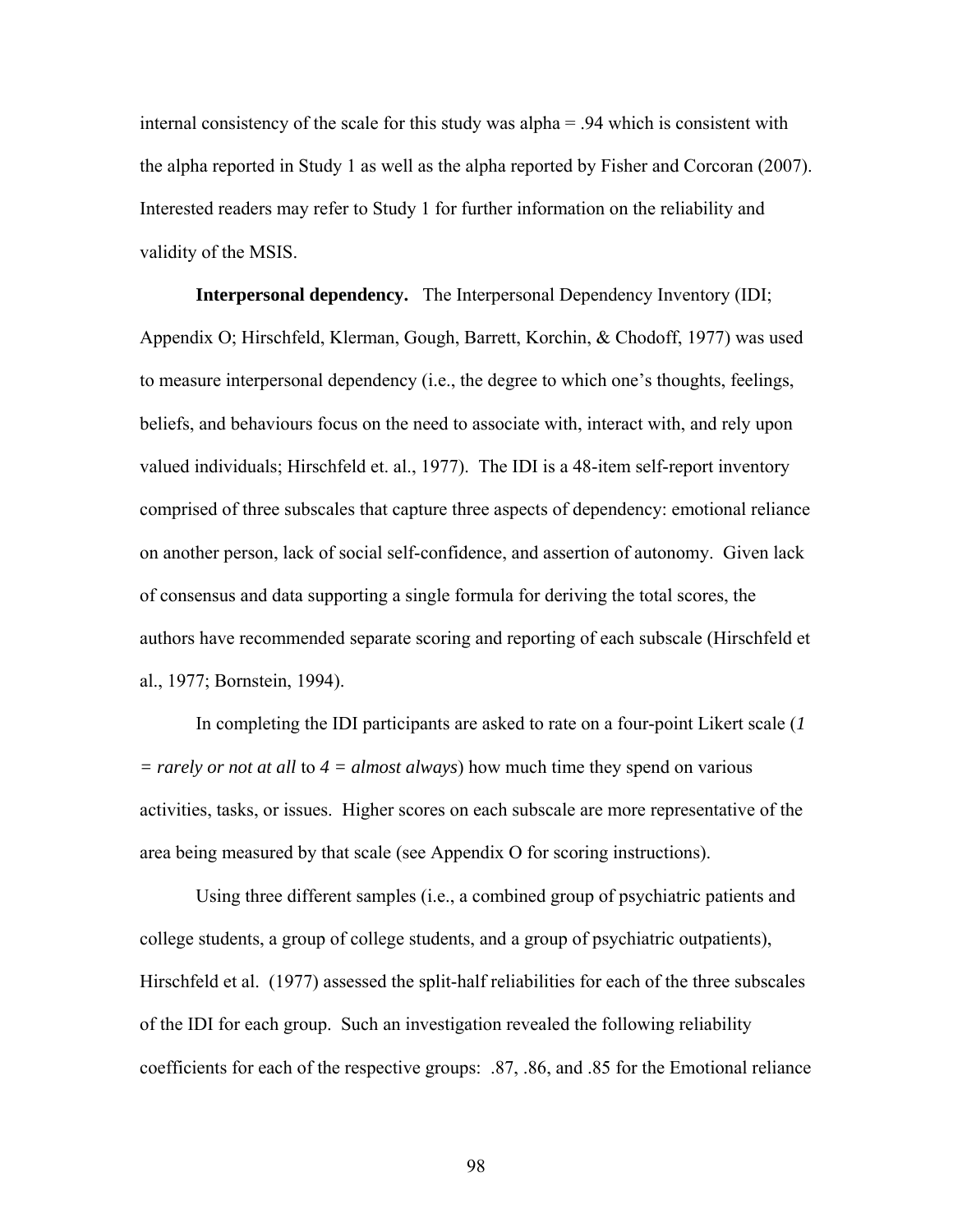internal consistency of the scale for this study was alpha = .94 which is consistent with the alpha reported in Study 1 as well as the alpha reported by Fisher and Corcoran (2007). Interested readers may refer to Study 1 for further information on the reliability and validity of the MSIS.

**Interpersonal dependency.** The Interpersonal Dependency Inventory (IDI; Appendix O; Hirschfeld, Klerman, Gough, Barrett, Korchin, & Chodoff, 1977) was used to measure interpersonal dependency (i.e., the degree to which one's thoughts, feelings, beliefs, and behaviours focus on the need to associate with, interact with, and rely upon valued individuals; Hirschfeld et. al., 1977). The IDI is a 48-item self-report inventory comprised of three subscales that capture three aspects of dependency: emotional reliance on another person, lack of social self-confidence, and assertion of autonomy. Given lack of consensus and data supporting a single formula for deriving the total scores, the authors have recommended separate scoring and reporting of each subscale (Hirschfeld et al., 1977; Bornstein, 1994).

In completing the IDI participants are asked to rate on a four-point Likert scale (*1 = rarely or not at all* to *4 = almost always*) how much time they spend on various activities, tasks, or issues. Higher scores on each subscale are more representative of the area being measured by that scale (see Appendix O for scoring instructions).

Using three different samples (i.e., a combined group of psychiatric patients and college students, a group of college students, and a group of psychiatric outpatients), Hirschfeld et al. (1977) assessed the split-half reliabilities for each of the three subscales of the IDI for each group. Such an investigation revealed the following reliability coefficients for each of the respective groups: .87, .86, and .85 for the Emotional reliance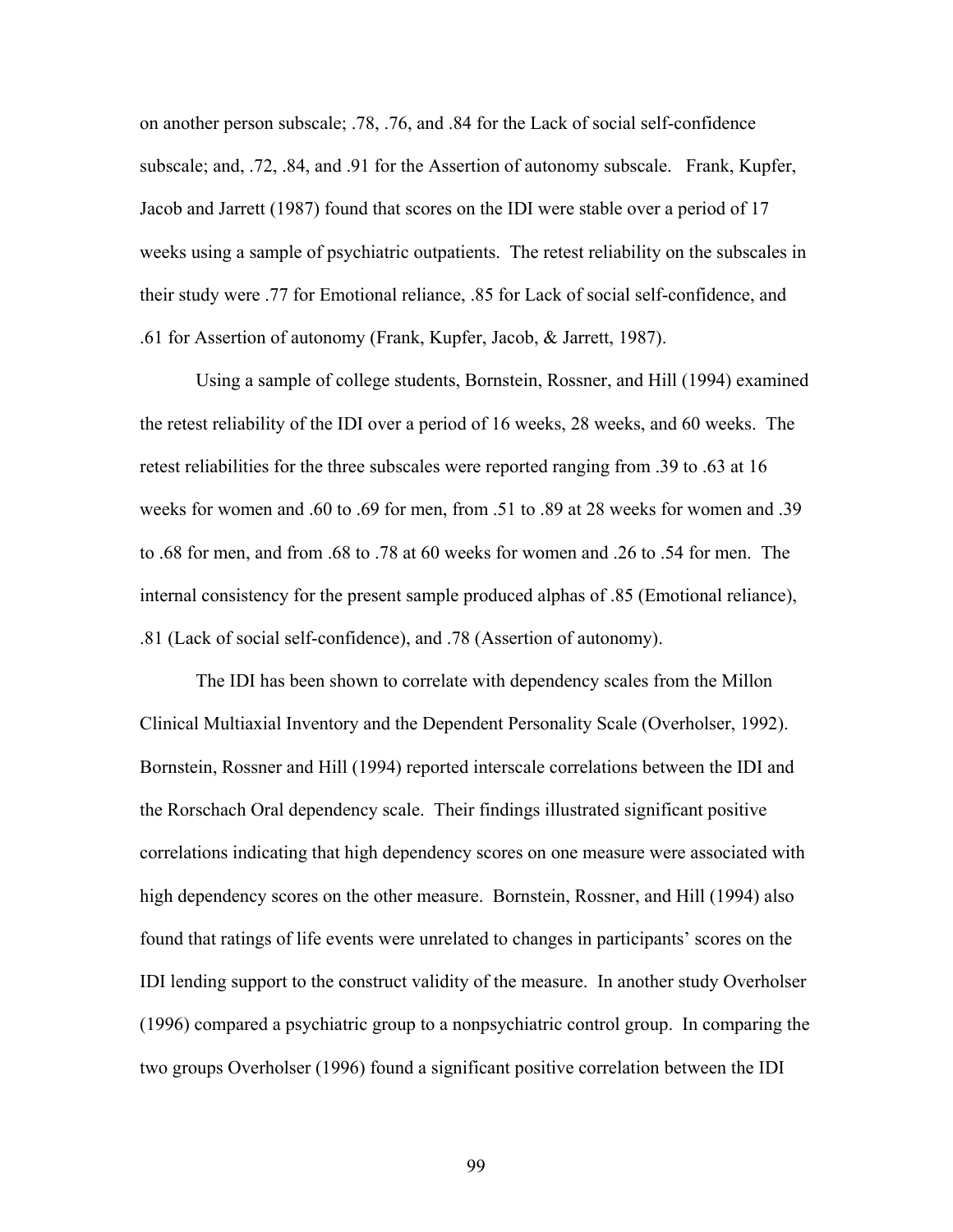on another person subscale; .78, .76, and .84 for the Lack of social self-confidence subscale; and, .72, .84, and .91 for the Assertion of autonomy subscale. Frank, Kupfer, Jacob and Jarrett (1987) found that scores on the IDI were stable over a period of 17 weeks using a sample of psychiatric outpatients. The retest reliability on the subscales in their study were .77 for Emotional reliance, .85 for Lack of social self-confidence, and .61 for Assertion of autonomy (Frank, Kupfer, Jacob, & Jarrett, 1987).

Using a sample of college students, Bornstein, Rossner, and Hill (1994) examined the retest reliability of the IDI over a period of 16 weeks, 28 weeks, and 60 weeks. The retest reliabilities for the three subscales were reported ranging from .39 to .63 at 16 weeks for women and .60 to .69 for men, from .51 to .89 at 28 weeks for women and .39 to .68 for men, and from .68 to .78 at 60 weeks for women and .26 to .54 for men. The internal consistency for the present sample produced alphas of .85 (Emotional reliance), .81 (Lack of social self-confidence), and .78 (Assertion of autonomy).

The IDI has been shown to correlate with dependency scales from the Millon Clinical Multiaxial Inventory and the Dependent Personality Scale (Overholser, 1992). Bornstein, Rossner and Hill (1994) reported interscale correlations between the IDI and the Rorschach Oral dependency scale. Their findings illustrated significant positive correlations indicating that high dependency scores on one measure were associated with high dependency scores on the other measure. Bornstein, Rossner, and Hill (1994) also found that ratings of life events were unrelated to changes in participants' scores on the IDI lending support to the construct validity of the measure. In another study Overholser (1996) compared a psychiatric group to a nonpsychiatric control group. In comparing the two groups Overholser (1996) found a significant positive correlation between the IDI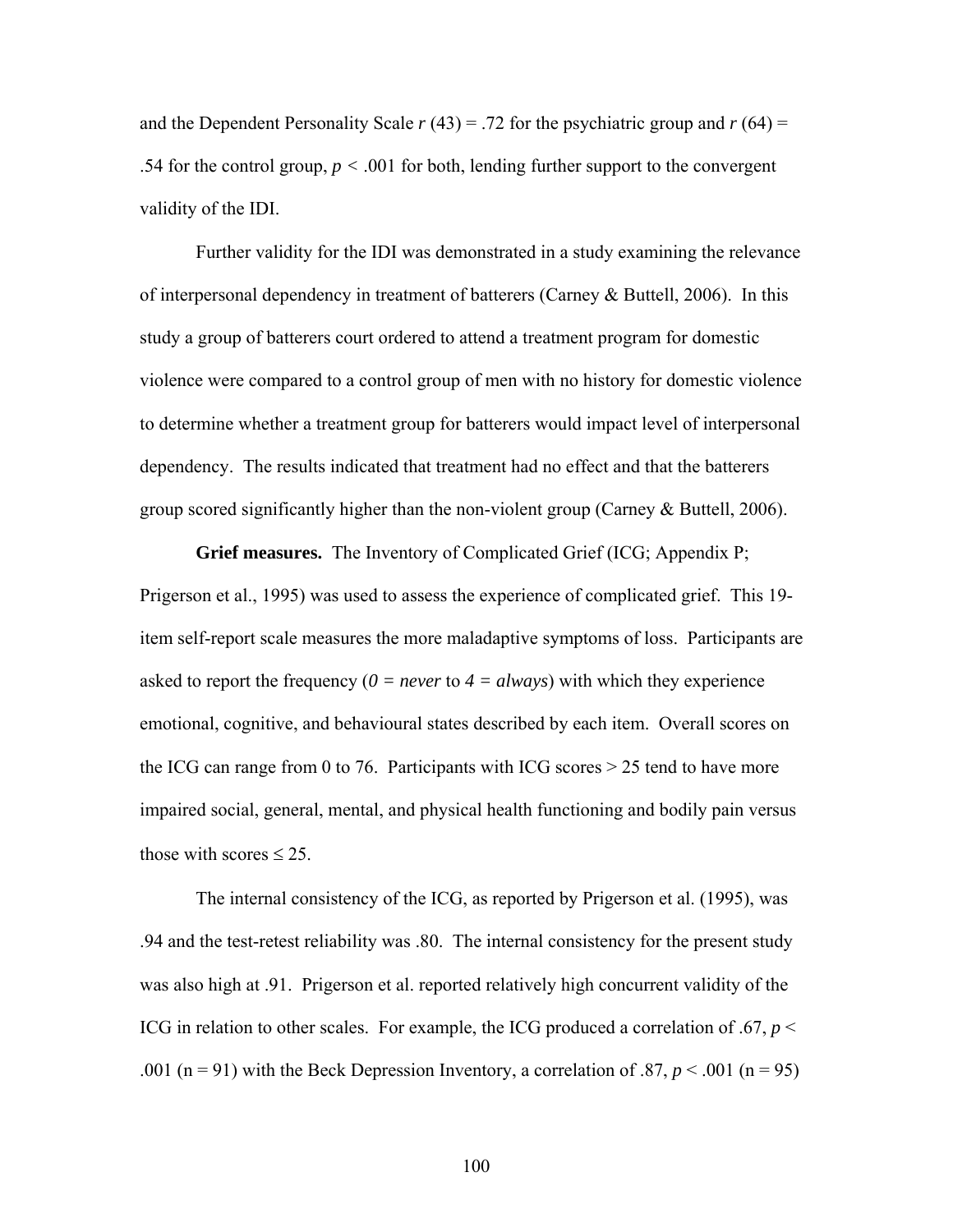and the Dependent Personality Scale  $r(43) = .72$  for the psychiatric group and  $r(64) =$ .54 for the control group,  $p < .001$  for both, lending further support to the convergent validity of the IDI.

Further validity for the IDI was demonstrated in a study examining the relevance of interpersonal dependency in treatment of batterers (Carney & Buttell, 2006). In this study a group of batterers court ordered to attend a treatment program for domestic violence were compared to a control group of men with no history for domestic violence to determine whether a treatment group for batterers would impact level of interpersonal dependency. The results indicated that treatment had no effect and that the batterers group scored significantly higher than the non-violent group (Carney & Buttell, 2006).

**Grief measures.** The Inventory of Complicated Grief (ICG; Appendix P; Prigerson et al., 1995) was used to assess the experience of complicated grief. This 19 item self-report scale measures the more maladaptive symptoms of loss. Participants are asked to report the frequency ( $0 = never$  to  $4 = always$ ) with which they experience emotional, cognitive, and behavioural states described by each item. Overall scores on the ICG can range from 0 to 76. Participants with ICG scores  $> 25$  tend to have more impaired social, general, mental, and physical health functioning and bodily pain versus those with scores  $\leq 25$ .

The internal consistency of the ICG, as reported by Prigerson et al. (1995), was .94 and the test-retest reliability was .80. The internal consistency for the present study was also high at .91. Prigerson et al. reported relatively high concurrent validity of the ICG in relation to other scales. For example, the ICG produced a correlation of .67, *p* < .001 (n = 91) with the Beck Depression Inventory, a correlation of .87,  $p < .001$  (n = 95)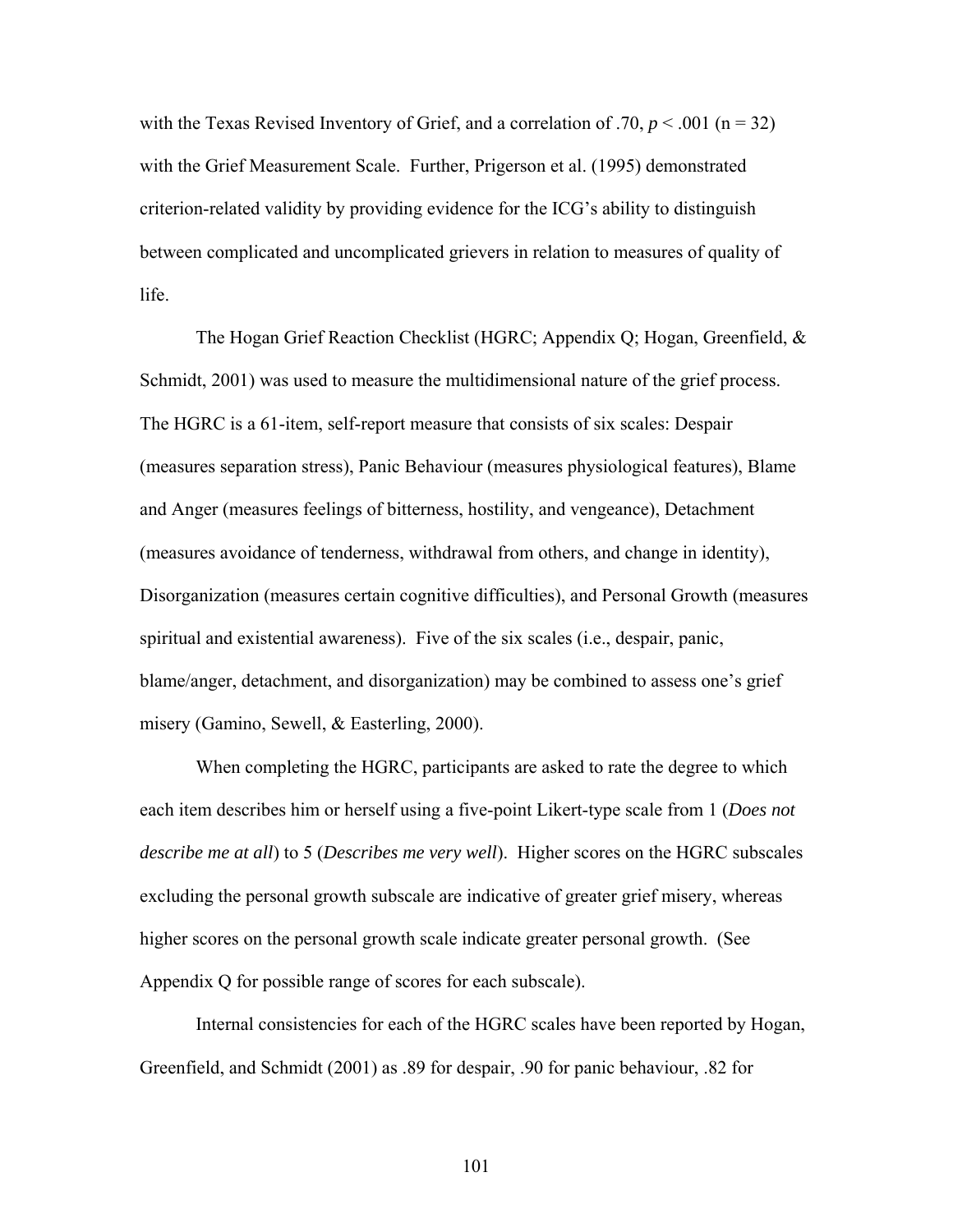with the Texas Revised Inventory of Grief, and a correlation of .70,  $p < .001$  (n = 32) with the Grief Measurement Scale. Further, Prigerson et al. (1995) demonstrated criterion-related validity by providing evidence for the ICG's ability to distinguish between complicated and uncomplicated grievers in relation to measures of quality of life.

The Hogan Grief Reaction Checklist (HGRC; Appendix Q; Hogan, Greenfield, & Schmidt, 2001) was used to measure the multidimensional nature of the grief process. The HGRC is a 61-item, self-report measure that consists of six scales: Despair (measures separation stress), Panic Behaviour (measures physiological features), Blame and Anger (measures feelings of bitterness, hostility, and vengeance), Detachment (measures avoidance of tenderness, withdrawal from others, and change in identity), Disorganization (measures certain cognitive difficulties), and Personal Growth (measures spiritual and existential awareness). Five of the six scales (i.e., despair, panic, blame/anger, detachment, and disorganization) may be combined to assess one's grief misery (Gamino, Sewell, & Easterling, 2000).

When completing the HGRC, participants are asked to rate the degree to which each item describes him or herself using a five-point Likert-type scale from 1 (*Does not describe me at all*) to 5 (*Describes me very well*). Higher scores on the HGRC subscales excluding the personal growth subscale are indicative of greater grief misery, whereas higher scores on the personal growth scale indicate greater personal growth. (See Appendix Q for possible range of scores for each subscale).

Internal consistencies for each of the HGRC scales have been reported by Hogan, Greenfield, and Schmidt (2001) as .89 for despair, .90 for panic behaviour, .82 for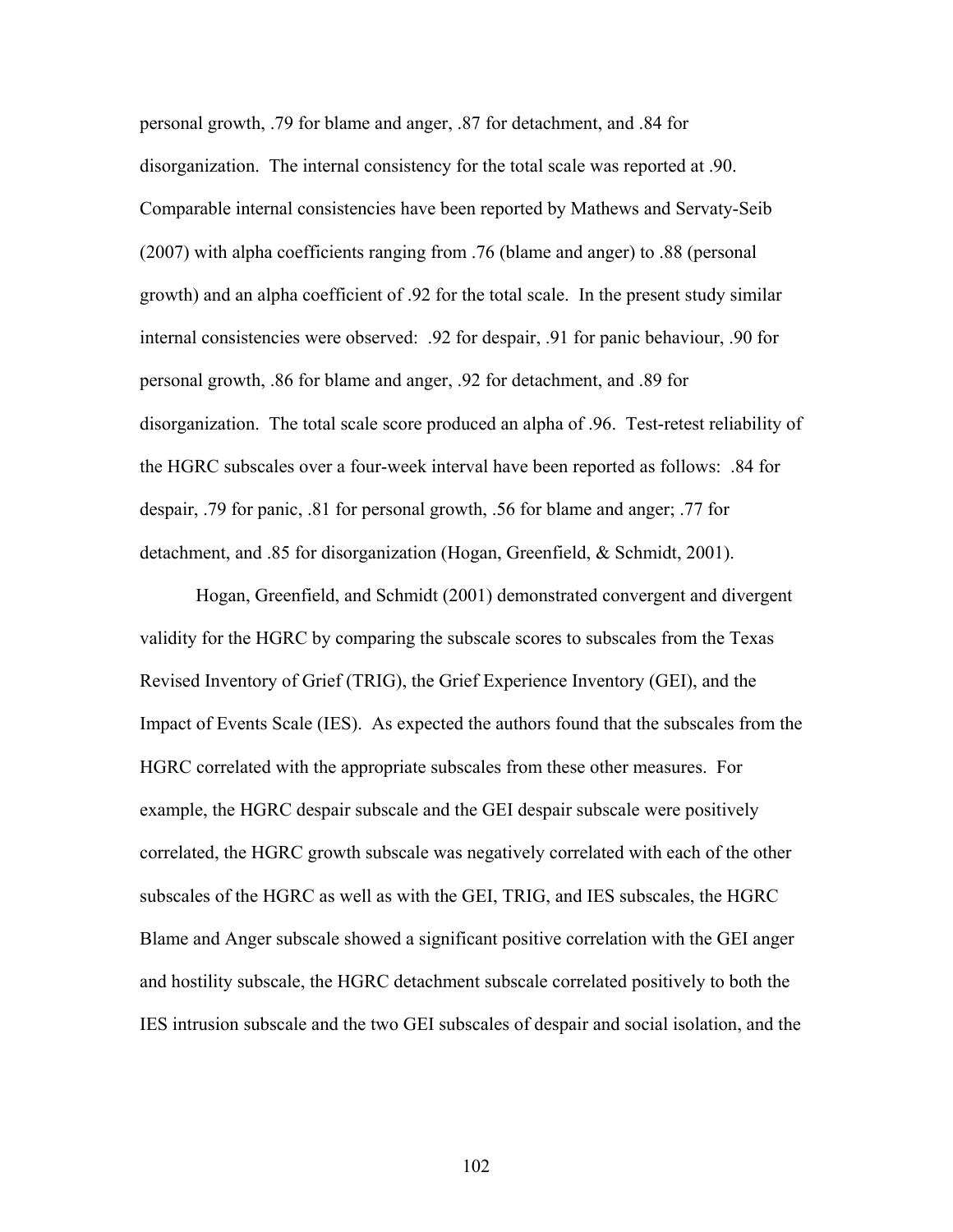personal growth, .79 for blame and anger, .87 for detachment, and .84 for disorganization. The internal consistency for the total scale was reported at .90. Comparable internal consistencies have been reported by Mathews and Servaty-Seib (2007) with alpha coefficients ranging from .76 (blame and anger) to .88 (personal growth) and an alpha coefficient of .92 for the total scale. In the present study similar internal consistencies were observed: .92 for despair, .91 for panic behaviour, .90 for personal growth, .86 for blame and anger, .92 for detachment, and .89 for disorganization. The total scale score produced an alpha of .96. Test-retest reliability of the HGRC subscales over a four-week interval have been reported as follows: .84 for despair, .79 for panic, .81 for personal growth, .56 for blame and anger; .77 for detachment, and .85 for disorganization (Hogan, Greenfield, & Schmidt, 2001).

Hogan, Greenfield, and Schmidt (2001) demonstrated convergent and divergent validity for the HGRC by comparing the subscale scores to subscales from the Texas Revised Inventory of Grief (TRIG), the Grief Experience Inventory (GEI), and the Impact of Events Scale (IES). As expected the authors found that the subscales from the HGRC correlated with the appropriate subscales from these other measures. For example, the HGRC despair subscale and the GEI despair subscale were positively correlated, the HGRC growth subscale was negatively correlated with each of the other subscales of the HGRC as well as with the GEI, TRIG, and IES subscales, the HGRC Blame and Anger subscale showed a significant positive correlation with the GEI anger and hostility subscale, the HGRC detachment subscale correlated positively to both the IES intrusion subscale and the two GEI subscales of despair and social isolation, and the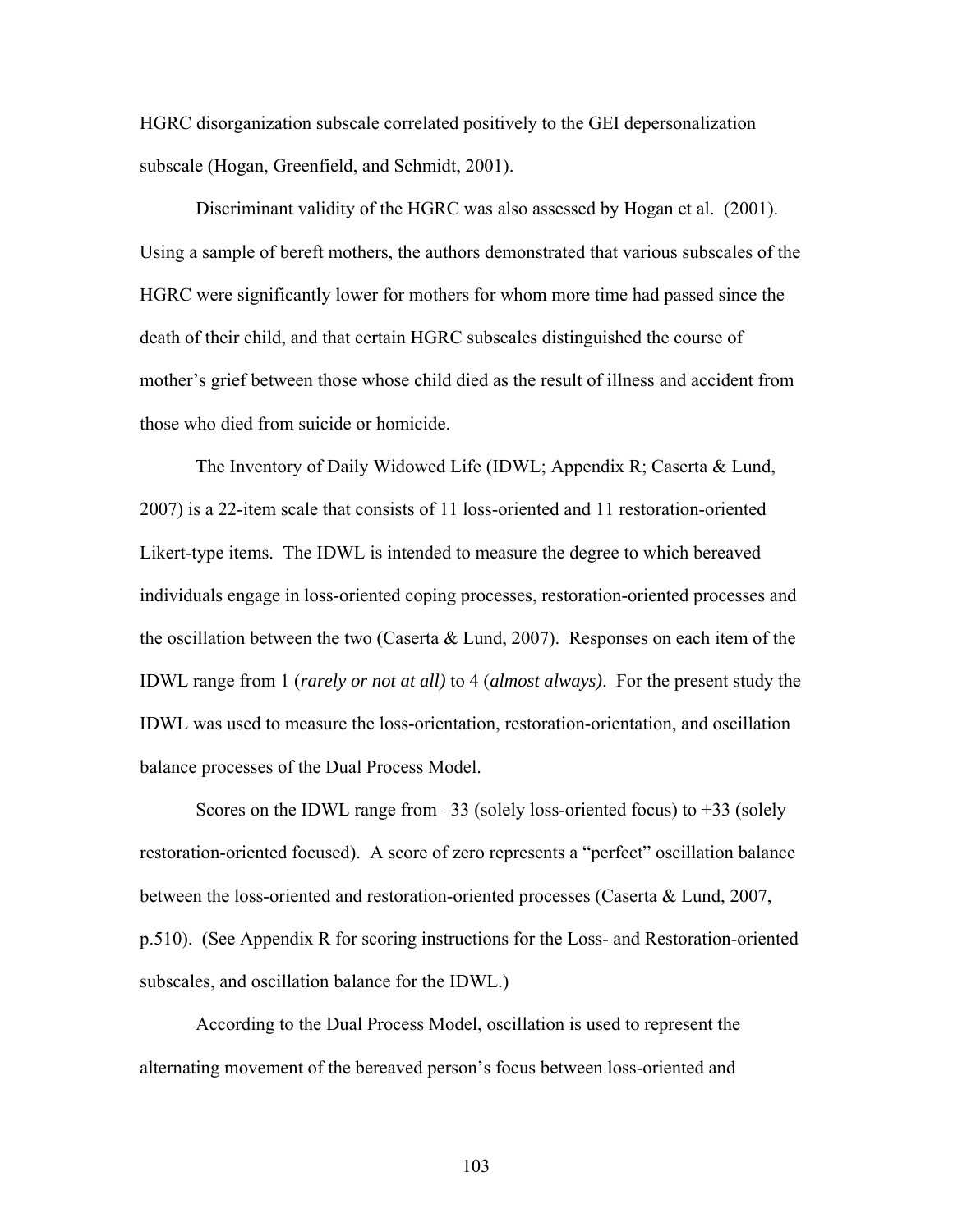HGRC disorganization subscale correlated positively to the GEI depersonalization subscale (Hogan, Greenfield, and Schmidt, 2001).

Discriminant validity of the HGRC was also assessed by Hogan et al. (2001). Using a sample of bereft mothers, the authors demonstrated that various subscales of the HGRC were significantly lower for mothers for whom more time had passed since the death of their child, and that certain HGRC subscales distinguished the course of mother's grief between those whose child died as the result of illness and accident from those who died from suicide or homicide.

The Inventory of Daily Widowed Life (IDWL; Appendix R; Caserta & Lund, 2007) is a 22-item scale that consists of 11 loss-oriented and 11 restoration-oriented Likert-type items. The IDWL is intended to measure the degree to which bereaved individuals engage in loss-oriented coping processes, restoration-oriented processes and the oscillation between the two (Caserta & Lund, 2007). Responses on each item of the IDWL range from 1 (*rarely or not at all)* to 4 (*almost always)*. For the present study the IDWL was used to measure the loss-orientation, restoration-orientation, and oscillation balance processes of the Dual Process Model.

Scores on the IDWL range from  $-33$  (solely loss-oriented focus) to  $+33$  (solely restoration-oriented focused). A score of zero represents a "perfect" oscillation balance between the loss-oriented and restoration-oriented processes (Caserta & Lund, 2007, p.510). (See Appendix R for scoring instructions for the Loss- and Restoration-oriented subscales, and oscillation balance for the IDWL.)

According to the Dual Process Model, oscillation is used to represent the alternating movement of the bereaved person's focus between loss-oriented and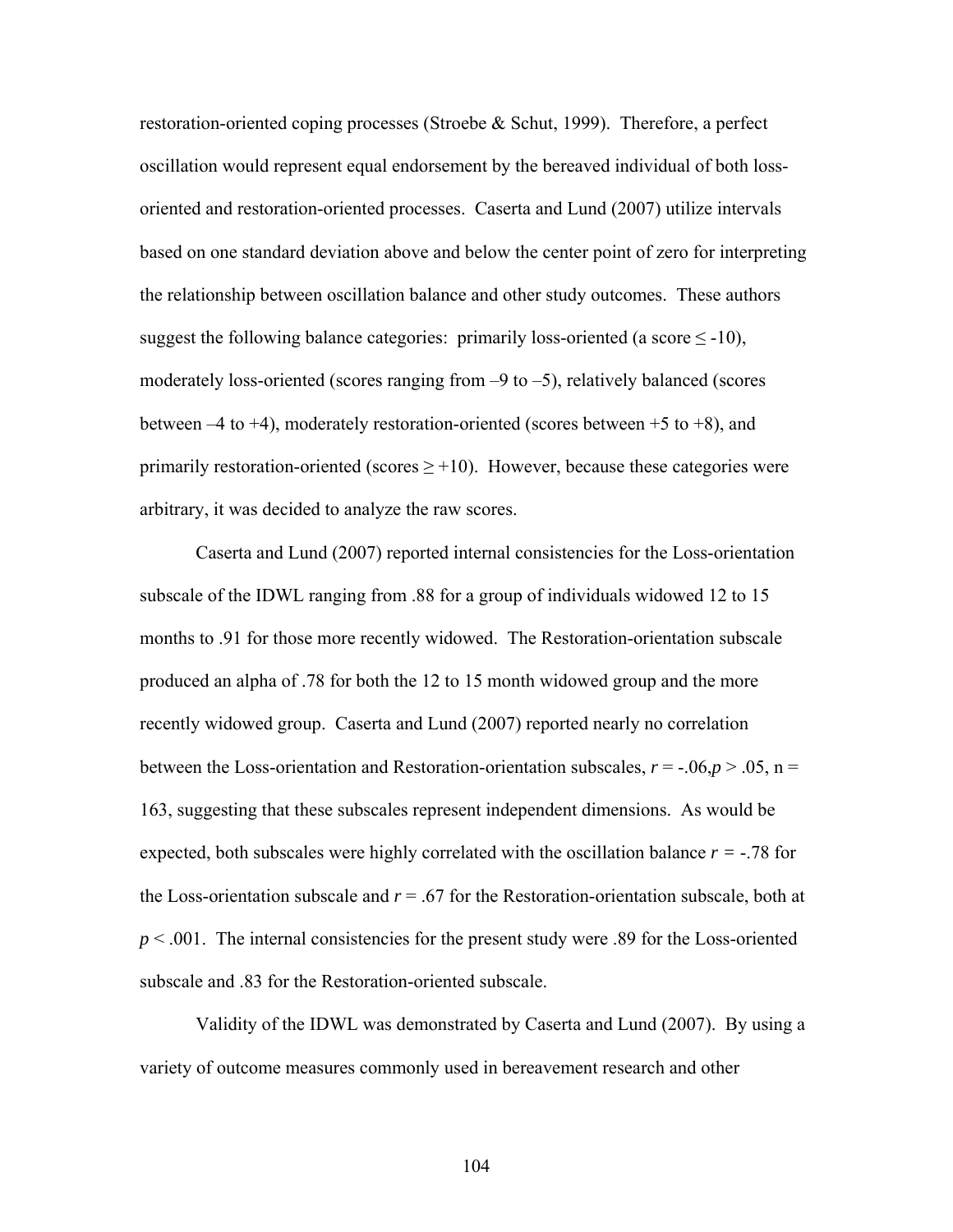restoration-oriented coping processes (Stroebe & Schut, 1999). Therefore, a perfect oscillation would represent equal endorsement by the bereaved individual of both lossoriented and restoration-oriented processes. Caserta and Lund (2007) utilize intervals based on one standard deviation above and below the center point of zero for interpreting the relationship between oscillation balance and other study outcomes. These authors suggest the following balance categories: primarily loss-oriented (a score  $\leq$  -10), moderately loss-oriented (scores ranging from  $-9$  to  $-5$ ), relatively balanced (scores between  $-4$  to  $+4$ ), moderately restoration-oriented (scores between  $+5$  to  $+8$ ), and primarily restoration-oriented (scores  $\geq$  +10). However, because these categories were arbitrary, it was decided to analyze the raw scores.

Caserta and Lund (2007) reported internal consistencies for the Loss-orientation subscale of the IDWL ranging from .88 for a group of individuals widowed 12 to 15 months to .91 for those more recently widowed. The Restoration-orientation subscale produced an alpha of .78 for both the 12 to 15 month widowed group and the more recently widowed group. Caserta and Lund (2007) reported nearly no correlation between the Loss-orientation and Restoration-orientation subscales,  $r = -0.06, p > 0.05, n =$ 163, suggesting that these subscales represent independent dimensions. As would be expected, both subscales were highly correlated with the oscillation balance  $r = -0.78$  for the Loss-orientation subscale and  $r = .67$  for the Restoration-orientation subscale, both at  $p < .001$ . The internal consistencies for the present study were .89 for the Loss-oriented subscale and .83 for the Restoration-oriented subscale.

Validity of the IDWL was demonstrated by Caserta and Lund (2007). By using a variety of outcome measures commonly used in bereavement research and other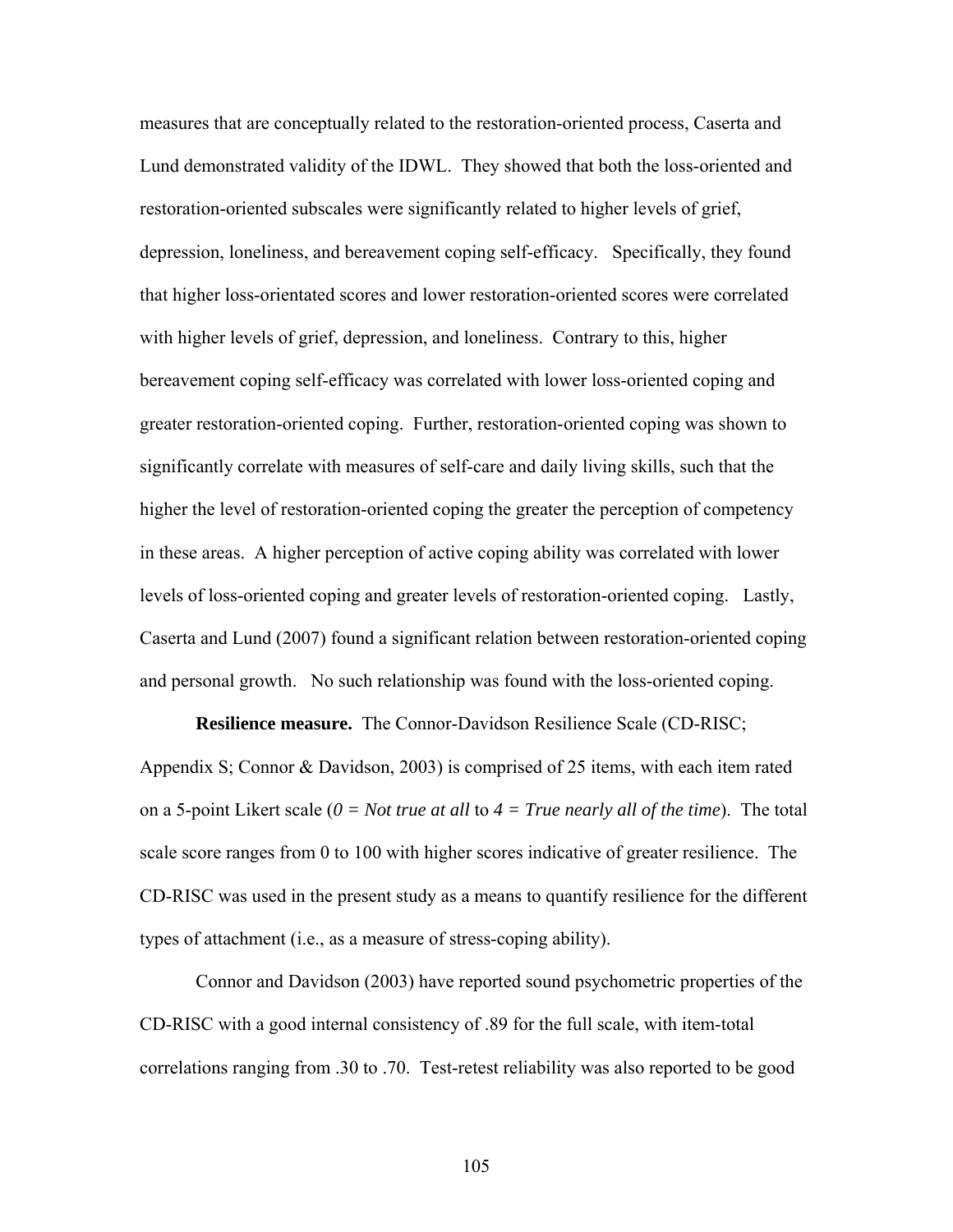measures that are conceptually related to the restoration-oriented process, Caserta and Lund demonstrated validity of the IDWL. They showed that both the loss-oriented and restoration-oriented subscales were significantly related to higher levels of grief, depression, loneliness, and bereavement coping self-efficacy. Specifically, they found that higher loss-orientated scores and lower restoration-oriented scores were correlated with higher levels of grief, depression, and loneliness. Contrary to this, higher bereavement coping self-efficacy was correlated with lower loss-oriented coping and greater restoration-oriented coping. Further, restoration-oriented coping was shown to significantly correlate with measures of self-care and daily living skills, such that the higher the level of restoration-oriented coping the greater the perception of competency in these areas. A higher perception of active coping ability was correlated with lower levels of loss-oriented coping and greater levels of restoration-oriented coping. Lastly, Caserta and Lund (2007) found a significant relation between restoration-oriented coping and personal growth. No such relationship was found with the loss-oriented coping.

**Resilience measure.** The Connor-Davidson Resilience Scale (CD-RISC; Appendix S; Connor & Davidson, 2003) is comprised of 25 items, with each item rated on a 5-point Likert scale (*0 = Not true at all* to *4 = True nearly all of the time*). The total scale score ranges from 0 to 100 with higher scores indicative of greater resilience. The CD-RISC was used in the present study as a means to quantify resilience for the different types of attachment (i.e., as a measure of stress-coping ability).

Connor and Davidson (2003) have reported sound psychometric properties of the CD-RISC with a good internal consistency of .89 for the full scale, with item-total correlations ranging from .30 to .70. Test-retest reliability was also reported to be good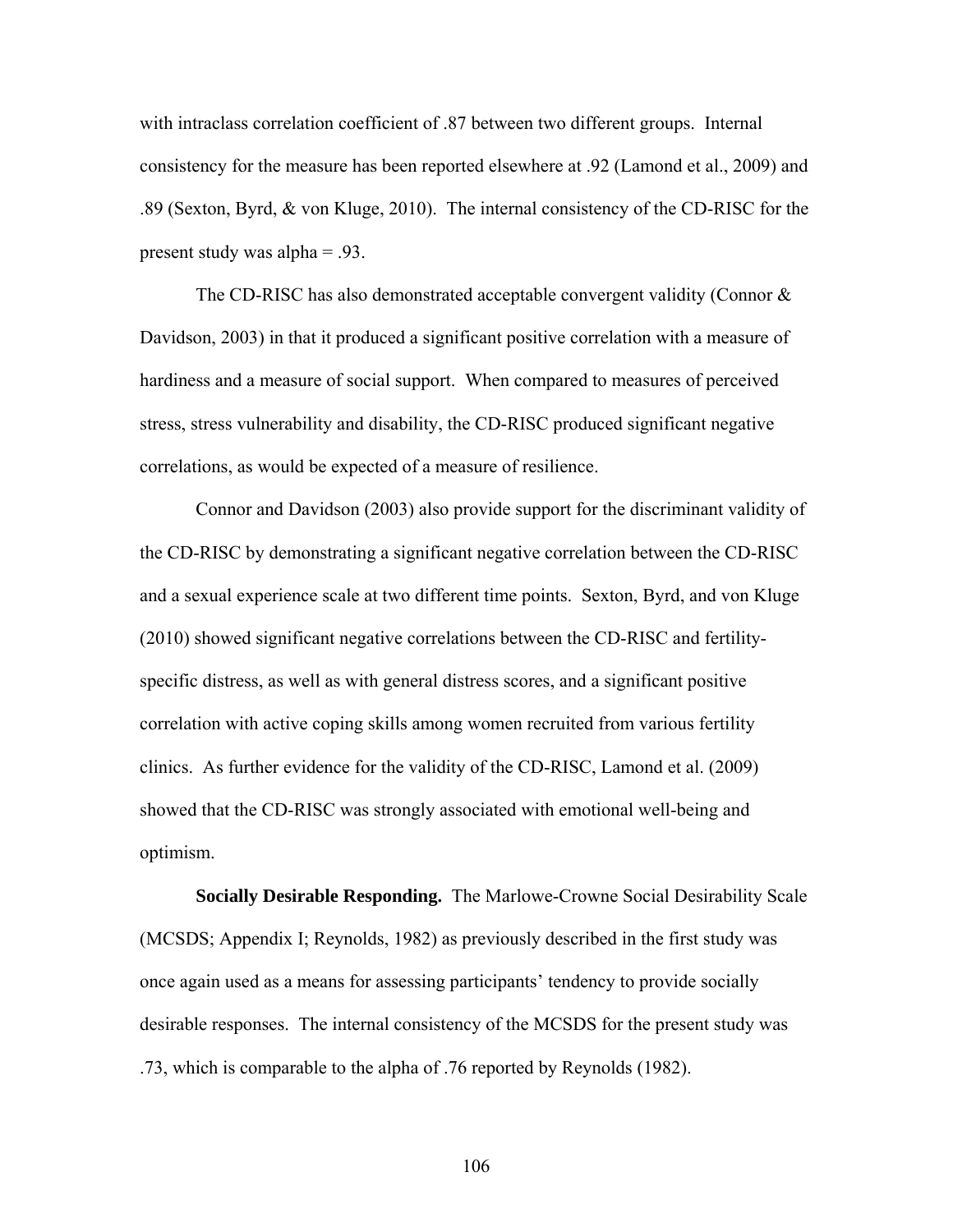with intraclass correlation coefficient of .87 between two different groups. Internal consistency for the measure has been reported elsewhere at .92 (Lamond et al., 2009) and .89 (Sexton, Byrd, & von Kluge, 2010). The internal consistency of the CD-RISC for the present study was alpha = .93.

The CD-RISC has also demonstrated acceptable convergent validity (Connor  $\&$ Davidson, 2003) in that it produced a significant positive correlation with a measure of hardiness and a measure of social support. When compared to measures of perceived stress, stress vulnerability and disability, the CD-RISC produced significant negative correlations, as would be expected of a measure of resilience.

Connor and Davidson (2003) also provide support for the discriminant validity of the CD-RISC by demonstrating a significant negative correlation between the CD-RISC and a sexual experience scale at two different time points. Sexton, Byrd, and von Kluge (2010) showed significant negative correlations between the CD-RISC and fertilityspecific distress, as well as with general distress scores, and a significant positive correlation with active coping skills among women recruited from various fertility clinics. As further evidence for the validity of the CD-RISC, Lamond et al. (2009) showed that the CD-RISC was strongly associated with emotional well-being and optimism.

**Socially Desirable Responding.** The Marlowe-Crowne Social Desirability Scale (MCSDS; Appendix I; Reynolds, 1982) as previously described in the first study was once again used as a means for assessing participants' tendency to provide socially desirable responses. The internal consistency of the MCSDS for the present study was .73, which is comparable to the alpha of .76 reported by Reynolds (1982).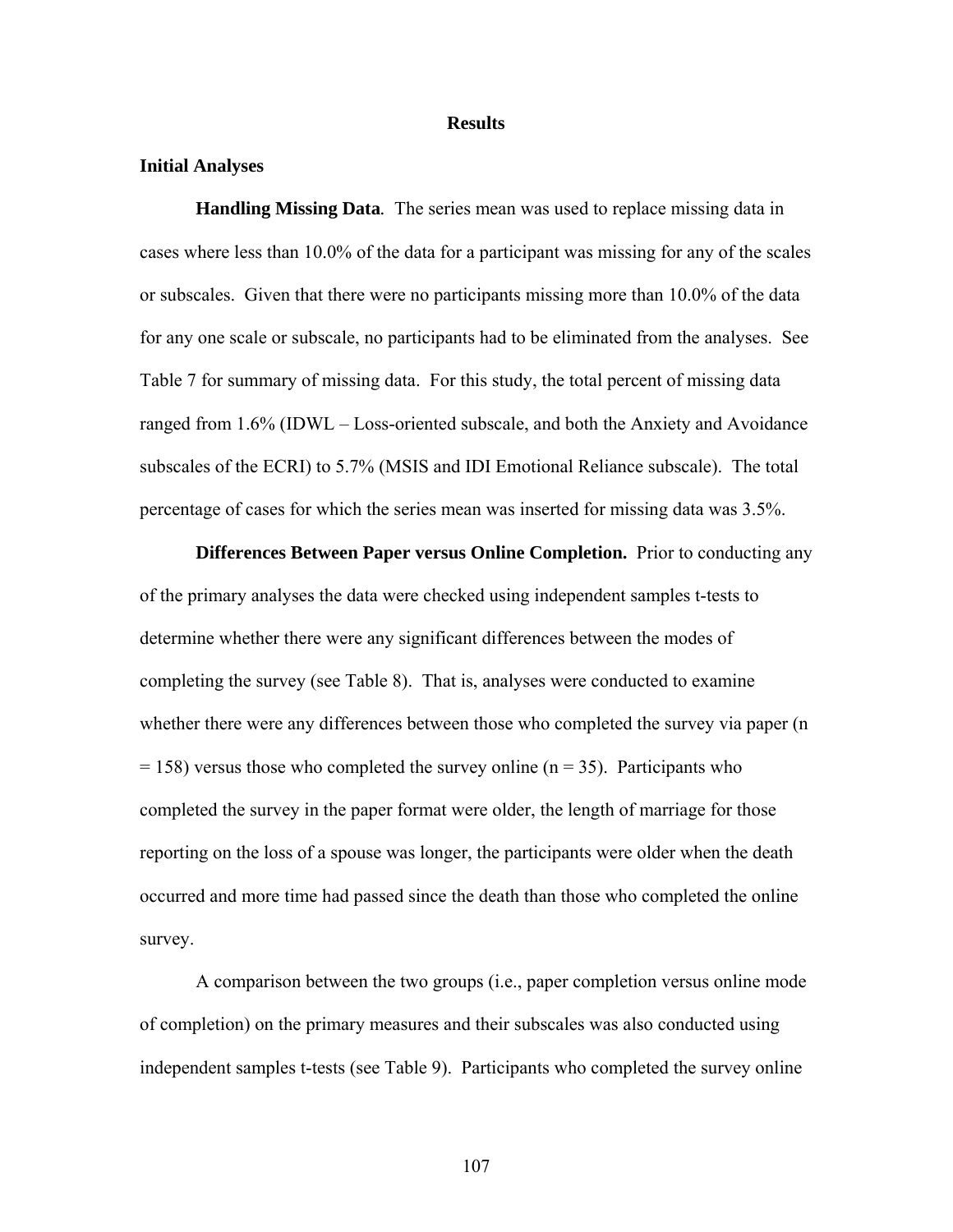### **Results**

## **Initial Analyses**

**Handling Missing Data***.* The series mean was used to replace missing data in cases where less than 10.0% of the data for a participant was missing for any of the scales or subscales. Given that there were no participants missing more than 10.0% of the data for any one scale or subscale, no participants had to be eliminated from the analyses. See Table 7 for summary of missing data. For this study, the total percent of missing data ranged from 1.6% (IDWL – Loss-oriented subscale, and both the Anxiety and Avoidance subscales of the ECRI) to 5.7% (MSIS and IDI Emotional Reliance subscale). The total percentage of cases for which the series mean was inserted for missing data was 3.5%.

**Differences Between Paper versus Online Completion.** Prior to conducting any of the primary analyses the data were checked using independent samples t-tests to determine whether there were any significant differences between the modes of completing the survey (see Table 8). That is, analyses were conducted to examine whether there were any differences between those who completed the survey via paper (n  $= 158$ ) versus those who completed the survey online (n = 35). Participants who completed the survey in the paper format were older, the length of marriage for those reporting on the loss of a spouse was longer, the participants were older when the death occurred and more time had passed since the death than those who completed the online survey.

A comparison between the two groups (i.e., paper completion versus online mode of completion) on the primary measures and their subscales was also conducted using independent samples t-tests (see Table 9). Participants who completed the survey online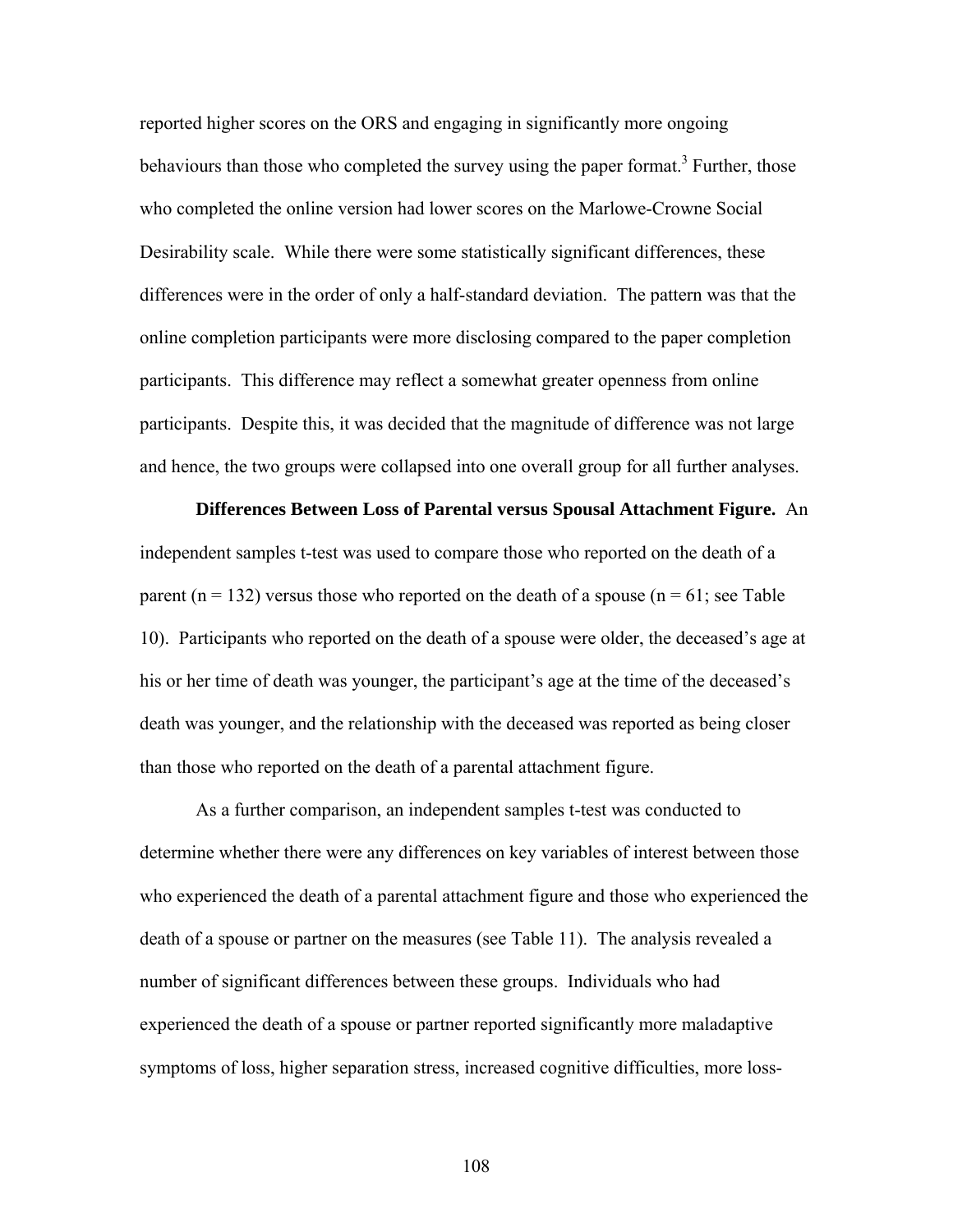reported higher scores on the ORS and engaging in significantly more ongoing behaviours than those who completed the survey using the paper format.<sup>3</sup> Further, those who completed the online version had lower scores on the Marlowe-Crowne Social Desirability scale. While there were some statistically significant differences, these differences were in the order of only a half-standard deviation. The pattern was that the online completion participants were more disclosing compared to the paper completion participants. This difference may reflect a somewhat greater openness from online participants. Despite this, it was decided that the magnitude of difference was not large and hence, the two groups were collapsed into one overall group for all further analyses.

**Differences Between Loss of Parental versus Spousal Attachment Figure.** An independent samples t-test was used to compare those who reported on the death of a parent ( $n = 132$ ) versus those who reported on the death of a spouse ( $n = 61$ ; see Table 10). Participants who reported on the death of a spouse were older, the deceased's age at his or her time of death was younger, the participant's age at the time of the deceased's death was younger, and the relationship with the deceased was reported as being closer than those who reported on the death of a parental attachment figure.

As a further comparison, an independent samples t-test was conducted to determine whether there were any differences on key variables of interest between those who experienced the death of a parental attachment figure and those who experienced the death of a spouse or partner on the measures (see Table 11). The analysis revealed a number of significant differences between these groups. Individuals who had experienced the death of a spouse or partner reported significantly more maladaptive symptoms of loss, higher separation stress, increased cognitive difficulties, more loss-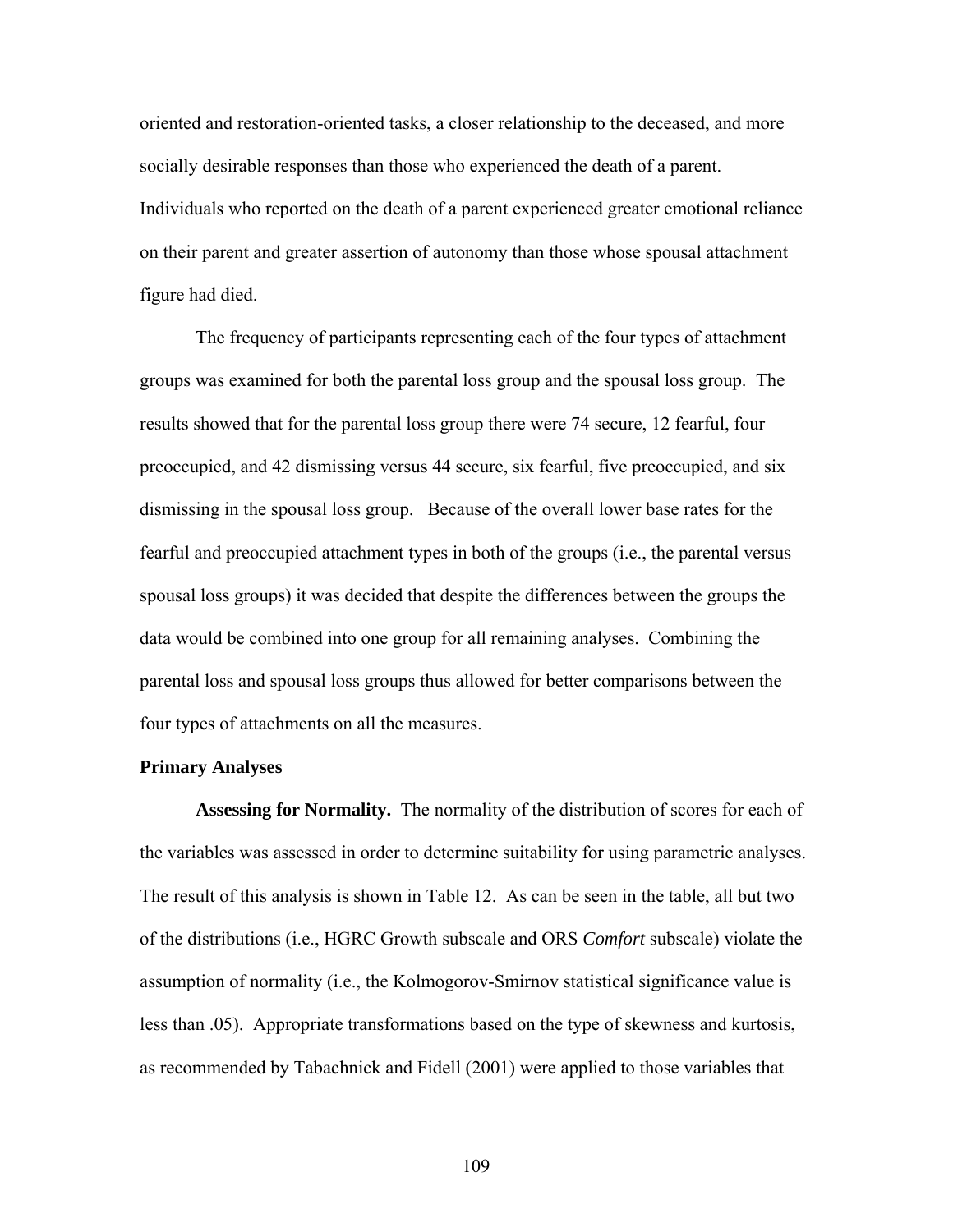oriented and restoration-oriented tasks, a closer relationship to the deceased, and more socially desirable responses than those who experienced the death of a parent. Individuals who reported on the death of a parent experienced greater emotional reliance on their parent and greater assertion of autonomy than those whose spousal attachment figure had died.

The frequency of participants representing each of the four types of attachment groups was examined for both the parental loss group and the spousal loss group. The results showed that for the parental loss group there were 74 secure, 12 fearful, four preoccupied, and 42 dismissing versus 44 secure, six fearful, five preoccupied, and six dismissing in the spousal loss group. Because of the overall lower base rates for the fearful and preoccupied attachment types in both of the groups (i.e., the parental versus spousal loss groups) it was decided that despite the differences between the groups the data would be combined into one group for all remaining analyses. Combining the parental loss and spousal loss groups thus allowed for better comparisons between the four types of attachments on all the measures.

## **Primary Analyses**

**Assessing for Normality.** The normality of the distribution of scores for each of the variables was assessed in order to determine suitability for using parametric analyses. The result of this analysis is shown in Table 12. As can be seen in the table, all but two of the distributions (i.e., HGRC Growth subscale and ORS *Comfort* subscale) violate the assumption of normality (i.e., the Kolmogorov-Smirnov statistical significance value is less than .05). Appropriate transformations based on the type of skewness and kurtosis, as recommended by Tabachnick and Fidell (2001) were applied to those variables that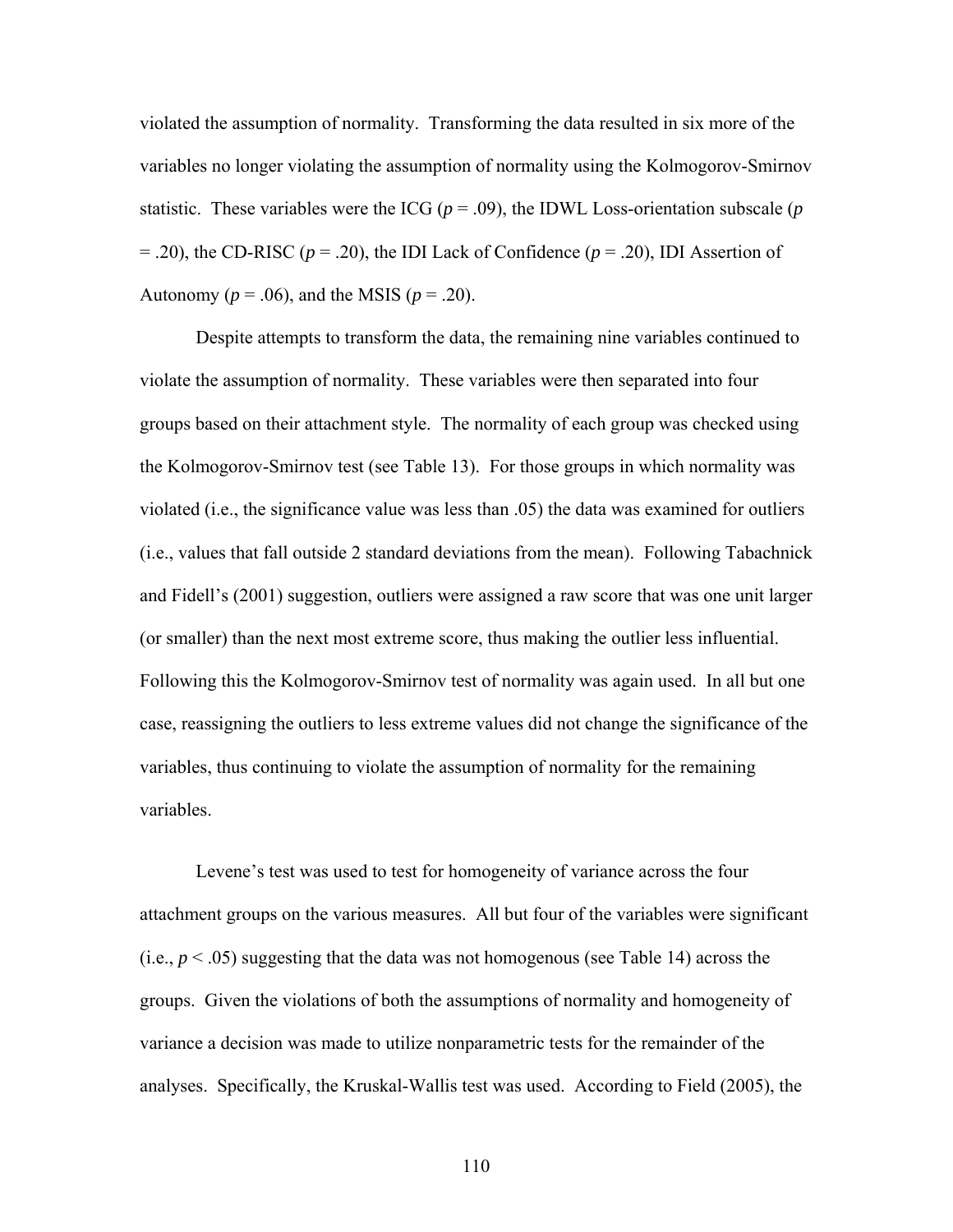violated the assumption of normality. Transforming the data resulted in six more of the variables no longer violating the assumption of normality using the Kolmogorov-Smirnov statistic. These variables were the ICG ( $p = .09$ ), the IDWL Loss-orientation subscale ( $p$ )  $=$  .20), the CD-RISC ( $p = .20$ ), the IDI Lack of Confidence ( $p = .20$ ), IDI Assertion of Autonomy ( $p = .06$ ), and the MSIS ( $p = .20$ ).

Despite attempts to transform the data, the remaining nine variables continued to violate the assumption of normality. These variables were then separated into four groups based on their attachment style. The normality of each group was checked using the Kolmogorov-Smirnov test (see Table 13). For those groups in which normality was violated (i.e., the significance value was less than .05) the data was examined for outliers (i.e., values that fall outside 2 standard deviations from the mean). Following Tabachnick and Fidell's (2001) suggestion, outliers were assigned a raw score that was one unit larger (or smaller) than the next most extreme score, thus making the outlier less influential. Following this the Kolmogorov-Smirnov test of normality was again used. In all but one case, reassigning the outliers to less extreme values did not change the significance of the variables, thus continuing to violate the assumption of normality for the remaining variables.

Levene's test was used to test for homogeneity of variance across the four attachment groups on the various measures. All but four of the variables were significant  $(i.e.,  $p < .05$ ) suggesting that the data was not homogeneous (see Table 14) across the$ groups. Given the violations of both the assumptions of normality and homogeneity of variance a decision was made to utilize nonparametric tests for the remainder of the analyses. Specifically, the Kruskal-Wallis test was used. According to Field (2005), the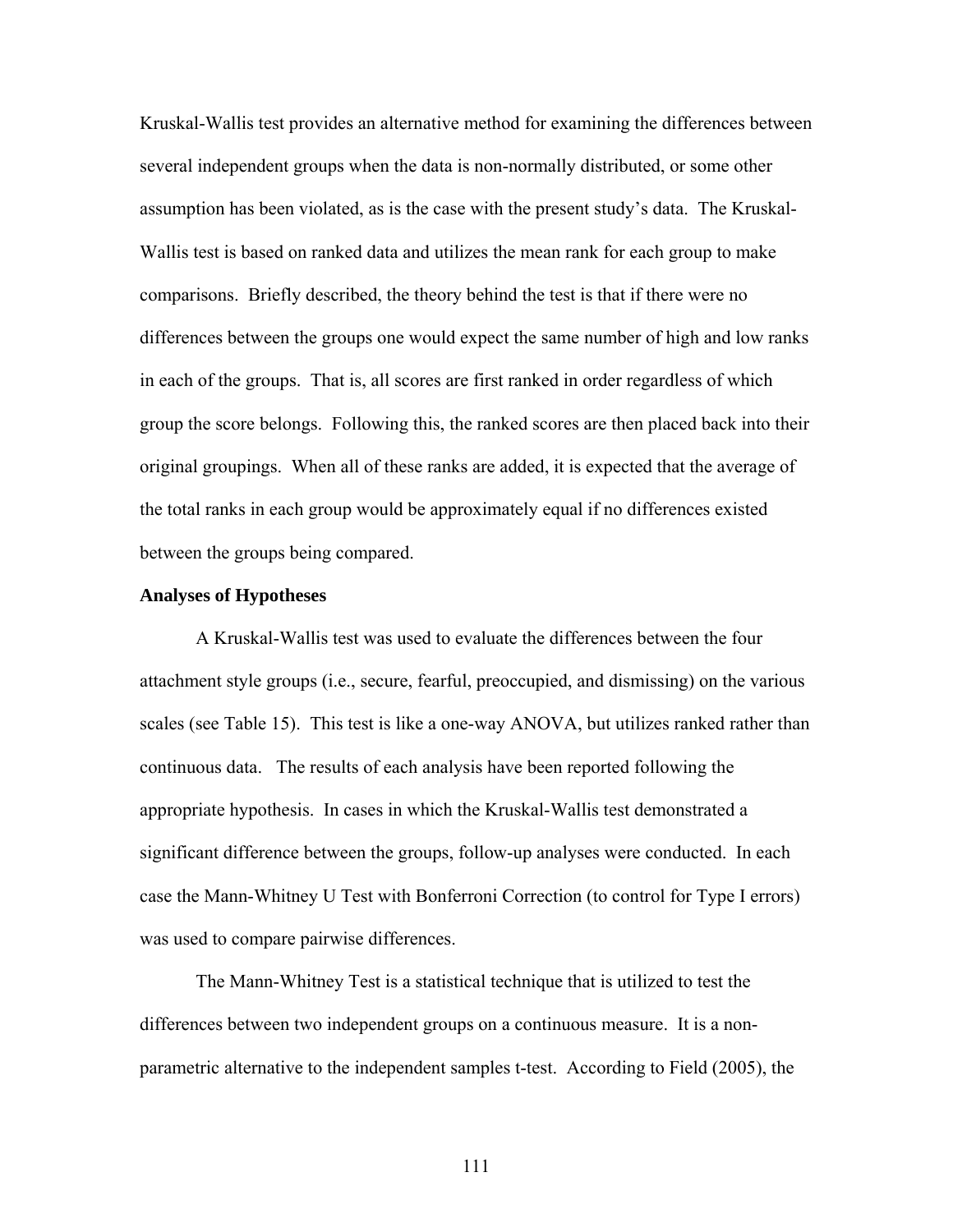Kruskal-Wallis test provides an alternative method for examining the differences between several independent groups when the data is non-normally distributed, or some other assumption has been violated, as is the case with the present study's data. The Kruskal-Wallis test is based on ranked data and utilizes the mean rank for each group to make comparisons. Briefly described, the theory behind the test is that if there were no differences between the groups one would expect the same number of high and low ranks in each of the groups. That is, all scores are first ranked in order regardless of which group the score belongs. Following this, the ranked scores are then placed back into their original groupings. When all of these ranks are added, it is expected that the average of the total ranks in each group would be approximately equal if no differences existed between the groups being compared.

#### **Analyses of Hypotheses**

A Kruskal-Wallis test was used to evaluate the differences between the four attachment style groups (i.e., secure, fearful, preoccupied, and dismissing) on the various scales (see Table 15). This test is like a one-way ANOVA, but utilizes ranked rather than continuous data. The results of each analysis have been reported following the appropriate hypothesis. In cases in which the Kruskal-Wallis test demonstrated a significant difference between the groups, follow-up analyses were conducted. In each case the Mann-Whitney U Test with Bonferroni Correction (to control for Type I errors) was used to compare pairwise differences.

The Mann-Whitney Test is a statistical technique that is utilized to test the differences between two independent groups on a continuous measure. It is a nonparametric alternative to the independent samples t-test. According to Field (2005), the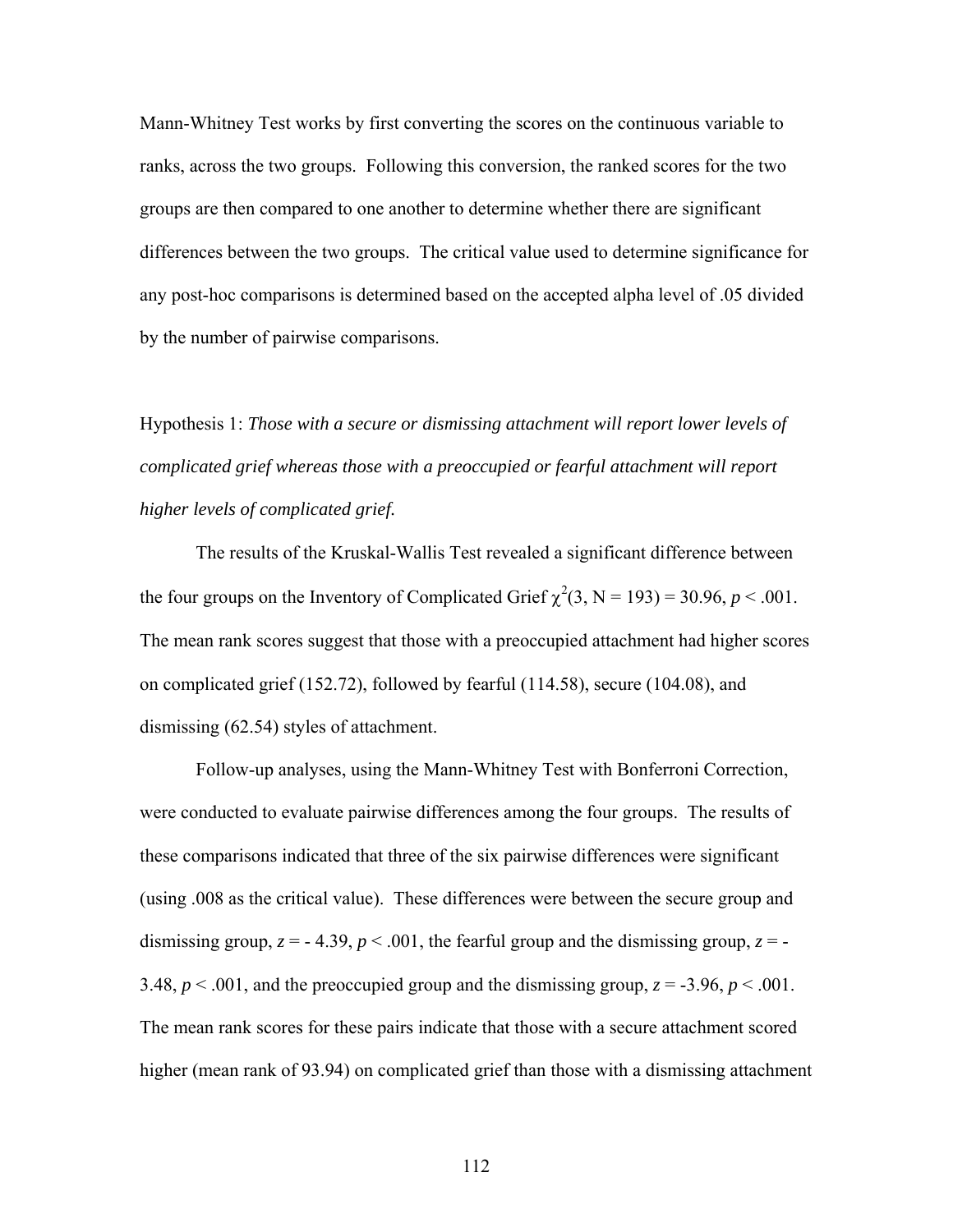Mann-Whitney Test works by first converting the scores on the continuous variable to ranks, across the two groups. Following this conversion, the ranked scores for the two groups are then compared to one another to determine whether there are significant differences between the two groups. The critical value used to determine significance for any post-hoc comparisons is determined based on the accepted alpha level of .05 divided by the number of pairwise comparisons.

Hypothesis 1: *Those with a secure or dismissing attachment will report lower levels of complicated grief whereas those with a preoccupied or fearful attachment will report higher levels of complicated grief.* 

The results of the Kruskal-Wallis Test revealed a significant difference between the four groups on the Inventory of Complicated Grief  $\chi^2(3, N = 193) = 30.96, p < .001$ . The mean rank scores suggest that those with a preoccupied attachment had higher scores on complicated grief (152.72), followed by fearful (114.58), secure (104.08), and dismissing (62.54) styles of attachment.

Follow-up analyses, using the Mann-Whitney Test with Bonferroni Correction, were conducted to evaluate pairwise differences among the four groups. The results of these comparisons indicated that three of the six pairwise differences were significant (using .008 as the critical value). These differences were between the secure group and dismissing group,  $z = -4.39$ ,  $p < .001$ , the fearful group and the dismissing group,  $z = -1$ 3.48,  $p < .001$ , and the preoccupied group and the dismissing group,  $z = -3.96$ ,  $p < .001$ . The mean rank scores for these pairs indicate that those with a secure attachment scored higher (mean rank of 93.94) on complicated grief than those with a dismissing attachment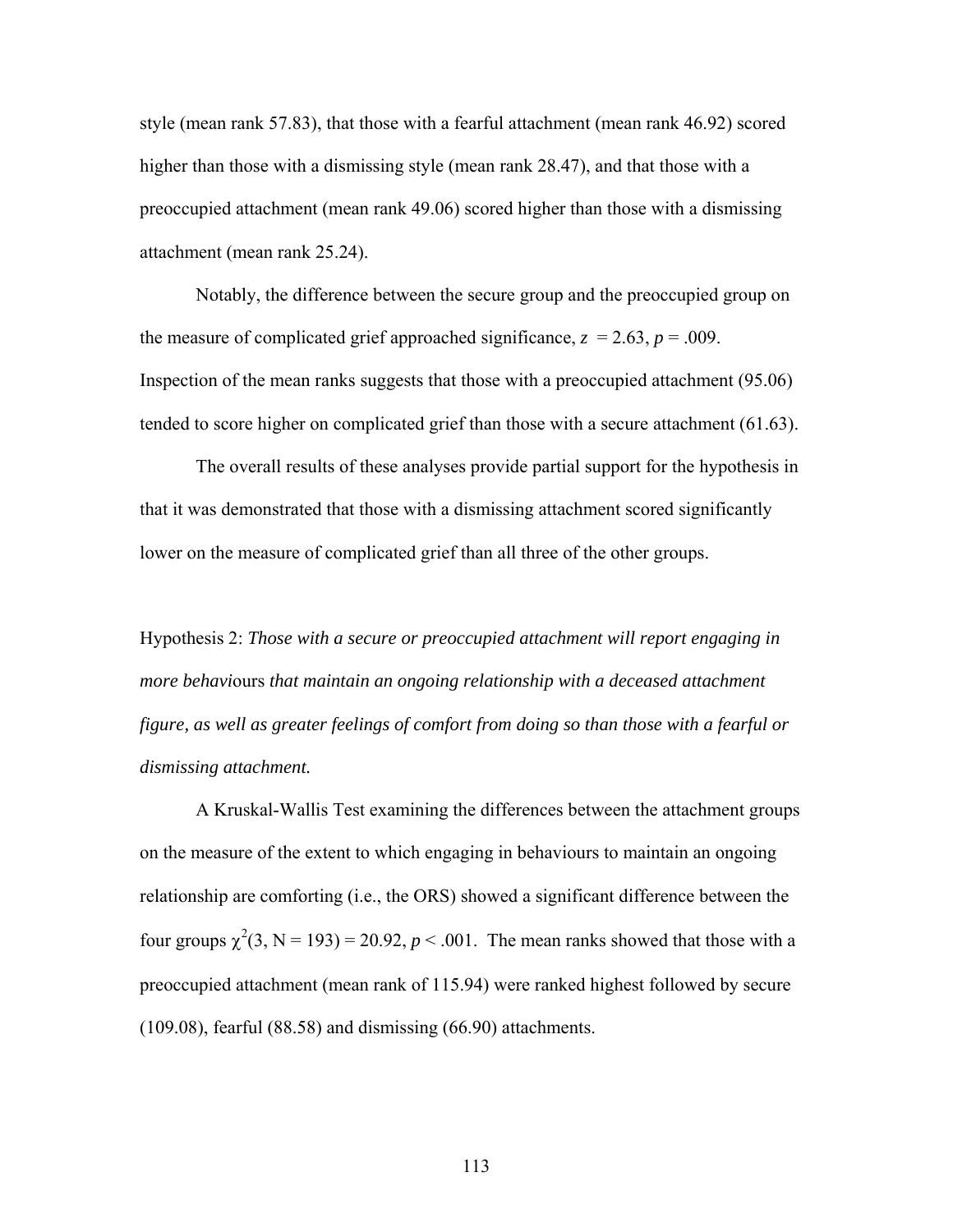style (mean rank 57.83), that those with a fearful attachment (mean rank 46.92) scored higher than those with a dismissing style (mean rank 28.47), and that those with a preoccupied attachment (mean rank 49.06) scored higher than those with a dismissing attachment (mean rank 25.24).

Notably, the difference between the secure group and the preoccupied group on the measure of complicated grief approached significance,  $z = 2.63$ ,  $p = .009$ . Inspection of the mean ranks suggests that those with a preoccupied attachment (95.06) tended to score higher on complicated grief than those with a secure attachment (61.63).

The overall results of these analyses provide partial support for the hypothesis in that it was demonstrated that those with a dismissing attachment scored significantly lower on the measure of complicated grief than all three of the other groups.

Hypothesis 2: *Those with a secure or preoccupied attachment will report engaging in more behavi*ours *that maintain an ongoing relationship with a deceased attachment figure, as well as greater feelings of comfort from doing so than those with a fearful or dismissing attachment.* 

A Kruskal-Wallis Test examining the differences between the attachment groups on the measure of the extent to which engaging in behaviours to maintain an ongoing relationship are comforting (i.e., the ORS) showed a significant difference between the four groups  $\chi^2(3, N = 193) = 20.92$ ,  $p < .001$ . The mean ranks showed that those with a preoccupied attachment (mean rank of 115.94) were ranked highest followed by secure (109.08), fearful (88.58) and dismissing (66.90) attachments.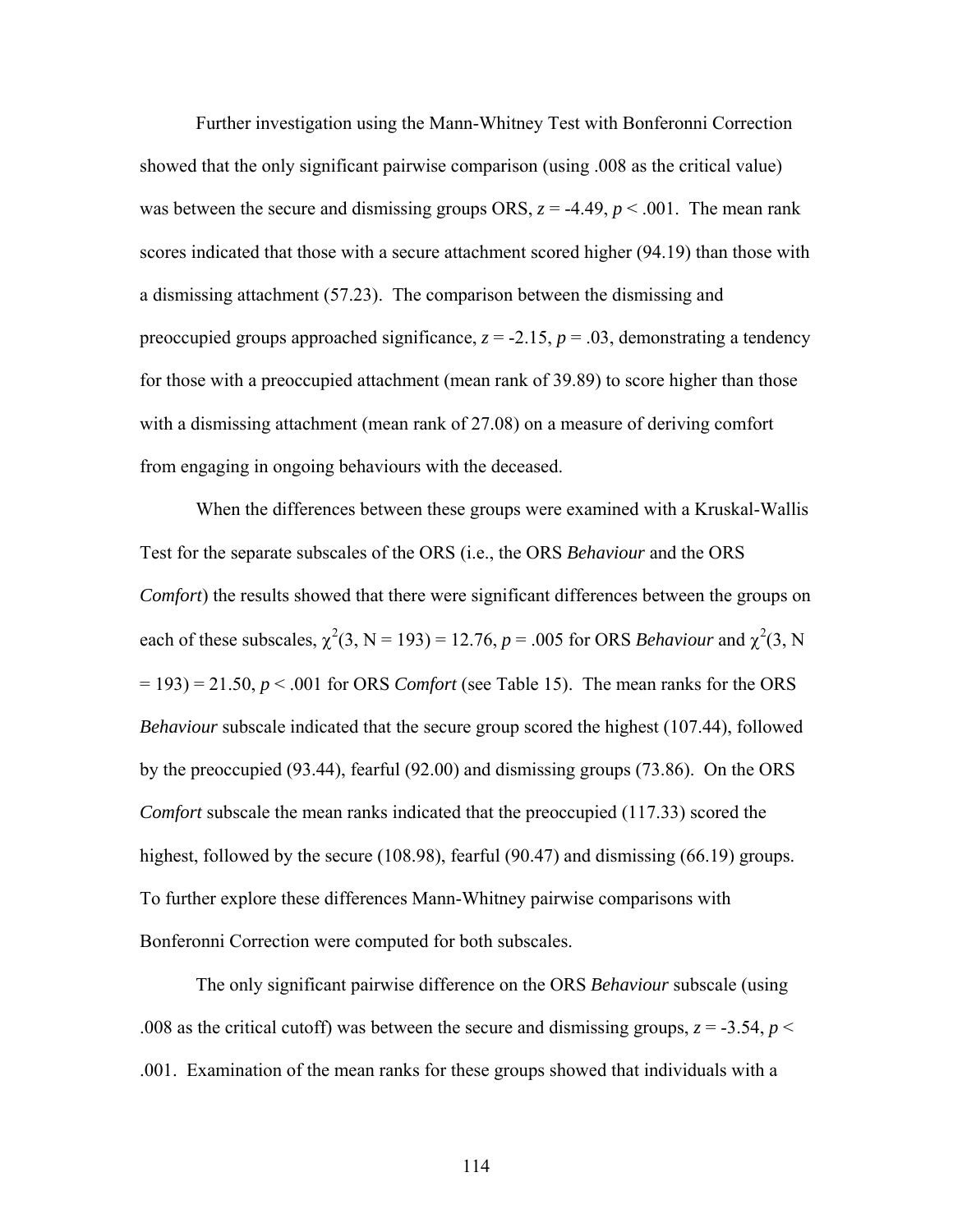Further investigation using the Mann-Whitney Test with Bonferonni Correction showed that the only significant pairwise comparison (using .008 as the critical value) was between the secure and dismissing groups ORS,  $z = -4.49$ ,  $p < .001$ . The mean rank scores indicated that those with a secure attachment scored higher (94.19) than those with a dismissing attachment (57.23). The comparison between the dismissing and preoccupied groups approached significance,  $z = -2.15$ ,  $p = .03$ , demonstrating a tendency for those with a preoccupied attachment (mean rank of 39.89) to score higher than those with a dismissing attachment (mean rank of 27.08) on a measure of deriving comfort from engaging in ongoing behaviours with the deceased.

When the differences between these groups were examined with a Kruskal-Wallis Test for the separate subscales of the ORS (i.e., the ORS *Behaviour* and the ORS *Comfort*) the results showed that there were significant differences between the groups on each of these subscales,  $\chi^2(3, N = 193) = 12.76$ ,  $p = .005$  for ORS *Behaviour* and  $\chi^2(3, N)$  $= 193$ )  $= 21.50, p < .001$  for ORS *Comfort* (see Table 15). The mean ranks for the ORS *Behaviour* subscale indicated that the secure group scored the highest (107.44), followed by the preoccupied (93.44), fearful (92.00) and dismissing groups (73.86). On the ORS *Comfort* subscale the mean ranks indicated that the preoccupied (117.33) scored the highest, followed by the secure (108.98), fearful (90.47) and dismissing (66.19) groups. To further explore these differences Mann-Whitney pairwise comparisons with Bonferonni Correction were computed for both subscales.

The only significant pairwise difference on the ORS *Behaviour* subscale (using .008 as the critical cutoff) was between the secure and dismissing groups,  $z = -3.54$ ,  $p <$ .001. Examination of the mean ranks for these groups showed that individuals with a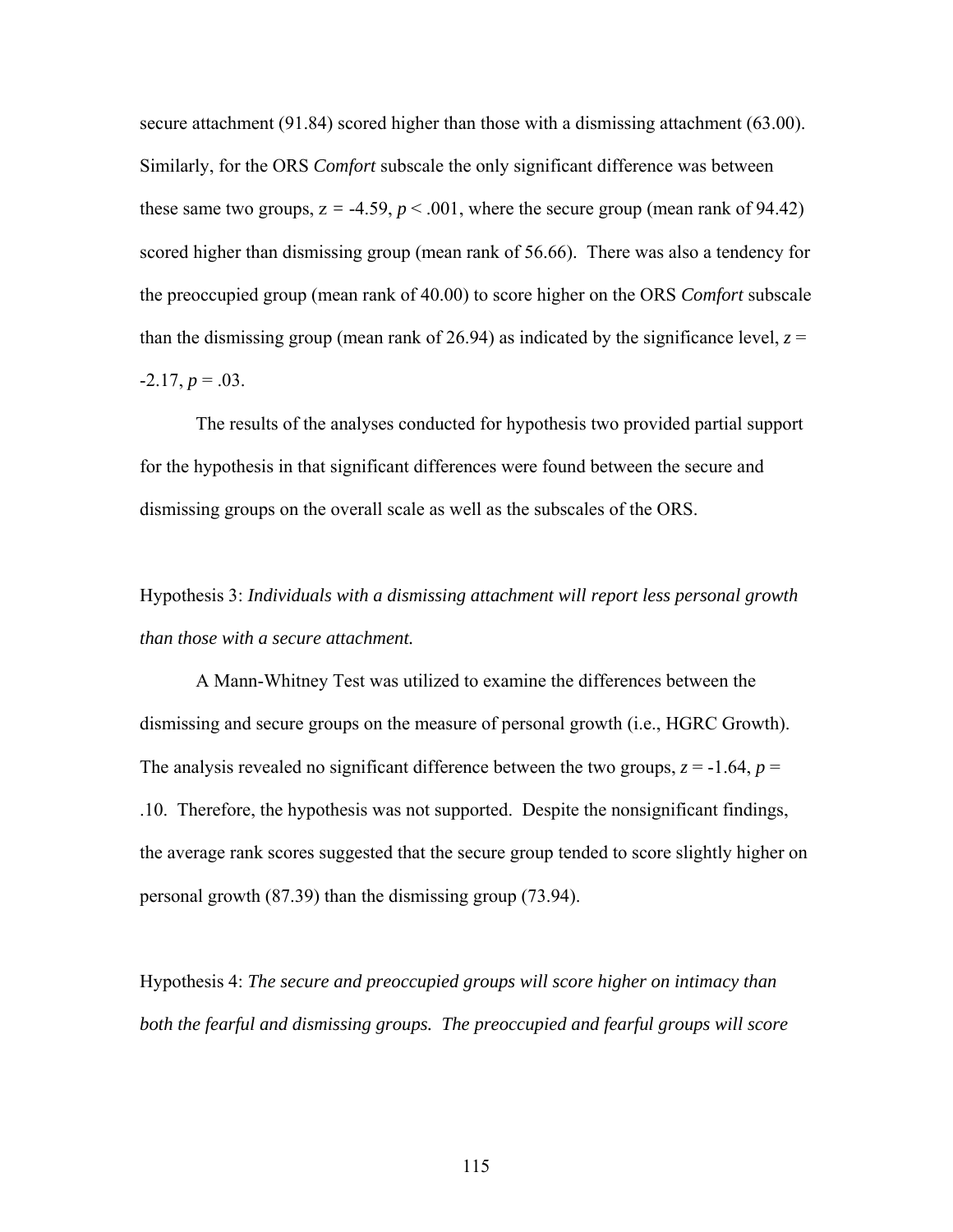secure attachment (91.84) scored higher than those with a dismissing attachment (63.00). Similarly, for the ORS *Comfort* subscale the only significant difference was between these same two groups,  $z = -4.59$ ,  $p < .001$ , where the secure group (mean rank of 94.42) scored higher than dismissing group (mean rank of 56.66). There was also a tendency for the preoccupied group (mean rank of 40.00) to score higher on the ORS *Comfort* subscale than the dismissing group (mean rank of 26.94) as indicated by the significance level,  $z =$  $-2.17, p = .03$ .

The results of the analyses conducted for hypothesis two provided partial support for the hypothesis in that significant differences were found between the secure and dismissing groups on the overall scale as well as the subscales of the ORS.

# Hypothesis 3: *Individuals with a dismissing attachment will report less personal growth than those with a secure attachment.*

A Mann-Whitney Test was utilized to examine the differences between the dismissing and secure groups on the measure of personal growth (i.e., HGRC Growth). The analysis revealed no significant difference between the two groups,  $z = -1.64$ ,  $p =$ .10. Therefore, the hypothesis was not supported. Despite the nonsignificant findings, the average rank scores suggested that the secure group tended to score slightly higher on personal growth (87.39) than the dismissing group (73.94).

Hypothesis 4: *The secure and preoccupied groups will score higher on intimacy than*  both the fearful and dismissing groups. The preoccupied and fearful groups will score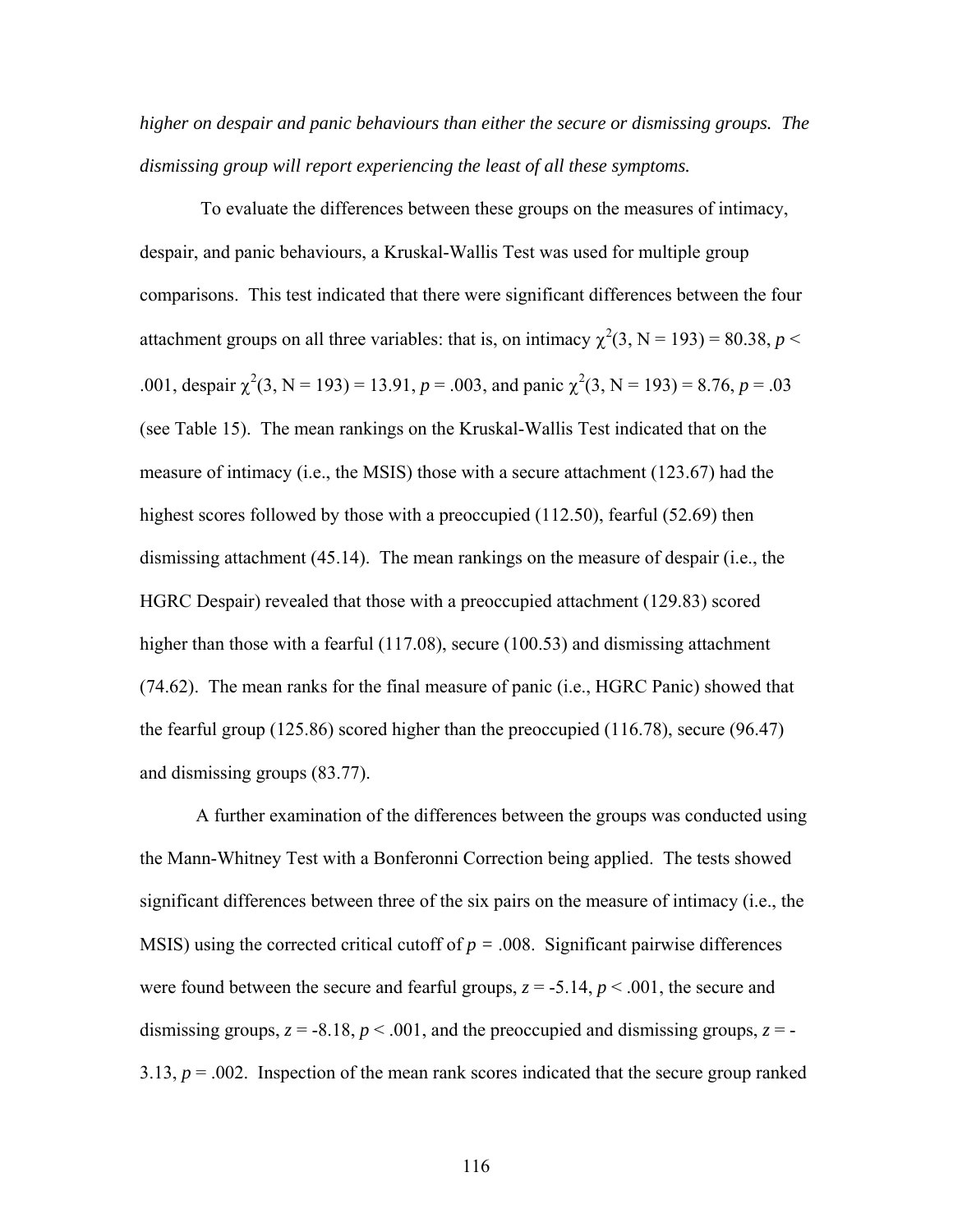*higher on despair and panic behaviours than either the secure or dismissing groups. The dismissing group will report experiencing the least of all these symptoms.*

To evaluate the differences between these groups on the measures of intimacy, despair, and panic behaviours, a Kruskal-Wallis Test was used for multiple group comparisons. This test indicated that there were significant differences between the four attachment groups on all three variables: that is, on intimacy  $\chi^2(3, N = 193) = 80.38$ ,  $p <$ .001, despair  $\chi^2(3, N = 193) = 13.91$ ,  $p = .003$ , and panic  $\chi^2(3, N = 193) = 8.76$ ,  $p = .03$ (see Table 15). The mean rankings on the Kruskal-Wallis Test indicated that on the measure of intimacy (i.e., the MSIS) those with a secure attachment (123.67) had the highest scores followed by those with a preoccupied (112.50), fearful (52.69) then dismissing attachment (45.14). The mean rankings on the measure of despair (i.e., the HGRC Despair) revealed that those with a preoccupied attachment (129.83) scored higher than those with a fearful (117.08), secure (100.53) and dismissing attachment (74.62). The mean ranks for the final measure of panic (i.e., HGRC Panic) showed that the fearful group (125.86) scored higher than the preoccupied (116.78), secure (96.47) and dismissing groups (83.77).

A further examination of the differences between the groups was conducted using the Mann-Whitney Test with a Bonferonni Correction being applied. The tests showed significant differences between three of the six pairs on the measure of intimacy (i.e., the MSIS) using the corrected critical cutoff of  $p = 0.008$ . Significant pairwise differences were found between the secure and fearful groups,  $z = -5.14$ ,  $p < .001$ , the secure and dismissing groups,  $z = -8.18$ ,  $p < .001$ , and the preoccupied and dismissing groups,  $z = -$ 3.13,  $p = .002$ . Inspection of the mean rank scores indicated that the secure group ranked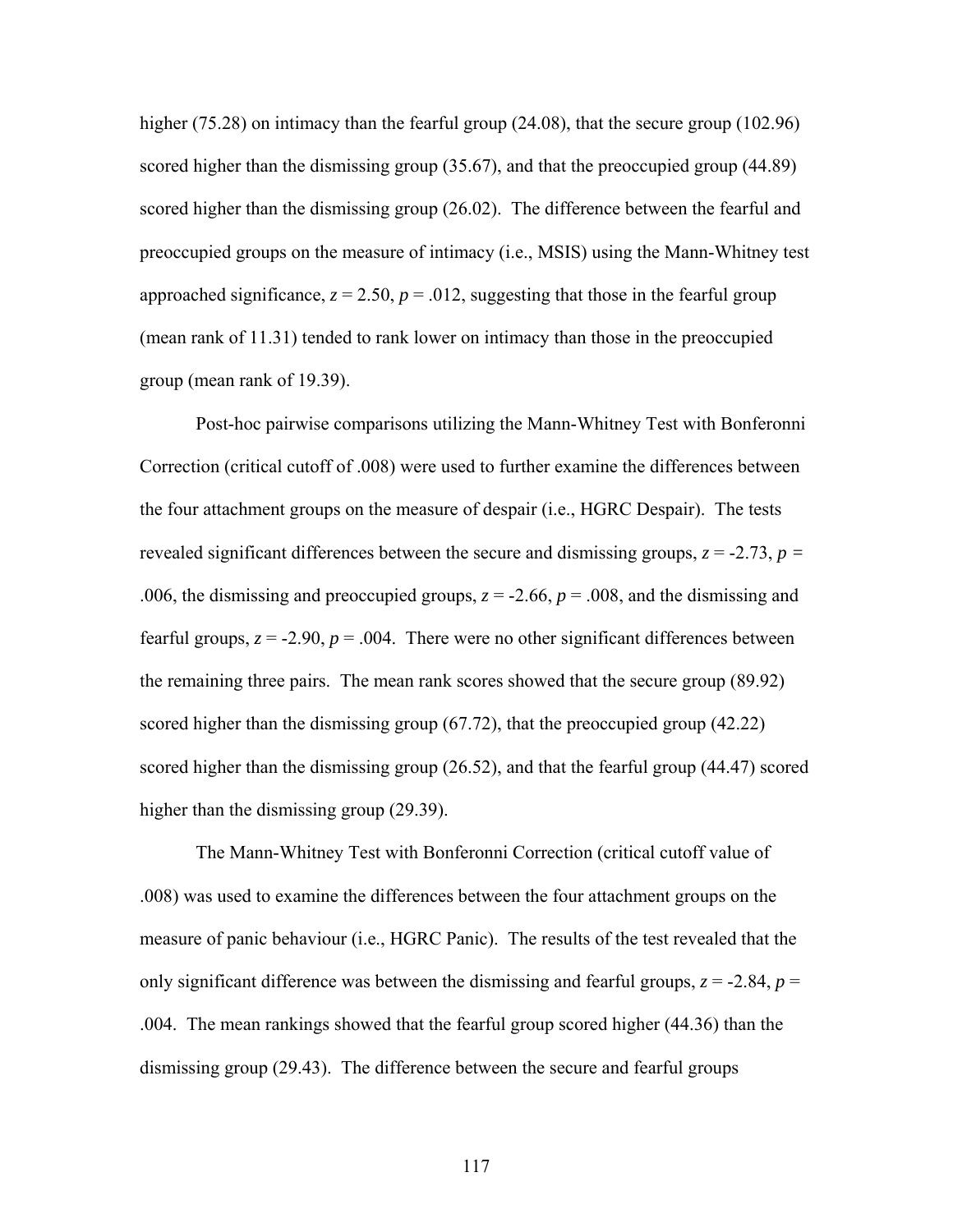higher (75.28) on intimacy than the fearful group (24.08), that the secure group (102.96) scored higher than the dismissing group (35.67), and that the preoccupied group (44.89) scored higher than the dismissing group (26.02). The difference between the fearful and preoccupied groups on the measure of intimacy (i.e., MSIS) using the Mann-Whitney test approached significance,  $z = 2.50$ ,  $p = .012$ , suggesting that those in the fearful group (mean rank of 11.31) tended to rank lower on intimacy than those in the preoccupied group (mean rank of 19.39).

Post-hoc pairwise comparisons utilizing the Mann-Whitney Test with Bonferonni Correction (critical cutoff of .008) were used to further examine the differences between the four attachment groups on the measure of despair (i.e., HGRC Despair). The tests revealed significant differences between the secure and dismissing groups, *z* = -2.73, *p =* .006, the dismissing and preoccupied groups,  $z = -2.66$ ,  $p = .008$ , and the dismissing and fearful groups,  $z = -2.90$ ,  $p = .004$ . There were no other significant differences between the remaining three pairs. The mean rank scores showed that the secure group (89.92) scored higher than the dismissing group (67.72), that the preoccupied group (42.22) scored higher than the dismissing group (26.52), and that the fearful group (44.47) scored higher than the dismissing group (29.39).

The Mann-Whitney Test with Bonferonni Correction (critical cutoff value of .008) was used to examine the differences between the four attachment groups on the measure of panic behaviour (i.e., HGRC Panic). The results of the test revealed that the only significant difference was between the dismissing and fearful groups,  $z = -2.84$ ,  $p =$ .004. The mean rankings showed that the fearful group scored higher (44.36) than the dismissing group (29.43). The difference between the secure and fearful groups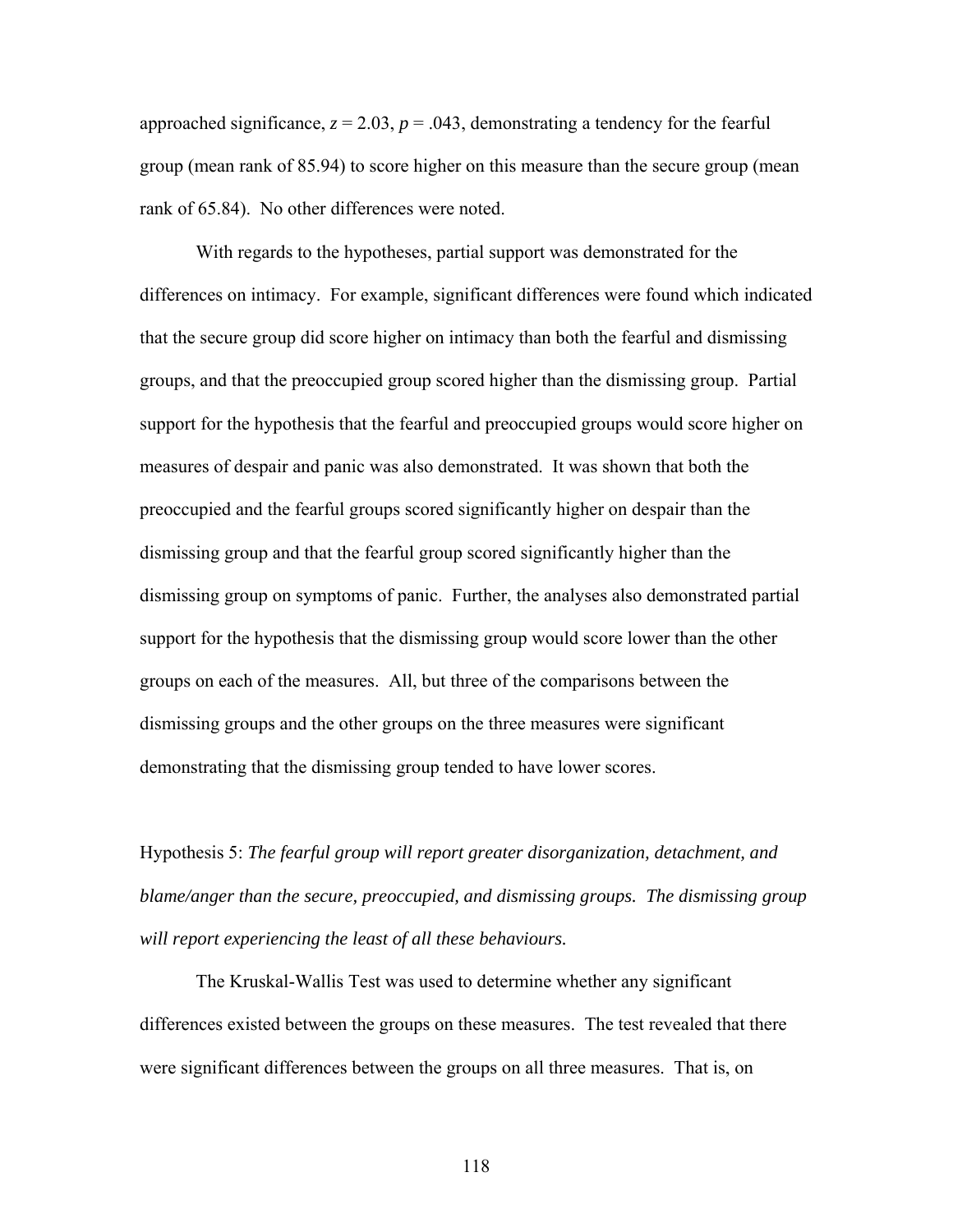approached significance,  $z = 2.03$ ,  $p = .043$ , demonstrating a tendency for the fearful group (mean rank of 85.94) to score higher on this measure than the secure group (mean rank of 65.84). No other differences were noted.

With regards to the hypotheses, partial support was demonstrated for the differences on intimacy. For example, significant differences were found which indicated that the secure group did score higher on intimacy than both the fearful and dismissing groups, and that the preoccupied group scored higher than the dismissing group. Partial support for the hypothesis that the fearful and preoccupied groups would score higher on measures of despair and panic was also demonstrated. It was shown that both the preoccupied and the fearful groups scored significantly higher on despair than the dismissing group and that the fearful group scored significantly higher than the dismissing group on symptoms of panic. Further, the analyses also demonstrated partial support for the hypothesis that the dismissing group would score lower than the other groups on each of the measures. All, but three of the comparisons between the dismissing groups and the other groups on the three measures were significant demonstrating that the dismissing group tended to have lower scores.

Hypothesis 5: *The fearful group will report greater disorganization, detachment, and blame/anger than the secure, preoccupied, and dismissing groups. The dismissing group will report experiencing the least of all these behaviours.* 

The Kruskal-Wallis Test was used to determine whether any significant differences existed between the groups on these measures. The test revealed that there were significant differences between the groups on all three measures. That is, on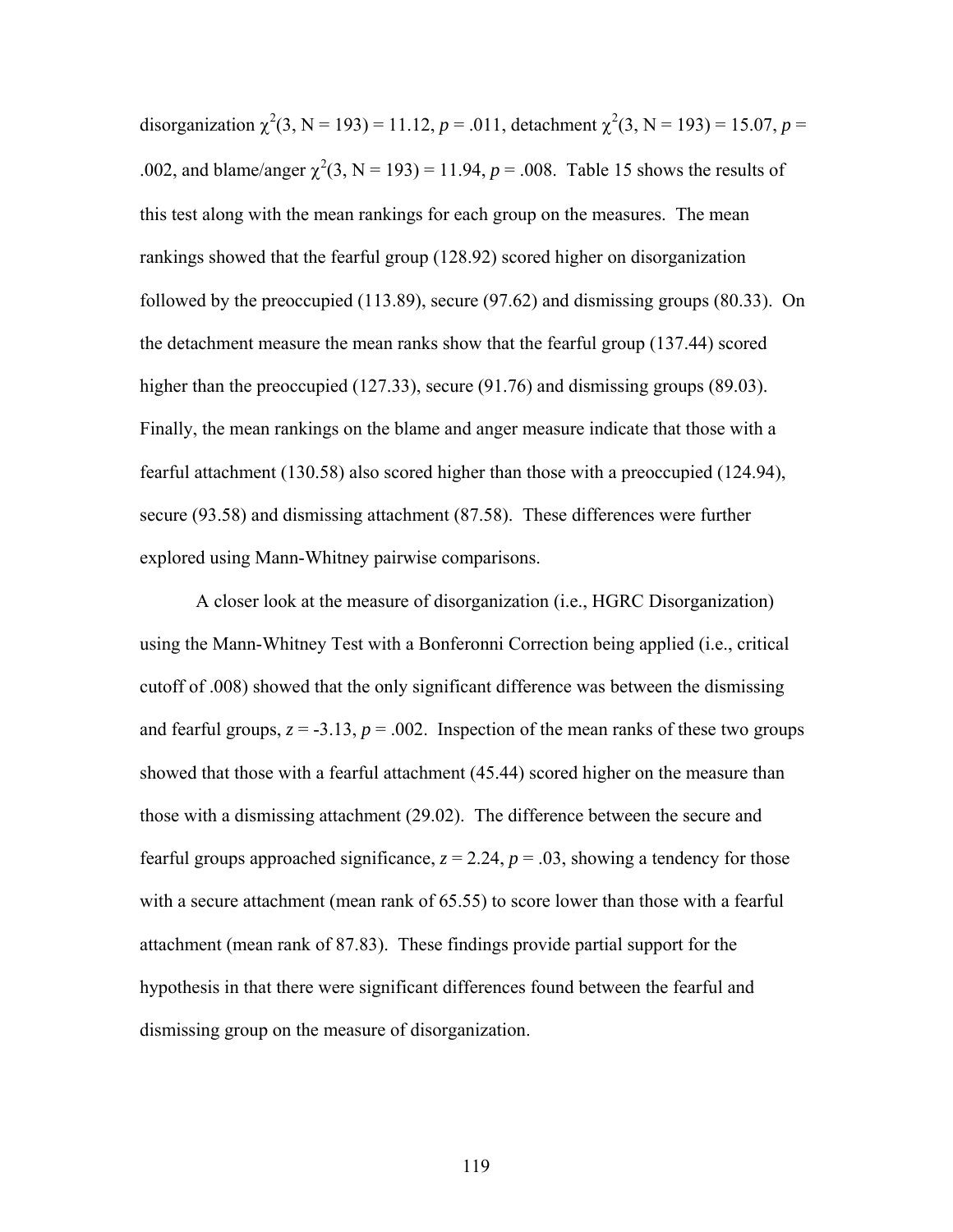disorganization  $\chi^2(3, N = 193) = 11.12$ ,  $p = .011$ , detachment  $\chi^2(3, N = 193) = 15.07$ ,  $p =$ .002, and blame/anger  $\chi^2(3, N = 193) = 11.94$ ,  $p = .008$ . Table 15 shows the results of this test along with the mean rankings for each group on the measures. The mean rankings showed that the fearful group (128.92) scored higher on disorganization followed by the preoccupied (113.89), secure (97.62) and dismissing groups (80.33). On the detachment measure the mean ranks show that the fearful group (137.44) scored higher than the preoccupied (127.33), secure (91.76) and dismissing groups (89.03). Finally, the mean rankings on the blame and anger measure indicate that those with a fearful attachment (130.58) also scored higher than those with a preoccupied (124.94), secure (93.58) and dismissing attachment (87.58). These differences were further explored using Mann-Whitney pairwise comparisons.

A closer look at the measure of disorganization (i.e., HGRC Disorganization) using the Mann-Whitney Test with a Bonferonni Correction being applied (i.e., critical cutoff of .008) showed that the only significant difference was between the dismissing and fearful groups,  $z = -3.13$ ,  $p = .002$ . Inspection of the mean ranks of these two groups showed that those with a fearful attachment (45.44) scored higher on the measure than those with a dismissing attachment (29.02). The difference between the secure and fearful groups approached significance,  $z = 2.24$ ,  $p = .03$ , showing a tendency for those with a secure attachment (mean rank of 65.55) to score lower than those with a fearful attachment (mean rank of 87.83). These findings provide partial support for the hypothesis in that there were significant differences found between the fearful and dismissing group on the measure of disorganization.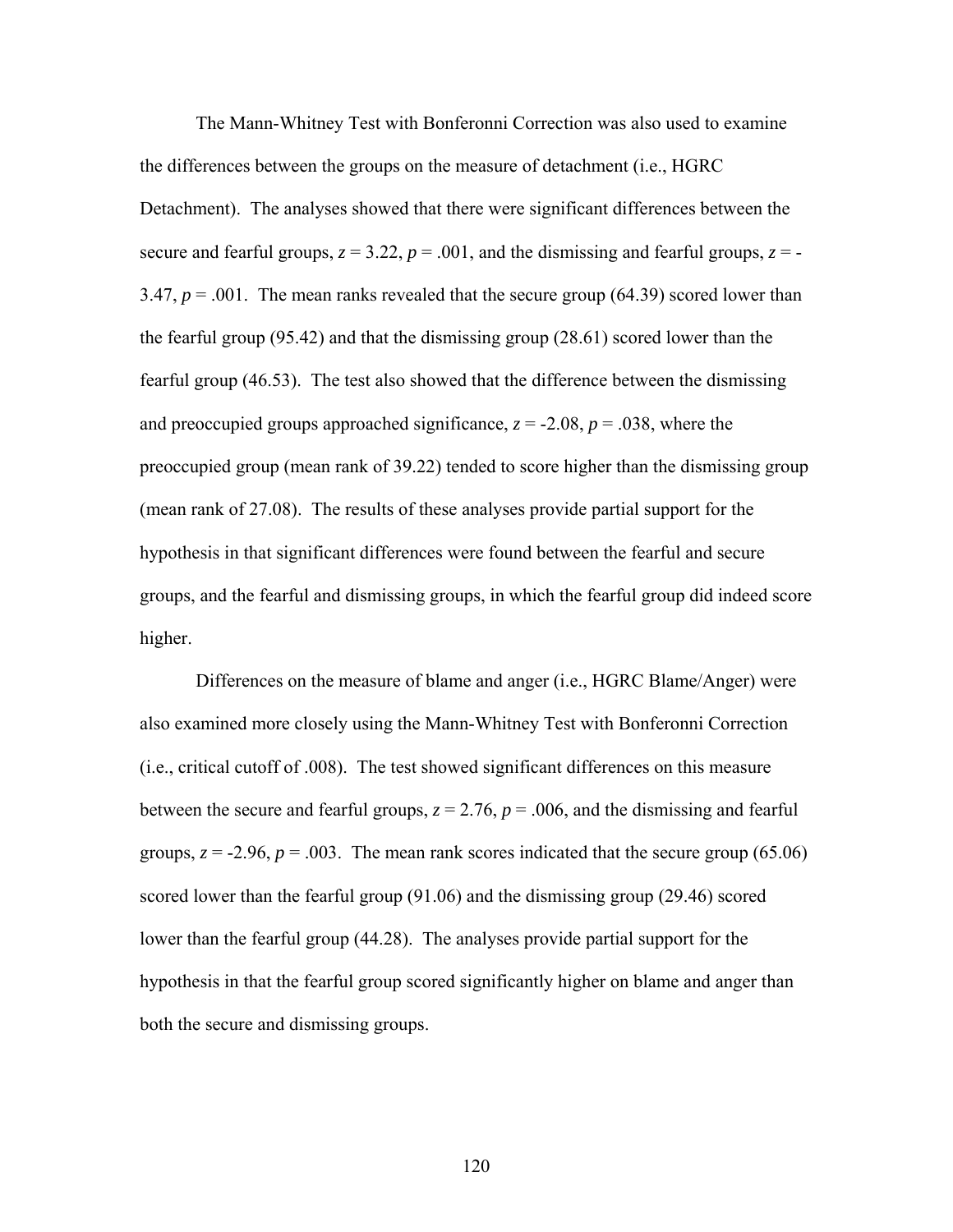The Mann-Whitney Test with Bonferonni Correction was also used to examine the differences between the groups on the measure of detachment (i.e., HGRC Detachment). The analyses showed that there were significant differences between the secure and fearful groups,  $z = 3.22$ ,  $p = .001$ , and the dismissing and fearful groups,  $z = -$ 3.47,  $p = 0.001$ . The mean ranks revealed that the secure group (64.39) scored lower than the fearful group (95.42) and that the dismissing group (28.61) scored lower than the fearful group (46.53). The test also showed that the difference between the dismissing and preoccupied groups approached significance,  $z = -2.08$ ,  $p = .038$ , where the preoccupied group (mean rank of 39.22) tended to score higher than the dismissing group (mean rank of 27.08). The results of these analyses provide partial support for the hypothesis in that significant differences were found between the fearful and secure groups, and the fearful and dismissing groups, in which the fearful group did indeed score higher.

Differences on the measure of blame and anger (i.e., HGRC Blame/Anger) were also examined more closely using the Mann-Whitney Test with Bonferonni Correction (i.e., critical cutoff of .008). The test showed significant differences on this measure between the secure and fearful groups,  $z = 2.76$ ,  $p = .006$ , and the dismissing and fearful groups,  $z = -2.96$ ,  $p = .003$ . The mean rank scores indicated that the secure group (65.06) scored lower than the fearful group (91.06) and the dismissing group (29.46) scored lower than the fearful group (44.28). The analyses provide partial support for the hypothesis in that the fearful group scored significantly higher on blame and anger than both the secure and dismissing groups.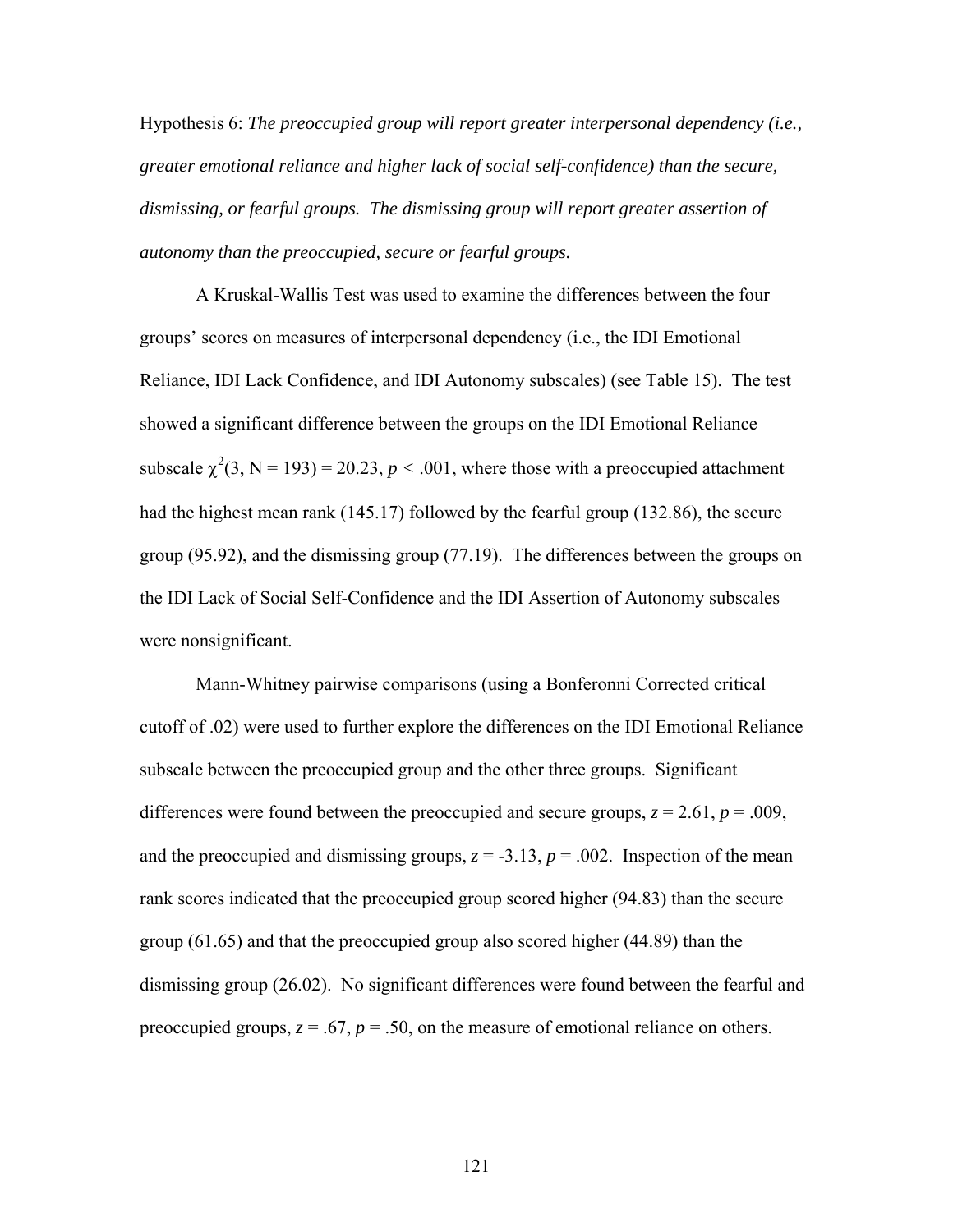Hypothesis 6: *The preoccupied group will report greater interpersonal dependency (i.e., greater emotional reliance and higher lack of social self-confidence) than the secure, dismissing, or fearful groups. The dismissing group will report greater assertion of autonomy than the preoccupied, secure or fearful groups.* 

A Kruskal-Wallis Test was used to examine the differences between the four groups' scores on measures of interpersonal dependency (i.e., the IDI Emotional Reliance, IDI Lack Confidence, and IDI Autonomy subscales) (see Table 15). The test showed a significant difference between the groups on the IDI Emotional Reliance subscale  $\chi^2(3, N = 193) = 20.23$ ,  $p < .001$ , where those with a preoccupied attachment had the highest mean rank (145.17) followed by the fearful group (132.86), the secure group (95.92), and the dismissing group (77.19). The differences between the groups on the IDI Lack of Social Self-Confidence and the IDI Assertion of Autonomy subscales were nonsignificant.

Mann-Whitney pairwise comparisons (using a Bonferonni Corrected critical cutoff of .02) were used to further explore the differences on the IDI Emotional Reliance subscale between the preoccupied group and the other three groups. Significant differences were found between the preoccupied and secure groups,  $z = 2.61$ ,  $p = .009$ , and the preoccupied and dismissing groups,  $z = -3.13$ ,  $p = .002$ . Inspection of the mean rank scores indicated that the preoccupied group scored higher (94.83) than the secure group (61.65) and that the preoccupied group also scored higher (44.89) than the dismissing group (26.02). No significant differences were found between the fearful and preoccupied groups,  $z = .67$ ,  $p = .50$ , on the measure of emotional reliance on others.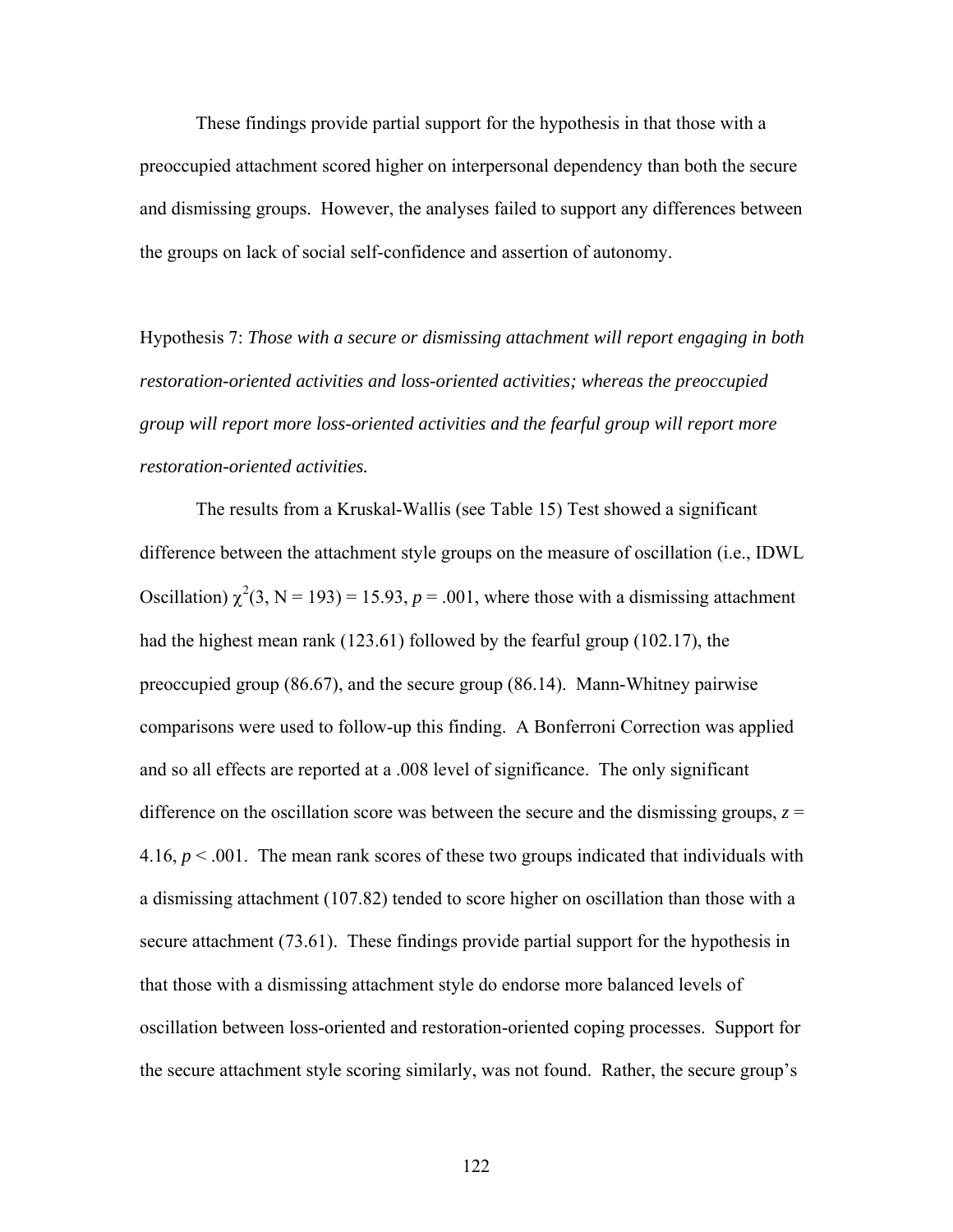These findings provide partial support for the hypothesis in that those with a preoccupied attachment scored higher on interpersonal dependency than both the secure and dismissing groups. However, the analyses failed to support any differences between the groups on lack of social self-confidence and assertion of autonomy.

Hypothesis 7: *Those with a secure or dismissing attachment will report engaging in both restoration-oriented activities and loss-oriented activities; whereas the preoccupied group will report more loss-oriented activities and the fearful group will report more restoration-oriented activities.*

The results from a Kruskal-Wallis (see Table 15) Test showed a significant difference between the attachment style groups on the measure of oscillation (i.e., IDWL Oscillation)  $\chi^2(3, N = 193) = 15.93$ ,  $p = .001$ , where those with a dismissing attachment had the highest mean rank (123.61) followed by the fearful group (102.17), the preoccupied group (86.67), and the secure group (86.14). Mann-Whitney pairwise comparisons were used to follow-up this finding. A Bonferroni Correction was applied and so all effects are reported at a .008 level of significance. The only significant difference on the oscillation score was between the secure and the dismissing groups,  $z =$ 4.16,  $p < 0.001$ . The mean rank scores of these two groups indicated that individuals with a dismissing attachment (107.82) tended to score higher on oscillation than those with a secure attachment (73.61). These findings provide partial support for the hypothesis in that those with a dismissing attachment style do endorse more balanced levels of oscillation between loss-oriented and restoration-oriented coping processes. Support for the secure attachment style scoring similarly, was not found. Rather, the secure group's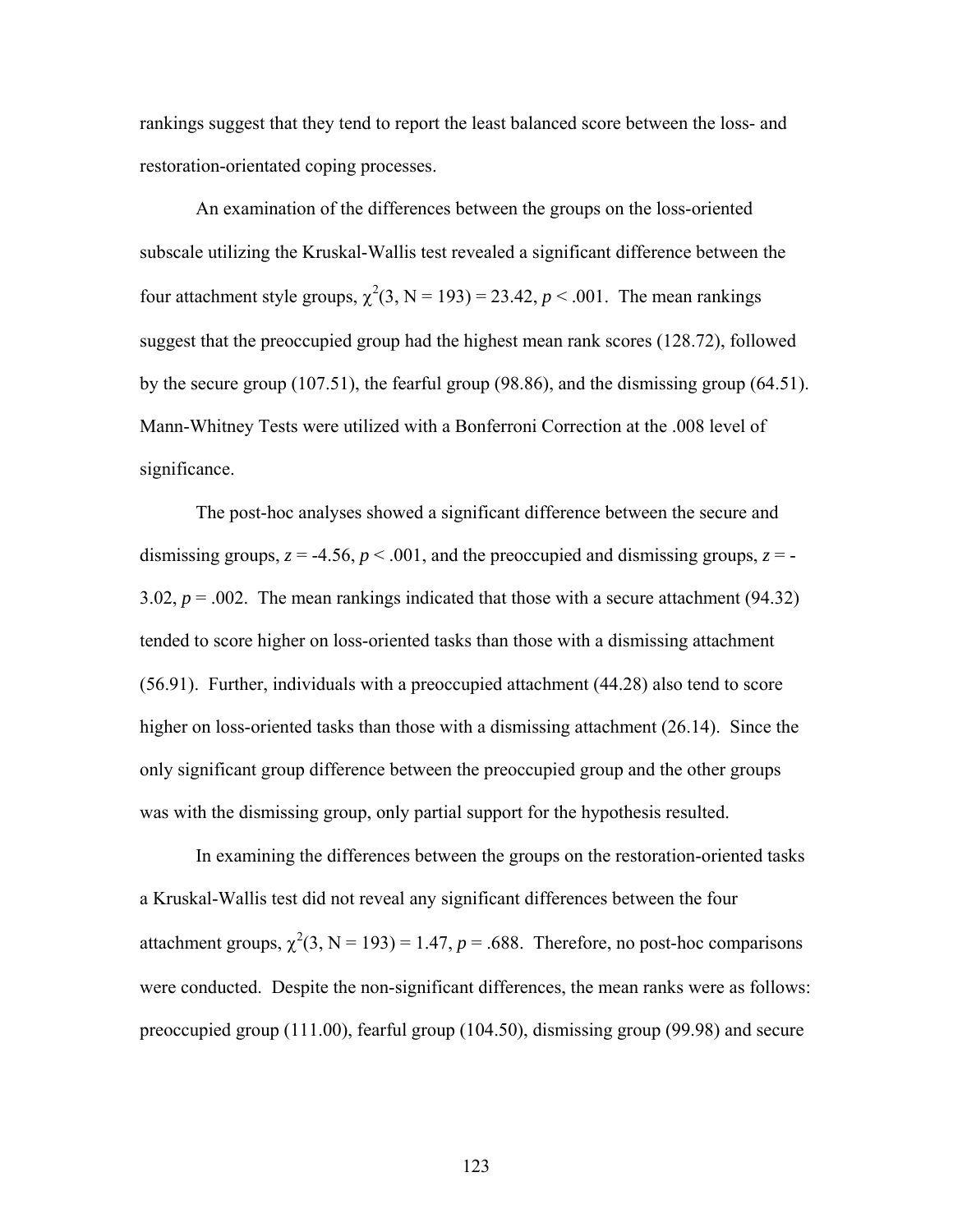rankings suggest that they tend to report the least balanced score between the loss- and restoration-orientated coping processes.

An examination of the differences between the groups on the loss-oriented subscale utilizing the Kruskal-Wallis test revealed a significant difference between the four attachment style groups,  $\chi^2(3, N = 193) = 23.42$ ,  $p < .001$ . The mean rankings suggest that the preoccupied group had the highest mean rank scores (128.72), followed by the secure group (107.51), the fearful group (98.86), and the dismissing group (64.51). Mann-Whitney Tests were utilized with a Bonferroni Correction at the .008 level of significance.

The post-hoc analyses showed a significant difference between the secure and dismissing groups,  $z = -4.56$ ,  $p < .001$ , and the preoccupied and dismissing groups,  $z = -$ 3.02,  $p = 0.002$ . The mean rankings indicated that those with a secure attachment (94.32) tended to score higher on loss-oriented tasks than those with a dismissing attachment (56.91). Further, individuals with a preoccupied attachment (44.28) also tend to score higher on loss-oriented tasks than those with a dismissing attachment (26.14). Since the only significant group difference between the preoccupied group and the other groups was with the dismissing group, only partial support for the hypothesis resulted.

 In examining the differences between the groups on the restoration-oriented tasks a Kruskal-Wallis test did not reveal any significant differences between the four attachment groups,  $\chi^2(3, N = 193) = 1.47$ ,  $p = .688$ . Therefore, no post-hoc comparisons were conducted. Despite the non-significant differences, the mean ranks were as follows: preoccupied group (111.00), fearful group (104.50), dismissing group (99.98) and secure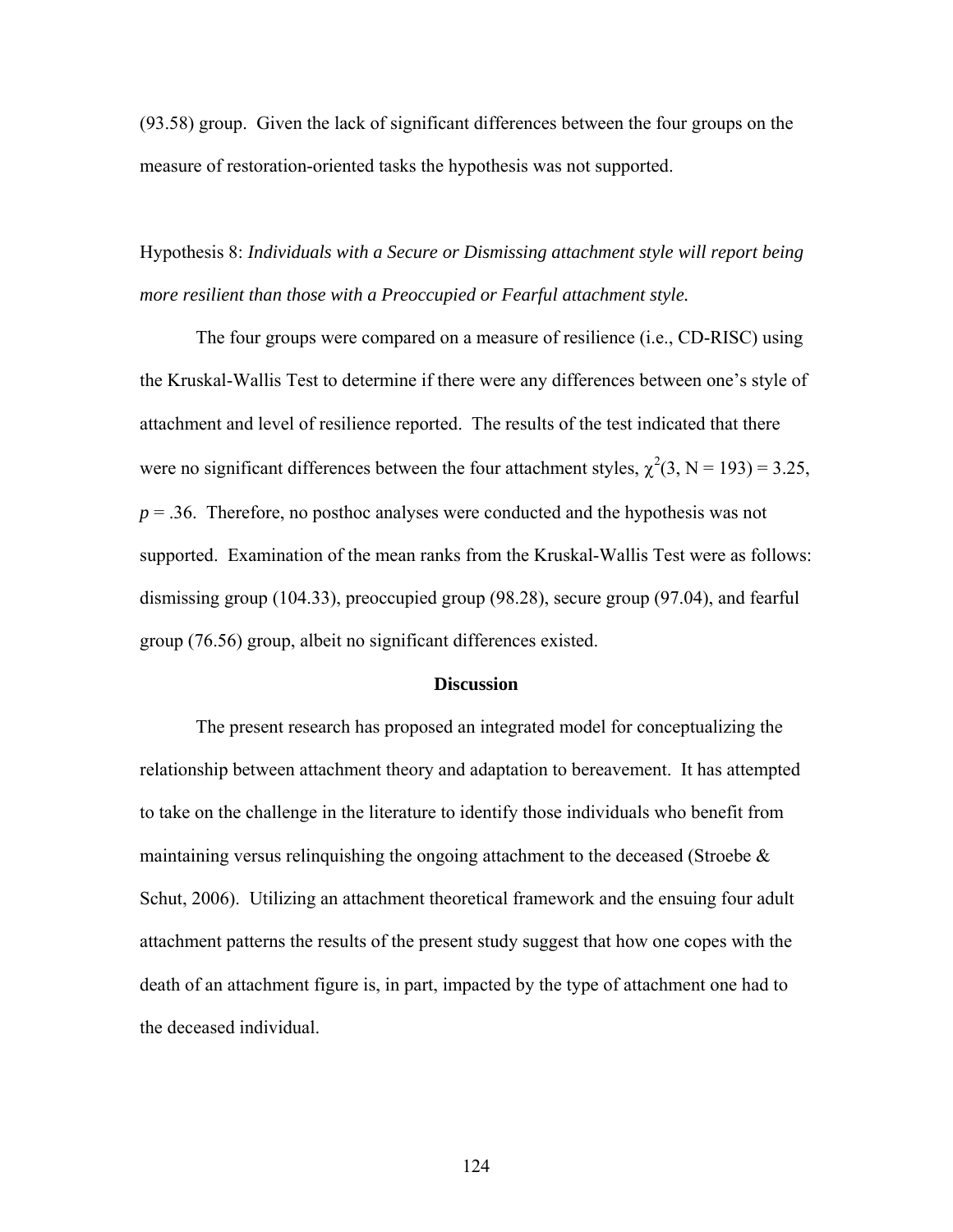(93.58) group. Given the lack of significant differences between the four groups on the measure of restoration-oriented tasks the hypothesis was not supported.

Hypothesis 8: *Individuals with a Secure or Dismissing attachment style will report being more resilient than those with a Preoccupied or Fearful attachment style.*

The four groups were compared on a measure of resilience (i.e., CD-RISC) using the Kruskal-Wallis Test to determine if there were any differences between one's style of attachment and level of resilience reported. The results of the test indicated that there were no significant differences between the four attachment styles,  $\chi^2(3, N = 193) = 3.25$ ,  $p = 0.36$ . Therefore, no posthoc analyses were conducted and the hypothesis was not supported. Examination of the mean ranks from the Kruskal-Wallis Test were as follows: dismissing group (104.33), preoccupied group (98.28), secure group (97.04), and fearful group (76.56) group, albeit no significant differences existed.

## **Discussion**

The present research has proposed an integrated model for conceptualizing the relationship between attachment theory and adaptation to bereavement. It has attempted to take on the challenge in the literature to identify those individuals who benefit from maintaining versus relinquishing the ongoing attachment to the deceased (Stroebe  $\&$ Schut, 2006). Utilizing an attachment theoretical framework and the ensuing four adult attachment patterns the results of the present study suggest that how one copes with the death of an attachment figure is, in part, impacted by the type of attachment one had to the deceased individual.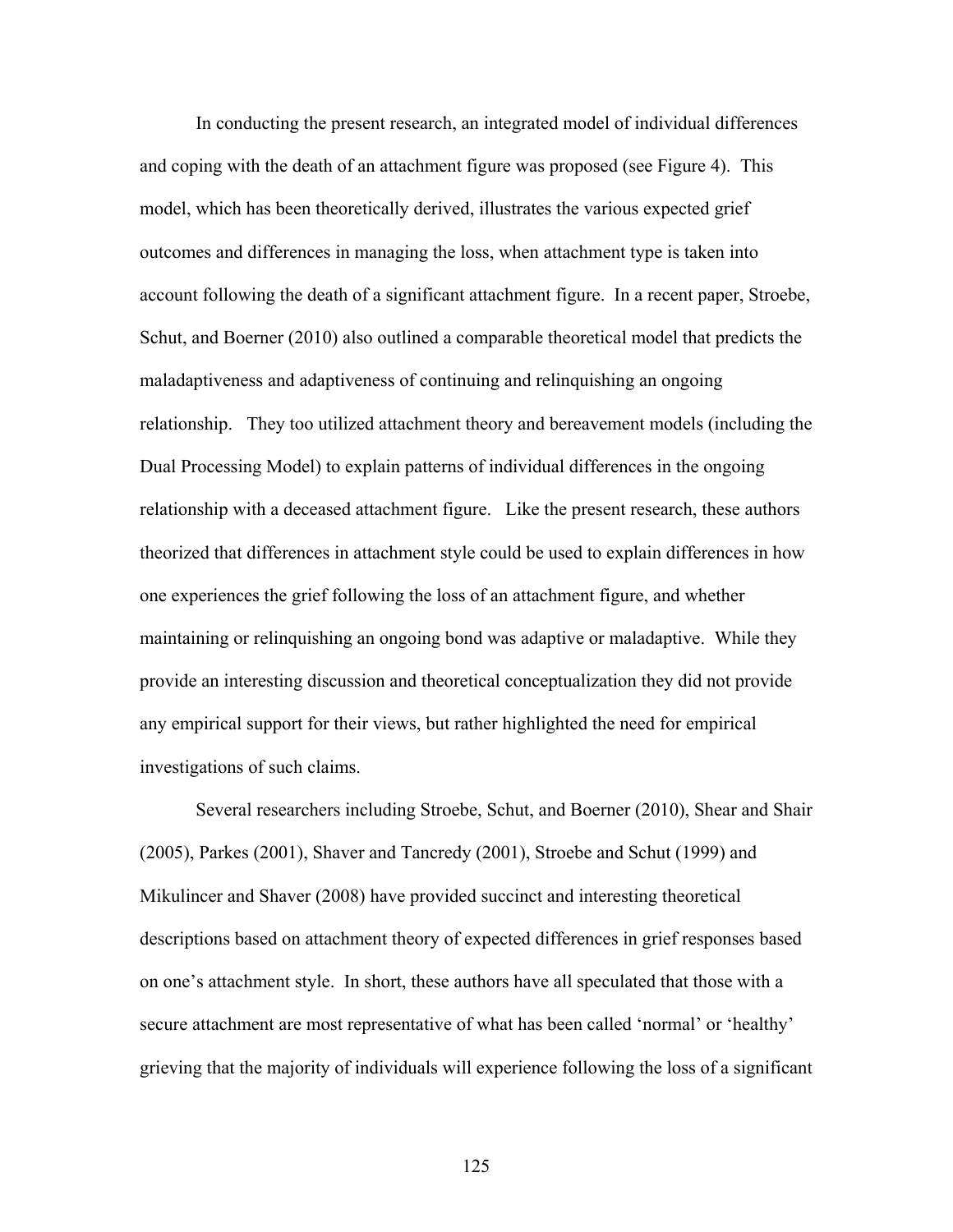In conducting the present research, an integrated model of individual differences and coping with the death of an attachment figure was proposed (see Figure 4). This model, which has been theoretically derived, illustrates the various expected grief outcomes and differences in managing the loss, when attachment type is taken into account following the death of a significant attachment figure. In a recent paper, Stroebe, Schut, and Boerner (2010) also outlined a comparable theoretical model that predicts the maladaptiveness and adaptiveness of continuing and relinquishing an ongoing relationship. They too utilized attachment theory and bereavement models (including the Dual Processing Model) to explain patterns of individual differences in the ongoing relationship with a deceased attachment figure. Like the present research, these authors theorized that differences in attachment style could be used to explain differences in how one experiences the grief following the loss of an attachment figure, and whether maintaining or relinquishing an ongoing bond was adaptive or maladaptive. While they provide an interesting discussion and theoretical conceptualization they did not provide any empirical support for their views, but rather highlighted the need for empirical investigations of such claims.

Several researchers including Stroebe, Schut, and Boerner (2010), Shear and Shair (2005), Parkes (2001), Shaver and Tancredy (2001), Stroebe and Schut (1999) and Mikulincer and Shaver (2008) have provided succinct and interesting theoretical descriptions based on attachment theory of expected differences in grief responses based on one's attachment style. In short, these authors have all speculated that those with a secure attachment are most representative of what has been called 'normal' or 'healthy' grieving that the majority of individuals will experience following the loss of a significant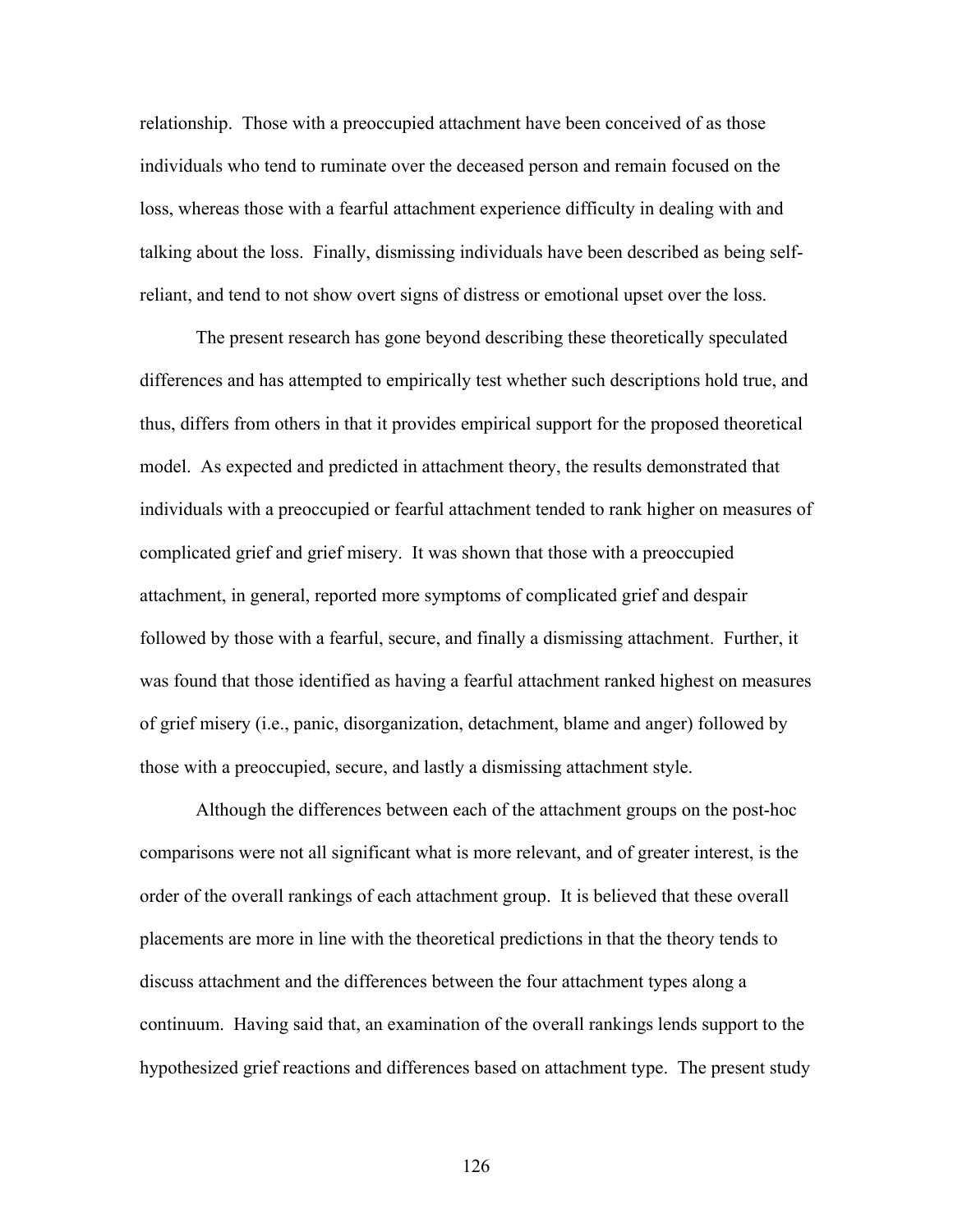relationship. Those with a preoccupied attachment have been conceived of as those individuals who tend to ruminate over the deceased person and remain focused on the loss, whereas those with a fearful attachment experience difficulty in dealing with and talking about the loss. Finally, dismissing individuals have been described as being selfreliant, and tend to not show overt signs of distress or emotional upset over the loss.

The present research has gone beyond describing these theoretically speculated differences and has attempted to empirically test whether such descriptions hold true, and thus, differs from others in that it provides empirical support for the proposed theoretical model. As expected and predicted in attachment theory, the results demonstrated that individuals with a preoccupied or fearful attachment tended to rank higher on measures of complicated grief and grief misery. It was shown that those with a preoccupied attachment, in general, reported more symptoms of complicated grief and despair followed by those with a fearful, secure, and finally a dismissing attachment. Further, it was found that those identified as having a fearful attachment ranked highest on measures of grief misery (i.e., panic, disorganization, detachment, blame and anger) followed by those with a preoccupied, secure, and lastly a dismissing attachment style.

Although the differences between each of the attachment groups on the post-hoc comparisons were not all significant what is more relevant, and of greater interest, is the order of the overall rankings of each attachment group. It is believed that these overall placements are more in line with the theoretical predictions in that the theory tends to discuss attachment and the differences between the four attachment types along a continuum. Having said that, an examination of the overall rankings lends support to the hypothesized grief reactions and differences based on attachment type. The present study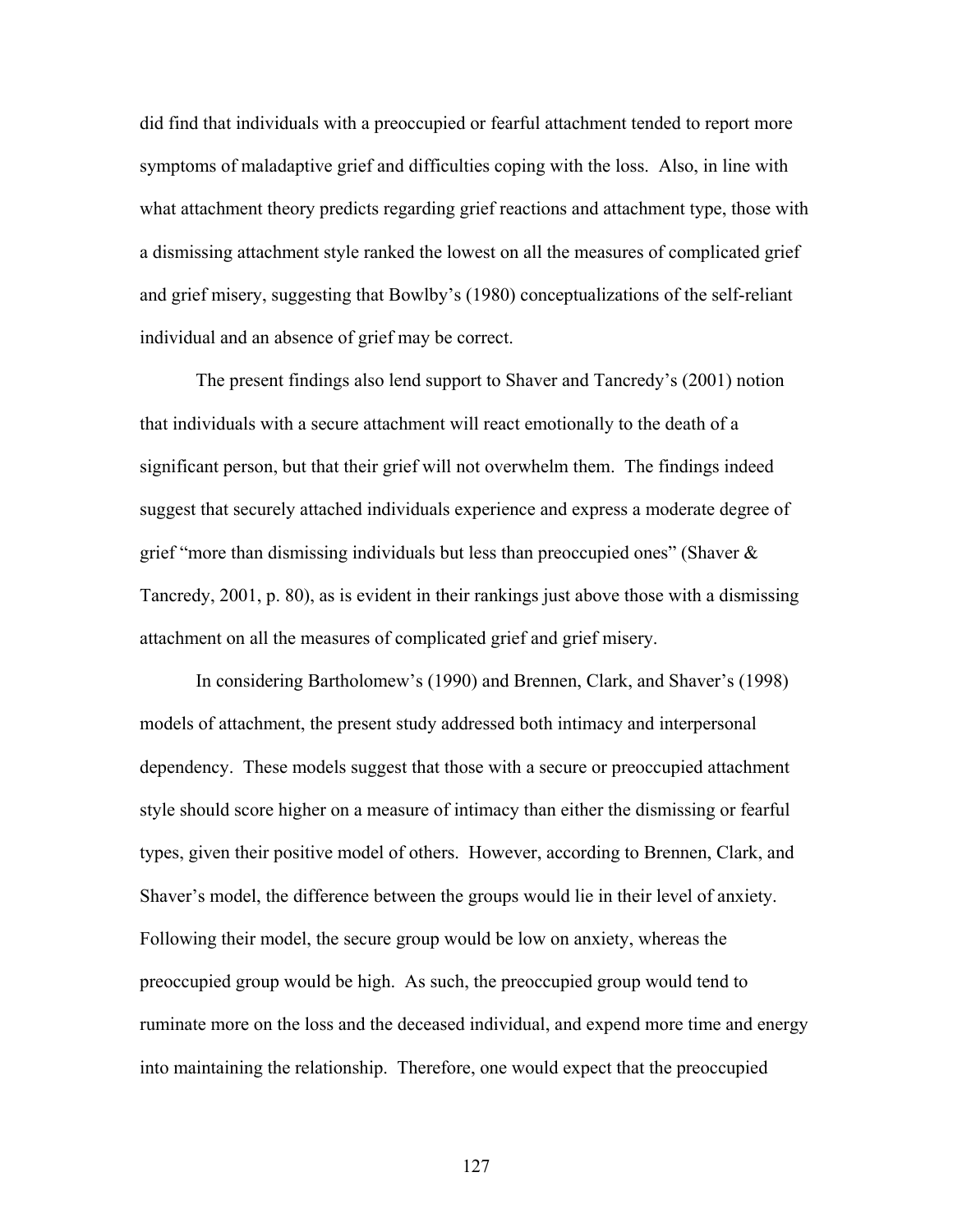did find that individuals with a preoccupied or fearful attachment tended to report more symptoms of maladaptive grief and difficulties coping with the loss. Also, in line with what attachment theory predicts regarding grief reactions and attachment type, those with a dismissing attachment style ranked the lowest on all the measures of complicated grief and grief misery, suggesting that Bowlby's (1980) conceptualizations of the self-reliant individual and an absence of grief may be correct.

The present findings also lend support to Shaver and Tancredy's (2001) notion that individuals with a secure attachment will react emotionally to the death of a significant person, but that their grief will not overwhelm them. The findings indeed suggest that securely attached individuals experience and express a moderate degree of grief "more than dismissing individuals but less than preoccupied ones" (Shaver  $\&$ Tancredy, 2001, p. 80), as is evident in their rankings just above those with a dismissing attachment on all the measures of complicated grief and grief misery.

In considering Bartholomew's (1990) and Brennen, Clark, and Shaver's (1998) models of attachment, the present study addressed both intimacy and interpersonal dependency. These models suggest that those with a secure or preoccupied attachment style should score higher on a measure of intimacy than either the dismissing or fearful types, given their positive model of others. However, according to Brennen, Clark, and Shaver's model, the difference between the groups would lie in their level of anxiety. Following their model, the secure group would be low on anxiety, whereas the preoccupied group would be high. As such, the preoccupied group would tend to ruminate more on the loss and the deceased individual, and expend more time and energy into maintaining the relationship. Therefore, one would expect that the preoccupied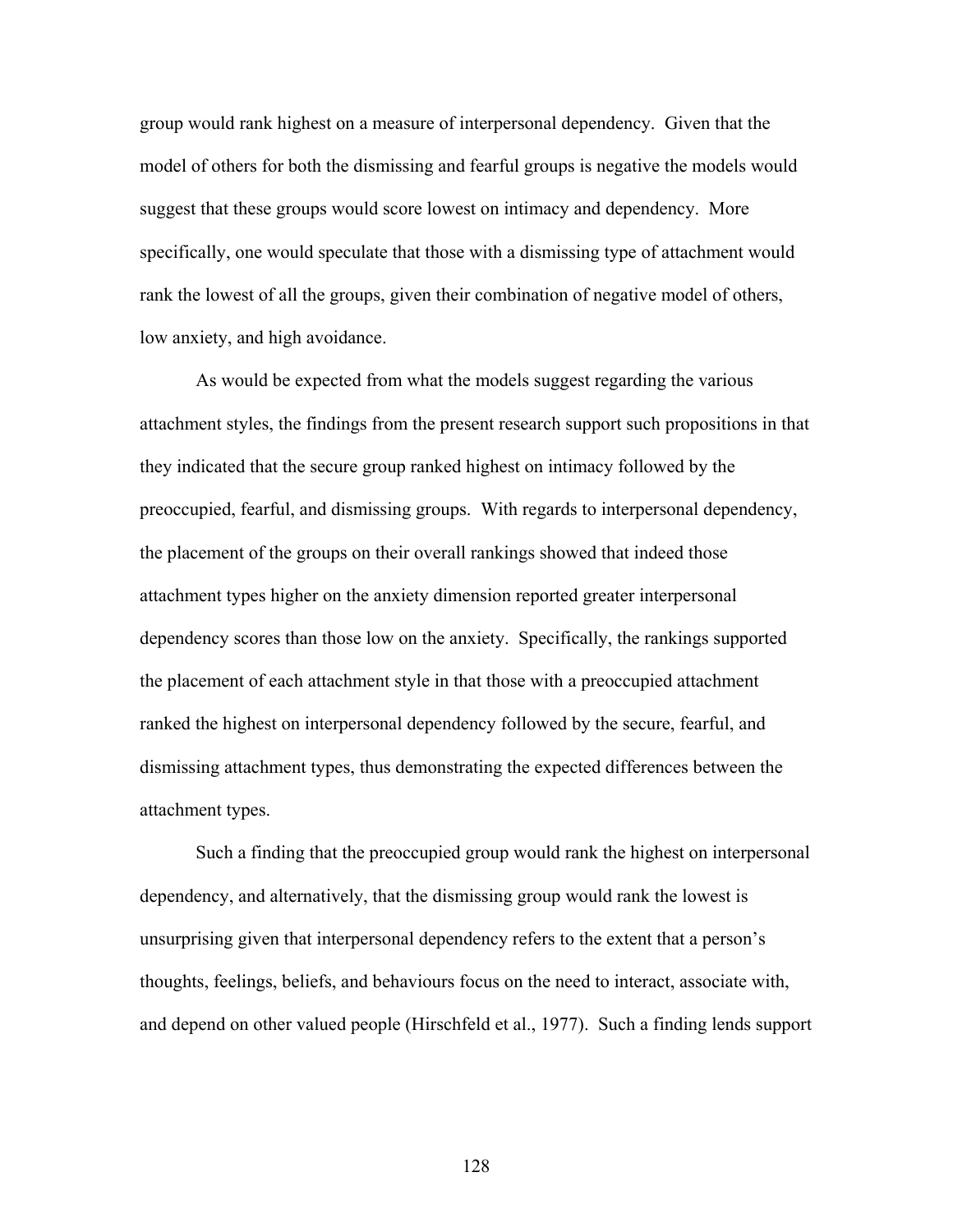group would rank highest on a measure of interpersonal dependency. Given that the model of others for both the dismissing and fearful groups is negative the models would suggest that these groups would score lowest on intimacy and dependency. More specifically, one would speculate that those with a dismissing type of attachment would rank the lowest of all the groups, given their combination of negative model of others, low anxiety, and high avoidance.

As would be expected from what the models suggest regarding the various attachment styles, the findings from the present research support such propositions in that they indicated that the secure group ranked highest on intimacy followed by the preoccupied, fearful, and dismissing groups. With regards to interpersonal dependency, the placement of the groups on their overall rankings showed that indeed those attachment types higher on the anxiety dimension reported greater interpersonal dependency scores than those low on the anxiety. Specifically, the rankings supported the placement of each attachment style in that those with a preoccupied attachment ranked the highest on interpersonal dependency followed by the secure, fearful, and dismissing attachment types, thus demonstrating the expected differences between the attachment types.

Such a finding that the preoccupied group would rank the highest on interpersonal dependency, and alternatively, that the dismissing group would rank the lowest is unsurprising given that interpersonal dependency refers to the extent that a person's thoughts, feelings, beliefs, and behaviours focus on the need to interact, associate with, and depend on other valued people (Hirschfeld et al., 1977). Such a finding lends support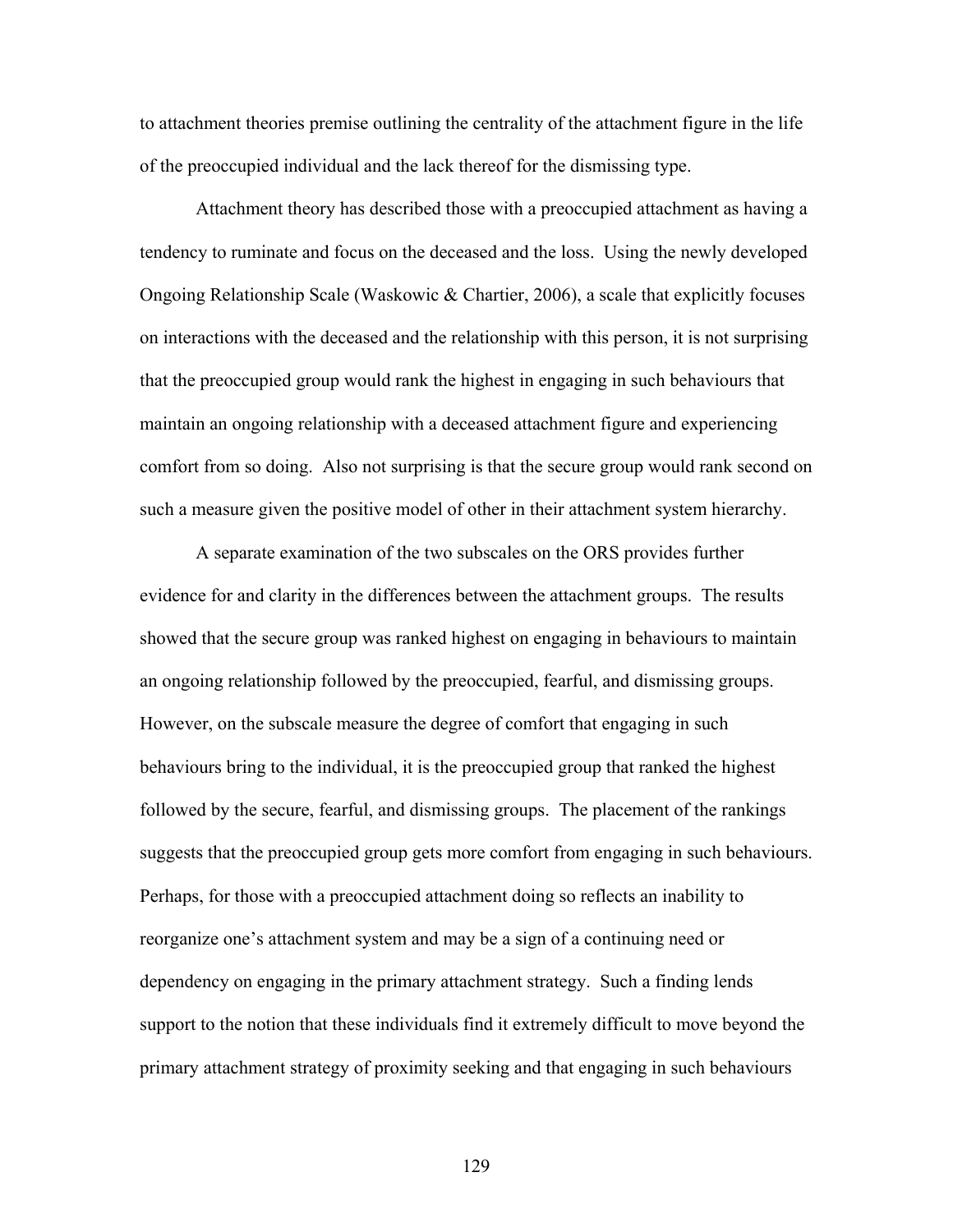to attachment theories premise outlining the centrality of the attachment figure in the life of the preoccupied individual and the lack thereof for the dismissing type.

Attachment theory has described those with a preoccupied attachment as having a tendency to ruminate and focus on the deceased and the loss. Using the newly developed Ongoing Relationship Scale (Waskowic & Chartier, 2006), a scale that explicitly focuses on interactions with the deceased and the relationship with this person, it is not surprising that the preoccupied group would rank the highest in engaging in such behaviours that maintain an ongoing relationship with a deceased attachment figure and experiencing comfort from so doing. Also not surprising is that the secure group would rank second on such a measure given the positive model of other in their attachment system hierarchy.

A separate examination of the two subscales on the ORS provides further evidence for and clarity in the differences between the attachment groups. The results showed that the secure group was ranked highest on engaging in behaviours to maintain an ongoing relationship followed by the preoccupied, fearful, and dismissing groups. However, on the subscale measure the degree of comfort that engaging in such behaviours bring to the individual, it is the preoccupied group that ranked the highest followed by the secure, fearful, and dismissing groups. The placement of the rankings suggests that the preoccupied group gets more comfort from engaging in such behaviours. Perhaps, for those with a preoccupied attachment doing so reflects an inability to reorganize one's attachment system and may be a sign of a continuing need or dependency on engaging in the primary attachment strategy. Such a finding lends support to the notion that these individuals find it extremely difficult to move beyond the primary attachment strategy of proximity seeking and that engaging in such behaviours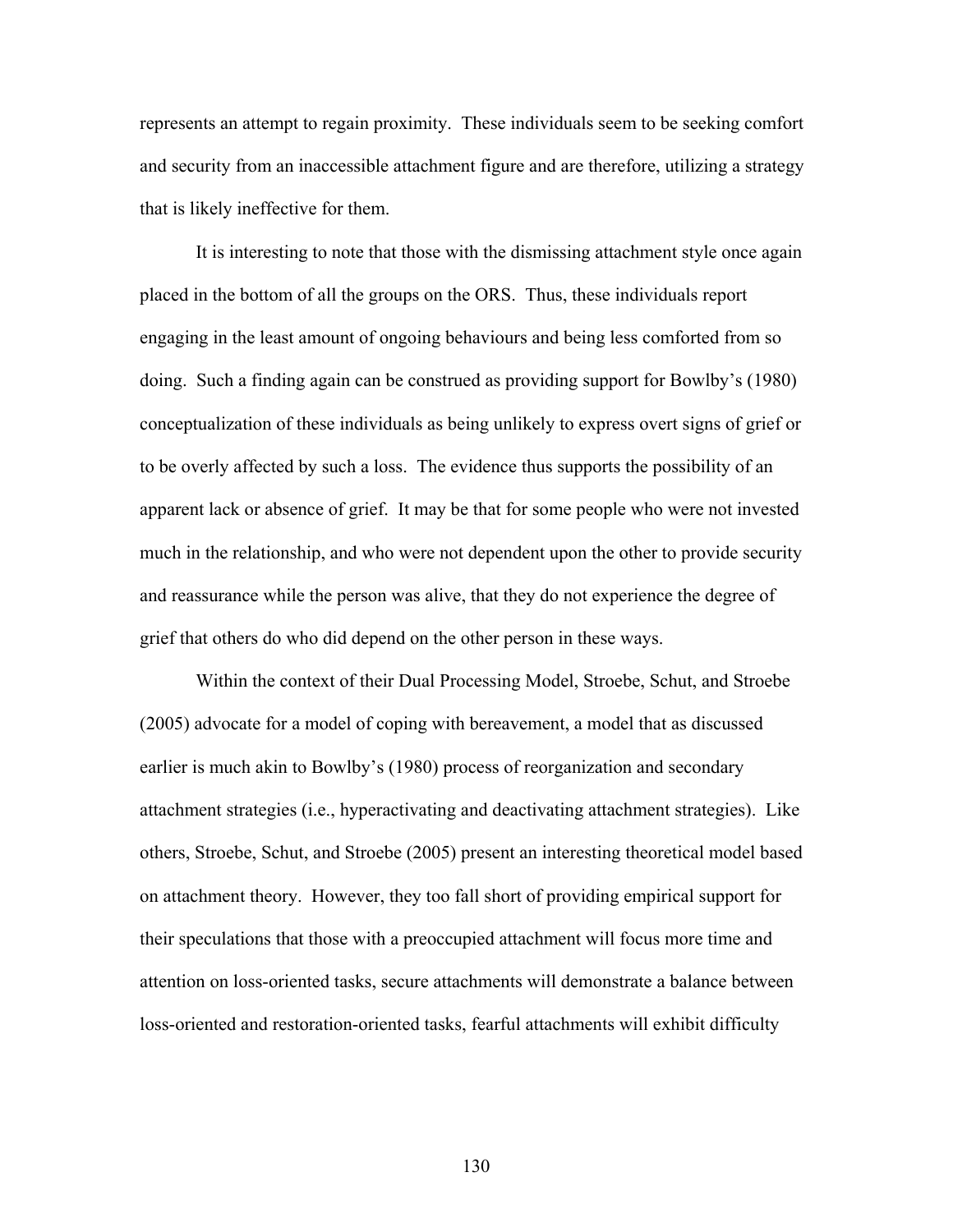represents an attempt to regain proximity. These individuals seem to be seeking comfort and security from an inaccessible attachment figure and are therefore, utilizing a strategy that is likely ineffective for them.

It is interesting to note that those with the dismissing attachment style once again placed in the bottom of all the groups on the ORS. Thus, these individuals report engaging in the least amount of ongoing behaviours and being less comforted from so doing. Such a finding again can be construed as providing support for Bowlby's (1980) conceptualization of these individuals as being unlikely to express overt signs of grief or to be overly affected by such a loss. The evidence thus supports the possibility of an apparent lack or absence of grief. It may be that for some people who were not invested much in the relationship, and who were not dependent upon the other to provide security and reassurance while the person was alive, that they do not experience the degree of grief that others do who did depend on the other person in these ways.

Within the context of their Dual Processing Model, Stroebe, Schut, and Stroebe (2005) advocate for a model of coping with bereavement, a model that as discussed earlier is much akin to Bowlby's (1980) process of reorganization and secondary attachment strategies (i.e., hyperactivating and deactivating attachment strategies). Like others, Stroebe, Schut, and Stroebe (2005) present an interesting theoretical model based on attachment theory. However, they too fall short of providing empirical support for their speculations that those with a preoccupied attachment will focus more time and attention on loss-oriented tasks, secure attachments will demonstrate a balance between loss-oriented and restoration-oriented tasks, fearful attachments will exhibit difficulty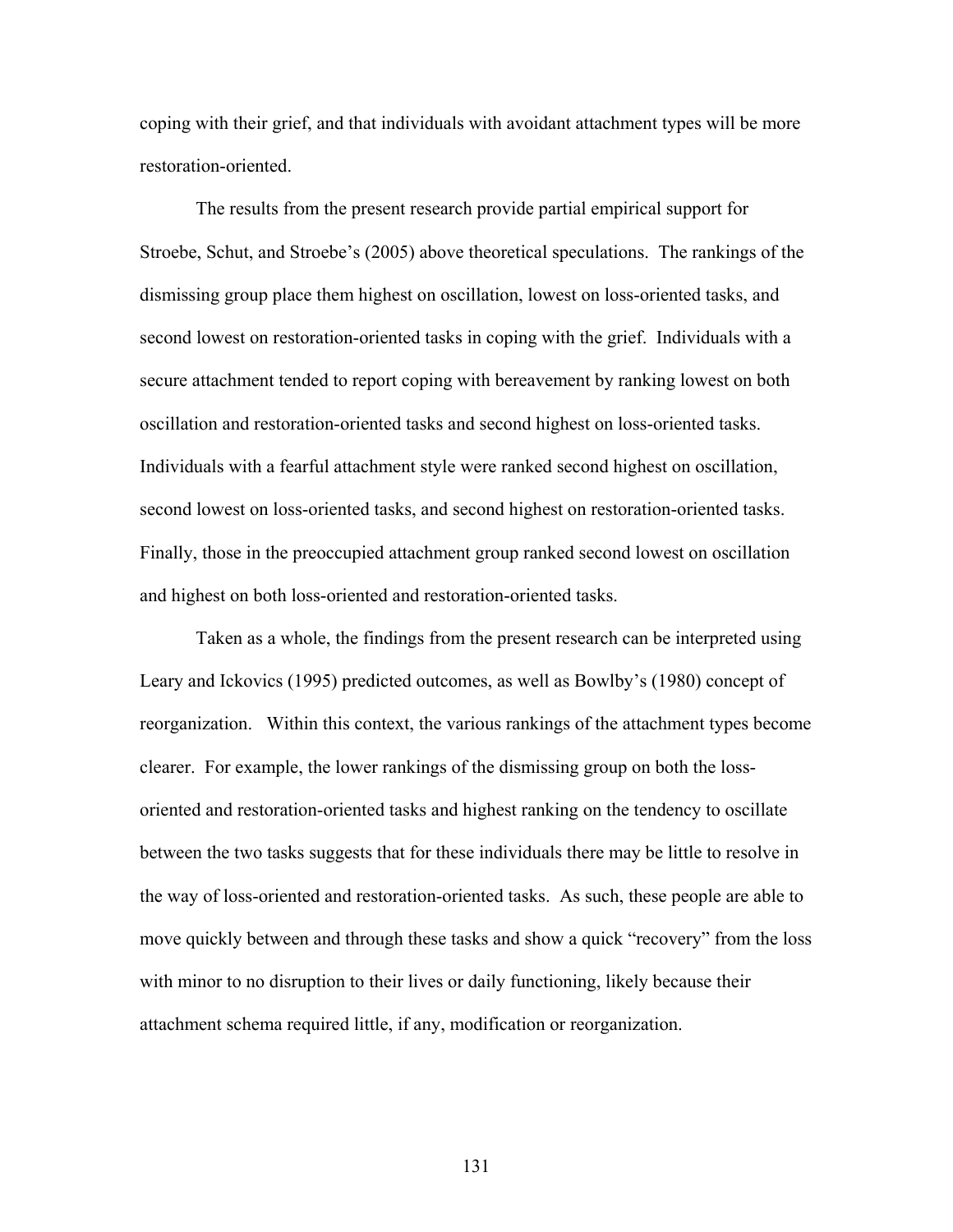coping with their grief, and that individuals with avoidant attachment types will be more restoration-oriented.

The results from the present research provide partial empirical support for Stroebe, Schut, and Stroebe's (2005) above theoretical speculations. The rankings of the dismissing group place them highest on oscillation, lowest on loss-oriented tasks, and second lowest on restoration-oriented tasks in coping with the grief. Individuals with a secure attachment tended to report coping with bereavement by ranking lowest on both oscillation and restoration-oriented tasks and second highest on loss-oriented tasks. Individuals with a fearful attachment style were ranked second highest on oscillation, second lowest on loss-oriented tasks, and second highest on restoration-oriented tasks. Finally, those in the preoccupied attachment group ranked second lowest on oscillation and highest on both loss-oriented and restoration-oriented tasks.

Taken as a whole, the findings from the present research can be interpreted using Leary and Ickovics (1995) predicted outcomes, as well as Bowlby's (1980) concept of reorganization. Within this context, the various rankings of the attachment types become clearer. For example, the lower rankings of the dismissing group on both the lossoriented and restoration-oriented tasks and highest ranking on the tendency to oscillate between the two tasks suggests that for these individuals there may be little to resolve in the way of loss-oriented and restoration-oriented tasks. As such, these people are able to move quickly between and through these tasks and show a quick "recovery" from the loss with minor to no disruption to their lives or daily functioning, likely because their attachment schema required little, if any, modification or reorganization.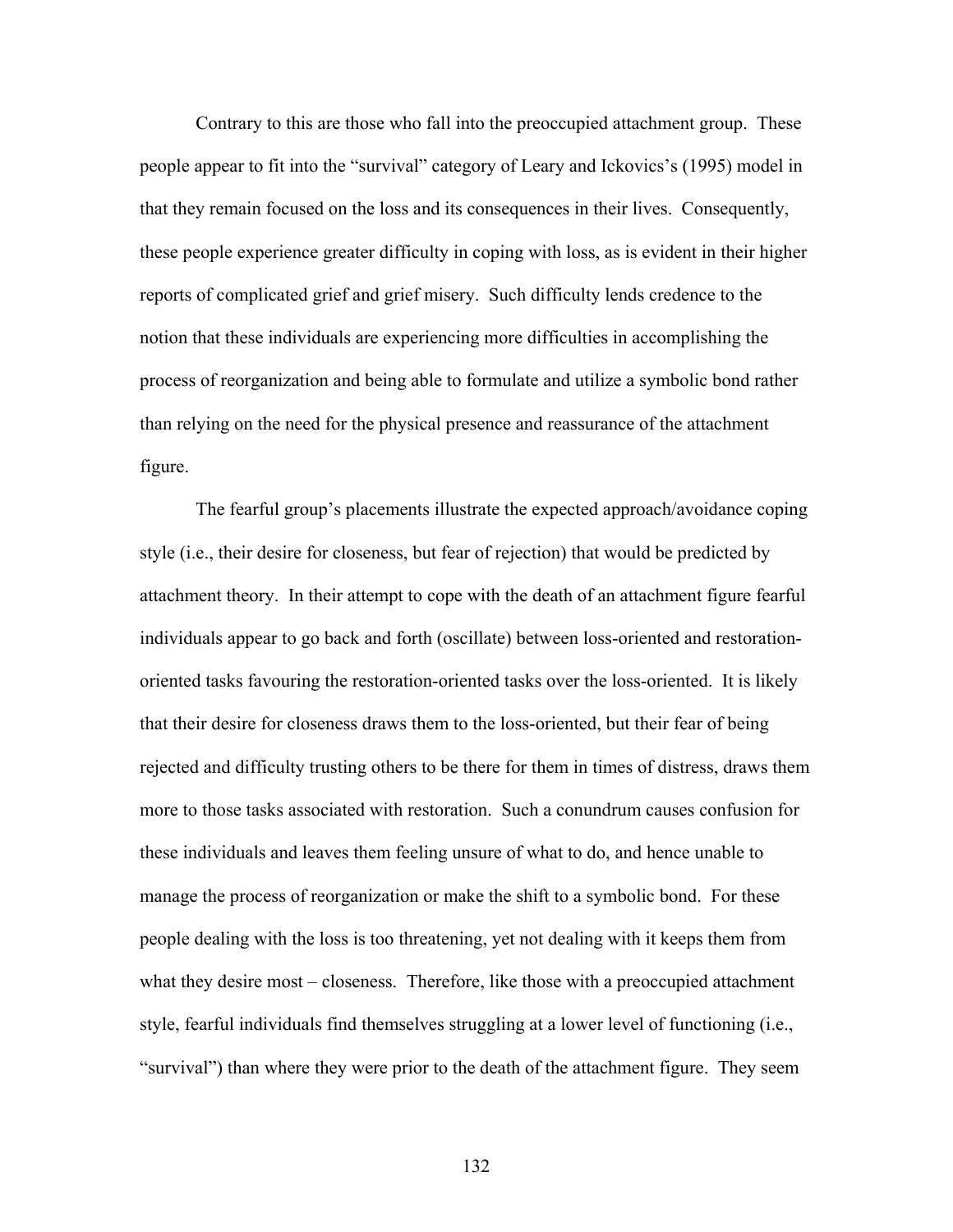Contrary to this are those who fall into the preoccupied attachment group. These people appear to fit into the "survival" category of Leary and Ickovics's (1995) model in that they remain focused on the loss and its consequences in their lives. Consequently, these people experience greater difficulty in coping with loss, as is evident in their higher reports of complicated grief and grief misery. Such difficulty lends credence to the notion that these individuals are experiencing more difficulties in accomplishing the process of reorganization and being able to formulate and utilize a symbolic bond rather than relying on the need for the physical presence and reassurance of the attachment figure.

The fearful group's placements illustrate the expected approach/avoidance coping style (i.e., their desire for closeness, but fear of rejection) that would be predicted by attachment theory. In their attempt to cope with the death of an attachment figure fearful individuals appear to go back and forth (oscillate) between loss-oriented and restorationoriented tasks favouring the restoration-oriented tasks over the loss-oriented. It is likely that their desire for closeness draws them to the loss-oriented, but their fear of being rejected and difficulty trusting others to be there for them in times of distress, draws them more to those tasks associated with restoration. Such a conundrum causes confusion for these individuals and leaves them feeling unsure of what to do, and hence unable to manage the process of reorganization or make the shift to a symbolic bond. For these people dealing with the loss is too threatening, yet not dealing with it keeps them from what they desire most – closeness. Therefore, like those with a preoccupied attachment style, fearful individuals find themselves struggling at a lower level of functioning (i.e., "survival") than where they were prior to the death of the attachment figure. They seem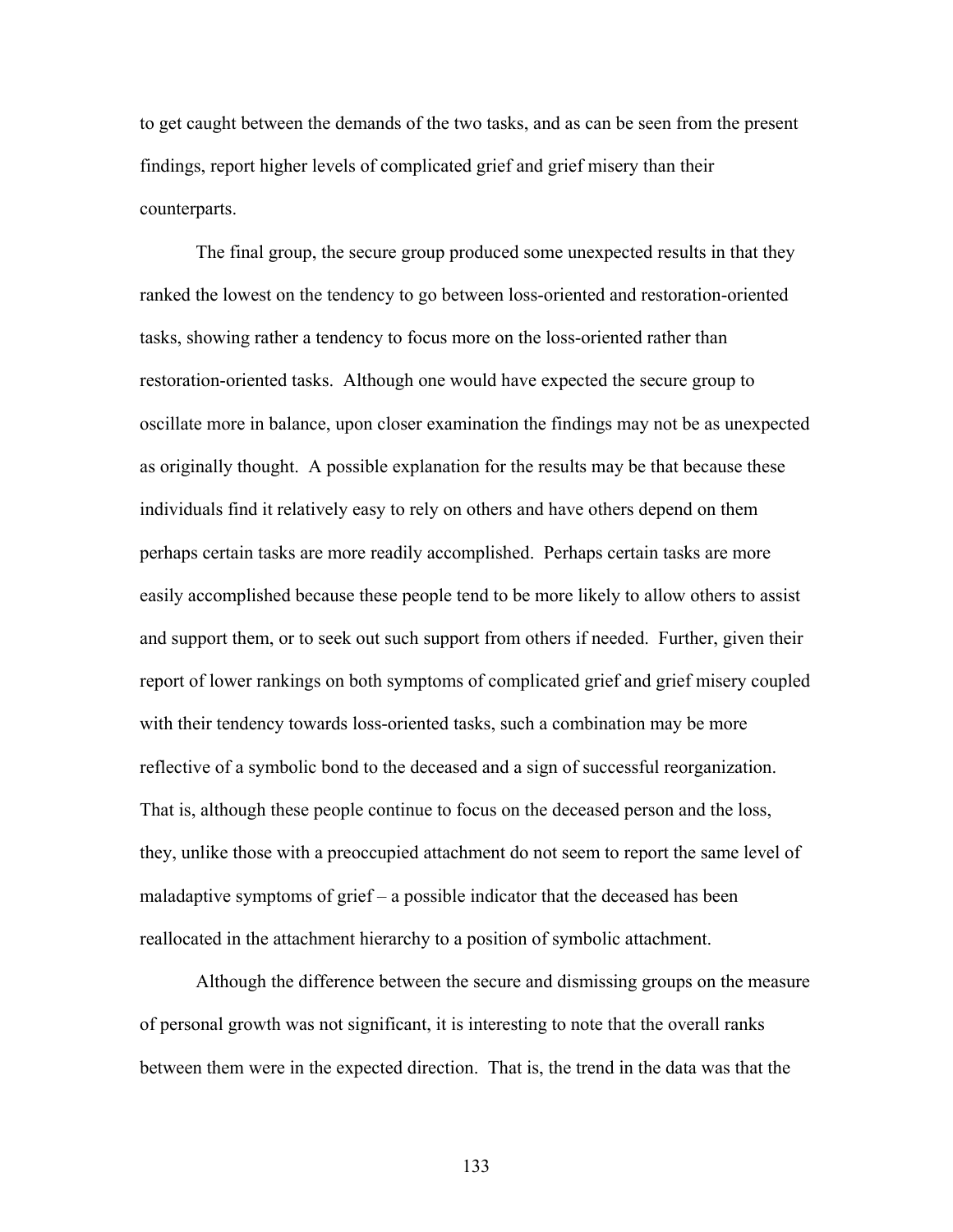to get caught between the demands of the two tasks, and as can be seen from the present findings, report higher levels of complicated grief and grief misery than their counterparts.

The final group, the secure group produced some unexpected results in that they ranked the lowest on the tendency to go between loss-oriented and restoration-oriented tasks, showing rather a tendency to focus more on the loss-oriented rather than restoration-oriented tasks. Although one would have expected the secure group to oscillate more in balance, upon closer examination the findings may not be as unexpected as originally thought. A possible explanation for the results may be that because these individuals find it relatively easy to rely on others and have others depend on them perhaps certain tasks are more readily accomplished. Perhaps certain tasks are more easily accomplished because these people tend to be more likely to allow others to assist and support them, or to seek out such support from others if needed. Further, given their report of lower rankings on both symptoms of complicated grief and grief misery coupled with their tendency towards loss-oriented tasks, such a combination may be more reflective of a symbolic bond to the deceased and a sign of successful reorganization. That is, although these people continue to focus on the deceased person and the loss, they, unlike those with a preoccupied attachment do not seem to report the same level of maladaptive symptoms of grief – a possible indicator that the deceased has been reallocated in the attachment hierarchy to a position of symbolic attachment.

Although the difference between the secure and dismissing groups on the measure of personal growth was not significant, it is interesting to note that the overall ranks between them were in the expected direction. That is, the trend in the data was that the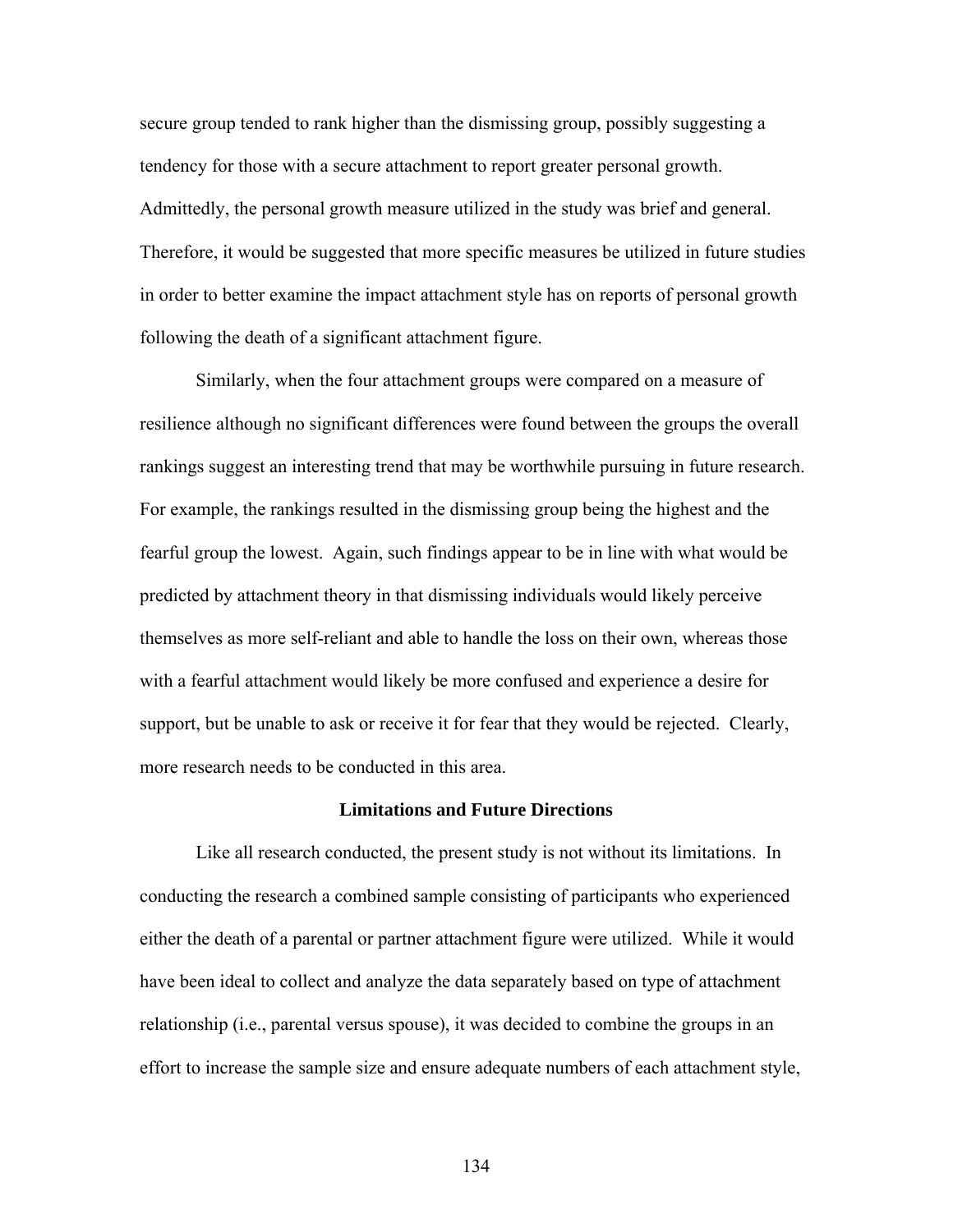secure group tended to rank higher than the dismissing group, possibly suggesting a tendency for those with a secure attachment to report greater personal growth. Admittedly, the personal growth measure utilized in the study was brief and general. Therefore, it would be suggested that more specific measures be utilized in future studies in order to better examine the impact attachment style has on reports of personal growth following the death of a significant attachment figure.

Similarly, when the four attachment groups were compared on a measure of resilience although no significant differences were found between the groups the overall rankings suggest an interesting trend that may be worthwhile pursuing in future research. For example, the rankings resulted in the dismissing group being the highest and the fearful group the lowest. Again, such findings appear to be in line with what would be predicted by attachment theory in that dismissing individuals would likely perceive themselves as more self-reliant and able to handle the loss on their own, whereas those with a fearful attachment would likely be more confused and experience a desire for support, but be unable to ask or receive it for fear that they would be rejected. Clearly, more research needs to be conducted in this area.

### **Limitations and Future Directions**

Like all research conducted, the present study is not without its limitations. In conducting the research a combined sample consisting of participants who experienced either the death of a parental or partner attachment figure were utilized. While it would have been ideal to collect and analyze the data separately based on type of attachment relationship (i.e., parental versus spouse), it was decided to combine the groups in an effort to increase the sample size and ensure adequate numbers of each attachment style,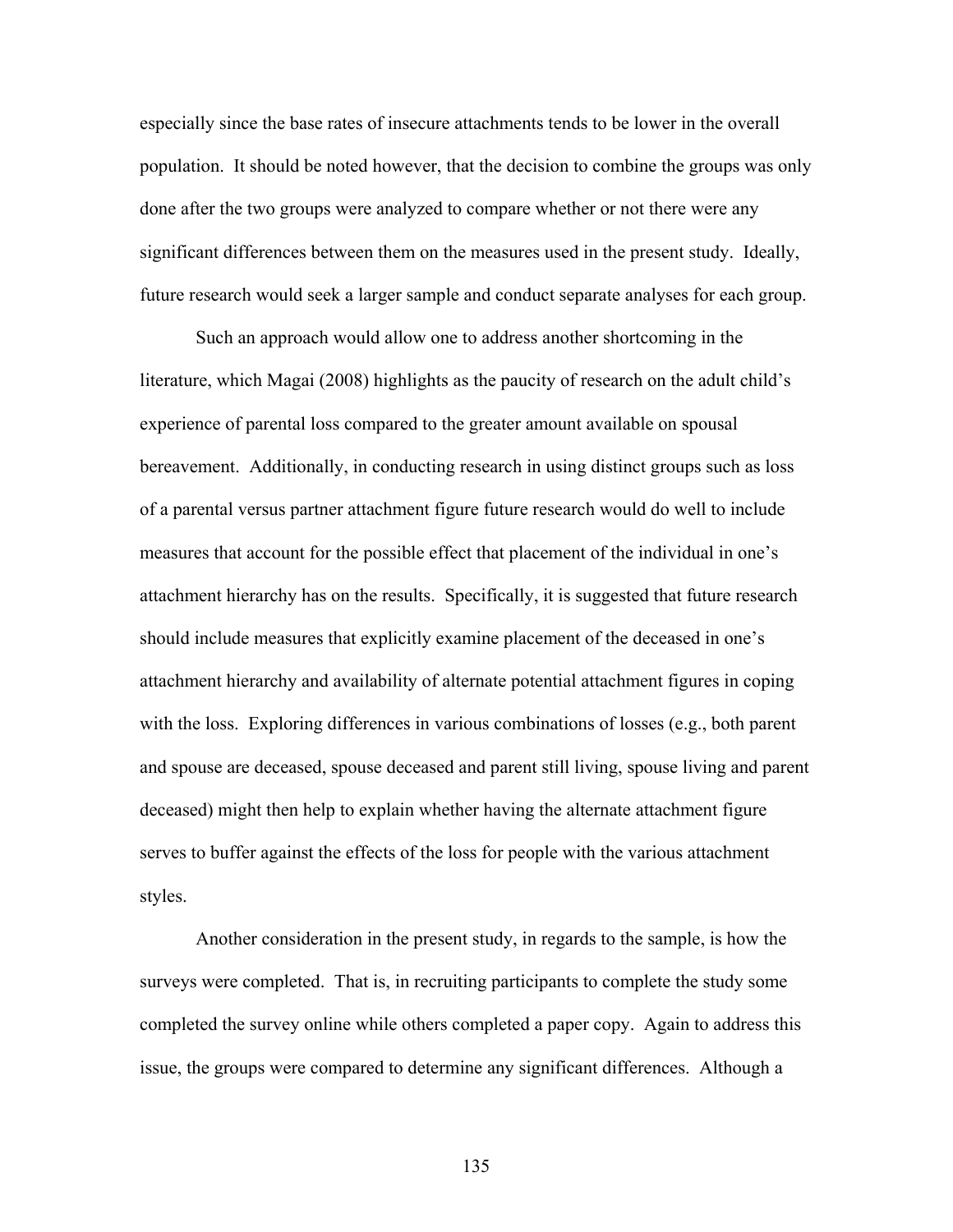especially since the base rates of insecure attachments tends to be lower in the overall population. It should be noted however, that the decision to combine the groups was only done after the two groups were analyzed to compare whether or not there were any significant differences between them on the measures used in the present study. Ideally, future research would seek a larger sample and conduct separate analyses for each group.

Such an approach would allow one to address another shortcoming in the literature, which Magai (2008) highlights as the paucity of research on the adult child's experience of parental loss compared to the greater amount available on spousal bereavement. Additionally, in conducting research in using distinct groups such as loss of a parental versus partner attachment figure future research would do well to include measures that account for the possible effect that placement of the individual in one's attachment hierarchy has on the results. Specifically, it is suggested that future research should include measures that explicitly examine placement of the deceased in one's attachment hierarchy and availability of alternate potential attachment figures in coping with the loss. Exploring differences in various combinations of losses (e.g., both parent and spouse are deceased, spouse deceased and parent still living, spouse living and parent deceased) might then help to explain whether having the alternate attachment figure serves to buffer against the effects of the loss for people with the various attachment styles.

Another consideration in the present study, in regards to the sample, is how the surveys were completed. That is, in recruiting participants to complete the study some completed the survey online while others completed a paper copy. Again to address this issue, the groups were compared to determine any significant differences. Although a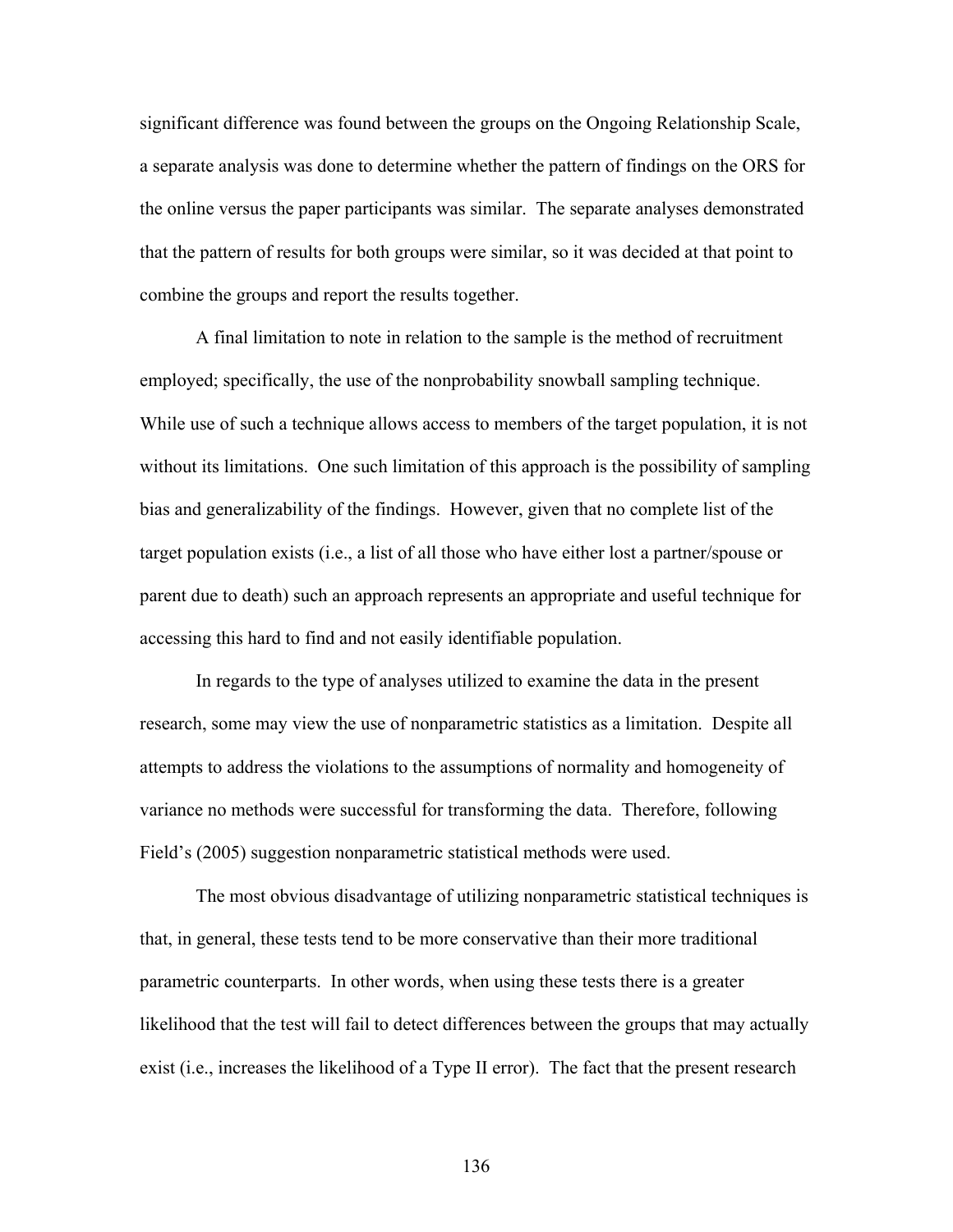significant difference was found between the groups on the Ongoing Relationship Scale, a separate analysis was done to determine whether the pattern of findings on the ORS for the online versus the paper participants was similar. The separate analyses demonstrated that the pattern of results for both groups were similar, so it was decided at that point to combine the groups and report the results together.

A final limitation to note in relation to the sample is the method of recruitment employed; specifically, the use of the nonprobability snowball sampling technique. While use of such a technique allows access to members of the target population, it is not without its limitations. One such limitation of this approach is the possibility of sampling bias and generalizability of the findings. However, given that no complete list of the target population exists (i.e., a list of all those who have either lost a partner/spouse or parent due to death) such an approach represents an appropriate and useful technique for accessing this hard to find and not easily identifiable population.

In regards to the type of analyses utilized to examine the data in the present research, some may view the use of nonparametric statistics as a limitation. Despite all attempts to address the violations to the assumptions of normality and homogeneity of variance no methods were successful for transforming the data. Therefore, following Field's (2005) suggestion nonparametric statistical methods were used.

The most obvious disadvantage of utilizing nonparametric statistical techniques is that, in general, these tests tend to be more conservative than their more traditional parametric counterparts. In other words, when using these tests there is a greater likelihood that the test will fail to detect differences between the groups that may actually exist (i.e., increases the likelihood of a Type II error). The fact that the present research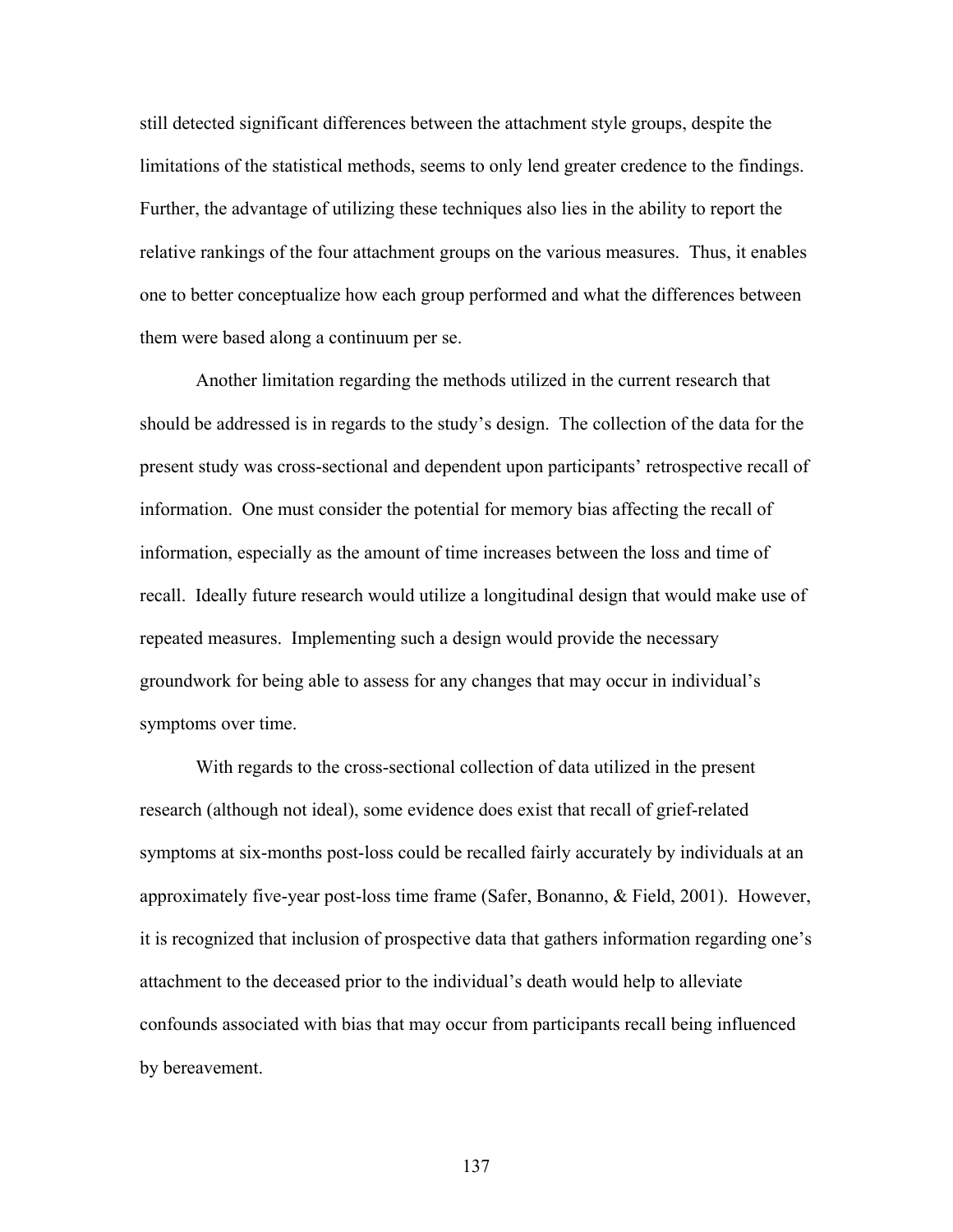still detected significant differences between the attachment style groups, despite the limitations of the statistical methods, seems to only lend greater credence to the findings. Further, the advantage of utilizing these techniques also lies in the ability to report the relative rankings of the four attachment groups on the various measures. Thus, it enables one to better conceptualize how each group performed and what the differences between them were based along a continuum per se.

Another limitation regarding the methods utilized in the current research that should be addressed is in regards to the study's design. The collection of the data for the present study was cross-sectional and dependent upon participants' retrospective recall of information. One must consider the potential for memory bias affecting the recall of information, especially as the amount of time increases between the loss and time of recall. Ideally future research would utilize a longitudinal design that would make use of repeated measures. Implementing such a design would provide the necessary groundwork for being able to assess for any changes that may occur in individual's symptoms over time.

With regards to the cross-sectional collection of data utilized in the present research (although not ideal), some evidence does exist that recall of grief-related symptoms at six-months post-loss could be recalled fairly accurately by individuals at an approximately five-year post-loss time frame (Safer, Bonanno, & Field, 2001). However, it is recognized that inclusion of prospective data that gathers information regarding one's attachment to the deceased prior to the individual's death would help to alleviate confounds associated with bias that may occur from participants recall being influenced by bereavement.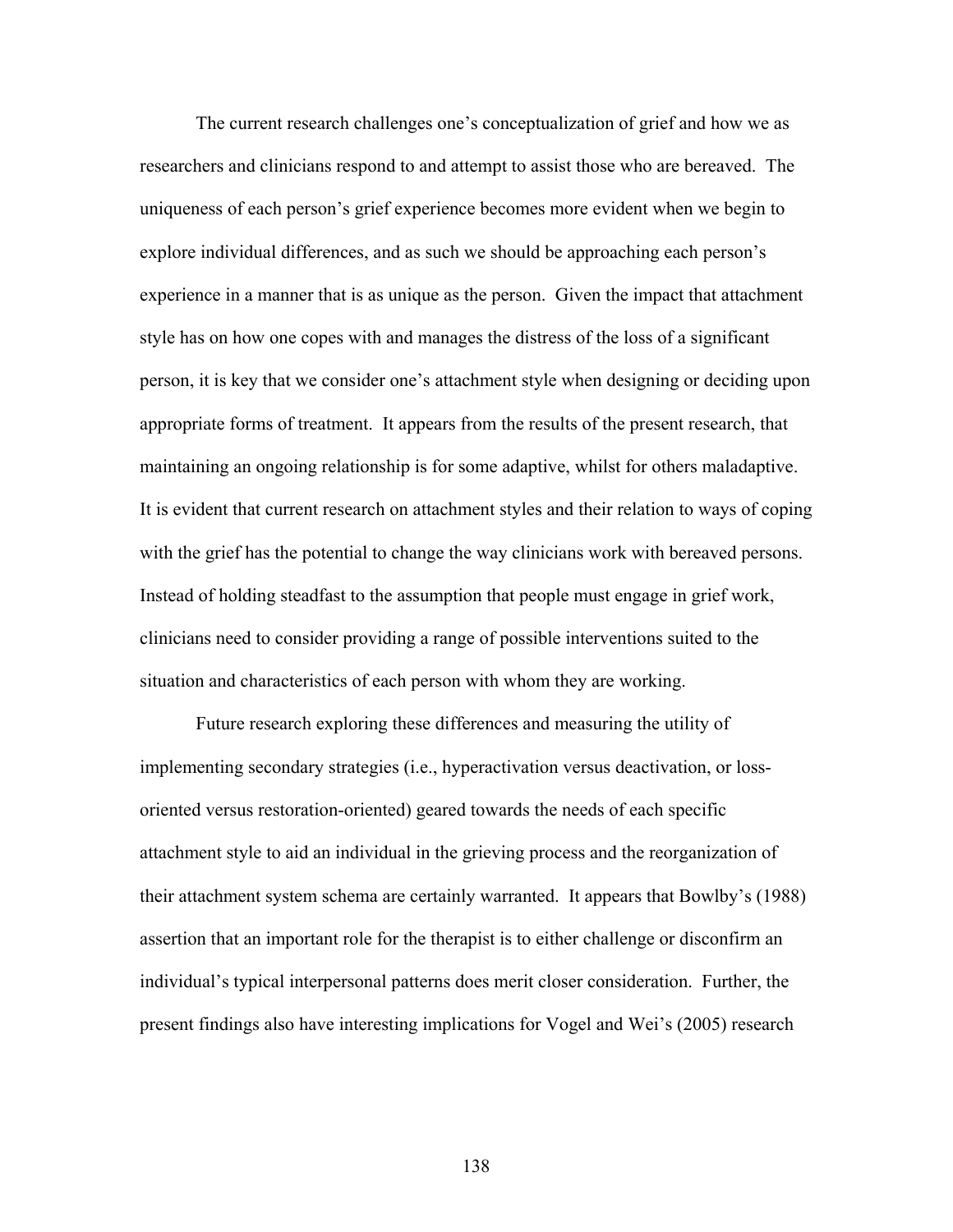The current research challenges one's conceptualization of grief and how we as researchers and clinicians respond to and attempt to assist those who are bereaved. The uniqueness of each person's grief experience becomes more evident when we begin to explore individual differences, and as such we should be approaching each person's experience in a manner that is as unique as the person. Given the impact that attachment style has on how one copes with and manages the distress of the loss of a significant person, it is key that we consider one's attachment style when designing or deciding upon appropriate forms of treatment. It appears from the results of the present research, that maintaining an ongoing relationship is for some adaptive, whilst for others maladaptive. It is evident that current research on attachment styles and their relation to ways of coping with the grief has the potential to change the way clinicians work with bereaved persons. Instead of holding steadfast to the assumption that people must engage in grief work, clinicians need to consider providing a range of possible interventions suited to the situation and characteristics of each person with whom they are working.

Future research exploring these differences and measuring the utility of implementing secondary strategies (i.e., hyperactivation versus deactivation, or lossoriented versus restoration-oriented) geared towards the needs of each specific attachment style to aid an individual in the grieving process and the reorganization of their attachment system schema are certainly warranted. It appears that Bowlby's (1988) assertion that an important role for the therapist is to either challenge or disconfirm an individual's typical interpersonal patterns does merit closer consideration. Further, the present findings also have interesting implications for Vogel and Wei's (2005) research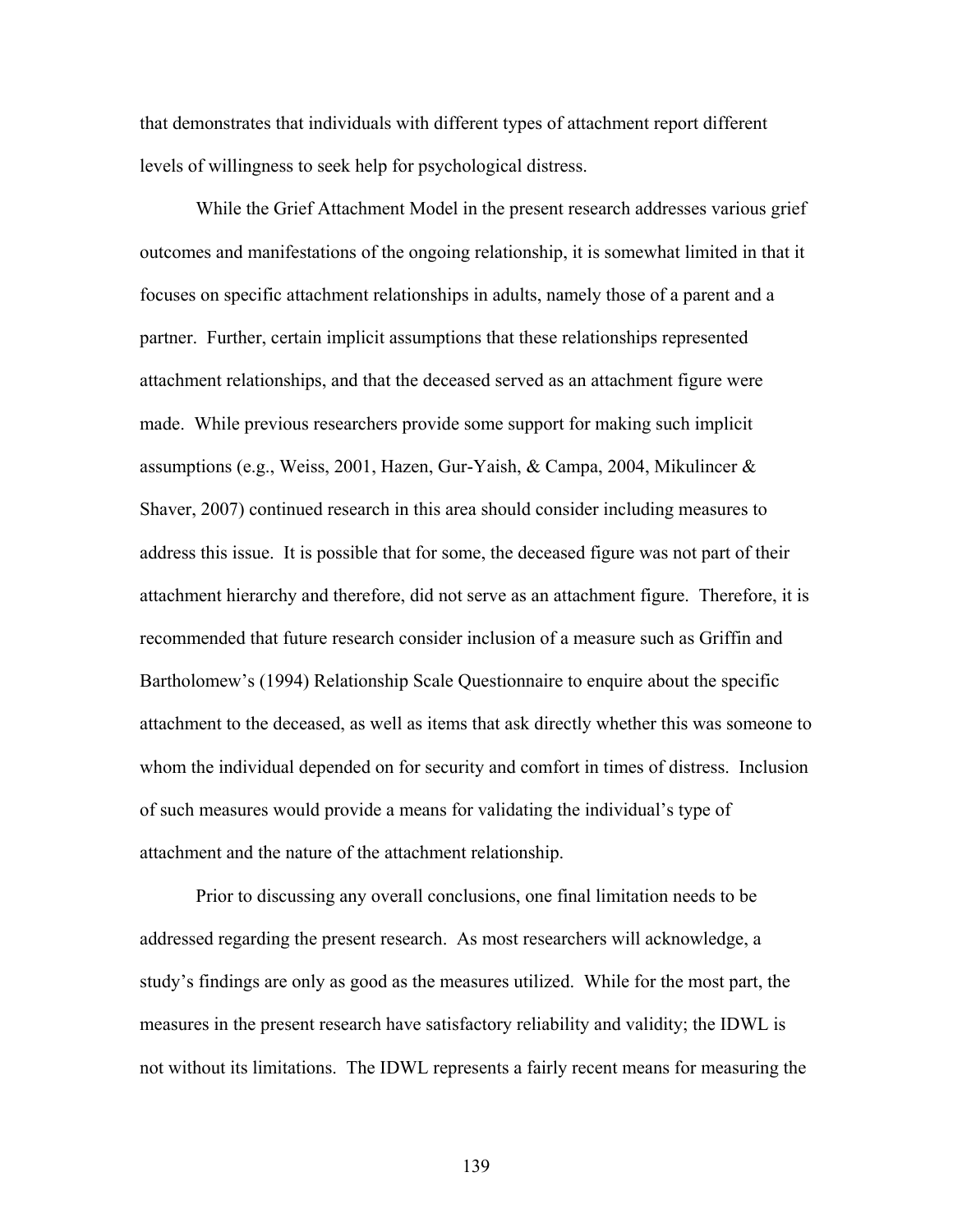that demonstrates that individuals with different types of attachment report different levels of willingness to seek help for psychological distress.

While the Grief Attachment Model in the present research addresses various grief outcomes and manifestations of the ongoing relationship, it is somewhat limited in that it focuses on specific attachment relationships in adults, namely those of a parent and a partner. Further, certain implicit assumptions that these relationships represented attachment relationships, and that the deceased served as an attachment figure were made. While previous researchers provide some support for making such implicit assumptions (e.g., Weiss, 2001, Hazen, Gur-Yaish, & Campa, 2004, Mikulincer & Shaver, 2007) continued research in this area should consider including measures to address this issue. It is possible that for some, the deceased figure was not part of their attachment hierarchy and therefore, did not serve as an attachment figure. Therefore, it is recommended that future research consider inclusion of a measure such as Griffin and Bartholomew's (1994) Relationship Scale Questionnaire to enquire about the specific attachment to the deceased, as well as items that ask directly whether this was someone to whom the individual depended on for security and comfort in times of distress. Inclusion of such measures would provide a means for validating the individual's type of attachment and the nature of the attachment relationship.

Prior to discussing any overall conclusions, one final limitation needs to be addressed regarding the present research. As most researchers will acknowledge, a study's findings are only as good as the measures utilized. While for the most part, the measures in the present research have satisfactory reliability and validity; the IDWL is not without its limitations. The IDWL represents a fairly recent means for measuring the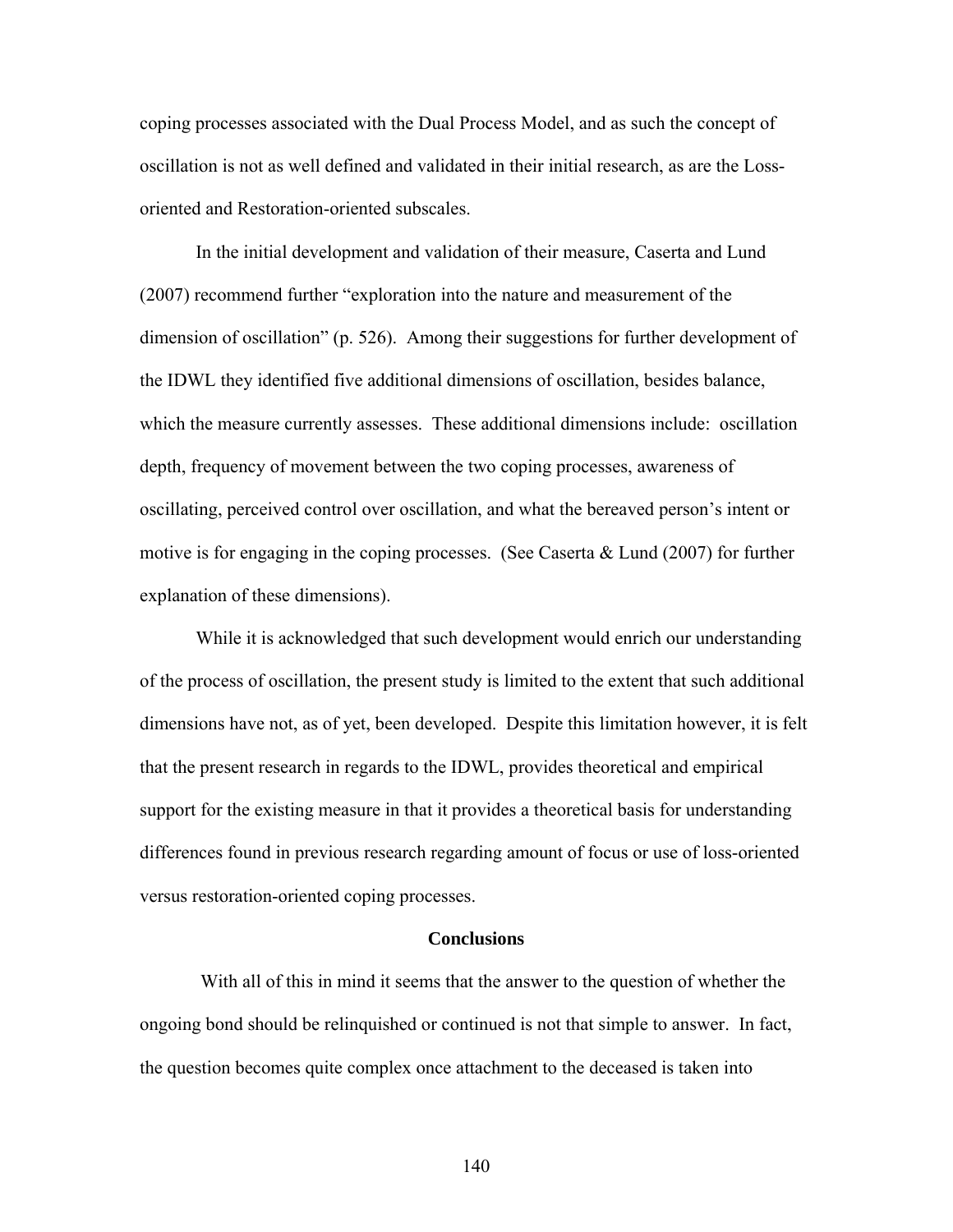coping processes associated with the Dual Process Model, and as such the concept of oscillation is not as well defined and validated in their initial research, as are the Lossoriented and Restoration-oriented subscales.

In the initial development and validation of their measure, Caserta and Lund (2007) recommend further "exploration into the nature and measurement of the dimension of oscillation" (p. 526). Among their suggestions for further development of the IDWL they identified five additional dimensions of oscillation, besides balance, which the measure currently assesses. These additional dimensions include: oscillation depth, frequency of movement between the two coping processes, awareness of oscillating, perceived control over oscillation, and what the bereaved person's intent or motive is for engaging in the coping processes. (See Caserta & Lund (2007) for further explanation of these dimensions).

While it is acknowledged that such development would enrich our understanding of the process of oscillation, the present study is limited to the extent that such additional dimensions have not, as of yet, been developed. Despite this limitation however, it is felt that the present research in regards to the IDWL, provides theoretical and empirical support for the existing measure in that it provides a theoretical basis for understanding differences found in previous research regarding amount of focus or use of loss-oriented versus restoration-oriented coping processes.

#### **Conclusions**

 With all of this in mind it seems that the answer to the question of whether the ongoing bond should be relinquished or continued is not that simple to answer. In fact, the question becomes quite complex once attachment to the deceased is taken into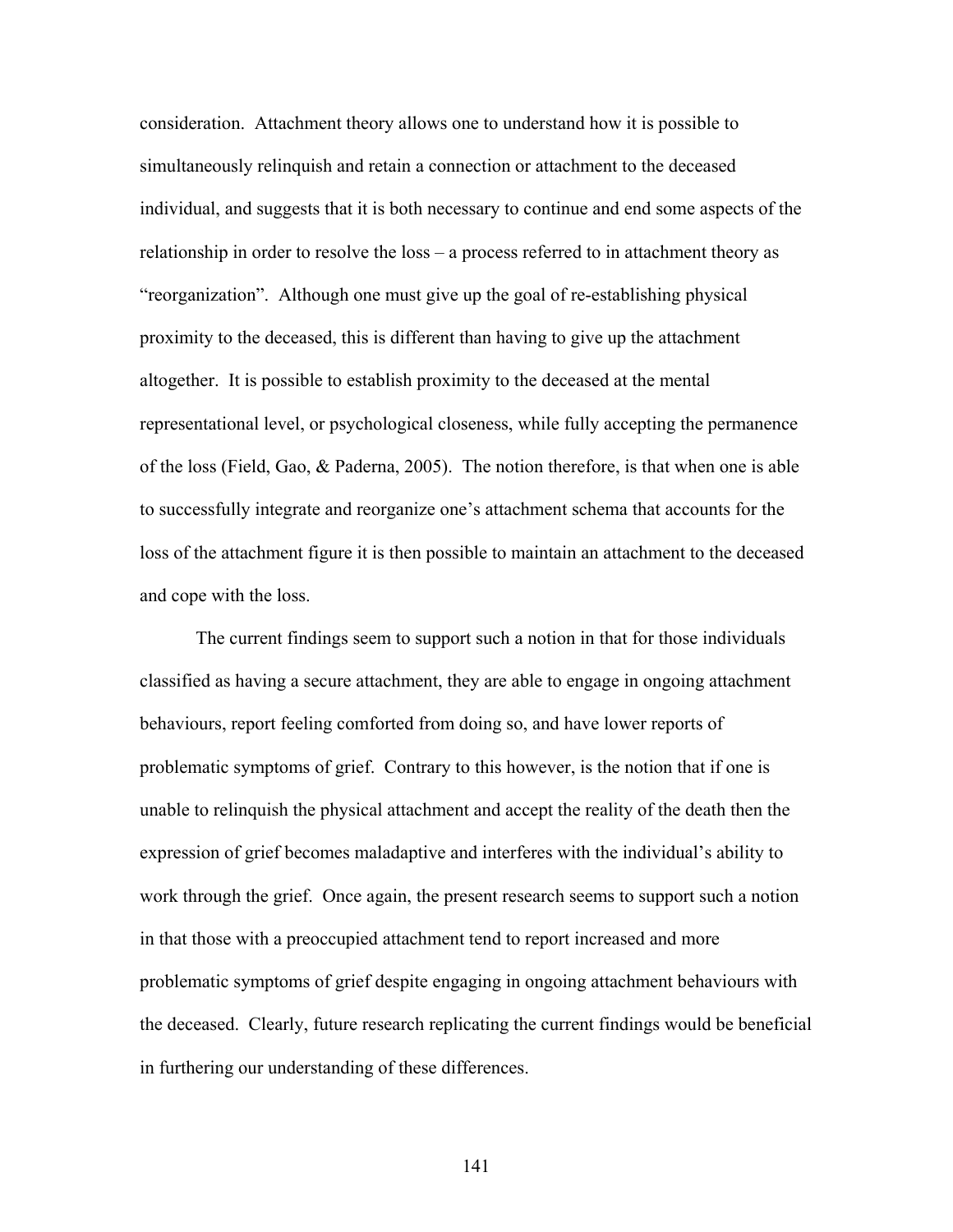consideration. Attachment theory allows one to understand how it is possible to simultaneously relinquish and retain a connection or attachment to the deceased individual, and suggests that it is both necessary to continue and end some aspects of the relationship in order to resolve the loss – a process referred to in attachment theory as "reorganization". Although one must give up the goal of re-establishing physical proximity to the deceased, this is different than having to give up the attachment altogether. It is possible to establish proximity to the deceased at the mental representational level, or psychological closeness, while fully accepting the permanence of the loss (Field, Gao, & Paderna, 2005). The notion therefore, is that when one is able to successfully integrate and reorganize one's attachment schema that accounts for the loss of the attachment figure it is then possible to maintain an attachment to the deceased and cope with the loss.

The current findings seem to support such a notion in that for those individuals classified as having a secure attachment, they are able to engage in ongoing attachment behaviours, report feeling comforted from doing so, and have lower reports of problematic symptoms of grief. Contrary to this however, is the notion that if one is unable to relinquish the physical attachment and accept the reality of the death then the expression of grief becomes maladaptive and interferes with the individual's ability to work through the grief. Once again, the present research seems to support such a notion in that those with a preoccupied attachment tend to report increased and more problematic symptoms of grief despite engaging in ongoing attachment behaviours with the deceased. Clearly, future research replicating the current findings would be beneficial in furthering our understanding of these differences.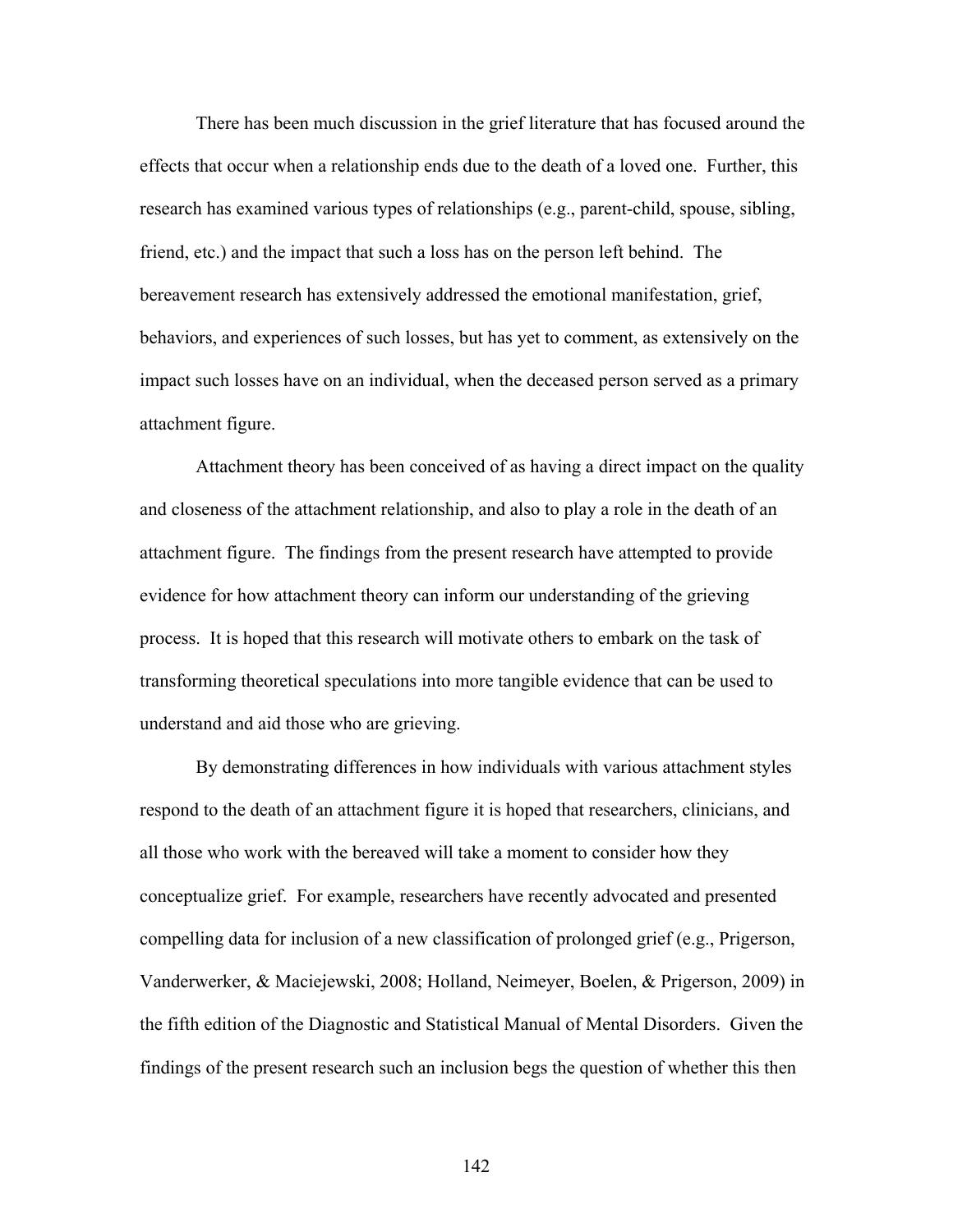There has been much discussion in the grief literature that has focused around the effects that occur when a relationship ends due to the death of a loved one. Further, this research has examined various types of relationships (e.g., parent-child, spouse, sibling, friend, etc.) and the impact that such a loss has on the person left behind. The bereavement research has extensively addressed the emotional manifestation, grief, behaviors, and experiences of such losses, but has yet to comment, as extensively on the impact such losses have on an individual, when the deceased person served as a primary attachment figure.

Attachment theory has been conceived of as having a direct impact on the quality and closeness of the attachment relationship, and also to play a role in the death of an attachment figure. The findings from the present research have attempted to provide evidence for how attachment theory can inform our understanding of the grieving process. It is hoped that this research will motivate others to embark on the task of transforming theoretical speculations into more tangible evidence that can be used to understand and aid those who are grieving.

By demonstrating differences in how individuals with various attachment styles respond to the death of an attachment figure it is hoped that researchers, clinicians, and all those who work with the bereaved will take a moment to consider how they conceptualize grief. For example, researchers have recently advocated and presented compelling data for inclusion of a new classification of prolonged grief (e.g., Prigerson, Vanderwerker, & Maciejewski, 2008; Holland, Neimeyer, Boelen, & Prigerson, 2009) in the fifth edition of the Diagnostic and Statistical Manual of Mental Disorders. Given the findings of the present research such an inclusion begs the question of whether this then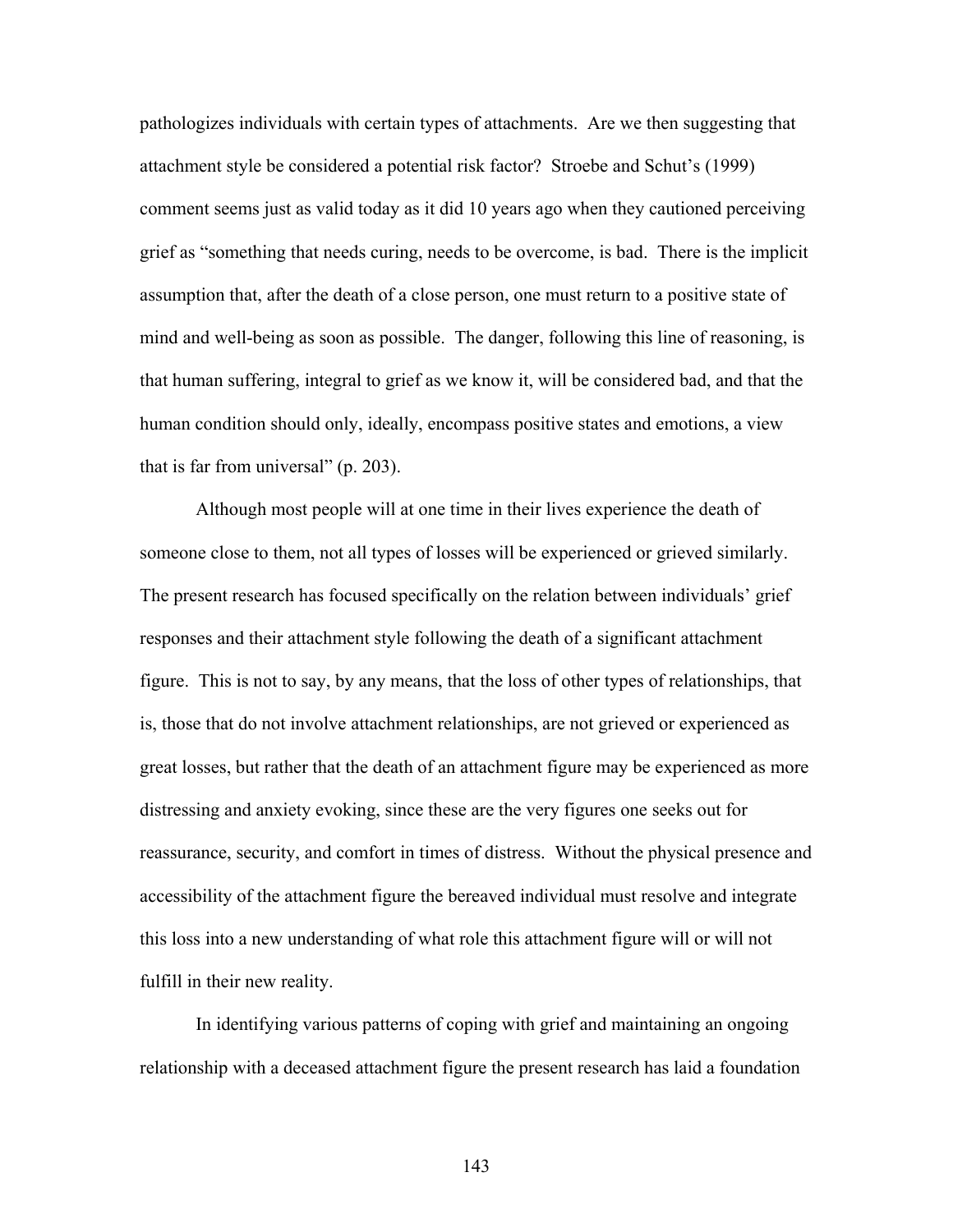pathologizes individuals with certain types of attachments. Are we then suggesting that attachment style be considered a potential risk factor? Stroebe and Schut's (1999) comment seems just as valid today as it did 10 years ago when they cautioned perceiving grief as "something that needs curing, needs to be overcome, is bad. There is the implicit assumption that, after the death of a close person, one must return to a positive state of mind and well-being as soon as possible. The danger, following this line of reasoning, is that human suffering, integral to grief as we know it, will be considered bad, and that the human condition should only, ideally, encompass positive states and emotions, a view that is far from universal" (p. 203).

Although most people will at one time in their lives experience the death of someone close to them, not all types of losses will be experienced or grieved similarly. The present research has focused specifically on the relation between individuals' grief responses and their attachment style following the death of a significant attachment figure. This is not to say, by any means, that the loss of other types of relationships, that is, those that do not involve attachment relationships, are not grieved or experienced as great losses, but rather that the death of an attachment figure may be experienced as more distressing and anxiety evoking, since these are the very figures one seeks out for reassurance, security, and comfort in times of distress. Without the physical presence and accessibility of the attachment figure the bereaved individual must resolve and integrate this loss into a new understanding of what role this attachment figure will or will not fulfill in their new reality.

In identifying various patterns of coping with grief and maintaining an ongoing relationship with a deceased attachment figure the present research has laid a foundation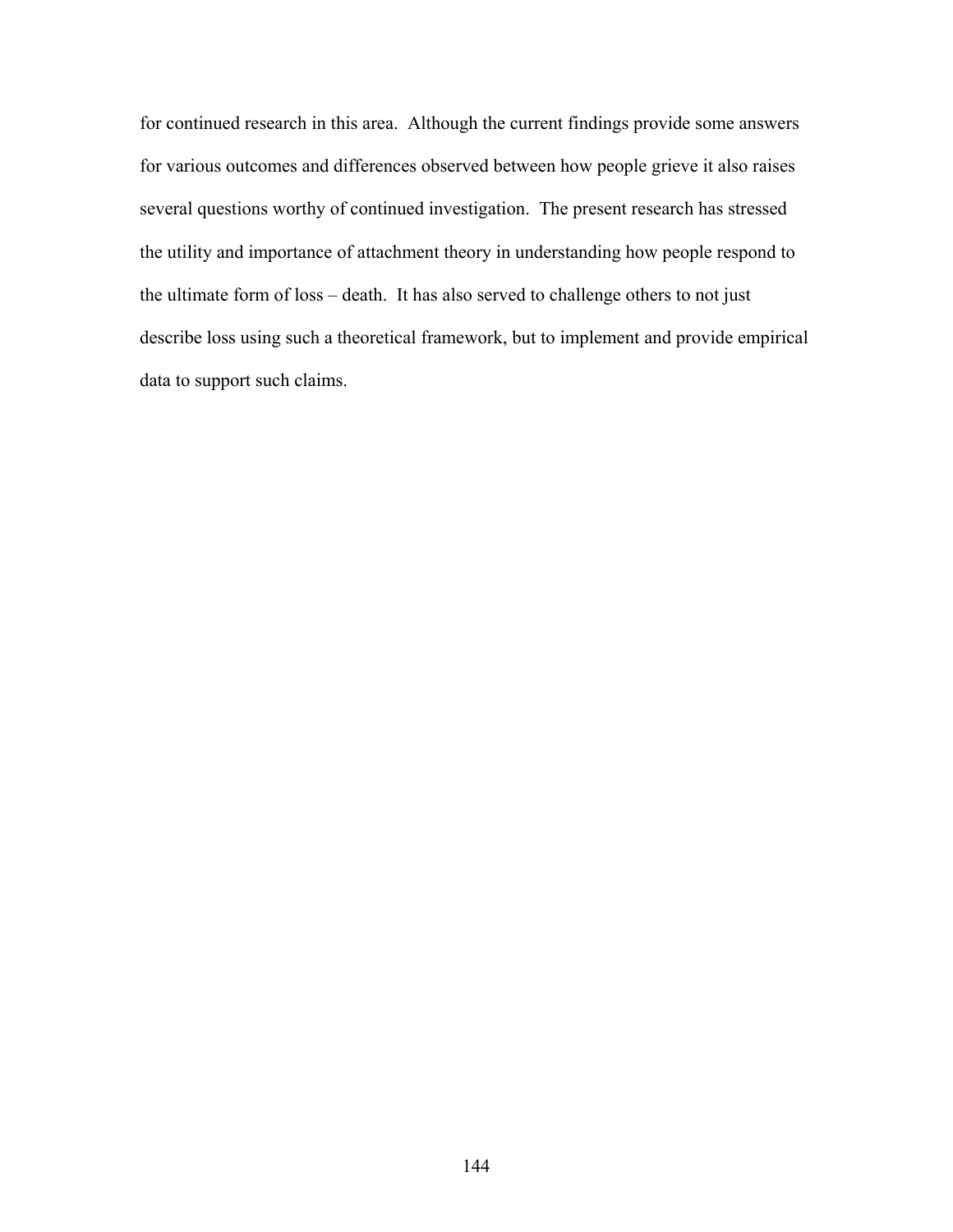for continued research in this area. Although the current findings provide some answers for various outcomes and differences observed between how people grieve it also raises several questions worthy of continued investigation. The present research has stressed the utility and importance of attachment theory in understanding how people respond to the ultimate form of loss – death. It has also served to challenge others to not just describe loss using such a theoretical framework, but to implement and provide empirical data to support such claims.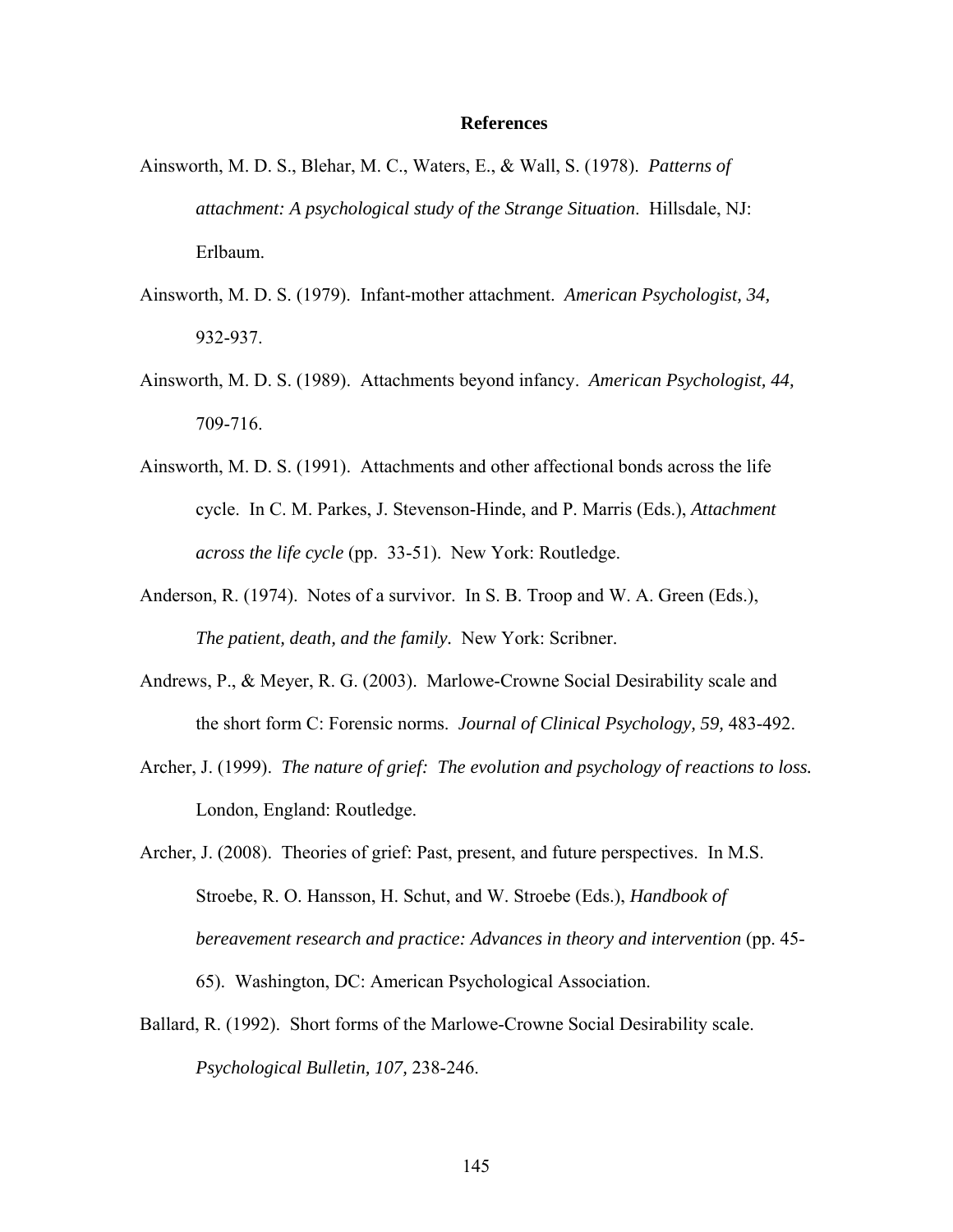### **References**

- Ainsworth, M. D. S., Blehar, M. C., Waters, E., & Wall, S. (1978). *Patterns of attachment: A psychological study of the Strange Situation*. Hillsdale, NJ: Erlbaum.
- Ainsworth, M. D. S. (1979). Infant-mother attachment. *American Psychologist, 34,* 932-937.
- Ainsworth, M. D. S. (1989). Attachments beyond infancy. *American Psychologist, 44,* 709-716.
- Ainsworth, M. D. S. (1991). Attachments and other affectional bonds across the life cycle. In C. M. Parkes, J. Stevenson-Hinde, and P. Marris (Eds.), *Attachment across the life cycle* (pp. 33-51). New York: Routledge.
- Anderson, R. (1974). Notes of a survivor. In S. B. Troop and W. A. Green (Eds.), *The patient, death, and the family.* New York: Scribner.
- Andrews, P., & Meyer, R. G. (2003). Marlowe-Crowne Social Desirability scale and the short form C: Forensic norms. *Journal of Clinical Psychology, 59,* 483-492.
- Archer, J. (1999). *The nature of grief: The evolution and psychology of reactions to loss.* London, England: Routledge.
- Archer, J. (2008). Theories of grief: Past, present, and future perspectives. In M.S. Stroebe, R. O. Hansson, H. Schut, and W. Stroebe (Eds.), *Handbook of bereavement research and practice: Advances in theory and intervention* (pp. 45- 65). Washington, DC: American Psychological Association.
- Ballard, R. (1992). Short forms of the Marlowe-Crowne Social Desirability scale. *Psychological Bulletin, 107,* 238-246.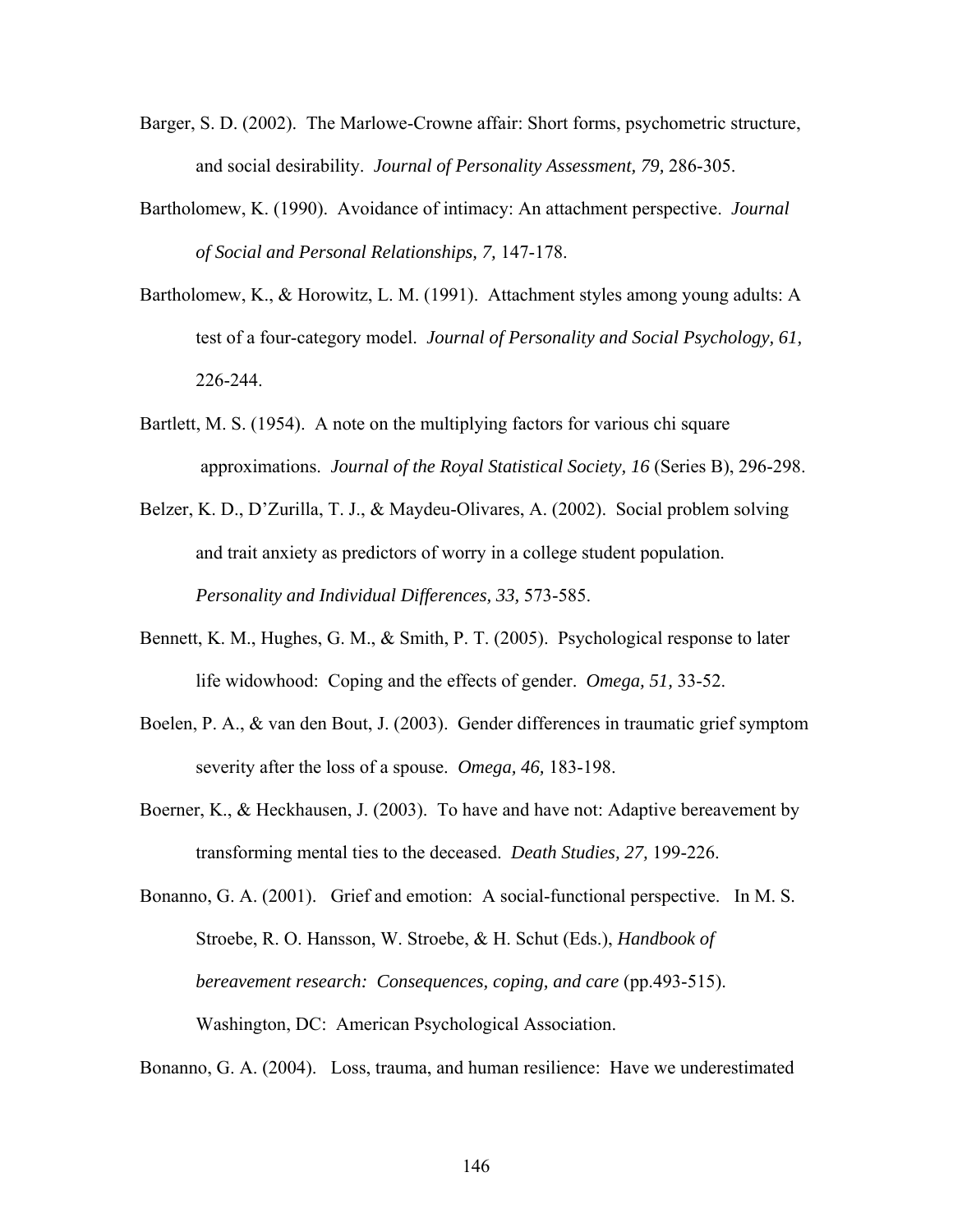- Barger, S. D. (2002). The Marlowe-Crowne affair: Short forms, psychometric structure, and social desirability. *Journal of Personality Assessment, 79,* 286-305.
- Bartholomew, K. (1990). Avoidance of intimacy: An attachment perspective. *Journal of Social and Personal Relationships, 7,* 147-178.
- Bartholomew, K., & Horowitz, L. M. (1991). Attachment styles among young adults: A test of a four-category model. *Journal of Personality and Social Psychology, 61,* 226-244.
- Bartlett, M. S. (1954). A note on the multiplying factors for various chi square approximations. *Journal of the Royal Statistical Society, 16* (Series B), 296-298.
- Belzer, K. D., D'Zurilla, T. J., & Maydeu-Olivares, A. (2002). Social problem solving and trait anxiety as predictors of worry in a college student population. *Personality and Individual Differences, 33,* 573-585.
- Bennett, K. M., Hughes, G. M., & Smith, P. T. (2005). Psychological response to later life widowhood: Coping and the effects of gender. *Omega, 51,* 33-52.
- Boelen, P. A., & van den Bout, J. (2003). Gender differences in traumatic grief symptom severity after the loss of a spouse. *Omega, 46,* 183-198.
- Boerner, K., & Heckhausen, J. (2003). To have and have not: Adaptive bereavement by transforming mental ties to the deceased. *Death Studies, 27,* 199-226.

Bonanno, G. A. (2001). Grief and emotion: A social-functional perspective. In M. S. Stroebe, R. O. Hansson, W. Stroebe, & H. Schut (Eds.), *Handbook of bereavement research: Consequences, coping, and care (pp.493-515).* Washington, DC: American Psychological Association.

Bonanno, G. A. (2004). Loss, trauma, and human resilience: Have we underestimated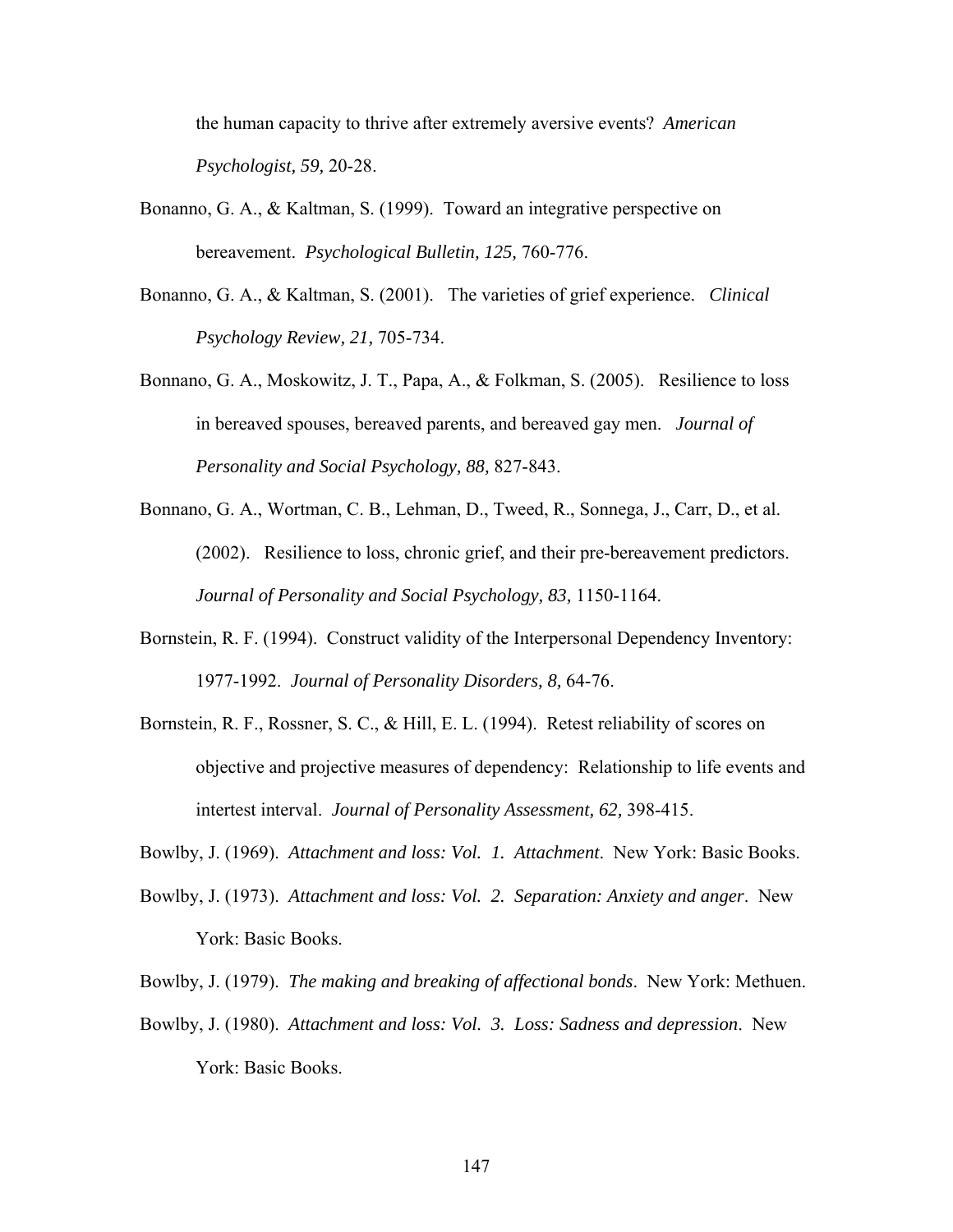the human capacity to thrive after extremely aversive events? *American Psychologist, 59,* 20-28.

- Bonanno, G. A., & Kaltman, S. (1999). Toward an integrative perspective on bereavement. *Psychological Bulletin, 125,* 760-776.
- Bonanno, G. A., & Kaltman, S. (2001). The varieties of grief experience. *Clinical Psychology Review, 21,* 705-734.
- Bonnano, G. A., Moskowitz, J. T., Papa, A., & Folkman, S. (2005). Resilience to loss in bereaved spouses, bereaved parents, and bereaved gay men. *Journal of Personality and Social Psychology, 88,* 827-843.
- Bonnano, G. A., Wortman, C. B., Lehman, D., Tweed, R., Sonnega, J., Carr, D., et al. (2002). Resilience to loss, chronic grief, and their pre-bereavement predictors. *Journal of Personality and Social Psychology, 83,* 1150-1164.
- Bornstein, R. F. (1994). Construct validity of the Interpersonal Dependency Inventory: 1977-1992. *Journal of Personality Disorders, 8,* 64-76.
- Bornstein, R. F., Rossner, S. C., & Hill, E. L. (1994). Retest reliability of scores on objective and projective measures of dependency: Relationship to life events and intertest interval. *Journal of Personality Assessment, 62,* 398-415.
- Bowlby, J. (1969). *Attachment and loss: Vol. 1. Attachment*. New York: Basic Books.
- Bowlby, J. (1973). *Attachment and loss: Vol. 2. Separation: Anxiety and anger*. New York: Basic Books.
- Bowlby, J. (1979). *The making and breaking of affectional bonds*. New York: Methuen.
- Bowlby, J. (1980). *Attachment and loss: Vol. 3. Loss: Sadness and depression*. New York: Basic Books.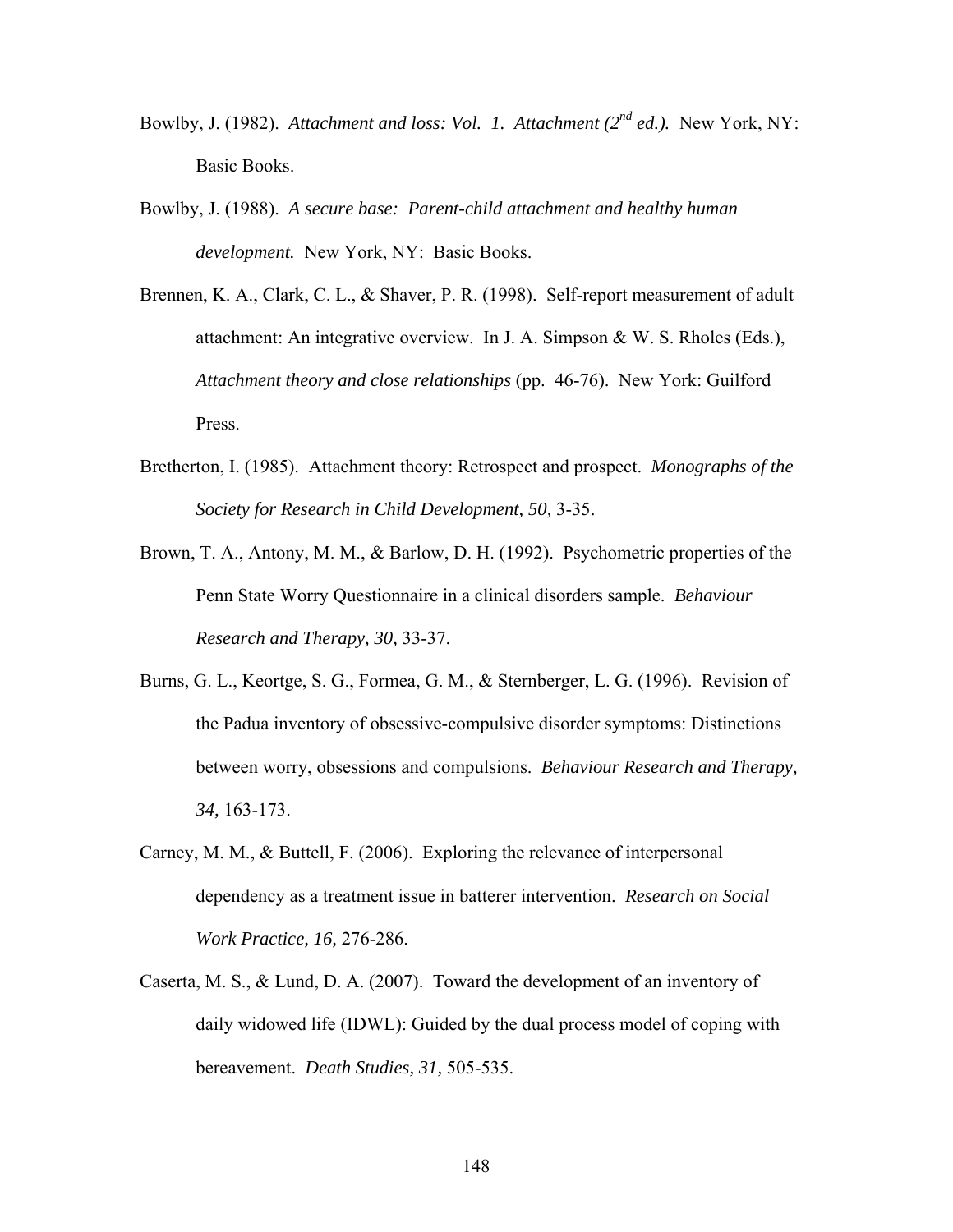- Bowlby, J. (1982). *Attachment and loss: Vol. 1. Attachment (2nd ed.).* New York, NY: Basic Books.
- Bowlby, J. (1988). *A secure base: Parent-child attachment and healthy human development.* New York, NY: Basic Books.
- Brennen, K. A., Clark, C. L., & Shaver, P. R. (1998). Self-report measurement of adult attachment: An integrative overview. In J. A. Simpson & W. S. Rholes (Eds.), *Attachment theory and close relationships* (pp. 46-76). New York: Guilford Press.
- Bretherton, I. (1985). Attachment theory: Retrospect and prospect. *Monographs of the Society for Research in Child Development, 50,* 3-35.
- Brown, T. A., Antony, M. M., & Barlow, D. H. (1992). Psychometric properties of the Penn State Worry Questionnaire in a clinical disorders sample. *Behaviour Research and Therapy, 30,* 33-37.
- Burns, G. L., Keortge, S. G., Formea, G. M., & Sternberger, L. G. (1996). Revision of the Padua inventory of obsessive-compulsive disorder symptoms: Distinctions between worry, obsessions and compulsions. *Behaviour Research and Therapy, 34,* 163-173.
- Carney, M. M., & Buttell, F. (2006). Exploring the relevance of interpersonal dependency as a treatment issue in batterer intervention. *Research on Social Work Practice, 16,* 276-286.
- Caserta, M. S., & Lund, D. A. (2007). Toward the development of an inventory of daily widowed life (IDWL): Guided by the dual process model of coping with bereavement. *Death Studies, 31,* 505-535.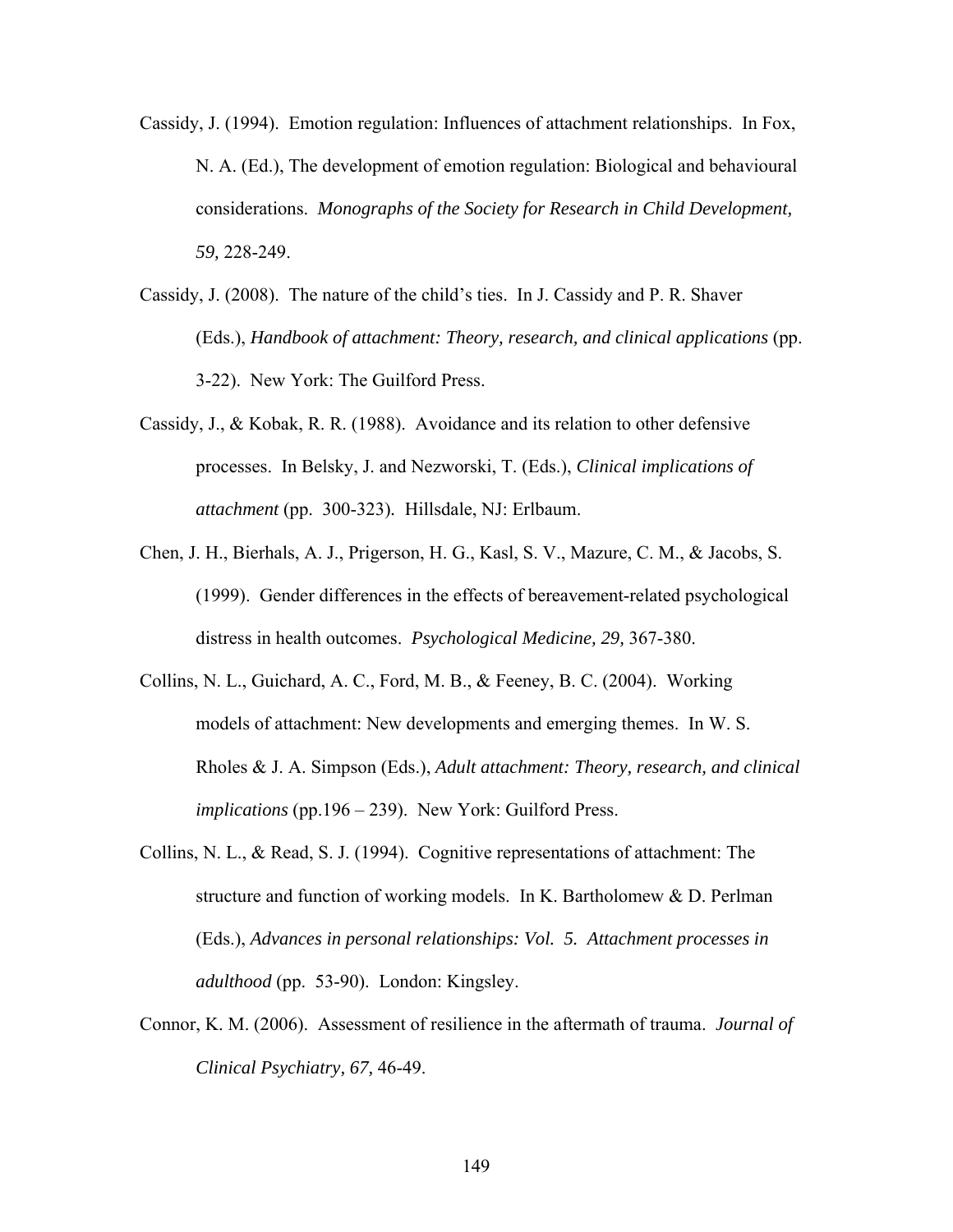- Cassidy, J. (1994). Emotion regulation: Influences of attachment relationships. In Fox, N. A. (Ed.), The development of emotion regulation: Biological and behavioural considerations. *Monographs of the Society for Research in Child Development, 59,* 228-249.
- Cassidy, J. (2008). The nature of the child's ties. In J. Cassidy and P. R. Shaver (Eds.), *Handbook of attachment: Theory, research, and clinical applications* (pp. 3-22). New York: The Guilford Press.
- Cassidy, J., & Kobak, R. R. (1988). Avoidance and its relation to other defensive processes. In Belsky, J. and Nezworski, T. (Eds.), *Clinical implications of attachment* (pp. 300-323)*.* Hillsdale, NJ: Erlbaum.
- Chen, J. H., Bierhals, A. J., Prigerson, H. G., Kasl, S. V., Mazure, C. M., & Jacobs, S. (1999). Gender differences in the effects of bereavement-related psychological distress in health outcomes. *Psychological Medicine, 29,* 367-380.
- Collins, N. L., Guichard, A. C., Ford, M. B., & Feeney, B. C. (2004). Working models of attachment: New developments and emerging themes. In W. S. Rholes & J. A. Simpson (Eds.), *Adult attachment: Theory, research, and clinical implications* (pp.196 – 239). New York: Guilford Press.
- Collins, N. L., & Read, S. J. (1994). Cognitive representations of attachment: The structure and function of working models. In K. Bartholomew & D. Perlman (Eds.), *Advances in personal relationships: Vol. 5. Attachment processes in adulthood* (pp. 53-90). London: Kingsley.
- Connor, K. M. (2006). Assessment of resilience in the aftermath of trauma. *Journal of Clinical Psychiatry, 67,* 46-49.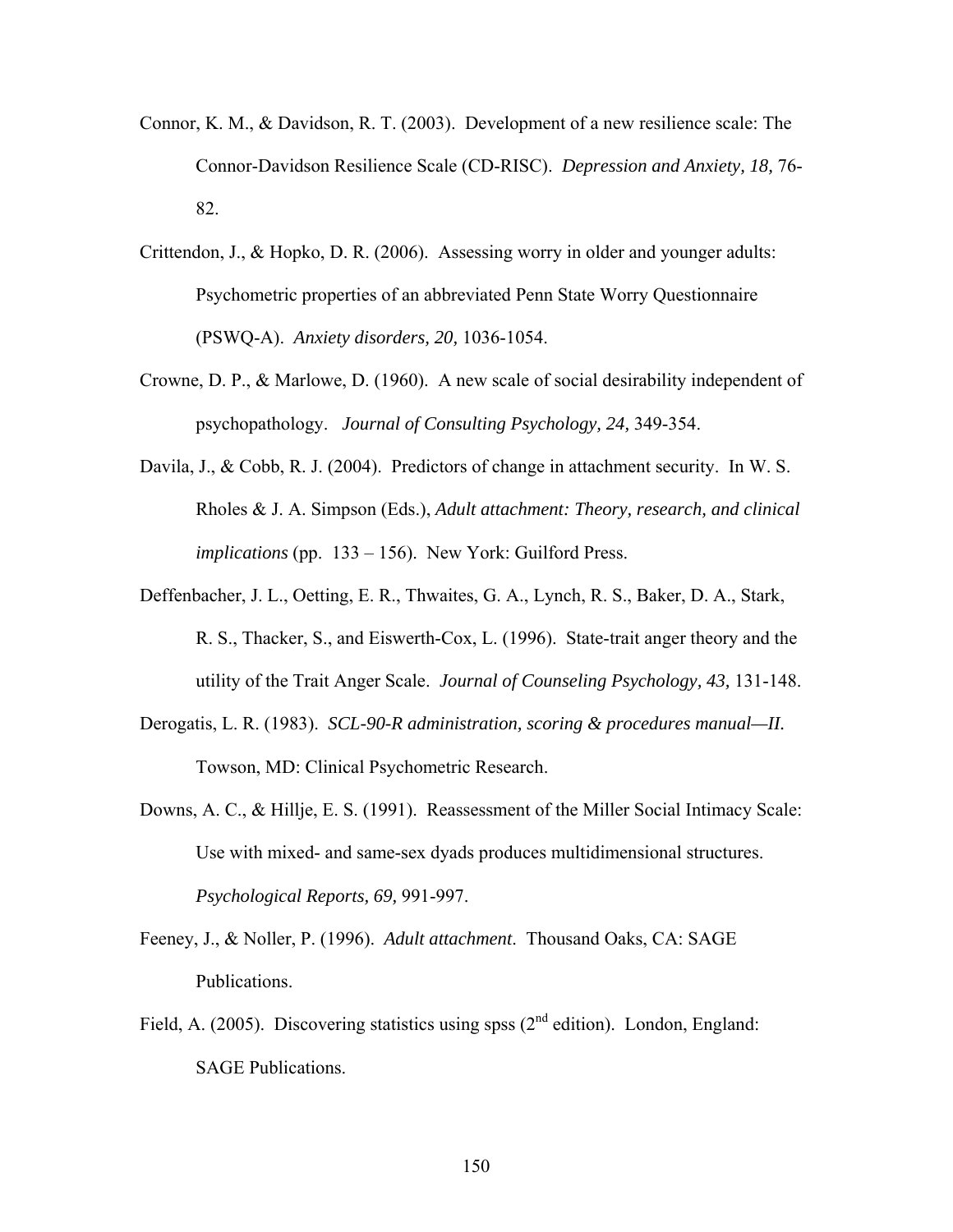- Connor, K. M., & Davidson, R. T. (2003). Development of a new resilience scale: The Connor-Davidson Resilience Scale (CD-RISC). *Depression and Anxiety, 18,* 76- 82.
- Crittendon, J., & Hopko, D. R. (2006). Assessing worry in older and younger adults: Psychometric properties of an abbreviated Penn State Worry Questionnaire (PSWQ-A). *Anxiety disorders, 20,* 1036-1054.
- Crowne, D. P., & Marlowe, D. (1960). A new scale of social desirability independent of psychopathology. *Journal of Consulting Psychology, 24,* 349-354.
- Davila, J., & Cobb, R. J. (2004). Predictors of change in attachment security. In W. S. Rholes & J. A. Simpson (Eds.), *Adult attachment: Theory, research, and clinical implications* (pp. 133 – 156). New York: Guilford Press.
- Deffenbacher, J. L., Oetting, E. R., Thwaites, G. A., Lynch, R. S., Baker, D. A., Stark, R. S., Thacker, S., and Eiswerth-Cox, L. (1996). State-trait anger theory and the utility of the Trait Anger Scale. *Journal of Counseling Psychology, 43,* 131-148.
- Derogatis, L. R. (1983). *SCL-90-R administration, scoring & procedures manual—II.*  Towson, MD: Clinical Psychometric Research.
- Downs, A. C., & Hillje, E. S. (1991). Reassessment of the Miller Social Intimacy Scale: Use with mixed- and same-sex dyads produces multidimensional structures. *Psychological Reports, 69,* 991-997.
- Feeney, J., & Noller, P. (1996). *Adult attachment*. Thousand Oaks, CA: SAGE Publications.
- Field, A. (2005). Discovering statistics using spss ( $2<sup>nd</sup>$  edition). London, England: SAGE Publications.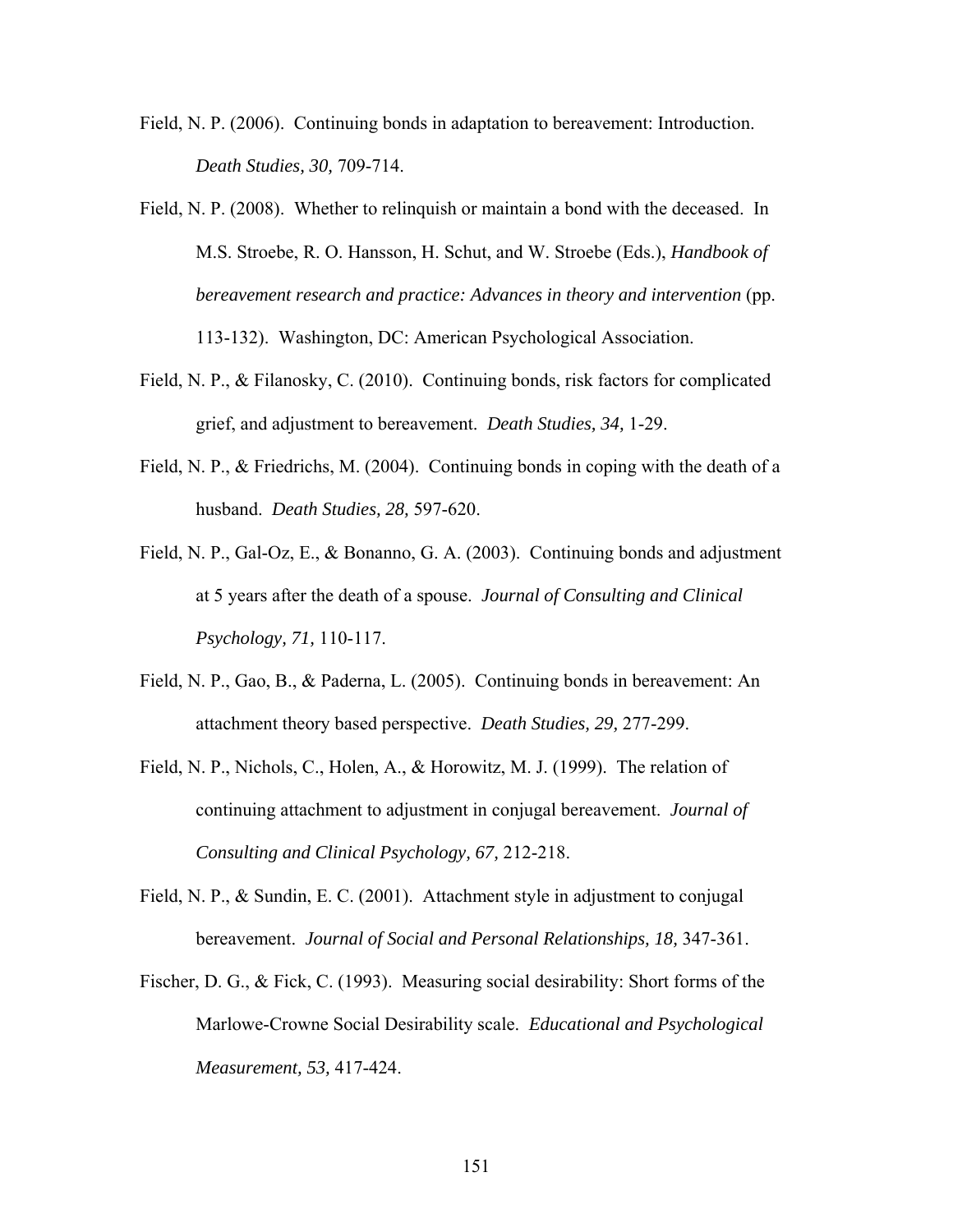- Field, N. P. (2006). Continuing bonds in adaptation to bereavement: Introduction. *Death Studies, 30,* 709-714.
- Field, N. P. (2008). Whether to relinquish or maintain a bond with the deceased. In M.S. Stroebe, R. O. Hansson, H. Schut, and W. Stroebe (Eds.), *Handbook of bereavement research and practice: Advances in theory and intervention* (pp. 113-132). Washington, DC: American Psychological Association.
- Field, N. P., & Filanosky, C. (2010). Continuing bonds, risk factors for complicated grief, and adjustment to bereavement. *Death Studies, 34,* 1-29.
- Field, N. P., & Friedrichs, M. (2004). Continuing bonds in coping with the death of a husband. *Death Studies, 28,* 597-620.
- Field, N. P., Gal-Oz, E., & Bonanno, G. A. (2003). Continuing bonds and adjustment at 5 years after the death of a spouse. *Journal of Consulting and Clinical Psychology, 71,* 110-117.
- Field, N. P., Gao, B., & Paderna, L. (2005). Continuing bonds in bereavement: An attachment theory based perspective. *Death Studies, 29,* 277-299.
- Field, N. P., Nichols, C., Holen, A., & Horowitz, M. J. (1999). The relation of continuing attachment to adjustment in conjugal bereavement. *Journal of Consulting and Clinical Psychology, 67,* 212-218.
- Field, N. P., & Sundin, E. C. (2001). Attachment style in adjustment to conjugal bereavement. *Journal of Social and Personal Relationships, 18,* 347-361.
- Fischer, D. G., & Fick, C. (1993). Measuring social desirability: Short forms of the Marlowe-Crowne Social Desirability scale. *Educational and Psychological Measurement, 53,* 417-424.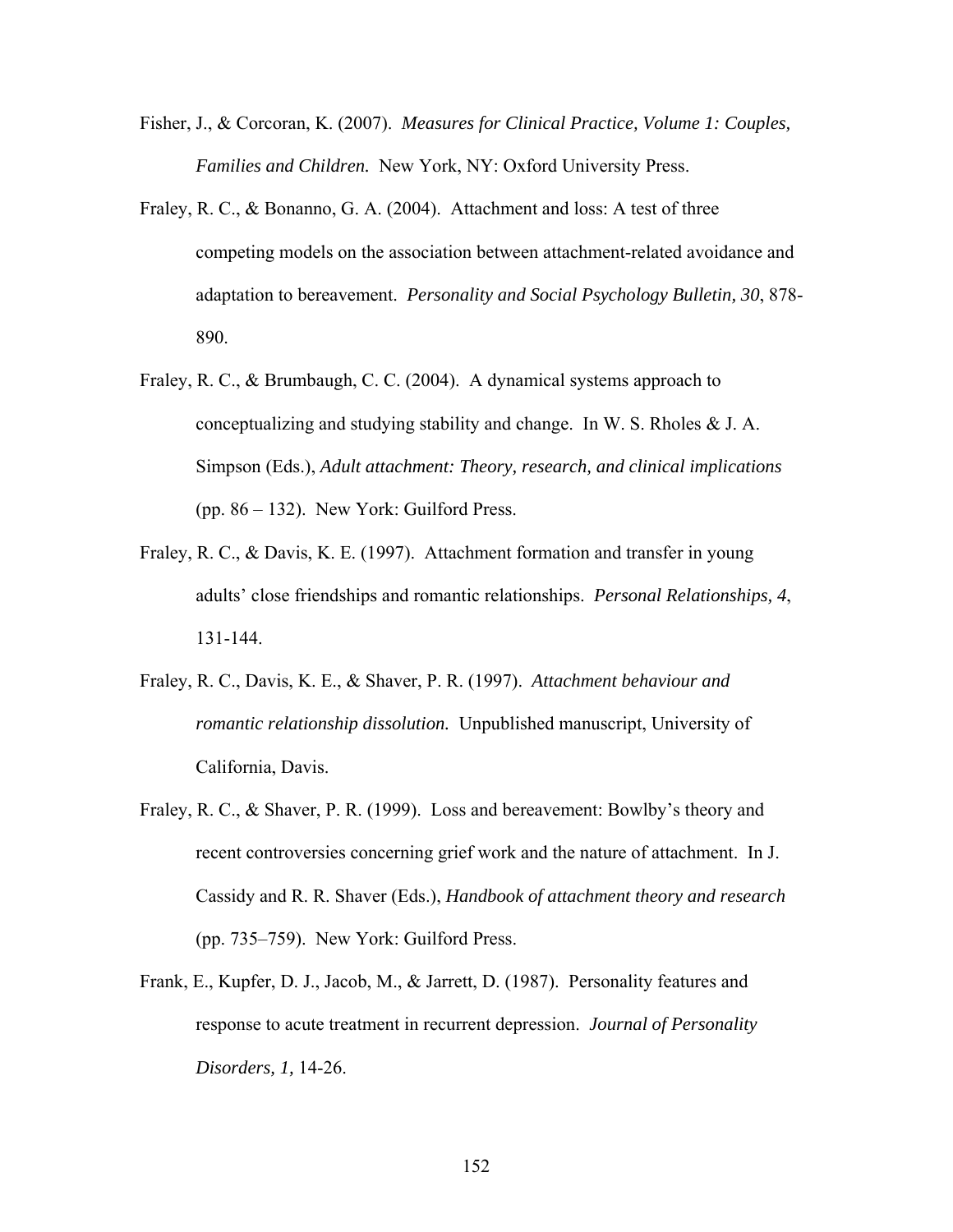- Fisher, J., & Corcoran, K. (2007). *Measures for Clinical Practice, Volume 1: Couples, Families and Children.* New York, NY: Oxford University Press.
- Fraley, R. C., & Bonanno, G. A. (2004). Attachment and loss: A test of three competing models on the association between attachment-related avoidance and adaptation to bereavement. *Personality and Social Psychology Bulletin, 30*, 878- 890.
- Fraley, R. C., & Brumbaugh, C. C. (2004). A dynamical systems approach to conceptualizing and studying stability and change. In W. S. Rholes & J. A. Simpson (Eds.), *Adult attachment: Theory, research, and clinical implications* (pp. 86 – 132). New York: Guilford Press.
- Fraley, R. C., & Davis, K. E. (1997). Attachment formation and transfer in young adults' close friendships and romantic relationships. *Personal Relationships, 4*, 131-144.
- Fraley, R. C., Davis, K. E., & Shaver, P. R. (1997). *Attachment behaviour and romantic relationship dissolution.* Unpublished manuscript, University of California, Davis.
- Fraley, R. C., & Shaver, P. R. (1999). Loss and bereavement: Bowlby's theory and recent controversies concerning grief work and the nature of attachment. In J. Cassidy and R. R. Shaver (Eds.), *Handbook of attachment theory and research* (pp. 735–759). New York: Guilford Press.
- Frank, E., Kupfer, D. J., Jacob, M., & Jarrett, D. (1987). Personality features and response to acute treatment in recurrent depression. *Journal of Personality Disorders, 1,* 14-26.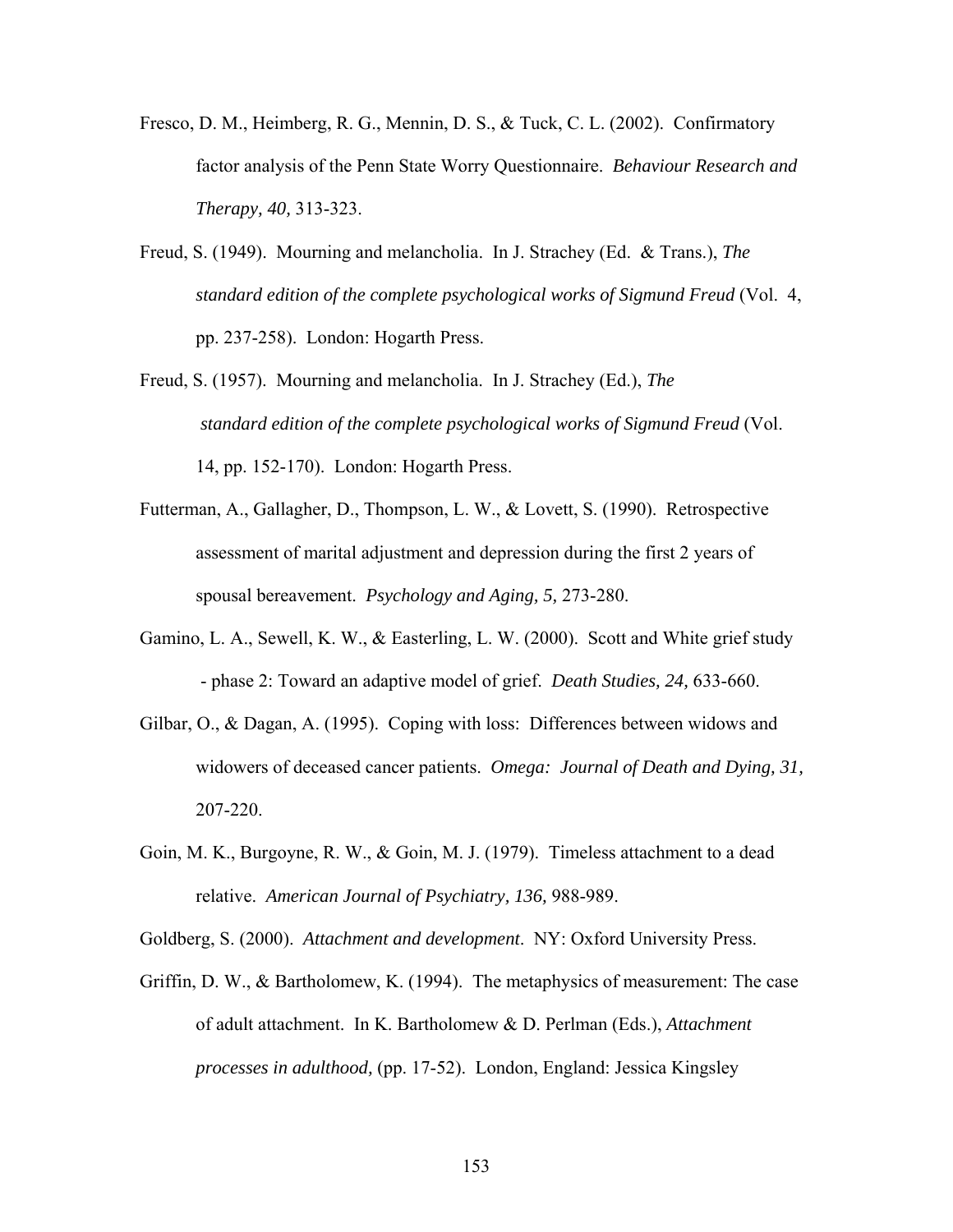- Fresco, D. M., Heimberg, R. G., Mennin, D. S., & Tuck, C. L. (2002). Confirmatory factor analysis of the Penn State Worry Questionnaire. *Behaviour Research and Therapy, 40,* 313-323.
- Freud, S. (1949). Mourning and melancholia. In J. Strachey (Ed. & Trans.), *The standard edition of the complete psychological works of Sigmund Freud* (Vol. 4, pp. 237-258). London: Hogarth Press.
- Freud, S. (1957). Mourning and melancholia. In J. Strachey (Ed.), *The standard edition of the complete psychological works of Sigmund Freud* (Vol. 14, pp. 152-170). London: Hogarth Press.
- Futterman, A., Gallagher, D., Thompson, L. W., & Lovett, S. (1990). Retrospective assessment of marital adjustment and depression during the first 2 years of spousal bereavement. *Psychology and Aging, 5,* 273-280.
- Gamino, L. A., Sewell, K. W., & Easterling, L. W. (2000). Scott and White grief study - phase 2: Toward an adaptive model of grief. *Death Studies, 24,* 633-660.
- Gilbar, O., & Dagan, A. (1995). Coping with loss: Differences between widows and widowers of deceased cancer patients. *Omega: Journal of Death and Dying, 31,* 207-220.
- Goin, M. K., Burgoyne, R. W., & Goin, M. J. (1979). Timeless attachment to a dead relative. *American Journal of Psychiatry, 136,* 988-989.

Goldberg, S. (2000). *Attachment and development*. NY: Oxford University Press.

Griffin, D. W., & Bartholomew, K. (1994). The metaphysics of measurement: The case of adult attachment. In K. Bartholomew & D. Perlman (Eds.), *Attachment processes in adulthood,* (pp. 17-52). London, England: Jessica Kingsley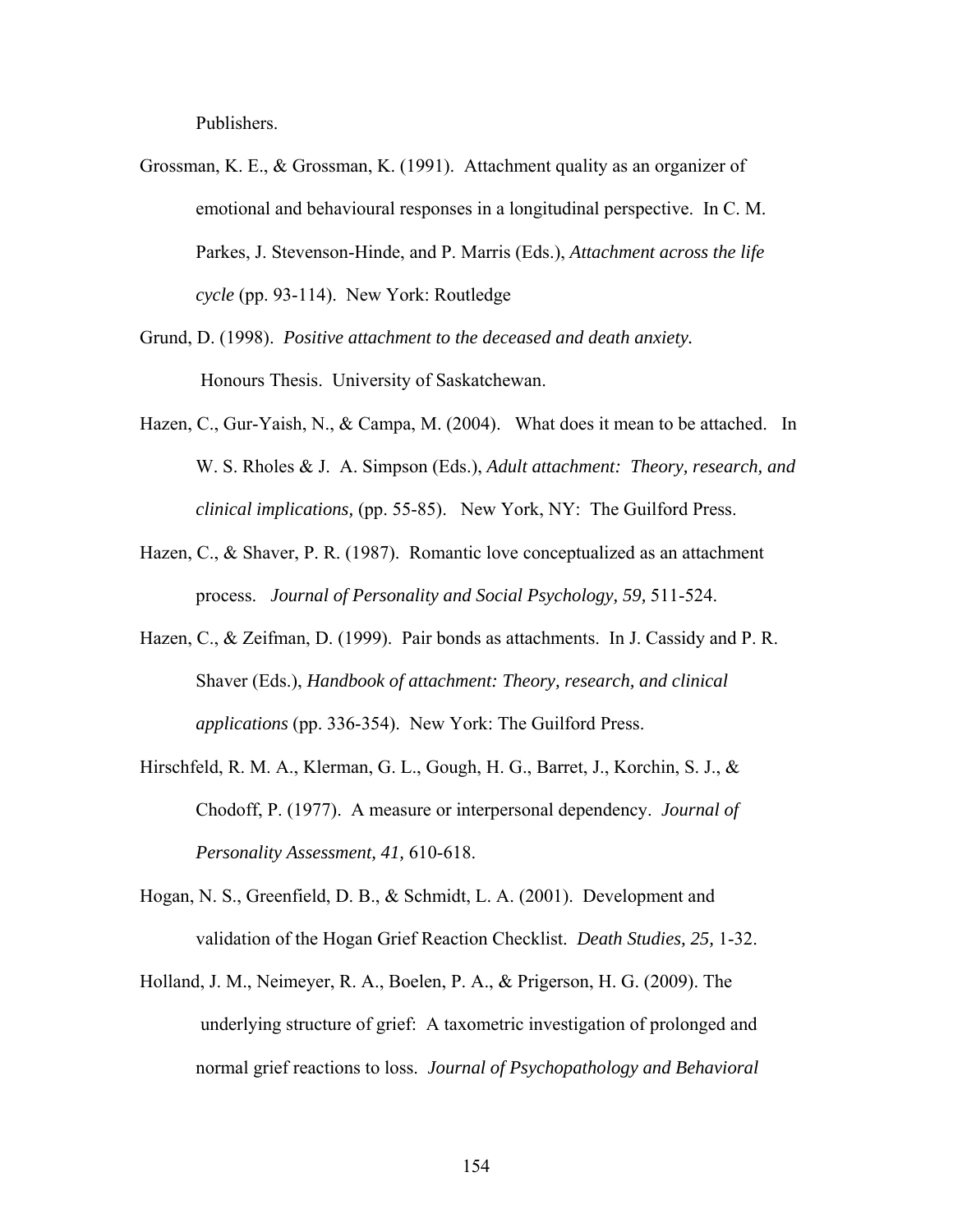Publishers.

- Grossman, K. E., & Grossman, K. (1991). Attachment quality as an organizer of emotional and behavioural responses in a longitudinal perspective. In C. M. Parkes, J. Stevenson-Hinde, and P. Marris (Eds.), *Attachment across the life cycle* (pp. 93-114). New York: Routledge
- Grund, D. (1998). *Positive attachment to the deceased and death anxiety.*  Honours Thesis. University of Saskatchewan.
- Hazen, C., Gur-Yaish, N., & Campa, M. (2004). What does it mean to be attached. In W. S. Rholes & J. A. Simpson (Eds.), *Adult attachment: Theory, research, and clinical implications,* (pp. 55-85). New York, NY: The Guilford Press.
- Hazen, C., & Shaver, P. R. (1987). Romantic love conceptualized as an attachment process. *Journal of Personality and Social Psychology, 59,* 511-524.
- Hazen, C., & Zeifman, D. (1999). Pair bonds as attachments. In J. Cassidy and P. R. Shaver (Eds.), *Handbook of attachment: Theory, research, and clinical applications* (pp. 336-354). New York: The Guilford Press.
- Hirschfeld, R. M. A., Klerman, G. L., Gough, H. G., Barret, J., Korchin, S. J., & Chodoff, P. (1977). A measure or interpersonal dependency. *Journal of Personality Assessment, 41,* 610-618.
- Hogan, N. S., Greenfield, D. B., & Schmidt, L. A. (2001). Development and validation of the Hogan Grief Reaction Checklist. *Death Studies, 25,* 1-32.
- Holland, J. M., Neimeyer, R. A., Boelen, P. A., & Prigerson, H. G. (2009). The underlying structure of grief: A taxometric investigation of prolonged and normal grief reactions to loss. *Journal of Psychopathology and Behavioral*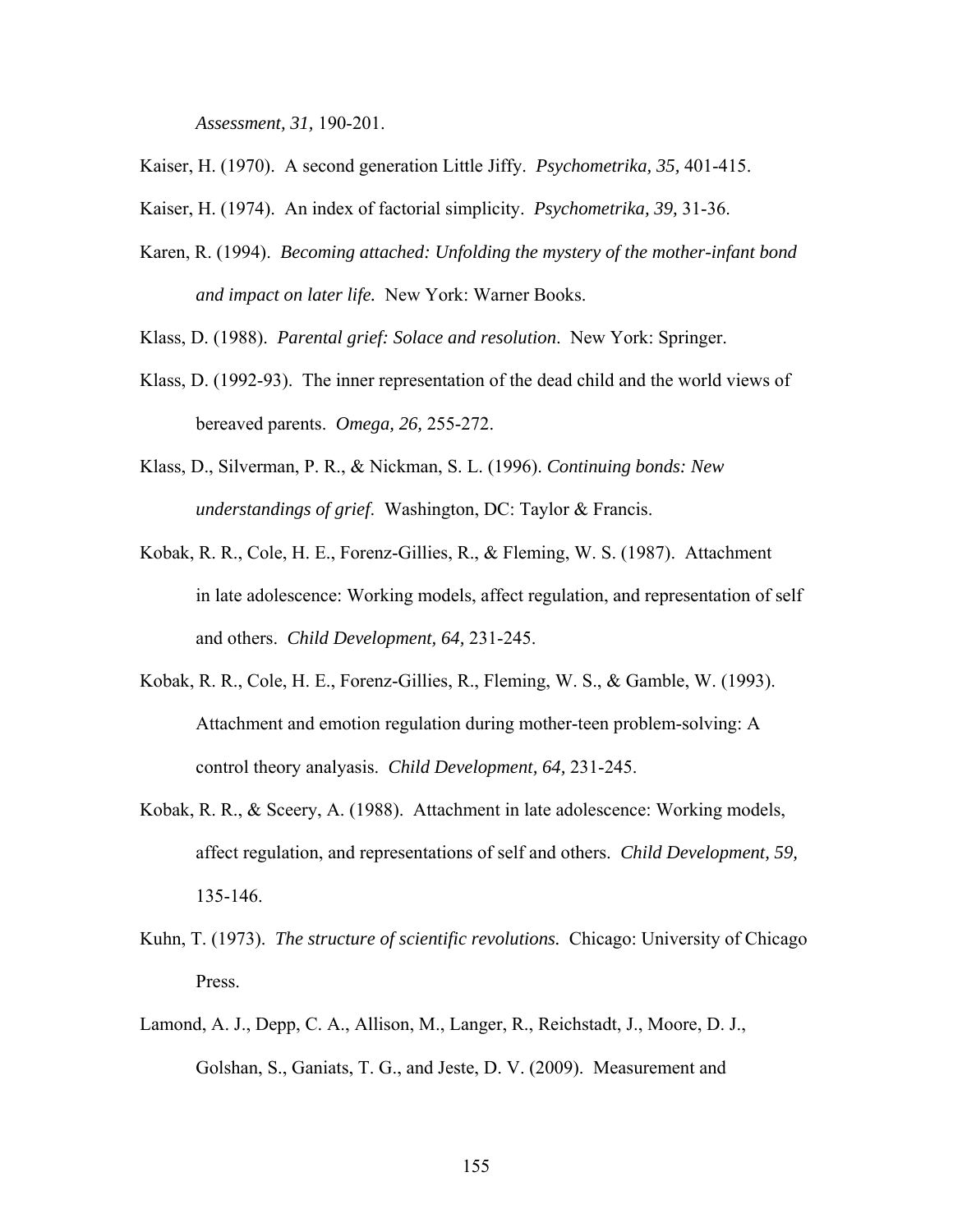*Assessment, 31,* 190-201.

Kaiser, H. (1970). A second generation Little Jiffy. *Psychometrika, 35,* 401-415.

Kaiser, H. (1974). An index of factorial simplicity. *Psychometrika, 39,* 31-36.

Karen, R. (1994). *Becoming attached: Unfolding the mystery of the mother-infant bond and impact on later life.* New York: Warner Books.

Klass, D. (1988). *Parental grief: Solace and resolution*. New York: Springer.

- Klass, D. (1992-93). The inner representation of the dead child and the world views of bereaved parents. *Omega, 26,* 255-272.
- Klass, D., Silverman, P. R., & Nickman, S. L. (1996). *Continuing bonds: New understandings of grief*. Washington, DC: Taylor & Francis.
- Kobak, R. R., Cole, H. E., Forenz-Gillies, R., & Fleming, W. S. (1987). Attachment in late adolescence: Working models, affect regulation, and representation of self and others. *Child Development, 64,* 231-245.
- Kobak, R. R., Cole, H. E., Forenz-Gillies, R., Fleming, W. S., & Gamble, W. (1993). Attachment and emotion regulation during mother-teen problem-solving: A control theory analyasis. *Child Development, 64,* 231-245.
- Kobak, R. R., & Sceery, A. (1988). Attachment in late adolescence: Working models, affect regulation, and representations of self and others. *Child Development, 59,* 135-146.
- Kuhn, T. (1973). *The structure of scientific revolutions.* Chicago: University of Chicago Press.
- Lamond, A. J., Depp, C. A., Allison, M., Langer, R., Reichstadt, J., Moore, D. J., Golshan, S., Ganiats, T. G., and Jeste, D. V. (2009). Measurement and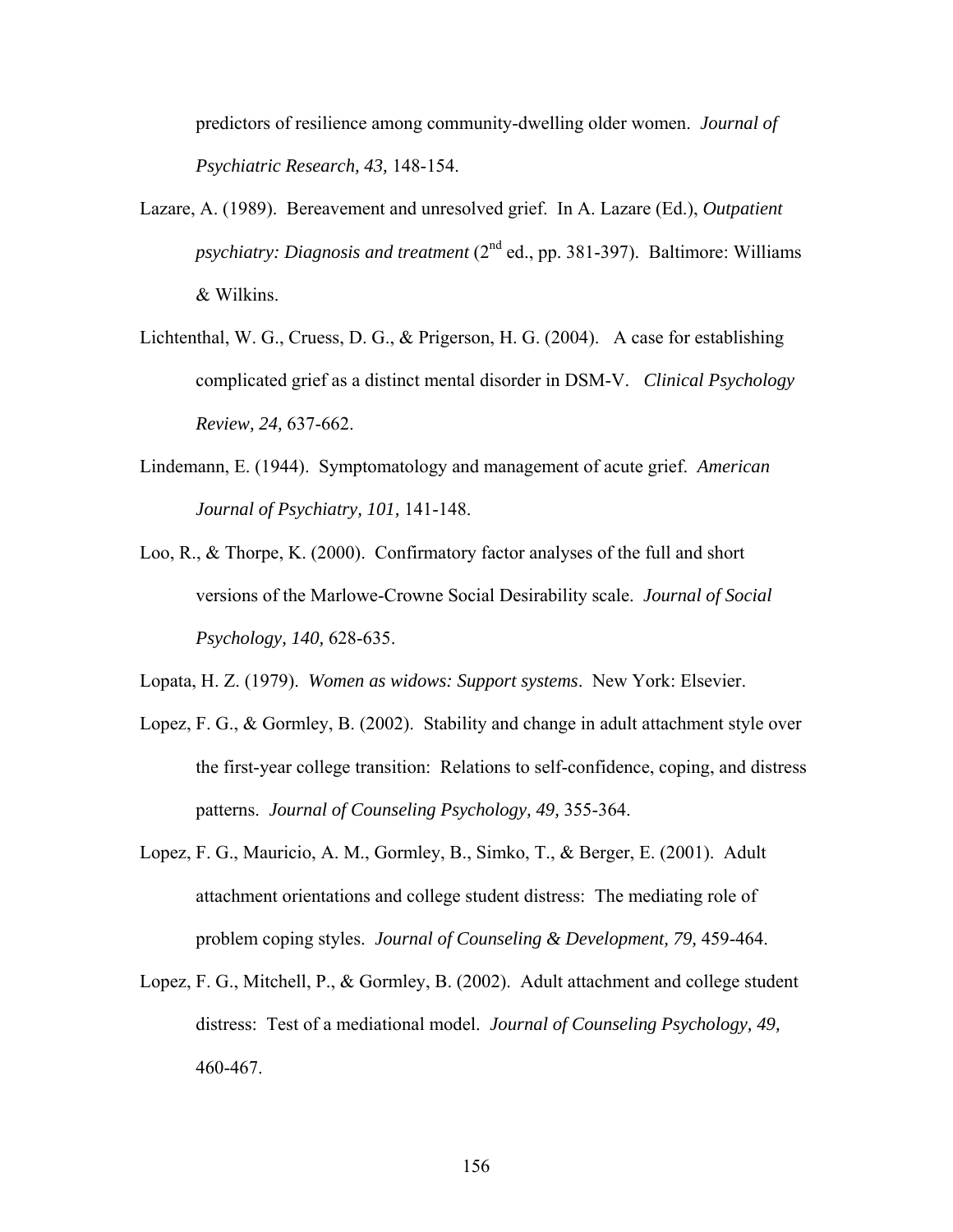predictors of resilience among community-dwelling older women. *Journal of Psychiatric Research, 43,* 148-154.

- Lazare, A. (1989). Bereavement and unresolved grief. In A. Lazare (Ed.), *Outpatient psychiatry: Diagnosis and treatment* (2nd ed., pp. 381-397). Baltimore: Williams & Wilkins.
- Lichtenthal, W. G., Cruess, D. G., & Prigerson, H. G. (2004). A case for establishing complicated grief as a distinct mental disorder in DSM-V. *Clinical Psychology Review, 24,* 637-662.
- Lindemann, E. (1944). Symptomatology and management of acute grief. *American Journal of Psychiatry, 101,* 141-148.
- Loo, R., & Thorpe, K. (2000). Confirmatory factor analyses of the full and short versions of the Marlowe-Crowne Social Desirability scale. *Journal of Social Psychology, 140,* 628-635.

Lopata, H. Z. (1979). *Women as widows: Support systems*. New York: Elsevier.

- Lopez, F. G., & Gormley, B. (2002). Stability and change in adult attachment style over the first-year college transition: Relations to self-confidence, coping, and distress patterns. *Journal of Counseling Psychology, 49,* 355-364.
- Lopez, F. G., Mauricio, A. M., Gormley, B., Simko, T., & Berger, E. (2001). Adult attachment orientations and college student distress: The mediating role of problem coping styles. *Journal of Counseling & Development, 79,* 459-464.
- Lopez, F. G., Mitchell, P., & Gormley, B. (2002). Adult attachment and college student distress: Test of a mediational model. *Journal of Counseling Psychology, 49,*  460-467.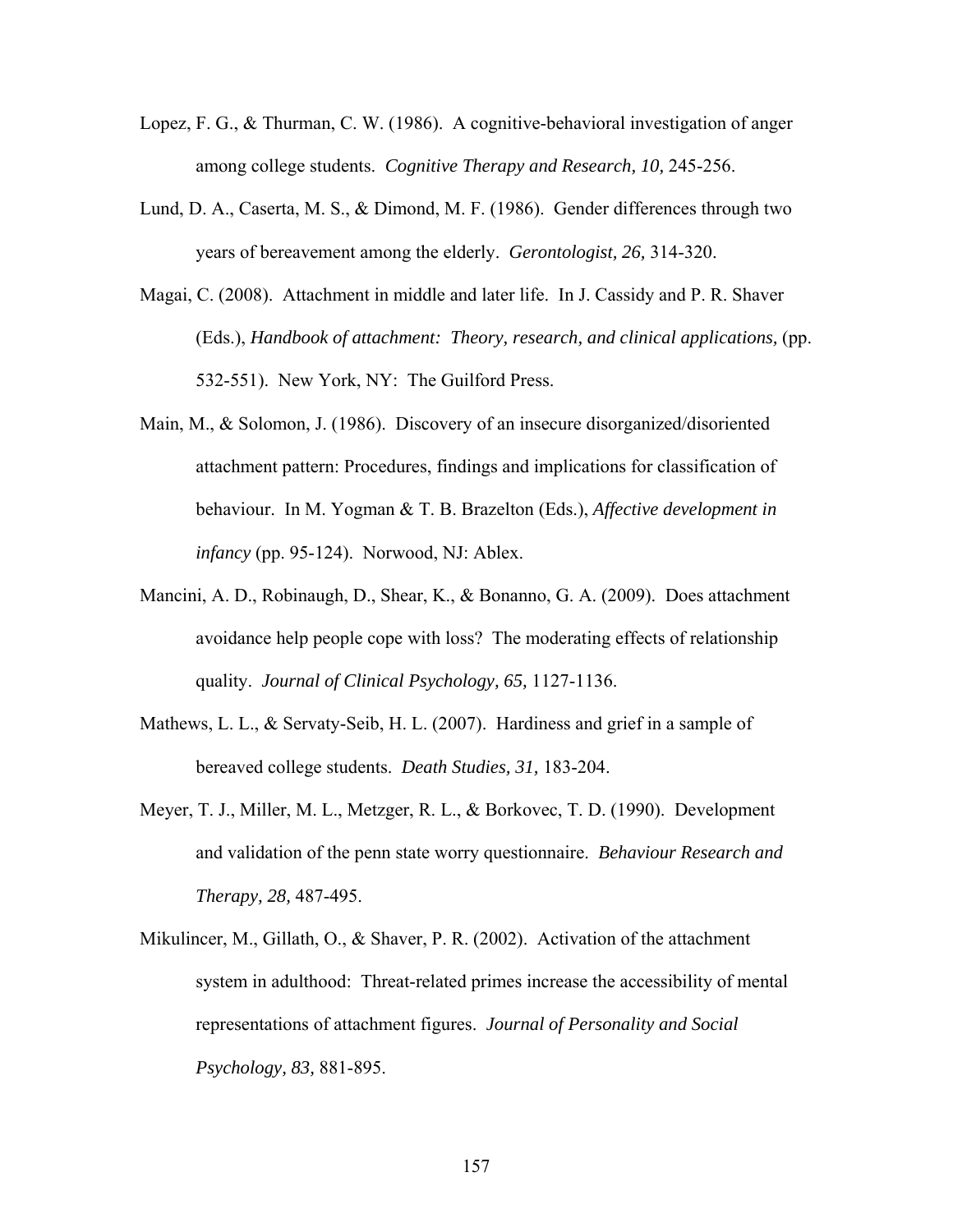- Lopez, F. G., & Thurman, C. W. (1986). A cognitive-behavioral investigation of anger among college students. *Cognitive Therapy and Research, 10,* 245-256.
- Lund, D. A., Caserta, M. S., & Dimond, M. F. (1986). Gender differences through two years of bereavement among the elderly. *Gerontologist, 26,* 314-320.
- Magai, C. (2008). Attachment in middle and later life. In J. Cassidy and P. R. Shaver (Eds.), *Handbook of attachment: Theory, research, and clinical applications,* (pp. 532-551). New York, NY: The Guilford Press.
- Main, M., & Solomon, J. (1986). Discovery of an insecure disorganized/disoriented attachment pattern: Procedures, findings and implications for classification of behaviour. In M. Yogman & T. B. Brazelton (Eds.), *Affective development in infancy* (pp. 95-124). Norwood, NJ: Ablex.
- Mancini, A. D., Robinaugh, D., Shear, K., & Bonanno, G. A. (2009). Does attachment avoidance help people cope with loss? The moderating effects of relationship quality. *Journal of Clinical Psychology, 65,* 1127-1136.
- Mathews, L. L., & Servaty-Seib, H. L. (2007). Hardiness and grief in a sample of bereaved college students. *Death Studies, 31,* 183-204.
- Meyer, T. J., Miller, M. L., Metzger, R. L., & Borkovec, T. D. (1990). Development and validation of the penn state worry questionnaire. *Behaviour Research and Therapy, 28,* 487-495.
- Mikulincer, M., Gillath, O., & Shaver, P. R. (2002). Activation of the attachment system in adulthood: Threat-related primes increase the accessibility of mental representations of attachment figures. *Journal of Personality and Social Psychology, 83,* 881-895.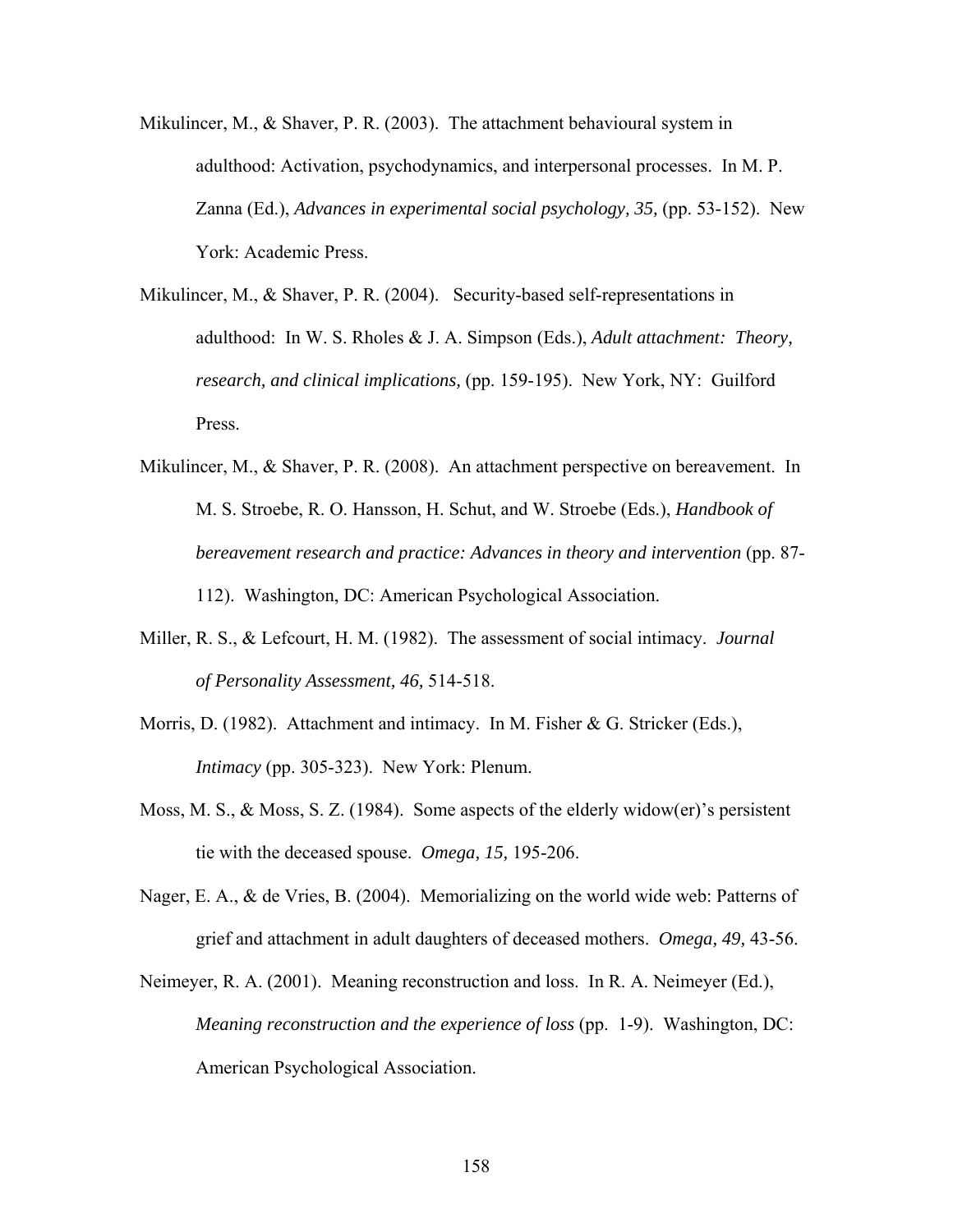- Mikulincer, M., & Shaver, P. R. (2003). The attachment behavioural system in adulthood: Activation, psychodynamics, and interpersonal processes. In M. P. Zanna (Ed.), *Advances in experimental social psychology, 35,* (pp. 53-152). New York: Academic Press.
- Mikulincer, M., & Shaver, P. R. (2004). Security-based self-representations in adulthood: In W. S. Rholes & J. A. Simpson (Eds.), *Adult attachment: Theory, research, and clinical implications,* (pp. 159-195). New York, NY: Guilford Press.
- Mikulincer, M., & Shaver, P. R. (2008). An attachment perspective on bereavement. In M. S. Stroebe, R. O. Hansson, H. Schut, and W. Stroebe (Eds.), *Handbook of bereavement research and practice: Advances in theory and intervention* (pp. 87- 112). Washington, DC: American Psychological Association.
- Miller, R. S., & Lefcourt, H. M. (1982). The assessment of social intimacy. *Journal of Personality Assessment, 46,* 514-518.
- Morris, D. (1982). Attachment and intimacy. In M. Fisher & G. Stricker (Eds.), *Intimacy* (pp. 305-323). New York: Plenum.
- Moss, M. S., & Moss, S. Z. (1984). Some aspects of the elderly widow(er)'s persistent tie with the deceased spouse. *Omega, 15,* 195-206.
- Nager, E. A., & de Vries, B. (2004). Memorializing on the world wide web: Patterns of grief and attachment in adult daughters of deceased mothers. *Omega, 49,* 43-56.
- Neimeyer, R. A. (2001). Meaning reconstruction and loss. In R. A. Neimeyer (Ed.), *Meaning reconstruction and the experience of loss* (pp. 1-9). Washington, DC: American Psychological Association.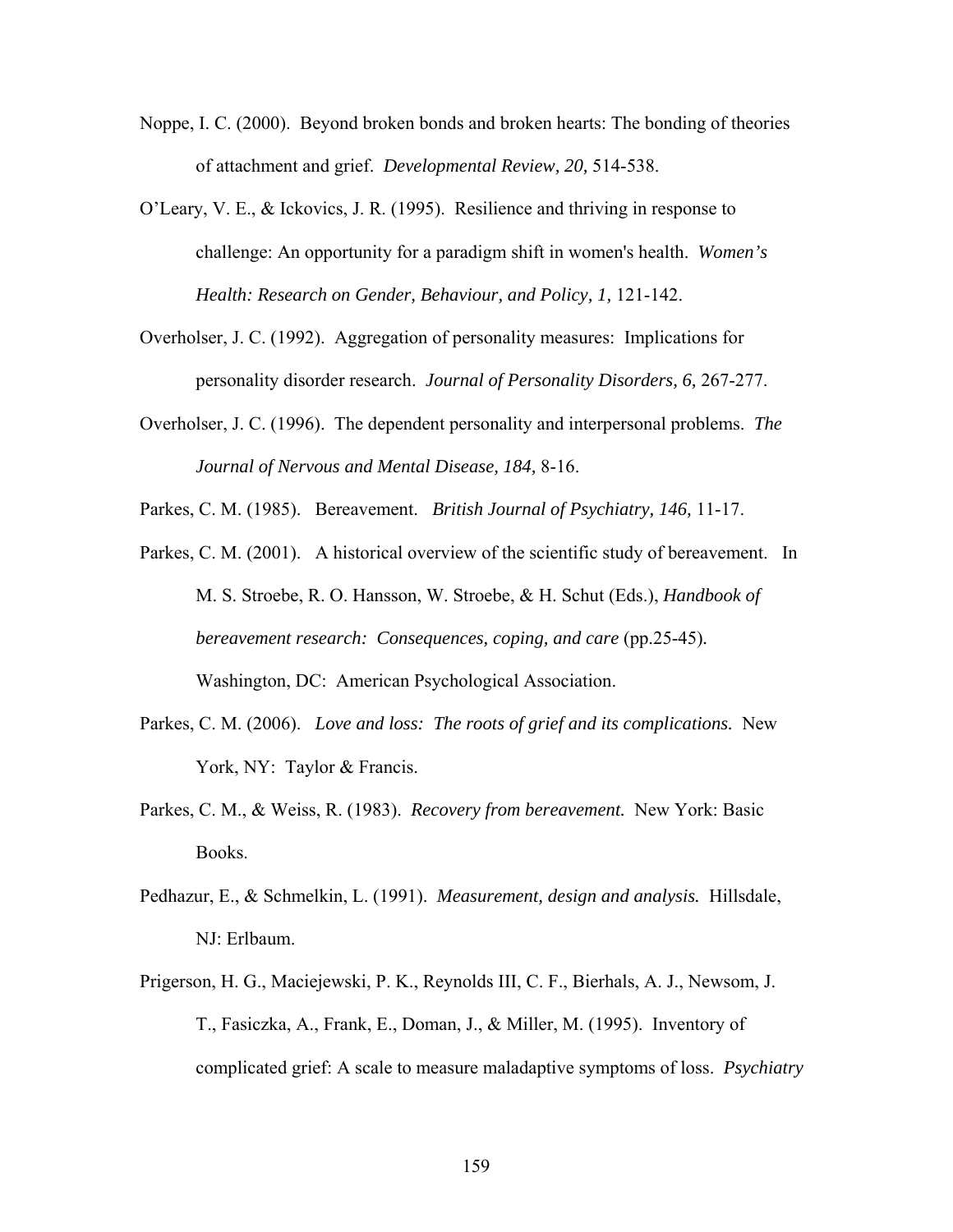- Noppe, I. C. (2000). Beyond broken bonds and broken hearts: The bonding of theories of attachment and grief. *Developmental Review, 20,* 514-538.
- O'Leary, V. E., & Ickovics, J. R. (1995). Resilience and thriving in response to challenge: An opportunity for a paradigm shift in women's health. *Women's Health: Research on Gender, Behaviour, and Policy, 1, 121-142.*
- Overholser, J. C. (1992). Aggregation of personality measures: Implications for personality disorder research. *Journal of Personality Disorders, 6,* 267-277.
- Overholser, J. C. (1996). The dependent personality and interpersonal problems. *The Journal of Nervous and Mental Disease, 184,* 8-16.

Parkes, C. M. (1985). Bereavement. *British Journal of Psychiatry, 146,* 11-17.

- Parkes, C. M. (2001). A historical overview of the scientific study of bereavement. In M. S. Stroebe, R. O. Hansson, W. Stroebe, & H. Schut (Eds.), *Handbook of bereavement research: Consequences, coping, and care* (pp.25-45)*.*  Washington, DC: American Psychological Association.
- Parkes, C. M. (2006). *Love and loss: The roots of grief and its complications.* New York, NY: Taylor & Francis.
- Parkes, C. M., & Weiss, R. (1983). *Recovery from bereavement.* New York: Basic Books.
- Pedhazur, E., & Schmelkin, L. (1991). *Measurement, design and analysis.* Hillsdale, NJ: Erlbaum.
- Prigerson, H. G., Maciejewski, P. K., Reynolds III, C. F., Bierhals, A. J., Newsom, J. T., Fasiczka, A., Frank, E., Doman, J., & Miller, M. (1995). Inventory of complicated grief: A scale to measure maladaptive symptoms of loss. *Psychiatry*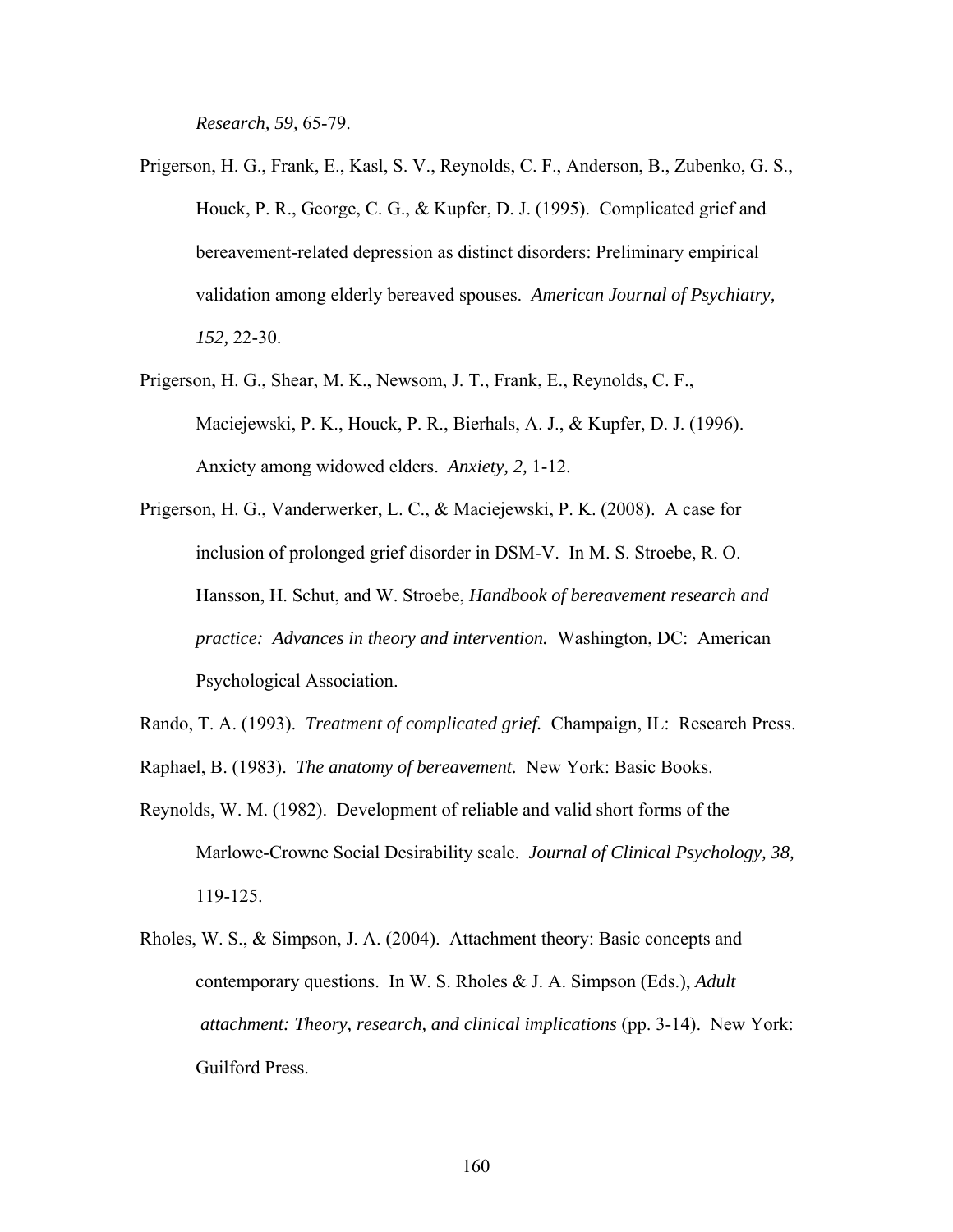*Research, 59,* 65-79.

- Prigerson, H. G., Frank, E., Kasl, S. V., Reynolds, C. F., Anderson, B., Zubenko, G. S., Houck, P. R., George, C. G., & Kupfer, D. J. (1995). Complicated grief and bereavement-related depression as distinct disorders: Preliminary empirical validation among elderly bereaved spouses. *American Journal of Psychiatry, 152,* 22-30.
- Prigerson, H. G., Shear, M. K., Newsom, J. T., Frank, E., Reynolds, C. F., Maciejewski, P. K., Houck, P. R., Bierhals, A. J., & Kupfer, D. J. (1996). Anxiety among widowed elders. *Anxiety, 2,* 1-12.
- Prigerson, H. G., Vanderwerker, L. C., & Maciejewski, P. K. (2008). A case for inclusion of prolonged grief disorder in DSM-V. In M. S. Stroebe, R. O. Hansson, H. Schut, and W. Stroebe, *Handbook of bereavement research and practice: Advances in theory and intervention.* Washington, DC: American Psychological Association.
- Rando, T. A. (1993). *Treatment of complicated grief.* Champaign, IL: Research Press.
- Raphael, B. (1983). *The anatomy of bereavement.* New York: Basic Books.
- Reynolds, W. M. (1982). Development of reliable and valid short forms of the Marlowe-Crowne Social Desirability scale. *Journal of Clinical Psychology, 38,* 119-125.
- Rholes, W. S., & Simpson, J. A. (2004). Attachment theory: Basic concepts and contemporary questions. In W. S. Rholes & J. A. Simpson (Eds.), *Adult attachment: Theory, research, and clinical implications* (pp. 3-14). New York: Guilford Press.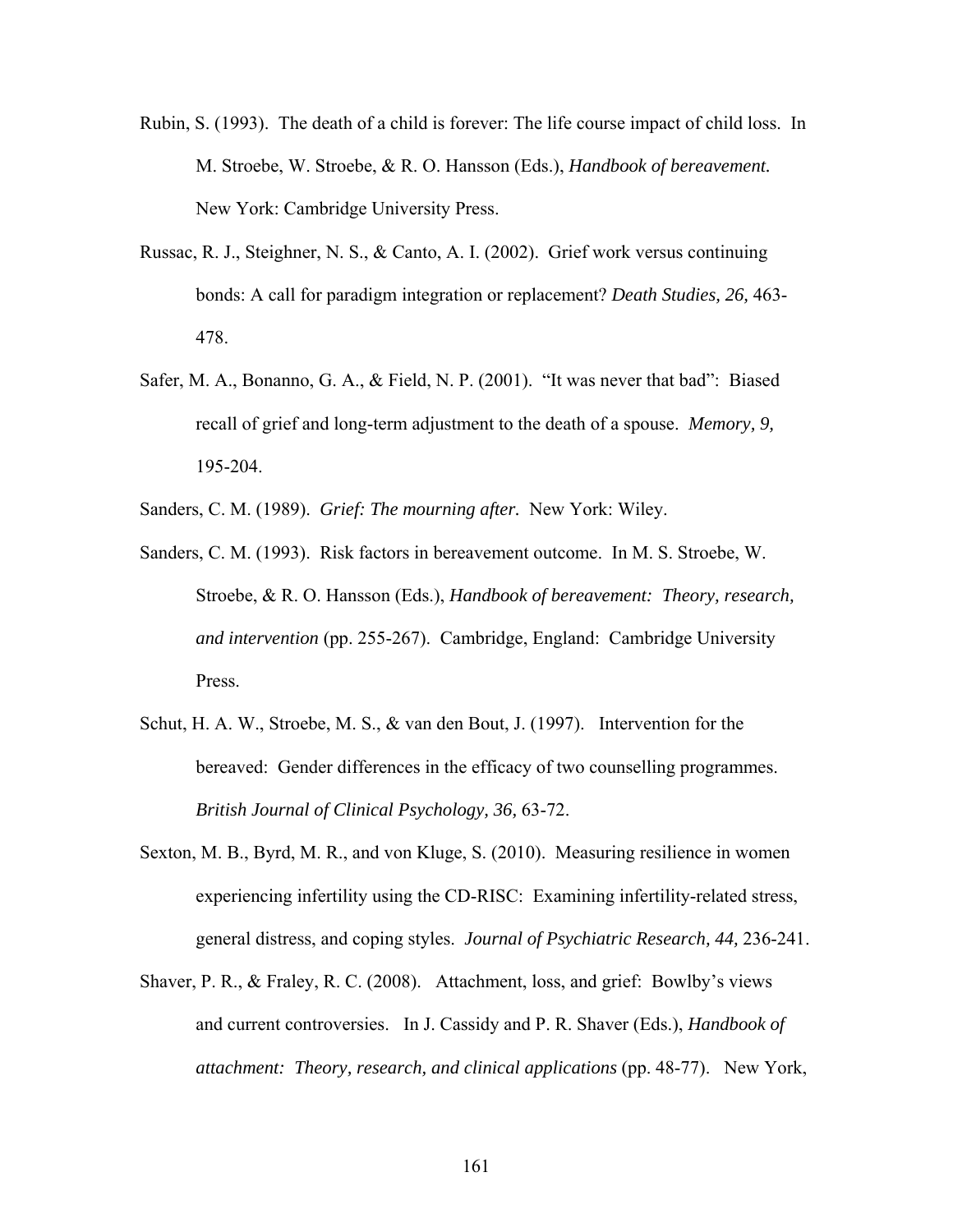- Rubin, S. (1993). The death of a child is forever: The life course impact of child loss. In M. Stroebe, W. Stroebe, & R. O. Hansson (Eds.), *Handbook of bereavement.*  New York: Cambridge University Press.
- Russac, R. J., Steighner, N. S., & Canto, A. I. (2002). Grief work versus continuing bonds: A call for paradigm integration or replacement? *Death Studies, 26,* 463- 478.
- Safer, M. A., Bonanno, G. A., & Field, N. P. (2001). "It was never that bad": Biased recall of grief and long-term adjustment to the death of a spouse. *Memory, 9,* 195-204.
- Sanders, C. M. (1989). *Grief: The mourning after.* New York: Wiley.
- Sanders, C. M. (1993). Risk factors in bereavement outcome. In M. S. Stroebe, W. Stroebe, & R. O. Hansson (Eds.), *Handbook of bereavement: Theory, research, and intervention* (pp. 255-267). Cambridge, England: Cambridge University Press.
- Schut, H. A. W., Stroebe, M. S., & van den Bout, J. (1997). Intervention for the bereaved: Gender differences in the efficacy of two counselling programmes. *British Journal of Clinical Psychology, 36,* 63-72.
- Sexton, M. B., Byrd, M. R., and von Kluge, S. (2010). Measuring resilience in women experiencing infertility using the CD-RISC: Examining infertility-related stress, general distress, and coping styles. *Journal of Psychiatric Research, 44,* 236-241.
- Shaver, P. R., & Fraley, R. C. (2008). Attachment, loss, and grief: Bowlby's views and current controversies. In J. Cassidy and P. R. Shaver (Eds.), *Handbook of attachment: Theory, research, and clinical applications* (pp. 48-77). New York,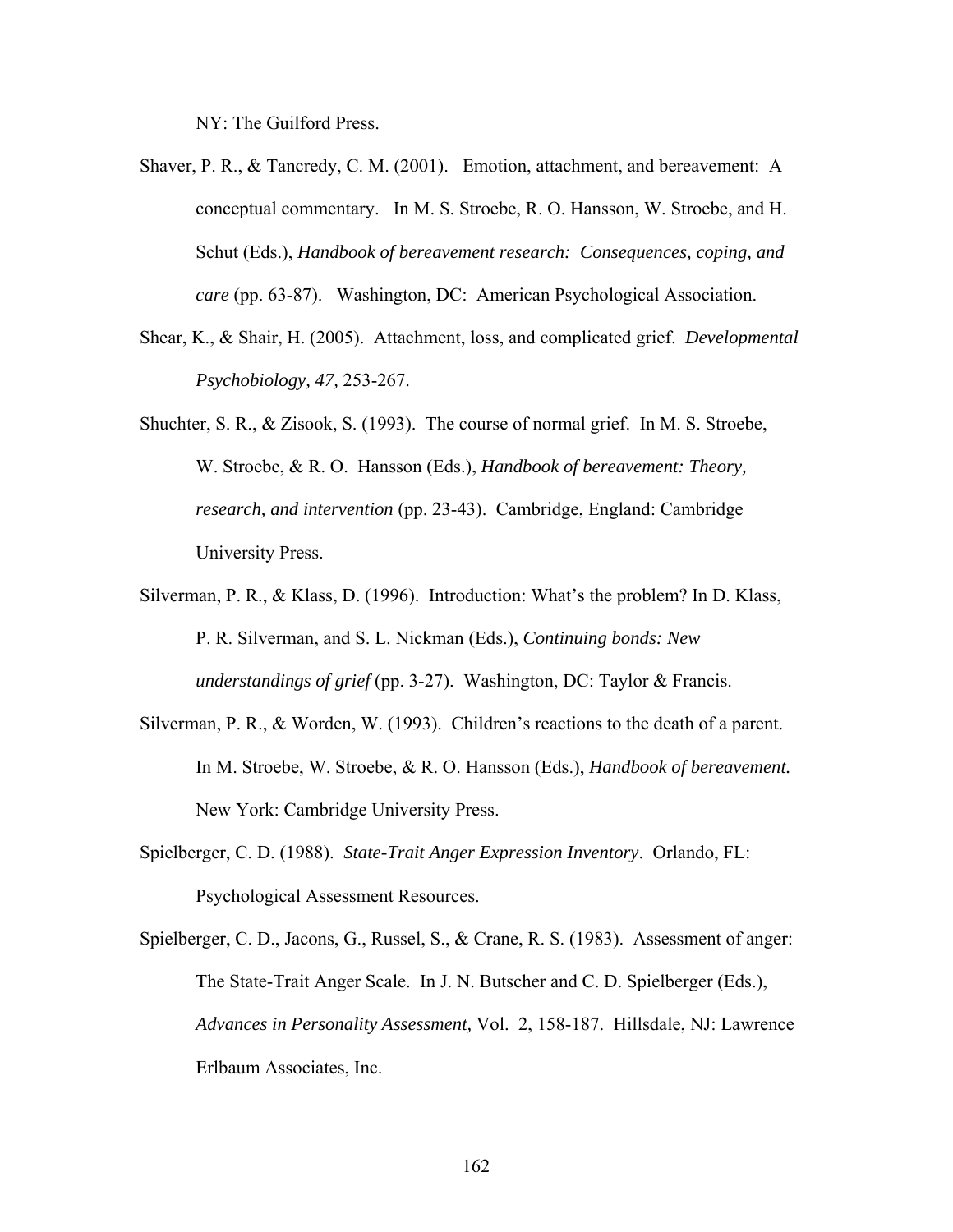NY: The Guilford Press.

Shaver, P. R., & Tancredy, C. M. (2001). Emotion, attachment, and bereavement: A conceptual commentary. In M. S. Stroebe, R. O. Hansson, W. Stroebe, and H. Schut (Eds.), *Handbook of bereavement research: Consequences, coping, and care* (pp. 63-87). Washington, DC: American Psychological Association.

- Shear, K., & Shair, H. (2005). Attachment, loss, and complicated grief. *Developmental Psychobiology, 47,* 253-267.
- Shuchter, S. R., & Zisook, S. (1993). The course of normal grief. In M. S. Stroebe, W. Stroebe, & R. O. Hansson (Eds.), *Handbook of bereavement: Theory, research, and intervention* (pp. 23-43). Cambridge, England: Cambridge University Press.
- Silverman, P. R., & Klass, D. (1996). Introduction: What's the problem? In D. Klass, P. R. Silverman, and S. L. Nickman (Eds.), *Continuing bonds: New understandings of grief* (pp. 3-27). Washington, DC: Taylor & Francis.
- Silverman, P. R., & Worden, W. (1993). Children's reactions to the death of a parent. In M. Stroebe, W. Stroebe, & R. O. Hansson (Eds.), *Handbook of bereavement.*  New York: Cambridge University Press.
- Spielberger, C. D. (1988). *State-Trait Anger Expression Inventory*. Orlando, FL: Psychological Assessment Resources.
- Spielberger, C. D., Jacons, G., Russel, S., & Crane, R. S. (1983). Assessment of anger: The State-Trait Anger Scale. In J. N. Butscher and C. D. Spielberger (Eds.), *Advances in Personality Assessment,* Vol. 2, 158-187. Hillsdale, NJ: Lawrence Erlbaum Associates, Inc.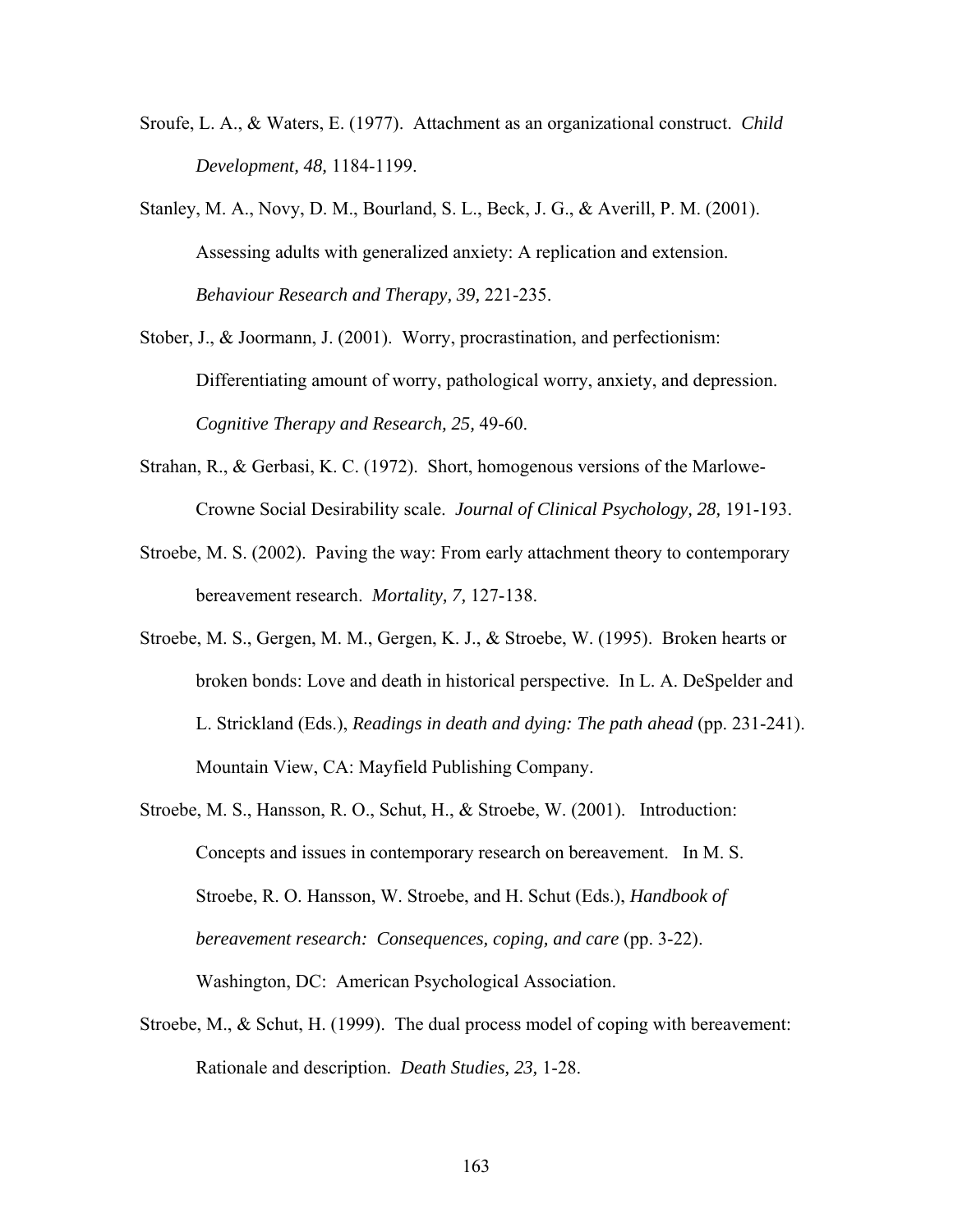- Sroufe, L. A., & Waters, E. (1977). Attachment as an organizational construct. *Child Development, 48,* 1184-1199.
- Stanley, M. A., Novy, D. M., Bourland, S. L., Beck, J. G., & Averill, P. M. (2001). Assessing adults with generalized anxiety: A replication and extension. *Behaviour Research and Therapy, 39,* 221-235.
- Stober, J., & Joormann, J. (2001). Worry, procrastination, and perfectionism: Differentiating amount of worry, pathological worry, anxiety, and depression. *Cognitive Therapy and Research, 25,* 49-60.
- Strahan, R., & Gerbasi, K. C. (1972). Short, homogenous versions of the Marlowe-Crowne Social Desirability scale. *Journal of Clinical Psychology, 28,* 191-193.
- Stroebe, M. S. (2002). Paving the way: From early attachment theory to contemporary bereavement research. *Mortality, 7,* 127-138.
- Stroebe, M. S., Gergen, M. M., Gergen, K. J., & Stroebe, W. (1995). Broken hearts or broken bonds: Love and death in historical perspective. In L. A. DeSpelder and L. Strickland (Eds.), *Readings in death and dying: The path ahead* (pp. 231-241). Mountain View, CA: Mayfield Publishing Company.
- Stroebe, M. S., Hansson, R. O., Schut, H., & Stroebe, W. (2001). Introduction: Concepts and issues in contemporary research on bereavement. In M. S. Stroebe, R. O. Hansson, W. Stroebe, and H. Schut (Eds.), *Handbook of bereavement research: Consequences, coping, and care (pp. 3-22).* Washington, DC: American Psychological Association.
- Stroebe, M., & Schut, H. (1999). The dual process model of coping with bereavement: Rationale and description. *Death Studies, 23,* 1-28.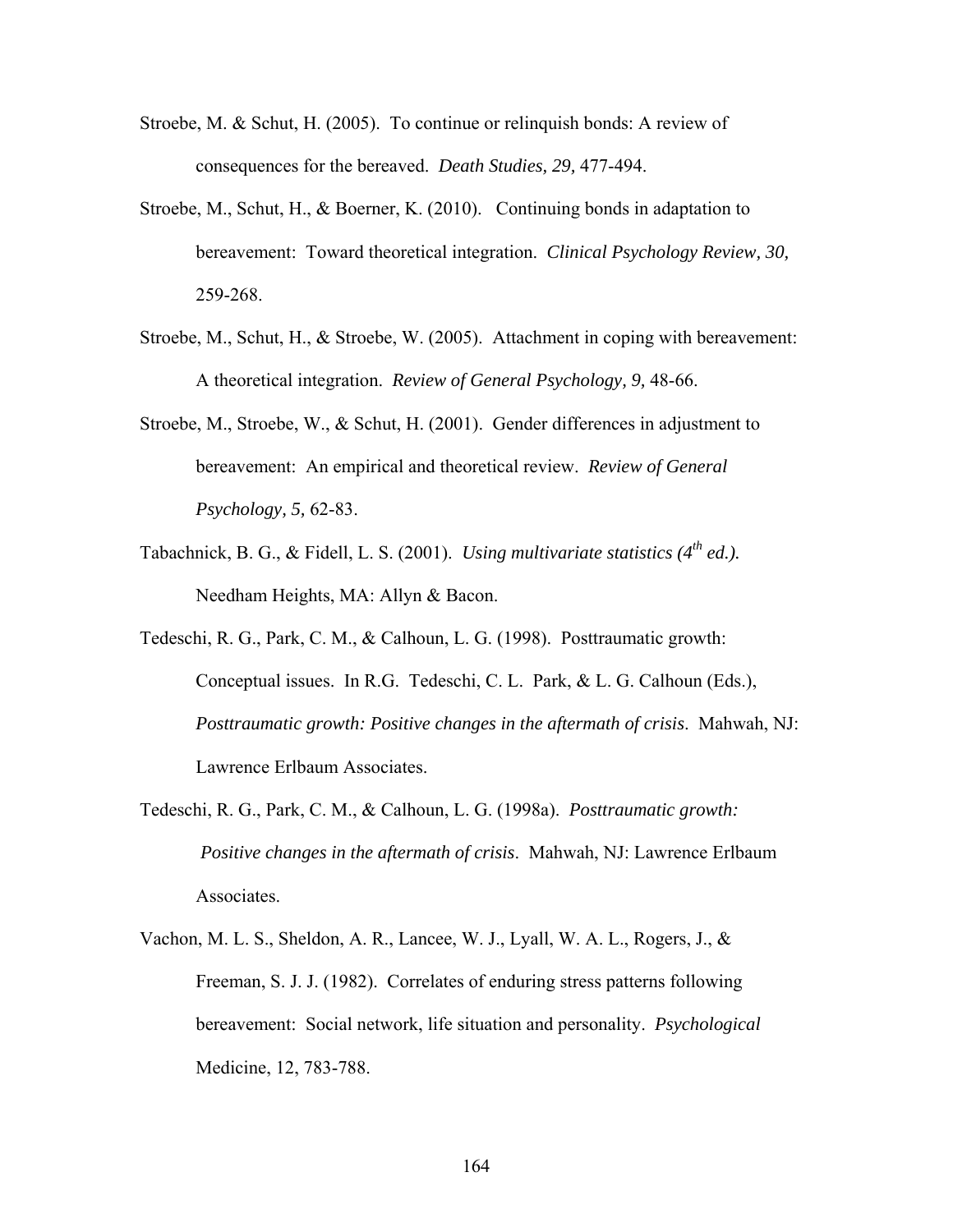- Stroebe, M. & Schut, H. (2005). To continue or relinquish bonds: A review of consequences for the bereaved. *Death Studies, 29,* 477-494.
- Stroebe, M., Schut, H., & Boerner, K. (2010). Continuing bonds in adaptation to bereavement: Toward theoretical integration. *Clinical Psychology Review, 30,* 259-268.
- Stroebe, M., Schut, H., & Stroebe, W. (2005). Attachment in coping with bereavement: A theoretical integration. *Review of General Psychology, 9,* 48-66.
- Stroebe, M., Stroebe, W., & Schut, H. (2001). Gender differences in adjustment to bereavement: An empirical and theoretical review. *Review of General Psychology, 5,* 62-83.
- Tabachnick, B. G., & Fidell, L. S. (2001). *Using multivariate statistics*  $(4^{th}$  *ed.*). Needham Heights, MA: Allyn & Bacon.
- Tedeschi, R. G., Park, C. M., & Calhoun, L. G. (1998). Posttraumatic growth: Conceptual issues. In R.G. Tedeschi, C. L. Park, & L. G. Calhoun (Eds.), *Posttraumatic growth: Positive changes in the aftermath of crisis*. Mahwah, NJ: Lawrence Erlbaum Associates.
- Tedeschi, R. G., Park, C. M., & Calhoun, L. G. (1998a). *Posttraumatic growth: Positive changes in the aftermath of crisis*. Mahwah, NJ: Lawrence Erlbaum Associates.
- Vachon, M. L. S., Sheldon, A. R., Lancee, W. J., Lyall, W. A. L., Rogers, J., & Freeman, S. J. J. (1982). Correlates of enduring stress patterns following bereavement: Social network, life situation and personality. *Psychological*  Medicine, 12, 783-788.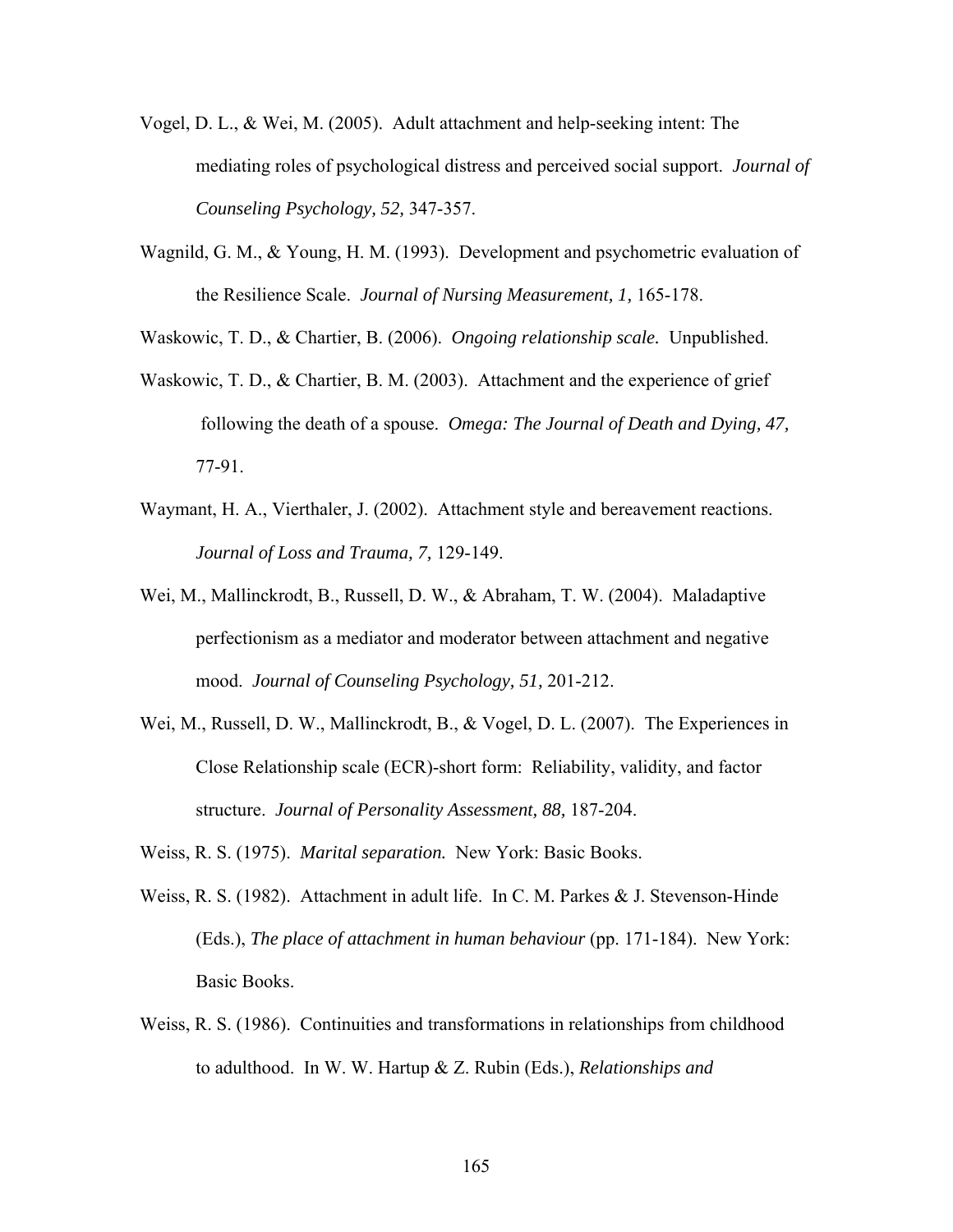- Vogel, D. L., & Wei, M. (2005). Adult attachment and help-seeking intent: The mediating roles of psychological distress and perceived social support. *Journal of Counseling Psychology, 52,* 347-357.
- Wagnild, G. M., & Young, H. M. (1993). Development and psychometric evaluation of the Resilience Scale. *Journal of Nursing Measurement, 1,* 165-178.

Waskowic, T. D., & Chartier, B. (2006). *Ongoing relationship scale.* Unpublished.

- Waskowic, T. D., & Chartier, B. M. (2003). Attachment and the experience of grief following the death of a spouse. *Omega: The Journal of Death and Dying, 47,* 77-91.
- Waymant, H. A., Vierthaler, J. (2002). Attachment style and bereavement reactions. *Journal of Loss and Trauma, 7,* 129-149.
- Wei, M., Mallinckrodt, B., Russell, D. W., & Abraham, T. W. (2004). Maladaptive perfectionism as a mediator and moderator between attachment and negative mood. *Journal of Counseling Psychology, 51,* 201-212.
- Wei, M., Russell, D. W., Mallinckrodt, B., & Vogel, D. L. (2007). The Experiences in Close Relationship scale (ECR)-short form: Reliability, validity, and factor structure. *Journal of Personality Assessment, 88,* 187-204.
- Weiss, R. S. (1975). *Marital separation.* New York: Basic Books.
- Weiss, R. S. (1982). Attachment in adult life. In C. M. Parkes & J. Stevenson-Hinde (Eds.), *The place of attachment in human behaviour* (pp. 171-184). New York: Basic Books.
- Weiss, R. S. (1986). Continuities and transformations in relationships from childhood to adulthood. In W. W. Hartup & Z. Rubin (Eds.), *Relationships and*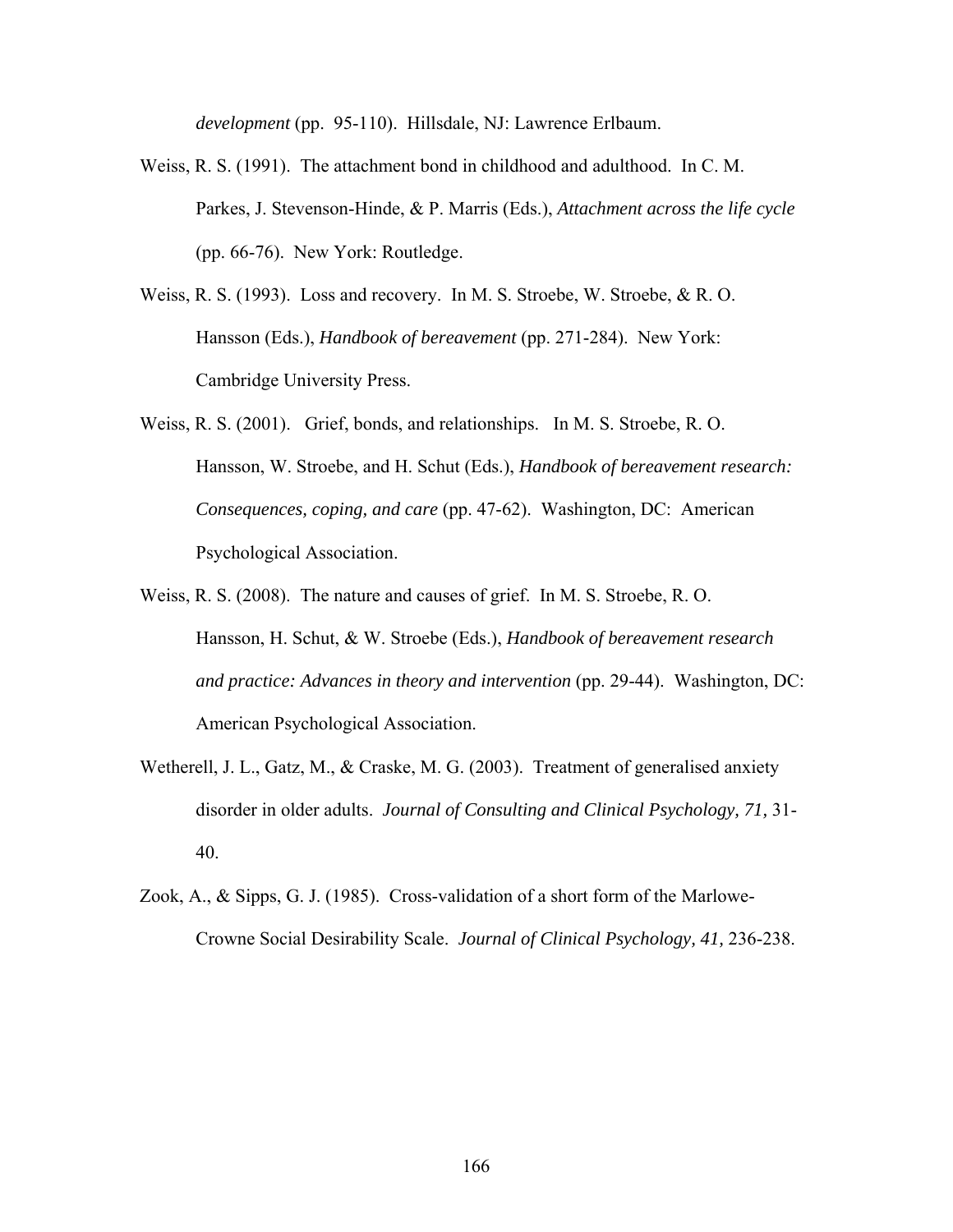*development* (pp. 95-110). Hillsdale, NJ: Lawrence Erlbaum.

- Weiss, R. S. (1991). The attachment bond in childhood and adulthood. In C. M. Parkes, J. Stevenson-Hinde, & P. Marris (Eds.), *Attachment across the life cycle* (pp. 66-76). New York: Routledge.
- Weiss, R. S. (1993). Loss and recovery. In M. S. Stroebe, W. Stroebe, & R. O. Hansson (Eds.), *Handbook of bereavement* (pp. 271-284). New York: Cambridge University Press.
- Weiss, R. S. (2001). Grief, bonds, and relationships. In M. S. Stroebe, R. O. Hansson, W. Stroebe, and H. Schut (Eds.), *Handbook of bereavement research: Consequences, coping, and care* (pp. 47-62). Washington, DC: American Psychological Association.
- Weiss, R. S. (2008). The nature and causes of grief. In M. S. Stroebe, R. O. Hansson, H. Schut, & W. Stroebe (Eds.), *Handbook of bereavement research and practice: Advances in theory and intervention* (pp. 29-44). Washington, DC: American Psychological Association.
- Wetherell, J. L., Gatz, M., & Craske, M. G. (2003). Treatment of generalised anxiety disorder in older adults. *Journal of Consulting and Clinical Psychology, 71,* 31- 40.
- Zook, A., & Sipps, G. J. (1985). Cross-validation of a short form of the Marlowe-Crowne Social Desirability Scale. *Journal of Clinical Psychology, 41,* 236-238.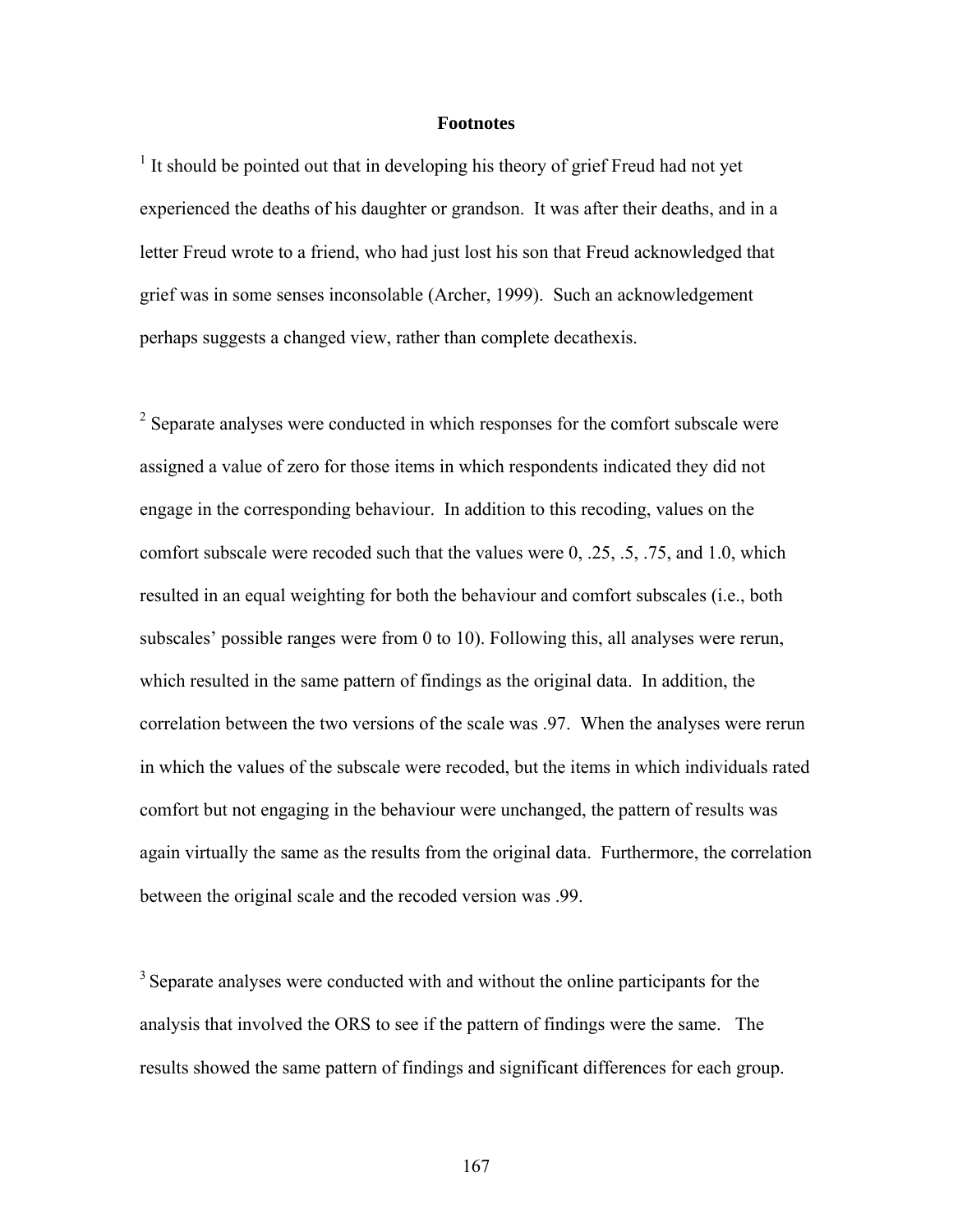## **Footnotes**

<sup>1</sup> It should be pointed out that in developing his theory of grief Freud had not yet experienced the deaths of his daughter or grandson. It was after their deaths, and in a letter Freud wrote to a friend, who had just lost his son that Freud acknowledged that grief was in some senses inconsolable (Archer, 1999). Such an acknowledgement perhaps suggests a changed view, rather than complete decathexis.

 $2^2$  Separate analyses were conducted in which responses for the comfort subscale were assigned a value of zero for those items in which respondents indicated they did not engage in the corresponding behaviour. In addition to this recoding, values on the comfort subscale were recoded such that the values were 0, .25, .5, .75, and 1.0, which resulted in an equal weighting for both the behaviour and comfort subscales (i.e., both subscales' possible ranges were from 0 to 10). Following this, all analyses were rerun, which resulted in the same pattern of findings as the original data. In addition, the correlation between the two versions of the scale was .97. When the analyses were rerun in which the values of the subscale were recoded, but the items in which individuals rated comfort but not engaging in the behaviour were unchanged, the pattern of results was again virtually the same as the results from the original data. Furthermore, the correlation between the original scale and the recoded version was .99.

<sup>3</sup> Separate analyses were conducted with and without the online participants for the analysis that involved the ORS to see if the pattern of findings were the same. The results showed the same pattern of findings and significant differences for each group.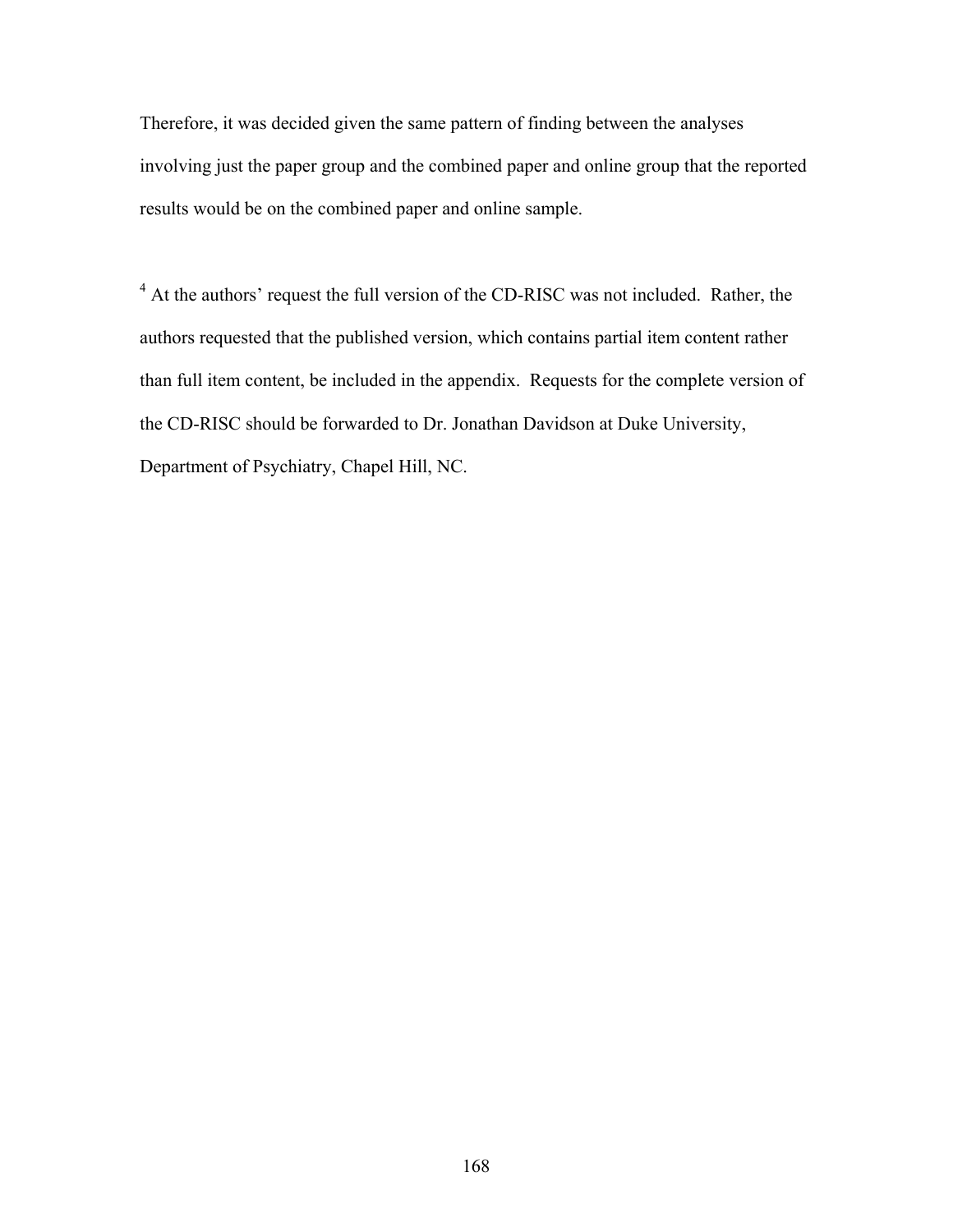Therefore, it was decided given the same pattern of finding between the analyses involving just the paper group and the combined paper and online group that the reported results would be on the combined paper and online sample.

<sup>4</sup> At the authors' request the full version of the CD-RISC was not included. Rather, the authors requested that the published version, which contains partial item content rather than full item content, be included in the appendix. Requests for the complete version of the CD-RISC should be forwarded to Dr. Jonathan Davidson at Duke University, Department of Psychiatry, Chapel Hill, NC.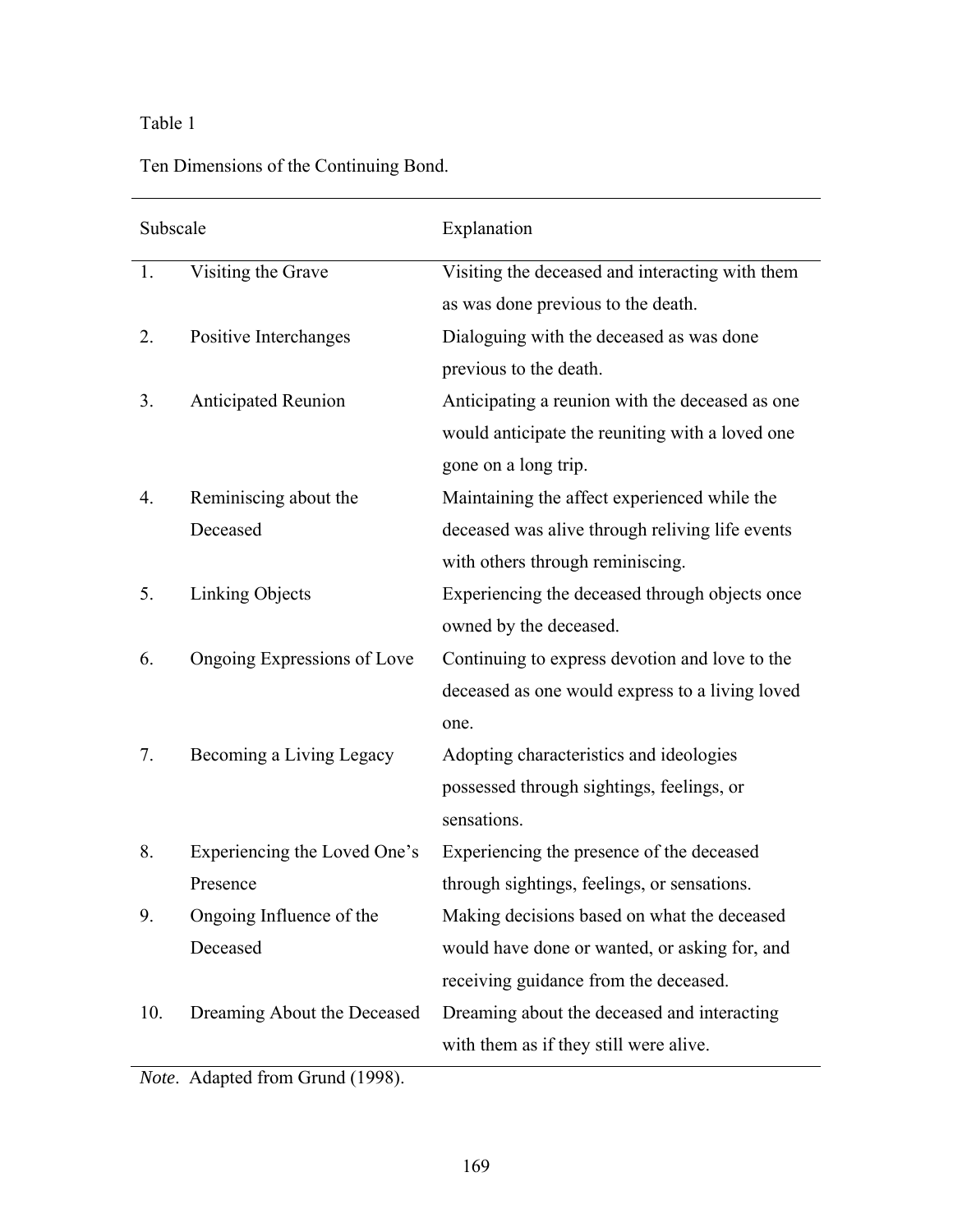# Table 1

Ten Dimensions of the Continuing Bond.

| Subscale |                              | Explanation                                     |
|----------|------------------------------|-------------------------------------------------|
| 1.       | Visiting the Grave           | Visiting the deceased and interacting with them |
|          |                              | as was done previous to the death.              |
| 2.       | Positive Interchanges        | Dialoguing with the deceased as was done        |
|          |                              | previous to the death.                          |
| 3.       | <b>Anticipated Reunion</b>   | Anticipating a reunion with the deceased as one |
|          |                              | would anticipate the reuniting with a loved one |
|          |                              | gone on a long trip.                            |
| 4.       | Reminiscing about the        | Maintaining the affect experienced while the    |
|          | Deceased                     | deceased was alive through reliving life events |
|          |                              | with others through reminiscing.                |
| 5.       | Linking Objects              | Experiencing the deceased through objects once  |
|          |                              | owned by the deceased.                          |
| 6.       | Ongoing Expressions of Love  | Continuing to express devotion and love to the  |
|          |                              | deceased as one would express to a living loved |
|          |                              | one.                                            |
| 7.       | Becoming a Living Legacy     | Adopting characteristics and ideologies         |
|          |                              | possessed through sightings, feelings, or       |
|          |                              | sensations.                                     |
| 8.       | Experiencing the Loved One's | Experiencing the presence of the deceased       |
|          | Presence                     | through sightings, feelings, or sensations.     |
| 9.       | Ongoing Influence of the     | Making decisions based on what the deceased     |
|          | Deceased                     | would have done or wanted, or asking for, and   |
|          |                              | receiving guidance from the deceased.           |
| 10.      | Dreaming About the Deceased  | Dreaming about the deceased and interacting     |
|          |                              | with them as if they still were alive.          |

*Note*. Adapted from Grund (1998).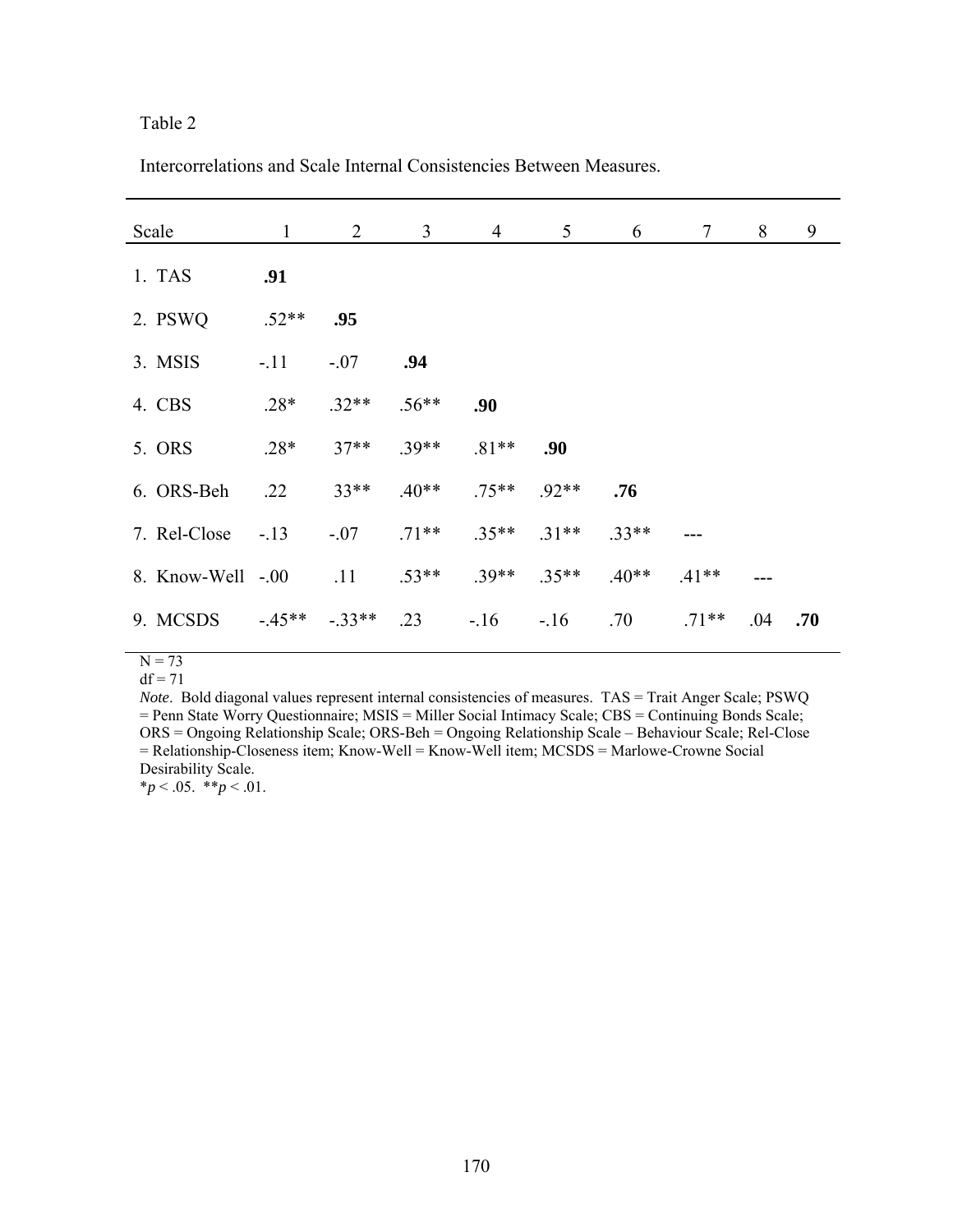Intercorrelations and Scale Internal Consistencies Between Measures.

| Scale             | $\mathbf{1}$ | $\overline{2}$ | $\overline{3}$ | $\overline{4}$ | 5       | 6       | $\tau$  | 8   | 9   |
|-------------------|--------------|----------------|----------------|----------------|---------|---------|---------|-----|-----|
| 1. TAS            | .91          |                |                |                |         |         |         |     |     |
| 2. PSWQ           | $.52**$      | .95            |                |                |         |         |         |     |     |
| 3. MSIS           | $-.11$       | $-.07$         | .94            |                |         |         |         |     |     |
| 4. CBS            | $.28*$       | $.32**$        | $.56**$        | .90            |         |         |         |     |     |
| 5. ORS            | $.28*$       | $37**$         | $.39**$        | $.81**$        | .90     |         |         |     |     |
| 6. ORS-Beh        | .22          | $33**$         | $.40**$        | $.75***$       | $.92**$ | .76     |         |     |     |
| 7. Rel-Close      | $-.13$       | $-.07$         | $.71**$        | $.35**$        | $.31**$ | $.33**$ |         |     |     |
| 8. Know-Well -.00 |              | .11            | $.53**$        | $.39**$        | $.35**$ | $.40**$ | $.41**$ |     |     |
| 9. MCSDS          | $-45**$      | $-.33**$       | .23            | $-16$          | $-16$   | .70     | $.71**$ | .04 | .70 |

 $N = 73$ 

 $df = 71$ 

*Note*. Bold diagonal values represent internal consistencies of measures. TAS = Trait Anger Scale; PSWQ = Penn State Worry Questionnaire; MSIS = Miller Social Intimacy Scale; CBS = Continuing Bonds Scale; ORS = Ongoing Relationship Scale; ORS-Beh = Ongoing Relationship Scale – Behaviour Scale; Rel-Close  $=$  Relationship-Closeness item; Know-Well = Know-Well item; MCSDS = Marlowe-Crowne Social Desirability Scale.

 $*_{p}$  < .05.  $*_{p}$  < .01.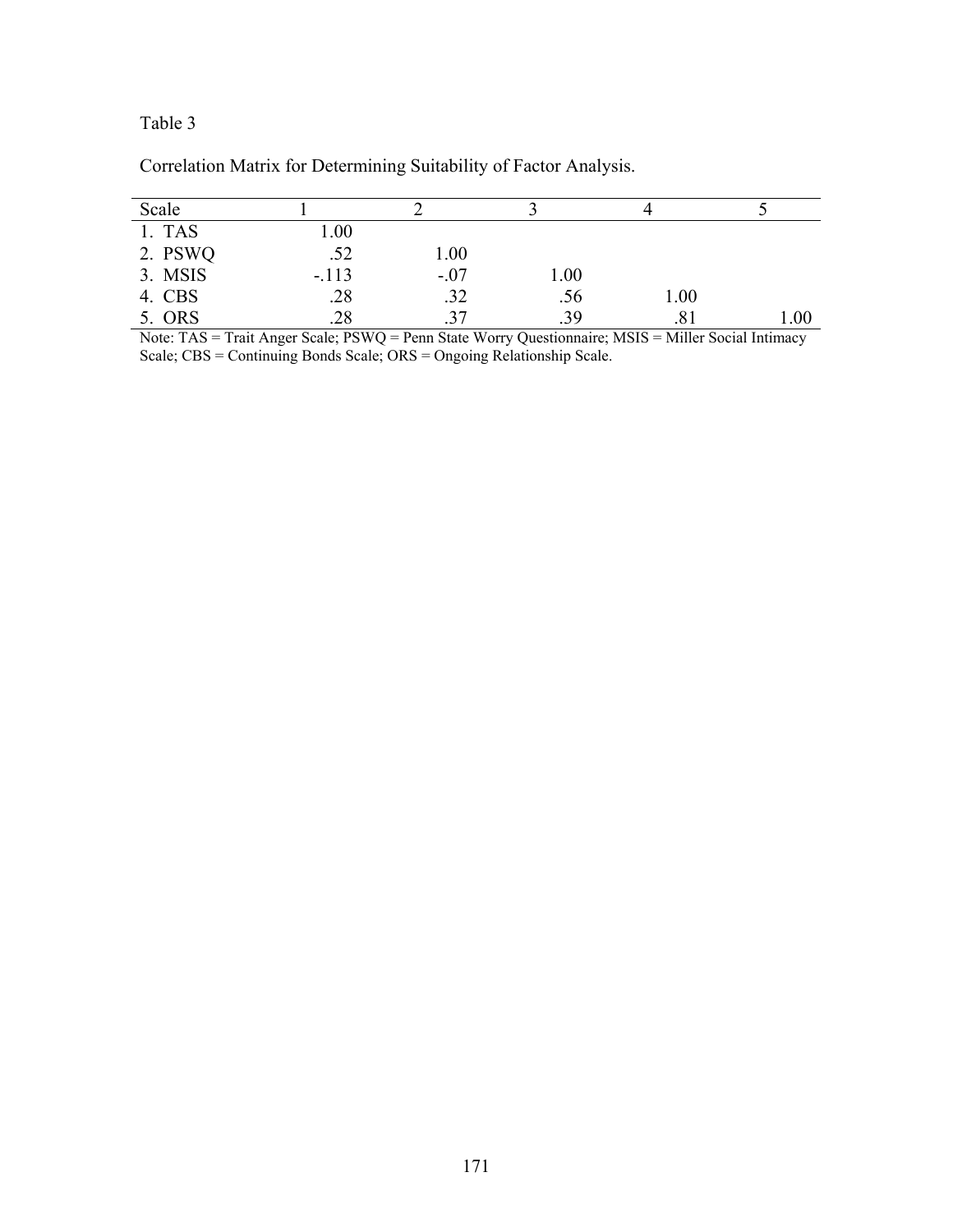| Scale   |         |        |      |      |      |
|---------|---------|--------|------|------|------|
| 1. TAS  | 00.1    |        |      |      |      |
| 2. PSWQ | .52     | 1.00   |      |      |      |
| 3. MSIS | $-.113$ | $-.07$ | 1.00 |      |      |
| 4. CBS  | .28     | .32    | .56  | 1.00 |      |
| 5. ORS  | .28     | .37    | .39  | .81  | 00.1 |

Correlation Matrix for Determining Suitability of Factor Analysis.

Note: TAS = Trait Anger Scale; PSWQ = Penn State Worry Questionnaire; MSIS = Miller Social Intimacy Scale; CBS = Continuing Bonds Scale; ORS = Ongoing Relationship Scale.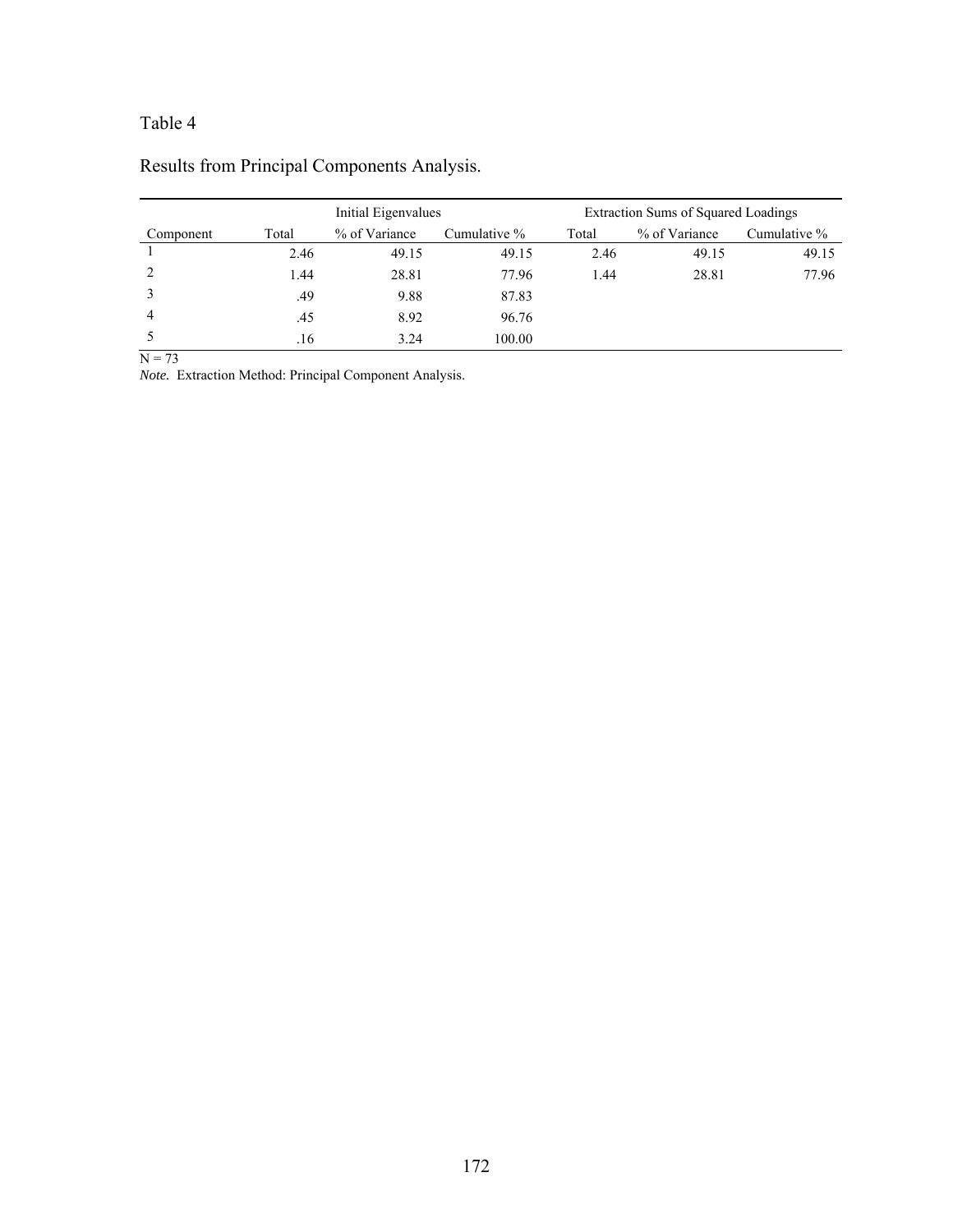|           |       | Initial Eigenvalues |              |       | Extraction Sums of Squared Loadings |              |
|-----------|-------|---------------------|--------------|-------|-------------------------------------|--------------|
| Component | Total | % of Variance       | Cumulative % | Total | % of Variance                       | Cumulative % |
|           | 2.46  | 49.15               | 49.15        | 2.46  | 49.15                               | 49.15        |
|           | 1.44  | 28.81               | 77.96        | 1.44  | 28.81                               | 77.96        |
|           | .49   | 9.88                | 87.83        |       |                                     |              |
| 4         | .45   | 8.92                | 96.76        |       |                                     |              |
|           | .16   | 3.24                | 100.00       |       |                                     |              |

# Results from Principal Components Analysis.

 $N = 73$ 

*Note.* Extraction Method: Principal Component Analysis.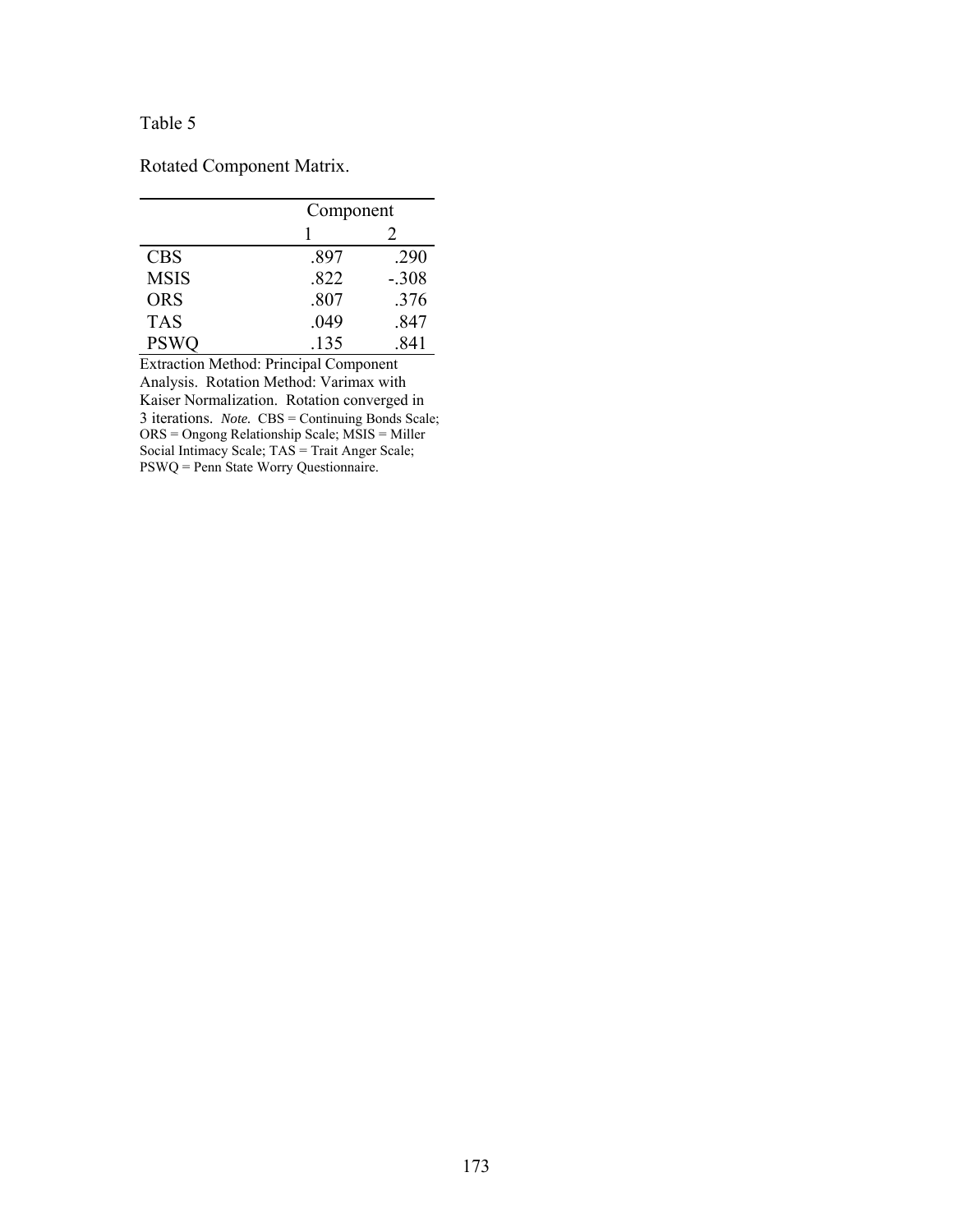Rotated Component Matrix.

|             |      | Component                   |  |  |  |  |
|-------------|------|-----------------------------|--|--|--|--|
|             |      | $\mathcal{D}_{\mathcal{L}}$ |  |  |  |  |
| <b>CBS</b>  | .897 | .290                        |  |  |  |  |
| <b>MSIS</b> | .822 | $-.308$                     |  |  |  |  |
| <b>ORS</b>  | .807 | .376                        |  |  |  |  |
| <b>TAS</b>  | .049 | .847                        |  |  |  |  |
| <b>PSWQ</b> | .135 | 841                         |  |  |  |  |

Extraction Method: Principal Component Analysis. Rotation Method: Varimax with Kaiser Normalization. Rotation converged in 3 iterations. *Note.* CBS = Continuing Bonds Scale; ORS = Ongong Relationship Scale; MSIS = Miller Social Intimacy Scale; TAS = Trait Anger Scale; PSWQ = Penn State Worry Questionnaire.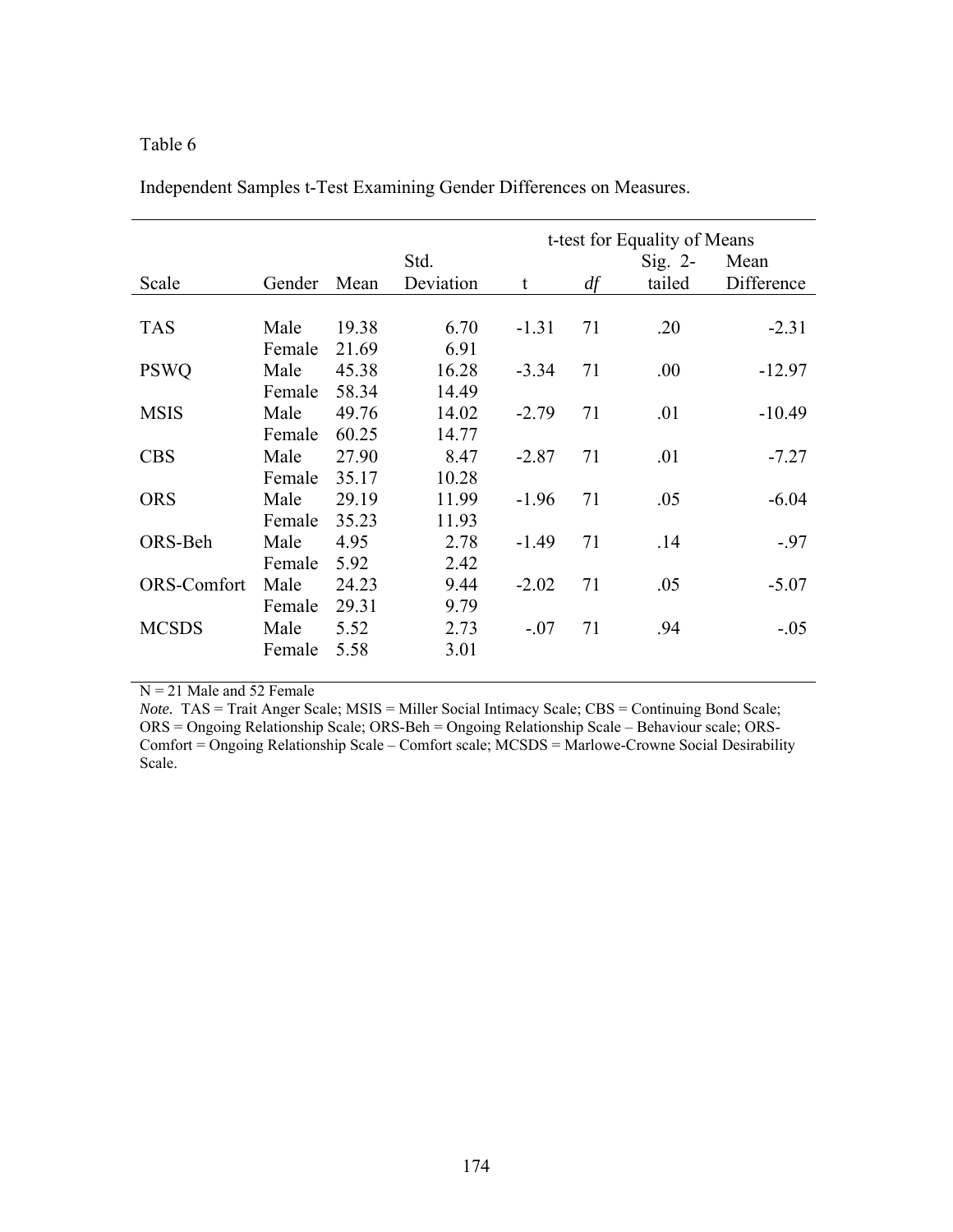|              |        |       |           |         | t-test for Equality of Means |           |            |  |  |
|--------------|--------|-------|-----------|---------|------------------------------|-----------|------------|--|--|
|              |        |       | Std.      |         |                              | $Sig. 2-$ | Mean       |  |  |
| Scale        | Gender | Mean  | Deviation | t       | df                           | tailed    | Difference |  |  |
|              |        |       |           |         |                              |           |            |  |  |
| <b>TAS</b>   | Male   | 19.38 | 6.70      | $-1.31$ | 71                           | .20       | $-2.31$    |  |  |
|              | Female | 21.69 | 6.91      |         |                              |           |            |  |  |
| <b>PSWQ</b>  | Male   | 45.38 | 16.28     | $-3.34$ | 71                           | .00.      | $-12.97$   |  |  |
|              | Female | 58.34 | 14.49     |         |                              |           |            |  |  |
| <b>MSIS</b>  | Male   | 49.76 | 14.02     | $-2.79$ | 71                           | .01       | $-10.49$   |  |  |
|              | Female | 60.25 | 14.77     |         |                              |           |            |  |  |
| <b>CBS</b>   | Male   | 27.90 | 8.47      | $-2.87$ | 71                           | .01       | $-7.27$    |  |  |
|              | Female | 35.17 | 10.28     |         |                              |           |            |  |  |
| <b>ORS</b>   | Male   | 29.19 | 11.99     | $-1.96$ | 71                           | .05       | $-6.04$    |  |  |
|              | Female | 35.23 | 11.93     |         |                              |           |            |  |  |
| ORS-Beh      | Male   | 4.95  | 2.78      | $-1.49$ | 71                           | .14       | $-.97$     |  |  |
|              | Female | 5.92  | 2.42      |         |                              |           |            |  |  |
| ORS-Comfort  | Male   | 24.23 | 9.44      | $-2.02$ | 71                           | .05       | $-5.07$    |  |  |
|              | Female | 29.31 | 9.79      |         |                              |           |            |  |  |
| <b>MCSDS</b> | Male   | 5.52  | 2.73      | $-.07$  | 71                           | .94       | $-.05$     |  |  |
|              | Female | 5.58  | 3.01      |         |                              |           |            |  |  |
|              |        |       |           |         |                              |           |            |  |  |

Independent Samples t-Test Examining Gender Differences on Measures.

 $N = 21$  Male and 52 Female

*Note.* TAS = Trait Anger Scale; MSIS = Miller Social Intimacy Scale; CBS = Continuing Bond Scale; ORS = Ongoing Relationship Scale; ORS-Beh = Ongoing Relationship Scale – Behaviour scale; ORS-Comfort = Ongoing Relationship Scale – Comfort scale; MCSDS = Marlowe-Crowne Social Desirability Scale.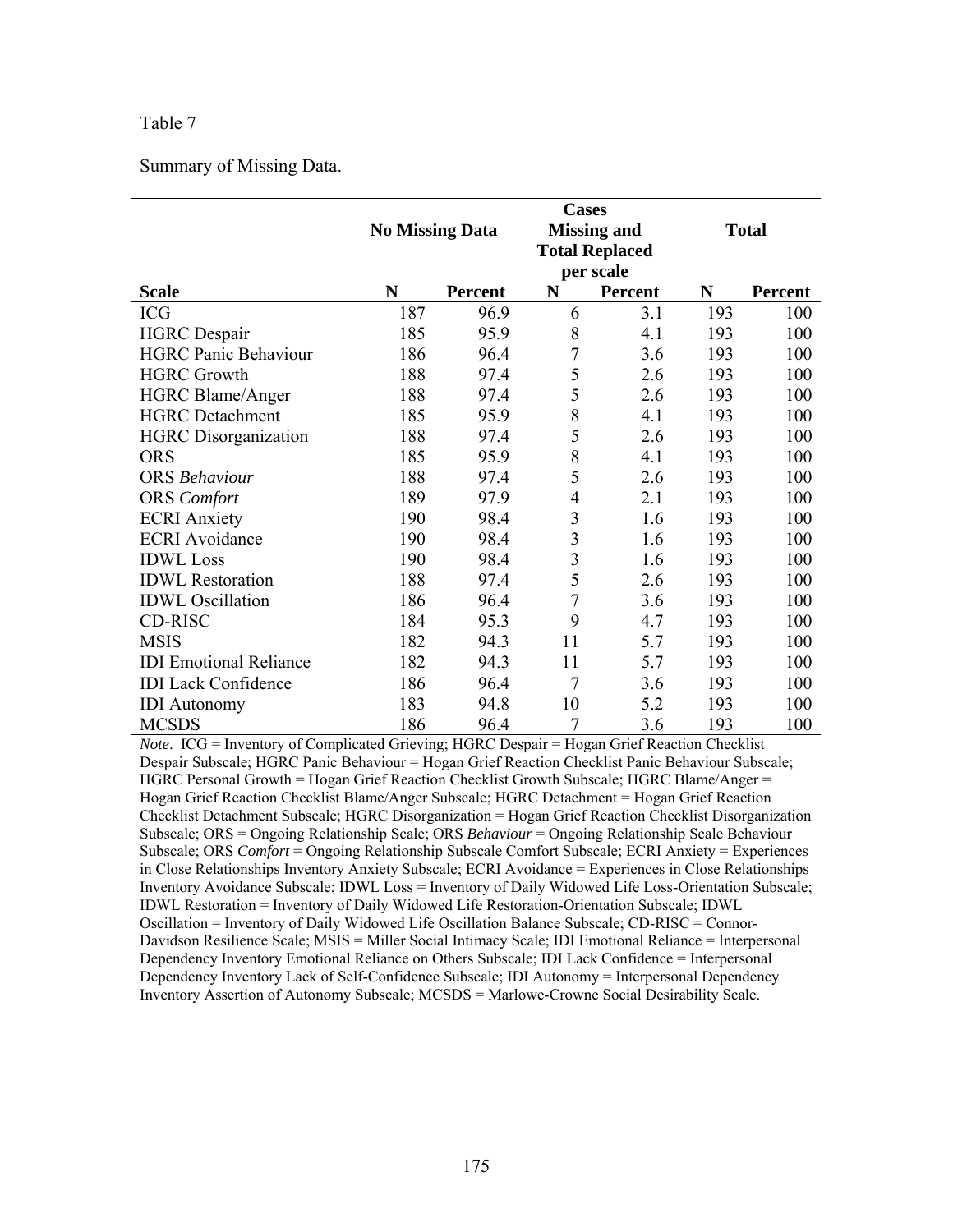Summary of Missing Data.

|                               |     | <b>No Missing Data</b> | <b>Cases</b>            | <b>Missing and</b><br><b>Total Replaced</b><br>per scale | <b>Total</b> |                |
|-------------------------------|-----|------------------------|-------------------------|----------------------------------------------------------|--------------|----------------|
| <b>Scale</b>                  | N   | <b>Percent</b>         | N                       | Percent                                                  | $\mathbf N$  | <b>Percent</b> |
| <b>ICG</b>                    | 187 | 96.9                   | 6                       | 3.1                                                      | 193          | 100            |
| <b>HGRC</b> Despair           | 185 | 95.9                   | 8                       | 4.1                                                      | 193          | 100            |
| <b>HGRC Panic Behaviour</b>   | 186 | 96.4                   | 7                       | 3.6                                                      | 193          | 100            |
| <b>HGRC Growth</b>            | 188 | 97.4                   | 5                       | 2.6                                                      | 193          | 100            |
| <b>HGRC Blame/Anger</b>       | 188 | 97.4                   | 5                       | 2.6                                                      | 193          | 100            |
| <b>HGRC</b> Detachment        | 185 | 95.9                   | 8                       | 4.1                                                      | 193          | 100            |
| <b>HGRC</b> Disorganization   | 188 | 97.4                   | 5                       | 2.6                                                      | 193          | 100            |
| <b>ORS</b>                    | 185 | 95.9                   | 8                       | 4.1                                                      | 193          | 100            |
| <b>ORS</b> Behaviour          | 188 | 97.4                   | 5                       | 2.6                                                      | 193          | 100            |
| <b>ORS</b> Comfort            | 189 | 97.9                   | $\overline{4}$          | 2.1                                                      | 193          | 100            |
| <b>ECRI</b> Anxiety           | 190 | 98.4                   | 3                       | 1.6                                                      | 193          | 100            |
| <b>ECRI</b> Avoidance         | 190 | 98.4                   | 3                       | 1.6                                                      | 193          | 100            |
| <b>IDWL</b> Loss              | 190 | 98.4                   | $\overline{\mathbf{3}}$ | 1.6                                                      | 193          | 100            |
| <b>IDWL</b> Restoration       | 188 | 97.4                   | 5                       | 2.6                                                      | 193          | 100            |
| <b>IDWL</b> Oscillation       | 186 | 96.4                   | 7                       | 3.6                                                      | 193          | 100            |
| CD-RISC                       | 184 | 95.3                   | 9                       | 4.7                                                      | 193          | 100            |
| <b>MSIS</b>                   | 182 | 94.3                   | 11                      | 5.7                                                      | 193          | 100            |
| <b>IDI</b> Emotional Reliance | 182 | 94.3                   | 11                      | 5.7                                                      | 193          | 100            |
| <b>IDI</b> Lack Confidence    | 186 | 96.4                   | 7                       | 3.6                                                      | 193          | 100            |
| <b>IDI</b> Autonomy           | 183 | 94.8                   | 10                      | 5.2                                                      | 193          | 100            |
| <b>MCSDS</b>                  | 186 | 96.4                   | 7                       | 3.6                                                      | 193          | 100            |

*Note*. ICG = Inventory of Complicated Grieving; HGRC Despair = Hogan Grief Reaction Checklist Despair Subscale; HGRC Panic Behaviour = Hogan Grief Reaction Checklist Panic Behaviour Subscale; HGRC Personal Growth = Hogan Grief Reaction Checklist Growth Subscale; HGRC Blame/Anger = Hogan Grief Reaction Checklist Blame/Anger Subscale; HGRC Detachment = Hogan Grief Reaction Checklist Detachment Subscale; HGRC Disorganization = Hogan Grief Reaction Checklist Disorganization Subscale; ORS = Ongoing Relationship Scale; ORS *Behaviour* = Ongoing Relationship Scale Behaviour Subscale; ORS *Comfort* = Ongoing Relationship Subscale Comfort Subscale; ECRI Anxiety = Experiences in Close Relationships Inventory Anxiety Subscale; ECRI Avoidance = Experiences in Close Relationships Inventory Avoidance Subscale; IDWL Loss = Inventory of Daily Widowed Life Loss-Orientation Subscale; IDWL Restoration = Inventory of Daily Widowed Life Restoration-Orientation Subscale; IDWL Oscillation = Inventory of Daily Widowed Life Oscillation Balance Subscale; CD-RISC = Connor-Davidson Resilience Scale; MSIS = Miller Social Intimacy Scale; IDI Emotional Reliance = Interpersonal Dependency Inventory Emotional Reliance on Others Subscale; IDI Lack Confidence = Interpersonal Dependency Inventory Lack of Self-Confidence Subscale; IDI Autonomy = Interpersonal Dependency Inventory Assertion of Autonomy Subscale; MCSDS = Marlowe-Crowne Social Desirability Scale.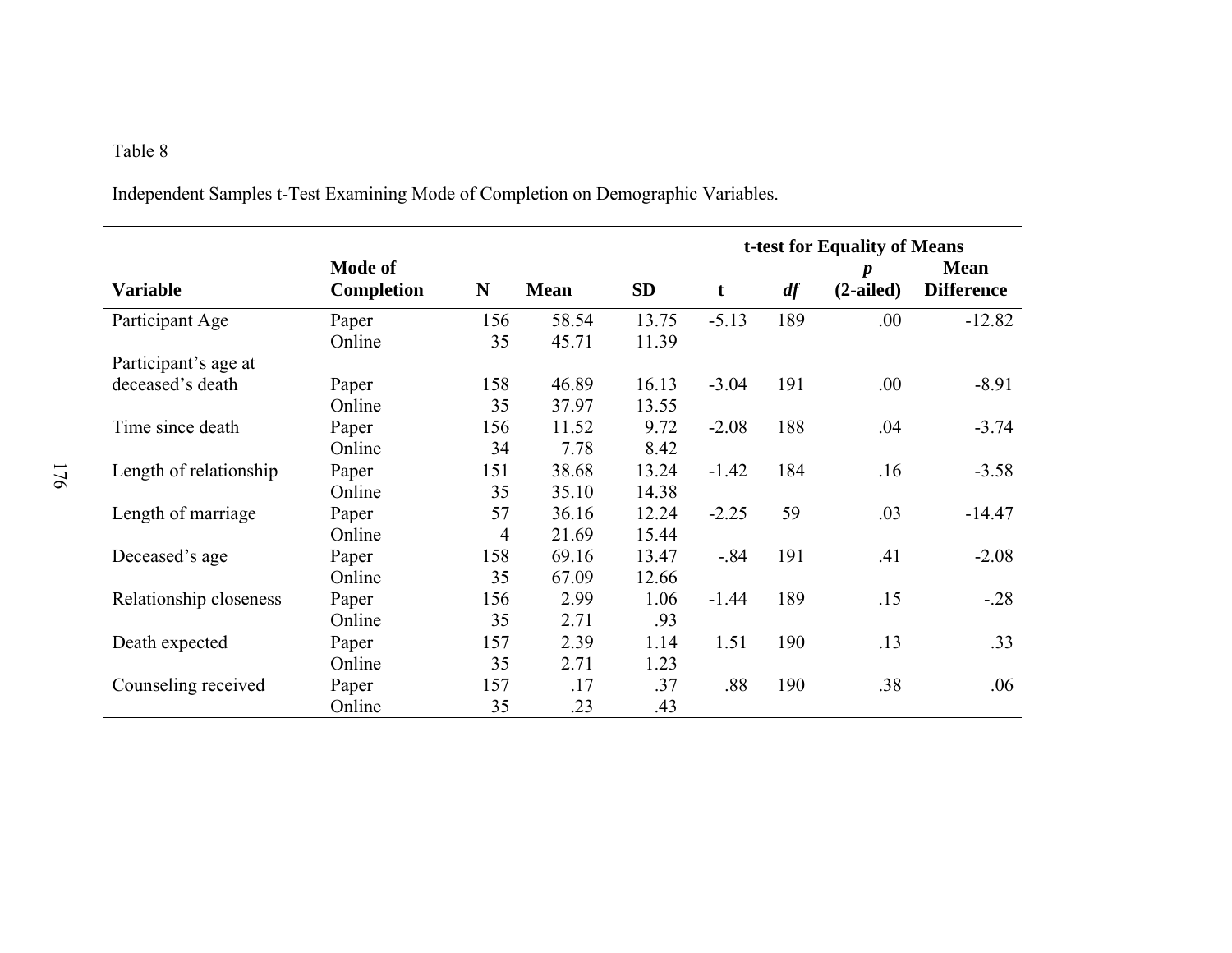Independent Samples t-Test Examining Mode of Completion on Demographic Variables.

|                        |                              |                |             |           | t-test for Equality of Means |     |                                 |                                  |  |  |
|------------------------|------------------------------|----------------|-------------|-----------|------------------------------|-----|---------------------------------|----------------------------------|--|--|
| <b>Variable</b>        | Mode of<br><b>Completion</b> | N              | <b>Mean</b> | <b>SD</b> | t                            | df  | $\boldsymbol{p}$<br>$(2-ailed)$ | <b>Mean</b><br><b>Difference</b> |  |  |
| Participant Age        | Paper                        | 156            | 58.54       | 13.75     | $-5.13$                      | 189 | .00                             | $-12.82$                         |  |  |
|                        | Online                       | 35             | 45.71       | 11.39     |                              |     |                                 |                                  |  |  |
| Participant's age at   |                              |                |             |           |                              |     |                                 |                                  |  |  |
| deceased's death       | Paper                        | 158            | 46.89       | 16.13     | $-3.04$                      | 191 | .00.                            | $-8.91$                          |  |  |
|                        | Online                       | 35             | 37.97       | 13.55     |                              |     |                                 |                                  |  |  |
| Time since death       | Paper                        | 156            | 11.52       | 9.72      | $-2.08$                      | 188 | .04                             | $-3.74$                          |  |  |
|                        | Online                       | 34             | 7.78        | 8.42      |                              |     |                                 |                                  |  |  |
| Length of relationship | Paper                        | 151            | 38.68       | 13.24     | $-1.42$                      | 184 | .16                             | $-3.58$                          |  |  |
|                        | Online                       | 35             | 35.10       | 14.38     |                              |     |                                 |                                  |  |  |
| Length of marriage     | Paper                        | 57             | 36.16       | 12.24     | $-2.25$                      | 59  | .03                             | $-14.47$                         |  |  |
|                        | Online                       | $\overline{4}$ | 21.69       | 15.44     |                              |     |                                 |                                  |  |  |
| Deceased's age         | Paper                        | 158            | 69.16       | 13.47     | $-0.84$                      | 191 | .41                             | $-2.08$                          |  |  |
|                        | Online                       | 35             | 67.09       | 12.66     |                              |     |                                 |                                  |  |  |
| Relationship closeness | Paper                        | 156            | 2.99        | 1.06      | $-1.44$                      | 189 | .15                             | $-28$                            |  |  |
|                        | Online                       | 35             | 2.71        | .93       |                              |     |                                 |                                  |  |  |
| Death expected         | Paper                        | 157            | 2.39        | 1.14      | 1.51                         | 190 | .13                             | .33                              |  |  |
|                        | Online                       | 35             | 2.71        | 1.23      |                              |     |                                 |                                  |  |  |
| Counseling received    | Paper                        | 157            | .17         | .37       | .88                          | 190 | .38                             | .06                              |  |  |
|                        | Online                       | 35             | .23         | .43       |                              |     |                                 |                                  |  |  |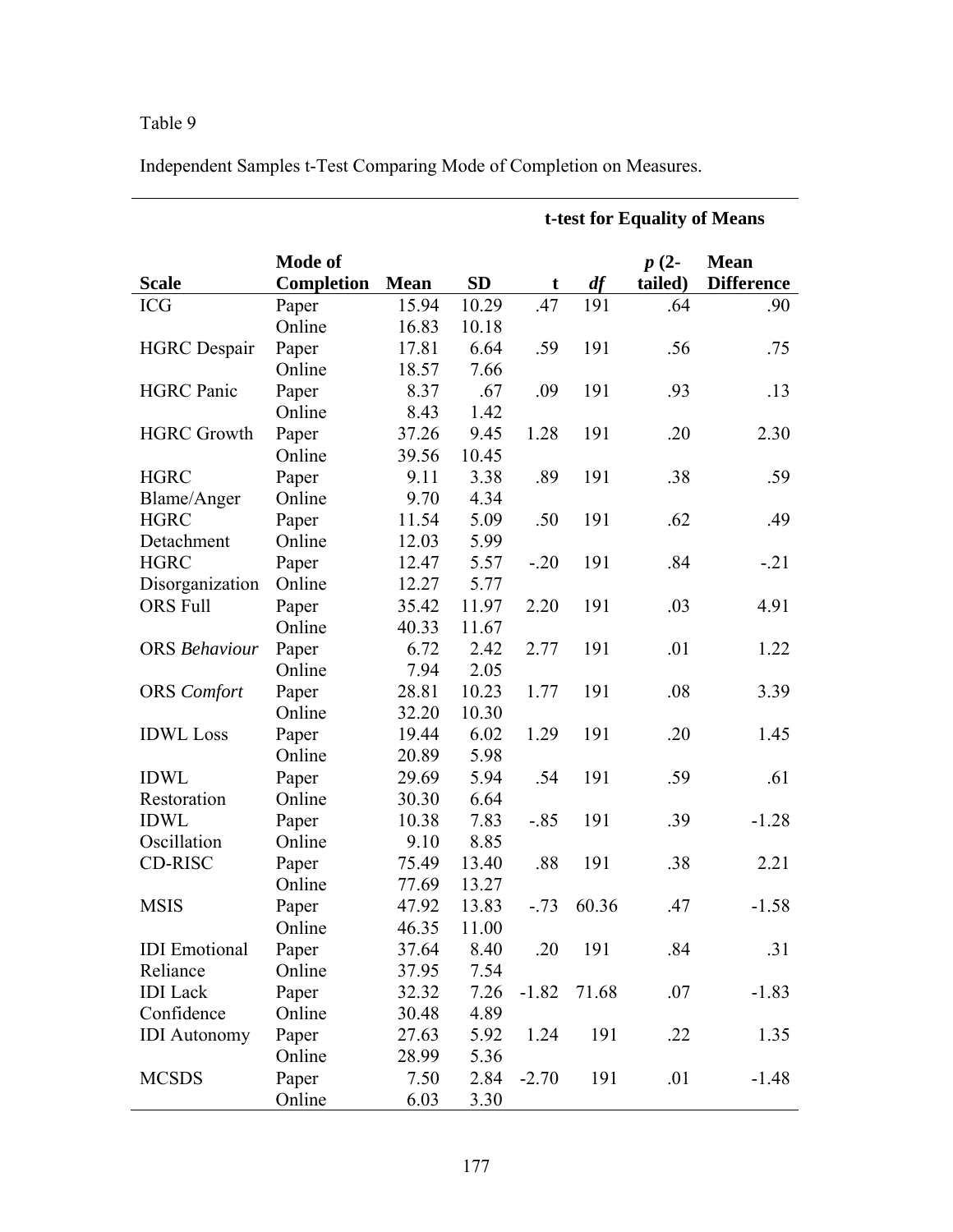Independent Samples t-Test Comparing Mode of Completion on Measures.

|                      |                              |             |           | t-test for Equality of Means |       |                   |                                  |  |
|----------------------|------------------------------|-------------|-----------|------------------------------|-------|-------------------|----------------------------------|--|
| <b>Scale</b>         | <b>Mode of</b><br>Completion | <b>Mean</b> | <b>SD</b> | t                            | df    | $p(2-$<br>tailed) | <b>Mean</b><br><b>Difference</b> |  |
| <b>ICG</b>           | Paper                        | 15.94       | 10.29     | .47                          | 191   | .64               | .90                              |  |
|                      | Online                       | 16.83       | 10.18     |                              |       |                   |                                  |  |
| <b>HGRC</b> Despair  | Paper                        | 17.81       | 6.64      | .59                          | 191   | .56               | .75                              |  |
|                      | Online                       | 18.57       | 7.66      |                              |       |                   |                                  |  |
| <b>HGRC</b> Panic    | Paper                        | 8.37        | .67       | .09                          | 191   | .93               | .13                              |  |
|                      | Online                       | 8.43        | 1.42      |                              |       |                   |                                  |  |
| <b>HGRC Growth</b>   | Paper                        | 37.26       | 9.45      | 1.28                         | 191   | .20               | 2.30                             |  |
|                      | Online                       | 39.56       | 10.45     |                              |       |                   |                                  |  |
| <b>HGRC</b>          | Paper                        | 9.11        | 3.38      | .89                          | 191   | .38               | .59                              |  |
| Blame/Anger          | Online                       | 9.70        | 4.34      |                              |       |                   |                                  |  |
| <b>HGRC</b>          | Paper                        | 11.54       | 5.09      | .50                          | 191   | .62               | .49                              |  |
| Detachment           | Online                       | 12.03       | 5.99      |                              |       |                   |                                  |  |
| <b>HGRC</b>          | Paper                        | 12.47       | 5.57      | $-.20$                       | 191   | .84               | $-.21$                           |  |
| Disorganization      | Online                       | 12.27       | 5.77      |                              |       |                   |                                  |  |
| <b>ORS Full</b>      | Paper                        | 35.42       | 11.97     | 2.20                         | 191   | .03               | 4.91                             |  |
|                      | Online                       | 40.33       | 11.67     |                              |       |                   |                                  |  |
| <b>ORS</b> Behaviour | Paper                        | 6.72        | 2.42      | 2.77                         | 191   | .01               | 1.22                             |  |
|                      | Online                       | 7.94        | 2.05      |                              |       |                   |                                  |  |
| <b>ORS</b> Comfort   | Paper                        | 28.81       | 10.23     | 1.77                         | 191   | .08               | 3.39                             |  |
|                      | Online                       | 32.20       | 10.30     |                              |       |                   |                                  |  |
| <b>IDWL</b> Loss     | Paper                        | 19.44       | 6.02      | 1.29                         | 191   | .20               | 1.45                             |  |
|                      | Online                       | 20.89       | 5.98      |                              |       |                   |                                  |  |
| <b>IDWL</b>          | Paper                        | 29.69       | 5.94      | .54                          | 191   | .59               | .61                              |  |
| Restoration          | Online                       | 30.30       | 6.64      |                              |       |                   |                                  |  |
| <b>IDWL</b>          | Paper                        | 10.38       | 7.83      | $-.85$                       | 191   | .39               | $-1.28$                          |  |
| Oscillation          | Online                       | 9.10        | 8.85      |                              |       |                   |                                  |  |
| CD-RISC              | Paper                        | 75.49       | 13.40     | .88                          | 191   | .38               | 2.21                             |  |
|                      | Online                       | 77.69       | 13.27     |                              |       |                   |                                  |  |
| <b>MSIS</b>          | Paper                        | 47.92       | 13.83     | $-.73$                       | 60.36 | 47                | $-1.58$                          |  |
|                      | Online                       | 46.35       | 11.00     |                              |       |                   |                                  |  |
| <b>IDI</b> Emotional | Paper                        | 37.64       | 8.40      | .20                          | 191   | .84               | .31                              |  |
| Reliance             | Online                       | 37.95       | 7.54      |                              |       |                   |                                  |  |
| <b>IDI</b> Lack      | Paper                        | 32.32       | 7.26      | $-1.82$                      | 71.68 | .07               | $-1.83$                          |  |
| Confidence           | Online                       | 30.48       | 4.89      |                              |       |                   |                                  |  |
| <b>IDI</b> Autonomy  | Paper                        | 27.63       | 5.92      | 1.24                         | 191   | .22               | 1.35                             |  |
|                      | Online                       | 28.99       | 5.36      |                              |       |                   |                                  |  |
| <b>MCSDS</b>         | Paper                        | 7.50        | 2.84      | $-2.70$                      | 191   | .01               | $-1.48$                          |  |
|                      | Online                       | 6.03        | 3.30      |                              |       |                   |                                  |  |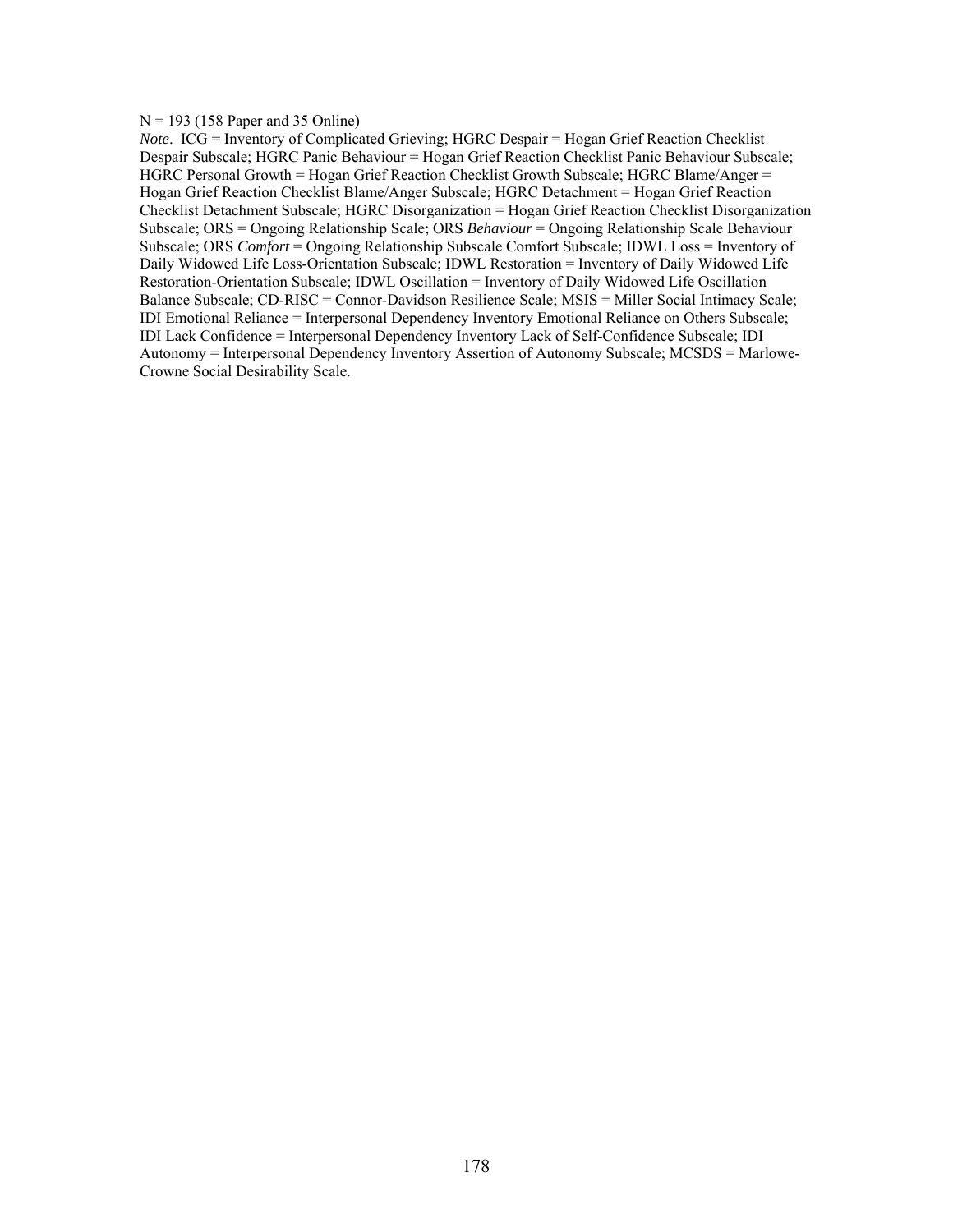#### $N = 193$  (158 Paper and 35 Online)

*Note*. ICG = Inventory of Complicated Grieving; HGRC Despair = Hogan Grief Reaction Checklist Despair Subscale; HGRC Panic Behaviour = Hogan Grief Reaction Checklist Panic Behaviour Subscale; HGRC Personal Growth = Hogan Grief Reaction Checklist Growth Subscale; HGRC Blame/Anger = Hogan Grief Reaction Checklist Blame/Anger Subscale; HGRC Detachment = Hogan Grief Reaction Checklist Detachment Subscale; HGRC Disorganization = Hogan Grief Reaction Checklist Disorganization Subscale; ORS = Ongoing Relationship Scale; ORS *Behaviour* = Ongoing Relationship Scale Behaviour Subscale; ORS *Comfort* = Ongoing Relationship Subscale Comfort Subscale; IDWL Loss = Inventory of Daily Widowed Life Loss-Orientation Subscale; IDWL Restoration = Inventory of Daily Widowed Life Restoration-Orientation Subscale; IDWL Oscillation = Inventory of Daily Widowed Life Oscillation Balance Subscale; CD-RISC = Connor-Davidson Resilience Scale; MSIS = Miller Social Intimacy Scale; IDI Emotional Reliance = Interpersonal Dependency Inventory Emotional Reliance on Others Subscale; IDI Lack Confidence = Interpersonal Dependency Inventory Lack of Self-Confidence Subscale; IDI Autonomy = Interpersonal Dependency Inventory Assertion of Autonomy Subscale; MCSDS = Marlowe-Crowne Social Desirability Scale.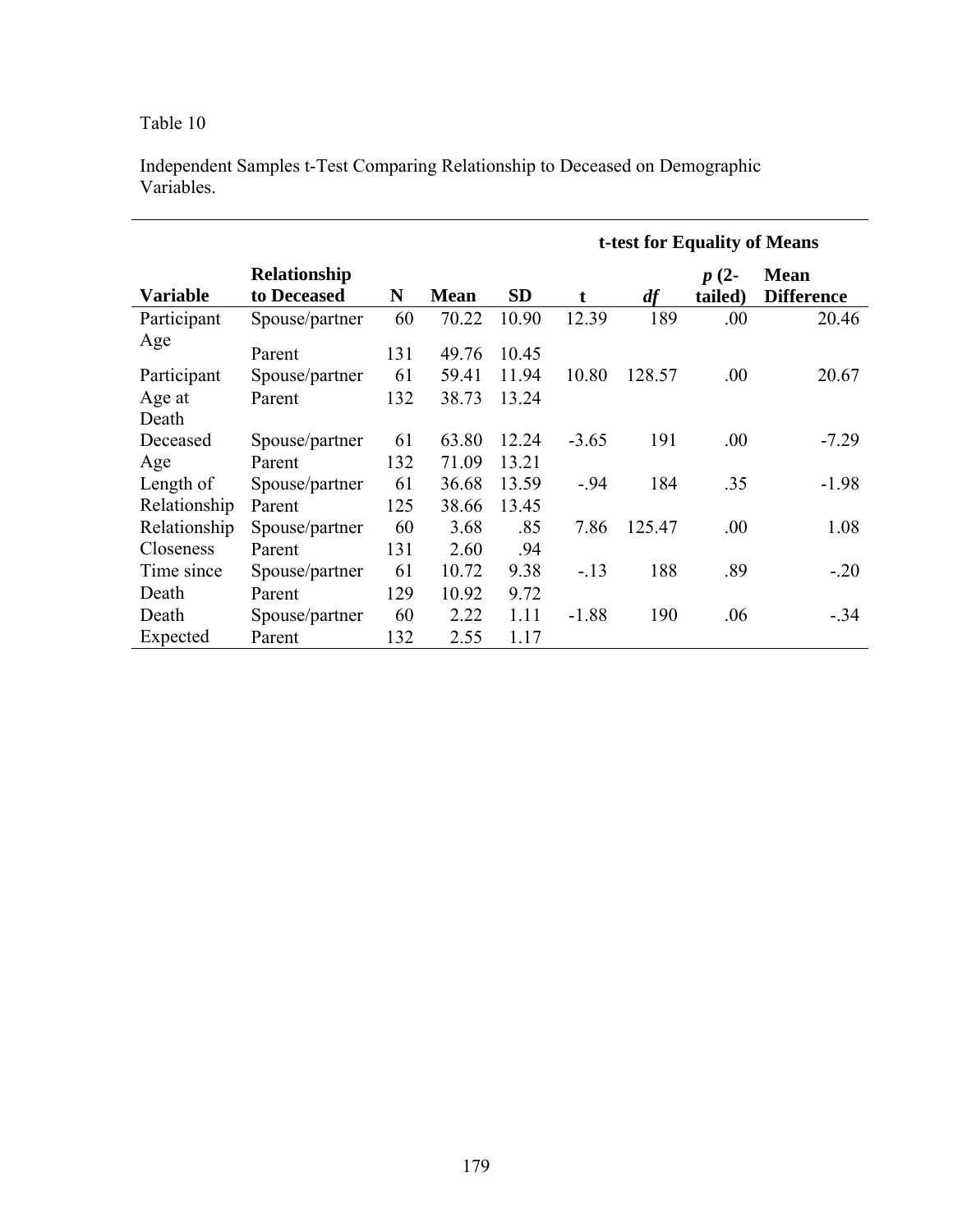|                 |                             |     |             |           | t-test for Equality of Means |        |                   |                                  |  |  |
|-----------------|-----------------------------|-----|-------------|-----------|------------------------------|--------|-------------------|----------------------------------|--|--|
| <b>Variable</b> | Relationship<br>to Deceased | N   | <b>Mean</b> | <b>SD</b> | t                            | df     | $p(2-$<br>tailed) | <b>Mean</b><br><b>Difference</b> |  |  |
| Participant     | Spouse/partner              | 60  | 70.22       | 10.90     | 12.39                        | 189    | .00               | 20.46                            |  |  |
| Age             | Parent                      | 131 | 49.76       | 10.45     |                              |        |                   |                                  |  |  |
| Participant     | Spouse/partner              | 61  | 59.41       | 11.94     | 10.80                        | 128.57 | .00               | 20.67                            |  |  |
| Age at          | Parent                      | 132 | 38.73       | 13.24     |                              |        |                   |                                  |  |  |
| Death           |                             |     |             |           |                              |        |                   |                                  |  |  |
| Deceased        | Spouse/partner              | 61  | 63.80       | 12.24     | $-3.65$                      | 191    | .00               | $-7.29$                          |  |  |
| Age             | Parent                      | 132 | 71.09       | 13.21     |                              |        |                   |                                  |  |  |
| Length of       | Spouse/partner              | 61  | 36.68       | 13.59     | $-94$                        | 184    | .35               | $-1.98$                          |  |  |
| Relationship    | Parent                      | 125 | 38.66       | 13.45     |                              |        |                   |                                  |  |  |
| Relationship    | Spouse/partner              | 60  | 3.68        | .85       | 7.86                         | 125.47 | .00               | 1.08                             |  |  |
| Closeness       | Parent                      | 131 | 2.60        | .94       |                              |        |                   |                                  |  |  |
| Time since      | Spouse/partner              | 61  | 10.72       | 9.38      | $-13$                        | 188    | .89               | $-.20$                           |  |  |
| Death           | Parent                      | 129 | 10.92       | 9.72      |                              |        |                   |                                  |  |  |
| Death           | Spouse/partner              | 60  | 2.22        | 1.11      | $-1.88$                      | 190    | .06               | $-.34$                           |  |  |
| Expected        | Parent                      | 132 | 2.55        | 1.17      |                              |        |                   |                                  |  |  |

Independent Samples t-Test Comparing Relationship to Deceased on Demographic Variables.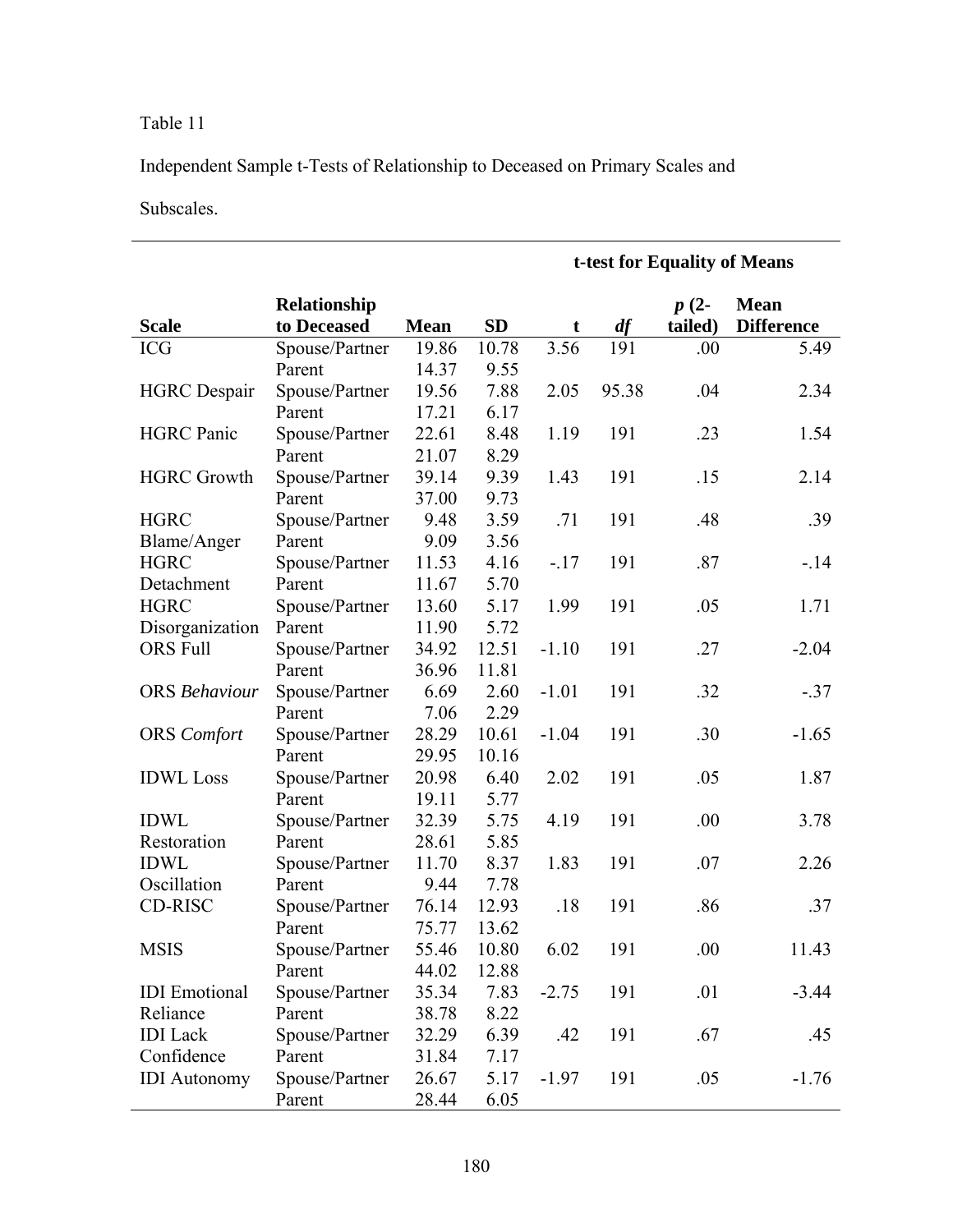Independent Sample t-Tests of Relationship to Deceased on Primary Scales and

Subscales.

|                      |                |             |           | t-test for Equality of Means |       |         |                   |  |  |
|----------------------|----------------|-------------|-----------|------------------------------|-------|---------|-------------------|--|--|
|                      | Relationship   |             |           |                              |       | $p(2-$  | <b>Mean</b>       |  |  |
| <b>Scale</b>         | to Deceased    | <b>Mean</b> | <b>SD</b> | t                            | df    | tailed) | <b>Difference</b> |  |  |
| <b>ICG</b>           | Spouse/Partner | 19.86       | 10.78     | 3.56                         | 191   | .00     | 5.49              |  |  |
|                      | Parent         | 14.37       | 9.55      |                              |       |         |                   |  |  |
| <b>HGRC</b> Despair  | Spouse/Partner | 19.56       | 7.88      | 2.05                         | 95.38 | .04     | 2.34              |  |  |
|                      | Parent         | 17.21       | 6.17      |                              |       |         |                   |  |  |
| <b>HGRC</b> Panic    | Spouse/Partner | 22.61       | 8.48      | 1.19                         | 191   | .23     | 1.54              |  |  |
|                      | Parent         | 21.07       | 8.29      |                              |       |         |                   |  |  |
| <b>HGRC Growth</b>   | Spouse/Partner | 39.14       | 9.39      | 1.43                         | 191   | .15     | 2.14              |  |  |
|                      | Parent         | 37.00       | 9.73      |                              |       |         |                   |  |  |
| <b>HGRC</b>          | Spouse/Partner | 9.48        | 3.59      | .71                          | 191   | .48     | .39               |  |  |
| Blame/Anger          | Parent         | 9.09        | 3.56      |                              |       |         |                   |  |  |
| <b>HGRC</b>          | Spouse/Partner | 11.53       | 4.16      | $-.17$                       | 191   | .87     | $-14$             |  |  |
| Detachment           | Parent         | 11.67       | 5.70      |                              |       |         |                   |  |  |
| <b>HGRC</b>          | Spouse/Partner | 13.60       | 5.17      | 1.99                         | 191   | .05     | 1.71              |  |  |
| Disorganization      | Parent         | 11.90       | 5.72      |                              |       |         |                   |  |  |
| <b>ORS</b> Full      | Spouse/Partner | 34.92       | 12.51     | $-1.10$                      | 191   | .27     | $-2.04$           |  |  |
|                      | Parent         | 36.96       | 11.81     |                              |       |         |                   |  |  |
| <b>ORS</b> Behaviour | Spouse/Partner | 6.69        | 2.60      | $-1.01$                      | 191   | .32     | $-.37$            |  |  |
|                      | Parent         | 7.06        | 2.29      |                              |       |         |                   |  |  |
| <b>ORS</b> Comfort   | Spouse/Partner | 28.29       | 10.61     | $-1.04$                      | 191   | .30     | $-1.65$           |  |  |
|                      | Parent         | 29.95       | 10.16     |                              |       |         |                   |  |  |
| <b>IDWL</b> Loss     | Spouse/Partner | 20.98       | 6.40      | 2.02                         | 191   | .05     | 1.87              |  |  |
|                      | Parent         | 19.11       | 5.77      |                              |       |         |                   |  |  |
| <b>IDWL</b>          | Spouse/Partner | 32.39       | 5.75      | 4.19                         | 191   | .00     | 3.78              |  |  |
| Restoration          | Parent         | 28.61       | 5.85      |                              |       |         |                   |  |  |
| <b>IDWL</b>          | Spouse/Partner | 11.70       | 8.37      | 1.83                         | 191   | .07     | 2.26              |  |  |
| Oscillation          | Parent         | 9.44        | 7.78      |                              |       |         |                   |  |  |
| <b>CD-RISC</b>       | Spouse/Partner | 76.14       | 12.93     | .18                          | 191   | .86     | .37               |  |  |
|                      | Parent         | 75.77       | 13.62     |                              |       |         |                   |  |  |
| <b>MSIS</b>          | Spouse/Partner | 55.46       | 10.80     | 6.02                         | 191   | .00     | 11.43             |  |  |
|                      | Parent         | 44.02       | 12.88     |                              |       |         |                   |  |  |
| <b>IDI</b> Emotional | Spouse/Partner | 35.34       | 7.83      | $-2.75$                      | 191   | .01     | $-3.44$           |  |  |
| Reliance             | Parent         | 38.78       | 8.22      |                              |       |         |                   |  |  |
| <b>IDI</b> Lack      | Spouse/Partner | 32.29       | 6.39      | .42                          | 191   | .67     | .45               |  |  |
| Confidence           | Parent         | 31.84       | 7.17      |                              |       |         |                   |  |  |
| <b>IDI</b> Autonomy  | Spouse/Partner | 26.67       | 5.17      | $-1.97$                      | 191   | .05     | $-1.76$           |  |  |
|                      | Parent         | 28.44       | 6.05      |                              |       |         |                   |  |  |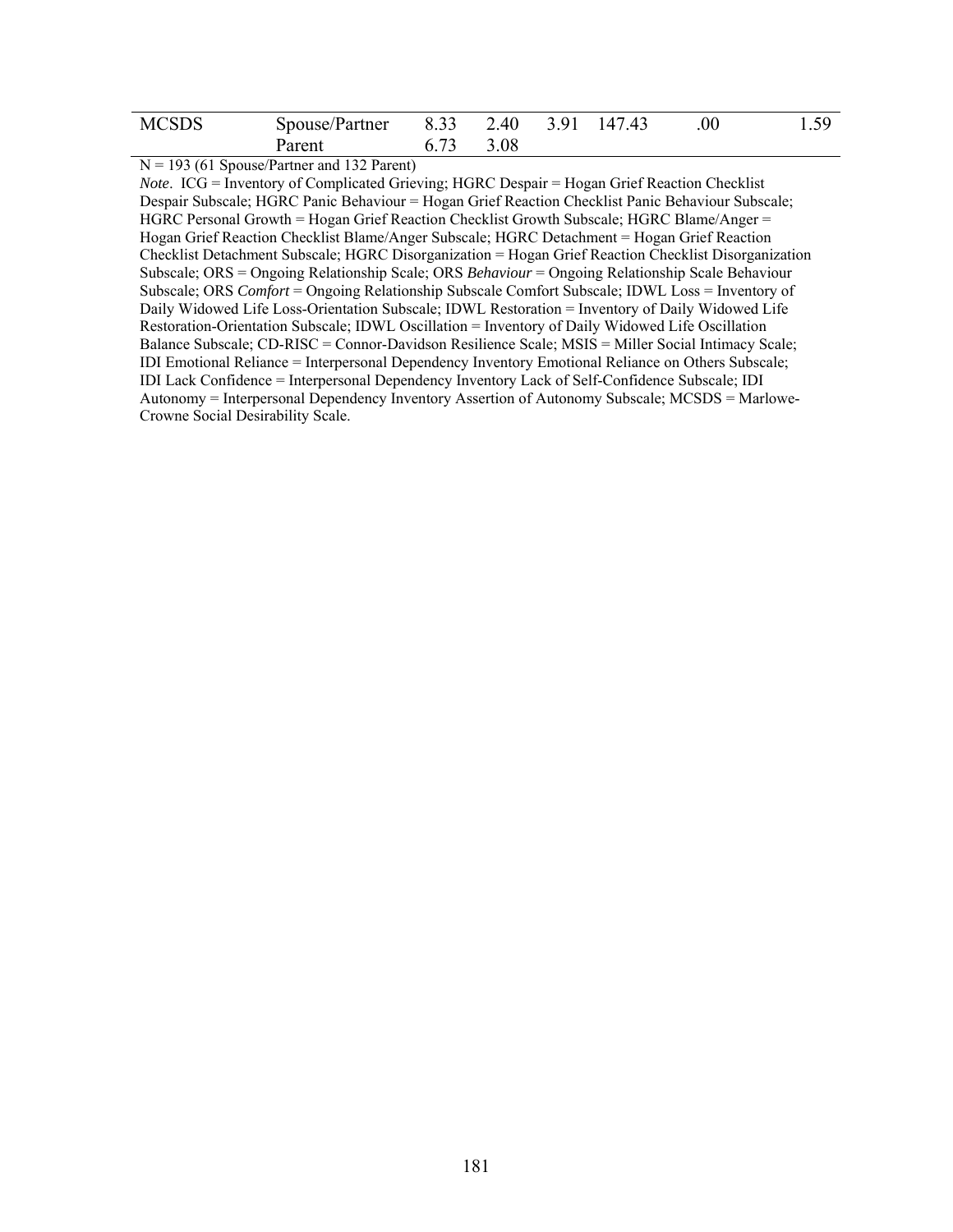| <b>MCSDS</b> | Spouse/Partner 8.33 2.40 3.91 147.43 |           |  | .00 | 1.59 |
|--------------|--------------------------------------|-----------|--|-----|------|
|              | Parent                               | 6.73 3.08 |  |     |      |

 $N = 193$  (61 Spouse/Partner and 132 Parent)

*Note*. ICG = Inventory of Complicated Grieving; HGRC Despair = Hogan Grief Reaction Checklist Despair Subscale; HGRC Panic Behaviour = Hogan Grief Reaction Checklist Panic Behaviour Subscale; HGRC Personal Growth = Hogan Grief Reaction Checklist Growth Subscale; HGRC Blame/Anger = Hogan Grief Reaction Checklist Blame/Anger Subscale; HGRC Detachment = Hogan Grief Reaction Checklist Detachment Subscale; HGRC Disorganization = Hogan Grief Reaction Checklist Disorganization Subscale; ORS = Ongoing Relationship Scale; ORS *Behaviour* = Ongoing Relationship Scale Behaviour Subscale; ORS *Comfort* = Ongoing Relationship Subscale Comfort Subscale; IDWL Loss = Inventory of Daily Widowed Life Loss-Orientation Subscale; IDWL Restoration = Inventory of Daily Widowed Life Restoration-Orientation Subscale; IDWL Oscillation = Inventory of Daily Widowed Life Oscillation Balance Subscale; CD-RISC = Connor-Davidson Resilience Scale; MSIS = Miller Social Intimacy Scale; IDI Emotional Reliance = Interpersonal Dependency Inventory Emotional Reliance on Others Subscale; IDI Lack Confidence = Interpersonal Dependency Inventory Lack of Self-Confidence Subscale; IDI Autonomy = Interpersonal Dependency Inventory Assertion of Autonomy Subscale; MCSDS = Marlowe-Crowne Social Desirability Scale.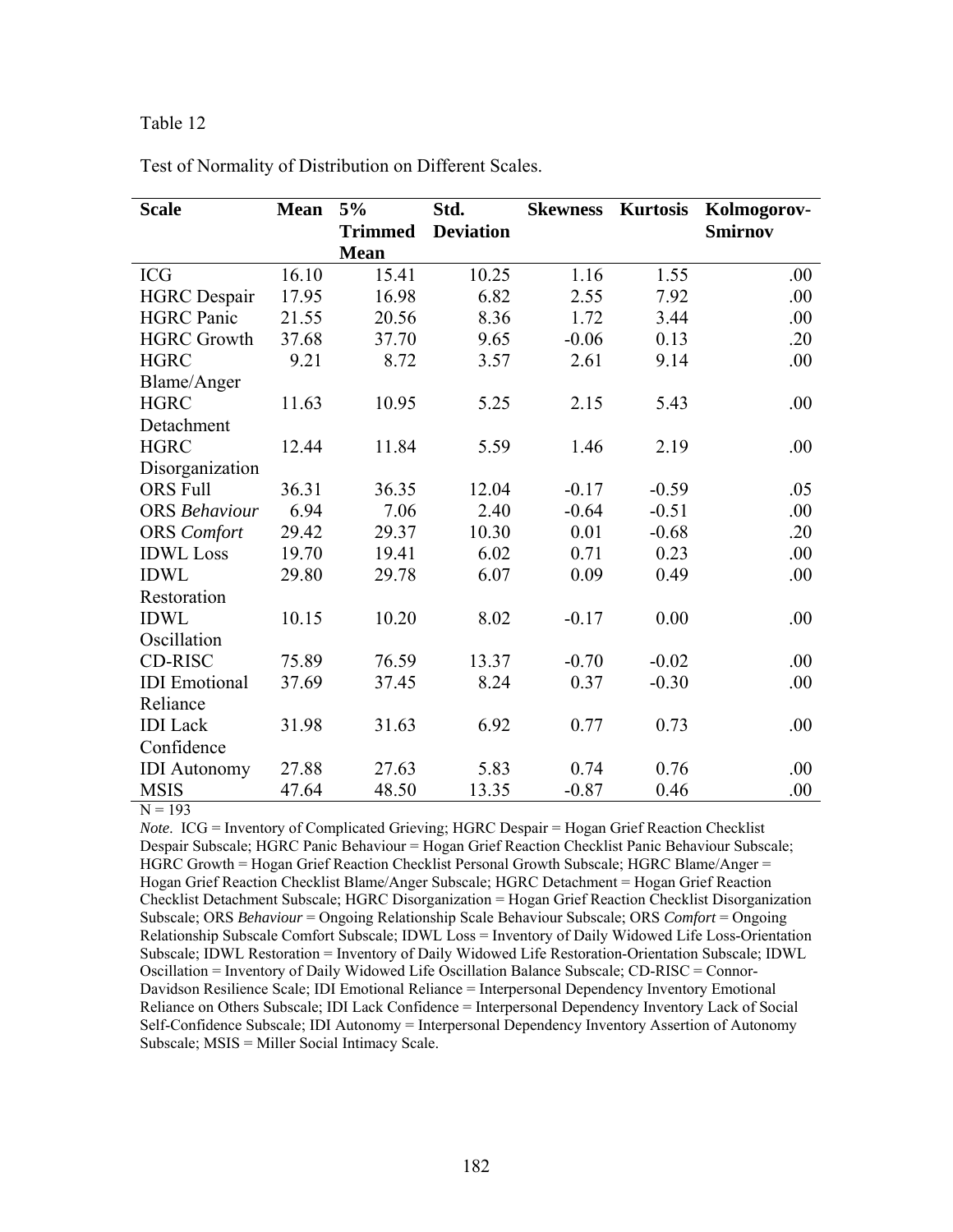| <b>Scale</b>         | <b>Mean</b> | 5%             | Std.             | <b>Skewness</b> | <b>Kurtosis</b> | Kolmogorov-    |
|----------------------|-------------|----------------|------------------|-----------------|-----------------|----------------|
|                      |             | <b>Trimmed</b> | <b>Deviation</b> |                 |                 | <b>Smirnov</b> |
|                      |             | <b>Mean</b>    |                  |                 |                 |                |
| <b>ICG</b>           | 16.10       | 15.41          | 10.25            | 1.16            | 1.55            | .00            |
| <b>HGRC</b> Despair  | 17.95       | 16.98          | 6.82             | 2.55            | 7.92            | .00            |
| <b>HGRC</b> Panic    | 21.55       | 20.56          | 8.36             | 1.72            | 3.44            | .00            |
| <b>HGRC Growth</b>   | 37.68       | 37.70          | 9.65             | $-0.06$         | 0.13            | .20            |
| <b>HGRC</b>          | 9.21        | 8.72           | 3.57             | 2.61            | 9.14            | .00            |
| Blame/Anger          |             |                |                  |                 |                 |                |
| <b>HGRC</b>          | 11.63       | 10.95          | 5.25             | 2.15            | 5.43            | .00            |
| Detachment           |             |                |                  |                 |                 |                |
| <b>HGRC</b>          | 12.44       | 11.84          | 5.59             | 1.46            | 2.19            | .00.           |
| Disorganization      |             |                |                  |                 |                 |                |
| <b>ORS Full</b>      | 36.31       | 36.35          | 12.04            | $-0.17$         | $-0.59$         | .05            |
| <b>ORS</b> Behaviour | 6.94        | 7.06           | 2.40             | $-0.64$         | $-0.51$         | .00.           |
| <b>ORS</b> Comfort   | 29.42       | 29.37          | 10.30            | 0.01            | $-0.68$         | .20            |
| <b>IDWL</b> Loss     | 19.70       | 19.41          | 6.02             | 0.71            | 0.23            | .00            |
| <b>IDWL</b>          | 29.80       | 29.78          | 6.07             | 0.09            | 0.49            | .00            |
| Restoration          |             |                |                  |                 |                 |                |
| <b>IDWL</b>          | 10.15       | 10.20          | 8.02             | $-0.17$         | 0.00            | .00.           |
| Oscillation          |             |                |                  |                 |                 |                |
| CD-RISC              | 75.89       | 76.59          | 13.37            | $-0.70$         | $-0.02$         | .00            |
| <b>IDI</b> Emotional | 37.69       | 37.45          | 8.24             | 0.37            | $-0.30$         | .00            |
| Reliance             |             |                |                  |                 |                 |                |
| <b>IDI</b> Lack      | 31.98       | 31.63          | 6.92             | 0.77            | 0.73            | .00            |
| Confidence           |             |                |                  |                 |                 |                |
| <b>IDI</b> Autonomy  | 27.88       | 27.63          | 5.83             | 0.74            | 0.76            | .00            |
| <b>MSIS</b>          | 47.64       | 48.50          | 13.35            | $-0.87$         | 0.46            | .00            |

Test of Normality of Distribution on Different Scales.

 $N = 193$ 

*Note*. ICG = Inventory of Complicated Grieving; HGRC Despair = Hogan Grief Reaction Checklist Despair Subscale; HGRC Panic Behaviour = Hogan Grief Reaction Checklist Panic Behaviour Subscale; HGRC Growth = Hogan Grief Reaction Checklist Personal Growth Subscale; HGRC Blame/Anger = Hogan Grief Reaction Checklist Blame/Anger Subscale; HGRC Detachment = Hogan Grief Reaction Checklist Detachment Subscale; HGRC Disorganization = Hogan Grief Reaction Checklist Disorganization Subscale; ORS *Behaviour* = Ongoing Relationship Scale Behaviour Subscale; ORS *Comfort* = Ongoing Relationship Subscale Comfort Subscale; IDWL Loss = Inventory of Daily Widowed Life Loss-Orientation Subscale; IDWL Restoration = Inventory of Daily Widowed Life Restoration-Orientation Subscale; IDWL Oscillation = Inventory of Daily Widowed Life Oscillation Balance Subscale; CD-RISC = Connor-Davidson Resilience Scale; IDI Emotional Reliance = Interpersonal Dependency Inventory Emotional Reliance on Others Subscale; IDI Lack Confidence = Interpersonal Dependency Inventory Lack of Social Self-Confidence Subscale; IDI Autonomy = Interpersonal Dependency Inventory Assertion of Autonomy Subscale; MSIS = Miller Social Intimacy Scale.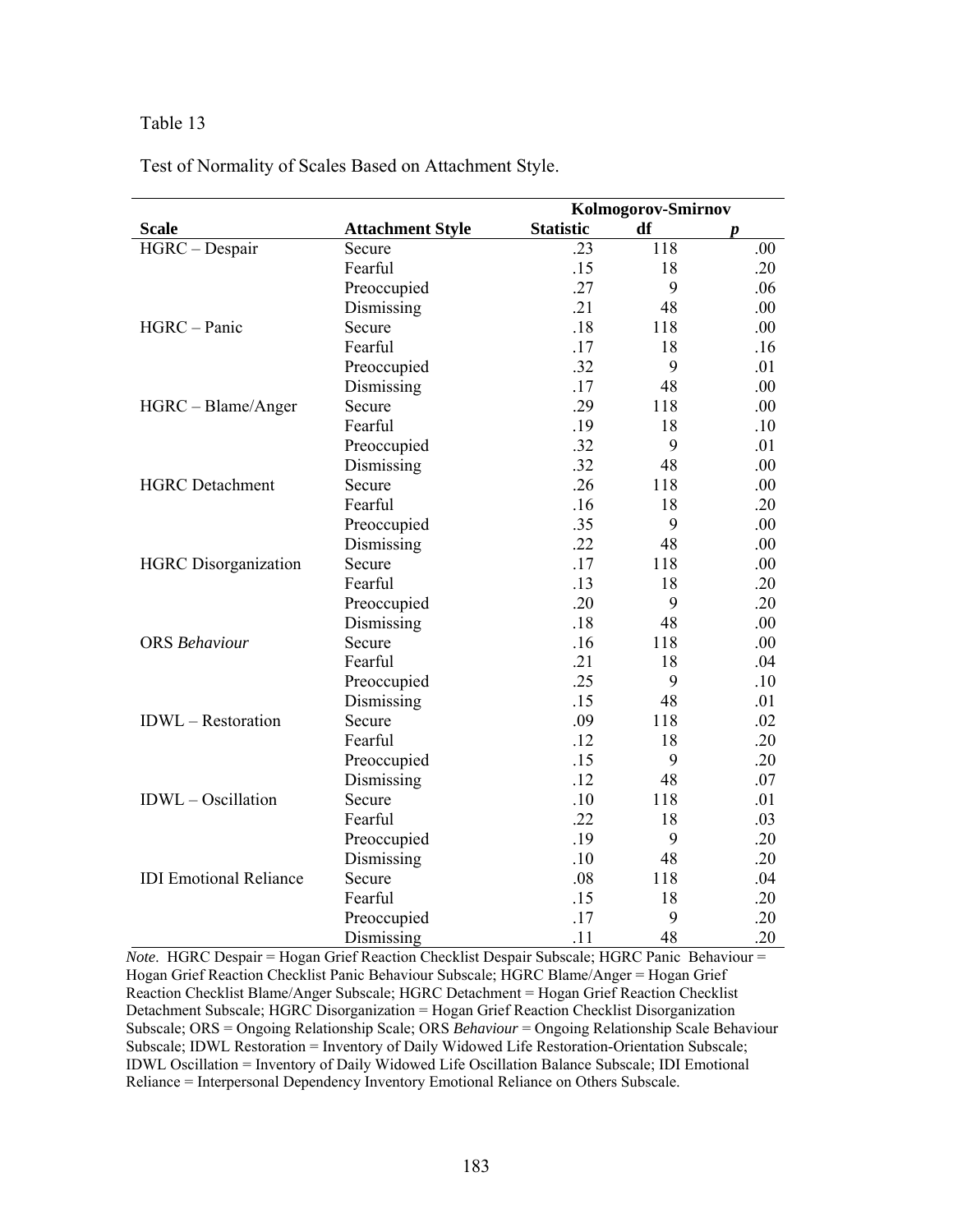l,

Test of Normality of Scales Based on Attachment Style.

|                               |                         | Kolmogorov-Smirnov |     |     |  |
|-------------------------------|-------------------------|--------------------|-----|-----|--|
| <b>Scale</b>                  | <b>Attachment Style</b> | <b>Statistic</b>   | df  | p   |  |
| HGRC - Despair                | Secure                  | .23                | 118 | .00 |  |
|                               | Fearful                 | .15                | 18  | .20 |  |
|                               | Preoccupied             | .27                | 9   | .06 |  |
|                               | Dismissing              | .21                | 48  | .00 |  |
| HGRC - Panic                  | Secure                  | .18                | 118 | .00 |  |
|                               | Fearful                 | .17                | 18  | .16 |  |
|                               | Preoccupied             | .32                | 9   | .01 |  |
|                               | Dismissing              | .17                | 48  | .00 |  |
| HGRC - Blame/Anger            | Secure                  | .29                | 118 | .00 |  |
|                               | Fearful                 | .19                | 18  | .10 |  |
|                               | Preoccupied             | .32                | 9   | .01 |  |
|                               | Dismissing              | .32                | 48  | .00 |  |
| <b>HGRC</b> Detachment        | Secure                  | .26                | 118 | .00 |  |
|                               | Fearful                 | .16                | 18  | .20 |  |
|                               | Preoccupied             | .35                | 9   | .00 |  |
|                               | Dismissing              | .22                | 48  | .00 |  |
| <b>HGRC</b> Disorganization   | Secure                  | .17                | 118 | .00 |  |
|                               | Fearful                 | .13                | 18  | .20 |  |
|                               | Preoccupied             | .20                | 9   | .20 |  |
|                               | Dismissing              | .18                | 48  | .00 |  |
| <b>ORS</b> Behaviour          | Secure                  | .16                | 118 | .00 |  |
|                               | Fearful                 | .21                | 18  | .04 |  |
|                               | Preoccupied             | .25                | 9   | .10 |  |
|                               | Dismissing              | .15                | 48  | .01 |  |
| <b>IDWL</b> – Restoration     | Secure                  | .09                | 118 | .02 |  |
|                               | Fearful                 | .12                | 18  | .20 |  |
|                               | Preoccupied             | .15                | 9   | .20 |  |
|                               | Dismissing              | .12                | 48  | .07 |  |
| IDWL - Oscillation            | Secure                  | .10                | 118 | .01 |  |
|                               | Fearful                 | .22                | 18  | .03 |  |
|                               | Preoccupied             | .19                | 9   | .20 |  |
|                               | Dismissing              | .10                | 48  | .20 |  |
| <b>IDI</b> Emotional Reliance | Secure                  | .08                | 118 | .04 |  |
|                               | Fearful                 | .15                | 18  | .20 |  |
|                               | Preoccupied             | .17                | 9   | .20 |  |
|                               | Dismissing              | .11                | 48  | .20 |  |

*Note*. HGRC Despair = Hogan Grief Reaction Checklist Despair Subscale; HGRC Panic Behaviour = Hogan Grief Reaction Checklist Panic Behaviour Subscale; HGRC Blame/Anger = Hogan Grief Reaction Checklist Blame/Anger Subscale; HGRC Detachment = Hogan Grief Reaction Checklist Detachment Subscale; HGRC Disorganization = Hogan Grief Reaction Checklist Disorganization Subscale; ORS = Ongoing Relationship Scale; ORS *Behaviour* = Ongoing Relationship Scale Behaviour Subscale; IDWL Restoration = Inventory of Daily Widowed Life Restoration-Orientation Subscale; IDWL Oscillation = Inventory of Daily Widowed Life Oscillation Balance Subscale; IDI Emotional Reliance = Interpersonal Dependency Inventory Emotional Reliance on Others Subscale.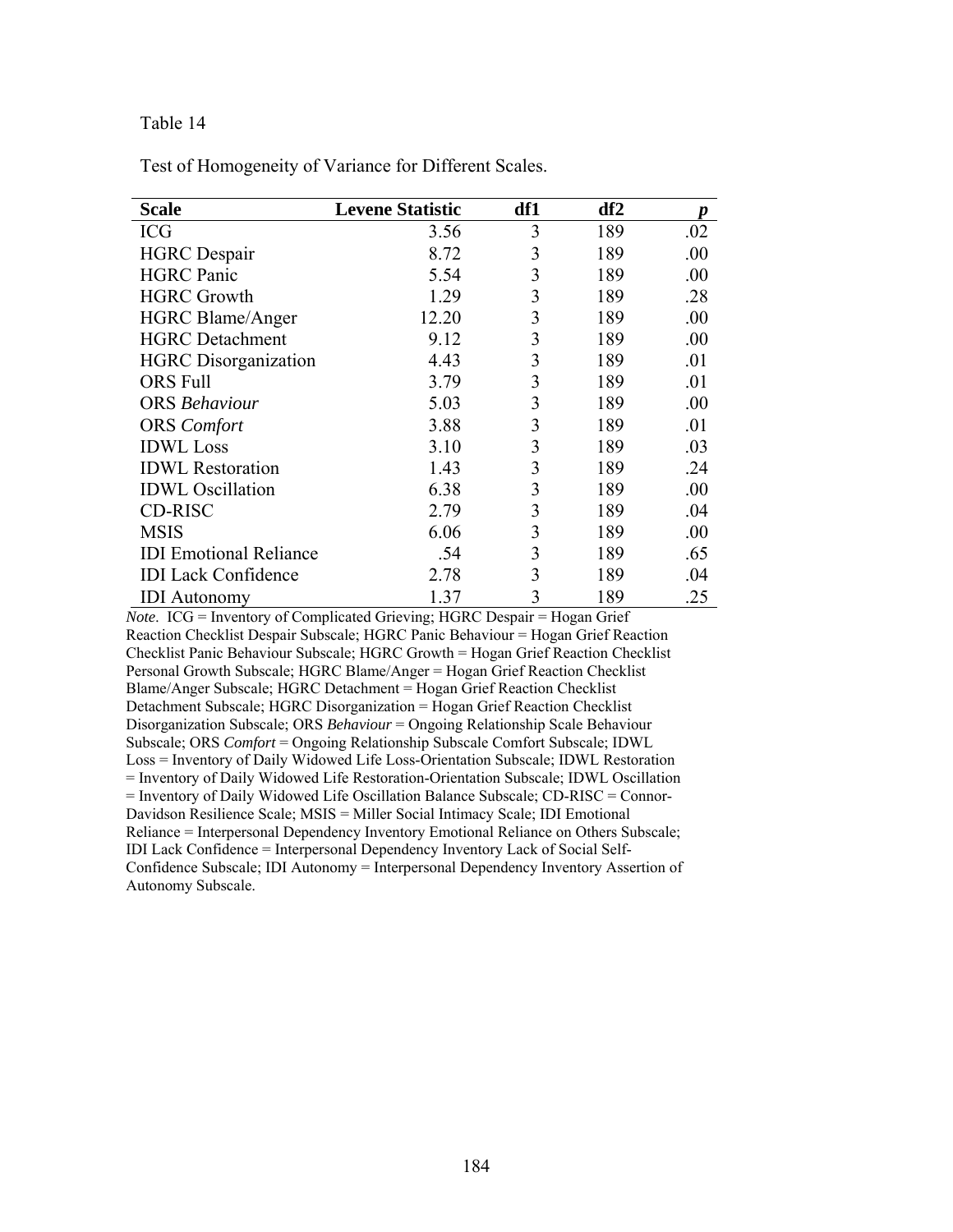Test of Homogeneity of Variance for Different Scales.

| <b>Scale</b>                  | <b>Levene Statistic</b> | df1 | df2 | p   |
|-------------------------------|-------------------------|-----|-----|-----|
| <b>ICG</b>                    | 3.56                    | 3   | 189 | .02 |
| <b>HGRC</b> Despair           | 8.72                    | 3   | 189 | .00 |
| <b>HGRC</b> Panic             | 5.54                    | 3   | 189 | .00 |
| <b>HGRC Growth</b>            | 1.29                    | 3   | 189 | .28 |
| <b>HGRC Blame/Anger</b>       | 12.20                   | 3   | 189 | .00 |
| <b>HGRC</b> Detachment        | 9.12                    | 3   | 189 | .00 |
| <b>HGRC</b> Disorganization   | 4.43                    | 3   | 189 | .01 |
| <b>ORS</b> Full               | 3.79                    | 3   | 189 | .01 |
| <b>ORS</b> Behaviour          | 5.03                    | 3   | 189 | .00 |
| <b>ORS</b> Comfort            | 3.88                    | 3   | 189 | .01 |
| <b>IDWL</b> Loss              | 3.10                    | 3   | 189 | .03 |
| <b>IDWL Restoration</b>       | 1.43                    | 3   | 189 | .24 |
| <b>IDWL</b> Oscillation       | 6.38                    | 3   | 189 | .00 |
| <b>CD-RISC</b>                | 2.79                    | 3   | 189 | .04 |
| <b>MSIS</b>                   | 6.06                    | 3   | 189 | .00 |
| <b>IDI</b> Emotional Reliance | .54                     | 3   | 189 | .65 |
| <b>IDI</b> Lack Confidence    | 2.78                    | 3   | 189 | .04 |
| <b>IDI</b> Autonomy           | 1.37                    | 3   | 189 | .25 |

*Note*. ICG = Inventory of Complicated Grieving; HGRC Despair = Hogan Grief Reaction Checklist Despair Subscale; HGRC Panic Behaviour = Hogan Grief Reaction Checklist Panic Behaviour Subscale; HGRC Growth = Hogan Grief Reaction Checklist Personal Growth Subscale; HGRC Blame/Anger = Hogan Grief Reaction Checklist Blame/Anger Subscale; HGRC Detachment = Hogan Grief Reaction Checklist Detachment Subscale; HGRC Disorganization = Hogan Grief Reaction Checklist Disorganization Subscale; ORS *Behaviour* = Ongoing Relationship Scale Behaviour Subscale; ORS *Comfort* = Ongoing Relationship Subscale Comfort Subscale; IDWL Loss = Inventory of Daily Widowed Life Loss-Orientation Subscale; IDWL Restoration = Inventory of Daily Widowed Life Restoration-Orientation Subscale; IDWL Oscillation = Inventory of Daily Widowed Life Oscillation Balance Subscale; CD-RISC = Connor-Davidson Resilience Scale; MSIS = Miller Social Intimacy Scale; IDI Emotional Reliance = Interpersonal Dependency Inventory Emotional Reliance on Others Subscale; IDI Lack Confidence = Interpersonal Dependency Inventory Lack of Social Self-Confidence Subscale; IDI Autonomy = Interpersonal Dependency Inventory Assertion of Autonomy Subscale.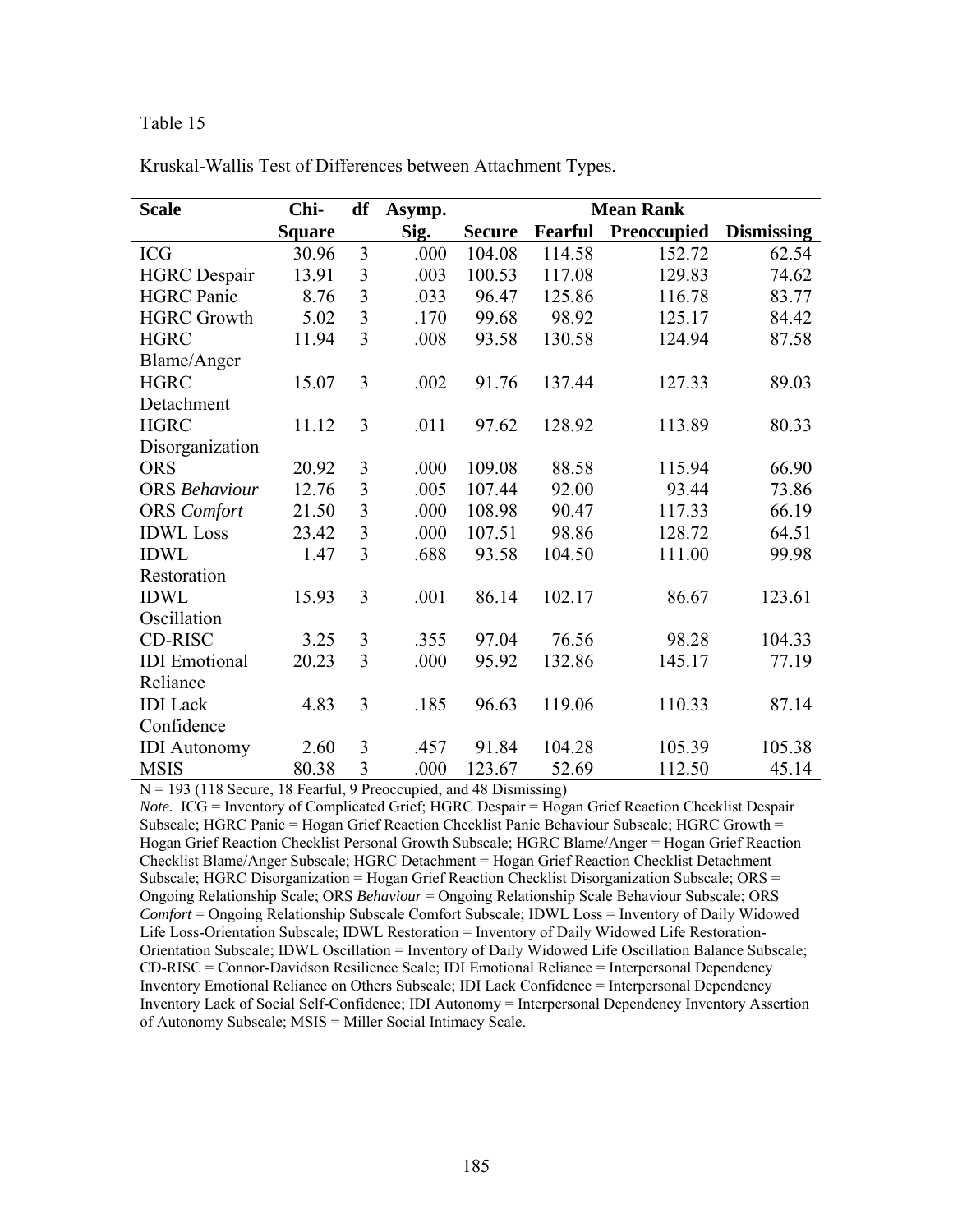| <b>Scale</b>         | Chi-          | df             | Asymp. | <b>Mean Rank</b> |         |             |                   |
|----------------------|---------------|----------------|--------|------------------|---------|-------------|-------------------|
|                      | <b>Square</b> |                | Sig.   | <b>Secure</b>    | Fearful | Preoccupied | <b>Dismissing</b> |
| <b>ICG</b>           | 30.96         | $\overline{3}$ | .000   | 104.08           | 114.58  | 152.72      | 62.54             |
| <b>HGRC</b> Despair  | 13.91         | 3              | .003   | 100.53           | 117.08  | 129.83      | 74.62             |
| <b>HGRC</b> Panic    | 8.76          | $\overline{3}$ | .033   | 96.47            | 125.86  | 116.78      | 83.77             |
| <b>HGRC Growth</b>   | 5.02          | 3              | .170   | 99.68            | 98.92   | 125.17      | 84.42             |
| <b>HGRC</b>          | 11.94         | $\overline{3}$ | .008   | 93.58            | 130.58  | 124.94      | 87.58             |
| Blame/Anger          |               |                |        |                  |         |             |                   |
| <b>HGRC</b>          | 15.07         | 3              | .002   | 91.76            | 137.44  | 127.33      | 89.03             |
| Detachment           |               |                |        |                  |         |             |                   |
| <b>HGRC</b>          | 11.12         | 3              | .011   | 97.62            | 128.92  | 113.89      | 80.33             |
| Disorganization      |               |                |        |                  |         |             |                   |
| <b>ORS</b>           | 20.92         | 3              | .000   | 109.08           | 88.58   | 115.94      | 66.90             |
| <b>ORS</b> Behaviour | 12.76         | 3              | .005   | 107.44           | 92.00   | 93.44       | 73.86             |
| <b>ORS</b> Comfort   | 21.50         | 3              | .000   | 108.98           | 90.47   | 117.33      | 66.19             |
| <b>IDWL</b> Loss     | 23.42         | $\overline{3}$ | .000   | 107.51           | 98.86   | 128.72      | 64.51             |
| <b>IDWL</b>          | 1.47          | $\overline{3}$ | .688   | 93.58            | 104.50  | 111.00      | 99.98             |
| Restoration          |               |                |        |                  |         |             |                   |
| <b>IDWL</b>          | 15.93         | 3              | .001   | 86.14            | 102.17  | 86.67       | 123.61            |
| Oscillation          |               |                |        |                  |         |             |                   |
| <b>CD-RISC</b>       | 3.25          | 3              | .355   | 97.04            | 76.56   | 98.28       | 104.33            |
| <b>IDI</b> Emotional | 20.23         | 3              | .000   | 95.92            | 132.86  | 145.17      | 77.19             |
| Reliance             |               |                |        |                  |         |             |                   |
| <b>IDI</b> Lack      | 4.83          | 3              | .185   | 96.63            | 119.06  | 110.33      | 87.14             |
| Confidence           |               |                |        |                  |         |             |                   |
| <b>IDI</b> Autonomy  | 2.60          | 3              | .457   | 91.84            | 104.28  | 105.39      | 105.38            |
| <b>MSIS</b>          | 80.38         | 3              | .000   | 123.67           | 52.69   | 112.50      | 45.14             |

Kruskal-Wallis Test of Differences between Attachment Types.

 $N = 193$  (118 Secure, 18 Fearful, 9 Preoccupied, and 48 Dismissing)

*Note.* ICG = Inventory of Complicated Grief; HGRC Despair = Hogan Grief Reaction Checklist Despair Subscale; HGRC Panic = Hogan Grief Reaction Checklist Panic Behaviour Subscale; HGRC Growth = Hogan Grief Reaction Checklist Personal Growth Subscale; HGRC Blame/Anger = Hogan Grief Reaction Checklist Blame/Anger Subscale; HGRC Detachment = Hogan Grief Reaction Checklist Detachment Subscale; HGRC Disorganization = Hogan Grief Reaction Checklist Disorganization Subscale; ORS = Ongoing Relationship Scale; ORS *Behaviour* = Ongoing Relationship Scale Behaviour Subscale; ORS *Comfort* = Ongoing Relationship Subscale Comfort Subscale; IDWL Loss = Inventory of Daily Widowed Life Loss-Orientation Subscale; IDWL Restoration = Inventory of Daily Widowed Life Restoration-Orientation Subscale; IDWL Oscillation = Inventory of Daily Widowed Life Oscillation Balance Subscale; CD-RISC = Connor-Davidson Resilience Scale; IDI Emotional Reliance = Interpersonal Dependency Inventory Emotional Reliance on Others Subscale; IDI Lack Confidence = Interpersonal Dependency Inventory Lack of Social Self-Confidence; IDI Autonomy = Interpersonal Dependency Inventory Assertion of Autonomy Subscale; MSIS = Miller Social Intimacy Scale.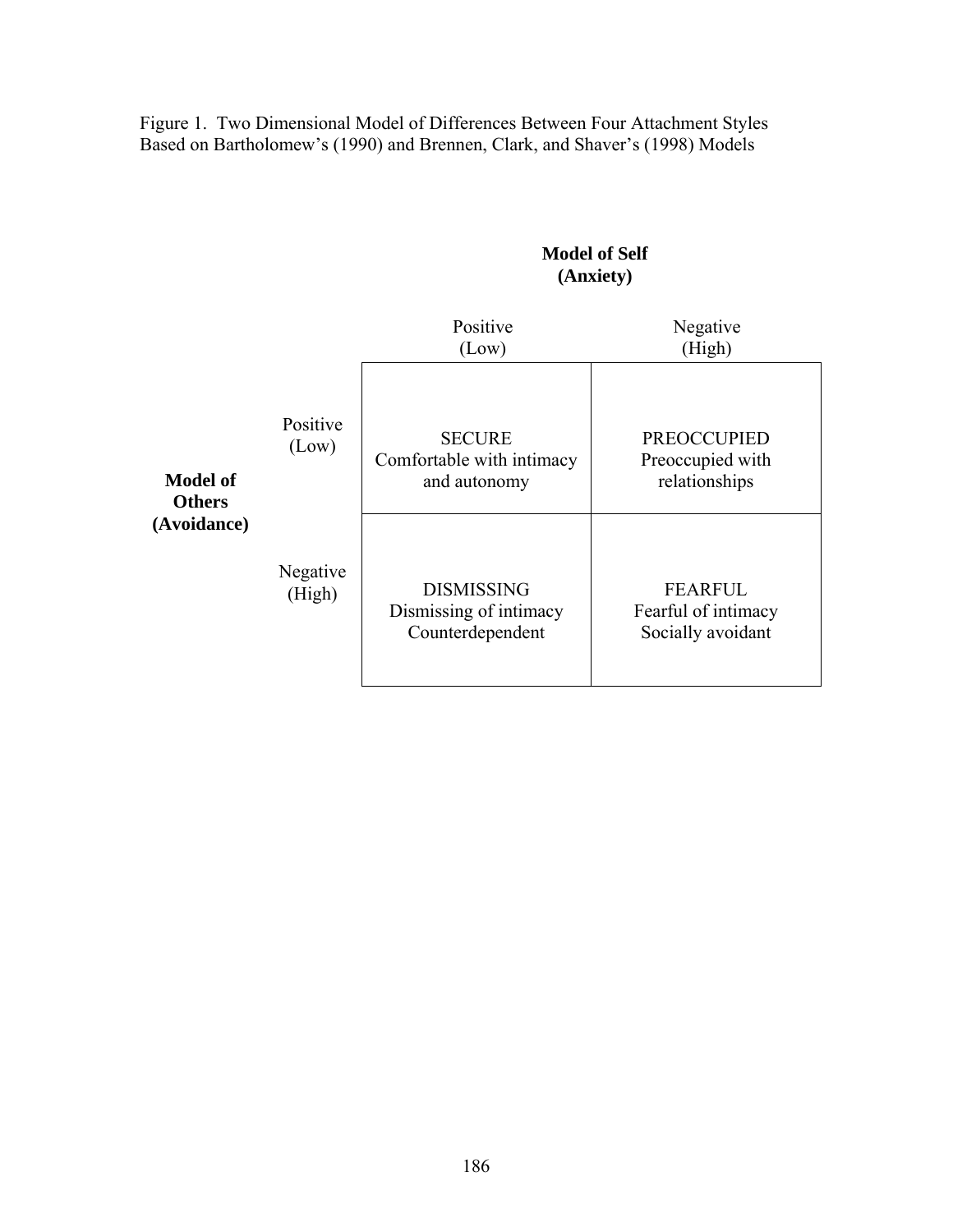Figure 1. Two Dimensional Model of Differences Between Four Attachment Styles Based on Bartholomew's (1990) and Brennen, Clark, and Shaver's (1998) Models

### **Model of Self (Anxiety)**

|                                  |                    | Positive<br>(Low)                                               | Negative<br>(High)                                         |
|----------------------------------|--------------------|-----------------------------------------------------------------|------------------------------------------------------------|
| <b>Model of</b><br><b>Others</b> | Positive<br>(Low)  | <b>SECURE</b><br>Comfortable with intimacy<br>and autonomy      | <b>PREOCCUPIED</b><br>Preoccupied with<br>relationships    |
| (Avoidance)                      | Negative<br>(High) | <b>DISMISSING</b><br>Dismissing of intimacy<br>Counterdependent | <b>FEARFUL</b><br>Fearful of intimacy<br>Socially avoidant |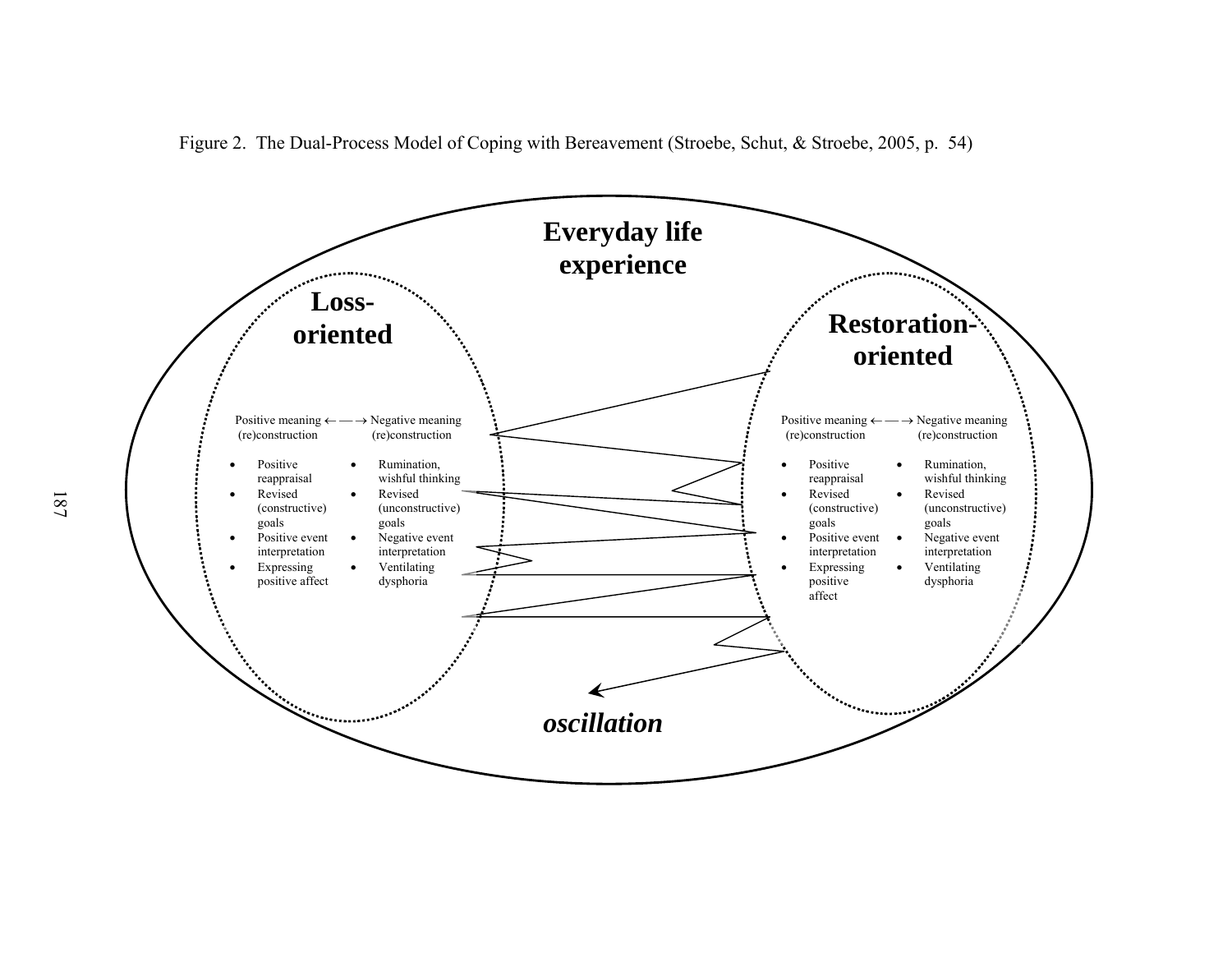

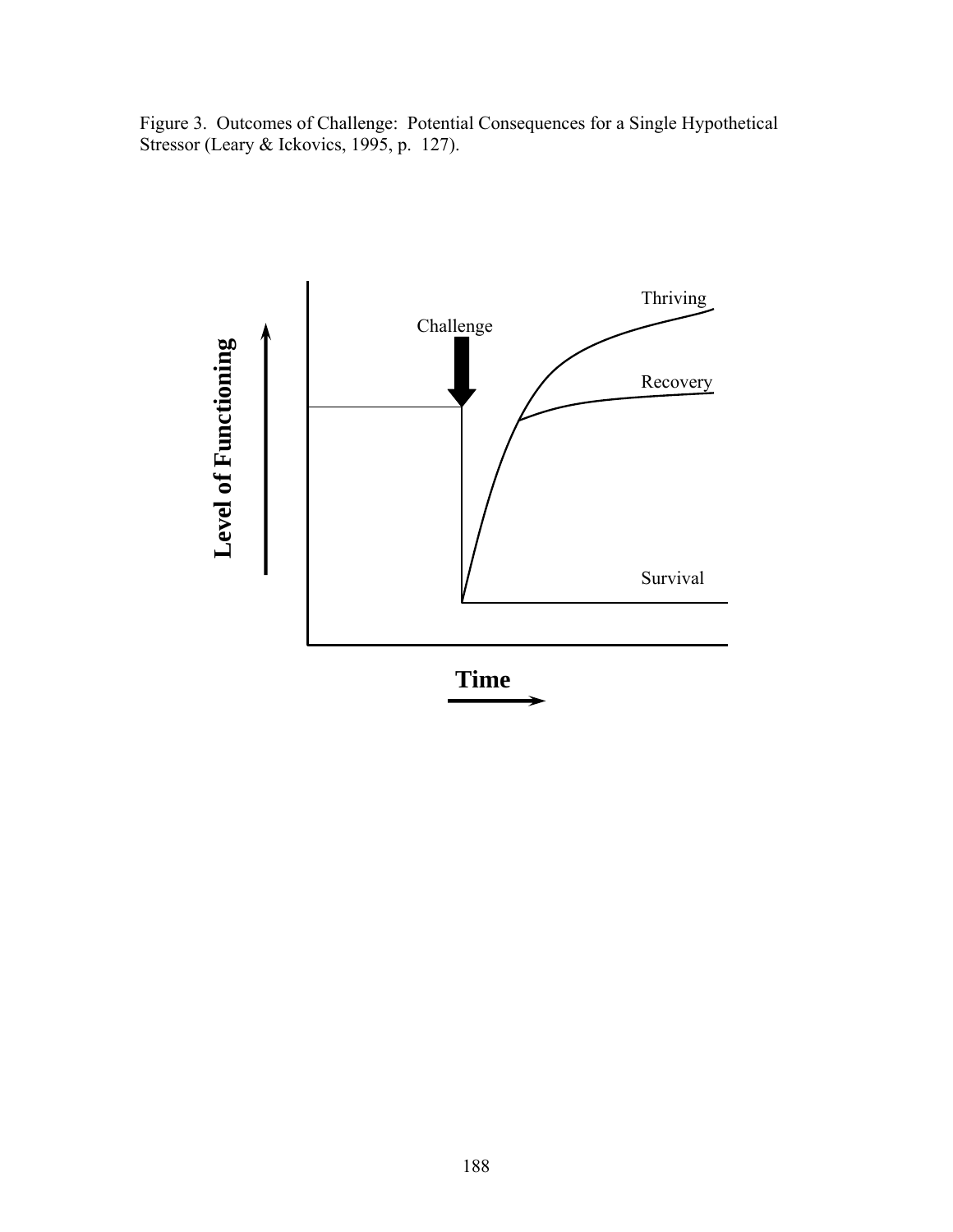Figure 3. Outcomes of Challenge: Potential Consequences for a Single Hypothetical Stressor (Leary & Ickovics, 1995, p. 127).

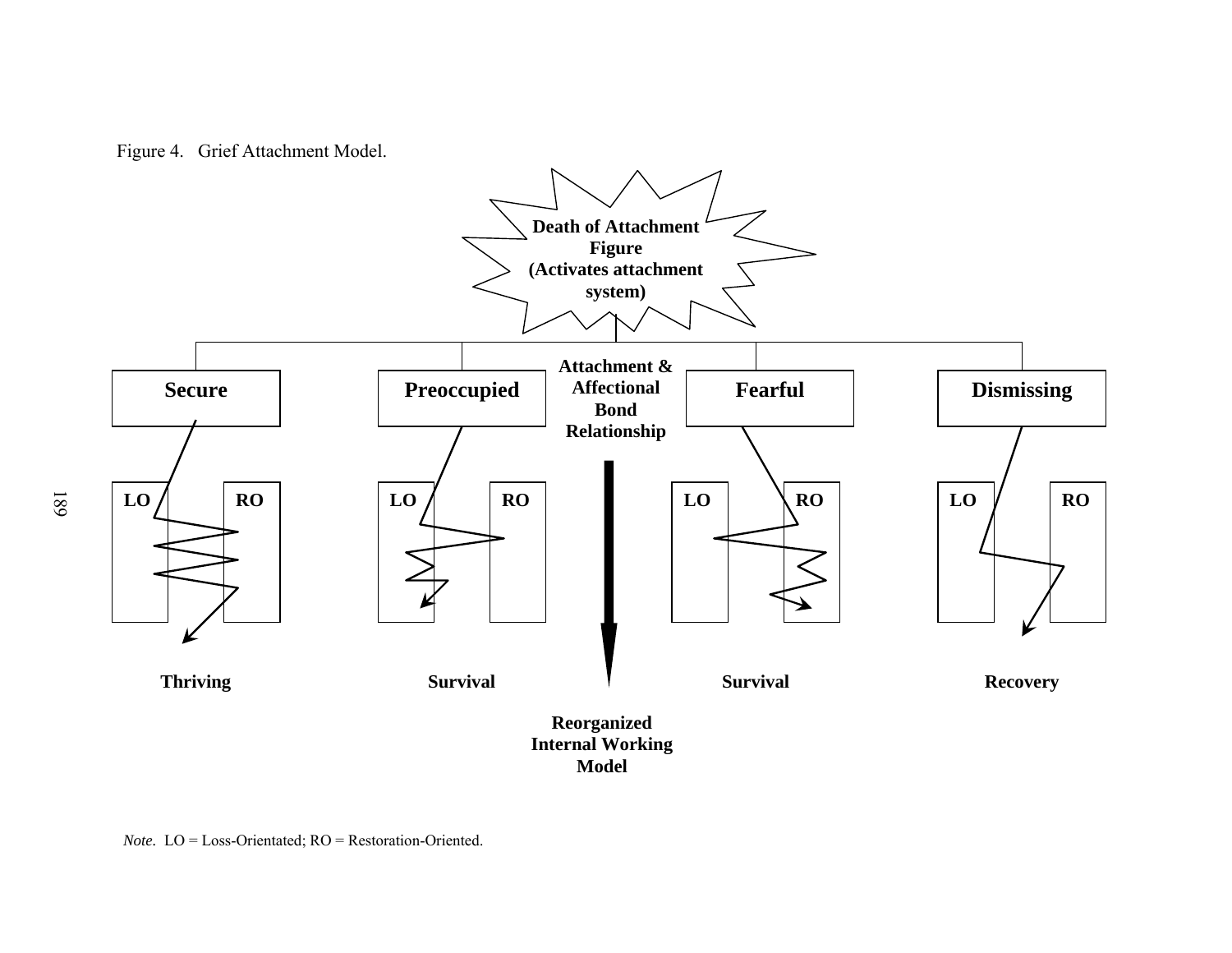

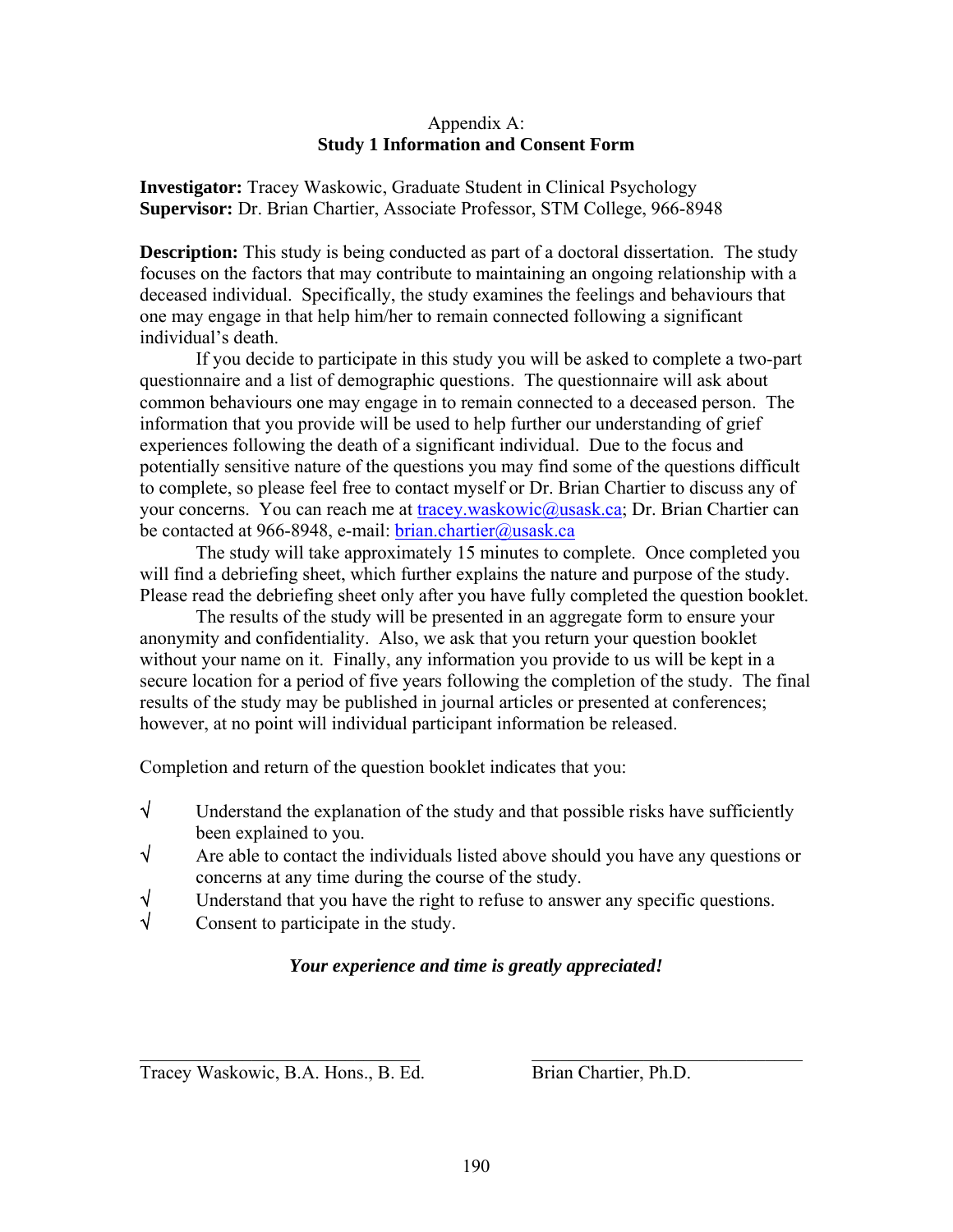#### Appendix A: **Study 1 Information and Consent Form**

**Investigator:** Tracey Waskowic, Graduate Student in Clinical Psychology **Supervisor:** Dr. Brian Chartier, Associate Professor, STM College, 966-8948

**Description:** This study is being conducted as part of a doctoral dissertation. The study focuses on the factors that may contribute to maintaining an ongoing relationship with a deceased individual. Specifically, the study examines the feelings and behaviours that one may engage in that help him/her to remain connected following a significant individual's death.

If you decide to participate in this study you will be asked to complete a two-part questionnaire and a list of demographic questions. The questionnaire will ask about common behaviours one may engage in to remain connected to a deceased person. The information that you provide will be used to help further our understanding of grief experiences following the death of a significant individual. Due to the focus and potentially sensitive nature of the questions you may find some of the questions difficult to complete, so please feel free to contact myself or Dr. Brian Chartier to discuss any of your concerns. You can reach me at [tracey.waskowic@usask.ca;](mailto:tracey.waskowic@usask.ca) Dr. Brian Chartier can be contacted at 966-8948, e-mail: [brian.chartier@usask.ca](mailto:brian.chartier@usask.ca)

 The study will take approximately 15 minutes to complete. Once completed you will find a debriefing sheet, which further explains the nature and purpose of the study. Please read the debriefing sheet only after you have fully completed the question booklet.

 The results of the study will be presented in an aggregate form to ensure your anonymity and confidentiality. Also, we ask that you return your question booklet without your name on it. Finally, any information you provide to us will be kept in a secure location for a period of five years following the completion of the study. The final results of the study may be published in journal articles or presented at conferences; however, at no point will individual participant information be released.

Completion and return of the question booklet indicates that you:

- $\sqrt{\phantom{a}}$  Understand the explanation of the study and that possible risks have sufficiently been explained to you.
- √ Are able to contact the individuals listed above should you have any questions or concerns at any time during the course of the study.
- $\sqrt{\frac{1}{\sqrt{1-\frac{1}{\sqrt{1-\frac{1}{\sqrt{1-\frac{1}{\sqrt{1-\frac{1}{\sqrt{1-\frac{1}{\sqrt{1-\frac{1}{\sqrt{1-\frac{1}{\sqrt{1-\frac{1}{\sqrt{1-\frac{1}{\sqrt{1-\frac{1}{\sqrt{1-\frac{1}{\sqrt{1-\frac{1}{\sqrt{1-\frac{1}{\sqrt{1-\frac{1}{\sqrt{1-\frac{1}{\sqrt{1-\frac{1}{\sqrt{1-\frac{1}{\sqrt{1-\frac{1}{\sqrt{1-\frac{1}{\sqrt{1-\frac{1}{\sqrt{1-\frac{1}{\sqrt{1-\frac{1}{\sqrt{1-\frac{1}{\sqrt{1-\frac$
- √ Consent to participate in the study.

### *Your experience and time is greatly appreciated!*

 $\_$  , and the contribution of the contribution of  $\mathcal{L}_\mathcal{A}$  , and the contribution of  $\mathcal{L}_\mathcal{A}$ 

Tracey Waskowic, B.A. Hons., B. Ed. Brian Chartier, Ph.D.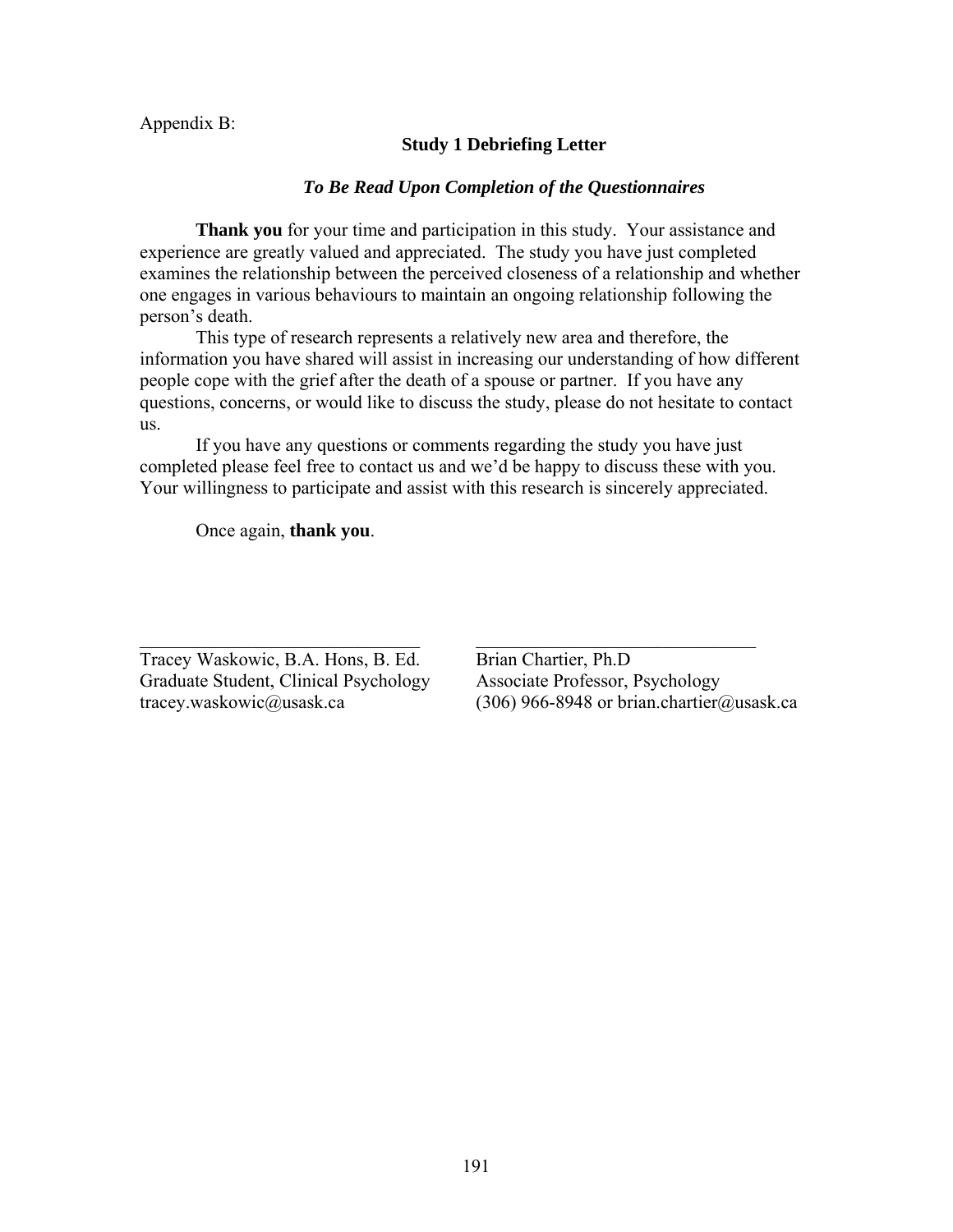Appendix B:

### **Study 1 Debriefing Letter**

#### *To Be Read Upon Completion of the Questionnaires*

**Thank you** for your time and participation in this study. Your assistance and experience are greatly valued and appreciated. The study you have just completed examines the relationship between the perceived closeness of a relationship and whether one engages in various behaviours to maintain an ongoing relationship following the person's death.

This type of research represents a relatively new area and therefore, the information you have shared will assist in increasing our understanding of how different people cope with the grief after the death of a spouse or partner. If you have any questions, concerns, or would like to discuss the study, please do not hesitate to contact us.

If you have any questions or comments regarding the study you have just completed please feel free to contact us and we'd be happy to discuss these with you. Your willingness to participate and assist with this research is sincerely appreciated.

 $\mathcal{L}_\text{max}$  and the contract of the contract of the contract of the contract of the contract of the contract of

Once again, **thank you**.

Tracey Waskowic, B.A. Hons, B. Ed. Brian Chartier, Ph.D Graduate Student, Clinical Psychology Associate Professor, Psychology

tracey.waskowic@usask.ca (306) 966-8948 or brian.chartier@usask.ca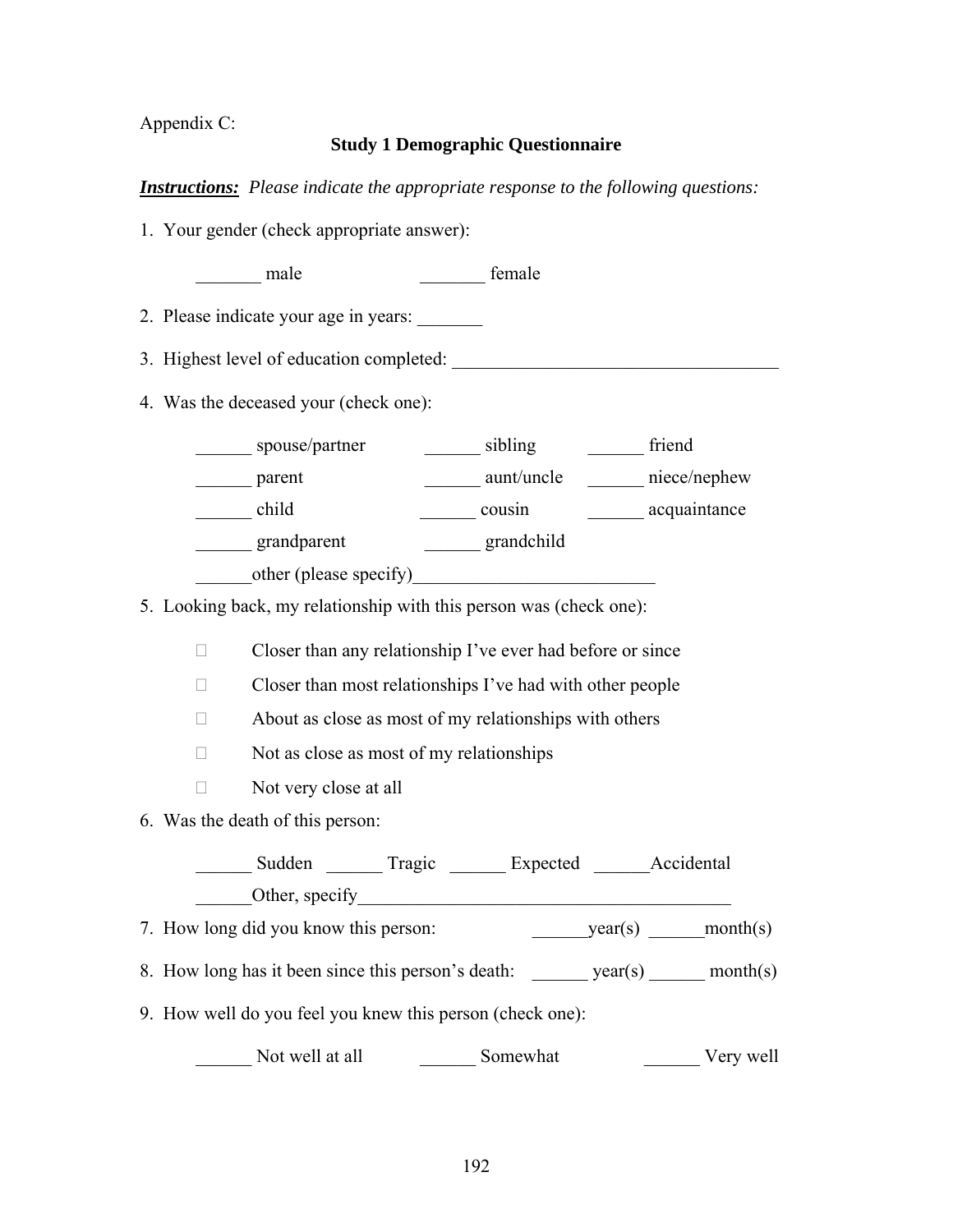Appendix C:

### **Study 1 Demographic Questionnaire**

### *Instructions: Please indicate the appropriate response to the following questions:*

- 1. Your gender (check appropriate answer):
	- male temale  $\sim$  female
- 2. Please indicate your age in years:
- 3. Highest level of education completed: \_\_\_\_\_\_\_\_\_\_\_\_\_\_\_\_\_\_\_\_\_\_\_\_\_\_\_\_\_\_\_\_\_\_\_
- 4. Was the deceased your (check one):

| spouse/partner         | sibling    | friend       |
|------------------------|------------|--------------|
| parent                 | aunt/uncle | niece/nephew |
| child                  | cousin     | acquaintance |
| grandparent            | grandchild |              |
| other (please specify) |            |              |

5. Looking back, my relationship with this person was (check one):

 $\Box$  Closer than any relationship I've ever had before or since

- $\Box$  Closer than most relationships I've had with other people
- $\Box$  About as close as most of my relationships with others
- $\Box$  Not as close as most of my relationships
- $\Box$  Not very close at all
- 6. Was the death of this person:

| Sudden         | Tragic | Expected | Accidental |
|----------------|--------|----------|------------|
| Other, specify |        |          |            |

- 7. How long did you know this person: year(s) month(s)
- 8. How long has it been since this person's death:  $year(s)$  month(s)
- 9. How well do you feel you knew this person (check one):

\_\_\_\_\_\_ Not well at all \_\_\_\_\_\_ Somewhat \_\_\_\_\_\_ Very well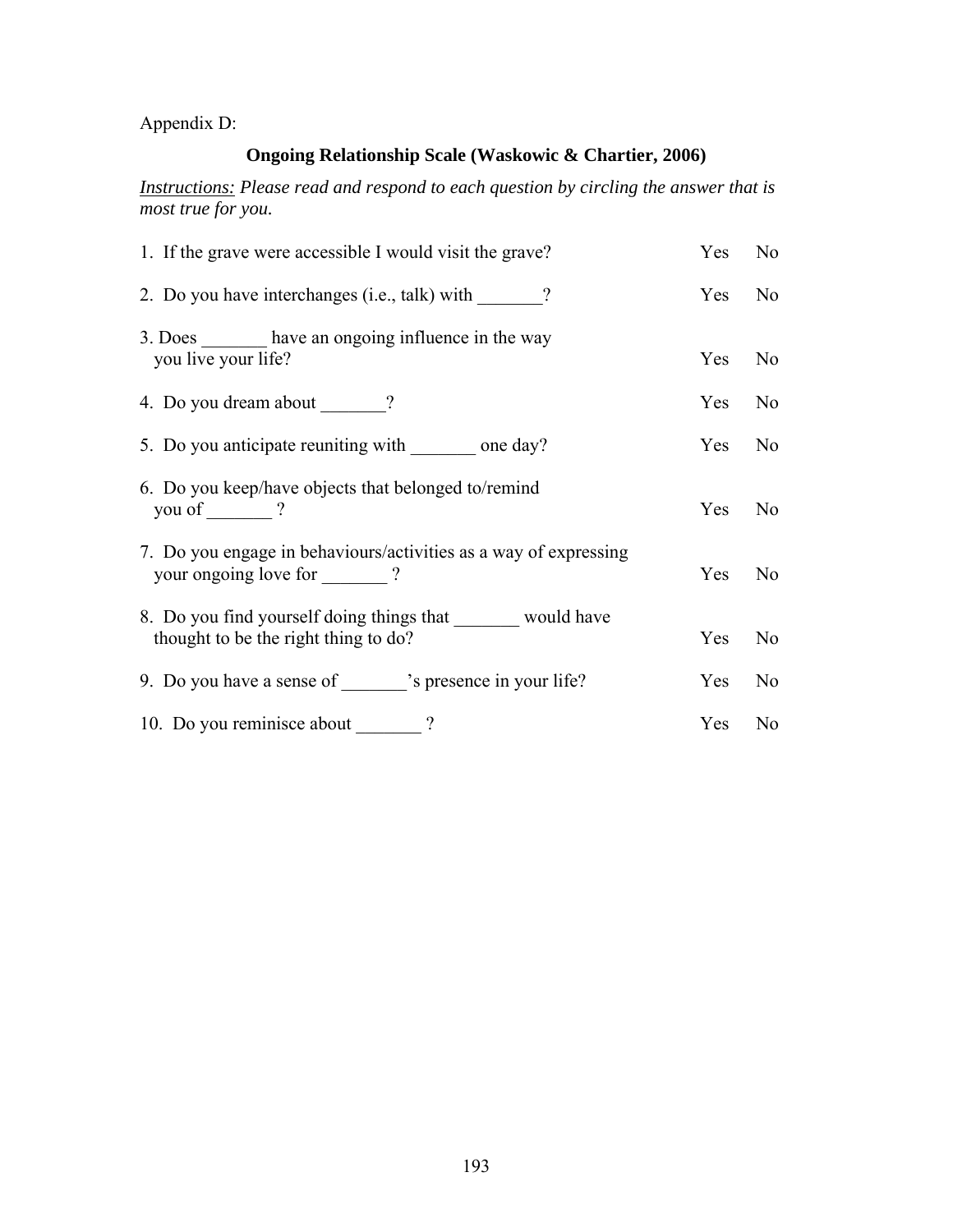Appendix D:

# **Ongoing Relationship Scale (Waskowic & Chartier, 2006)**

*Instructions: Please read and respond to each question by circling the answer that is most true for you.* 

| 1. If the grave were accessible I would visit the grave?                                           | Yes        | N <sub>0</sub> |
|----------------------------------------------------------------------------------------------------|------------|----------------|
| 2. Do you have interchanges (i.e., talk) with ?                                                    | Yes        | N <sub>0</sub> |
| 3. Does have an ongoing influence in the way<br>you live your life?                                | Yes        | N <sub>0</sub> |
|                                                                                                    | <b>Yes</b> | N <sub>0</sub> |
| 5. Do you anticipate reuniting with _______ one day?                                               | Yes        | N <sub>0</sub> |
| 6. Do you keep/have objects that belonged to/remind<br>you of ?                                    | Yes        | N <sub>0</sub> |
| 7. Do you engage in behaviours/activities as a way of expressing<br>your ongoing love for _______? | Yes        | No.            |
| 8. Do you find yourself doing things that would have<br>thought to be the right thing to do?       | Yes        | N <sub>0</sub> |
| 9. Do you have a sense of "s presence in your life?                                                | Yes        | N <sub>0</sub> |
| 10. Do you reminisce about _______?                                                                | Yes        | N <sub>0</sub> |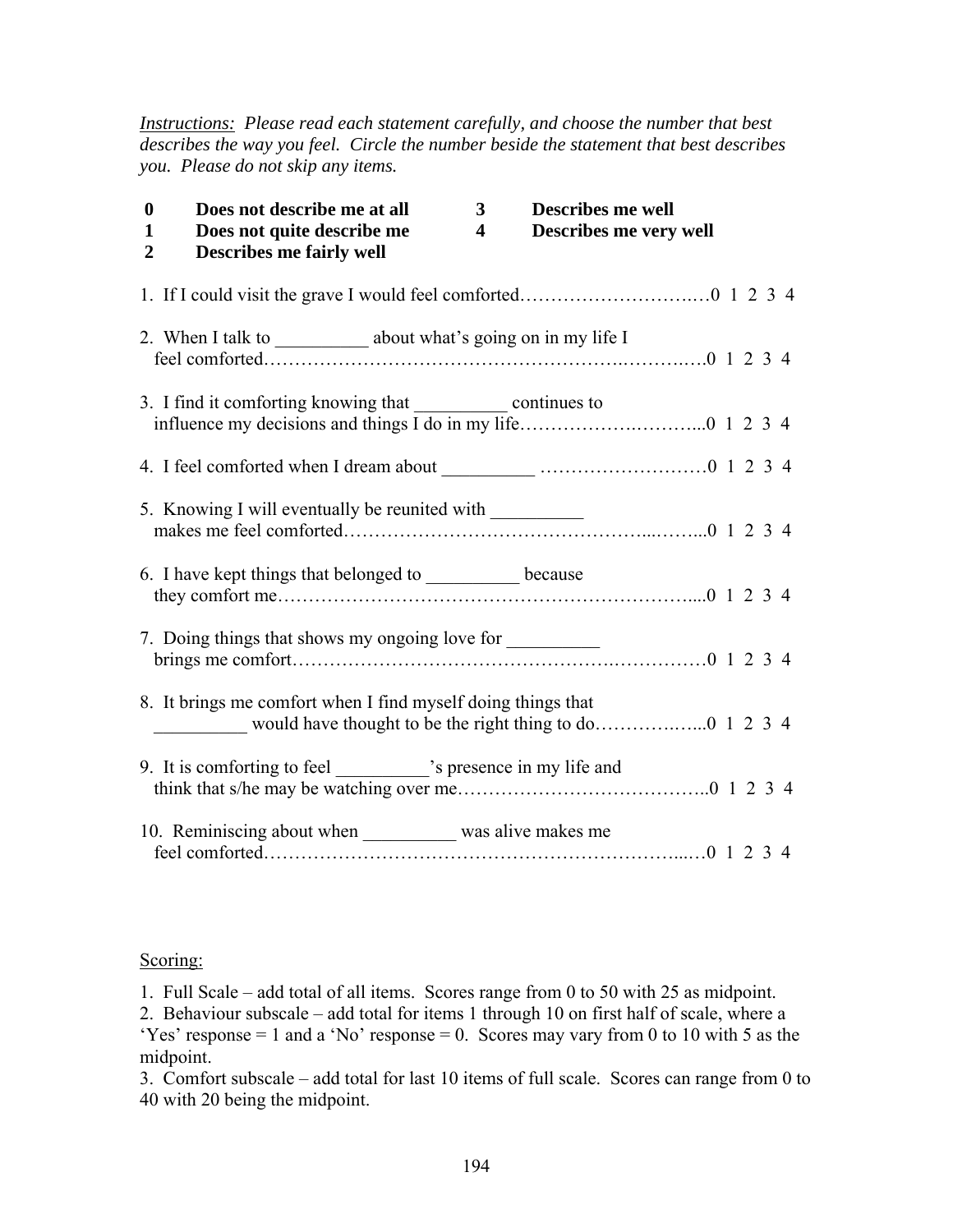*Instructions: Please read each statement carefully, and choose the number that best describes the way you feel. Circle the number beside the statement that best describes you. Please do not skip any items.* 

| $\bf{0}$<br>Does not describe me at all<br>Does not quite describe me<br>1<br><b>Describes me fairly well</b><br>$\overline{2}$ | 3<br>$\overline{\mathbf{4}}$ | <b>Describes me well</b><br>Describes me very well |
|---------------------------------------------------------------------------------------------------------------------------------|------------------------------|----------------------------------------------------|
|                                                                                                                                 |                              |                                                    |
| 2. When I talk to _____________ about what's going on in my life I                                                              |                              |                                                    |
|                                                                                                                                 |                              |                                                    |
|                                                                                                                                 |                              |                                                    |
| 5. Knowing I will eventually be reunited with __________                                                                        |                              |                                                    |
| 6. I have kept things that belonged to ______________ because                                                                   |                              |                                                    |
| 7. Doing things that shows my ongoing love for __________                                                                       |                              |                                                    |
| 8. It brings me comfort when I find myself doing things that                                                                    |                              |                                                    |
| 9. It is comforting to feel ______________'s presence in my life and                                                            |                              |                                                    |
| 10. Reminiscing about when was alive makes me                                                                                   |                              |                                                    |

#### Scoring:

1. Full Scale – add total of all items. Scores range from 0 to 50 with 25 as midpoint.

2. Behaviour subscale – add total for items 1 through 10 on first half of scale, where a 'Yes' response  $= 1$  and a 'No' response  $= 0$ . Scores may vary from 0 to 10 with 5 as the midpoint.

3. Comfort subscale – add total for last 10 items of full scale. Scores can range from 0 to 40 with 20 being the midpoint.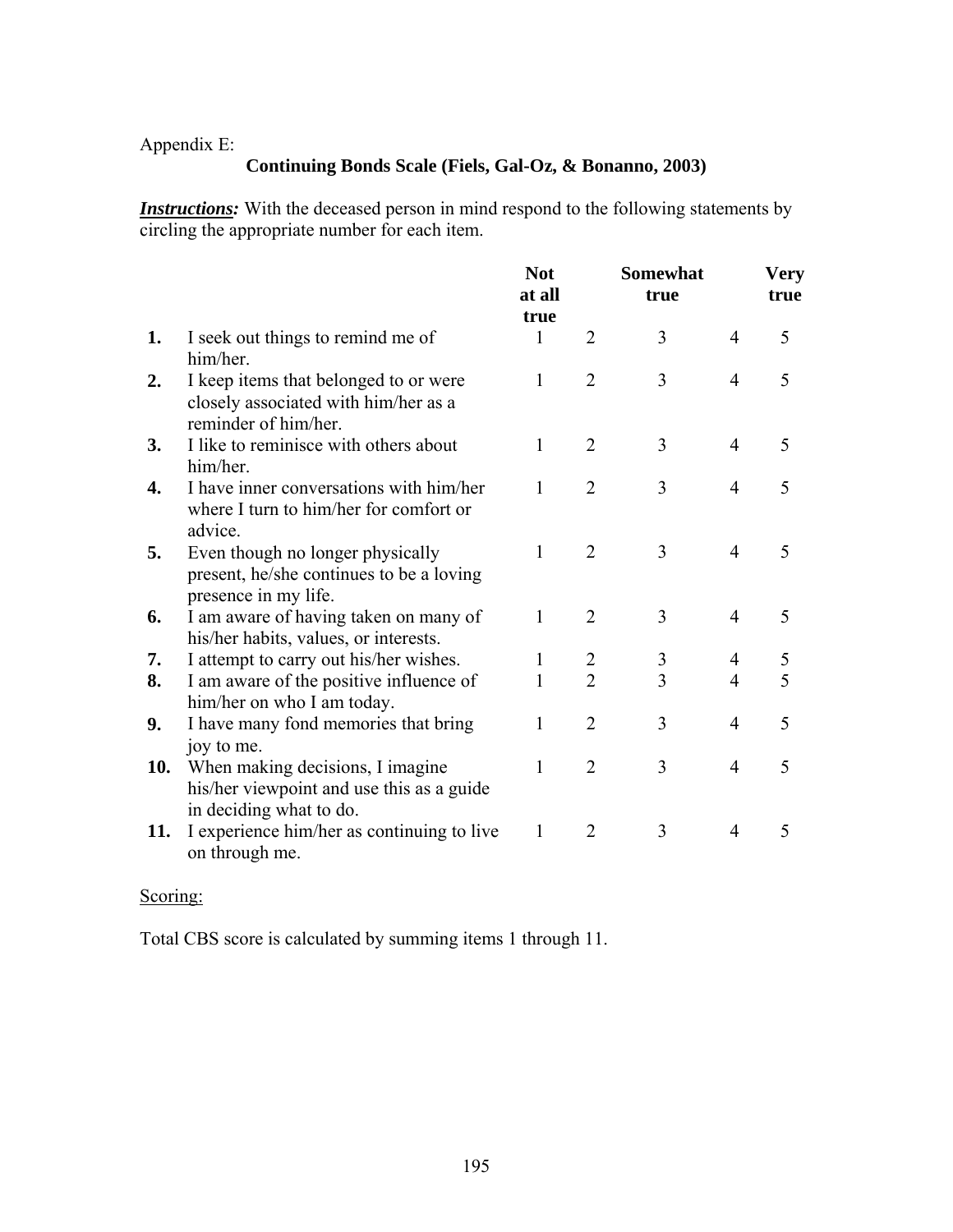## Appendix E:

# **Continuing Bonds Scale (Fiels, Gal-Oz, & Bonanno, 2003)**

*Instructions:* With the deceased person in mind respond to the following statements by circling the appropriate number for each item.

|     |                                                                                                          | <b>Not</b><br>at all<br>true |                | <b>Somewhat</b><br>true |                | <b>Very</b><br>true |
|-----|----------------------------------------------------------------------------------------------------------|------------------------------|----------------|-------------------------|----------------|---------------------|
| 1.  | I seek out things to remind me of<br>him/her.                                                            | 1                            | $\overline{2}$ | 3                       | $\overline{4}$ | 5                   |
| 2.  | I keep items that belonged to or were<br>closely associated with him/her as a<br>reminder of him/her.    | 1                            | $\overline{2}$ | 3                       | $\overline{4}$ | 5                   |
| 3.  | I like to reminisce with others about<br>him/her.                                                        | 1                            | $\overline{2}$ | 3                       | $\overline{4}$ | 5                   |
| 4.  | I have inner conversations with him/her<br>where I turn to him/her for comfort or<br>advice.             | $\mathbf{1}$                 | $\overline{2}$ | 3                       | $\overline{4}$ | 5                   |
| 5.  | Even though no longer physically<br>present, he/she continues to be a loving<br>presence in my life.     | $\mathbf{1}$                 | $\overline{2}$ | $\overline{3}$          | $\overline{4}$ | 5                   |
| 6.  | I am aware of having taken on many of<br>his/her habits, values, or interests.                           | $\mathbf{1}$                 | $\overline{2}$ | 3                       | $\overline{4}$ | 5                   |
| 7.  | I attempt to carry out his/her wishes.                                                                   | 1                            | $\overline{2}$ | 3                       | 4              | 5                   |
| 8.  | I am aware of the positive influence of<br>him/her on who I am today.                                    | 1                            | $\overline{2}$ | $\overline{3}$          | $\overline{4}$ | 5                   |
| 9.  | I have many fond memories that bring<br>joy to me.                                                       | 1                            | $\overline{2}$ | 3                       | $\overline{4}$ | 5                   |
| 10. | When making decisions, I imagine<br>his/her viewpoint and use this as a guide<br>in deciding what to do. | 1                            | $\overline{2}$ | 3                       | $\overline{4}$ | 5                   |
| 11. | I experience him/her as continuing to live<br>on through me.                                             | 1                            | $\overline{2}$ | 3                       | $\overline{4}$ | 5                   |

# Scoring:

Total CBS score is calculated by summing items 1 through 11.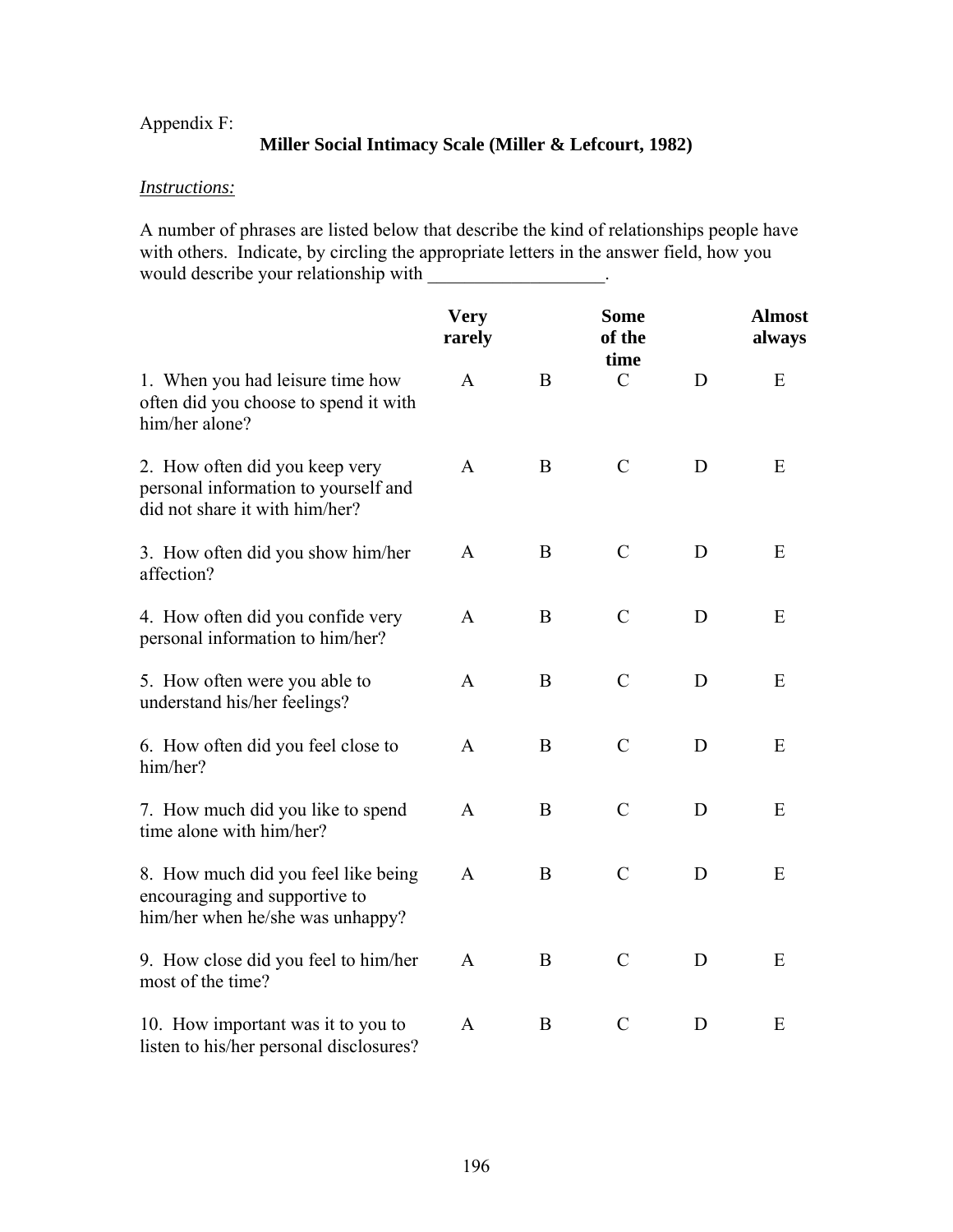# Appendix F:

### **Miller Social Intimacy Scale (Miller & Lefcourt, 1982)**

### *Instructions:*

A number of phrases are listed below that describe the kind of relationships people have with others. Indicate, by circling the appropriate letters in the answer field, how you would describe your relationship with \_\_\_\_\_\_\_\_\_\_\_\_\_\_\_\_\_.

|                                                                                                          | <b>Very</b><br>rarely |   | <b>Some</b><br>of the<br>time |   | <b>Almost</b><br>always |
|----------------------------------------------------------------------------------------------------------|-----------------------|---|-------------------------------|---|-------------------------|
| 1. When you had leisure time how<br>often did you choose to spend it with<br>him/her alone?              | A                     | B | $\mathcal{C}$                 | D | E                       |
| 2. How often did you keep very<br>personal information to yourself and<br>did not share it with him/her? | A                     | B | $\mathcal{C}$                 | D | E                       |
| 3. How often did you show him/her<br>affection?                                                          | A                     | B | $\mathcal{C}$                 | D | E                       |
| 4. How often did you confide very<br>personal information to him/her?                                    | $\mathbf{A}$          | B | $\mathcal{C}$                 | D | E                       |
| 5. How often were you able to<br>understand his/her feelings?                                            | $\mathbf{A}$          | B | $\mathcal{C}$                 | D | E                       |
| 6. How often did you feel close to<br>him/her?                                                           | A                     | B | $\mathcal{C}$                 | D | E                       |
| 7. How much did you like to spend<br>time alone with him/her?                                            | A                     | B | $\mathcal{C}$                 | D | E                       |
| 8. How much did you feel like being<br>encouraging and supportive to<br>him/her when he/she was unhappy? | $\mathbf{A}$          | B | $\mathcal{C}$                 | D | E                       |
| 9. How close did you feel to him/her<br>most of the time?                                                | $\mathsf{A}$          | B | $\mathcal{C}$                 | D | E                       |
| 10. How important was it to you to<br>listen to his/her personal disclosures?                            | A                     | B | $\mathcal{C}$                 | D | E                       |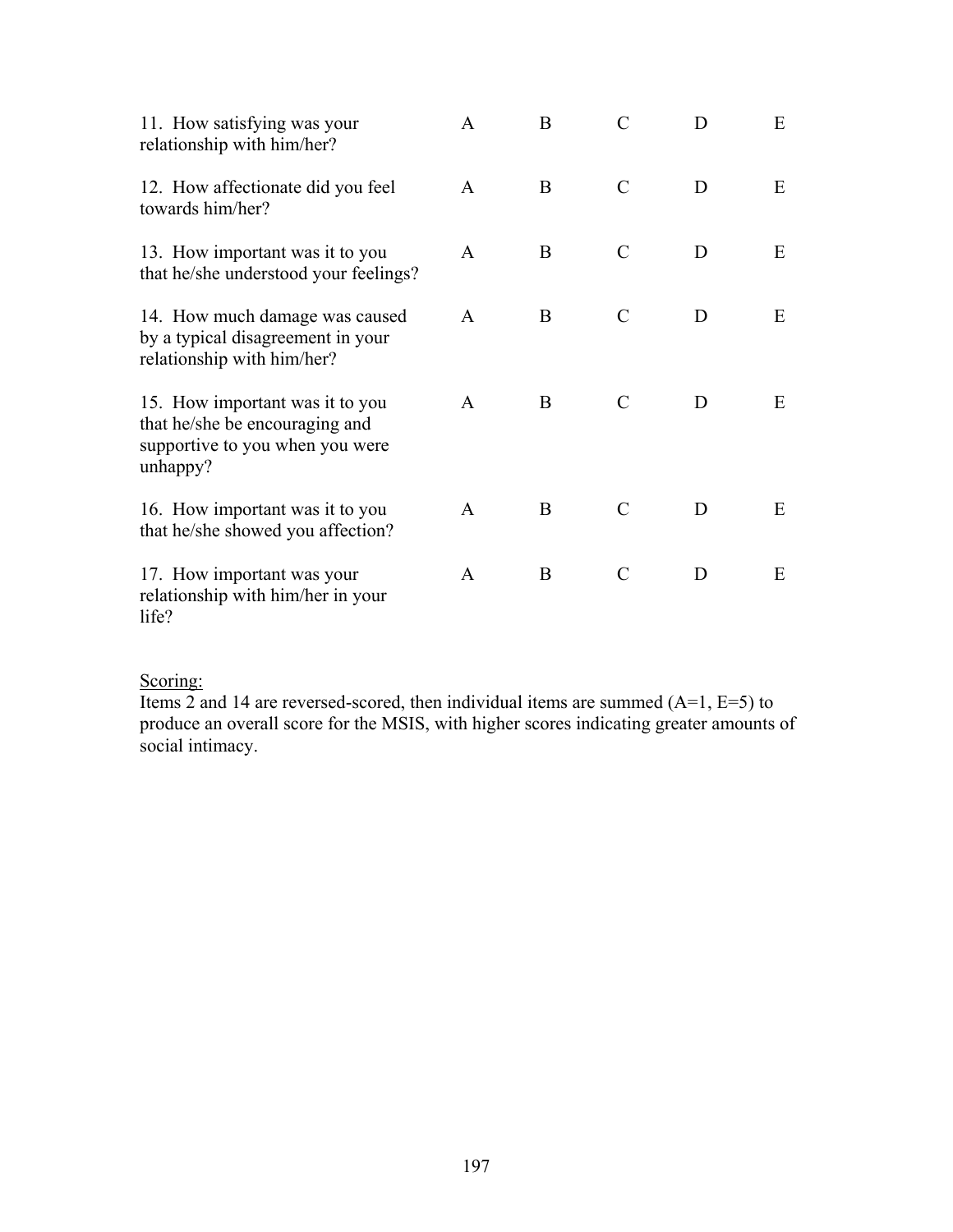| 11. How satisfying was your<br>relationship with him/her?                                                        | A            | B | $\mathcal{C}$ | D | Ε |
|------------------------------------------------------------------------------------------------------------------|--------------|---|---------------|---|---|
| 12. How affectionate did you feel<br>towards him/her?                                                            | $\mathsf{A}$ | B | $\mathcal{C}$ | D | E |
| 13. How important was it to you<br>that he/she understood your feelings?                                         | $\mathsf{A}$ | B | C             | D | Ε |
| 14. How much damage was caused<br>by a typical disagreement in your<br>relationship with him/her?                | $\mathsf{A}$ | B | $\mathcal{C}$ | D | E |
| 15. How important was it to you<br>that he/she be encouraging and<br>supportive to you when you were<br>unhappy? | A            | B | C             | D | Ε |
| 16. How important was it to you<br>that he/she showed you affection?                                             | $\mathbf{A}$ | B | $\mathcal{C}$ | D | E |
| 17. How important was your<br>relationship with him/her in your<br>life?                                         | $\mathbf{A}$ | B | $\mathcal{C}$ | D | E |

# Scoring:

Items 2 and 14 are reversed-scored, then individual items are summed  $(A=1, E=5)$  to produce an overall score for the MSIS, with higher scores indicating greater amounts of social intimacy.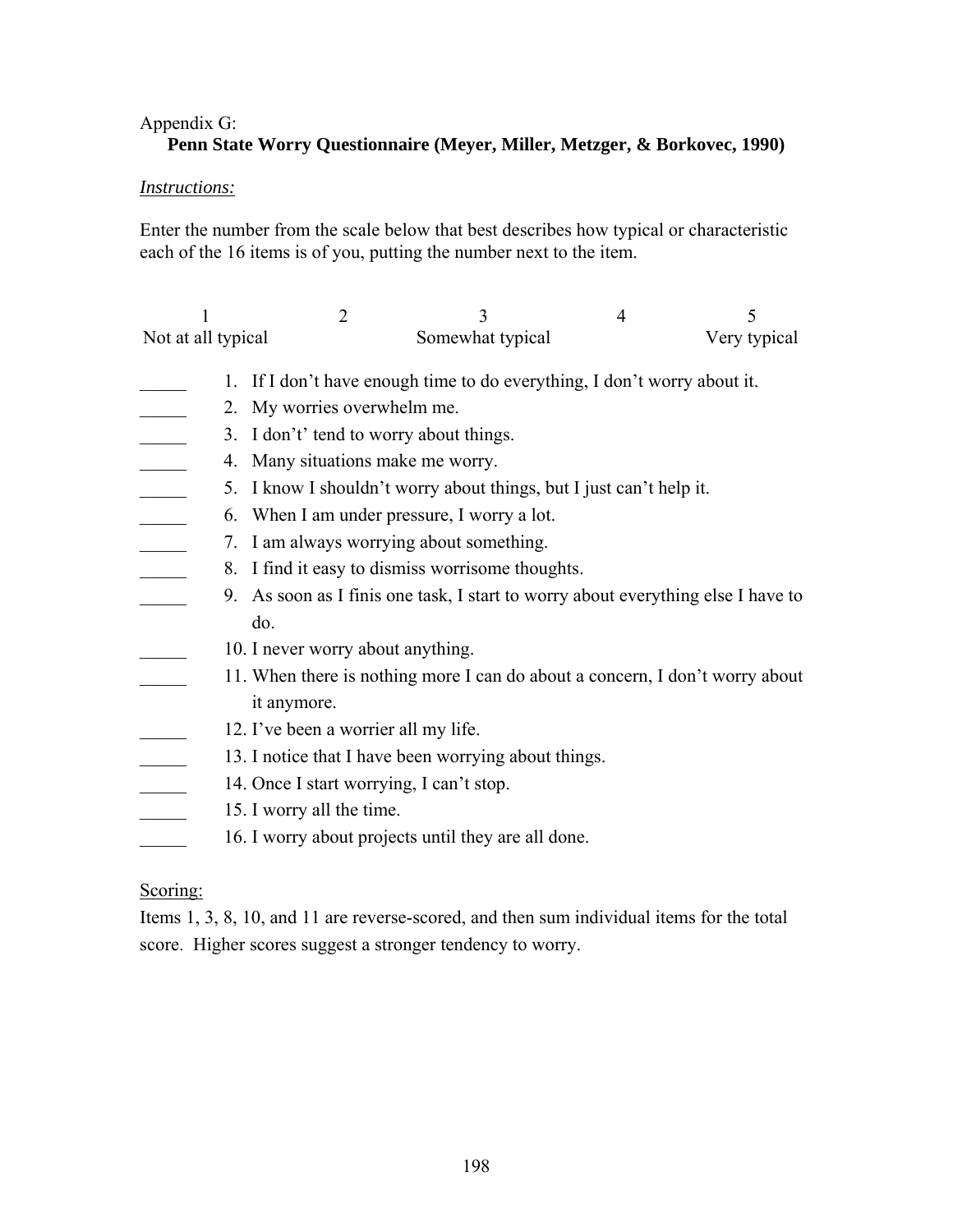## Appendix G:

### **Penn State Worry Questionnaire (Meyer, Miller, Metzger, & Borkovec, 1990)**

### *Instructions:*

Enter the number from the scale below that best describes how typical or characteristic each of the 16 items is of you, putting the number next to the item.

| Not at all typical | Somewhat typical | Very typical |
|--------------------|------------------|--------------|

- \_\_\_\_\_ 1. If I don't have enough time to do everything, I don't worry about it.
- 2. My worries overwhelm me.
- 3. I don't' tend to worry about things.
- 4. Many situations make me worry.
- 5. I know I shouldn't worry about things, but I just can't help it.
- \_\_\_\_\_ 6. When I am under pressure, I worry a lot.
- 7. I am always worrying about something.
- 8. I find it easy to dismiss worrisome thoughts.
- \_\_\_\_\_ 9. As soon as I finis one task, I start to worry about everything else I have to do.
- 10. I never worry about anything.
- 11. When there is nothing more I can do about a concern, I don't worry about it anymore.
- 12. I've been a worrier all my life.
- 13. I notice that I have been worrying about things.
- 14. Once I start worrying, I can't stop.
- 15. I worry all the time.
- 16. I worry about projects until they are all done.

### Scoring:

Items 1, 3, 8, 10, and 11 are reverse-scored, and then sum individual items for the total score. Higher scores suggest a stronger tendency to worry.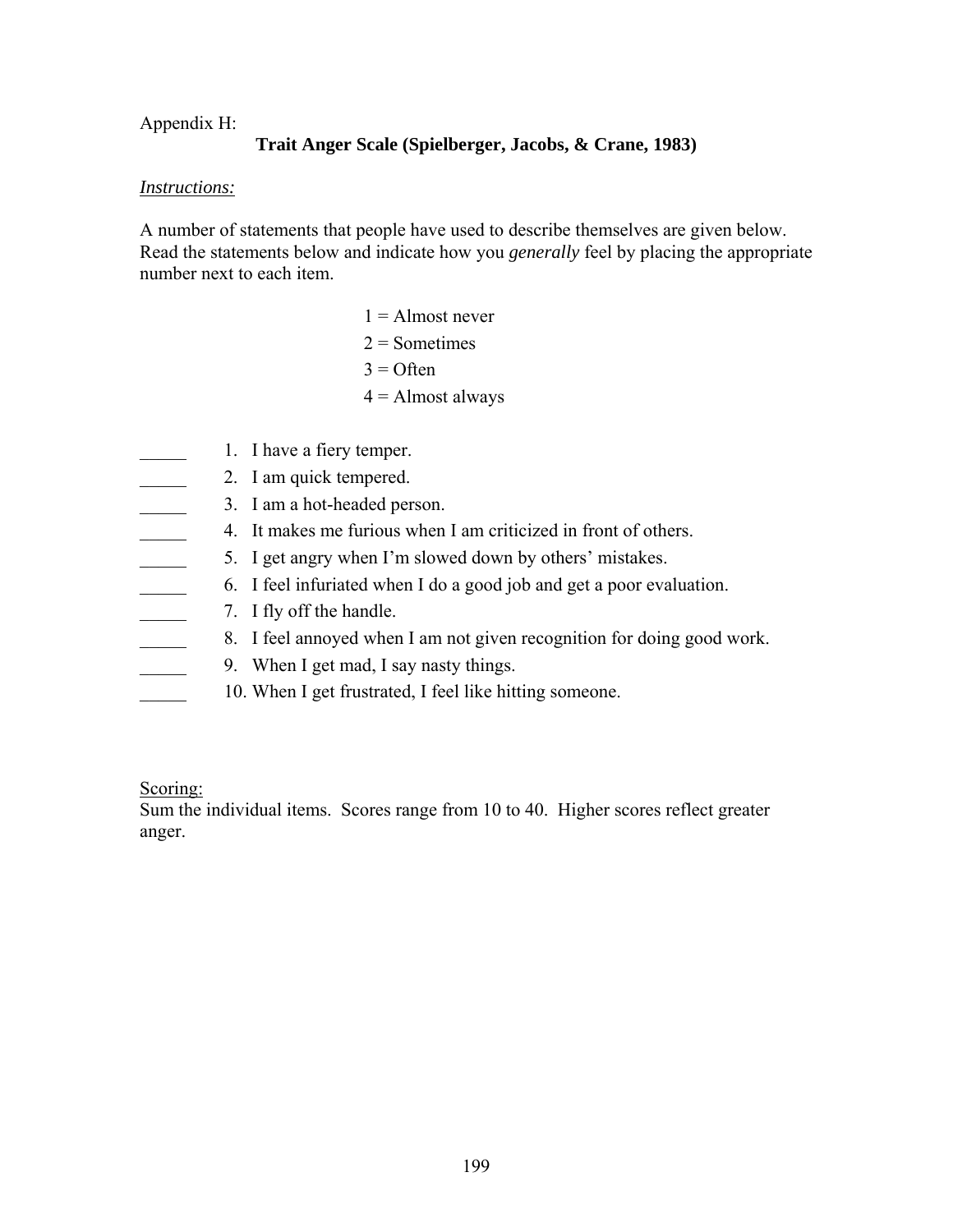### Appendix H:

### **Trait Anger Scale (Spielberger, Jacobs, & Crane, 1983)**

### *Instructions:*

A number of statements that people have used to describe themselves are given below. Read the statements below and indicate how you *generally* feel by placing the appropriate number next to each item.

- $1 =$  Almost never  $2 =$ Sometimes  $3$  = Often  $4 =$  Almost always
- 1. I have a fiery temper.
	- 2. I am quick tempered.
- 3. I am a hot-headed person.
- \_\_\_\_\_ 4. It makes me furious when I am criticized in front of others.
	- 5. I get angry when I'm slowed down by others' mistakes.
- \_\_\_\_\_ 6. I feel infuriated when I do a good job and get a poor evaluation.
- 7. I fly off the handle.
- 8. I feel annoyed when I am not given recognition for doing good work.
- 9. When I get mad, I say nasty things.
- 10. When I get frustrated, I feel like hitting someone.

Scoring:

Sum the individual items. Scores range from 10 to 40. Higher scores reflect greater anger.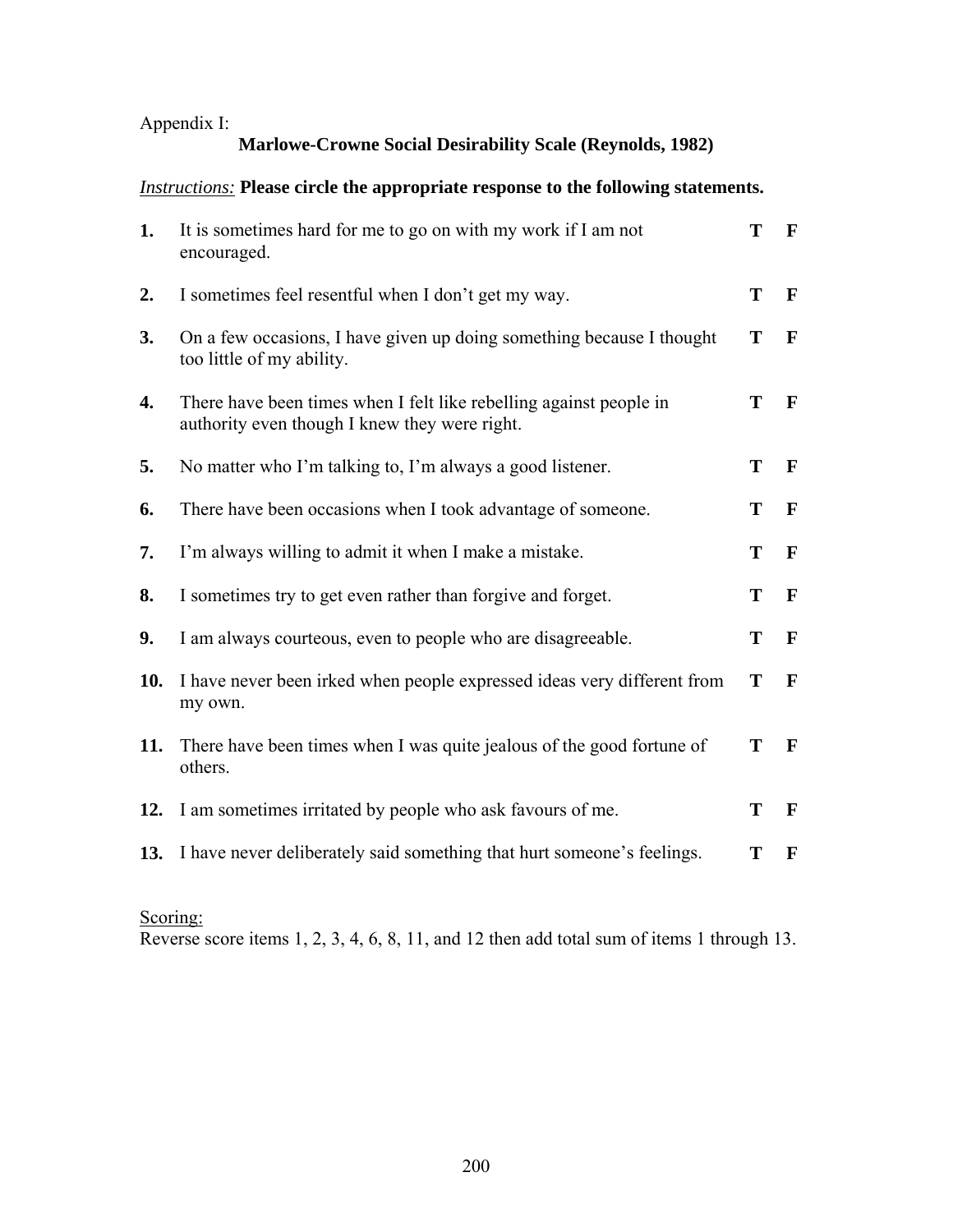# Appendix I:

### **Marlowe-Crowne Social Desirability Scale (Reynolds, 1982)**

### *Instructions:* **Please circle the appropriate response to the following statements.**

| 1.  | It is sometimes hard for me to go on with my work if I am not<br>encouraged.                                        | T | F            |
|-----|---------------------------------------------------------------------------------------------------------------------|---|--------------|
| 2.  | I sometimes feel resentful when I don't get my way.                                                                 | T | $\mathbf{F}$ |
| 3.  | On a few occasions, I have given up doing something because I thought<br>too little of my ability.                  | T | $\mathbf F$  |
| 4.  | There have been times when I felt like rebelling against people in<br>authority even though I knew they were right. | T | F            |
| 5.  | No matter who I'm talking to, I'm always a good listener.                                                           | T | $\mathbf{F}$ |
| 6.  | There have been occasions when I took advantage of someone.                                                         | T | F            |
| 7.  | I'm always willing to admit it when I make a mistake.                                                               | T | $\mathbf{F}$ |
| 8.  | I sometimes try to get even rather than forgive and forget.                                                         | T | $\mathbf{F}$ |
| 9.  | I am always courteous, even to people who are disagreeable.                                                         | T | $\mathbf{F}$ |
| 10. | I have never been irked when people expressed ideas very different from<br>my own.                                  | T | $\mathbf{F}$ |
| 11. | There have been times when I was quite jealous of the good fortune of<br>others.                                    | T | F            |
| 12. | I am sometimes irritated by people who ask favours of me.                                                           | T | $\mathbf{F}$ |
| 13. | I have never deliberately said something that hurt someone's feelings.                                              | Т | F            |

# Scoring:

Reverse score items 1, 2, 3, 4, 6, 8, 11, and 12 then add total sum of items 1 through 13.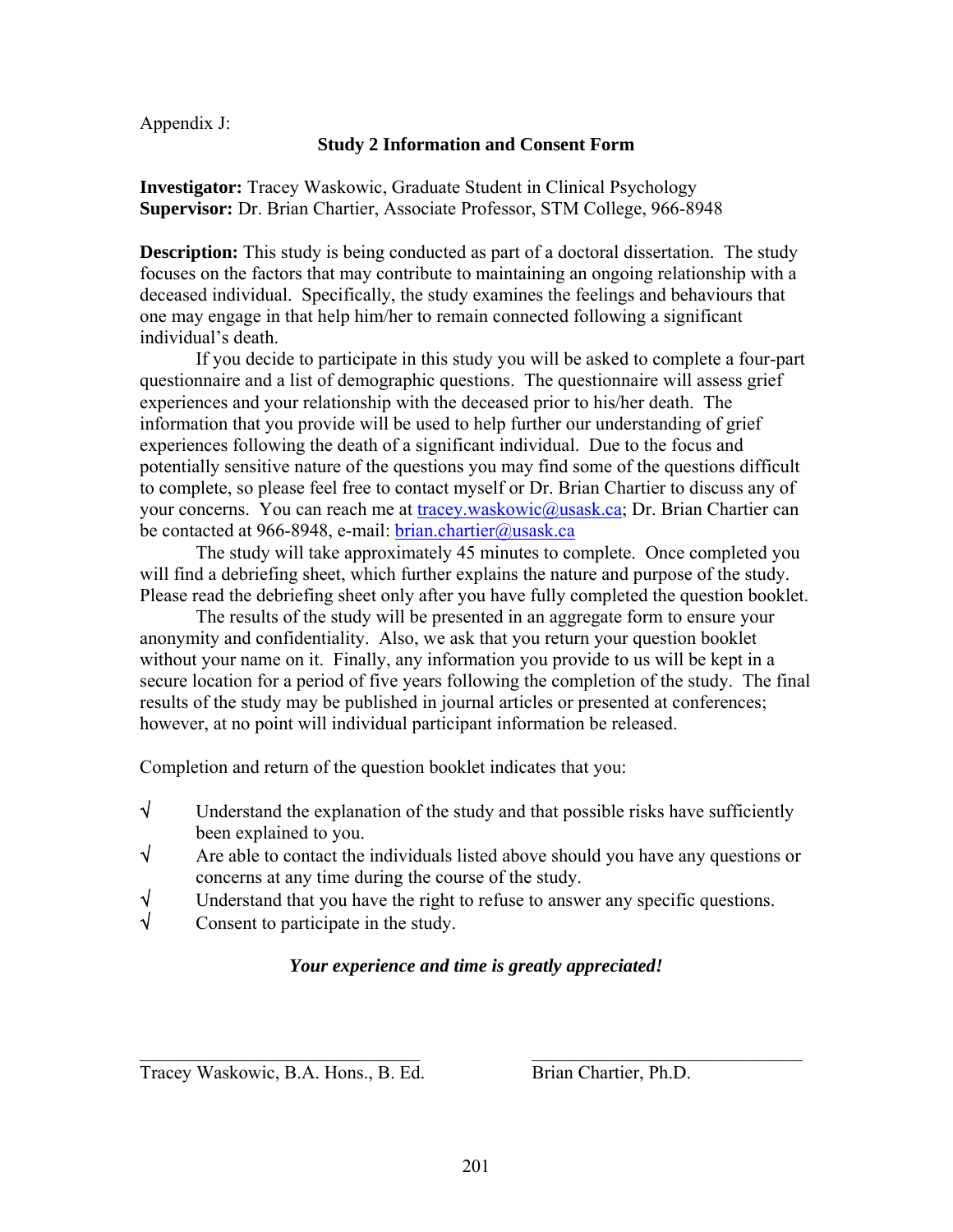Appendix J:

### **Study 2 Information and Consent Form**

**Investigator:** Tracey Waskowic, Graduate Student in Clinical Psychology **Supervisor:** Dr. Brian Chartier, Associate Professor, STM College, 966-8948

**Description:** This study is being conducted as part of a doctoral dissertation. The study focuses on the factors that may contribute to maintaining an ongoing relationship with a deceased individual. Specifically, the study examines the feelings and behaviours that one may engage in that help him/her to remain connected following a significant individual's death.

If you decide to participate in this study you will be asked to complete a four-part questionnaire and a list of demographic questions. The questionnaire will assess grief experiences and your relationship with the deceased prior to his/her death. The information that you provide will be used to help further our understanding of grief experiences following the death of a significant individual. Due to the focus and potentially sensitive nature of the questions you may find some of the questions difficult to complete, so please feel free to contact myself or Dr. Brian Chartier to discuss any of your concerns. You can reach me at [tracey.waskowic@usask.ca;](mailto:tracey.waskowic@usask.ca) Dr. Brian Chartier can be contacted at 966-8948, e-mail: [brian.chartier@usask.ca](mailto:brian.chartier@usask.ca)

 The study will take approximately 45 minutes to complete. Once completed you will find a debriefing sheet, which further explains the nature and purpose of the study. Please read the debriefing sheet only after you have fully completed the question booklet.

 The results of the study will be presented in an aggregate form to ensure your anonymity and confidentiality. Also, we ask that you return your question booklet without your name on it. Finally, any information you provide to us will be kept in a secure location for a period of five years following the completion of the study. The final results of the study may be published in journal articles or presented at conferences; however, at no point will individual participant information be released.

Completion and return of the question booklet indicates that you:

- $\sqrt{\phantom{a}}$  Understand the explanation of the study and that possible risks have sufficiently been explained to you.
- √ Are able to contact the individuals listed above should you have any questions or concerns at any time during the course of the study.
- $\sqrt{\frac{1}{\sqrt{1-\frac{1}{\sqrt{1-\frac{1}{\sqrt{1-\frac{1}{\sqrt{1-\frac{1}{\sqrt{1-\frac{1}{\sqrt{1-\frac{1}{\sqrt{1-\frac{1}{\sqrt{1-\frac{1}{\sqrt{1-\frac{1}{\sqrt{1-\frac{1}{\sqrt{1-\frac{1}{\sqrt{1-\frac{1}{\sqrt{1-\frac{1}{\sqrt{1-\frac{1}{\sqrt{1-\frac{1}{\sqrt{1-\frac{1}{\sqrt{1-\frac{1}{\sqrt{1-\frac{1}{\sqrt{1-\frac{1}{\sqrt{1-\frac{1}{\sqrt{1-\frac{1}{\sqrt{1-\frac{1}{\sqrt{1-\frac{1}{\sqrt{1-\frac$
- √ Consent to participate in the study.

### *Your experience and time is greatly appreciated!*

 $\_$  , and the contribution of the contribution of  $\mathcal{L}_\mathcal{A}$  , and the contribution of  $\mathcal{L}_\mathcal{A}$ 

Tracey Waskowic, B.A. Hons., B. Ed. Brian Chartier, Ph.D.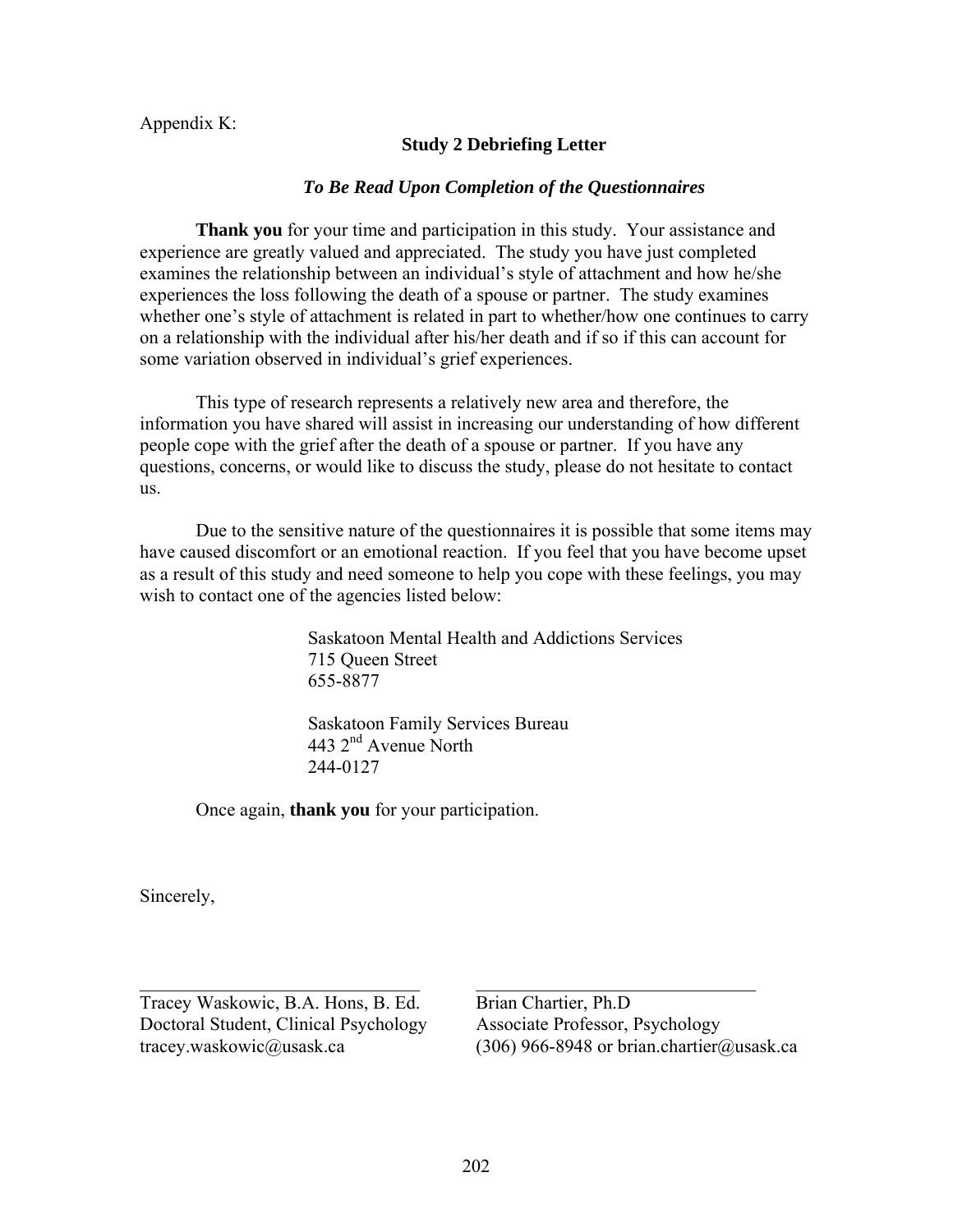Appendix K:

### **Study 2 Debriefing Letter**

#### *To Be Read Upon Completion of the Questionnaires*

**Thank you** for your time and participation in this study. Your assistance and experience are greatly valued and appreciated. The study you have just completed examines the relationship between an individual's style of attachment and how he/she experiences the loss following the death of a spouse or partner. The study examines whether one's style of attachment is related in part to whether/how one continues to carry on a relationship with the individual after his/her death and if so if this can account for some variation observed in individual's grief experiences.

This type of research represents a relatively new area and therefore, the information you have shared will assist in increasing our understanding of how different people cope with the grief after the death of a spouse or partner. If you have any questions, concerns, or would like to discuss the study, please do not hesitate to contact us.

Due to the sensitive nature of the questionnaires it is possible that some items may have caused discomfort or an emotional reaction. If you feel that you have become upset as a result of this study and need someone to help you cope with these feelings, you may wish to contact one of the agencies listed below:

> Saskatoon Mental Health and Addictions Services 715 Queen Street 655-8877

 Saskatoon Family Services Bureau 443 2<sup>nd</sup> Avenue North 244-0127

 $\_$  , and the contribution of the contribution of  $\mathcal{L}_\mathcal{A}$  , and the contribution of  $\mathcal{L}_\mathcal{A}$ 

Once again, **thank you** for your participation.

Sincerely,

Tracey Waskowic, B.A. Hons, B. Ed. Brian Chartier, Ph.D Doctoral Student, Clinical Psychology Associate Professor, Psychology

tracey.waskowic@usask.ca (306) 966-8948 or brian.chartier@usask.ca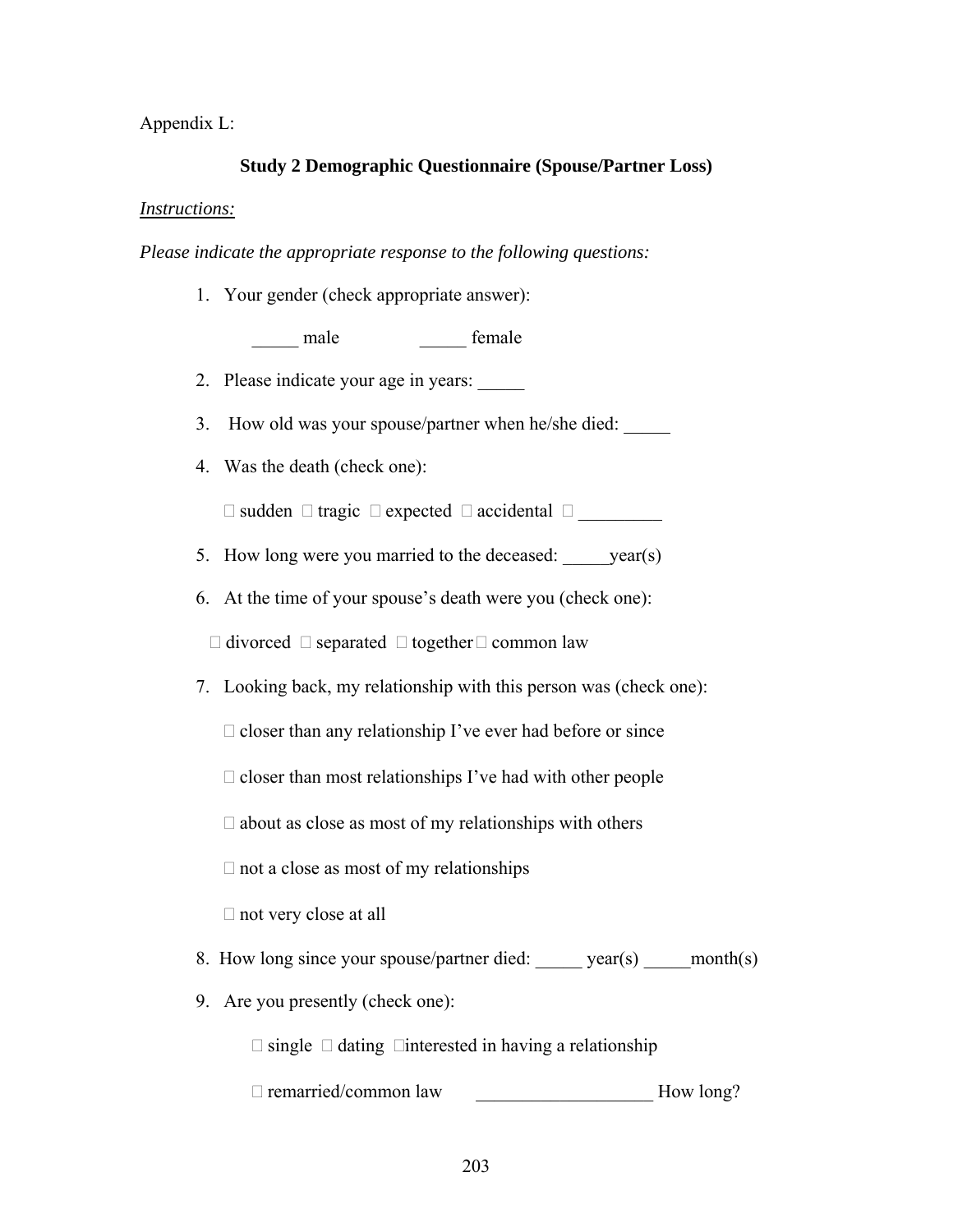Appendix L:

#### **Study 2 Demographic Questionnaire (Spouse/Partner Loss)**

#### *Instructions:*

*Please indicate the appropriate response to the following questions:* 

1. Your gender (check appropriate answer):

male temale

- 2. Please indicate your age in years: \_\_\_\_\_
- 3. How old was your spouse/partner when he/she died:
- 4. Was the death (check one):

 $\Box$  sudden  $\Box$  tragic  $\Box$  expected  $\Box$  accidental  $\Box$ 

- 5. How long were you married to the deceased: \_\_\_\_\_year(s)
- 6. At the time of your spouse's death were you (check one):

 $\Box$  divorced  $\Box$  separated  $\Box$  together  $\Box$  common law

7. Looking back, my relationship with this person was (check one):

 $\Box$  closer than any relationship I've ever had before or since

 $\Box$  closer than most relationships I've had with other people

 $\square$  about as close as most of my relationships with others

 $\Box$  not a close as most of my relationships

 $\Box$  not very close at all

- 8. How long since your spouse/partner died: \_\_\_\_\_\_ year(s) \_\_\_\_\_ month(s)
- 9. Are you presently (check one):

 $\Box$  single  $\Box$  dating  $\Box$  interested in having a relationship

□ remarried/common law <br>How long?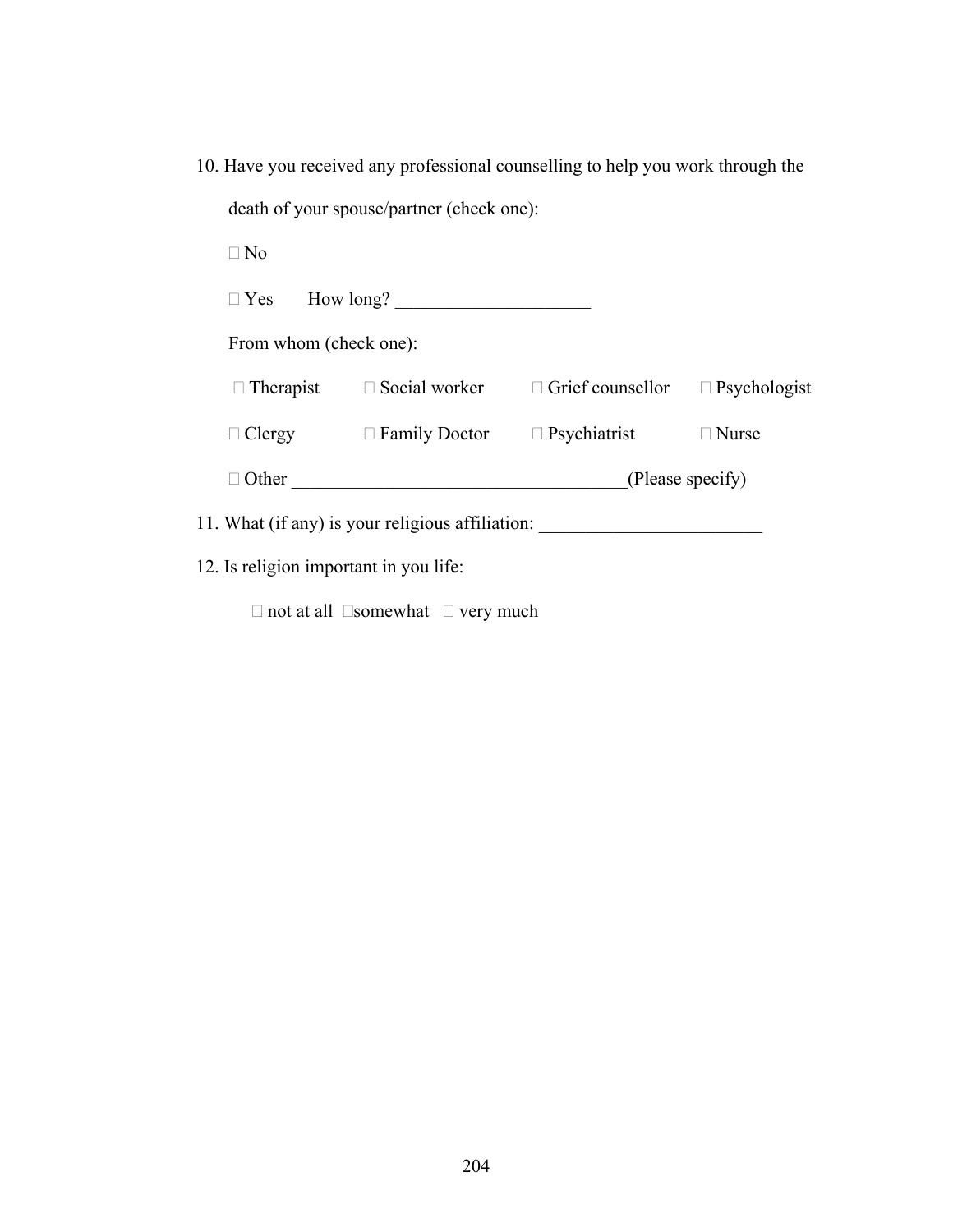10. Have you received any professional counselling to help you work through the death of your spouse/partner (check one):

 $\Box$  No

Yes How long? \_\_\_\_\_\_\_\_\_\_\_\_\_\_\_\_\_\_\_\_\_

From whom (check one):

| $\Box$ Therapist | $\Box$ Social worker | $\Box$ Grief counsellor | $\Box$ Psychologist |  |
|------------------|----------------------|-------------------------|---------------------|--|
| $\Box$ Clergy    | $\Box$ Family Doctor | $\Box$ Psychiatrist     | $\Box$ Nurse        |  |
| $\Box$ Other     |                      | (Please specify)        |                     |  |

11. What (if any) is your religious affiliation: \_\_\_\_\_\_\_\_\_\_\_\_\_\_\_\_\_\_\_\_\_\_\_\_\_\_\_\_\_\_\_

12. Is religion important in you life:

 $\Box$  not at all  $\Box$ somewhat  $\Box$  very much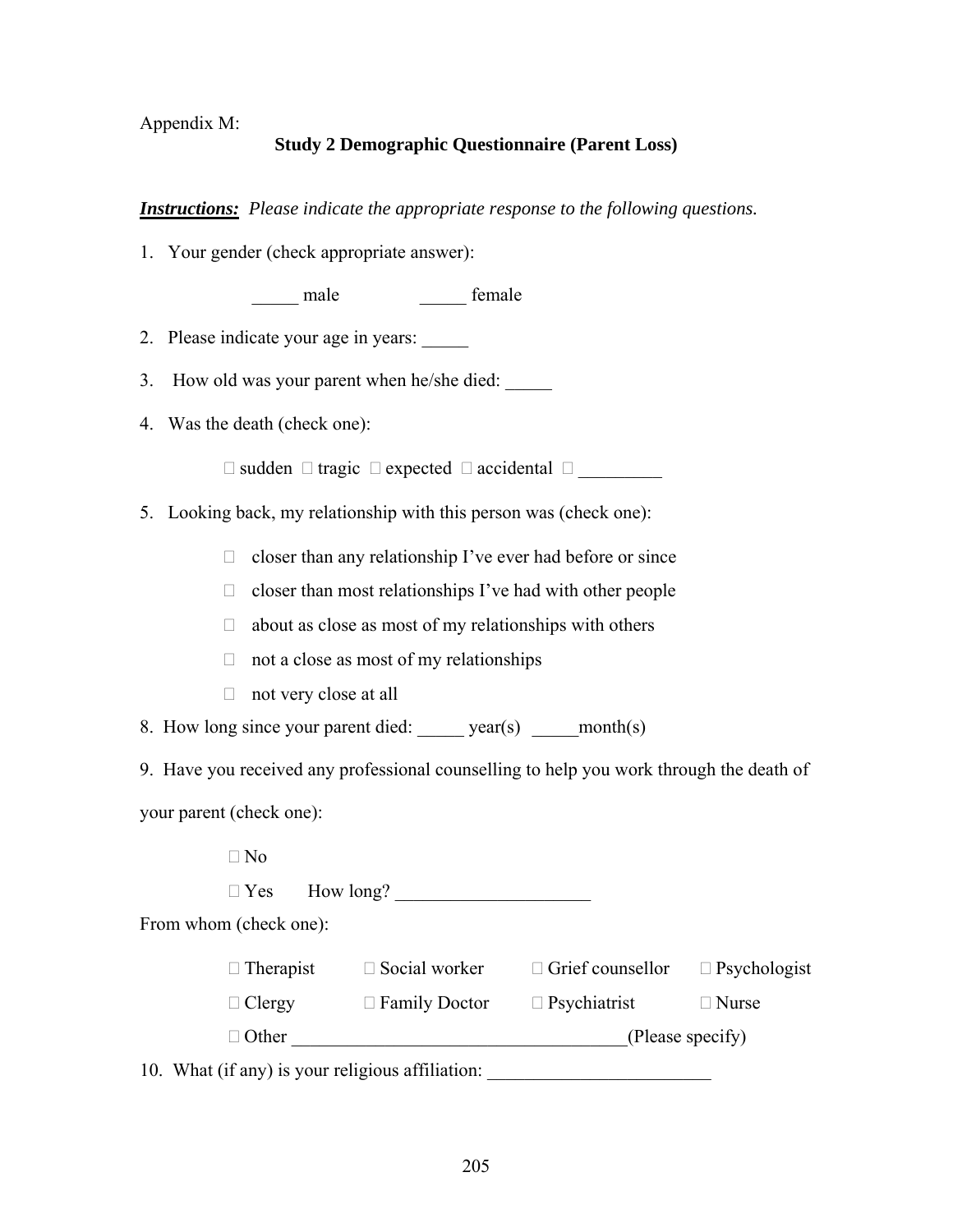### Appendix M:

### **Study 2 Demographic Questionnaire (Parent Loss)**

*Instructions: Please indicate the appropriate response to the following questions.*

1. Your gender (check appropriate answer):

\_\_\_\_\_ male \_\_\_\_\_ female

- 2. Please indicate your age in years: \_\_\_\_\_
- 3. How old was your parent when he/she died:
- 4. Was the death (check one):

 $\Box$  sudden  $\Box$  tragic  $\Box$  expected  $\Box$  accidental  $\Box$ 

5. Looking back, my relationship with this person was (check one):

 $\Box$  closer than any relationship I've ever had before or since

 $\Box$  closer than most relationships I've had with other people

- $\Box$  about as close as most of my relationships with others
- $\Box$  not a close as most of my relationships
- $\Box$  not very close at all

8. How long since your parent died: \_\_\_\_\_ year(s) \_\_\_\_\_ month(s)

9. Have you received any professional counselling to help you work through the death of your parent (check one):

 $\Box$  No

 $\Box$  Yes How long?

From whom (check one):

| $\Box$ Therapist | $\Box$ Social worker | $\Box$ Grief counsellor | $\Box$ Psychologist |  |
|------------------|----------------------|-------------------------|---------------------|--|
| $\Box$ Clergy    | $\Box$ Family Doctor | $\Box$ Psychiatrist     | $\Box$ Nurse        |  |
| $\Box$ Other     |                      | (Please specify)        |                     |  |

10. What (if any) is your religious affiliation: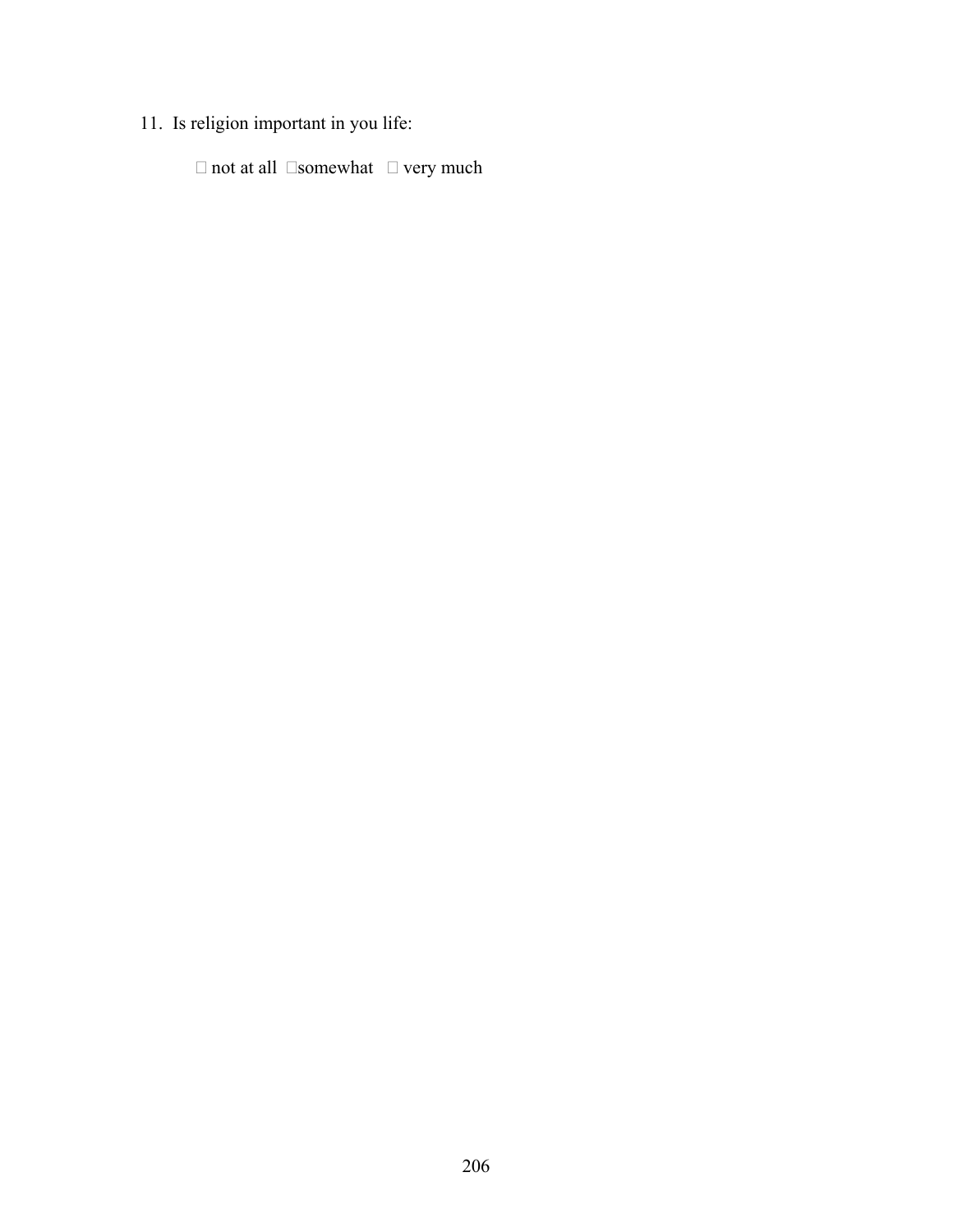# 11. Is religion important in you life:

 $\Box$  not at all  $\Box$  somewhat  $\Box$  very much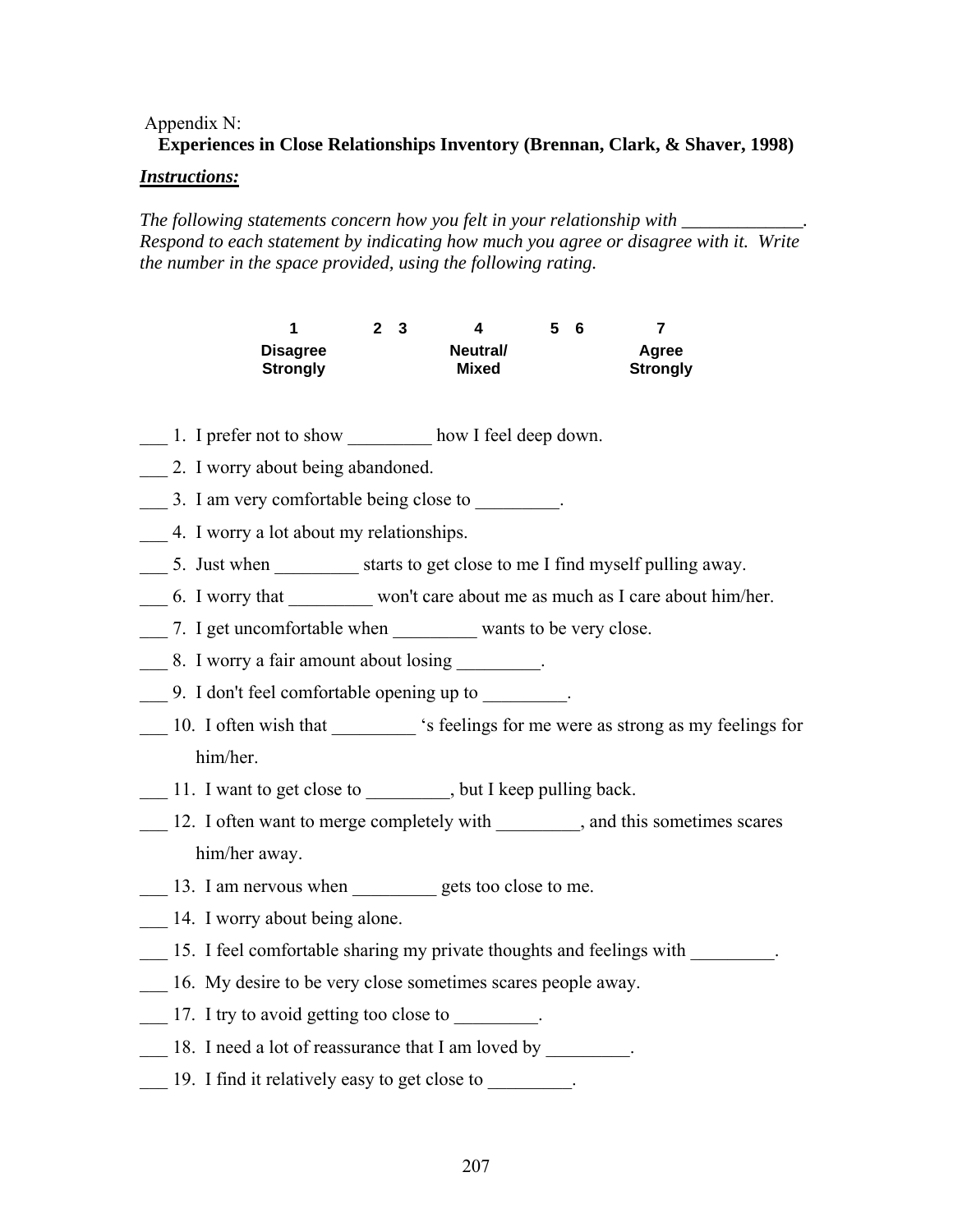#### Appendix N:

## **Experiences in Close Relationships Inventory (Brennan, Clark, & Shaver, 1998)**

#### *Instructions:*

*The following statements concern how you felt in your relationship with \_\_\_\_\_\_\_\_ Respond to each statement by indicating how much you agree or disagree with it. Write the number in the space provided, using the following rating.* 

| и                                  | 2 3 |                   | 5. | - 6 |                          |
|------------------------------------|-----|-------------------|----|-----|--------------------------|
| <b>Disagree</b><br><b>Strongly</b> |     | Neutral/<br>Mixed |    |     | Agree<br><b>Strongly</b> |

- 1. I prefer not to show how I feel deep down.
- \_\_\_ 2. I worry about being abandoned.
- \_\_\_ 3. I am very comfortable being close to \_\_\_\_\_\_\_\_\_.
- \_\_\_ 4. I worry a lot about my relationships.
- \_\_\_ 5. Just when \_\_\_\_\_\_\_\_\_ starts to get close to me I find myself pulling away.
- \_\_\_ 6. I worry that \_\_\_\_\_\_\_\_\_ won't care about me as much as I care about him/her.
- \_\_\_ 7. I get uncomfortable when \_\_\_\_\_\_\_\_\_ wants to be very close.
- \_\_\_ 8. I worry a fair amount about losing \_\_\_\_\_\_\_\_\_.
- \_\_\_ 9. I don't feel comfortable opening up to \_\_\_\_\_\_\_\_\_.
- \_\_\_ 10. I often wish that \_\_\_\_\_\_\_\_\_ 's feelings for me were as strong as my feelings for him/her.
- 11. I want to get close to but I keep pulling back.
- 12. I often want to merge completely with , and this sometimes scares him/her away.
- \_\_\_ 13. I am nervous when \_\_\_\_\_\_\_\_\_ gets too close to me.
- 14. I worry about being alone.
- 15. I feel comfortable sharing my private thoughts and feelings with  $\blacksquare$
- 16. My desire to be very close sometimes scares people away.
- 17. I try to avoid getting too close to  $\blacksquare$
- 18. I need a lot of reassurance that I am loved by
- 19. I find it relatively easy to get close to  $\blacksquare$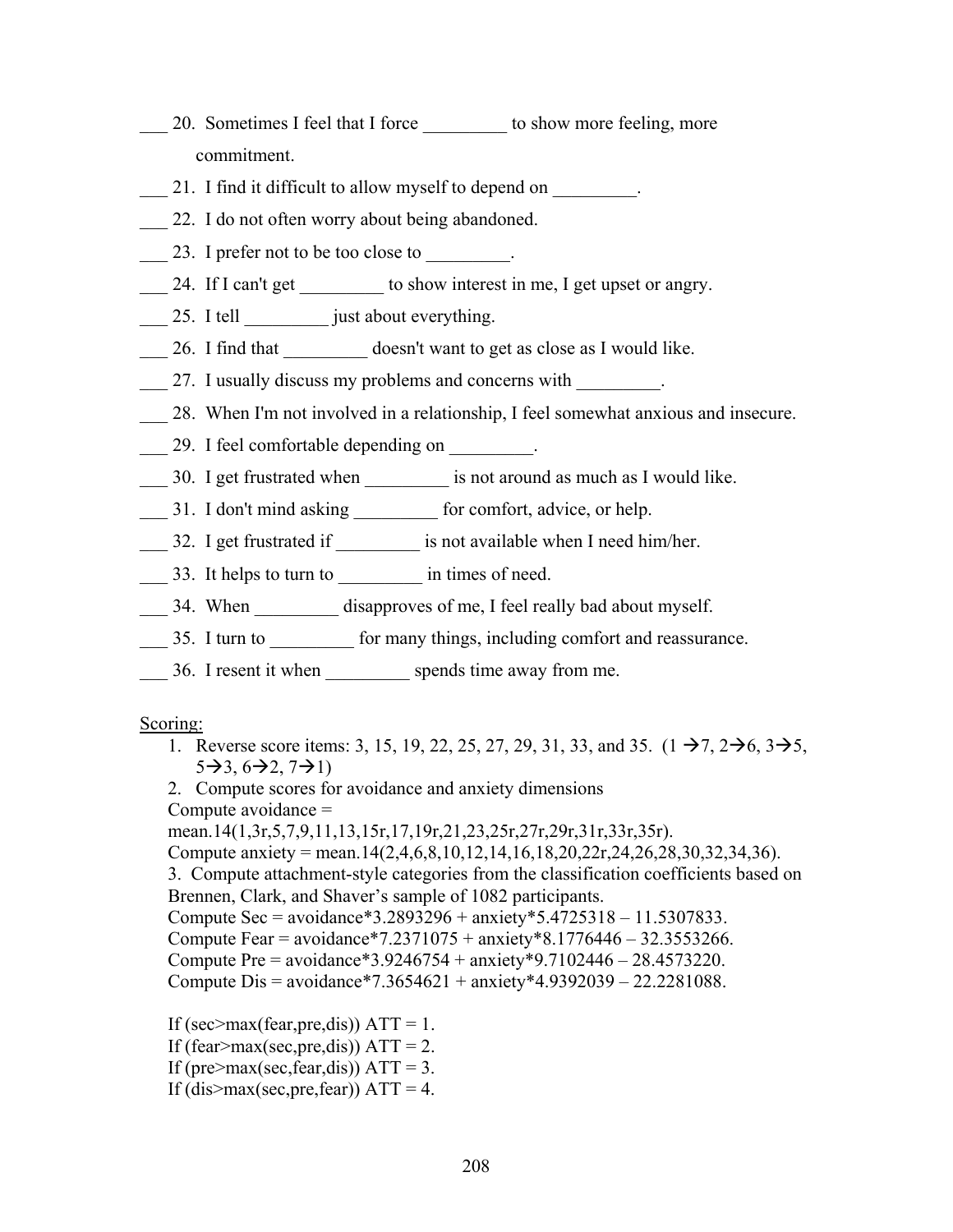- 20. Sometimes I feel that I force to show more feeling, more commitment.
- 21. I find it difficult to allow myself to depend on  $\blacksquare$
- \_\_\_ 22. I do not often worry about being abandoned.
- \_\_\_ 23. I prefer not to be too close to \_\_\_\_\_\_\_\_\_.
- \_\_\_ 24. If I can't get \_\_\_\_\_\_\_\_\_ to show interest in me, I get upset or angry.
- \_\_\_ 25. I tell \_\_\_\_\_\_\_\_\_ just about everything.
- \_\_\_ 26. I find that \_\_\_\_\_\_\_\_\_ doesn't want to get as close as I would like.

\_\_\_ 27. I usually discuss my problems and concerns with \_\_\_\_\_\_\_\_\_.

- \_\_\_ 28. When I'm not involved in a relationship, I feel somewhat anxious and insecure.
- \_\_\_ 29. I feel comfortable depending on \_\_\_\_\_\_\_\_\_.
- 30. I get frustrated when **is not around as much as I would like**.
- 11. I don't mind asking for comfort, advice, or help.
- \_\_\_ 32. I get frustrated if \_\_\_\_\_\_\_\_\_\_ is not available when I need him/her.
- \_\_\_ 33. It helps to turn to \_\_\_\_\_\_\_\_\_\_ in times of need.
- \_\_\_ 34. When \_\_\_\_\_\_\_\_\_ disapproves of me, I feel really bad about myself.
- 35. I turn to for many things, including comfort and reassurance.
- 36. I resent it when spends time away from me.

#### Scoring:

1. Reverse score items: 3, 15, 19, 22, 25, 27, 29, 31, 33, and 35.  $(1 \rightarrow 7, 2 \rightarrow 6, 3 \rightarrow 5,$  $5\rightarrow 3, 6\rightarrow 2, 7\rightarrow 1$ 

2. Compute scores for avoidance and anxiety dimensions Compute avoidance = mean.14(1,3r,5,7,9,11,13,15r,17,19r,21,23,25r,27r,29r,31r,33r,35r).

Compute anxiety = mean.14(2,4,6,8,10,12,14,16,18,20,22r,24,26,28,30,32,34,36).

3. Compute attachment-style categories from the classification coefficients based on Brennen, Clark, and Shaver's sample of 1082 participants.

Compute Sec = avoidance\*3.2893296 + anxiety\*5.4725318 – 11.5307833.

Compute Fear = avoidance\*7.2371075 + anxiety\*8.1776446 – 32.3553266.

Compute Pre = avoidance\*3.9246754 + anxiety\*9.7102446 – 28.4573220.

```
Compute Dis = avoidance*7.3654621 + anxiety*4.9392039 – 22.2281088.
```
If (sec>max(fear,pre,dis))  $ATT = 1$ . If (fear>max(sec,pre,dis))  $ATT = 2$ . If (pre>max(sec,fear,dis))  $ATT = 3$ . If (dis $>$ max(sec,pre,fear)) ATT = 4.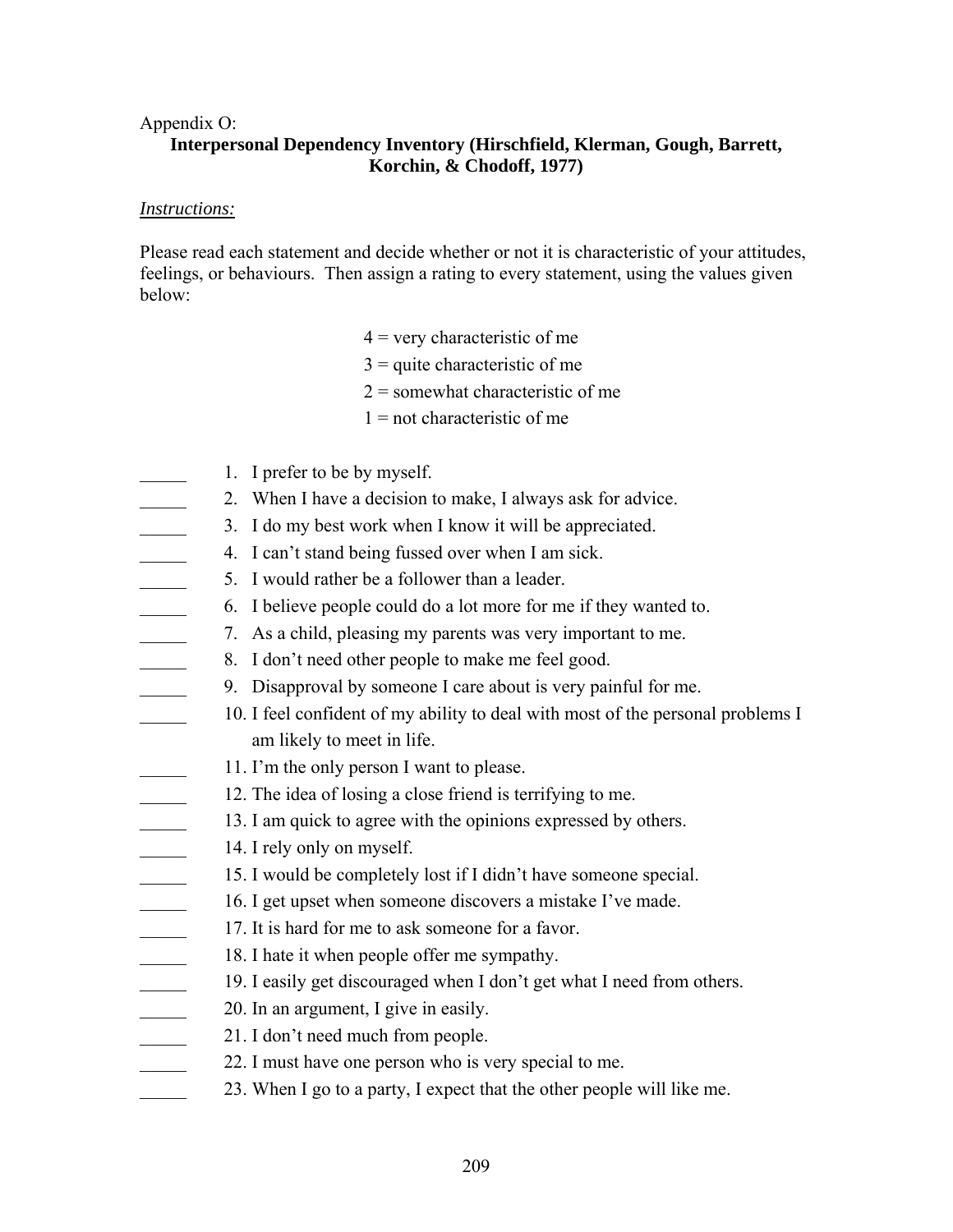#### Appendix O:

## **Interpersonal Dependency Inventory (Hirschfield, Klerman, Gough, Barrett, Korchin, & Chodoff, 1977)**

#### *Instructions:*

Please read each statement and decide whether or not it is characteristic of your attitudes, feelings, or behaviours. Then assign a rating to every statement, using the values given below:

- $4$  = very characteristic of me
- $3$  = quite characteristic of me
- 2 = somewhat characteristic of me
- $1 =$  not characteristic of me
- 1. I prefer to be by myself.
	- 2. When I have a decision to make, I always ask for advice.
- 3. I do my best work when I know it will be appreciated.
- \_\_\_\_\_ 4. I can't stand being fussed over when I am sick.
- 5. I would rather be a follower than a leader.
- \_\_\_\_\_ 6. I believe people could do a lot more for me if they wanted to.
- 7. As a child, pleasing my parents was very important to me.
- \_\_\_\_\_ 8. I don't need other people to make me feel good.
	- \_\_\_\_\_ 9. Disapproval by someone I care about is very painful for me.
- 10. I feel confident of my ability to deal with most of the personal problems I am likely to meet in life.
- 11. I'm the only person I want to please.
- 12. The idea of losing a close friend is terrifying to me.
- 13. I am quick to agree with the opinions expressed by others.
- 14. I rely only on myself.
- 15. I would be completely lost if I didn't have someone special.
- 16. I get upset when someone discovers a mistake I've made.
- 17. It is hard for me to ask someone for a favor.
- 18. I hate it when people offer me sympathy.
- 19. I easily get discouraged when I don't get what I need from others.
- 20. In an argument, I give in easily.
- \_\_\_\_\_ 21. I don't need much from people.
- 22. I must have one person who is very special to me.
- 23. When I go to a party, I expect that the other people will like me.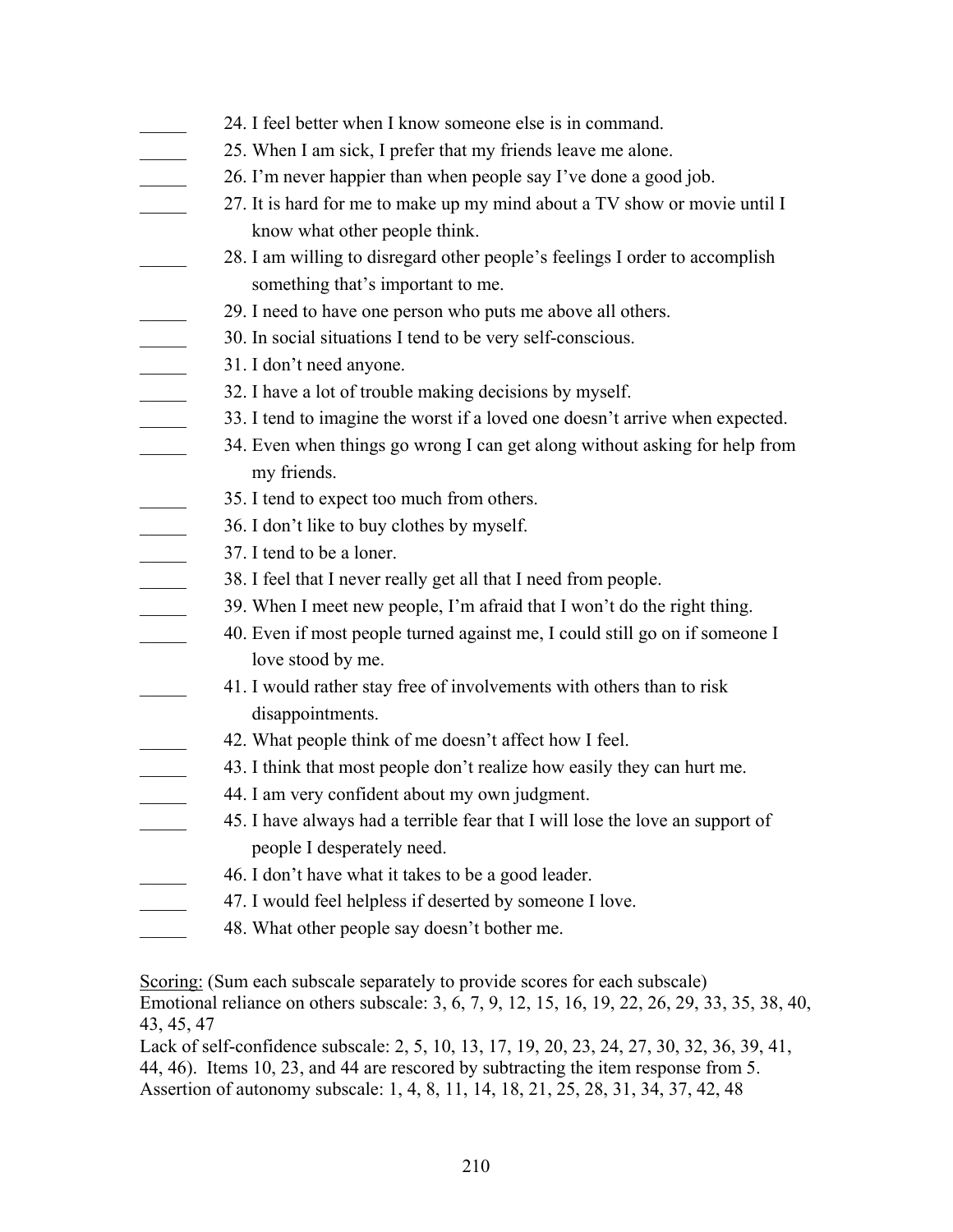|                                                                 | 24. I feel better when I know someone else is in command.                     |
|-----------------------------------------------------------------|-------------------------------------------------------------------------------|
|                                                                 | 25. When I am sick, I prefer that my friends leave me alone.                  |
|                                                                 | 26. I'm never happier than when people say I've done a good job.              |
|                                                                 | 27. It is hard for me to make up my mind about a TV show or movie until I     |
|                                                                 | know what other people think.                                                 |
|                                                                 | 28. I am willing to disregard other people's feelings I order to accomplish   |
|                                                                 | something that's important to me.                                             |
|                                                                 | 29. I need to have one person who puts me above all others.                   |
|                                                                 | 30. In social situations I tend to be very self-conscious.                    |
|                                                                 | 31. I don't need anyone.                                                      |
|                                                                 | 32. I have a lot of trouble making decisions by myself.                       |
|                                                                 | 33. I tend to imagine the worst if a loved one doesn't arrive when expected.  |
| $\overline{a}$                                                  | 34. Even when things go wrong I can get along without asking for help from    |
|                                                                 | my friends.                                                                   |
|                                                                 | 35. I tend to expect too much from others.                                    |
|                                                                 | 36. I don't like to buy clothes by myself.                                    |
| $\frac{1}{\sqrt{2\pi}}\left( \frac{1}{\sqrt{2\pi}}\right) ^{2}$ | 37. I tend to be a loner.                                                     |
|                                                                 | 38. I feel that I never really get all that I need from people.               |
| $\overline{\phantom{a}}$                                        | 39. When I meet new people, I'm afraid that I won't do the right thing.       |
|                                                                 | 40. Even if most people turned against me, I could still go on if someone I   |
|                                                                 | love stood by me.                                                             |
|                                                                 | 41. I would rather stay free of involvements with others than to risk         |
|                                                                 | disappointments.                                                              |
|                                                                 | 42. What people think of me doesn't affect how I feel.                        |
|                                                                 | 43. I think that most people don't realize how easily they can hurt me.       |
|                                                                 | 44. I am very confident about my own judgment.                                |
|                                                                 | 45. I have always had a terrible fear that I will lose the love an support of |
|                                                                 | people I desperately need.                                                    |
|                                                                 | 46. I don't have what it takes to be a good leader.                           |
|                                                                 | 47. I would feel helpless if deserted by someone I love.                      |
|                                                                 | 48. What other people say doesn't bother me.                                  |

Scoring: (Sum each subscale separately to provide scores for each subscale) Emotional reliance on others subscale: 3, 6, 7, 9, 12, 15, 16, 19, 22, 26, 29, 33, 35, 38, 40, 43, 45, 47

Lack of self-confidence subscale: 2, 5, 10, 13, 17, 19, 20, 23, 24, 27, 30, 32, 36, 39, 41, 44, 46). Items 10, 23, and 44 are rescored by subtracting the item response from 5. Assertion of autonomy subscale: 1, 4, 8, 11, 14, 18, 21, 25, 28, 31, 34, 37, 42, 48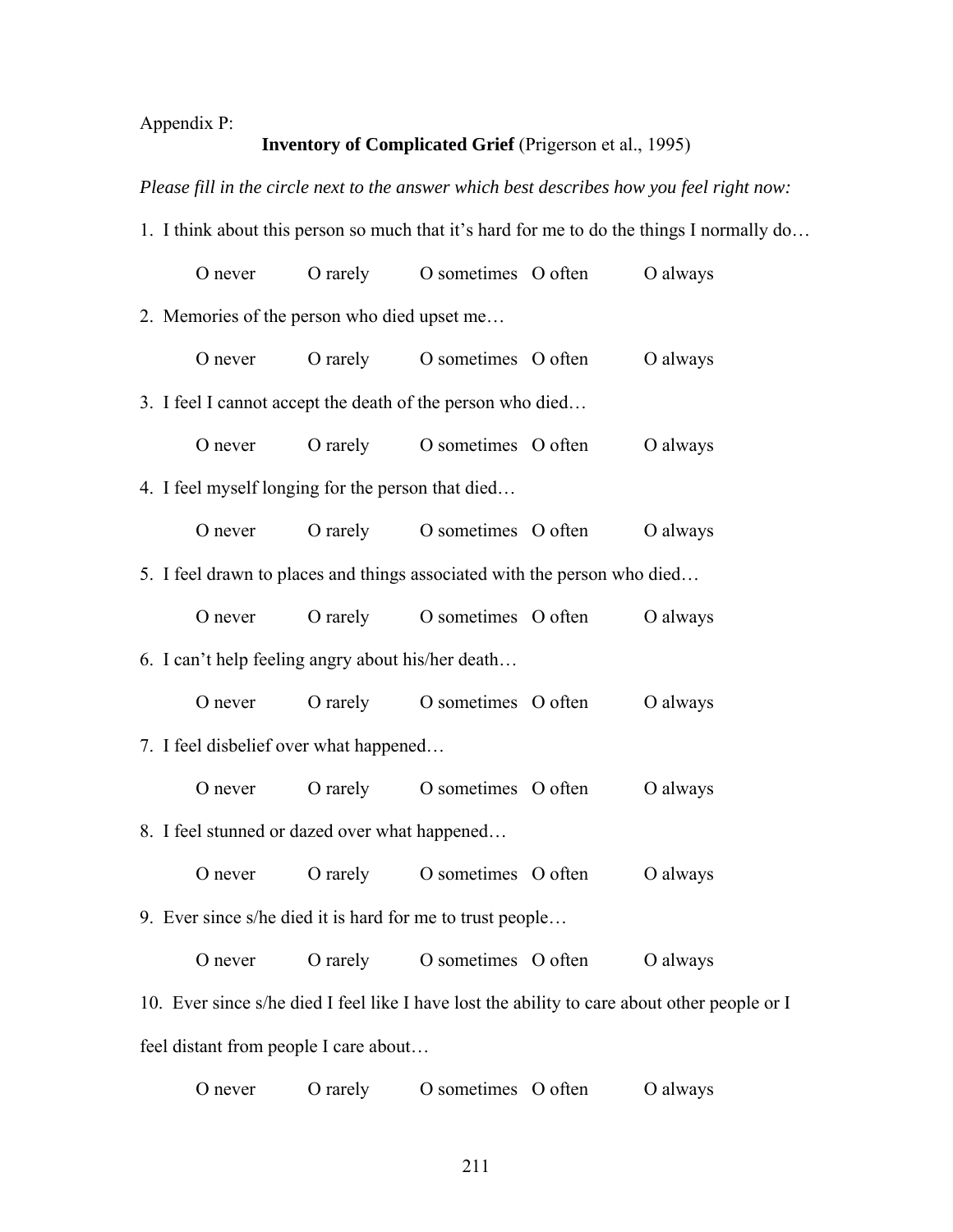## Appendix P:

## **Inventory of Complicated Grief** (Prigerson et al., 1995)

*Please fill in the circle next to the answer which best describes how you feel right now:* 

1. I think about this person so much that it's hard for me to do the things I normally do…

| O never                                                                  | O rarely | O sometimes O often | O always                                                                                     |
|--------------------------------------------------------------------------|----------|---------------------|----------------------------------------------------------------------------------------------|
| 2. Memories of the person who died upset me                              |          |                     |                                                                                              |
| O never                                                                  | O rarely | O sometimes O often | O always                                                                                     |
| 3. I feel I cannot accept the death of the person who died               |          |                     |                                                                                              |
| O never                                                                  | O rarely | O sometimes O often | O always                                                                                     |
| 4. I feel myself longing for the person that died                        |          |                     |                                                                                              |
| O never                                                                  | O rarely | O sometimes O often | O always                                                                                     |
| 5. I feel drawn to places and things associated with the person who died |          |                     |                                                                                              |
| O never                                                                  | O rarely | O sometimes O often | O always                                                                                     |
| 6. I can't help feeling angry about his/her death                        |          |                     |                                                                                              |
| O never                                                                  | O rarely | O sometimes O often | O always                                                                                     |
| 7. I feel disbelief over what happened                                   |          |                     |                                                                                              |
| O never                                                                  | O rarely | O sometimes O often | O always                                                                                     |
| 8. I feel stunned or dazed over what happened                            |          |                     |                                                                                              |
| O never                                                                  | O rarely | O sometimes O often | O always                                                                                     |
| 9. Ever since s/he died it is hard for me to trust people                |          |                     |                                                                                              |
| O never                                                                  | O rarely | O sometimes O often | O always                                                                                     |
|                                                                          |          |                     | 10. Ever since s/he died I feel like I have lost the ability to care about other people or I |
|                                                                          |          |                     |                                                                                              |

feel distant from people I care about…

| O never | O rarely | O sometimes O often | O always |
|---------|----------|---------------------|----------|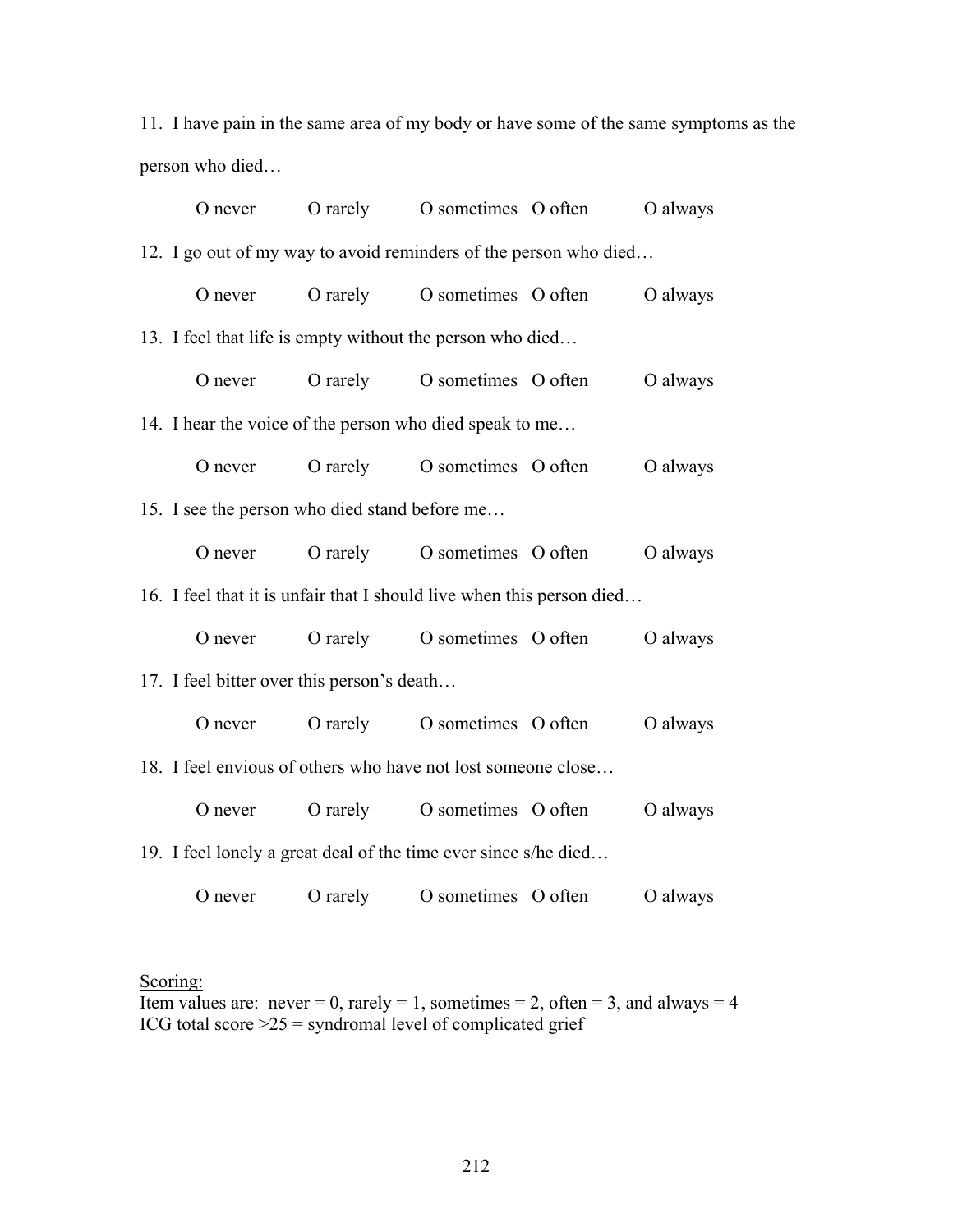11. I have pain in the same area of my body or have some of the same symptoms as the person who died…

| O never                                                               | O rarely O sometimes O often         | O always |
|-----------------------------------------------------------------------|--------------------------------------|----------|
| 12. I go out of my way to avoid reminders of the person who died      |                                      |          |
| O never                                                               | O rarely O sometimes O often         | O always |
| 13. I feel that life is empty without the person who died             |                                      |          |
|                                                                       | O never O rarely O sometimes O often | O always |
| 14. I hear the voice of the person who died speak to me               |                                      |          |
|                                                                       | O never O rarely O sometimes O often | O always |
| 15. I see the person who died stand before me                         |                                      |          |
|                                                                       | O never O rarely O sometimes O often | O always |
| 16. I feel that it is unfair that I should live when this person died |                                      |          |
|                                                                       | O never O rarely O sometimes O often | O always |
| 17. I feel bitter over this person's death                            |                                      |          |
|                                                                       | O never O rarely O sometimes O often | O always |
| 18. I feel envious of others who have not lost someone close          |                                      |          |
|                                                                       | O never O rarely O sometimes O often | O always |
| 19. I feel lonely a great deal of the time ever since s/he died       |                                      |          |
| O never                                                               | O rarely O sometimes O often         | O always |

## Scoring:

Item values are: never = 0, rarely = 1, sometimes = 2, often = 3, and always = 4 ICG total score  $>25$  = syndromal level of complicated grief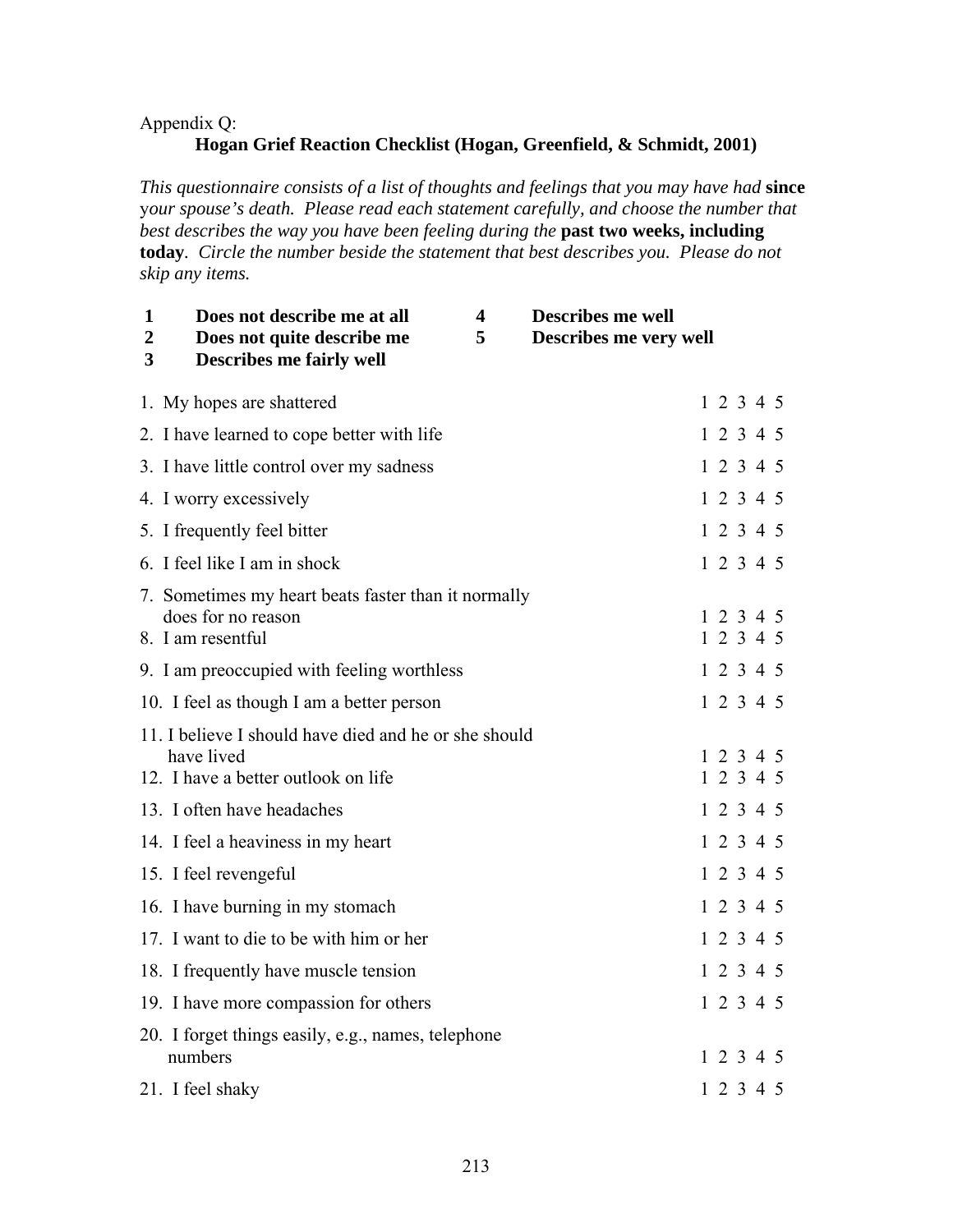## Appendix Q:

## **Hogan Grief Reaction Checklist (Hogan, Greenfield, & Schmidt, 2001)**

*This questionnaire consists of a list of thoughts and feelings that you may have had* **since**  y*our spouse's death. Please read each statement carefully, and choose the number that best describes the way you have been feeling during the* **past two weeks, including today***. Circle the number beside the statement that best describes you. Please do not skip any items.* 

| 1<br>$\overline{2}$<br>3 | Does not describe me at all<br>Does not quite describe me<br><b>Describes me fairly well</b>               | $\overline{\mathbf{4}}$<br>5 | <b>Describes me well</b><br>Describes me very well |  |                        |  |
|--------------------------|------------------------------------------------------------------------------------------------------------|------------------------------|----------------------------------------------------|--|------------------------|--|
|                          | 1. My hopes are shattered                                                                                  |                              |                                                    |  | 1 2 3 4 5              |  |
|                          | 2. I have learned to cope better with life                                                                 |                              |                                                    |  | 12345                  |  |
|                          | 3. I have little control over my sadness                                                                   |                              |                                                    |  | 12345                  |  |
|                          | 4. I worry excessively                                                                                     |                              |                                                    |  | 12345                  |  |
|                          | 5. I frequently feel bitter                                                                                |                              |                                                    |  | 12345                  |  |
|                          | 6. I feel like I am in shock                                                                               |                              |                                                    |  | 12345                  |  |
|                          | 7. Sometimes my heart beats faster than it normally<br>does for no reason<br>8. I am resentful             |                              |                                                    |  | 1 2 3 4 5<br>1 2 3 4 5 |  |
|                          | 9. I am preoccupied with feeling worthless                                                                 |                              |                                                    |  | 12345                  |  |
|                          | 10. I feel as though I am a better person                                                                  |                              |                                                    |  | 12345                  |  |
|                          | 11. I believe I should have died and he or she should<br>have lived<br>12. I have a better outlook on life |                              |                                                    |  | 12345<br>12345         |  |
|                          | 13. I often have headaches                                                                                 |                              |                                                    |  | 12345                  |  |
|                          | 14. I feel a heaviness in my heart                                                                         |                              |                                                    |  | 12345                  |  |
|                          | 15. I feel revengeful                                                                                      |                              |                                                    |  | 12345                  |  |
|                          | 16. I have burning in my stomach                                                                           |                              |                                                    |  | 12345                  |  |
|                          | 17. I want to die to be with him or her                                                                    |                              |                                                    |  | 12345                  |  |
|                          | 18. I frequently have muscle tension                                                                       |                              |                                                    |  | 1 2 3 4 5              |  |
|                          | 19. I have more compassion for others                                                                      |                              |                                                    |  | 12345                  |  |
|                          | 20. I forget things easily, e.g., names, telephone<br>numbers                                              |                              |                                                    |  | 1 2 3 4 5              |  |
|                          | 21. I feel shaky                                                                                           |                              |                                                    |  | 12345                  |  |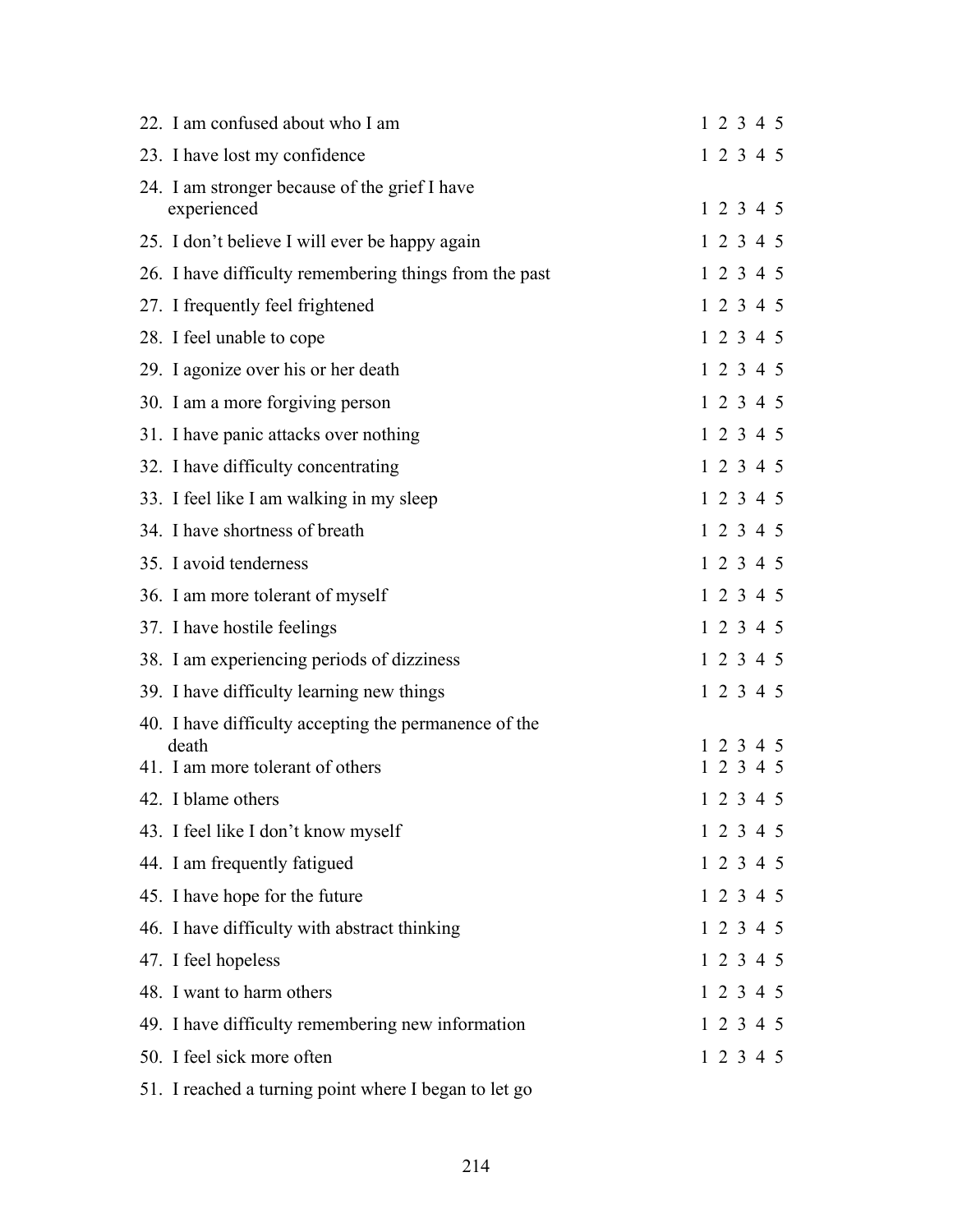| 22. I am confused about who I am                               | 1 2 3 4 5 |
|----------------------------------------------------------------|-----------|
| 23. I have lost my confidence                                  | 1 2 3 4 5 |
| 24. I am stronger because of the grief I have<br>experienced   | 1 2 3 4 5 |
| 25. I don't believe I will ever be happy again                 | 1 2 3 4 5 |
| 26. I have difficulty remembering things from the past         | 1 2 3 4 5 |
| 27. I frequently feel frightened                               | 1 2 3 4 5 |
| 28. I feel unable to cope                                      | 1 2 3 4 5 |
| 29. I agonize over his or her death                            | 1 2 3 4 5 |
| 30. I am a more forgiving person                               | 1 2 3 4 5 |
| 31. I have panic attacks over nothing                          | 1 2 3 4 5 |
| 32. I have difficulty concentrating                            | 1 2 3 4 5 |
| 33. I feel like I am walking in my sleep                       | 1 2 3 4 5 |
| 34. I have shortness of breath                                 | 1 2 3 4 5 |
| 35. I avoid tenderness                                         | 1 2 3 4 5 |
| 36. I am more tolerant of myself                               | 1 2 3 4 5 |
| 37. I have hostile feelings                                    | 1 2 3 4 5 |
| 38. I am experiencing periods of dizziness                     | 1 2 3 4 5 |
| 39. I have difficulty learning new things                      | 1 2 3 4 5 |
| 40. I have difficulty accepting the permanence of the<br>death | 1 2 3 4 5 |
| 41. I am more tolerant of others                               | 1 2 3 4 5 |
| 42. I blame others                                             | 1 2 3 4 5 |
| 43. I feel like I don't know myself                            | 1 2 3 4 5 |
| 44. I am frequently fatigued                                   | 1 2 3 4 5 |
| 45. I have hope for the future                                 | 1 2 3 4 5 |
| 46. I have difficulty with abstract thinking                   | 1 2 3 4 5 |
| 47. I feel hopeless                                            | 1 2 3 4 5 |
| 48. I want to harm others                                      | 1 2 3 4 5 |
| 49. I have difficulty remembering new information              | 1 2 3 4 5 |
| 50. I feel sick more often                                     | 1 2 3 4 5 |
| 51. I reached a turning point where I began to let go          |           |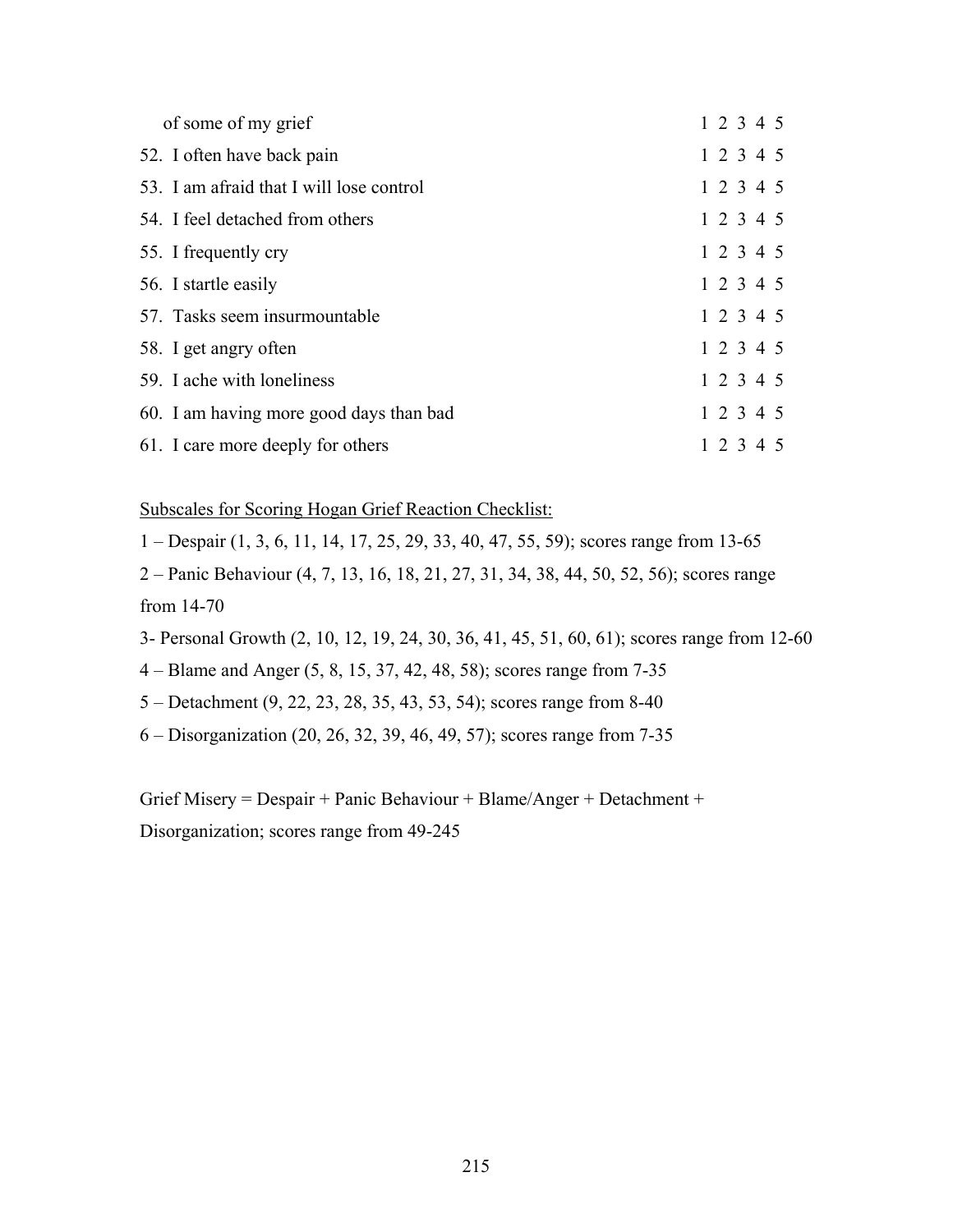| of some of my grief                      | 1 2 3 4 5 |
|------------------------------------------|-----------|
| 52. I often have back pain               | 1 2 3 4 5 |
| 53. I am afraid that I will lose control | 1 2 3 4 5 |
| 54. I feel detached from others          | 1 2 3 4 5 |
| 55. I frequently cry                     | 1 2 3 4 5 |
| 56. I startle easily                     | 1 2 3 4 5 |
| 57. Tasks seem insurmountable            | 1 2 3 4 5 |
| 58. I get angry often                    | 1 2 3 4 5 |
| 59. I ache with loneliness               | 1 2 3 4 5 |
| 60. I am having more good days than bad  | 1 2 3 4 5 |
| 61. I care more deeply for others        | 1 2 3 4 5 |

Subscales for Scoring Hogan Grief Reaction Checklist:

1 – Despair (1, 3, 6, 11, 14, 17, 25, 29, 33, 40, 47, 55, 59); scores range from 13-65

2 – Panic Behaviour (4, 7, 13, 16, 18, 21, 27, 31, 34, 38, 44, 50, 52, 56); scores range from 14-70

- 3- Personal Growth (2, 10, 12, 19, 24, 30, 36, 41, 45, 51, 60, 61); scores range from 12-60
- 4 Blame and Anger (5, 8, 15, 37, 42, 48, 58); scores range from 7-35
- 5 Detachment (9, 22, 23, 28, 35, 43, 53, 54); scores range from 8-40
- 6 Disorganization (20, 26, 32, 39, 46, 49, 57); scores range from 7-35

Grief Misery = Despair + Panic Behaviour + Blame/Anger + Detachment + Disorganization; scores range from 49-245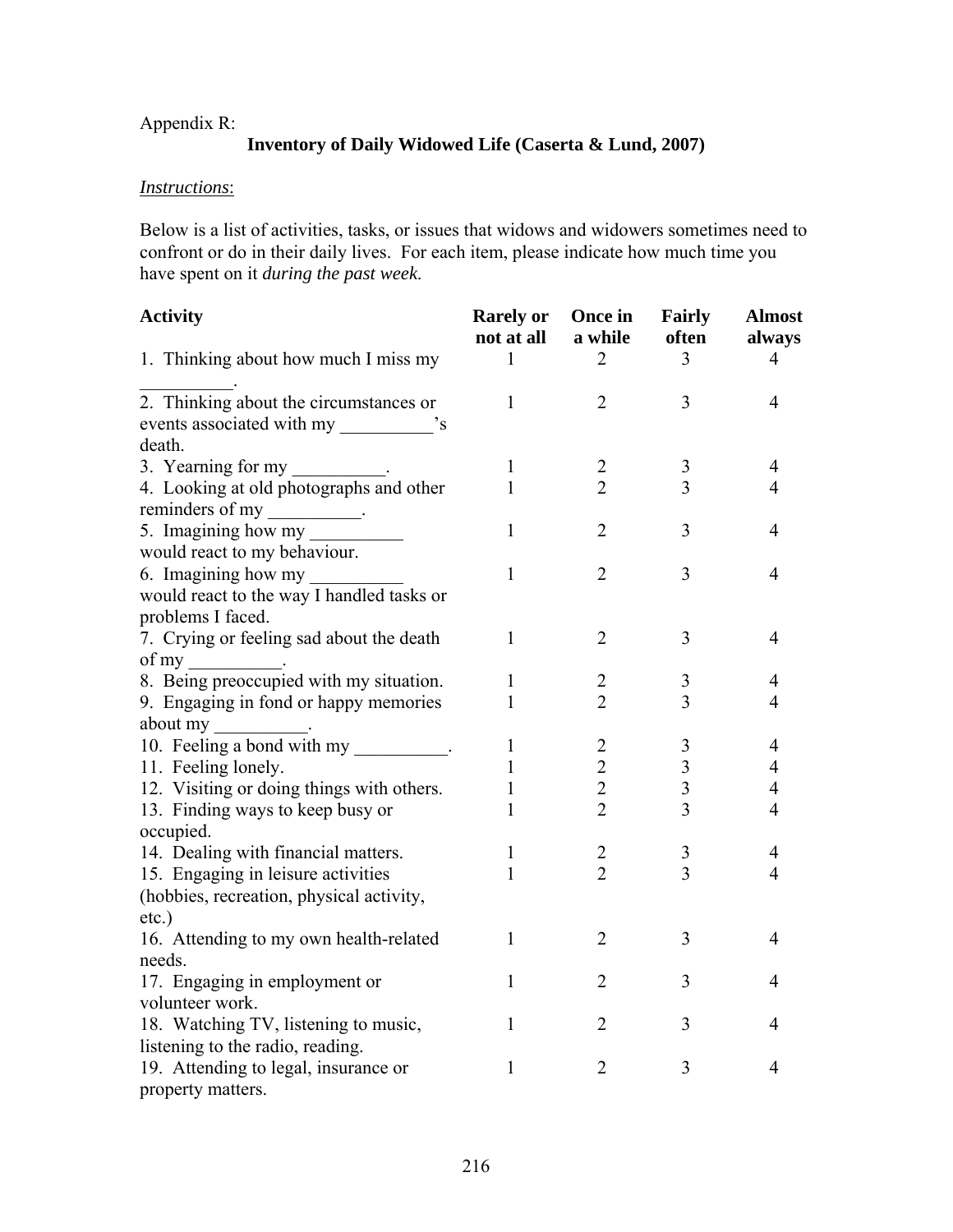## Appendix R:

# **Inventory of Daily Widowed Life (Caserta & Lund, 2007)**

## *Instructions*:

Below is a list of activities, tasks, or issues that widows and widowers sometimes need to confront or do in their daily lives. For each item, please indicate how much time you have spent on it *during the past week*.

| <b>Activity</b>                           | <b>Rarely or</b><br>not at all | Once in<br>a while | <b>Fairly</b><br>often | <b>Almost</b><br>always |
|-------------------------------------------|--------------------------------|--------------------|------------------------|-------------------------|
| 1. Thinking about how much I miss my      | 1                              | $\overline{2}$     | 3                      | 4                       |
| 2. Thinking about the circumstances or    | $\mathbf{1}$                   | $\overline{2}$     | 3                      | $\overline{4}$          |
|                                           |                                |                    |                        |                         |
| death.                                    |                                |                    |                        |                         |
| 3. Yearning for my __________.            | $\mathbf{1}$                   | $\boldsymbol{2}$   | 3                      | $\overline{4}$          |
| 4. Looking at old photographs and other   | 1                              | $\overline{2}$     | 3                      | $\overline{4}$          |
| reminders of my                           |                                |                    |                        |                         |
| 5. Imagining how my                       | $\mathbf{1}$                   | $\overline{2}$     | 3                      | 4                       |
| would react to my behaviour.              |                                |                    |                        |                         |
| 6. Imagining how my                       | 1                              | $\overline{2}$     | 3                      | $\overline{4}$          |
| would react to the way I handled tasks or |                                |                    |                        |                         |
| problems I faced.                         |                                |                    |                        |                         |
| 7. Crying or feeling sad about the death  | 1                              | 2                  | 3                      | 4                       |
| of my<br><b>Contract Contract State</b>   |                                |                    |                        |                         |
| 8. Being preoccupied with my situation.   | 1                              | 2                  | 3                      | 4                       |
| 9. Engaging in fond or happy memories     | 1                              | $\overline{2}$     | 3                      | 4                       |
| about my __________.                      |                                |                    |                        |                         |
| 10. Feeling a bond with my                | 1                              | $\overline{c}$     | 3                      | 4                       |
| 11. Feeling lonely.                       | 1                              | $\overline{c}$     | 3                      | 4                       |
| 12. Visiting or doing things with others. | 1                              | $\overline{2}$     | $\overline{3}$         | 4                       |
| 13. Finding ways to keep busy or          | 1                              | $\overline{2}$     | $\overline{3}$         | $\overline{4}$          |
| occupied.                                 |                                |                    |                        |                         |
| 14. Dealing with financial matters.       | 1                              | 2                  | 3                      | 4                       |
| 15. Engaging in leisure activities        | 1                              | $\overline{2}$     | 3                      | $\overline{4}$          |
| (hobbies, recreation, physical activity,  |                                |                    |                        |                         |
| etc.)                                     |                                |                    |                        |                         |
| 16. Attending to my own health-related    | 1                              | $\overline{2}$     | 3                      | $\overline{4}$          |
| needs.                                    |                                |                    |                        |                         |
| 17. Engaging in employment or             | $\mathbf{1}$                   | $\overline{2}$     | 3                      | 4                       |
| volunteer work.                           |                                |                    |                        |                         |
| 18. Watching TV, listening to music,      | $\mathbf{1}$                   | $\overline{2}$     | 3                      | 4                       |
| listening to the radio, reading.          |                                |                    |                        |                         |
| 19. Attending to legal, insurance or      | 1                              | $\overline{2}$     | 3                      | 4                       |
| property matters.                         |                                |                    |                        |                         |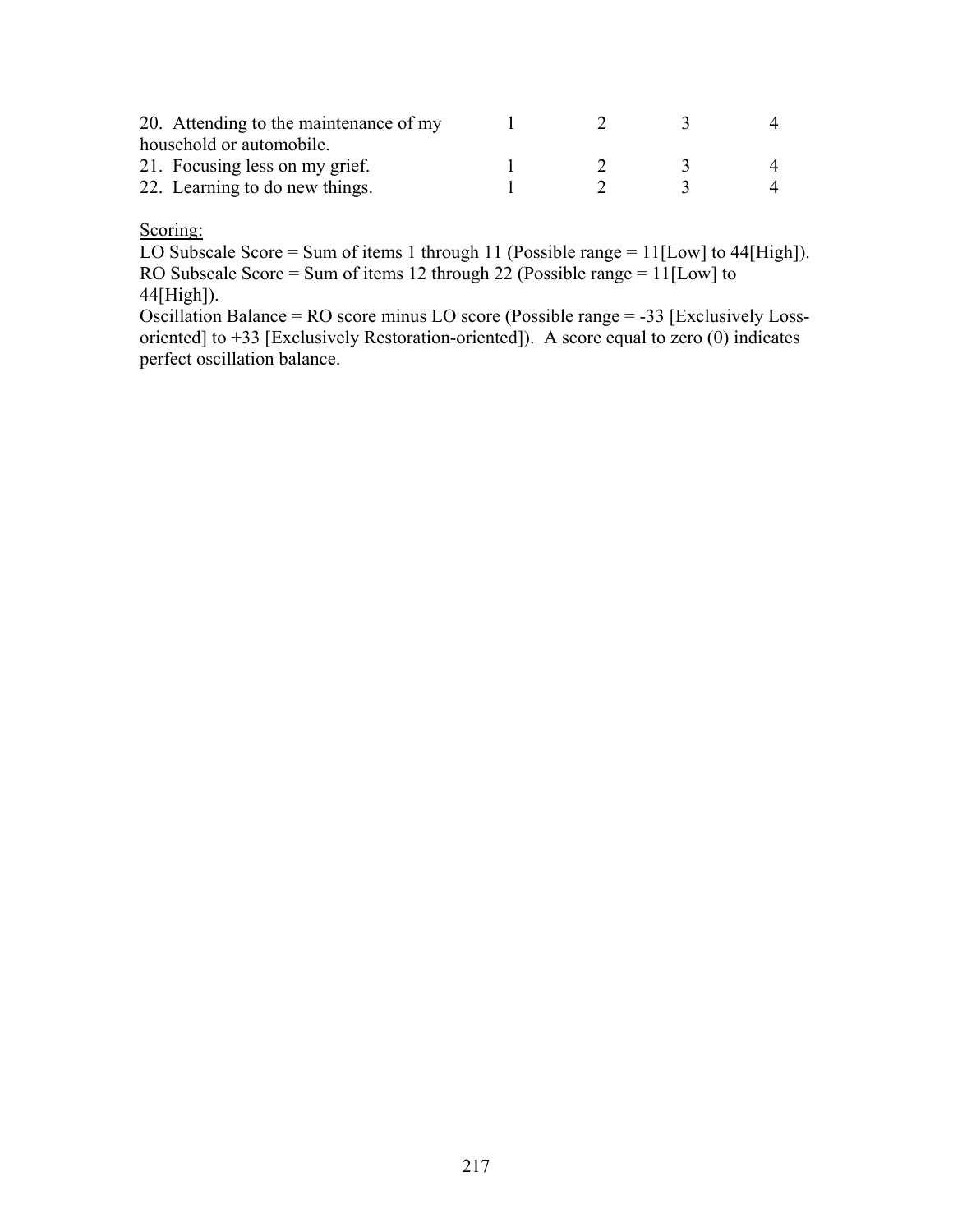| 20. Attending to the maintenance of my |  |  |  |
|----------------------------------------|--|--|--|
| household or automobile.               |  |  |  |
| 21. Focusing less on my grief.         |  |  |  |
| 22. Learning to do new things.         |  |  |  |

#### Scoring:

LO Subscale Score = Sum of items 1 through 11 (Possible range = 11[Low] to 44[High]). RO Subscale Score = Sum of items 12 through 22 (Possible range = 11[Low] to 44[High]).

Oscillation Balance = RO score minus LO score (Possible range = -33 [Exclusively Lossoriented] to +33 [Exclusively Restoration-oriented]). A score equal to zero (0) indicates perfect oscillation balance.